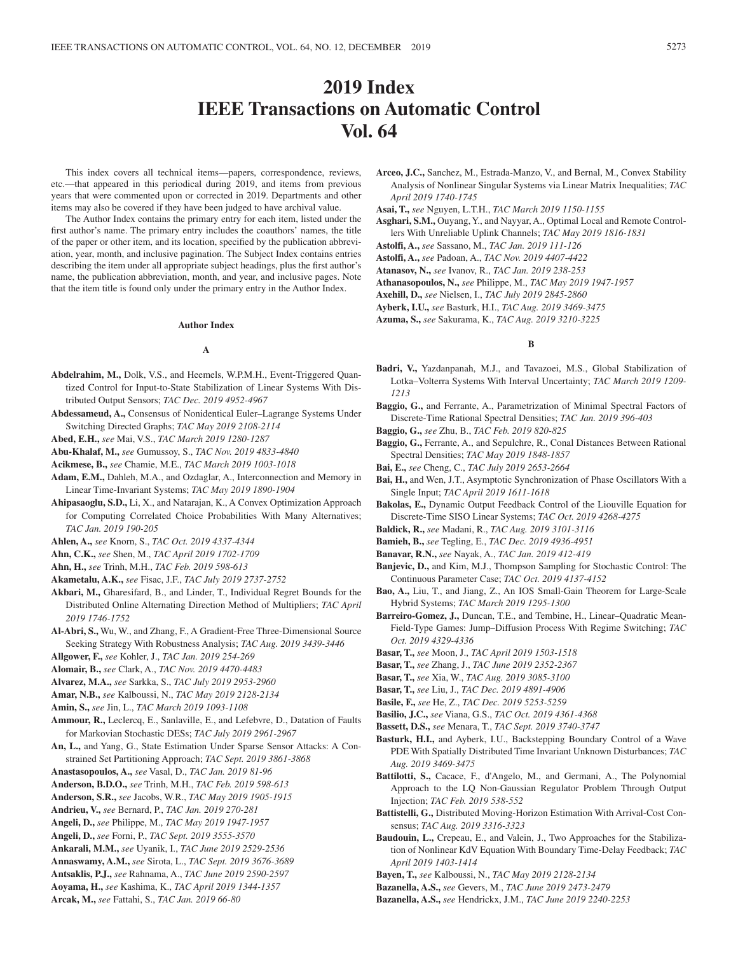# **2019 Index IEEE Transactions on Automatic Control Vol. 64**

This index covers all technical items—papers, correspondence, reviews, etc.—that appeared in this periodical during 2019, and items from previous years that were commented upon or corrected in 2019. Departments and other items may also be covered if they have been judged to have archival value.

The Author Index contains the primary entry for each item, listed under the first author's name. The primary entry includes the coauthors' names, the title of the paper or other item, and its location, specified by the publication abbreviation, year, month, and inclusive pagination. The Subject Index contains entries describing the item under all appropriate subject headings, plus the first author's name, the publication abbreviation, month, and year, and inclusive pages. Note that the item title is found only under the primary entry in the Author Index.

### **Author Index**

#### **A**

- **Abdelrahim, M.,** Dolk, V.S., and Heemels, W.P.M.H., Event-Triggered Quantized Control for Input-to-State Stabilization of Linear Systems With Distributed Output Sensors; *TAC Dec. 2019 4952-4967*
- **Abdessameud, A.,** Consensus of Nonidentical Euler–Lagrange Systems Under Switching Directed Graphs; *TAC May 2019 2108-2114*

**Abed, E.H.,** *see* Mai, V.S., *TAC March 2019 1280-1287*

**Abu-Khalaf, M.,** *see* Gumussoy, S., *TAC Nov. 2019 4833-4840*

**Acikmese, B.,** *see* Chamie, M.E., *TAC March 2019 1003-1018*

- **Adam, E.M.,** Dahleh, M.A., and Ozdaglar, A., Interconnection and Memory in Linear Time-Invariant Systems; *TAC May 2019 1890-1904*
- **Ahipasaoglu, S.D.,** Li, X., and Natarajan, K., A Convex Optimization Approach for Computing Correlated Choice Probabilities With Many Alternatives; *TAC Jan. 2019 190-205*

**Ahlen, A.,** *see* Knorn, S., *TAC Oct. 2019 4337-4344*

**Ahn, C.K.,** *see* Shen, M., *TAC April 2019 1702-1709*

- **Ahn, H.,** *see* Trinh, M.H., *TAC Feb. 2019 598-613*
- **Akametalu, A.K.,** *see* Fisac, J.F., *TAC July 2019 2737-2752*
- **Akbari, M.,** Gharesifard, B., and Linder, T., Individual Regret Bounds for the Distributed Online Alternating Direction Method of Multipliers; *TAC April 2019 1746-1752*
- **Al-Abri, S.,** Wu, W., and Zhang, F., A Gradient-Free Three-Dimensional Source Seeking Strategy With Robustness Analysis; *TAC Aug. 2019 3439-3446*

**Allgower, F.,** *see* Kohler, J., *TAC Jan. 2019 254-269*

- **Alomair, B.,** *see* Clark, A., *TAC Nov. 2019 4470-4483*
- **Alvarez, M.A.,** *see* Sarkka, S., *TAC July 2019 2953-2960*

**Amar, N.B.,** *see* Kalboussi, N., *TAC May 2019 2128-2134*

**Amin, S.,** *see* Jin, L., *TAC March 2019 1093-1108*

- **Ammour, R.,** Leclercq, E., Sanlaville, E., and Lefebvre, D., Datation of Faults for Markovian Stochastic DESs; *TAC July 2019 2961-2967*
- **An, L.,** and Yang, G., State Estimation Under Sparse Sensor Attacks: A Constrained Set Partitioning Approach; *TAC Sept. 2019 3861-3868*
- **Anastasopoulos, A.,** *see* Vasal, D., *TAC Jan. 2019 81-96*
- **Anderson, B.D.O.,** *see* Trinh, M.H., *TAC Feb. 2019 598-613*
- **Anderson, S.R.,** *see* Jacobs, W.R., *TAC May 2019 1905-1915*
- **Andrieu, V.,** *see* Bernard, P., *TAC Jan. 2019 270-281*
- **Angeli, D.,** *see* Philippe, M., *TAC May 2019 1947-1957*
- **Angeli, D.,** *see* Forni, P., *TAC Sept. 2019 3555-3570*
- **Ankarali, M.M.,** *see* Uyanik, I., *TAC June 2019 2529-2536*
- **Annaswamy, A.M.,** *see* Sirota, L., *TAC Sept. 2019 3676-3689* **Antsaklis, P.J.,** *see* Rahnama, A., *TAC June 2019 2590-2597*
- **Aoyama, H.,** *see* Kashima, K., *TAC April 2019 1344-1357*
- **Arcak, M.,** *see* Fattahi, S., *TAC Jan. 2019 66-80*
- **Arceo, J.C.,** Sanchez, M., Estrada-Manzo, V., and Bernal, M., Convex Stability Analysis of Nonlinear Singular Systems via Linear Matrix Inequalities; *TAC April 2019 1740-1745*
- **Asai, T.,** *see* Nguyen, L.T.H., *TAC March 2019 1150-1155*
- **Asghari, S.M.,** Ouyang, Y., and Nayyar, A., Optimal Local and Remote Controllers With Unreliable Uplink Channels; *TAC May 2019 1816-1831*
- **Astolfi, A.,** *see* Sassano, M., *TAC Jan. 2019 111-126*
- **Astolfi, A.,** *see* Padoan, A., *TAC Nov. 2019 4407-4422*
- **Atanasov, N.,** *see* Ivanov, R., *TAC Jan. 2019 238-253*
- **Athanasopoulos, N.,** *see* Philippe, M., *TAC May 2019 1947-1957*
- **Axehill, D.,** *see* Nielsen, I., *TAC July 2019 2845-2860*
- **Ayberk, I.U.,** *see* Basturk, H.I., *TAC Aug. 2019 3469-3475*
- **Azuma, S.,** *see* Sakurama, K., *TAC Aug. 2019 3210-3225*

### **B**

- **Badri, V.,** Yazdanpanah, M.J., and Tavazoei, M.S., Global Stabilization of Lotka–Volterra Systems With Interval Uncertainty; *TAC March 2019 1209- 1213*
- **Baggio, G.,** and Ferrante, A., Parametrization of Minimal Spectral Factors of Discrete-Time Rational Spectral Densities; *TAC Jan. 2019 396-403*
- **Baggio, G.,** *see* Zhu, B., *TAC Feb. 2019 820-825*
- **Baggio, G.,** Ferrante, A., and Sepulchre, R., Conal Distances Between Rational Spectral Densities; *TAC May 2019 1848-1857*

**Bai, E.,** *see* Cheng, C., *TAC July 2019 2653-2664*

- **Bai, H.,** and Wen, J.T., Asymptotic Synchronization of Phase Oscillators With a Single Input; *TAC April 2019 1611-1618*
- **Bakolas, E.,** Dynamic Output Feedback Control of the Liouville Equation for Discrete-Time SISO Linear Systems; *TAC Oct. 2019 4268-4275*
- **Baldick, R.,** *see* Madani, R., *TAC Aug. 2019 3101-3116*
- **Bamieh, B.,** *see* Tegling, E., *TAC Dec. 2019 4936-4951*
- **Banavar, R.N.,** *see* Nayak, A., *TAC Jan. 2019 412-419*
- **Banjevic, D.,** and Kim, M.J., Thompson Sampling for Stochastic Control: The Continuous Parameter Case; *TAC Oct. 2019 4137-4152*
- **Bao, A.,** Liu, T., and Jiang, Z., An IOS Small-Gain Theorem for Large-Scale Hybrid Systems; *TAC March 2019 1295-1300*
- **Barreiro-Gomez, J.,** Duncan, T.E., and Tembine, H., Linear–Quadratic Mean-Field-Type Games: Jump–Diffusion Process With Regime Switching; *TAC Oct. 2019 4329-4336*
- **Basar, T.,** *see* Moon, J., *TAC April 2019 1503-1518*
- **Basar, T.,** *see* Zhang, J., *TAC June 2019 2352-2367*
- **Basar, T.,** *see* Xia, W., *TAC Aug. 2019 3085-3100*
- **Basar, T.,** *see* Liu, J., *TAC Dec. 2019 4891-4906*
- **Basile, F.,** *see* He, Z., *TAC Dec. 2019 5253-5259*
- **Basilio, J.C.,** *see* Viana, G.S., *TAC Oct. 2019 4361-4368*
- **Bassett, D.S.,** *see* Menara, T., *TAC Sept. 2019 3740-3747*
- **Basturk, H.I.,** and Ayberk, I.U., Backstepping Boundary Control of a Wave PDE With Spatially Distributed Time Invariant Unknown Disturbances; *TAC Aug. 2019 3469-3475*
- **Battilotti, S.,** Cacace, F., d'Angelo, M., and Germani, A., The Polynomial Approach to the LQ Non-Gaussian Regulator Problem Through Output Injection; *TAC Feb. 2019 538-552*
- **Battistelli, G.,** Distributed Moving-Horizon Estimation With Arrival-Cost Consensus; *TAC Aug. 2019 3316-3323*
- **Baudouin, L.,** Crepeau, E., and Valein, J., Two Approaches for the Stabilization of Nonlinear KdV Equation With Boundary Time-Delay Feedback; *TAC April 2019 1403-1414*
- **Bayen, T.,** *see* Kalboussi, N., *TAC May 2019 2128-2134*
- **Bazanella, A.S.,** *see* Gevers, M., *TAC June 2019 2473-2479*
- **Bazanella, A.S.,** *see* Hendrickx, J.M., *TAC June 2019 2240-2253*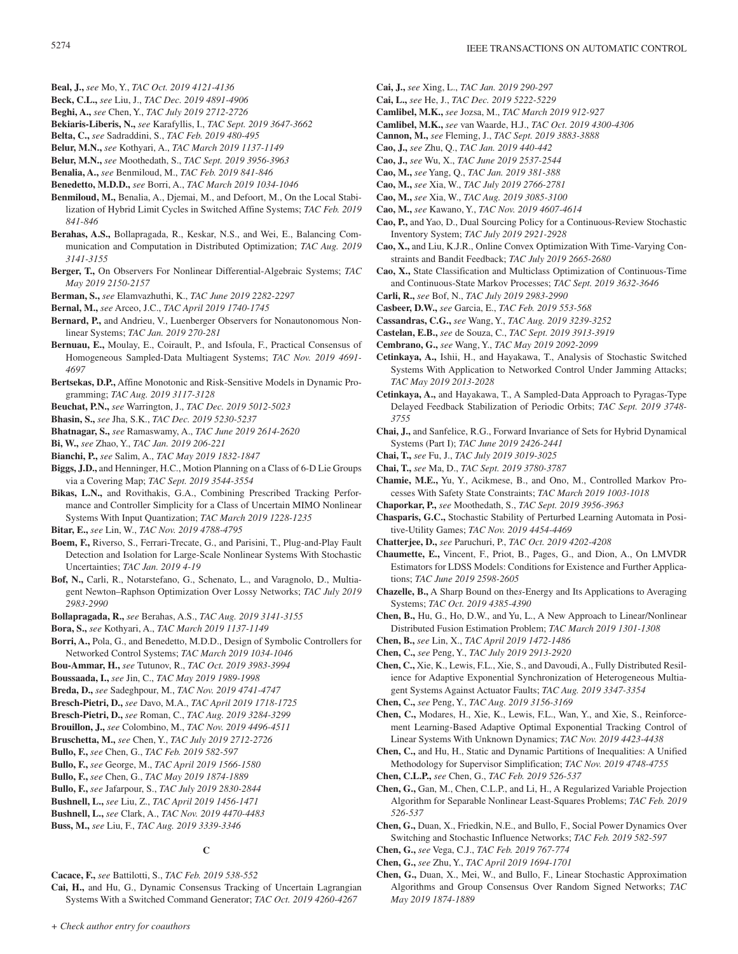- **Beal, J.,** *see* Mo, Y., *TAC Oct. 2019 4121-4136*
- **Beck, C.L.,** *see* Liu, J., *TAC Dec. 2019 4891-4906*
- **Beghi, A.,** *see* Chen, Y., *TAC July 2019 2712-2726*
- **Bekiaris-Liberis, N.,** *see* Karafyllis, I., *TAC Sept. 2019 3647-3662*
- **Belta, C.,** *see* Sadraddini, S., *TAC Feb. 2019 480-495*
- **Belur, M.N.,** *see* Kothyari, A., *TAC March 2019 1137-1149*
- **Belur, M.N.,** *see* Moothedath, S., *TAC Sept. 2019 3956-3963*
- **Benalia, A.,** *see* Benmiloud, M., *TAC Feb. 2019 841-846*
- **Benedetto, M.D.D.,** *see* Borri, A., *TAC March 2019 1034-1046*
- **Benmiloud, M.,** Benalia, A., Djemai, M., and Defoort, M., On the Local Stabilization of Hybrid Limit Cycles in Switched Affine Systems; *TAC Feb. 2019 841-846*
- **Berahas, A.S.,** Bollapragada, R., Keskar, N.S., and Wei, E., Balancing Communication and Computation in Distributed Optimization; *TAC Aug. 2019 3141-3155*
- **Berger, T.,** On Observers For Nonlinear Differential-Algebraic Systems; *TAC May 2019 2150-2157*
- **Berman, S.,** *see* Elamvazhuthi, K., *TAC June 2019 2282-2297*
- **Bernal, M.,** *see* Arceo, J.C., *TAC April 2019 1740-1745*
- **Bernard, P.,** and Andrieu, V., Luenberger Observers for Nonautonomous Nonlinear Systems; *TAC Jan. 2019 270-281*
- **Bernuau, E.,** Moulay, E., Coirault, P., and Isfoula, F., Practical Consensus of Homogeneous Sampled-Data Multiagent Systems; *TAC Nov. 2019 4691- 4697*
- **Bertsekas, D.P.,** Affine Monotonic and Risk-Sensitive Models in Dynamic Programming; *TAC Aug. 2019 3117-3128*
- **Beuchat, P.N.,** *see* Warrington, J., *TAC Dec. 2019 5012-5023*
- **Bhasin, S.,** *see* Jha, S.K., *TAC Dec. 2019 5230-5237*
- **Bhatnagar, S.,** *see* Ramaswamy, A., *TAC June 2019 2614-2620*
- **Bi, W.,** *see* Zhao, Y., *TAC Jan. 2019 206-221*
- **Bianchi, P.,** *see* Salim, A., *TAC May 2019 1832-1847*
- **Biggs, J.D.,** and Henninger, H.C., Motion Planning on a Class of 6-D Lie Groups via a Covering Map; *TAC Sept. 2019 3544-3554*
- **Bikas, L.N.,** and Rovithakis, G.A., Combining Prescribed Tracking Performance and Controller Simplicity for a Class of Uncertain MIMO Nonlinear Systems With Input Quantization; *TAC March 2019 1228-1235*
- **Bitar, E.,** *see* Lin, W., *TAC Nov. 2019 4788-4795*
- **Boem, F.,** Riverso, S., Ferrari-Trecate, G., and Parisini, T., Plug-and-Play Fault Detection and Isolation for Large-Scale Nonlinear Systems With Stochastic Uncertainties; *TAC Jan. 2019 4-19*
- **Bof, N.,** Carli, R., Notarstefano, G., Schenato, L., and Varagnolo, D., Multiagent Newton–Raphson Optimization Over Lossy Networks; *TAC July 2019 2983-2990*
- **Bollapragada, R.,** *see* Berahas, A.S., *TAC Aug. 2019 3141-3155*
- **Bora, S.,** *see* Kothyari, A., *TAC March 2019 1137-1149*
- **Borri, A.,** Pola, G., and Benedetto, M.D.D., Design of Symbolic Controllers for Networked Control Systems; *TAC March 2019 1034-1046*
- **Bou-Ammar, H.,** *see* Tutunov, R., *TAC Oct. 2019 3983-3994*
- **Boussaada, I.,** *see* Jin, C., *TAC May 2019 1989-1998*
- **Breda, D.,** *see* Sadeghpour, M., *TAC Nov. 2019 4741-4747*
- **Bresch-Pietri, D.,** *see* Davo, M.A., *TAC April 2019 1718-1725*
- **Bresch-Pietri, D.,** *see* Roman, C., *TAC Aug. 2019 3284-3299*
- **Brouillon, J.,** *see* Colombino, M., *TAC Nov. 2019 4496-4511*
- **Bruschetta, M.,** *see* Chen, Y., *TAC July 2019 2712-2726*
- **Bullo, F.,** *see* Chen, G., *TAC Feb. 2019 582-597*
- **Bullo, F.,** *see* George, M., *TAC April 2019 1566-1580*
- **Bullo, F.,** *see* Chen, G., *TAC May 2019 1874-1889*
- **Bullo, F.,** *see* Jafarpour, S., *TAC July 2019 2830-2844*
- **Bushnell, L.,** *see* Liu, Z., *TAC April 2019 1456-1471*
- **Bushnell, L.,** *see* Clark, A., *TAC Nov. 2019 4470-4483*
- **Buss, M.,** *see* Liu, F., *TAC Aug. 2019 3339-3346*

### **C**

- **Cacace, F.,** *see* Battilotti, S., *TAC Feb. 2019 538-552*
- **Cai, H.,** and Hu, G., Dynamic Consensus Tracking of Uncertain Lagrangian Systems With a Switched Command Generator; *TAC Oct. 2019 4260-4267*
- **Cai, J.,** *see* Xing, L., *TAC Jan. 2019 290-297*
- **Cai, L.,** *see* He, J., *TAC Dec. 2019 5222-5229*
- **Camlibel, M.K.,** *see* Jozsa, M., *TAC March 2019 912-927*
- **Camlibel, M.K.,** *see* van Waarde, H.J., *TAC Oct. 2019 4300-4306*
- **Cannon, M.,** *see* Fleming, J., *TAC Sept. 2019 3883-3888*
- **Cao, J.,** *see* Zhu, Q., *TAC Jan. 2019 440-442*
- **Cao, J.,** *see* Wu, X., *TAC June 2019 2537-2544*
- **Cao, M.,** *see* Yang, Q., *TAC Jan. 2019 381-388* **Cao, M.,** *see* Xia, W., *TAC July 2019 2766-2781*
- **Cao, M.,** *see* Xia, W., *TAC Aug. 2019 3085-3100*
- **Cao, M.,** *see* Kawano, Y., *TAC Nov. 2019 4607-4614*
- **Cao, P.,** and Yao, D., Dual Sourcing Policy for a Continuous-Review Stochastic Inventory System; *TAC July 2019 2921-2928*
- **Cao, X.,** and Liu, K.J.R., Online Convex Optimization With Time-Varying Constraints and Bandit Feedback; *TAC July 2019 2665-2680*
- **Cao, X.,** State Classification and Multiclass Optimization of Continuous-Time and Continuous-State Markov Processes; *TAC Sept. 2019 3632-3646*
- **Carli, R.,** *see* Bof, N., *TAC July 2019 2983-2990*
- **Casbeer, D.W.,** *see* Garcia, E., *TAC Feb. 2019 553-568*
- **Cassandras, C.G.,** *see* Wang, Y., *TAC Aug. 2019 3239-3252*
- **Castelan, E.B.,** *see* de Souza, C., *TAC Sept. 2019 3913-3919*
- **Cembrano, G.,** *see* Wang, Y., *TAC May 2019 2092-2099*
- **Cetinkaya, A.,** Ishii, H., and Hayakawa, T., Analysis of Stochastic Switched Systems With Application to Networked Control Under Jamming Attacks; *TAC May 2019 2013-2028*
- **Cetinkaya, A.,** and Hayakawa, T., A Sampled-Data Approach to Pyragas-Type Delayed Feedback Stabilization of Periodic Orbits; *TAC Sept. 2019 3748- 3755*
- **Chai, J.,** and Sanfelice, R.G., Forward Invariance of Sets for Hybrid Dynamical Systems (Part I); *TAC June 2019 2426-2441*
- **Chai, T.,** *see* Fu, J., *TAC July 2019 3019-3025*
- **Chai, T.,** *see* Ma, D., *TAC Sept. 2019 3780-3787*
- **Chamie, M.E.,** Yu, Y., Acikmese, B., and Ono, M., Controlled Markov Processes With Safety State Constraints; *TAC March 2019 1003-1018*
- **Chaporkar, P.,** *see* Moothedath, S., *TAC Sept. 2019 3956-3963*
- **Chasparis, G.C.,** Stochastic Stability of Perturbed Learning Automata in Positive-Utility Games; *TAC Nov. 2019 4454-4469*
- **Chatterjee, D.,** *see* Paruchuri, P., *TAC Oct. 2019 4202-4208*
- **Chaumette, E.,** Vincent, F., Priot, B., Pages, G., and Dion, A., On LMVDR Estimators for LDSS Models: Conditions for Existence and Further Applications; *TAC June 2019 2598-2605*
- **Chazelle, B.,** A Sharp Bound on the*s*-Energy and Its Applications to Averaging Systems; *TAC Oct. 2019 4385-4390*
- **Chen, B.,** Hu, G., Ho, D.W., and Yu, L., A New Approach to Linear/Nonlinear Distributed Fusion Estimation Problem; *TAC March 2019 1301-1308*
- **Chen, B.,** *see* Lin, X., *TAC April 2019 1472-1486*
- **Chen, C.,** *see* Peng, Y., *TAC July 2019 2913-2920*
- **Chen, C.,** Xie, K., Lewis, F.L., Xie, S., and Davoudi, A., Fully Distributed Resilience for Adaptive Exponential Synchronization of Heterogeneous Multiagent Systems Against Actuator Faults; *TAC Aug. 2019 3347-3354*
- **Chen, C.,** *see* Peng, Y., *TAC Aug. 2019 3156-3169*
- **Chen, C.,** Modares, H., Xie, K., Lewis, F.L., Wan, Y., and Xie, S., Reinforcement Learning-Based Adaptive Optimal Exponential Tracking Control of Linear Systems With Unknown Dynamics; *TAC Nov. 2019 4423-4438*
- **Chen, C.,** and Hu, H., Static and Dynamic Partitions of Inequalities: A Unified Methodology for Supervisor Simplification; *TAC Nov. 2019 4748-4755*
- **Chen, C.L.P.,** *see* Chen, G., *TAC Feb. 2019 526-537*
- **Chen, G.,** Gan, M., Chen, C.L.P., and Li, H., A Regularized Variable Projection Algorithm for Separable Nonlinear Least-Squares Problems; *TAC Feb. 2019 526-537*
- **Chen, G.,** Duan, X., Friedkin, N.E., and Bullo, F., Social Power Dynamics Over Switching and Stochastic Influence Networks; *TAC Feb. 2019 582-597*
- **Chen, G.,** *see* Vega, C.J., *TAC Feb. 2019 767-774*
- **Chen, G.,** *see* Zhu, Y., *TAC April 2019 1694-1701*
- **Chen, G.,** Duan, X., Mei, W., and Bullo, F., Linear Stochastic Approximation Algorithms and Group Consensus Over Random Signed Networks; *TAC May 2019 1874-1889*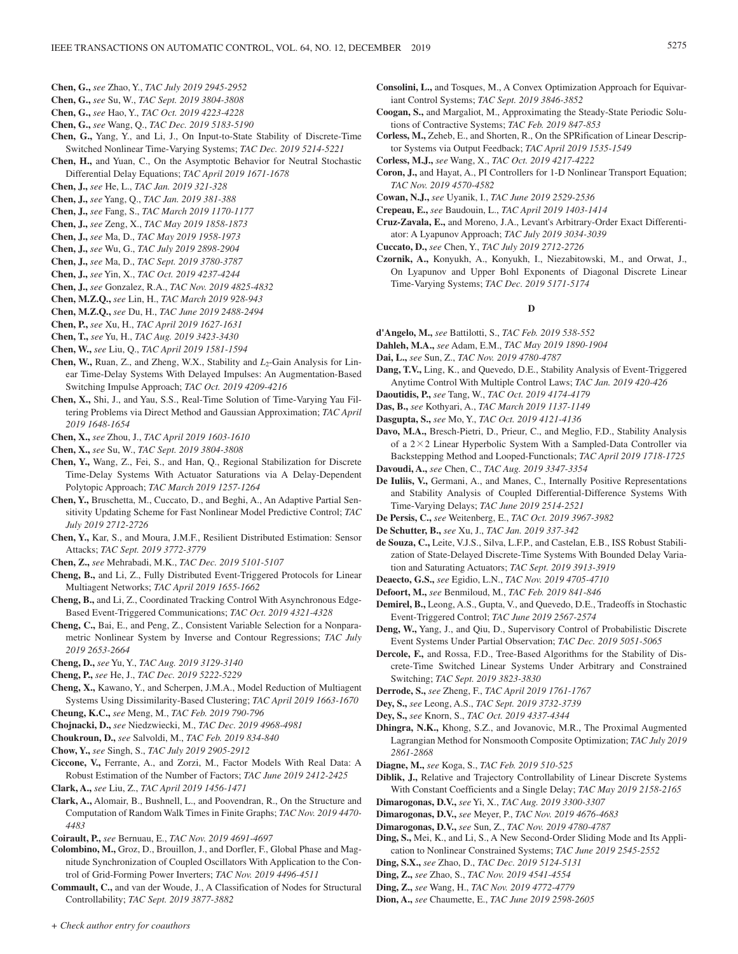- **Chen, G.,** *see* Zhao, Y., *TAC July 2019 2945-2952*
- **Chen, G.,** *see* Su, W., *TAC Sept. 2019 3804-3808*
- **Chen, G.,** *see* Hao, Y., *TAC Oct. 2019 4223-4228*
- **Chen, G.,** *see* Wang, Q., *TAC Dec. 2019 5183-5190*
- **Chen, G.,** Yang, Y., and Li, J., On Input-to-State Stability of Discrete-Time Switched Nonlinear Time-Varying Systems; *TAC Dec. 2019 5214-5221*
- **Chen, H.,** and Yuan, C., On the Asymptotic Behavior for Neutral Stochastic Differential Delay Equations; *TAC April 2019 1671-1678*
- **Chen, J.,** *see* He, L., *TAC Jan. 2019 321-328*
- **Chen, J.,** *see* Yang, Q., *TAC Jan. 2019 381-388*
- **Chen, J.,** *see* Fang, S., *TAC March 2019 1170-1177*
- **Chen, J.,** *see* Zeng, X., *TAC May 2019 1858-1873*
- **Chen, J.,** *see* Ma, D., *TAC May 2019 1958-1973*
- **Chen, J.,** *see* Wu, G., *TAC July 2019 2898-2904*
- **Chen, J.,** *see* Ma, D., *TAC Sept. 2019 3780-3787*
- **Chen, J.,** *see* Yin, X., *TAC Oct. 2019 4237-4244*
- **Chen, J.,** *see* Gonzalez, R.A., *TAC Nov. 2019 4825-4832*
- **Chen, M.Z.Q.,** *see* Lin, H., *TAC March 2019 928-943*
- **Chen, M.Z.Q.,** *see* Du, H., *TAC June 2019 2488-2494*
- **Chen, P.,** *see* Xu, H., *TAC April 2019 1627-1631*
- **Chen, T.,** *see* Yu, H., *TAC Aug. 2019 3423-3430*
- **Chen, W.,** *see* Liu, Q., *TAC April 2019 1581-1594*
- **Chen, W., Ruan, Z., and Zheng, W.X., Stability and** *L***<sub>2</sub>-Gain Analysis for Lin**ear Time-Delay Systems With Delayed Impulses: An Augmentation-Based Switching Impulse Approach; *TAC Oct. 2019 4209-4216*
- **Chen, X.,** Shi, J., and Yau, S.S., Real-Time Solution of Time-Varying Yau Filtering Problems via Direct Method and Gaussian Approximation; *TAC April 2019 1648-1654*
- **Chen, X.,** *see* Zhou, J., *TAC April 2019 1603-1610*
- **Chen, X.,** *see* Su, W., *TAC Sept. 2019 3804-3808*
- **Chen, Y.,** Wang, Z., Fei, S., and Han, Q., Regional Stabilization for Discrete Time-Delay Systems With Actuator Saturations via A Delay-Dependent Polytopic Approach; *TAC March 2019 1257-1264*
- **Chen, Y.,** Bruschetta, M., Cuccato, D., and Beghi, A., An Adaptive Partial Sensitivity Updating Scheme for Fast Nonlinear Model Predictive Control; *TAC July 2019 2712-2726*
- **Chen, Y.,** Kar, S., and Moura, J.M.F., Resilient Distributed Estimation: Sensor Attacks; *TAC Sept. 2019 3772-3779*
- **Chen, Z.,** *see* Mehrabadi, M.K., *TAC Dec. 2019 5101-5107*
- **Cheng, B.,** and Li, Z., Fully Distributed Event-Triggered Protocols for Linear Multiagent Networks; *TAC April 2019 1655-1662*
- **Cheng, B.,** and Li, Z., Coordinated Tracking Control With Asynchronous Edge-Based Event-Triggered Communications; *TAC Oct. 2019 4321-4328*
- **Cheng, C.,** Bai, E., and Peng, Z., Consistent Variable Selection for a Nonparametric Nonlinear System by Inverse and Contour Regressions; *TAC July 2019 2653-2664*
- **Cheng, D.,** *see* Yu, Y., *TAC Aug. 2019 3129-3140*
- **Cheng, P.,** *see* He, J., *TAC Dec. 2019 5222-5229*
- **Cheng, X.,** Kawano, Y., and Scherpen, J.M.A., Model Reduction of Multiagent Systems Using Dissimilarity-Based Clustering; *TAC April 2019 1663-1670* **Cheung, K.C.,** *see* Meng, M., *TAC Feb. 2019 790-796*
- **Chojnacki, D.,** *see* Niedzwiecki, M., *TAC Dec. 2019 4968-4981*
- **Choukroun, D.,** *see* Salvoldi, M., *TAC Feb. 2019 834-840*
- **Chow, Y.,** *see* Singh, S., *TAC July 2019 2905-2912*
- **Ciccone, V.,** Ferrante, A., and Zorzi, M., Factor Models With Real Data: A Robust Estimation of the Number of Factors; *TAC June 2019 2412-2425*
- **Clark, A.,** *see* Liu, Z., *TAC April 2019 1456-1471*
- **Clark, A.,** Alomair, B., Bushnell, L., and Poovendran, R., On the Structure and Computation of Random Walk Times in Finite Graphs; *TAC Nov. 2019 4470- 4483*
- **Coirault, P.,** *see* Bernuau, E., *TAC Nov. 2019 4691-4697*
- **Colombino, M.,** Groz, D., Brouillon, J., and Dorfler, F., Global Phase and Magnitude Synchronization of Coupled Oscillators With Application to the Control of Grid-Forming Power Inverters; *TAC Nov. 2019 4496-4511*
- **Commault, C.,** and van der Woude, J., A Classification of Nodes for Structural Controllability; *TAC Sept. 2019 3877-3882*
- **Consolini, L.,** and Tosques, M., A Convex Optimization Approach for Equivariant Control Systems; *TAC Sept. 2019 3846-3852*
- **Coogan, S.,** and Margaliot, M., Approximating the Steady-State Periodic Solutions of Contractive Systems; *TAC Feb. 2019 847-853*
- **Corless, M.,** Zeheb, E., and Shorten, R., On the SPRification of Linear Descriptor Systems via Output Feedback; *TAC April 2019 1535-1549*
- **Corless, M.J.,** *see* Wang, X., *TAC Oct. 2019 4217-4222*
- **Coron, J.,** and Hayat, A., PI Controllers for 1-D Nonlinear Transport Equation; *TAC Nov. 2019 4570-4582*
- **Cowan, N.J.,** *see* Uyanik, I., *TAC June 2019 2529-2536*
- **Crepeau, E.,** *see* Baudouin, L., *TAC April 2019 1403-1414*
- **Cruz-Zavala, E.,** and Moreno, J.A., Levant's Arbitrary-Order Exact Differentiator: A Lyapunov Approach; *TAC July 2019 3034-3039*
- **Cuccato, D.,** *see* Chen, Y., *TAC July 2019 2712-2726*
- **Czornik, A.,** Konyukh, A., Konyukh, I., Niezabitowski, M., and Orwat, J., On Lyapunov and Upper Bohl Exponents of Diagonal Discrete Linear Time-Varying Systems; *TAC Dec. 2019 5171-5174*

#### **D**

- **d'Angelo, M.,** *see* Battilotti, S., *TAC Feb. 2019 538-552*
- **Dahleh, M.A.,** *see* Adam, E.M., *TAC May 2019 1890-1904*
- **Dai, L.,** *see* Sun, Z., *TAC Nov. 2019 4780-4787*
- **Dang, T.V.,** Ling, K., and Quevedo, D.E., Stability Analysis of Event-Triggered Anytime Control With Multiple Control Laws; *TAC Jan. 2019 420-426*
- **Daoutidis, P.,** *see* Tang, W., *TAC Oct. 2019 4174-4179*
- **Das, B.,** *see* Kothyari, A., *TAC March 2019 1137-1149*
- **Dasgupta, S.,** *see* Mo, Y., *TAC Oct. 2019 4121-4136*
- **Davo, M.A.,** Bresch-Pietri, D., Prieur, C., and Meglio, F.D., Stability Analysis of a  $2 \times 2$  Linear Hyperbolic System With a Sampled-Data Controller via Backstepping Method and Looped-Functionals; *TAC April 2019 1718-1725*
- **Davoudi, A.,** *see* Chen, C., *TAC Aug. 2019 3347-3354*
- **De Iuliis, V.,** Germani, A., and Manes, C., Internally Positive Representations and Stability Analysis of Coupled Differential-Difference Systems With Time-Varying Delays; *TAC June 2019 2514-2521*
- **De Persis, C.,** *see* Weitenberg, E., *TAC Oct. 2019 3967-3982*
- **De Schutter, B.,** *see* Xu, J., *TAC Jan. 2019 337-342*
- **de Souza, C.,** Leite, V.J.S., Silva, L.F.P., and Castelan, E.B., ISS Robust Stabilization of State-Delayed Discrete-Time Systems With Bounded Delay Variation and Saturating Actuators; *TAC Sept. 2019 3913-3919*
- **Deaecto, G.S.,** *see* Egidio, L.N., *TAC Nov. 2019 4705-4710*
- **Defoort, M.,** *see* Benmiloud, M., *TAC Feb. 2019 841-846*
- **Demirel, B.,** Leong, A.S., Gupta, V., and Quevedo, D.E., Tradeoffs in Stochastic Event-Triggered Control; *TAC June 2019 2567-2574*
- **Deng, W.,** Yang, J., and Qiu, D., Supervisory Control of Probabilistic Discrete Event Systems Under Partial Observation; *TAC Dec. 2019 5051-5065*
- **Dercole, F.,** and Rossa, F.D., Tree-Based Algorithms for the Stability of Discrete-Time Switched Linear Systems Under Arbitrary and Constrained Switching; *TAC Sept. 2019 3823-3830*
- **Derrode, S.,** *see* Zheng, F., *TAC April 2019 1761-1767*
- **Dey, S.,** *see* Leong, A.S., *TAC Sept. 2019 3732-3739*
- **Dey, S.,** *see* Knorn, S., *TAC Oct. 2019 4337-4344*
- **Dhingra, N.K.,** Khong, S.Z., and Jovanovic, M.R., The Proximal Augmented Lagrangian Method for Nonsmooth Composite Optimization; *TAC July 2019 2861-2868*
- **Diagne, M.,** *see* Koga, S., *TAC Feb. 2019 510-525*
- **Diblik, J.,** Relative and Trajectory Controllability of Linear Discrete Systems With Constant Coefficients and a Single Delay; *TAC May 2019 2158-2165*
- **Dimarogonas, D.V.,** *see* Yi, X., *TAC Aug. 2019 3300-3307*
- **Dimarogonas, D.V.,** *see* Meyer, P., *TAC Nov. 2019 4676-4683*
- **Dimarogonas, D.V.,** *see* Sun, Z., *TAC Nov. 2019 4780-4787*
- **Ding, S.,** Mei, K., and Li, S., A New Second-Order Sliding Mode and Its Application to Nonlinear Constrained Systems; *TAC June 2019 2545-2552*
- **Ding, S.X.,** *see* Zhao, D., *TAC Dec. 2019 5124-5131*
- **Ding, Z.,** *see* Zhao, S., *TAC Nov. 2019 4541-4554*
- **Ding, Z.,** *see* Wang, H., *TAC Nov. 2019 4772-4779*
- **Dion, A.,** *see* Chaumette, E., *TAC June 2019 2598-2605*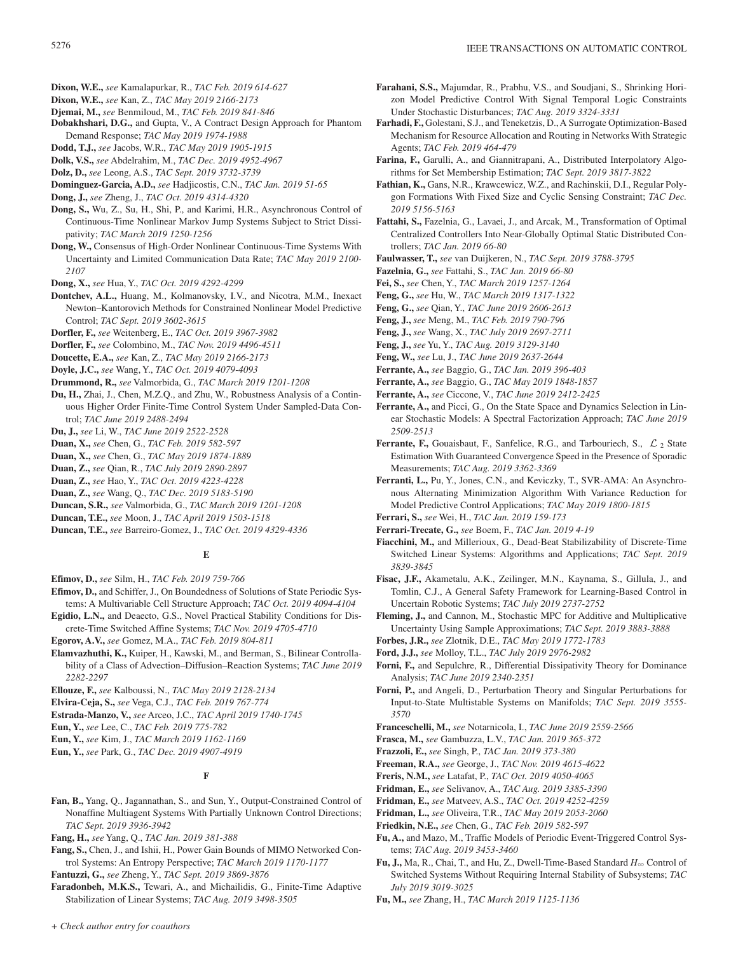- **Dixon, W.E.,** *see* Kamalapurkar, R., *TAC Feb. 2019 614-627*
- **Dixon, W.E.,** *see* Kan, Z., *TAC May 2019 2166-2173*
- **Djemai, M.,** *see* Benmiloud, M., *TAC Feb. 2019 841-846*
- **Dobakhshari, D.G.,** and Gupta, V., A Contract Design Approach for Phantom Demand Response; *TAC May 2019 1974-1988*
- **Dodd, T.J.,** *see* Jacobs, W.R., *TAC May 2019 1905-1915*
- **Dolk, V.S.,** *see* Abdelrahim, M., *TAC Dec. 2019 4952-4967*
- **Dolz, D.,** *see* Leong, A.S., *TAC Sept. 2019 3732-3739*
- **Dominguez-Garcia, A.D.,** *see* Hadjicostis, C.N., *TAC Jan. 2019 51-65*
- **Dong, J.,** *see* Zheng, J., *TAC Oct. 2019 4314-4320*
- **Dong, S.,** Wu, Z., Su, H., Shi, P., and Karimi, H.R., Asynchronous Control of Continuous-Time Nonlinear Markov Jump Systems Subject to Strict Dissipativity; *TAC March 2019 1250-1256*
- **Dong, W.,** Consensus of High-Order Nonlinear Continuous-Time Systems With Uncertainty and Limited Communication Data Rate; *TAC May 2019 2100- 2107*
- **Dong, X.,** *see* Hua, Y., *TAC Oct. 2019 4292-4299*
- **Dontchev, A.L.,** Huang, M., Kolmanovsky, I.V., and Nicotra, M.M., Inexact Newton–Kantorovich Methods for Constrained Nonlinear Model Predictive Control; *TAC Sept. 2019 3602-3615*
- **Dorfler, F.,** *see* Weitenberg, E., *TAC Oct. 2019 3967-3982*
- **Dorfler, F.,** *see* Colombino, M., *TAC Nov. 2019 4496-4511*
- **Doucette, E.A.,** *see* Kan, Z., *TAC May 2019 2166-2173*
- **Doyle, J.C.,** *see* Wang, Y., *TAC Oct. 2019 4079-4093*
- **Drummond, R.,** *see* Valmorbida, G., *TAC March 2019 1201-1208*
- **Du, H.,** Zhai, J., Chen, M.Z.Q., and Zhu, W., Robustness Analysis of a Continuous Higher Order Finite-Time Control System Under Sampled-Data Control; *TAC June 2019 2488-2494*
- **Du, J.,** *see* Li, W., *TAC June 2019 2522-2528*
- **Duan, X.,** *see* Chen, G., *TAC Feb. 2019 582-597*
- **Duan, X.,** *see* Chen, G., *TAC May 2019 1874-1889*
- **Duan, Z.,** *see* Qian, R., *TAC July 2019 2890-2897*
- **Duan, Z.,** *see* Hao, Y., *TAC Oct. 2019 4223-4228*
- **Duan, Z.,** *see* Wang, Q., *TAC Dec. 2019 5183-5190*
- **Duncan, S.R.,** *see* Valmorbida, G., *TAC March 2019 1201-1208*
- **Duncan, T.E.,** *see* Moon, J., *TAC April 2019 1503-1518*
- **Duncan, T.E.,** *see* Barreiro-Gomez, J., *TAC Oct. 2019 4329-4336*

### **E**

- **Efimov, D.,** *see* Silm, H., *TAC Feb. 2019 759-766*
- **Efimov, D.,** and Schiffer, J., On Boundedness of Solutions of State Periodic Systems: A Multivariable Cell Structure Approach; *TAC Oct. 2019 4094-4104*
- **Egidio, L.N.,** and Deaecto, G.S., Novel Practical Stability Conditions for Discrete-Time Switched Affine Systems; *TAC Nov. 2019 4705-4710*
- **Egorov, A.V.,** *see* Gomez, M.A., *TAC Feb. 2019 804-811*
- **Elamvazhuthi, K.,** Kuiper, H., Kawski, M., and Berman, S., Bilinear Controllability of a Class of Advection–Diffusion–Reaction Systems; *TAC June 2019 2282-2297*
- **Ellouze, F.,** *see* Kalboussi, N., *TAC May 2019 2128-2134*
- **Elvira-Ceja, S.,** *see* Vega, C.J., *TAC Feb. 2019 767-774*
- **Estrada-Manzo, V.,** *see* Arceo, J.C., *TAC April 2019 1740-1745*

**Eun, Y.,** *see* Lee, C., *TAC Feb. 2019 775-782*

- **Eun, Y.,** *see* Kim, J., *TAC March 2019 1162-1169*
- **Eun, Y.,** *see* Park, G., *TAC Dec. 2019 4907-4919*

### **F**

- **Fan, B.,** Yang, Q., Jagannathan, S., and Sun, Y., Output-Constrained Control of Nonaffine Multiagent Systems With Partially Unknown Control Directions; *TAC Sept. 2019 3936-3942*
- **Fang, H.,** *see* Yang, Q., *TAC Jan. 2019 381-388*
- **Fang, S.,** Chen, J., and Ishii, H., Power Gain Bounds of MIMO Networked Control Systems: An Entropy Perspective; *TAC March 2019 1170-1177*
- **Fantuzzi, G.,** *see* Zheng, Y., *TAC Sept. 2019 3869-3876*
- **Faradonbeh, M.K.S.,** Tewari, A., and Michailidis, G., Finite-Time Adaptive Stabilization of Linear Systems; *TAC Aug. 2019 3498-3505*
- **Farahani, S.S.,** Majumdar, R., Prabhu, V.S., and Soudjani, S., Shrinking Horizon Model Predictive Control With Signal Temporal Logic Constraints Under Stochastic Disturbances; *TAC Aug. 2019 3324-3331*
- **Farhadi, F.,** Golestani, S.J., and Teneketzis, D.,A Surrogate Optimization-Based Mechanism for Resource Allocation and Routing in Networks With Strategic Agents; *TAC Feb. 2019 464-479*
- **Farina, F.,** Garulli, A., and Giannitrapani, A., Distributed Interpolatory Algorithms for Set Membership Estimation; *TAC Sept. 2019 3817-3822*
- **Fathian, K.,** Gans, N.R., Krawcewicz, W.Z., and Rachinskii, D.I., Regular Polygon Formations With Fixed Size and Cyclic Sensing Constraint; *TAC Dec. 2019 5156-5163*
- **Fattahi, S.,** Fazelnia, G., Lavaei, J., and Arcak, M., Transformation of Optimal Centralized Controllers Into Near-Globally Optimal Static Distributed Controllers; *TAC Jan. 2019 66-80*
- **Faulwasser, T.,** *see* van Duijkeren, N., *TAC Sept. 2019 3788-3795*
- **Fazelnia, G.,** *see* Fattahi, S., *TAC Jan. 2019 66-80*
- **Fei, S.,** *see* Chen, Y., *TAC March 2019 1257-1264*
- **Feng, G.,** *see* Hu, W., *TAC March 2019 1317-1322*
- **Feng, G.,** *see* Qian, Y., *TAC June 2019 2606-2613*
- **Feng, J.,** *see* Meng, M., *TAC Feb. 2019 790-796*
- **Feng, J.,** *see* Wang, X., *TAC July 2019 2697-2711*
- **Feng, J.,** *see* Yu, Y., *TAC Aug. 2019 3129-3140*
- **Feng, W.,** *see* Lu, J., *TAC June 2019 2637-2644*
- **Ferrante, A.,** *see* Baggio, G., *TAC Jan. 2019 396-403*
- **Ferrante, A.,** *see* Baggio, G., *TAC May 2019 1848-1857*
- **Ferrante, A.,** *see* Ciccone, V., *TAC June 2019 2412-2425*
- **Ferrante, A.,** and Picci, G., On the State Space and Dynamics Selection in Linear Stochastic Models: A Spectral Factorization Approach; *TAC June 2019 2509-2513*
- **Ferrante, F., Gouaisbaut, F., Sanfelice, R.G., and Tarbouriech, S.,**  $\mathcal{L}_2$  **State** Estimation With Guaranteed Convergence Speed in the Presence of Sporadic Measurements; *TAC Aug. 2019 3362-3369*
- **Ferranti, L.,** Pu, Y., Jones, C.N., and Keviczky, T., SVR-AMA: An Asynchronous Alternating Minimization Algorithm With Variance Reduction for Model Predictive Control Applications; *TAC May 2019 1800-1815*
- **Ferrari, S.,** *see* Wei, H., *TAC Jan. 2019 159-173*
- **Ferrari-Trecate, G.,** *see* Boem, F., *TAC Jan. 2019 4-19*
- **Fiacchini, M.,** and Millerioux, G., Dead-Beat Stabilizability of Discrete-Time Switched Linear Systems: Algorithms and Applications; *TAC Sept. 2019 3839-3845*
- **Fisac, J.F.,** Akametalu, A.K., Zeilinger, M.N., Kaynama, S., Gillula, J., and Tomlin, C.J., A General Safety Framework for Learning-Based Control in Uncertain Robotic Systems; *TAC July 2019 2737-2752*
- **Fleming, J.,** and Cannon, M., Stochastic MPC for Additive and Multiplicative Uncertainty Using Sample Approximations; *TAC Sept. 2019 3883-3888*
- **Forbes, J.R.,** *see* Zlotnik, D.E., *TAC May 2019 1772-1783*
- **Ford, J.J.,** *see* Molloy, T.L., *TAC July 2019 2976-2982*
- **Forni, F.,** and Sepulchre, R., Differential Dissipativity Theory for Dominance Analysis; *TAC June 2019 2340-2351*
- **Forni, P.,** and Angeli, D., Perturbation Theory and Singular Perturbations for Input-to-State Multistable Systems on Manifolds; *TAC Sept. 2019 3555- 3570*
- **Franceschelli, M.,** *see* Notarnicola, I., *TAC June 2019 2559-2566*
- **Frasca, M.,** *see* Gambuzza, L.V., *TAC Jan. 2019 365-372*
- **Frazzoli, E.,** *see* Singh, P., *TAC Jan. 2019 373-380*
- **Freeman, R.A.,** *see* George, J., *TAC Nov. 2019 4615-4622*
- **Freris, N.M.,** *see* Latafat, P., *TAC Oct. 2019 4050-4065*
- **Fridman, E.,** *see* Selivanov, A., *TAC Aug. 2019 3385-3390*
- **Fridman, E.,** *see* Matveev, A.S., *TAC Oct. 2019 4252-4259*
- **Fridman, L.,** *see* Oliveira, T.R., *TAC May 2019 2053-2060*
- **Friedkin, N.E.,** *see* Chen, G., *TAC Feb. 2019 582-597*
- **Fu, A.,** and Mazo, M., Traffic Models of Periodic Event-Triggered Control Systems; *TAC Aug. 2019 3453-3460*
- Fu, J., Ma, R., Chai, T., and Hu, Z., Dwell-Time-Based Standard  $H_{\infty}$  Control of Switched Systems Without Requiring Internal Stability of Subsystems; *TAC July 2019 3019-3025*
- **Fu, M.,** *see* Zhang, H., *TAC March 2019 1125-1136*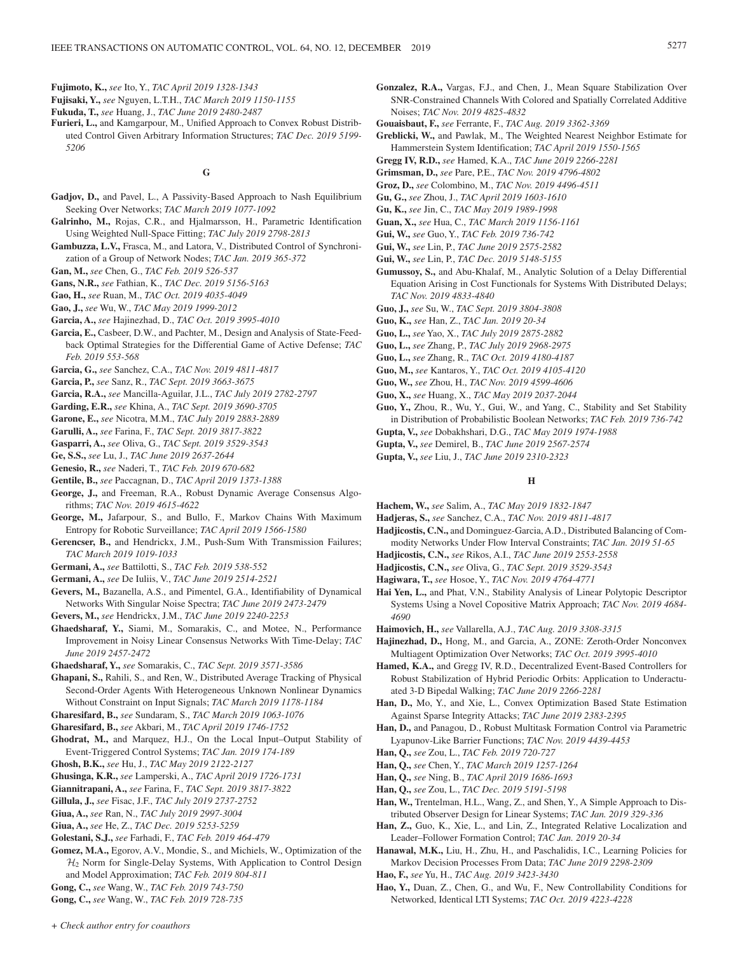**Fujimoto, K.,** *see* Ito, Y., *TAC April 2019 1328-1343*

- **Fujisaki, Y.,** *see* Nguyen, L.T.H., *TAC March 2019 1150-1155*
- **Fukuda, T.,** *see* Huang, J., *TAC June 2019 2480-2487*
- **Furieri, L.,** and Kamgarpour, M., Unified Approach to Convex Robust Distributed Control Given Arbitrary Information Structures; *TAC Dec. 2019 5199- 5206*

### **G**

- **Gadjov, D.,** and Pavel, L., A Passivity-Based Approach to Nash Equilibrium Seeking Over Networks; *TAC March 2019 1077-1092*
- **Galrinho, M.,** Rojas, C.R., and Hjalmarsson, H., Parametric Identification Using Weighted Null-Space Fitting; *TAC July 2019 2798-2813*
- **Gambuzza, L.V.,** Frasca, M., and Latora, V., Distributed Control of Synchronization of a Group of Network Nodes; *TAC Jan. 2019 365-372*
- **Gan, M.,** *see* Chen, G., *TAC Feb. 2019 526-537*
- **Gans, N.R.,** *see* Fathian, K., *TAC Dec. 2019 5156-5163*
- **Gao, H.,** *see* Ruan, M., *TAC Oct. 2019 4035-4049*
- **Gao, J.,** *see* Wu, W., *TAC May 2019 1999-2012*
- **Garcia, A.,** *see* Hajinezhad, D., *TAC Oct. 2019 3995-4010*
- **Garcia, E.,** Casbeer, D.W., and Pachter, M., Design and Analysis of State-Feedback Optimal Strategies for the Differential Game of Active Defense; *TAC Feb. 2019 553-568*
- **Garcia, G.,** *see* Sanchez, C.A., *TAC Nov. 2019 4811-4817*
- **Garcia, P.,** *see* Sanz, R., *TAC Sept. 2019 3663-3675*
- **Garcia, R.A.,** *see* Mancilla-Aguilar, J.L., *TAC July 2019 2782-2797*
- **Garding, E.R.,** *see* Khina, A., *TAC Sept. 2019 3690-3705*

**Garone, E.,** *see* Nicotra, M.M., *TAC July 2019 2883-2889*

**Garulli, A.,** *see* Farina, F., *TAC Sept. 2019 3817-3822*

**Gasparri, A.,** *see* Oliva, G., *TAC Sept. 2019 3529-3543*

**Ge, S.S.,** *see* Lu, J., *TAC June 2019 2637-2644*

- **Genesio, R.,** *see* Naderi, T., *TAC Feb. 2019 670-682*
- **Gentile, B.,** *see* Paccagnan, D., *TAC April 2019 1373-1388*
- **George, J.,** and Freeman, R.A., Robust Dynamic Average Consensus Algorithms; *TAC Nov. 2019 4615-4622*
- **George, M.,** Jafarpour, S., and Bullo, F., Markov Chains With Maximum Entropy for Robotic Surveillance; *TAC April 2019 1566-1580*
- **Gerencser, B.,** and Hendrickx, J.M., Push-Sum With Transmission Failures; *TAC March 2019 1019-1033*
- **Germani, A.,** *see* Battilotti, S., *TAC Feb. 2019 538-552*

**Germani, A.,** *see* De Iuliis, V., *TAC June 2019 2514-2521*

- **Gevers, M.,** Bazanella, A.S., and Pimentel, G.A., Identifiability of Dynamical Networks With Singular Noise Spectra; *TAC June 2019 2473-2479*
- **Gevers, M.,** *see* Hendrickx, J.M., *TAC June 2019 2240-2253*
- **Ghaedsharaf, Y.,** Siami, M., Somarakis, C., and Motee, N., Performance Improvement in Noisy Linear Consensus Networks With Time-Delay; *TAC June 2019 2457-2472*
- **Ghaedsharaf, Y.,** *see* Somarakis, C., *TAC Sept. 2019 3571-3586*
- **Ghapani, S.,** Rahili, S., and Ren, W., Distributed Average Tracking of Physical Second-Order Agents With Heterogeneous Unknown Nonlinear Dynamics Without Constraint on Input Signals; *TAC March 2019 1178-1184*
- **Gharesifard, B.,** *see* Sundaram, S., *TAC March 2019 1063-1076*
- **Gharesifard, B.,** *see* Akbari, M., *TAC April 2019 1746-1752*
- **Ghodrat, M.,** and Marquez, H.J., On the Local Input–Output Stability of Event-Triggered Control Systems; *TAC Jan. 2019 174-189*
- **Ghosh, B.K.,** *see* Hu, J., *TAC May 2019 2122-2127*
- **Ghusinga, K.R.,** *see* Lamperski, A., *TAC April 2019 1726-1731*
- **Giannitrapani, A.,** *see* Farina, F., *TAC Sept. 2019 3817-3822*
- **Gillula, J.,** *see* Fisac, J.F., *TAC July 2019 2737-2752*
- **Giua, A.,** *see* Ran, N., *TAC July 2019 2997-3004*
- **Giua, A.,** *see* He, Z., *TAC Dec. 2019 5253-5259*
- **Golestani, S.J.,** *see* Farhadi, F., *TAC Feb. 2019 464-479*
- **Gomez, M.A.,** Egorov, A.V., Mondie, S., and Michiels, W., Optimization of the  $H<sub>2</sub>$  Norm for Single-Delay Systems, With Application to Control Design and Model Approximation; *TAC Feb. 2019 804-811*
- **Gong, C.,** *see* Wang, W., *TAC Feb. 2019 743-750*
- **Gong, C.,** *see* Wang, W., *TAC Feb. 2019 728-735*
- **Gonzalez, R.A.,** Vargas, F.J., and Chen, J., Mean Square Stabilization Over SNR-Constrained Channels With Colored and Spatially Correlated Additive Noises; *TAC Nov. 2019 4825-4832*
- **Gouaisbaut, F.,** *see* Ferrante, F., *TAC Aug. 2019 3362-3369*
- **Greblicki, W.,** and Pawlak, M., The Weighted Nearest Neighbor Estimate for Hammerstein System Identification; *TAC April 2019 1550-1565*
- **Gregg IV, R.D.,** *see* Hamed, K.A., *TAC June 2019 2266-2281*
- **Grimsman, D.,** *see* Pare, P.E., *TAC Nov. 2019 4796-4802*
- **Groz, D.,** *see* Colombino, M., *TAC Nov. 2019 4496-4511*
- **Gu, G.,** *see* Zhou, J., *TAC April 2019 1603-1610*
- **Gu, K.,** *see* Jin, C., *TAC May 2019 1989-1998*
- **Guan, X.,** *see* Hua, C., *TAC March 2019 1156-1161*
- **Gui, W.,** *see* Guo, Y., *TAC Feb. 2019 736-742*
- **Gui, W.,** *see* Lin, P., *TAC June 2019 2575-2582*
- **Gui, W.,** *see* Lin, P., *TAC Dec. 2019 5148-5155*
- **Gumussoy, S.,** and Abu-Khalaf, M., Analytic Solution of a Delay Differential Equation Arising in Cost Functionals for Systems With Distributed Delays; *TAC Nov. 2019 4833-4840*
- **Guo, J.,** *see* Su, W., *TAC Sept. 2019 3804-3808*
- **Guo, K.,** *see* Han, Z., *TAC Jan. 2019 20-34*
- **Guo, L.,** *see* Yao, X., *TAC July 2019 2875-2882*
- **Guo, L.,** *see* Zhang, P., *TAC July 2019 2968-2975*
- **Guo, L.,** *see* Zhang, R., *TAC Oct. 2019 4180-4187*
- **Guo, M.,** *see* Kantaros, Y., *TAC Oct. 2019 4105-4120*
- **Guo, W.,** *see* Zhou, H., *TAC Nov. 2019 4599-4606*
- **Guo, X.,** *see* Huang, X., *TAC May 2019 2037-2044*
- **Guo, Y.,** Zhou, R., Wu, Y., Gui, W., and Yang, C., Stability and Set Stability in Distribution of Probabilistic Boolean Networks; *TAC Feb. 2019 736-742*
- **Gupta, V.,** *see* Dobakhshari, D.G., *TAC May 2019 1974-1988*
- **Gupta, V.,** *see* Demirel, B., *TAC June 2019 2567-2574*
- **Gupta, V.,** *see* Liu, J., *TAC June 2019 2310-2323*
- 

## **H**

- **Hachem, W.,** *see* Salim, A., *TAC May 2019 1832-1847*
- **Hadjeras, S.,** *see* Sanchez, C.A., *TAC Nov. 2019 4811-4817*
- **Hadjicostis, C.N.,** and Dominguez-Garcia, A.D., Distributed Balancing of Commodity Networks Under Flow Interval Constraints; *TAC Jan. 2019 51-65*
- **Hadjicostis, C.N.,** *see* Rikos, A.I., *TAC June 2019 2553-2558*
- **Hadjicostis, C.N.,** *see* Oliva, G., *TAC Sept. 2019 3529-3543*
- **Hagiwara, T.,** *see* Hosoe, Y., *TAC Nov. 2019 4764-4771*
- **Hai Yen, L.,** and Phat, V.N., Stability Analysis of Linear Polytopic Descriptor Systems Using a Novel Copositive Matrix Approach; *TAC Nov. 2019 4684- 4690*
- **Haimovich, H.,** *see* Vallarella, A.J., *TAC Aug. 2019 3308-3315*
- **Hajinezhad, D.,** Hong, M., and Garcia, A., ZONE: Zeroth-Order Nonconvex Multiagent Optimization Over Networks; *TAC Oct. 2019 3995-4010*
- **Hamed, K.A.,** and Gregg IV, R.D., Decentralized Event-Based Controllers for Robust Stabilization of Hybrid Periodic Orbits: Application to Underactuated 3-D Bipedal Walking; *TAC June 2019 2266-2281*
- **Han, D.,** Mo, Y., and Xie, L., Convex Optimization Based State Estimation Against Sparse Integrity Attacks; *TAC June 2019 2383-2395*
- **Han, D.,** and Panagou, D., Robust Multitask Formation Control via Parametric Lyapunov-Like Barrier Functions; *TAC Nov. 2019 4439-4453*
- **Han, Q.,** *see* Zou, L., *TAC Feb. 2019 720-727*
- **Han, Q.,** *see* Chen, Y., *TAC March 2019 1257-1264*
- **Han, Q.,** *see* Ning, B., *TAC April 2019 1686-1693*
- **Han, Q.,** *see* Zou, L., *TAC Dec. 2019 5191-5198*
- **Han, W.,** Trentelman, H.L., Wang, Z., and Shen, Y., A Simple Approach to Distributed Observer Design for Linear Systems; *TAC Jan. 2019 329-336*
- **Han, Z.,** Guo, K., Xie, L., and Lin, Z., Integrated Relative Localization and Leader–Follower Formation Control; *TAC Jan. 2019 20-34*
- **Hanawal, M.K.,** Liu, H., Zhu, H., and Paschalidis, I.C., Learning Policies for Markov Decision Processes From Data; *TAC June 2019 2298-2309*
- **Hao, F.,** *see* Yu, H., *TAC Aug. 2019 3423-3430*
- **Hao, Y.,** Duan, Z., Chen, G., and Wu, F., New Controllability Conditions for Networked, Identical LTI Systems; *TAC Oct. 2019 4223-4228*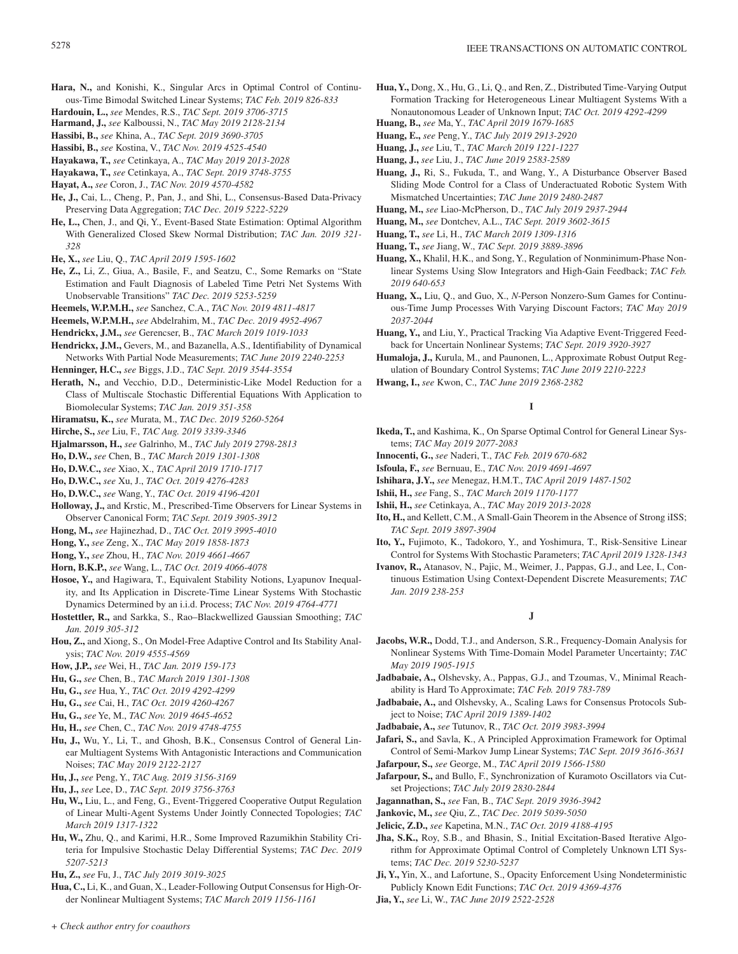- Hara, N., and Konishi, K., Singular Arcs in Optimal Control of Continuous-Time Bimodal Switched Linear Systems; *TAC Feb. 2019 826-833*
- **Hardouin, L.,** *see* Mendes, R.S., *TAC Sept. 2019 3706-3715*
- **Harmand, J.,** *see* Kalboussi, N., *TAC May 2019 2128-2134*
- **Hassibi, B.,** *see* Khina, A., *TAC Sept. 2019 3690-3705*
- **Hassibi, B.,** *see* Kostina, V., *TAC Nov. 2019 4525-4540*
- **Hayakawa, T.,** *see* Cetinkaya, A., *TAC May 2019 2013-2028*
- **Hayakawa, T.,** *see* Cetinkaya, A., *TAC Sept. 2019 3748-3755*
- **Hayat, A.,** *see* Coron, J., *TAC Nov. 2019 4570-4582*
- **He, J.,** Cai, L., Cheng, P., Pan, J., and Shi, L., Consensus-Based Data-Privacy Preserving Data Aggregation; *TAC Dec. 2019 5222-5229*
- **He, L.,** Chen, J., and Qi, Y., Event-Based State Estimation: Optimal Algorithm With Generalized Closed Skew Normal Distribution; *TAC Jan. 2019 321- 328*
- **He, X.,** *see* Liu, Q., *TAC April 2019 1595-1602*
- **He, Z.,** Li, Z., Giua, A., Basile, F., and Seatzu, C., Some Remarks on "State Estimation and Fault Diagnosis of Labeled Time Petri Net Systems With Unobservable Transitions" *TAC Dec. 2019 5253-5259*
- **Heemels, W.P.M.H.,** *see* Sanchez, C.A., *TAC Nov. 2019 4811-4817*
- **Heemels, W.P.M.H.,** *see* Abdelrahim, M., *TAC Dec. 2019 4952-4967*
- **Hendrickx, J.M.,** *see* Gerencser, B., *TAC March 2019 1019-1033*
- **Hendrickx, J.M.,** Gevers, M., and Bazanella, A.S., Identifiability of Dynamical Networks With Partial Node Measurements; *TAC June 2019 2240-2253*
- **Henninger, H.C.,** *see* Biggs, J.D., *TAC Sept. 2019 3544-3554*
- **Herath, N.,** and Vecchio, D.D., Deterministic-Like Model Reduction for a Class of Multiscale Stochastic Differential Equations With Application to Biomolecular Systems; *TAC Jan. 2019 351-358*
- **Hiramatsu, K.,** *see* Murata, M., *TAC Dec. 2019 5260-5264*
- **Hirche, S.,** *see* Liu, F., *TAC Aug. 2019 3339-3346*
- **Hjalmarsson, H.,** *see* Galrinho, M., *TAC July 2019 2798-2813*
- **Ho, D.W.,** *see* Chen, B., *TAC March 2019 1301-1308*
- **Ho, D.W.C.,** *see* Xiao, X., *TAC April 2019 1710-1717*
- **Ho, D.W.C.,** *see* Xu, J., *TAC Oct. 2019 4276-4283*
- **Ho, D.W.C.,** *see* Wang, Y., *TAC Oct. 2019 4196-4201*
- **Holloway, J.,** and Krstic, M., Prescribed-Time Observers for Linear Systems in Observer Canonical Form; *TAC Sept. 2019 3905-3912*
- **Hong, M.,** *see* Hajinezhad, D., *TAC Oct. 2019 3995-4010*
- **Hong, Y.,** *see* Zeng, X., *TAC May 2019 1858-1873*
- **Hong, Y.,** *see* Zhou, H., *TAC Nov. 2019 4661-4667*
- **Horn, B.K.P.,** *see* Wang, L., *TAC Oct. 2019 4066-4078*
- **Hosoe, Y.,** and Hagiwara, T., Equivalent Stability Notions, Lyapunov Inequality, and Its Application in Discrete-Time Linear Systems With Stochastic Dynamics Determined by an i.i.d. Process; *TAC Nov. 2019 4764-4771*
- **Hostettler, R.,** and Sarkka, S., Rao–Blackwellized Gaussian Smoothing; *TAC Jan. 2019 305-312*
- **Hou, Z.,** and Xiong, S., On Model-Free Adaptive Control and Its Stability Analysis; *TAC Nov. 2019 4555-4569*
- **How, J.P.,** *see* Wei, H., *TAC Jan. 2019 159-173*
- **Hu, G.,** *see* Chen, B., *TAC March 2019 1301-1308*
- **Hu, G.,** *see* Hua, Y., *TAC Oct. 2019 4292-4299*
- **Hu, G.,** *see* Cai, H., *TAC Oct. 2019 4260-4267*
- **Hu, G.,** *see* Ye, M., *TAC Nov. 2019 4645-4652*
- **Hu, H.,** *see* Chen, C., *TAC Nov. 2019 4748-4755*
- **Hu, J.,** Wu, Y., Li, T., and Ghosh, B.K., Consensus Control of General Linear Multiagent Systems With Antagonistic Interactions and Communication Noises; *TAC May 2019 2122-2127*
- **Hu, J.,** *see* Peng, Y., *TAC Aug. 2019 3156-3169*
- **Hu, J.,** *see* Lee, D., *TAC Sept. 2019 3756-3763*
- **Hu, W.,** Liu, L., and Feng, G., Event-Triggered Cooperative Output Regulation of Linear Multi-Agent Systems Under Jointly Connected Topologies; *TAC March 2019 1317-1322*
- **Hu, W.,** Zhu, Q., and Karimi, H.R., Some Improved Razumikhin Stability Criteria for Impulsive Stochastic Delay Differential Systems; *TAC Dec. 2019 5207-5213*
- **Hu, Z.,** *see* Fu, J., *TAC July 2019 3019-3025*
- **Hua, C.,** Li, K., and Guan, X., Leader-Following Output Consensus for High-Order Nonlinear Multiagent Systems; *TAC March 2019 1156-1161*
- **Hua, Y.,** Dong, X., Hu, G., Li, Q., and Ren, Z., Distributed Time-Varying Output Formation Tracking for Heterogeneous Linear Multiagent Systems With a Nonautonomous Leader of Unknown Input; *TAC Oct. 2019 4292-4299*
- **Huang, B.,** *see* Ma, Y., *TAC April 2019 1679-1685*
- **Huang, E.,** *see* Peng, Y., *TAC July 2019 2913-2920*
- **Huang, J.,** *see* Liu, T., *TAC March 2019 1221-1227*
- **Huang, J.,** *see* Liu, J., *TAC June 2019 2583-2589*
- **Huang, J.,** Ri, S., Fukuda, T., and Wang, Y., A Disturbance Observer Based Sliding Mode Control for a Class of Underactuated Robotic System With Mismatched Uncertainties; *TAC June 2019 2480-2487*
- **Huang, M.,** *see* Liao-McPherson, D., *TAC July 2019 2937-2944*
- **Huang, M.,** *see* Dontchev, A.L., *TAC Sept. 2019 3602-3615*
- **Huang, T.,** *see* Li, H., *TAC March 2019 1309-1316*
- **Huang, T.,** *see* Jiang, W., *TAC Sept. 2019 3889-3896*
- **Huang, X.,** Khalil, H.K., and Song, Y., Regulation of Nonminimum-Phase Nonlinear Systems Using Slow Integrators and High-Gain Feedback; *TAC Feb. 2019 640-653*
- **Huang, X.,** Liu, Q., and Guo, X., *N*-Person Nonzero-Sum Games for Continuous-Time Jump Processes With Varying Discount Factors; *TAC May 2019 2037-2044*
- **Huang, Y.,** and Liu, Y., Practical Tracking Via Adaptive Event-Triggered Feedback for Uncertain Nonlinear Systems; *TAC Sept. 2019 3920-3927*
- **Humaloja, J.,** Kurula, M., and Paunonen, L., Approximate Robust Output Regulation of Boundary Control Systems; *TAC June 2019 2210-2223*
- **Hwang, I.,** *see* Kwon, C., *TAC June 2019 2368-2382*

### **I**

- **Ikeda, T.,** and Kashima, K., On Sparse Optimal Control for General Linear Systems; *TAC May 2019 2077-2083*
- **Innocenti, G.,** *see* Naderi, T., *TAC Feb. 2019 670-682*
- **Isfoula, F.,** *see* Bernuau, E., *TAC Nov. 2019 4691-4697*
- **Ishihara, J.Y.,** *see* Menegaz, H.M.T., *TAC April 2019 1487-1502*
- **Ishii, H.,** *see* Fang, S., *TAC March 2019 1170-1177*
- **Ishii, H.,** *see* Cetinkaya, A., *TAC May 2019 2013-2028*
- **Ito, H.,** and Kellett, C.M., A Small-Gain Theorem in the Absence of Strong iISS; *TAC Sept. 2019 3897-3904*
- **Ito, Y.,** Fujimoto, K., Tadokoro, Y., and Yoshimura, T., Risk-Sensitive Linear Control for Systems With Stochastic Parameters; *TAC April 2019 1328-1343*
- **Ivanov, R.,** Atanasov, N., Pajic, M., Weimer, J., Pappas, G.J., and Lee, I., Continuous Estimation Using Context-Dependent Discrete Measurements; *TAC Jan. 2019 238-253*

### **J**

- **Jacobs, W.R.,** Dodd, T.J., and Anderson, S.R., Frequency-Domain Analysis for Nonlinear Systems With Time-Domain Model Parameter Uncertainty; *TAC May 2019 1905-1915*
- **Jadbabaie, A.,** Olshevsky, A., Pappas, G.J., and Tzoumas, V., Minimal Reachability is Hard To Approximate; *TAC Feb. 2019 783-789*
- **Jadbabaie, A.,** and Olshevsky, A., Scaling Laws for Consensus Protocols Subject to Noise; *TAC April 2019 1389-1402*
- **Jadbabaie, A.,** *see* Tutunov, R., *TAC Oct. 2019 3983-3994*

**Jafari, S.,** and Savla, K., A Principled Approximation Framework for Optimal Control of Semi-Markov Jump Linear Systems; *TAC Sept. 2019 3616-3631*

- **Jafarpour, S.,** *see* George, M., *TAC April 2019 1566-1580*
- **Jafarpour, S.,** and Bullo, F., Synchronization of Kuramoto Oscillators via Cutset Projections; *TAC July 2019 2830-2844*
- **Jagannathan, S.,** *see* Fan, B., *TAC Sept. 2019 3936-3942*
- **Jankovic, M.,** *see* Qiu, Z., *TAC Dec. 2019 5039-5050*
- **Jelicic, Z.D.,** *see* Kapetina, M.N., *TAC Oct. 2019 4188-4195*
- **Jha, S.K.,** Roy, S.B., and Bhasin, S., Initial Excitation-Based Iterative Algorithm for Approximate Optimal Control of Completely Unknown LTI Systems; *TAC Dec. 2019 5230-5237*
- **Ji, Y.,** Yin, X., and Lafortune, S., Opacity Enforcement Using Nondeterministic Publicly Known Edit Functions; *TAC Oct. 2019 4369-4376*
- **Jia, Y.,** *see* Li, W., *TAC June 2019 2522-2528*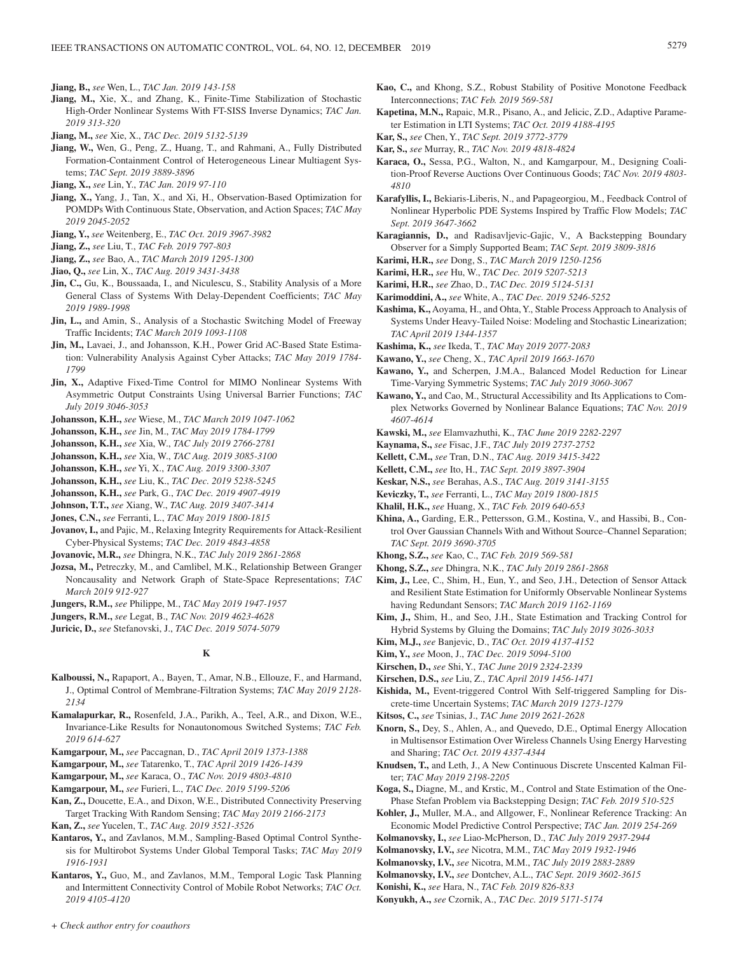**Jiang, B.,** *see* Wen, L., *TAC Jan. 2019 143-158*

- **Jiang, M.,** Xie, X., and Zhang, K., Finite-Time Stabilization of Stochastic High-Order Nonlinear Systems With FT-SISS Inverse Dynamics; *TAC Jan. 2019 313-320*
- **Jiang, M.,** *see* Xie, X., *TAC Dec. 2019 5132-5139*
- **Jiang, W.,** Wen, G., Peng, Z., Huang, T., and Rahmani, A., Fully Distributed Formation-Containment Control of Heterogeneous Linear Multiagent Systems; *TAC Sept. 2019 3889-3896*
- **Jiang, X.,** *see* Lin, Y., *TAC Jan. 2019 97-110*
- **Jiang, X.,** Yang, J., Tan, X., and Xi, H., Observation-Based Optimization for POMDPs With Continuous State, Observation, and Action Spaces; *TAC May 2019 2045-2052*
- **Jiang, Y.,** *see* Weitenberg, E., *TAC Oct. 2019 3967-3982*
- **Jiang, Z.,** *see* Liu, T., *TAC Feb. 2019 797-803*
- **Jiang, Z.,** *see* Bao, A., *TAC March 2019 1295-1300*
- **Jiao, Q.,** *see* Lin, X., *TAC Aug. 2019 3431-3438*
- Jin, C., Gu, K., Boussaada, I., and Niculescu, S., Stability Analysis of a More General Class of Systems With Delay-Dependent Coefficients; *TAC May 2019 1989-1998*
- **Jin, L.,** and Amin, S., Analysis of a Stochastic Switching Model of Freeway Traffic Incidents; *TAC March 2019 1093-1108*
- **Jin, M.,** Lavaei, J., and Johansson, K.H., Power Grid AC-Based State Estimation: Vulnerability Analysis Against Cyber Attacks; *TAC May 2019 1784- 1799*
- **Jin, X.,** Adaptive Fixed-Time Control for MIMO Nonlinear Systems With Asymmetric Output Constraints Using Universal Barrier Functions; *TAC July 2019 3046-3053*
- **Johansson, K.H.,** *see* Wiese, M., *TAC March 2019 1047-1062*
- **Johansson, K.H.,** *see* Jin, M., *TAC May 2019 1784-1799*
- **Johansson, K.H.,** *see* Xia, W., *TAC July 2019 2766-2781*
- **Johansson, K.H.,** *see* Xia, W., *TAC Aug. 2019 3085-3100*
- **Johansson, K.H.,** *see* Yi, X., *TAC Aug. 2019 3300-3307*
- **Johansson, K.H.,** *see* Liu, K., *TAC Dec. 2019 5238-5245*
- **Johansson, K.H.,** *see* Park, G., *TAC Dec. 2019 4907-4919*
- **Johnson, T.T.,** *see* Xiang, W., *TAC Aug. 2019 3407-3414*
- **Jones, C.N.,** *see* Ferranti, L., *TAC May 2019 1800-1815*
- **Jovanov, I.,** and Pajic, M., Relaxing Integrity Requirements for Attack-Resilient Cyber-Physical Systems; *TAC Dec. 2019 4843-4858*
- **Jovanovic, M.R.,** *see* Dhingra, N.K., *TAC July 2019 2861-2868*
- **Jozsa, M.,** Petreczky, M., and Camlibel, M.K., Relationship Between Granger Noncausality and Network Graph of State-Space Representations; *TAC March 2019 912-927*
- **Jungers, R.M.,** *see* Philippe, M., *TAC May 2019 1947-1957*
- **Jungers, R.M.,** *see* Legat, B., *TAC Nov. 2019 4623-4628*
- **Juricic, D.,** *see* Stefanovski, J., *TAC Dec. 2019 5074-5079*

### **K**

- **Kalboussi, N.,** Rapaport, A., Bayen, T., Amar, N.B., Ellouze, F., and Harmand, J., Optimal Control of Membrane-Filtration Systems; *TAC May 2019 2128- 2134*
- **Kamalapurkar, R.,** Rosenfeld, J.A., Parikh, A., Teel, A.R., and Dixon, W.E., Invariance-Like Results for Nonautonomous Switched Systems; *TAC Feb. 2019 614-627*
- **Kamgarpour, M.,** *see* Paccagnan, D., *TAC April 2019 1373-1388*
- **Kamgarpour, M.,** *see* Tatarenko, T., *TAC April 2019 1426-1439*
- **Kamgarpour, M.,** *see* Karaca, O., *TAC Nov. 2019 4803-4810*
- **Kamgarpour, M.,** *see* Furieri, L., *TAC Dec. 2019 5199-5206*
- **Kan, Z.,** Doucette, E.A., and Dixon, W.E., Distributed Connectivity Preserving Target Tracking With Random Sensing; *TAC May 2019 2166-2173*
- **Kan, Z.,** *see* Yucelen, T., *TAC Aug. 2019 3521-3526*
- **Kantaros, Y.,** and Zavlanos, M.M., Sampling-Based Optimal Control Synthesis for Multirobot Systems Under Global Temporal Tasks; *TAC May 2019 1916-1931*
- **Kantaros, Y.,** Guo, M., and Zavlanos, M.M., Temporal Logic Task Planning and Intermittent Connectivity Control of Mobile Robot Networks; *TAC Oct. 2019 4105-4120*
- **Kao, C.,** and Khong, S.Z., Robust Stability of Positive Monotone Feedback Interconnections; *TAC Feb. 2019 569-581*
- **Kapetina, M.N.,** Rapaic, M.R., Pisano, A., and Jelicic, Z.D., Adaptive Parameter Estimation in LTI Systems; *TAC Oct. 2019 4188-4195*
- **Kar, S.,** *see* Chen, Y., *TAC Sept. 2019 3772-3779*
- **Kar, S.,** *see* Murray, R., *TAC Nov. 2019 4818-4824*
- **Karaca, O.,** Sessa, P.G., Walton, N., and Kamgarpour, M., Designing Coalition-Proof Reverse Auctions Over Continuous Goods; *TAC Nov. 2019 4803- 4810*
- **Karafyllis, I.,** Bekiaris-Liberis, N., and Papageorgiou, M., Feedback Control of Nonlinear Hyperbolic PDE Systems Inspired by Traffic Flow Models; *TAC Sept. 2019 3647-3662*
- **Karagiannis, D.,** and Radisavljevic-Gajic, V., A Backstepping Boundary Observer for a Simply Supported Beam; *TAC Sept. 2019 3809-3816*
- **Karimi, H.R.,** *see* Dong, S., *TAC March 2019 1250-1256*
- **Karimi, H.R.,** *see* Hu, W., *TAC Dec. 2019 5207-5213*
- **Karimi, H.R.,** *see* Zhao, D., *TAC Dec. 2019 5124-5131*
- **Karimoddini, A.,** *see* White, A., *TAC Dec. 2019 5246-5252*
- **Kashima, K.,** Aoyama, H., and Ohta, Y., Stable Process Approach to Analysis of Systems Under Heavy-Tailed Noise: Modeling and Stochastic Linearization; *TAC April 2019 1344-1357*
- **Kashima, K.,** *see* Ikeda, T., *TAC May 2019 2077-2083*
- **Kawano, Y.,** *see* Cheng, X., *TAC April 2019 1663-1670*
- **Kawano, Y.,** and Scherpen, J.M.A., Balanced Model Reduction for Linear Time-Varying Symmetric Systems; *TAC July 2019 3060-3067*
- **Kawano, Y.,** and Cao, M., Structural Accessibility and Its Applications to Complex Networks Governed by Nonlinear Balance Equations; *TAC Nov. 2019 4607-4614*
- **Kawski, M.,** *see* Elamvazhuthi, K., *TAC June 2019 2282-2297*
- **Kaynama, S.,** *see* Fisac, J.F., *TAC July 2019 2737-2752*
- **Kellett, C.M.,** *see* Tran, D.N., *TAC Aug. 2019 3415-3422*
- **Kellett, C.M.,** *see* Ito, H., *TAC Sept. 2019 3897-3904*
- **Keskar, N.S.,** *see* Berahas, A.S., *TAC Aug. 2019 3141-3155*
- **Keviczky, T.,** *see* Ferranti, L., *TAC May 2019 1800-1815*
- **Khalil, H.K.,** *see* Huang, X., *TAC Feb. 2019 640-653*
- **Khina, A.,** Garding, E.R., Pettersson, G.M., Kostina, V., and Hassibi, B., Control Over Gaussian Channels With and Without Source–Channel Separation; *TAC Sept. 2019 3690-3705*
- **Khong, S.Z.,** *see* Kao, C., *TAC Feb. 2019 569-581*
- **Khong, S.Z.,** *see* Dhingra, N.K., *TAC July 2019 2861-2868*
- **Kim, J.,** Lee, C., Shim, H., Eun, Y., and Seo, J.H., Detection of Sensor Attack and Resilient State Estimation for Uniformly Observable Nonlinear Systems having Redundant Sensors; *TAC March 2019 1162-1169*
- **Kim, J.,** Shim, H., and Seo, J.H., State Estimation and Tracking Control for Hybrid Systems by Gluing the Domains; *TAC July 2019 3026-3033*
- **Kim, M.J.,** *see* Banjevic, D., *TAC Oct. 2019 4137-4152*
- **Kim, Y.,** *see* Moon, J., *TAC Dec. 2019 5094-5100*
- **Kirschen, D.,** *see* Shi, Y., *TAC June 2019 2324-2339*
- **Kirschen, D.S.,** *see* Liu, Z., *TAC April 2019 1456-1471*
- **Kishida, M.,** Event-triggered Control With Self-triggered Sampling for Discrete-time Uncertain Systems; *TAC March 2019 1273-1279*
- **Kitsos, C.,** *see* Tsinias, J., *TAC June 2019 2621-2628*
- **Knorn, S.,** Dey, S., Ahlen, A., and Quevedo, D.E., Optimal Energy Allocation in Multisensor Estimation Over Wireless Channels Using Energy Harvesting and Sharing; *TAC Oct. 2019 4337-4344*
- **Knudsen, T.,** and Leth, J., A New Continuous Discrete Unscented Kalman Filter; *TAC May 2019 2198-2205*
- **Koga, S.,** Diagne, M., and Krstic, M., Control and State Estimation of the One-Phase Stefan Problem via Backstepping Design; *TAC Feb. 2019 510-525*
- **Kohler, J.,** Muller, M.A., and Allgower, F., Nonlinear Reference Tracking: An Economic Model Predictive Control Perspective; *TAC Jan. 2019 254-269*
- **Kolmanovsky, I.,** *see* Liao-McPherson, D., *TAC July 2019 2937-2944*
- **Kolmanovsky, I.V.,** *see* Nicotra, M.M., *TAC May 2019 1932-1946*
- **Kolmanovsky, I.V.,** *see* Nicotra, M.M., *TAC July 2019 2883-2889*
- **Kolmanovsky, I.V.,** *see* Dontchev, A.L., *TAC Sept. 2019 3602-3615*
- **Konishi, K.,** *see* Hara, N., *TAC Feb. 2019 826-833*
- **Konyukh, A.,** *see* Czornik, A., *TAC Dec. 2019 5171-5174*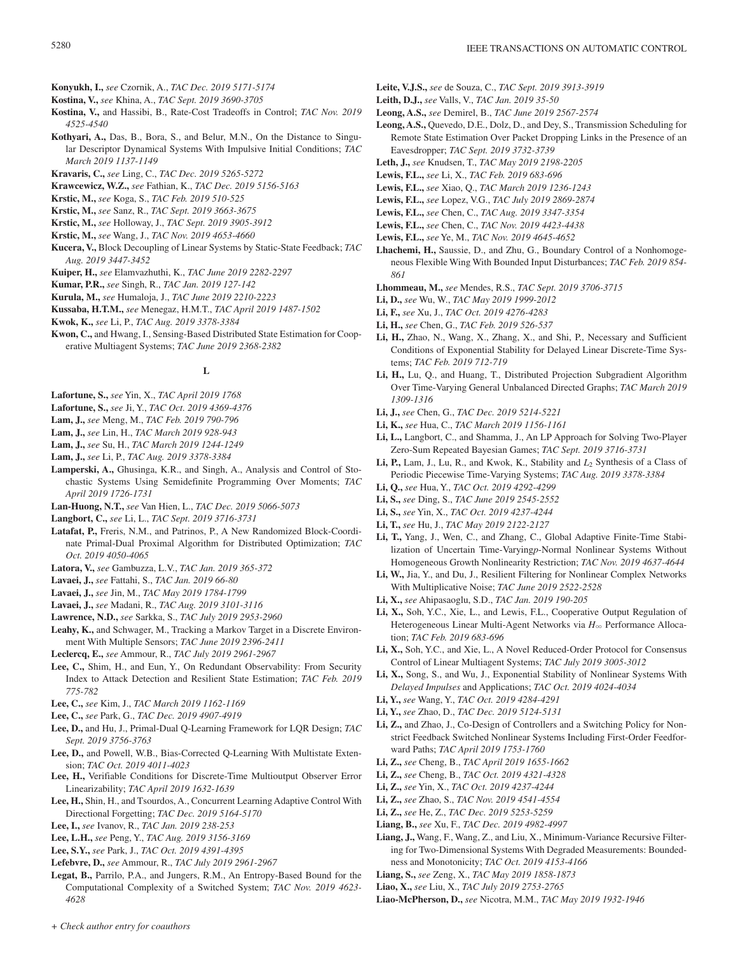- **Konyukh, I.,** *see* Czornik, A., *TAC Dec. 2019 5171-5174*
- **Kostina, V.,** *see* Khina, A., *TAC Sept. 2019 3690-3705* **Kostina, V.,** and Hassibi, B., Rate-Cost Tradeoffs in Control; *TAC Nov. 2019*
- *4525-4540* **Kothyari, A.,** Das, B., Bora, S., and Belur, M.N., On the Distance to Singu-
- lar Descriptor Dynamical Systems With Impulsive Initial Conditions; *TAC March 2019 1137-1149*
- **Kravaris, C.,** *see* Ling, C., *TAC Dec. 2019 5265-5272*
- **Krawcewicz, W.Z.,** *see* Fathian, K., *TAC Dec. 2019 5156-5163*
- **Krstic, M.,** *see* Koga, S., *TAC Feb. 2019 510-525*
- **Krstic, M.,** *see* Sanz, R., *TAC Sept. 2019 3663-3675*
- **Krstic, M.,** *see* Holloway, J., *TAC Sept. 2019 3905-3912*
- **Krstic, M.,** *see* Wang, J., *TAC Nov. 2019 4653-4660*
- **Kucera, V.,** Block Decoupling of Linear Systems by Static-State Feedback; *TAC Aug. 2019 3447-3452*
- **Kuiper, H.,** *see* Elamvazhuthi, K., *TAC June 2019 2282-2297*
- **Kumar, P.R.,** *see* Singh, R., *TAC Jan. 2019 127-142*
- **Kurula, M.,** *see* Humaloja, J., *TAC June 2019 2210-2223*
- **Kussaba, H.T.M.,** *see* Menegaz, H.M.T., *TAC April 2019 1487-1502*
- **Kwok, K.,** *see* Li, P., *TAC Aug. 2019 3378-3384*
- **Kwon, C.,** and Hwang, I., Sensing-Based Distributed State Estimation for Cooperative Multiagent Systems; *TAC June 2019 2368-2382*

### **L**

- **Lafortune, S.,** *see* Yin, X., *TAC April 2019 1768*
- **Lafortune, S.,** *see* Ji, Y., *TAC Oct. 2019 4369-4376*
- **Lam, J.,** *see* Meng, M., *TAC Feb. 2019 790-796*
- **Lam, J.,** *see* Lin, H., *TAC March 2019 928-943*
- **Lam, J.,** *see* Su, H., *TAC March 2019 1244-1249*
- **Lam, J.,** *see* Li, P., *TAC Aug. 2019 3378-3384*
- **Lamperski, A.,** Ghusinga, K.R., and Singh, A., Analysis and Control of Stochastic Systems Using Semidefinite Programming Over Moments; *TAC April 2019 1726-1731*
- **Lan-Huong, N.T.,** *see* Van Hien, L., *TAC Dec. 2019 5066-5073*
- **Langbort, C.,** *see* Li, L., *TAC Sept. 2019 3716-3731*
- **Latafat, P.,** Freris, N.M., and Patrinos, P., A New Randomized Block-Coordinate Primal-Dual Proximal Algorithm for Distributed Optimization; *TAC Oct. 2019 4050-4065*
- **Latora, V.,** *see* Gambuzza, L.V., *TAC Jan. 2019 365-372*
- **Lavaei, J.,** *see* Fattahi, S., *TAC Jan. 2019 66-80*
- **Lavaei, J.,** *see* Jin, M., *TAC May 2019 1784-1799*
- **Lavaei, J.,** *see* Madani, R., *TAC Aug. 2019 3101-3116*
- **Lawrence, N.D.,** *see* Sarkka, S., *TAC July 2019 2953-2960*
- **Leahy, K.,** and Schwager, M., Tracking a Markov Target in a Discrete Environment With Multiple Sensors; *TAC June 2019 2396-2411*
- **Leclercq, E.,** *see* Ammour, R., *TAC July 2019 2961-2967*
- **Lee, C.,** Shim, H., and Eun, Y., On Redundant Observability: From Security Index to Attack Detection and Resilient State Estimation; *TAC Feb. 2019 775-782*
- **Lee, C.,** *see* Kim, J., *TAC March 2019 1162-1169*
- **Lee, C.,** *see* Park, G., *TAC Dec. 2019 4907-4919*
- **Lee, D.,** and Hu, J., Primal-Dual Q-Learning Framework for LQR Design; *TAC Sept. 2019 3756-3763*
- **Lee, D.,** and Powell, W.B., Bias-Corrected Q-Learning With Multistate Extension; *TAC Oct. 2019 4011-4023*
- **Lee, H.,** Verifiable Conditions for Discrete-Time Multioutput Observer Error Linearizability; *TAC April 2019 1632-1639*
- **Lee, H.,** Shin, H., and Tsourdos, A., Concurrent Learning Adaptive Control With Directional Forgetting; *TAC Dec. 2019 5164-5170*
- **Lee, I.,** *see* Ivanov, R., *TAC Jan. 2019 238-253*
- **Lee, L.H.,** *see* Peng, Y., *TAC Aug. 2019 3156-3169*
- **Lee, S.Y.,** *see* Park, J., *TAC Oct. 2019 4391-4395*
- **Lefebvre, D.,** *see* Ammour, R., *TAC July 2019 2961-2967*
- **Legat, B.,** Parrilo, P.A., and Jungers, R.M., An Entropy-Based Bound for the Computational Complexity of a Switched System; *TAC Nov. 2019 4623- 4628*
- **Leite, V.J.S.,** *see* de Souza, C., *TAC Sept. 2019 3913-3919*
- **Leith, D.J.,** *see* Valls, V., *TAC Jan. 2019 35-50*
- **Leong, A.S.,** *see* Demirel, B., *TAC June 2019 2567-2574*
- **Leong, A.S.,** Quevedo, D.E., Dolz, D., and Dey, S., Transmission Scheduling for Remote State Estimation Over Packet Dropping Links in the Presence of an Eavesdropper; *TAC Sept. 2019 3732-3739*
- **Leth, J.,** *see* Knudsen, T., *TAC May 2019 2198-2205*
- **Lewis, F.L.,** *see* Li, X., *TAC Feb. 2019 683-696*
- **Lewis, F.L.,** *see* Xiao, Q., *TAC March 2019 1236-1243*
- **Lewis, F.L.,** *see* Lopez, V.G., *TAC July 2019 2869-2874*
- **Lewis, F.L.,** *see* Chen, C., *TAC Aug. 2019 3347-3354*
- **Lewis, F.L.,** *see* Chen, C., *TAC Nov. 2019 4423-4438*
- **Lewis, F.L.,** *see* Ye, M., *TAC Nov. 2019 4645-4652*
- **Lhachemi, H.,** Saussie, D., and Zhu, G., Boundary Control of a Nonhomogeneous Flexible Wing With Bounded Input Disturbances; *TAC Feb. 2019 854- 861*
- **Lhommeau, M.,** *see* Mendes, R.S., *TAC Sept. 2019 3706-3715*
- **Li, D.,** *see* Wu, W., *TAC May 2019 1999-2012*
- **Li, F.,** *see* Xu, J., *TAC Oct. 2019 4276-4283*
- **Li, H.,** *see* Chen, G., *TAC Feb. 2019 526-537*
- **Li, H.,** Zhao, N., Wang, X., Zhang, X., and Shi, P., Necessary and Sufficient Conditions of Exponential Stability for Delayed Linear Discrete-Time Systems; *TAC Feb. 2019 712-719*
- **Li, H.,** Lu, Q., and Huang, T., Distributed Projection Subgradient Algorithm Over Time-Varying General Unbalanced Directed Graphs; *TAC March 2019 1309-1316*
- **Li, J.,** *see* Chen, G., *TAC Dec. 2019 5214-5221*
- **Li, K.,** *see* Hua, C., *TAC March 2019 1156-1161*
- **Li, L.,** Langbort, C., and Shamma, J., An LP Approach for Solving Two-Player Zero-Sum Repeated Bayesian Games; *TAC Sept. 2019 3716-3731*
- **Li, P.,** Lam, J., Lu, R., and Kwok, K., Stability and *L*2 Synthesis of a Class of Periodic Piecewise Time-Varying Systems; *TAC Aug. 2019 3378-3384*
- **Li, Q.,** *see* Hua, Y., *TAC Oct. 2019 4292-4299*
- **Li, S.,** *see* Ding, S., *TAC June 2019 2545-2552*
- **Li, S.,** *see* Yin, X., *TAC Oct. 2019 4237-4244*
- **Li, T.,** *see* Hu, J., *TAC May 2019 2122-2127*
- **Li, T.,** Yang, J., Wen, C., and Zhang, C., Global Adaptive Finite-Time Stabilization of Uncertain Time-Varying*p*-Normal Nonlinear Systems Without Homogeneous Growth Nonlinearity Restriction; *TAC Nov. 2019 4637-4644*
- **Li, W.,** Jia, Y., and Du, J., Resilient Filtering for Nonlinear Complex Networks With Multiplicative Noise; *TAC June 2019 2522-2528*
- **Li, X.,** *see* Ahipasaoglu, S.D., *TAC Jan. 2019 190-205*
- **Li, X.,** Soh, Y.C., Xie, L., and Lewis, F.L., Cooperative Output Regulation of Heterogeneous Linear Multi-Agent Networks via  $H_{\infty}$  Performance Allocation; *TAC Feb. 2019 683-696*
- **Li, X.,** Soh, Y.C., and Xie, L., A Novel Reduced-Order Protocol for Consensus Control of Linear Multiagent Systems; *TAC July 2019 3005-3012*
- **Li, X.,** Song, S., and Wu, J., Exponential Stability of Nonlinear Systems With *Delayed Impulses* and Applications; *TAC Oct. 2019 4024-4034*
- **Li, Y.,** *see* Wang, Y., *TAC Oct. 2019 4284-4291*
- **Li, Y.,** *see* Zhao, D., *TAC Dec. 2019 5124-5131*
- **Li, Z.,** and Zhao, J., Co-Design of Controllers and a Switching Policy for Nonstrict Feedback Switched Nonlinear Systems Including First-Order Feedforward Paths; *TAC April 2019 1753-1760*
- **Li, Z.,** *see* Cheng, B., *TAC April 2019 1655-1662*
- **Li, Z.,** *see* Cheng, B., *TAC Oct. 2019 4321-4328*
- **Li, Z.,** *see* Yin, X., *TAC Oct. 2019 4237-4244*
- **Li, Z.,** *see* Zhao, S., *TAC Nov. 2019 4541-4554*
- **Li, Z.,** *see* He, Z., *TAC Dec. 2019 5253-5259*
- **Liang, B.,** *see* Xu, F., *TAC Dec. 2019 4982-4997*
- **Liang, J.,** Wang, F., Wang, Z., and Liu, X., Minimum-Variance Recursive Filtering for Two-Dimensional Systems With Degraded Measurements: Boundedness and Monotonicity; *TAC Oct. 2019 4153-4166*
- **Liang, S.,** *see* Zeng, X., *TAC May 2019 1858-1873*
- **Liao, X.,** *see* Liu, X., *TAC July 2019 2753-2765*
- **Liao-McPherson, D.,** *see* Nicotra, M.M., *TAC May 2019 1932-1946*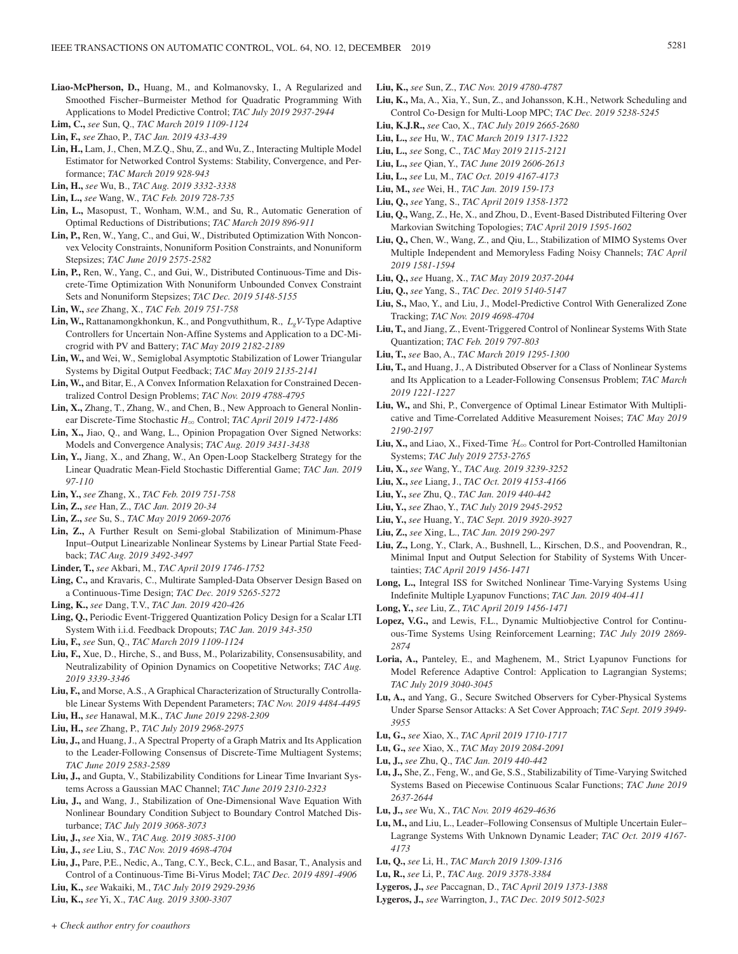- **Liao-McPherson, D.,** Huang, M., and Kolmanovsky, I., A Regularized and Smoothed Fischer–Burmeister Method for Quadratic Programming With Applications to Model Predictive Control; *TAC July 2019 2937-2944*
- **Lim, C.,** *see* Sun, Q., *TAC March 2019 1109-1124*
- **Lin, F.,** *see* Zhao, P., *TAC Jan. 2019 433-439*
- **Lin, H.,** Lam, J., Chen, M.Z.Q., Shu, Z., and Wu, Z., Interacting Multiple Model Estimator for Networked Control Systems: Stability, Convergence, and Performance; *TAC March 2019 928-943*
- **Lin, H.,** *see* Wu, B., *TAC Aug. 2019 3332-3338*
- **Lin, L.,** *see* Wang, W., *TAC Feb. 2019 728-735*
- **Lin, L.,** Masopust, T., Wonham, W.M., and Su, R., Automatic Generation of Optimal Reductions of Distributions; *TAC March 2019 896-911*
- **Lin, P.,** Ren, W., Yang, C., and Gui, W., Distributed Optimization With Nonconvex Velocity Constraints, Nonuniform Position Constraints, and Nonuniform Stepsizes; *TAC June 2019 2575-2582*
- **Lin, P.,** Ren, W., Yang, C., and Gui, W., Distributed Continuous-Time and Discrete-Time Optimization With Nonuniform Unbounded Convex Constraint Sets and Nonuniform Stepsizes; *TAC Dec. 2019 5148-5155*

**Lin, W.,** *see* Zhang, X., *TAC Feb. 2019 751-758*

- **Lin, W.,** Rattanamongkhonkun, K., and Pongvuthithum, R., *LgV*-Type Adaptive Controllers for Uncertain Non-Affine Systems and Application to a DC-Microgrid with PV and Battery; *TAC May 2019 2182-2189*
- **Lin, W.,** and Wei, W., Semiglobal Asymptotic Stabilization of Lower Triangular Systems by Digital Output Feedback; *TAC May 2019 2135-2141*
- **Lin, W.,** and Bitar, E., A Convex Information Relaxation for Constrained Decentralized Control Design Problems; *TAC Nov. 2019 4788-4795*
- **Lin, X.,** Zhang, T., Zhang, W., and Chen, B., New Approach to General Nonlinear Discrete-Time Stochastic *H*3 Control; *TAC April 2019 1472-1486*
- **Lin, X.,** Jiao, Q., and Wang, L., Opinion Propagation Over Signed Networks: Models and Convergence Analysis; *TAC Aug. 2019 3431-3438*
- **Lin, Y.,** Jiang, X., and Zhang, W., An Open-Loop Stackelberg Strategy for the Linear Quadratic Mean-Field Stochastic Differential Game; *TAC Jan. 2019 97-110*
- **Lin, Y.,** *see* Zhang, X., *TAC Feb. 2019 751-758*
- **Lin, Z.,** *see* Han, Z., *TAC Jan. 2019 20-34*
- **Lin, Z.,** *see* Su, S., *TAC May 2019 2069-2076*
- **Lin, Z.,** A Further Result on Semi-global Stabilization of Minimum-Phase Input–Output Linearizable Nonlinear Systems by Linear Partial State Feedback; *TAC Aug. 2019 3492-3497*
- **Linder, T.,** *see* Akbari, M., *TAC April 2019 1746-1752*
- **Ling, C.,** and Kravaris, C., Multirate Sampled-Data Observer Design Based on a Continuous-Time Design; *TAC Dec. 2019 5265-5272*
- **Ling, K.,** *see* Dang, T.V., *TAC Jan. 2019 420-426*
- **Ling, Q.,** Periodic Event-Triggered Quantization Policy Design for a Scalar LTI System With i.i.d. Feedback Dropouts; *TAC Jan. 2019 343-350*
- **Liu, F.,** *see* Sun, Q., *TAC March 2019 1109-1124*
- **Liu, F.,** Xue, D., Hirche, S., and Buss, M., Polarizability, Consensusability, and Neutralizability of Opinion Dynamics on Coopetitive Networks; *TAC Aug. 2019 3339-3346*
- **Liu, F.,** and Morse, A.S., A Graphical Characterization of Structurally Controllable Linear Systems With Dependent Parameters; *TAC Nov. 2019 4484-4495*
- **Liu, H.,** *see* Hanawal, M.K., *TAC June 2019 2298-2309*
- **Liu, H.,** *see* Zhang, P., *TAC July 2019 2968-2975*
- **Liu, J.,** and Huang, J., A Spectral Property of a Graph Matrix and Its Application to the Leader-Following Consensus of Discrete-Time Multiagent Systems; *TAC June 2019 2583-2589*
- **Liu, J.,** and Gupta, V., Stabilizability Conditions for Linear Time Invariant Systems Across a Gaussian MAC Channel; *TAC June 2019 2310-2323*
- **Liu, J.,** and Wang, J., Stabilization of One-Dimensional Wave Equation With Nonlinear Boundary Condition Subject to Boundary Control Matched Disturbance; *TAC July 2019 3068-3073*
- **Liu, J.,** *see* Xia, W., *TAC Aug. 2019 3085-3100*
- **Liu, J.,** *see* Liu, S., *TAC Nov. 2019 4698-4704*
- **Liu, J.,** Pare, P.E., Nedic, A., Tang, C.Y., Beck, C.L., and Basar, T., Analysis and Control of a Continuous-Time Bi-Virus Model; *TAC Dec. 2019 4891-4906*
- **Liu, K.,** *see* Wakaiki, M., *TAC July 2019 2929-2936*
- **Liu, K.,** *see* Yi, X., *TAC Aug. 2019 3300-3307*
- **Liu, K.,** *see* Sun, Z., *TAC Nov. 2019 4780-4787*
- **Liu, K.,** Ma, A., Xia, Y., Sun, Z., and Johansson, K.H., Network Scheduling and Control Co-Design for Multi-Loop MPC; *TAC Dec. 2019 5238-5245*
- **Liu, K.J.R.,** *see* Cao, X., *TAC July 2019 2665-2680*
- **Liu, L.,** *see* Hu, W., *TAC March 2019 1317-1322*
- **Liu, L.,** *see* Song, C., *TAC May 2019 2115-2121*
- **Liu, L.,** *see* Qian, Y., *TAC June 2019 2606-2613*
- **Liu, L.,** *see* Lu, M., *TAC Oct. 2019 4167-4173*
- **Liu, M.,** *see* Wei, H., *TAC Jan. 2019 159-173*
- **Liu, Q.,** *see* Yang, S., *TAC April 2019 1358-1372*
- **Liu, Q.,** Wang, Z., He, X., and Zhou, D., Event-Based Distributed Filtering Over Markovian Switching Topologies; *TAC April 2019 1595-1602*
- **Liu, Q.,** Chen, W., Wang, Z., and Qiu, L., Stabilization of MIMO Systems Over Multiple Independent and Memoryless Fading Noisy Channels; *TAC April 2019 1581-1594*
- **Liu, Q.,** *see* Huang, X., *TAC May 2019 2037-2044*
- **Liu, Q.,** *see* Yang, S., *TAC Dec. 2019 5140-5147*
- **Liu, S.,** Mao, Y., and Liu, J., Model-Predictive Control With Generalized Zone Tracking; *TAC Nov. 2019 4698-4704*
- **Liu, T.,** and Jiang, Z., Event-Triggered Control of Nonlinear Systems With State Quantization; *TAC Feb. 2019 797-803*
- **Liu, T.,** *see* Bao, A., *TAC March 2019 1295-1300*
- **Liu, T.,** and Huang, J., A Distributed Observer for a Class of Nonlinear Systems and Its Application to a Leader-Following Consensus Problem; *TAC March 2019 1221-1227*
- **Liu, W.,** and Shi, P., Convergence of Optimal Linear Estimator With Multiplicative and Time-Correlated Additive Measurement Noises; *TAC May 2019 2190-2197*
- **Liu, X.,** and Liao, X., Fixed-Time  $\mathcal{H}_{\infty}$  Control for Port-Controlled Hamiltonian Systems; *TAC July 2019 2753-2765*
- **Liu, X.,** *see* Wang, Y., *TAC Aug. 2019 3239-3252*
- **Liu, X.,** *see* Liang, J., *TAC Oct. 2019 4153-4166*
- **Liu, Y.,** *see* Zhu, Q., *TAC Jan. 2019 440-442*
- **Liu, Y.,** *see* Zhao, Y., *TAC July 2019 2945-2952*
- **Liu, Y.,** *see* Huang, Y., *TAC Sept. 2019 3920-3927*
- **Liu, Z.,** *see* Xing, L., *TAC Jan. 2019 290-297*
- **Liu, Z.,** Long, Y., Clark, A., Bushnell, L., Kirschen, D.S., and Poovendran, R., Minimal Input and Output Selection for Stability of Systems With Uncertainties; *TAC April 2019 1456-1471*
- **Long, L.,** Integral ISS for Switched Nonlinear Time-Varying Systems Using Indefinite Multiple Lyapunov Functions; *TAC Jan. 2019 404-411*
- **Long, Y.,** *see* Liu, Z., *TAC April 2019 1456-1471*
- **Lopez, V.G.,** and Lewis, F.L., Dynamic Multiobjective Control for Continuous-Time Systems Using Reinforcement Learning; *TAC July 2019 2869- 2874*
- **Loria, A.,** Panteley, E., and Maghenem, M., Strict Lyapunov Functions for Model Reference Adaptive Control: Application to Lagrangian Systems; *TAC July 2019 3040-3045*
- **Lu, A.,** and Yang, G., Secure Switched Observers for Cyber-Physical Systems Under Sparse Sensor Attacks: A Set Cover Approach; *TAC Sept. 2019 3949- 3955*
- **Lu, G.,** *see* Xiao, X., *TAC April 2019 1710-1717*
- **Lu, G.,** *see* Xiao, X., *TAC May 2019 2084-2091*
- **Lu, J.,** *see* Zhu, Q., *TAC Jan. 2019 440-442*
- **Lu, J.,** She, Z., Feng, W., and Ge, S.S., Stabilizability of Time-Varying Switched Systems Based on Piecewise Continuous Scalar Functions; *TAC June 2019 2637-2644*
- **Lu, J.,** *see* Wu, X., *TAC Nov. 2019 4629-4636*
- **Lu, M.,** and Liu, L., Leader–Following Consensus of Multiple Uncertain Euler– Lagrange Systems With Unknown Dynamic Leader; *TAC Oct. 2019 4167- 4173*
- **Lu, Q.,** *see* Li, H., *TAC March 2019 1309-1316*
- **Lu, R.,** *see* Li, P., *TAC Aug. 2019 3378-3384*
- **Lygeros, J.,** *see* Paccagnan, D., *TAC April 2019 1373-1388*
- **Lygeros, J.,** *see* Warrington, J., *TAC Dec. 2019 5012-5023*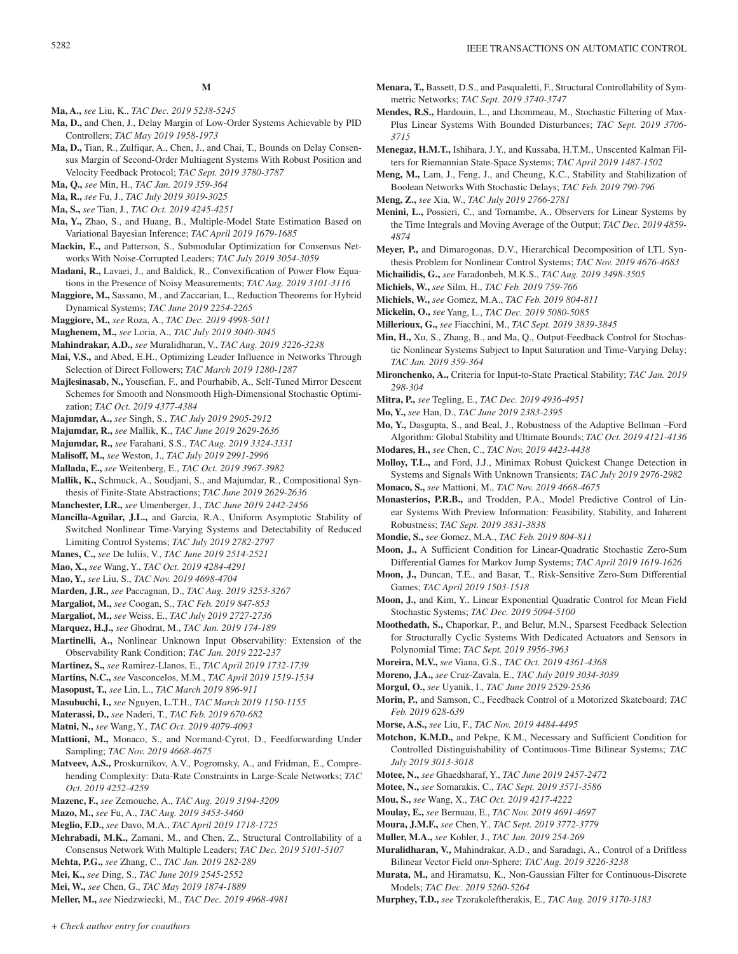- **Ma, A.,** *see* Liu, K., *TAC Dec. 2019 5238-5245*
- **Ma, D.,** and Chen, J., Delay Margin of Low-Order Systems Achievable by PID Controllers; *TAC May 2019 1958-1973*
- **Ma, D.,** Tian, R., Zulfiqar, A., Chen, J., and Chai, T., Bounds on Delay Consensus Margin of Second-Order Multiagent Systems With Robust Position and Velocity Feedback Protocol; *TAC Sept. 2019 3780-3787*

**Ma, Q.,** *see* Min, H., *TAC Jan. 2019 359-364*

- **Ma, R.,** *see* Fu, J., *TAC July 2019 3019-3025*
- **Ma, S.,** *see* Tian, J., *TAC Oct. 2019 4245-4251*
- **Ma, Y.,** Zhao, S., and Huang, B., Multiple-Model State Estimation Based on Variational Bayesian Inference; *TAC April 2019 1679-1685*
- **Mackin, E.,** and Patterson, S., Submodular Optimization for Consensus Networks With Noise-Corrupted Leaders; *TAC July 2019 3054-3059*
- **Madani, R.,** Lavaei, J., and Baldick, R., Convexification of Power Flow Equations in the Presence of Noisy Measurements; *TAC Aug. 2019 3101-3116*
- **Maggiore, M.,** Sassano, M., and Zaccarian, L., Reduction Theorems for Hybrid Dynamical Systems; *TAC June 2019 2254-2265*
- **Maggiore, M.,** *see* Roza, A., *TAC Dec. 2019 4998-5011*
- **Maghenem, M.,** *see* Loria, A., *TAC July 2019 3040-3045*
- **Mahindrakar, A.D.,** *see* Muralidharan, V., *TAC Aug. 2019 3226-3238*
- **Mai, V.S.,** and Abed, E.H., Optimizing Leader Influence in Networks Through Selection of Direct Followers; *TAC March 2019 1280-1287*
- **Majlesinasab, N.,** Yousefian, F., and Pourhabib, A., Self-Tuned Mirror Descent Schemes for Smooth and Nonsmooth High-Dimensional Stochastic Optimization; *TAC Oct. 2019 4377-4384*
- **Majumdar, A.,** *see* Singh, S., *TAC July 2019 2905-2912*
- **Majumdar, R.,** *see* Mallik, K., *TAC June 2019 2629-2636*
- **Majumdar, R.,** *see* Farahani, S.S., *TAC Aug. 2019 3324-3331*
- **Malisoff, M.,** *see* Weston, J., *TAC July 2019 2991-2996*
- **Mallada, E.,** *see* Weitenberg, E., *TAC Oct. 2019 3967-3982*
- **Mallik, K.,** Schmuck, A., Soudjani, S., and Majumdar, R., Compositional Synthesis of Finite-State Abstractions; *TAC June 2019 2629-2636*
- **Manchester, I.R.,** *see* Umenberger, J., *TAC June 2019 2442-2456*
- **Mancilla-Aguilar, J.L.,** and Garcia, R.A., Uniform Asymptotic Stability of Switched Nonlinear Time-Varying Systems and Detectability of Reduced Limiting Control Systems; *TAC July 2019 2782-2797*
- **Manes, C.,** *see* De Iuliis, V., *TAC June 2019 2514-2521*
- **Mao, X.,** *see* Wang, Y., *TAC Oct. 2019 4284-4291*
- **Mao, Y.,** *see* Liu, S., *TAC Nov. 2019 4698-4704*
- **Marden, J.R.,** *see* Paccagnan, D., *TAC Aug. 2019 3253-3267*
- **Margaliot, M.,** *see* Coogan, S., *TAC Feb. 2019 847-853*
- **Margaliot, M.,** *see* Weiss, E., *TAC July 2019 2727-2736*
- **Marquez, H.J.,** *see* Ghodrat, M., *TAC Jan. 2019 174-189*
- **Martinelli, A.,** Nonlinear Unknown Input Observability: Extension of the Observability Rank Condition; *TAC Jan. 2019 222-237*
- **Martinez, S.,** *see* Ramirez-Llanos, E., *TAC April 2019 1732-1739*
- **Martins, N.C.,** *see* Vasconcelos, M.M., *TAC April 2019 1519-1534*
- **Masopust, T.,** *see* Lin, L., *TAC March 2019 896-911*
- **Masubuchi, I.,** *see* Nguyen, L.T.H., *TAC March 2019 1150-1155*
- **Materassi, D.,** *see* Naderi, T., *TAC Feb. 2019 670-682*
- **Matni, N.,** *see* Wang, Y., *TAC Oct. 2019 4079-4093*
- **Mattioni, M.,** Monaco, S., and Normand-Cyrot, D., Feedforwarding Under Sampling; *TAC Nov. 2019 4668-4675*
- **Matveev, A.S.,** Proskurnikov, A.V., Pogromsky, A., and Fridman, E., Comprehending Complexity: Data-Rate Constraints in Large-Scale Networks; *TAC Oct. 2019 4252-4259*
- **Mazenc, F.,** *see* Zemouche, A., *TAC Aug. 2019 3194-3209*
- **Mazo, M.,** *see* Fu, A., *TAC Aug. 2019 3453-3460*
- **Meglio, F.D.,** *see* Davo, M.A., *TAC April 2019 1718-1725*
- **Mehrabadi, M.K.,** Zamani, M., and Chen, Z., Structural Controllability of a Consensus Network With Multiple Leaders; *TAC Dec. 2019 5101-5107*
- **Mehta, P.G.,** *see* Zhang, C., *TAC Jan. 2019 282-289*
- **Mei, K.,** *see* Ding, S., *TAC June 2019 2545-2552*
- **Mei, W.,** *see* Chen, G., *TAC May 2019 1874-1889*
- **Meller, M.,** *see* Niedzwiecki, M., *TAC Dec. 2019 4968-4981*
- **Menara, T.,** Bassett, D.S., and Pasqualetti, F., Structural Controllability of Symmetric Networks; *TAC Sept. 2019 3740-3747*
- **Mendes, R.S.,** Hardouin, L., and Lhommeau, M., Stochastic Filtering of Max-Plus Linear Systems With Bounded Disturbances; *TAC Sept. 2019 3706- 3715*
- **Menegaz, H.M.T.,** Ishihara, J.Y., and Kussaba, H.T.M., Unscented Kalman Filters for Riemannian State-Space Systems; *TAC April 2019 1487-1502*
- **Meng, M.,** Lam, J., Feng, J., and Cheung, K.C., Stability and Stabilization of Boolean Networks With Stochastic Delays; *TAC Feb. 2019 790-796*
- **Meng, Z.,** *see* Xia, W., *TAC July 2019 2766-2781*
- **Menini, L.,** Possieri, C., and Tornambe, A., Observers for Linear Systems by the Time Integrals and Moving Average of the Output; *TAC Dec. 2019 4859- 4874*
- **Meyer, P.,** and Dimarogonas, D.V., Hierarchical Decomposition of LTL Synthesis Problem for Nonlinear Control Systems; *TAC Nov. 2019 4676-4683*
- **Michailidis, G.,** *see* Faradonbeh, M.K.S., *TAC Aug. 2019 3498-3505*
- **Michiels, W.,** *see* Silm, H., *TAC Feb. 2019 759-766*
- **Michiels, W.,** *see* Gomez, M.A., *TAC Feb. 2019 804-811*
- **Mickelin, O.,** *see* Yang, L., *TAC Dec. 2019 5080-5085*
- **Millerioux, G.,** *see* Fiacchini, M., *TAC Sept. 2019 3839-3845*
- **Min, H.,** Xu, S., Zhang, B., and Ma, Q., Output-Feedback Control for Stochastic Nonlinear Systems Subject to Input Saturation and Time-Varying Delay; *TAC Jan. 2019 359-364*
- **Mironchenko, A.,** Criteria for Input-to-State Practical Stability; *TAC Jan. 2019 298-304*
- **Mitra, P.,** *see* Tegling, E., *TAC Dec. 2019 4936-4951*
- **Mo, Y.,** *see* Han, D., *TAC June 2019 2383-2395*
- **Mo, Y.,** Dasgupta, S., and Beal, J., Robustness of the Adaptive Bellman –Ford Algorithm: Global Stability and Ultimate Bounds; *TAC Oct. 2019 4121-4136*
- **Modares, H.,** *see* Chen, C., *TAC Nov. 2019 4423-4438*
- **Molloy, T.L.,** and Ford, J.J., Minimax Robust Quickest Change Detection in Systems and Signals With Unknown Transients; *TAC July 2019 2976-2982*
- **Monaco, S.,** *see* Mattioni, M., *TAC Nov. 2019 4668-4675*
- **Monasterios, P.R.B.,** and Trodden, P.A., Model Predictive Control of Linear Systems With Preview Information: Feasibility, Stability, and Inherent Robustness; *TAC Sept. 2019 3831-3838*
- **Mondie, S.,** *see* Gomez, M.A., *TAC Feb. 2019 804-811*
- **Moon, J.,** A Sufficient Condition for Linear-Quadratic Stochastic Zero-Sum Differential Games for Markov Jump Systems; *TAC April 2019 1619-1626*
- **Moon, J.,** Duncan, T.E., and Basar, T., Risk-Sensitive Zero-Sum Differential Games; *TAC April 2019 1503-1518*
- **Moon, J.,** and Kim, Y., Linear Exponential Quadratic Control for Mean Field Stochastic Systems; *TAC Dec. 2019 5094-5100*
- **Moothedath, S.,** Chaporkar, P., and Belur, M.N., Sparsest Feedback Selection for Structurally Cyclic Systems With Dedicated Actuators and Sensors in Polynomial Time; *TAC Sept. 2019 3956-3963*
- **Moreira, M.V.,** *see* Viana, G.S., *TAC Oct. 2019 4361-4368*
- **Moreno, J.A.,** *see* Cruz-Zavala, E., *TAC July 2019 3034-3039*
- **Morgul, O.,** *see* Uyanik, I., *TAC June 2019 2529-2536*
- **Morin, P.,** and Samson, C., Feedback Control of a Motorized Skateboard; *TAC Feb. 2019 628-639*
- **Morse, A.S.,** *see* Liu, F., *TAC Nov. 2019 4484-4495*
- **Motchon, K.M.D.,** and Pekpe, K.M., Necessary and Sufficient Condition for Controlled Distinguishability of Continuous-Time Bilinear Systems; *TAC July 2019 3013-3018*
- **Motee, N.,** *see* Ghaedsharaf, Y., *TAC June 2019 2457-2472*
- **Motee, N.,** *see* Somarakis, C., *TAC Sept. 2019 3571-3586*
- **Mou, S.,** *see* Wang, X., *TAC Oct. 2019 4217-4222*
- **Moulay, E.,** *see* Bernuau, E., *TAC Nov. 2019 4691-4697*
- **Moura, J.M.F.,** *see* Chen, Y., *TAC Sept. 2019 3772-3779*
- **Muller, M.A.,** *see* Kohler, J., *TAC Jan. 2019 254-269*
- **Muralidharan, V.,** Mahindrakar, A.D., and Saradagi, A., Control of a Driftless Bilinear Vector Field on*n*-Sphere; *TAC Aug. 2019 3226-3238*
- **Murata, M.,** and Hiramatsu, K., Non-Gaussian Filter for Continuous-Discrete Models; *TAC Dec. 2019 5260-5264*
- **Murphey, T.D.,** *see* Tzorakoleftherakis, E., *TAC Aug. 2019 3170-3183*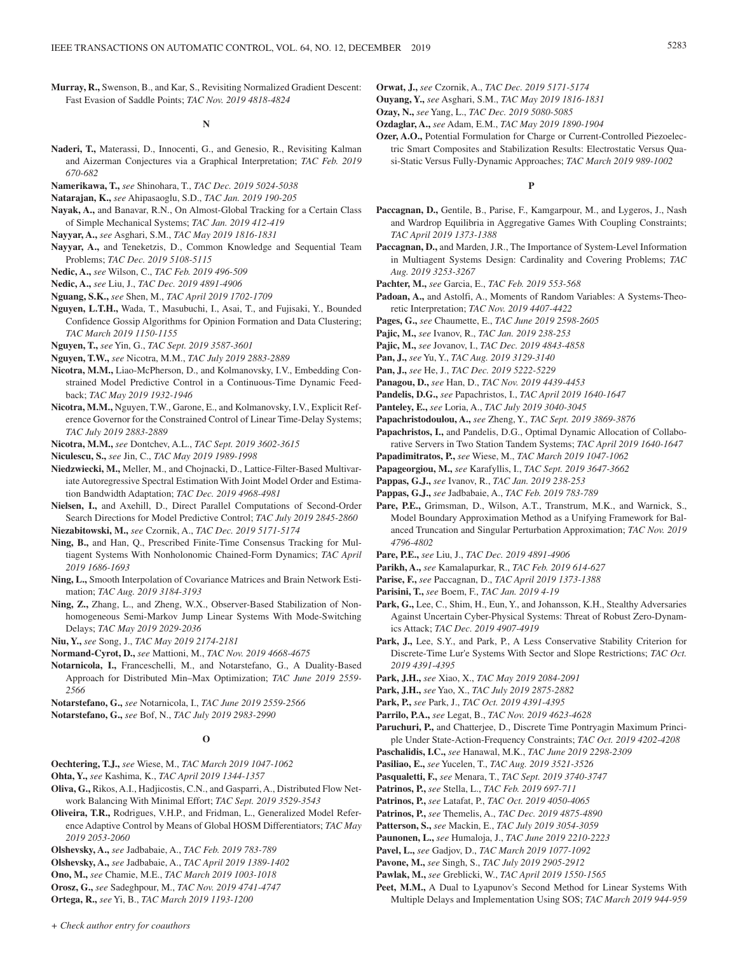**Murray, R.,** Swenson, B., and Kar, S., Revisiting Normalized Gradient Descent: Fast Evasion of Saddle Points; *TAC Nov. 2019 4818-4824*

### **N**

- **Naderi, T.,** Materassi, D., Innocenti, G., and Genesio, R., Revisiting Kalman and Aizerman Conjectures via a Graphical Interpretation; *TAC Feb. 2019 670-682*
- **Namerikawa, T.,** *see* Shinohara, T., *TAC Dec. 2019 5024-5038*
- **Natarajan, K.,** *see* Ahipasaoglu, S.D., *TAC Jan. 2019 190-205*
- **Nayak, A.,** and Banavar, R.N., On Almost-Global Tracking for a Certain Class of Simple Mechanical Systems; *TAC Jan. 2019 412-419*
- **Nayyar, A.,** *see* Asghari, S.M., *TAC May 2019 1816-1831*
- **Nayyar, A.,** and Teneketzis, D., Common Knowledge and Sequential Team Problems; *TAC Dec. 2019 5108-5115*
- **Nedic, A.,** *see* Wilson, C., *TAC Feb. 2019 496-509*
- **Nedic, A.,** *see* Liu, J., *TAC Dec. 2019 4891-4906*
- **Nguang, S.K.,** *see* Shen, M., *TAC April 2019 1702-1709*
- **Nguyen, L.T.H.,** Wada, T., Masubuchi, I., Asai, T., and Fujisaki, Y., Bounded Confidence Gossip Algorithms for Opinion Formation and Data Clustering; *TAC March 2019 1150-1155*
- **Nguyen, T.,** *see* Yin, G., *TAC Sept. 2019 3587-3601*
- **Nguyen, T.W.,** *see* Nicotra, M.M., *TAC July 2019 2883-2889*
- **Nicotra, M.M.,** Liao-McPherson, D., and Kolmanovsky, I.V., Embedding Constrained Model Predictive Control in a Continuous-Time Dynamic Feedback; *TAC May 2019 1932-1946*
- **Nicotra, M.M.,** Nguyen, T.W., Garone, E., and Kolmanovsky, I.V., Explicit Reference Governor for the Constrained Control of Linear Time-Delay Systems; *TAC July 2019 2883-2889*
- **Nicotra, M.M.,** *see* Dontchev, A.L., *TAC Sept. 2019 3602-3615*
- **Niculescu, S.,** *see* Jin, C., *TAC May 2019 1989-1998*
- **Niedzwiecki, M.,** Meller, M., and Chojnacki, D., Lattice-Filter-Based Multivariate Autoregressive Spectral Estimation With Joint Model Order and Estimation Bandwidth Adaptation; *TAC Dec. 2019 4968-4981*
- **Nielsen, I.,** and Axehill, D., Direct Parallel Computations of Second-Order Search Directions for Model Predictive Control; *TAC July 2019 2845-2860*
- **Niezabitowski, M.,** *see* Czornik, A., *TAC Dec. 2019 5171-5174*
- **Ning, B.,** and Han, Q., Prescribed Finite-Time Consensus Tracking for Multiagent Systems With Nonholonomic Chained-Form Dynamics; *TAC April 2019 1686-1693*
- **Ning, L.,** Smooth Interpolation of Covariance Matrices and Brain Network Estimation; *TAC Aug. 2019 3184-3193*
- **Ning, Z.,** Zhang, L., and Zheng, W.X., Observer-Based Stabilization of Nonhomogeneous Semi-Markov Jump Linear Systems With Mode-Switching Delays; *TAC May 2019 2029-2036*

**Niu, Y.,** *see* Song, J., *TAC May 2019 2174-2181*

- **Normand-Cyrot, D.,** *see* Mattioni, M., *TAC Nov. 2019 4668-4675*
- **Notarnicola, I.,** Franceschelli, M., and Notarstefano, G., A Duality-Based Approach for Distributed Min–Max Optimization; *TAC June 2019 2559- 2566*
- **Notarstefano, G.,** *see* Notarnicola, I., *TAC June 2019 2559-2566*
- **Notarstefano, G.,** *see* Bof, N., *TAC July 2019 2983-2990*

#### **O**

- **Oechtering, T.J.,** *see* Wiese, M., *TAC March 2019 1047-1062*
- **Ohta, Y.,** *see* Kashima, K., *TAC April 2019 1344-1357*
- **Oliva, G.,** Rikos, A.I., Hadjicostis, C.N., and Gasparri, A., Distributed Flow Network Balancing With Minimal Effort; *TAC Sept. 2019 3529-3543*
- **Oliveira, T.R.,** Rodrigues, V.H.P., and Fridman, L., Generalized Model Reference Adaptive Control by Means of Global HOSM Differentiators; *TAC May 2019 2053-2060*
- **Olshevsky, A.,** *see* Jadbabaie, A., *TAC Feb. 2019 783-789*
- **Olshevsky, A.,** *see* Jadbabaie, A., *TAC April 2019 1389-1402*
- **Ono, M.,** *see* Chamie, M.E., *TAC March 2019 1003-1018*
- **Orosz, G.,** *see* Sadeghpour, M., *TAC Nov. 2019 4741-4747*
- **Ortega, R.,** *see* Yi, B., *TAC March 2019 1193-1200*

**Orwat, J.,** *see* Czornik, A., *TAC Dec. 2019 5171-5174*

- **Ouyang, Y.,** *see* Asghari, S.M., *TAC May 2019 1816-1831*
- **Ozay, N.,** *see* Yang, L., *TAC Dec. 2019 5080-5085*
- **Ozdaglar, A.,** *see* Adam, E.M., *TAC May 2019 1890-1904*
- **Ozer, A.O.,** Potential Formulation for Charge or Current-Controlled Piezoelectric Smart Composites and Stabilization Results: Electrostatic Versus Quasi-Static Versus Fully-Dynamic Approaches; *TAC March 2019 989-1002*

### **P**

- **Paccagnan, D.,** Gentile, B., Parise, F., Kamgarpour, M., and Lygeros, J., Nash and Wardrop Equilibria in Aggregative Games With Coupling Constraints; *TAC April 2019 1373-1388*
- **Paccagnan, D.,** and Marden, J.R., The Importance of System-Level Information in Multiagent Systems Design: Cardinality and Covering Problems; *TAC Aug. 2019 3253-3267*
- **Pachter, M.,** *see* Garcia, E., *TAC Feb. 2019 553-568*
- **Padoan, A.,** and Astolfi, A., Moments of Random Variables: A Systems-Theoretic Interpretation; *TAC Nov. 2019 4407-4422*
- **Pages, G.,** *see* Chaumette, E., *TAC June 2019 2598-2605*
- **Pajic, M.,** *see* Ivanov, R., *TAC Jan. 2019 238-253*
- **Pajic, M.,** *see* Jovanov, I., *TAC Dec. 2019 4843-4858*
- **Pan, J.,** *see* Yu, Y., *TAC Aug. 2019 3129-3140*
- **Pan, J.,** *see* He, J., *TAC Dec. 2019 5222-5229*
- **Panagou, D.,** *see* Han, D., *TAC Nov. 2019 4439-4453*
- **Pandelis, D.G.,** *see* Papachristos, I., *TAC April 2019 1640-1647*
- **Panteley, E.,** *see* Loria, A., *TAC July 2019 3040-3045*
- **Papachristodoulou, A.,** *see* Zheng, Y., *TAC Sept. 2019 3869-3876*
- **Papachristos, I.,** and Pandelis, D.G., Optimal Dynamic Allocation of Collaborative Servers in Two Station Tandem Systems; *TAC April 2019 1640-1647*
- **Papadimitratos, P.,** *see* Wiese, M., *TAC March 2019 1047-1062*
- **Papageorgiou, M.,** *see* Karafyllis, I., *TAC Sept. 2019 3647-3662*
- **Pappas, G.J.,** *see* Ivanov, R., *TAC Jan. 2019 238-253*
- **Pappas, G.J.,** *see* Jadbabaie, A., *TAC Feb. 2019 783-789*
- **Pare, P.E.,** Grimsman, D., Wilson, A.T., Transtrum, M.K., and Warnick, S., Model Boundary Approximation Method as a Unifying Framework for Balanced Truncation and Singular Perturbation Approximation; *TAC Nov. 2019 4796-4802*
- **Pare, P.E.,** *see* Liu, J., *TAC Dec. 2019 4891-4906*
- **Parikh, A.,** *see* Kamalapurkar, R., *TAC Feb. 2019 614-627*
- **Parise, F.,** *see* Paccagnan, D., *TAC April 2019 1373-1388*
- **Parisini, T.,** *see* Boem, F., *TAC Jan. 2019 4-19*
- Park, G., Lee, C., Shim, H., Eun, Y., and Johansson, K.H., Stealthy Adversaries Against Uncertain Cyber-Physical Systems: Threat of Robust Zero-Dynamics Attack; *TAC Dec. 2019 4907-4919*
- Park, J., Lee, S.Y., and Park, P., A Less Conservative Stability Criterion for Discrete-Time Lur'e Systems With Sector and Slope Restrictions; *TAC Oct. 2019 4391-4395*
- **Park, J.H.,** *see* Xiao, X., *TAC May 2019 2084-2091*
- **Park, J.H.,** *see* Yao, X., *TAC July 2019 2875-2882*
- **Park, P.,** *see* Park, J., *TAC Oct. 2019 4391-4395*
- **Parrilo, P.A.,** *see* Legat, B., *TAC Nov. 2019 4623-4628*
- **Paruchuri, P.,** and Chatterjee, D., Discrete Time Pontryagin Maximum Principle Under State-Action-Frequency Constraints; *TAC Oct. 2019 4202-4208*
- **Paschalidis, I.C.,** *see* Hanawal, M.K., *TAC June 2019 2298-2309*
- **Pasiliao, E.,** *see* Yucelen, T., *TAC Aug. 2019 3521-3526*
- **Pasqualetti, F.,** *see* Menara, T., *TAC Sept. 2019 3740-3747*
- **Patrinos, P.,** *see* Stella, L., *TAC Feb. 2019 697-711*
- **Patrinos, P.,** *see* Latafat, P., *TAC Oct. 2019 4050-4065*
- **Patrinos, P.,** *see* Themelis, A., *TAC Dec. 2019 4875-4890*
- **Patterson, S.,** *see* Mackin, E., *TAC July 2019 3054-3059*
- **Paunonen, L.,** *see* Humaloja, J., *TAC June 2019 2210-2223*
- **Pavel, L.,** *see* Gadjov, D., *TAC March 2019 1077-1092*
- **Pavone, M.,** *see* Singh, S., *TAC July 2019 2905-2912*
- **Pawlak, M.,** *see* Greblicki, W., *TAC April 2019 1550-1565*
- Peet, M.M., A Dual to Lyapunov's Second Method for Linear Systems With Multiple Delays and Implementation Using SOS; *TAC March 2019 944-959*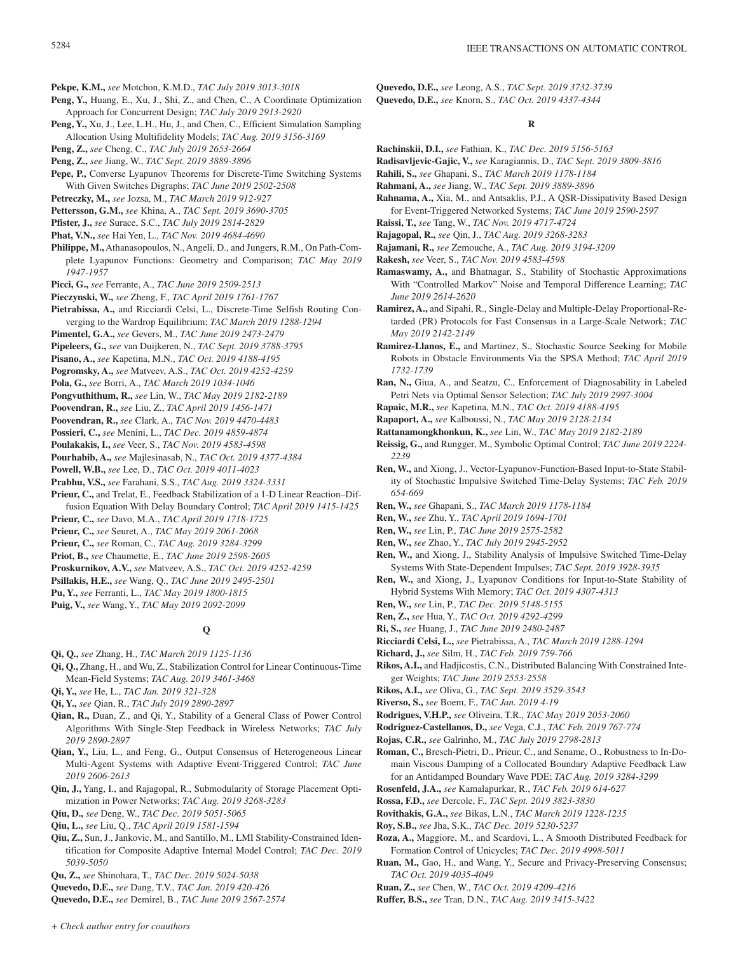**Pekpe, K.M.,** *see* Motchon, K.M.D., *TAC July 2019 3013-3018*

- **Peng, Y.,** Huang, E., Xu, J., Shi, Z., and Chen, C., A Coordinate Optimization Approach for Concurrent Design; *TAC July 2019 2913-2920*
- **Peng, Y.,** Xu, J., Lee, L.H., Hu, J., and Chen, C., Efficient Simulation Sampling Allocation Using Multifidelity Models; *TAC Aug. 2019 3156-3169*
- **Peng, Z.,** *see* Cheng, C., *TAC July 2019 2653-2664*
- **Peng, Z.,** *see* Jiang, W., *TAC Sept. 2019 3889-3896*
- **Pepe, P.,** Converse Lyapunov Theorems for Discrete-Time Switching Systems With Given Switches Digraphs; *TAC June 2019 2502-2508*
- **Petreczky, M.,** *see* Jozsa, M., *TAC March 2019 912-927*
- **Pettersson, G.M.,** *see* Khina, A., *TAC Sept. 2019 3690-3705*
- **Pfister, J.,** *see* Surace, S.C., *TAC July 2019 2814-2829*
- **Phat, V.N.,** *see* Hai Yen, L., *TAC Nov. 2019 4684-4690*
- **Philippe, M.,**Athanasopoulos, N.,Angeli, D., and Jungers, R.M., On Path-Complete Lyapunov Functions: Geometry and Comparison; *TAC May 2019 1947-1957*
- **Picci, G.,** *see* Ferrante, A., *TAC June 2019 2509-2513*
- **Pieczynski, W.,** *see* Zheng, F., *TAC April 2019 1761-1767*
- **Pietrabissa, A.,** and Ricciardi Celsi, L., Discrete-Time Selfish Routing Converging to the Wardrop Equilibrium; *TAC March 2019 1288-1294*
- **Pimentel, G.A.,** *see* Gevers, M., *TAC June 2019 2473-2479*
- **Pipeleers, G.,** *see* van Duijkeren, N., *TAC Sept. 2019 3788-3795*
- **Pisano, A.,** *see* Kapetina, M.N., *TAC Oct. 2019 4188-4195*
- **Pogromsky, A.,** *see* Matveev, A.S., *TAC Oct. 2019 4252-4259*
- **Pola, G.,** *see* Borri, A., *TAC March 2019 1034-1046*
- **Pongvuthithum, R.,** *see* Lin, W., *TAC May 2019 2182-2189*
- **Poovendran, R.,** *see* Liu, Z., *TAC April 2019 1456-1471*
- **Poovendran, R.,** *see* Clark, A., *TAC Nov. 2019 4470-4483*
- **Possieri, C.,** *see* Menini, L., *TAC Dec. 2019 4859-4874*
- **Poulakakis, I.,** *see* Veer, S., *TAC Nov. 2019 4583-4598*
- 
- **Pourhabib, A.,** *see* Majlesinasab, N., *TAC Oct. 2019 4377-4384*
- **Powell, W.B.,** *see* Lee, D., *TAC Oct. 2019 4011-4023*
- **Prabhu, V.S.,** *see* Farahani, S.S., *TAC Aug. 2019 3324-3331*
- **Prieur, C.,** and Trelat, E., Feedback Stabilization of a 1-D Linear Reaction–Diffusion Equation With Delay Boundary Control; *TAC April 2019 1415-1425*
- **Prieur, C.,** *see* Davo, M.A., *TAC April 2019 1718-1725*
- **Prieur, C.,** *see* Seuret, A., *TAC May 2019 2061-2068*
- **Prieur, C.,** *see* Roman, C., *TAC Aug. 2019 3284-3299*
- **Priot, B.,** *see* Chaumette, E., *TAC June 2019 2598-2605*
- **Proskurnikov, A.V.,** *see* Matveev, A.S., *TAC Oct. 2019 4252-4259*
- **Psillakis, H.E.,** *see* Wang, Q., *TAC June 2019 2495-2501*
- **Pu, Y.,** *see* Ferranti, L., *TAC May 2019 1800-1815*
- **Puig, V.,** *see* Wang, Y., *TAC May 2019 2092-2099*

### **Q**

- **Qi, Q.,** *see* Zhang, H., *TAC March 2019 1125-1136*
- **Qi, Q.,** Zhang, H., and Wu, Z., Stabilization Control for Linear Continuous-Time Mean-Field Systems; *TAC Aug. 2019 3461-3468*
- **Qi, Y.,** *see* He, L., *TAC Jan. 2019 321-328*
- **Qi, Y.,** *see* Qian, R., *TAC July 2019 2890-2897*
- **Qian, R.,** Duan, Z., and Qi, Y., Stability of a General Class of Power Control Algorithms With Single-Step Feedback in Wireless Networks; *TAC July 2019 2890-2897*
- **Qian, Y.,** Liu, L., and Feng, G., Output Consensus of Heterogeneous Linear Multi-Agent Systems with Adaptive Event-Triggered Control; *TAC June 2019 2606-2613*
- **Qin, J.,** Yang, I., and Rajagopal, R., Submodularity of Storage Placement Optimization in Power Networks; *TAC Aug. 2019 3268-3283*
- **Qiu, D.,** *see* Deng, W., *TAC Dec. 2019 5051-5065*
- **Qiu, L.,** *see* Liu, Q., *TAC April 2019 1581-1594*
- **Qiu, Z.,** Sun, J., Jankovic, M., and Santillo, M., LMI Stability-Constrained Identification for Composite Adaptive Internal Model Control; *TAC Dec. 2019 5039-5050*
- **Qu, Z.,** *see* Shinohara, T., *TAC Dec. 2019 5024-5038*
- **Quevedo, D.E.,** *see* Dang, T.V., *TAC Jan. 2019 420-426*

**Quevedo, D.E.,** *see* Demirel, B., *TAC June 2019 2567-2574*

**Quevedo, D.E.,** *see* Leong, A.S., *TAC Sept. 2019 3732-3739* **Quevedo, D.E.,** *see* Knorn, S., *TAC Oct. 2019 4337-4344*

### **R**

- **Rachinskii, D.I.,** *see* Fathian, K., *TAC Dec. 2019 5156-5163*
- **Radisavljevic-Gajic, V.,** *see* Karagiannis, D., *TAC Sept. 2019 3809-3816*
- **Rahili, S.,** *see* Ghapani, S., *TAC March 2019 1178-1184*
- **Rahmani, A.,** *see* Jiang, W., *TAC Sept. 2019 3889-3896*
- **Rahnama, A.,** Xia, M., and Antsaklis, P.J., A QSR-Dissipativity Based Design for Event-Triggered Networked Systems; *TAC June 2019 2590-2597*
- **Raissi, T.,** *see* Tang, W., *TAC Nov. 2019 4717-4724*
- **Rajagopal, R.,** *see* Qin, J., *TAC Aug. 2019 3268-3283*
- **Rajamani, R.,** *see* Zemouche, A., *TAC Aug. 2019 3194-3209*
- **Rakesh,** *see* Veer, S., *TAC Nov. 2019 4583-4598*
- **Ramaswamy, A.,** and Bhatnagar, S., Stability of Stochastic Approximations With "Controlled Markov" Noise and Temporal Difference Learning; *TAC June 2019 2614-2620*
- **Ramirez, A.,** and Sipahi, R., Single-Delay and Multiple-Delay Proportional-Retarded (PR) Protocols for Fast Consensus in a Large-Scale Network; *TAC May 2019 2142-2149*
- **Ramirez-Llanos, E.,** and Martinez, S., Stochastic Source Seeking for Mobile Robots in Obstacle Environments Via the SPSA Method; *TAC April 2019 1732-1739*
- **Ran, N.,** Giua, A., and Seatzu, C., Enforcement of Diagnosability in Labeled Petri Nets via Optimal Sensor Selection; *TAC July 2019 2997-3004*
- **Rapaic, M.R.,** *see* Kapetina, M.N., *TAC Oct. 2019 4188-4195*
- **Rapaport, A.,** *see* Kalboussi, N., *TAC May 2019 2128-2134*
- **Rattanamongkhonkun, K.,** *see* Lin, W., *TAC May 2019 2182-2189*
- **Reissig, G.,** and Rungger, M., Symbolic Optimal Control; *TAC June 2019 2224- 2239*
- **Ren, W.,** and Xiong, J., Vector-Lyapunov-Function-Based Input-to-State Stability of Stochastic Impulsive Switched Time-Delay Systems; *TAC Feb. 2019 654-669*
- **Ren, W.,** *see* Ghapani, S., *TAC March 2019 1178-1184*
- **Ren, W.,** *see* Zhu, Y., *TAC April 2019 1694-1701*
- **Ren, W.,** *see* Lin, P., *TAC June 2019 2575-2582*
- **Ren, W.,** *see* Zhao, Y., *TAC July 2019 2945-2952*
- **Ren, W.,** and Xiong, J., Stability Analysis of Impulsive Switched Time-Delay Systems With State-Dependent Impulses; *TAC Sept. 2019 3928-3935*
- **Ren, W.,** and Xiong, J., Lyapunov Conditions for Input-to-State Stability of Hybrid Systems With Memory; *TAC Oct. 2019 4307-4313*
- **Ren, W.,** *see* Lin, P., *TAC Dec. 2019 5148-5155*
- **Ren, Z.,** *see* Hua, Y., *TAC Oct. 2019 4292-4299*
- **Ri, S.,** *see* Huang, J., *TAC June 2019 2480-2487*
- **Ricciardi Celsi, L.,** *see* Pietrabissa, A., *TAC March 2019 1288-1294*
- **Richard, J.,** *see* Silm, H., *TAC Feb. 2019 759-766*
- **Rikos, A.I.,** and Hadjicostis, C.N., Distributed Balancing With Constrained Integer Weights; *TAC June 2019 2553-2558*
- **Rikos, A.I.,** *see* Oliva, G., *TAC Sept. 2019 3529-3543*
- **Riverso, S.,** *see* Boem, F., *TAC Jan. 2019 4-19*
- **Rodrigues, V.H.P.,** *see* Oliveira, T.R., *TAC May 2019 2053-2060*
- **Rodriguez-Castellanos, D.,** *see* Vega, C.J., *TAC Feb. 2019 767-774*
- **Rojas, C.R.,** *see* Galrinho, M., *TAC July 2019 2798-2813*
- **Roman, C.,** Bresch-Pietri, D., Prieur, C., and Sename, O., Robustness to In-Domain Viscous Damping of a Collocated Boundary Adaptive Feedback Law for an Antidamped Boundary Wave PDE; *TAC Aug. 2019 3284-3299*
- **Rosenfeld, J.A.,** *see* Kamalapurkar, R., *TAC Feb. 2019 614-627*
- **Rossa, F.D.,** *see* Dercole, F., *TAC Sept. 2019 3823-3830*
- **Rovithakis, G.A.,** *see* Bikas, L.N., *TAC March 2019 1228-1235*
- **Roy, S.B.,** *see* Jha, S.K., *TAC Dec. 2019 5230-5237*
- **Roza, A.,** Maggiore, M., and Scardovi, L., A Smooth Distributed Feedback for Formation Control of Unicycles; *TAC Dec. 2019 4998-5011*
- **Ruan, M.,** Gao, H., and Wang, Y., Secure and Privacy-Preserving Consensus; *TAC Oct. 2019 4035-4049*
- **Ruan, Z.,** *see* Chen, W., *TAC Oct. 2019 4209-4216*
- **Ruffer, B.S.,** *see* Tran, D.N., *TAC Aug. 2019 3415-3422*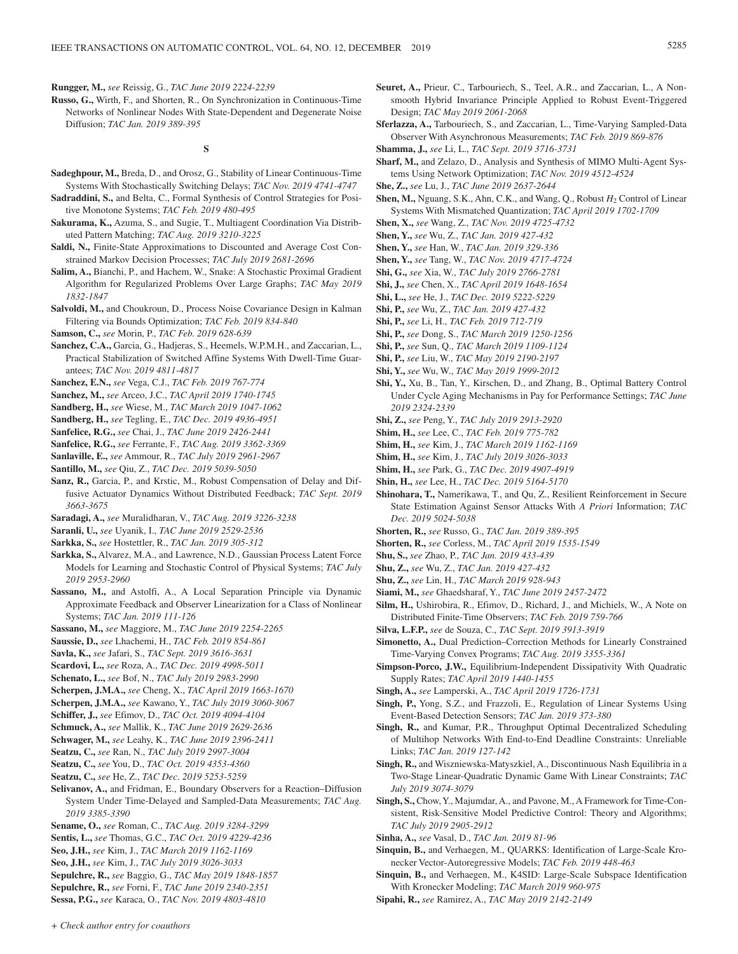**Rungger, M.,** *see* Reissig, G., *TAC June 2019 2224-2239*

**Russo, G.,** Wirth, F., and Shorten, R., On Synchronization in Continuous-Time Networks of Nonlinear Nodes With State-Dependent and Degenerate Noise Diffusion; *TAC Jan. 2019 389-395*

### **S**

- **Sadeghpour, M.,** Breda, D., and Orosz, G., Stability of Linear Continuous-Time Systems With Stochastically Switching Delays; *TAC Nov. 2019 4741-4747*
- **Sadraddini, S.,** and Belta, C., Formal Synthesis of Control Strategies for Positive Monotone Systems; *TAC Feb. 2019 480-495*
- **Sakurama, K.,** Azuma, S., and Sugie, T., Multiagent Coordination Via Distributed Pattern Matching; *TAC Aug. 2019 3210-3225*
- Saldi, N., Finite-State Approximations to Discounted and Average Cost Constrained Markov Decision Processes; *TAC July 2019 2681-2696*
- **Salim, A.,** Bianchi, P., and Hachem, W., Snake: A Stochastic Proximal Gradient Algorithm for Regularized Problems Over Large Graphs; *TAC May 2019 1832-1847*
- **Salvoldi, M.,** and Choukroun, D., Process Noise Covariance Design in Kalman Filtering via Bounds Optimization; *TAC Feb. 2019 834-840*
- **Samson, C.,** *see* Morin, P., *TAC Feb. 2019 628-639*
- **Sanchez, C.A.,** Garcia, G., Hadjeras, S., Heemels, W.P.M.H., and Zaccarian, L., Practical Stabilization of Switched Affine Systems With Dwell-Time Guarantees; *TAC Nov. 2019 4811-4817*
- **Sanchez, E.N.,** *see* Vega, C.J., *TAC Feb. 2019 767-774*
- **Sanchez, M.,** *see* Arceo, J.C., *TAC April 2019 1740-1745*
- **Sandberg, H.,** *see* Wiese, M., *TAC March 2019 1047-1062*
- **Sandberg, H.,** *see* Tegling, E., *TAC Dec. 2019 4936-4951*
- **Sanfelice, R.G.,** *see* Chai, J., *TAC June 2019 2426-2441*
- **Sanfelice, R.G.,** *see* Ferrante, F., *TAC Aug. 2019 3362-3369*
- **Sanlaville, E.,** *see* Ammour, R., *TAC July 2019 2961-2967*
- **Santillo, M.,** *see* Qiu, Z., *TAC Dec. 2019 5039-5050*
- **Sanz, R.,** Garcia, P., and Krstic, M., Robust Compensation of Delay and Diffusive Actuator Dynamics Without Distributed Feedback; *TAC Sept. 2019 3663-3675*
- **Saradagi, A.,** *see* Muralidharan, V., *TAC Aug. 2019 3226-3238*
- **Saranli, U.,** *see* Uyanik, I., *TAC June 2019 2529-2536*
- **Sarkka, S.,** *see* Hostettler, R., *TAC Jan. 2019 305-312*
- **Sarkka, S.,** Alvarez, M.A., and Lawrence, N.D., Gaussian Process Latent Force Models for Learning and Stochastic Control of Physical Systems; *TAC July 2019 2953-2960*
- **Sassano, M.,** and Astolfi, A., A Local Separation Principle via Dynamic Approximate Feedback and Observer Linearization for a Class of Nonlinear Systems; *TAC Jan. 2019 111-126*
- **Sassano, M.,** *see* Maggiore, M., *TAC June 2019 2254-2265*
- **Saussie, D.,** *see* Lhachemi, H., *TAC Feb. 2019 854-861*
- **Savla, K.,** *see* Jafari, S., *TAC Sept. 2019 3616-3631*
- **Scardovi, L.,** *see* Roza, A., *TAC Dec. 2019 4998-5011*
- **Schenato, L.,** *see* Bof, N., *TAC July 2019 2983-2990*
- **Scherpen, J.M.A.,** *see* Cheng, X., *TAC April 2019 1663-1670*
- **Scherpen, J.M.A.,** *see* Kawano, Y., *TAC July 2019 3060-3067*
- **Schiffer, J.,** *see* Efimov, D., *TAC Oct. 2019 4094-4104*
- **Schmuck, A.,** *see* Mallik, K., *TAC June 2019 2629-2636*
- **Schwager, M.,** *see* Leahy, K., *TAC June 2019 2396-2411*
- **Seatzu, C.,** *see* Ran, N., *TAC July 2019 2997-3004*
- **Seatzu, C.,** *see* You, D., *TAC Oct. 2019 4353-4360*
- **Seatzu, C.,** *see* He, Z., *TAC Dec. 2019 5253-5259*
- **Selivanov, A.,** and Fridman, E., Boundary Observers for a Reaction–Diffusion System Under Time-Delayed and Sampled-Data Measurements; *TAC Aug. 2019 3385-3390*
- **Sename, O.,** *see* Roman, C., *TAC Aug. 2019 3284-3299*
- **Sentis, L.,** *see* Thomas, G.C., *TAC Oct. 2019 4229-4236*
- **Seo, J.H.,** *see* Kim, J., *TAC March 2019 1162-1169*
- **Seo, J.H.,** *see* Kim, J., *TAC July 2019 3026-3033*
- **Sepulchre, R.,** *see* Baggio, G., *TAC May 2019 1848-1857*
- **Sepulchre, R.,** *see* Forni, F., *TAC June 2019 2340-2351*
- **Sessa, P.G.,** *see* Karaca, O., *TAC Nov. 2019 4803-4810*
- **Seuret, A.,** Prieur, C., Tarbouriech, S., Teel, A.R., and Zaccarian, L., A Nonsmooth Hybrid Invariance Principle Applied to Robust Event-Triggered Design; *TAC May 2019 2061-2068*
- **Sferlazza, A.,** Tarbouriech, S., and Zaccarian, L., Time-Varying Sampled-Data Observer With Asynchronous Measurements; *TAC Feb. 2019 869-876*
- **Shamma, J.,** *see* Li, L., *TAC Sept. 2019 3716-3731*
- **Sharf, M.,** and Zelazo, D., Analysis and Synthesis of MIMO Multi-Agent Systems Using Network Optimization; *TAC Nov. 2019 4512-4524*
- **She, Z.,** *see* Lu, J., *TAC June 2019 2637-2644*
- **Shen, M.,** Nguang, S.K., Ahn, C.K., and Wang, Q., Robust  $H_2$  Control of Linear Systems With Mismatched Quantization; *TAC April 2019 1702-1709*
- **Shen, X.,** *see* Wang, Z., *TAC Nov. 2019 4725-4732*
- **Shen, Y.,** *see* Wu, Z., *TAC Jan. 2019 427-432*
- **Shen, Y.,** *see* Han, W., *TAC Jan. 2019 329-336*
- **Shen, Y.,** *see* Tang, W., *TAC Nov. 2019 4717-4724*
- **Shi, G.,** *see* Xia, W., *TAC July 2019 2766-2781*
- **Shi, J.,** *see* Chen, X., *TAC April 2019 1648-1654*
- **Shi, L.,** *see* He, J., *TAC Dec. 2019 5222-5229*
- **Shi, P.,** *see* Wu, Z., *TAC Jan. 2019 427-432*
- **Shi, P.,** *see* Li, H., *TAC Feb. 2019 712-719*
- **Shi, P.,** *see* Dong, S., *TAC March 2019 1250-1256*
- **Shi, P.,** *see* Sun, Q., *TAC March 2019 1109-1124*
- **Shi, P.,** *see* Liu, W., *TAC May 2019 2190-2197*
- **Shi, Y.,** *see* Wu, W., *TAC May 2019 1999-2012*
- 
- **Shi, Y.,** Xu, B., Tan, Y., Kirschen, D., and Zhang, B., Optimal Battery Control Under Cycle Aging Mechanisms in Pay for Performance Settings; *TAC June 2019 2324-2339*
- **Shi, Z.,** *see* Peng, Y., *TAC July 2019 2913-2920*
- **Shim, H.,** *see* Lee, C., *TAC Feb. 2019 775-782*
- **Shim, H.,** *see* Kim, J., *TAC March 2019 1162-1169*
- **Shim, H.,** *see* Kim, J., *TAC July 2019 3026-3033*
- **Shim, H.,** *see* Park, G., *TAC Dec. 2019 4907-4919*
- **Shin, H.,** *see* Lee, H., *TAC Dec. 2019 5164-5170*
- **Shinohara, T.,** Namerikawa, T., and Qu, Z., Resilient Reinforcement in Secure State Estimation Against Sensor Attacks With *A Priori* Information; *TAC Dec. 2019 5024-5038*
- **Shorten, R.,** *see* Russo, G., *TAC Jan. 2019 389-395*
- **Shorten, R.,** *see* Corless, M., *TAC April 2019 1535-1549*
- **Shu, S.,** *see* Zhao, P., *TAC Jan. 2019 433-439*
- **Shu, Z.,** *see* Wu, Z., *TAC Jan. 2019 427-432*
- **Shu, Z.,** *see* Lin, H., *TAC March 2019 928-943*
- **Siami, M.,** *see* Ghaedsharaf, Y., *TAC June 2019 2457-2472*
- **Silm, H.,** Ushirobira, R., Efimov, D., Richard, J., and Michiels, W., A Note on Distributed Finite-Time Observers; *TAC Feb. 2019 759-766*
- **Silva, L.F.P.,** *see* de Souza, C., *TAC Sept. 2019 3913-3919*
- **Simonetto, A.,** Dual Prediction–Correction Methods for Linearly Constrained Time-Varying Convex Programs; *TAC Aug. 2019 3355-3361*
- **Simpson-Porco, J.W.,** Equilibrium-Independent Dissipativity With Quadratic Supply Rates; *TAC April 2019 1440-1455*
- **Singh, A.,** *see* Lamperski, A., *TAC April 2019 1726-1731*
- **Singh, P.,** Yong, S.Z., and Frazzoli, E., Regulation of Linear Systems Using Event-Based Detection Sensors; *TAC Jan. 2019 373-380*
- **Singh, R.,** and Kumar, P.R., Throughput Optimal Decentralized Scheduling of Multihop Networks With End-to-End Deadline Constraints: Unreliable Links; *TAC Jan. 2019 127-142*
- **Singh, R.,** and Wiszniewska-Matyszkiel, A., Discontinuous Nash Equilibria in a Two-Stage Linear-Quadratic Dynamic Game With Linear Constraints; *TAC July 2019 3074-3079*
- **Singh, S.,** Chow, Y., Majumdar, A., and Pavone, M.,A Framework for Time-Consistent, Risk-Sensitive Model Predictive Control: Theory and Algorithms; *TAC July 2019 2905-2912*
- **Sinha, A.,** *see* Vasal, D., *TAC Jan. 2019 81-96*
- **Sinquin, B.,** and Verhaegen, M., QUARKS: Identification of Large-Scale Kronecker Vector-Autoregressive Models; *TAC Feb. 2019 448-463*
- **Sinquin, B.,** and Verhaegen, M., K4SID: Large-Scale Subspace Identification With Kronecker Modeling; *TAC March 2019 960-975*
- **Sipahi, R.,** *see* Ramirez, A., *TAC May 2019 2142-2149*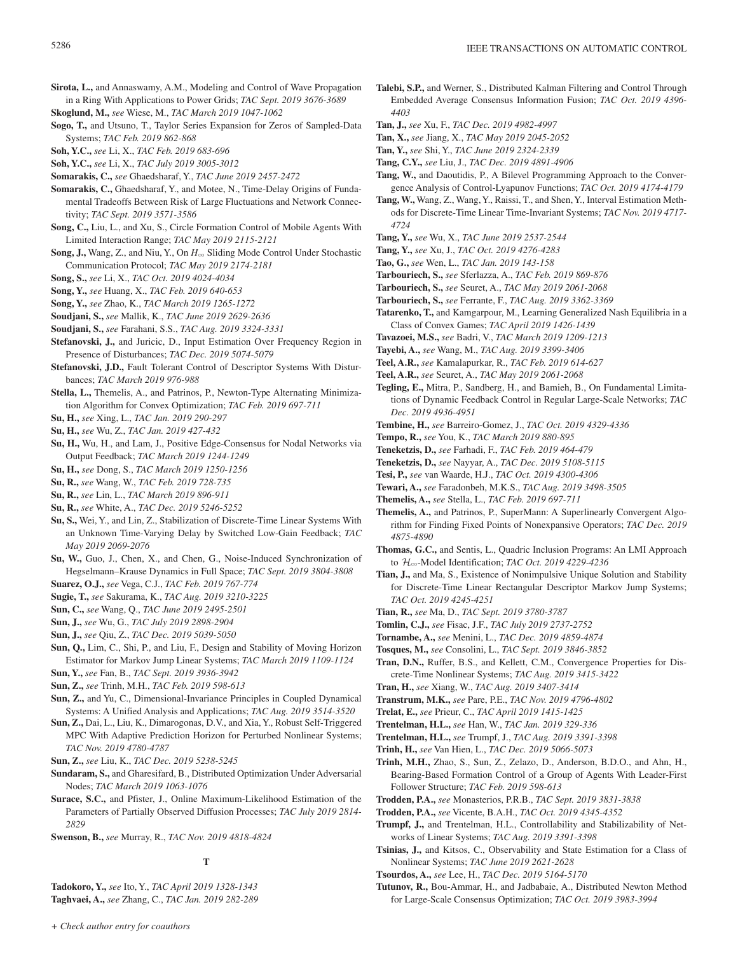- **Sirota, L.,** and Annaswamy, A.M., Modeling and Control of Wave Propagation in a Ring With Applications to Power Grids; *TAC Sept. 2019 3676-3689*
- **Skoglund, M.,** *see* Wiese, M., *TAC March 2019 1047-1062*
- **Sogo, T.,** and Utsuno, T., Taylor Series Expansion for Zeros of Sampled-Data Systems; *TAC Feb. 2019 862-868*
- **Soh, Y.C.,** *see* Li, X., *TAC Feb. 2019 683-696*

**Soh, Y.C.,** *see* Li, X., *TAC July 2019 3005-3012*

- **Somarakis, C.,** *see* Ghaedsharaf, Y., *TAC June 2019 2457-2472*
- **Somarakis, C.,** Ghaedsharaf, Y., and Motee, N., Time-Delay Origins of Fundamental Tradeoffs Between Risk of Large Fluctuations and Network Connectivity; *TAC Sept. 2019 3571-3586*
- **Song, C.,** Liu, L., and Xu, S., Circle Formation Control of Mobile Agents With Limited Interaction Range; *TAC May 2019 2115-2121*
- Song, J., Wang, Z., and Niu, Y., On *H*∞ Sliding Mode Control Under Stochastic Communication Protocol; *TAC May 2019 2174-2181*
- **Song, S.,** *see* Li, X., *TAC Oct. 2019 4024-4034*
- **Song, Y.,** *see* Huang, X., *TAC Feb. 2019 640-653*
- **Song, Y.,** *see* Zhao, K., *TAC March 2019 1265-1272*

**Soudjani, S.,** *see* Mallik, K., *TAC June 2019 2629-2636*

- **Soudjani, S.,** *see* Farahani, S.S., *TAC Aug. 2019 3324-3331*
- **Stefanovski, J.,** and Juricic, D., Input Estimation Over Frequency Region in Presence of Disturbances; *TAC Dec. 2019 5074-5079*
- **Stefanovski, J.D.,** Fault Tolerant Control of Descriptor Systems With Disturbances; *TAC March 2019 976-988*
- **Stella, L.,** Themelis, A., and Patrinos, P., Newton-Type Alternating Minimization Algorithm for Convex Optimization; *TAC Feb. 2019 697-711*
- **Su, H.,** *see* Xing, L., *TAC Jan. 2019 290-297*
- **Su, H.,** *see* Wu, Z., *TAC Jan. 2019 427-432*
- **Su, H.,** Wu, H., and Lam, J., Positive Edge-Consensus for Nodal Networks via Output Feedback; *TAC March 2019 1244-1249*
- **Su, H.,** *see* Dong, S., *TAC March 2019 1250-1256*
- **Su, R.,** *see* Wang, W., *TAC Feb. 2019 728-735*
- **Su, R.,** *see* Lin, L., *TAC March 2019 896-911*
- **Su, R.,** *see* White, A., *TAC Dec. 2019 5246-5252*
- **Su, S.,** Wei, Y., and Lin, Z., Stabilization of Discrete-Time Linear Systems With an Unknown Time-Varying Delay by Switched Low-Gain Feedback; *TAC May 2019 2069-2076*
- **Su, W.,** Guo, J., Chen, X., and Chen, G., Noise-Induced Synchronization of Hegselmann–Krause Dynamics in Full Space; *TAC Sept. 2019 3804-3808*
- **Suarez, O.J.,** *see* Vega, C.J., *TAC Feb. 2019 767-774*
- **Sugie, T.,** *see* Sakurama, K., *TAC Aug. 2019 3210-3225*
- **Sun, C.,** *see* Wang, Q., *TAC June 2019 2495-2501*
- **Sun, J.,** *see* Wu, G., *TAC July 2019 2898-2904*
- **Sun, J.,** *see* Qiu, Z., *TAC Dec. 2019 5039-5050*
- **Sun, Q.,** Lim, C., Shi, P., and Liu, F., Design and Stability of Moving Horizon Estimator for Markov Jump Linear Systems; *TAC March 2019 1109-1124*
- **Sun, Y.,** *see* Fan, B., *TAC Sept. 2019 3936-3942*
- **Sun, Z.,** *see* Trinh, M.H., *TAC Feb. 2019 598-613*
- **Sun, Z.,** and Yu, C., Dimensional-Invariance Principles in Coupled Dynamical Systems: A Unified Analysis and Applications; *TAC Aug. 2019 3514-3520*
- **Sun, Z.,** Dai, L., Liu, K., Dimarogonas, D.V., and Xia, Y., Robust Self-Triggered MPC With Adaptive Prediction Horizon for Perturbed Nonlinear Systems; *TAC Nov. 2019 4780-4787*
- **Sun, Z.,** *see* Liu, K., *TAC Dec. 2019 5238-5245*
- **Sundaram, S.,** and Gharesifard, B., Distributed Optimization Under Adversarial Nodes; *TAC March 2019 1063-1076*
- **Surace, S.C.,** and Pfister, J., Online Maximum-Likelihood Estimation of the Parameters of Partially Observed Diffusion Processes; *TAC July 2019 2814- 2829*
- **Swenson, B.,** *see* Murray, R., *TAC Nov. 2019 4818-4824*

### **T**

**Tadokoro, Y.,** *see* Ito, Y., *TAC April 2019 1328-1343* **Taghvaei, A.,** *see* Zhang, C., *TAC Jan. 2019 282-289*

- **Talebi, S.P.,** and Werner, S., Distributed Kalman Filtering and Control Through Embedded Average Consensus Information Fusion; *TAC Oct. 2019 4396- 4403*
- **Tan, J.,** *see* Xu, F., *TAC Dec. 2019 4982-4997*
- **Tan, X.,** *see* Jiang, X., *TAC May 2019 2045-2052*
- **Tan, Y.,** *see* Shi, Y., *TAC June 2019 2324-2339*
- **Tang, C.Y.,** *see* Liu, J., *TAC Dec. 2019 4891-4906*
- **Tang, W.,** and Daoutidis, P., A Bilevel Programming Approach to the Convergence Analysis of Control-Lyapunov Functions; *TAC Oct. 2019 4174-4179*
- **Tang, W.,** Wang, Z., Wang, Y., Raissi, T., and Shen, Y., Interval Estimation Methods for Discrete-Time Linear Time-Invariant Systems; *TAC Nov. 2019 4717- 4724*
- **Tang, Y.,** *see* Wu, X., *TAC June 2019 2537-2544*
- **Tang, Y.,** *see* Xu, J., *TAC Oct. 2019 4276-4283*
- **Tao, G.,** *see* Wen, L., *TAC Jan. 2019 143-158*
- **Tarbouriech, S.,** *see* Sferlazza, A., *TAC Feb. 2019 869-876*
- **Tarbouriech, S.,** *see* Seuret, A., *TAC May 2019 2061-2068*
- **Tarbouriech, S.,** *see* Ferrante, F., *TAC Aug. 2019 3362-3369*
- **Tatarenko, T.,** and Kamgarpour, M., Learning Generalized Nash Equilibria in a Class of Convex Games; *TAC April 2019 1426-1439*
- **Tavazoei, M.S.,** *see* Badri, V., *TAC March 2019 1209-1213*
- **Tayebi, A.,** *see* Wang, M., *TAC Aug. 2019 3399-3406*
- **Teel, A.R.,** *see* Kamalapurkar, R., *TAC Feb. 2019 614-627*
- **Teel, A.R.,** *see* Seuret, A., *TAC May 2019 2061-2068*
- **Tegling, E.,** Mitra, P., Sandberg, H., and Bamieh, B., On Fundamental Limitations of Dynamic Feedback Control in Regular Large-Scale Networks; *TAC Dec. 2019 4936-4951*
- **Tembine, H.,** *see* Barreiro-Gomez, J., *TAC Oct. 2019 4329-4336*
- **Tempo, R.,** *see* You, K., *TAC March 2019 880-895*
- **Teneketzis, D.,** *see* Farhadi, F., *TAC Feb. 2019 464-479*
- **Teneketzis, D.,** *see* Nayyar, A., *TAC Dec. 2019 5108-5115*
- **Tesi, P.,** *see* van Waarde, H.J., *TAC Oct. 2019 4300-4306*
- **Tewari, A.,** *see* Faradonbeh, M.K.S., *TAC Aug. 2019 3498-3505*
- **Themelis, A.,** *see* Stella, L., *TAC Feb. 2019 697-711*
- **Themelis, A.,** and Patrinos, P., SuperMann: A Superlinearly Convergent Algorithm for Finding Fixed Points of Nonexpansive Operators; *TAC Dec. 2019 4875-4890*
- **Thomas, G.C.,** and Sentis, L., Quadric Inclusion Programs: An LMI Approach to H3-Model Identification; *TAC Oct. 2019 4229-4236*
- **Tian, J.,** and Ma, S., Existence of Nonimpulsive Unique Solution and Stability for Discrete-Time Linear Rectangular Descriptor Markov Jump Systems; *TAC Oct. 2019 4245-4251*
- **Tian, R.,** *see* Ma, D., *TAC Sept. 2019 3780-3787*
- **Tomlin, C.J.,** *see* Fisac, J.F., *TAC July 2019 2737-2752*
- **Tornambe, A.,** *see* Menini, L., *TAC Dec. 2019 4859-4874*
- **Tosques, M.,** *see* Consolini, L., *TAC Sept. 2019 3846-3852*

**Tran, D.N.,** Ruffer, B.S., and Kellett, C.M., Convergence Properties for Discrete-Time Nonlinear Systems; *TAC Aug. 2019 3415-3422*

- **Tran, H.,** *see* Xiang, W., *TAC Aug. 2019 3407-3414*
- **Transtrum, M.K.,** *see* Pare, P.E., *TAC Nov. 2019 4796-4802*
- **Trelat, E.,** *see* Prieur, C., *TAC April 2019 1415-1425*
- **Trentelman, H.L.,** *see* Han, W., *TAC Jan. 2019 329-336*
- **Trentelman, H.L.,** *see* Trumpf, J., *TAC Aug. 2019 3391-3398*
- **Trinh, H.,** *see* Van Hien, L., *TAC Dec. 2019 5066-5073*
- **Trinh, M.H.,** Zhao, S., Sun, Z., Zelazo, D., Anderson, B.D.O., and Ahn, H., Bearing-Based Formation Control of a Group of Agents With Leader-First Follower Structure; *TAC Feb. 2019 598-613*
- **Trodden, P.A.,** *see* Monasterios, P.R.B., *TAC Sept. 2019 3831-3838*
- **Trodden, P.A.,** *see* Vicente, B.A.H., *TAC Oct. 2019 4345-4352*
- **Trumpf, J.,** and Trentelman, H.L., Controllability and Stabilizability of Networks of Linear Systems; *TAC Aug. 2019 3391-3398*
- **Tsinias, J.,** and Kitsos, C., Observability and State Estimation for a Class of Nonlinear Systems; *TAC June 2019 2621-2628*
- **Tsourdos, A.,** *see* Lee, H., *TAC Dec. 2019 5164-5170*
- **Tutunov, R.,** Bou-Ammar, H., and Jadbabaie, A., Distributed Newton Method for Large-Scale Consensus Optimization; *TAC Oct. 2019 3983-3994*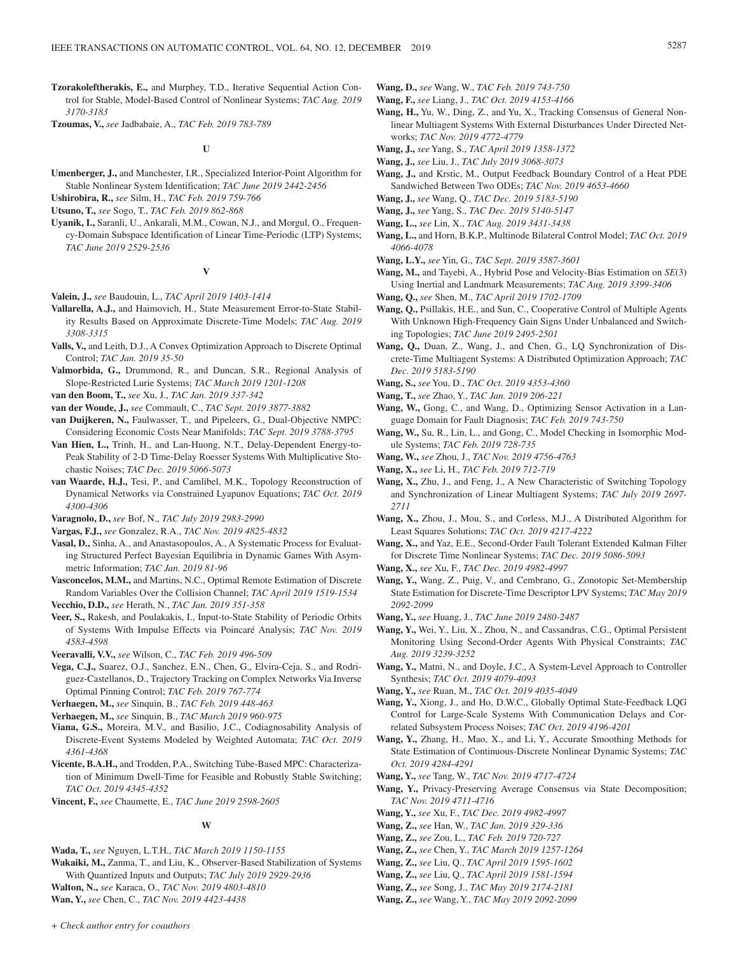**Tzorakoleftherakis, E.,** and Murphey, T.D., Iterative Sequential Action Control for Stable, Model-Based Control of Nonlinear Systems; *TAC Aug. 2019 3170-3183*

**Tzoumas, V.,** *see* Jadbabaie, A., *TAC Feb. 2019 783-789*

**U**

**Umenberger, J.,** and Manchester, I.R., Specialized Interior-Point Algorithm for Stable Nonlinear System Identification; *TAC June 2019 2442-2456*

**Ushirobira, R.,** *see* Silm, H., *TAC Feb. 2019 759-766*

**Utsuno, T.,** *see* Sogo, T., *TAC Feb. 2019 862-868*

**Uyanik, I.,** Saranli, U., Ankarali, M.M., Cowan, N.J., and Morgul, O., Frequency-Domain Subspace Identification of Linear Time-Periodic (LTP) Systems; *TAC June 2019 2529-2536*

#### **V**

- **Valein, J.,** *see* Baudouin, L., *TAC April 2019 1403-1414*
- **Vallarella, A.J.,** and Haimovich, H., State Measurement Error-to-State Stability Results Based on Approximate Discrete-Time Models; *TAC Aug. 2019 3308-3315*
- **Valls, V.,** and Leith, D.J., A Convex Optimization Approach to Discrete Optimal Control; *TAC Jan. 2019 35-50*
- **Valmorbida, G.,** Drummond, R., and Duncan, S.R., Regional Analysis of Slope-Restricted Lurie Systems; *TAC March 2019 1201-1208*

**van den Boom, T.,** *see* Xu, J., *TAC Jan. 2019 337-342*

- **van der Woude, J.,** *see* Commault, C., *TAC Sept. 2019 3877-3882*
- **van Duijkeren, N.,** Faulwasser, T., and Pipeleers, G., Dual-Objective NMPC: Considering Economic Costs Near Manifolds; *TAC Sept. 2019 3788-3795*
- **Van Hien, L.,** Trinh, H., and Lan-Huong, N.T., Delay-Dependent Energy-to-Peak Stability of 2-D Time-Delay Roesser Systems With Multiplicative Stochastic Noises; *TAC Dec. 2019 5066-5073*
- **van Waarde, H.J.,** Tesi, P., and Camlibel, M.K., Topology Reconstruction of Dynamical Networks via Constrained Lyapunov Equations; *TAC Oct. 2019 4300-4306*

**Varagnolo, D.,** *see* Bof, N., *TAC July 2019 2983-2990*

- **Vargas, F.J.,** *see* Gonzalez, R.A., *TAC Nov. 2019 4825-4832*
- **Vasal, D.,** Sinha, A., and Anastasopoulos, A., A Systematic Process for Evaluating Structured Perfect Bayesian Equilibria in Dynamic Games With Asymmetric Information; *TAC Jan. 2019 81-96*
- **Vasconcelos, M.M.,** and Martins, N.C., Optimal Remote Estimation of Discrete Random Variables Over the Collision Channel; *TAC April 2019 1519-1534*
- **Vecchio, D.D.,** *see* Herath, N., *TAC Jan. 2019 351-358*
- **Veer, S.,** Rakesh, and Poulakakis, I., Input-to-State Stability of Periodic Orbits of Systems With Impulse Effects via Poincaré Analysis; *TAC Nov. 2019 4583-4598*

**Veeravalli, V.V.,** *see* Wilson, C., *TAC Feb. 2019 496-509*

**Vega, C.J.,** Suarez, O.J., Sanchez, E.N., Chen, G., Elvira-Ceja, S., and Rodriguez-Castellanos, D., Trajectory Tracking on Complex Networks Via Inverse Optimal Pinning Control; *TAC Feb. 2019 767-774*

**Verhaegen, M.,** *see* Sinquin, B., *TAC Feb. 2019 448-463*

**Verhaegen, M.,** *see* Sinquin, B., *TAC March 2019 960-975*

- **Viana, G.S.,** Moreira, M.V., and Basilio, J.C., Codiagnosability Analysis of Discrete-Event Systems Modeled by Weighted Automata; *TAC Oct. 2019 4361-4368*
- **Vicente, B.A.H.,** and Trodden, P.A., Switching Tube-Based MPC: Characterization of Minimum Dwell-Time for Feasible and Robustly Stable Switching; *TAC Oct. 2019 4345-4352*
- **Vincent, F.,** *see* Chaumette, E., *TAC June 2019 2598-2605*

#### **W**

**Wada, T.,** *see* Nguyen, L.T.H., *TAC March 2019 1150-1155*

**Wakaiki, M.,** Zanma, T., and Liu, K., Observer-Based Stabilization of Systems With Quantized Inputs and Outputs; *TAC July 2019 2929-2936* **Walton, N.,** *see* Karaca, O., *TAC Nov. 2019 4803-4810*

**Wan, Y.,** *see* Chen, C., *TAC Nov. 2019 4423-4438*

- **Wang, D.,** *see* Wang, W., *TAC Feb. 2019 743-750*
- **Wang, F.,** *see* Liang, J., *TAC Oct. 2019 4153-4166*
- **Wang, H.,** Yu, W., Ding, Z., and Yu, X., Tracking Consensus of General Nonlinear Multiagent Systems With External Disturbances Under Directed Networks; *TAC Nov. 2019 4772-4779*
- **Wang, J.,** *see* Yang, S., *TAC April 2019 1358-1372*
- **Wang, J.,** *see* Liu, J., *TAC July 2019 3068-3073*
- **Wang, J.,** and Krstic, M., Output Feedback Boundary Control of a Heat PDE Sandwiched Between Two ODEs; *TAC Nov. 2019 4653-4660*
- **Wang, J.,** *see* Wang, Q., *TAC Dec. 2019 5183-5190*
- **Wang, J.,** *see* Yang, S., *TAC Dec. 2019 5140-5147*
- **Wang, L.,** *see* Lin, X., *TAC Aug. 2019 3431-3438*
- **Wang, L.,** and Horn, B.K.P., Multinode Bilateral Control Model; *TAC Oct. 2019 4066-4078*
- **Wang, L.Y.,** *see* Yin, G., *TAC Sept. 2019 3587-3601*
- **Wang, M.,** and Tayebi, A., Hybrid Pose and Velocity-Bias Estimation on *SE*(3) Using Inertial and Landmark Measurements; *TAC Aug. 2019 3399-3406*
- **Wang, Q.,** *see* Shen, M., *TAC April 2019 1702-1709*
- **Wang, Q.,** Psillakis, H.E., and Sun, C., Cooperative Control of Multiple Agents With Unknown High-Frequency Gain Signs Under Unbalanced and Switching Topologies; *TAC June 2019 2495-2501*
- **Wang, Q.,** Duan, Z., Wang, J., and Chen, G., LQ Synchronization of Discrete-Time Multiagent Systems: A Distributed Optimization Approach; *TAC Dec. 2019 5183-5190*
- **Wang, S.,** *see* You, D., *TAC Oct. 2019 4353-4360*
- **Wang, T.,** *see* Zhao, Y., *TAC Jan. 2019 206-221*
- **Wang, W.,** Gong, C., and Wang, D., Optimizing Sensor Activation in a Language Domain for Fault Diagnosis; *TAC Feb. 2019 743-750*
- **Wang, W.,** Su, R., Lin, L., and Gong, C., Model Checking in Isomorphic Module Systems; *TAC Feb. 2019 728-735*
- **Wang, W.,** *see* Zhou, J., *TAC Nov. 2019 4756-4763*
- **Wang, X.,** *see* Li, H., *TAC Feb. 2019 712-719*
- **Wang, X.,** Zhu, J., and Feng, J., A New Characteristic of Switching Topology and Synchronization of Linear Multiagent Systems; *TAC July 2019 2697- 2711*
- **Wang, X.,** Zhou, J., Mou, S., and Corless, M.J., A Distributed Algorithm for Least Squares Solutions; *TAC Oct. 2019 4217-4222*
- **Wang, X.,** and Yaz, E.E., Second-Order Fault Tolerant Extended Kalman Filter for Discrete Time Nonlinear Systems; *TAC Dec. 2019 5086-5093*
- **Wang, X.,** *see* Xu, F., *TAC Dec. 2019 4982-4997*
- **Wang, Y.,** Wang, Z., Puig, V., and Cembrano, G., Zonotopic Set-Membership State Estimation for Discrete-Time Descriptor LPV Systems; *TAC May 2019 2092-2099*
- **Wang, Y.,** *see* Huang, J., *TAC June 2019 2480-2487*
- **Wang, Y.,** Wei, Y., Liu, X., Zhou, N., and Cassandras, C.G., Optimal Persistent Monitoring Using Second-Order Agents With Physical Constraints; *TAC Aug. 2019 3239-3252*
- **Wang, Y.,** Matni, N., and Doyle, J.C., A System-Level Approach to Controller Synthesis; *TAC Oct. 2019 4079-4093*

**Wang, Y.,** *see* Ruan, M., *TAC Oct. 2019 4035-4049*

- **Wang, Y.,** Xiong, J., and Ho, D.W.C., Globally Optimal State-Feedback LQG Control for Large-Scale Systems With Communication Delays and Correlated Subsystem Process Noises; *TAC Oct. 2019 4196-4201*
- **Wang, Y.,** Zhang, H., Mao, X., and Li, Y., Accurate Smoothing Methods for State Estimation of Continuous-Discrete Nonlinear Dynamic Systems; *TAC Oct. 2019 4284-4291*
- **Wang, Y.,** *see* Tang, W., *TAC Nov. 2019 4717-4724*
- **Wang, Y.,** Privacy-Preserving Average Consensus via State Decomposition; *TAC Nov. 2019 4711-4716*
- **Wang, Y.,** *see* Xu, F., *TAC Dec. 2019 4982-4997*
- **Wang, Z.,** *see* Han, W., *TAC Jan. 2019 329-336*
- **Wang, Z.,** *see* Zou, L., *TAC Feb. 2019 720-727*
- **Wang, Z.,** *see* Chen, Y., *TAC March 2019 1257-1264*
- **Wang, Z.,** *see* Liu, Q., *TAC April 2019 1595-1602*
- **Wang, Z.,** *see* Liu, Q., *TAC April 2019 1581-1594*
- **Wang, Z.,** *see* Song, J., *TAC May 2019 2174-2181*
- **Wang, Z.,** *see* Wang, Y., *TAC May 2019 2092-2099*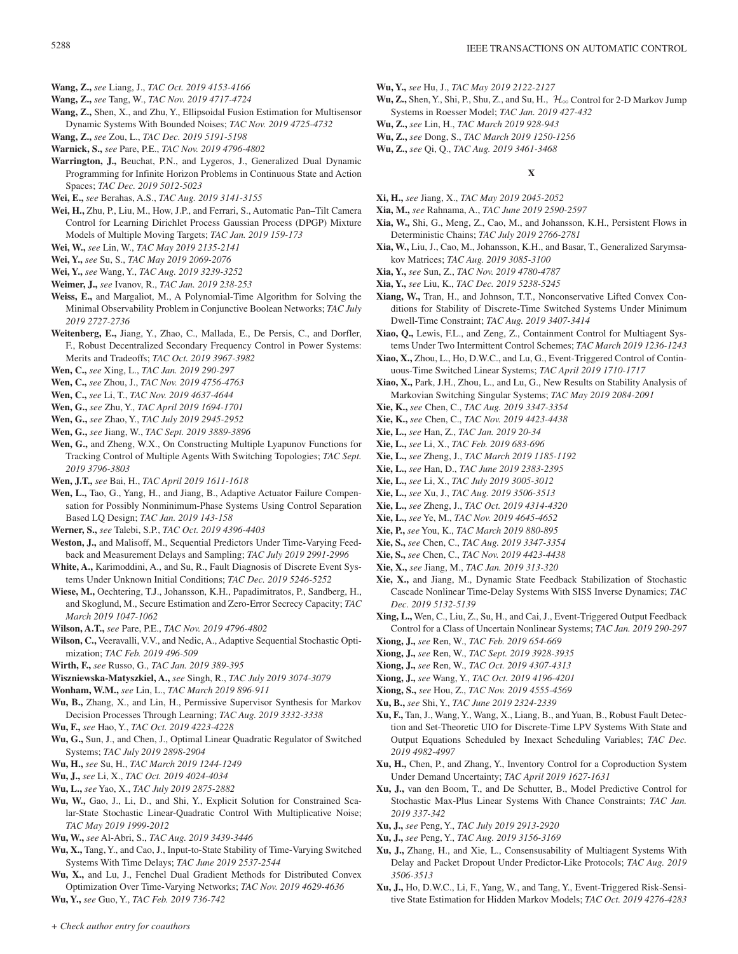- **Wang, Z.,** *see* Liang, J., *TAC Oct. 2019 4153-4166*
- **Wang, Z.,** *see* Tang, W., *TAC Nov. 2019 4717-4724*
- **Wang, Z.,** Shen, X., and Zhu, Y., Ellipsoidal Fusion Estimation for Multisensor Dynamic Systems With Bounded Noises; *TAC Nov. 2019 4725-4732*
- **Wang, Z.,** *see* Zou, L., *TAC Dec. 2019 5191-5198*
- **Warnick, S.,** *see* Pare, P.E., *TAC Nov. 2019 4796-4802*
- **Warrington, J.,** Beuchat, P.N., and Lygeros, J., Generalized Dual Dynamic Programming for Infinite Horizon Problems in Continuous State and Action Spaces; *TAC Dec. 2019 5012-5023*
- **Wei, E.,** *see* Berahas, A.S., *TAC Aug. 2019 3141-3155*
- **Wei, H.,** Zhu, P., Liu, M., How, J.P., and Ferrari, S., Automatic Pan–Tilt Camera Control for Learning Dirichlet Process Gaussian Process (DPGP) Mixture Models of Multiple Moving Targets; *TAC Jan. 2019 159-173*
- **Wei, W.,** *see* Lin, W., *TAC May 2019 2135-2141*
- **Wei, Y.,** *see* Su, S., *TAC May 2019 2069-2076*
- **Wei, Y.,** *see* Wang, Y., *TAC Aug. 2019 3239-3252*
- **Weimer, J.,** *see* Ivanov, R., *TAC Jan. 2019 238-253*
- **Weiss, E.,** and Margaliot, M., A Polynomial-Time Algorithm for Solving the Minimal Observability Problem in Conjunctive Boolean Networks; *TAC July 2019 2727-2736*
- **Weitenberg, E.,** Jiang, Y., Zhao, C., Mallada, E., De Persis, C., and Dorfler, F., Robust Decentralized Secondary Frequency Control in Power Systems: Merits and Tradeoffs; *TAC Oct. 2019 3967-3982*
- **Wen, C.,** *see* Xing, L., *TAC Jan. 2019 290-297*
- **Wen, C.,** *see* Zhou, J., *TAC Nov. 2019 4756-4763*
- **Wen, C.,** *see* Li, T., *TAC Nov. 2019 4637-4644*
- **Wen, G.,** *see* Zhu, Y., *TAC April 2019 1694-1701*
- **Wen, G.,** *see* Zhao, Y., *TAC July 2019 2945-2952*
- **Wen, G.,** *see* Jiang, W., *TAC Sept. 2019 3889-3896*
- **Wen, G.,** and Zheng, W.X., On Constructing Multiple Lyapunov Functions for Tracking Control of Multiple Agents With Switching Topologies; *TAC Sept. 2019 3796-3803*
- **Wen, J.T.,** *see* Bai, H., *TAC April 2019 1611-1618*
- **Wen, L.,** Tao, G., Yang, H., and Jiang, B., Adaptive Actuator Failure Compensation for Possibly Nonminimum-Phase Systems Using Control Separation Based LQ Design; *TAC Jan. 2019 143-158*
- **Werner, S.,** *see* Talebi, S.P., *TAC Oct. 2019 4396-4403*
- **Weston, J.,** and Malisoff, M., Sequential Predictors Under Time-Varying Feedback and Measurement Delays and Sampling; *TAC July 2019 2991-2996*
- **White, A.,** Karimoddini, A., and Su, R., Fault Diagnosis of Discrete Event Systems Under Unknown Initial Conditions; *TAC Dec. 2019 5246-5252*
- **Wiese, M.,** Oechtering, T.J., Johansson, K.H., Papadimitratos, P., Sandberg, H., and Skoglund, M., Secure Estimation and Zero-Error Secrecy Capacity; *TAC March 2019 1047-1062*
- **Wilson, A.T.,** *see* Pare, P.E., *TAC Nov. 2019 4796-4802*
- **Wilson, C.,** Veeravalli, V.V., and Nedic, A., Adaptive Sequential Stochastic Optimization; *TAC Feb. 2019 496-509*
- **Wirth, F.,** *see* Russo, G., *TAC Jan. 2019 389-395*
- **Wiszniewska-Matyszkiel, A.,** *see* Singh, R., *TAC July 2019 3074-3079*
- **Wonham, W.M.,** *see* Lin, L., *TAC March 2019 896-911*
- **Wu, B.,** Zhang, X., and Lin, H., Permissive Supervisor Synthesis for Markov Decision Processes Through Learning; *TAC Aug. 2019 3332-3338*
- **Wu, F.,** *see* Hao, Y., *TAC Oct. 2019 4223-4228*
- **Wu, G.,** Sun, J., and Chen, J., Optimal Linear Quadratic Regulator of Switched Systems; *TAC July 2019 2898-2904*
- **Wu, H.,** *see* Su, H., *TAC March 2019 1244-1249*
- **Wu, J.,** *see* Li, X., *TAC Oct. 2019 4024-4034*
- **Wu, L.,** *see* Yao, X., *TAC July 2019 2875-2882*
- **Wu, W.,** Gao, J., Li, D., and Shi, Y., Explicit Solution for Constrained Scalar-State Stochastic Linear-Quadratic Control With Multiplicative Noise; *TAC May 2019 1999-2012*
- **Wu, W.,** *see* Al-Abri, S., *TAC Aug. 2019 3439-3446*
- **Wu, X.,** Tang, Y., and Cao, J., Input-to-State Stability of Time-Varying Switched Systems With Time Delays; *TAC June 2019 2537-2544*
- **Wu, X.,** and Lu, J., Fenchel Dual Gradient Methods for Distributed Convex Optimization Over Time-Varying Networks; *TAC Nov. 2019 4629-4636*
- **Wu, Y.,** *see* Guo, Y., *TAC Feb. 2019 736-742*
- **Wu, Y.,** *see* Hu, J., *TAC May 2019 2122-2127*
- Wu, Z., Shen, Y., Shi, P., Shu, Z., and Su, H.,  $\mathcal{H}_{\infty}$  Control for 2-D Markov Jump Systems in Roesser Model; *TAC Jan. 2019 427-432*
- **Wu, Z.,** *see* Lin, H., *TAC March 2019 928-943*
- **Wu, Z.,** *see* Dong, S., *TAC March 2019 1250-1256*
- **Wu, Z.,** *see* Qi, Q., *TAC Aug. 2019 3461-3468*

### **X**

- **Xi, H.,** *see* Jiang, X., *TAC May 2019 2045-2052*
- **Xia, M.,** *see* Rahnama, A., *TAC June 2019 2590-2597*
- **Xia, W.,** Shi, G., Meng, Z., Cao, M., and Johansson, K.H., Persistent Flows in Deterministic Chains; *TAC July 2019 2766-2781*
- **Xia, W.,** Liu, J., Cao, M., Johansson, K.H., and Basar, T., Generalized Sarymsakov Matrices; *TAC Aug. 2019 3085-3100*
- **Xia, Y.,** *see* Sun, Z., *TAC Nov. 2019 4780-4787*
- **Xia, Y.,** *see* Liu, K., *TAC Dec. 2019 5238-5245*
- **Xiang, W.,** Tran, H., and Johnson, T.T., Nonconservative Lifted Convex Conditions for Stability of Discrete-Time Switched Systems Under Minimum Dwell-Time Constraint; *TAC Aug. 2019 3407-3414*
- **Xiao, Q.,** Lewis, F.L., and Zeng, Z., Containment Control for Multiagent Systems Under Two Intermittent Control Schemes; *TAC March 2019 1236-1243*
- **Xiao, X.,** Zhou, L., Ho, D.W.C., and Lu, G., Event-Triggered Control of Continuous-Time Switched Linear Systems; *TAC April 2019 1710-1717*
- **Xiao, X.,** Park, J.H., Zhou, L., and Lu, G., New Results on Stability Analysis of Markovian Switching Singular Systems; *TAC May 2019 2084-2091*
- **Xie, K.,** *see* Chen, C., *TAC Aug. 2019 3347-3354*
- **Xie, K.,** *see* Chen, C., *TAC Nov. 2019 4423-4438*
- **Xie, L.,** *see* Han, Z., *TAC Jan. 2019 20-34*
- **Xie, L.,** *see* Li, X., *TAC Feb. 2019 683-696*
- **Xie, L.,** *see* Zheng, J., *TAC March 2019 1185-1192*
- **Xie, L.,** *see* Han, D., *TAC June 2019 2383-2395*
- **Xie, L.,** *see* Li, X., *TAC July 2019 3005-3012*
- **Xie, L.,** *see* Xu, J., *TAC Aug. 2019 3506-3513*
- **Xie, L.,** *see* Zheng, J., *TAC Oct. 2019 4314-4320*
- **Xie, L.,** *see* Ye, M., *TAC Nov. 2019 4645-4652*
- **Xie, P.,** *see* You, K., *TAC March 2019 880-895*
- **Xie, S.,** *see* Chen, C., *TAC Aug. 2019 3347-3354*
- **Xie, S.,** *see* Chen, C., *TAC Nov. 2019 4423-4438*
- **Xie, X.,** *see* Jiang, M., *TAC Jan. 2019 313-320*
- **Xie, X.,** and Jiang, M., Dynamic State Feedback Stabilization of Stochastic Cascade Nonlinear Time-Delay Systems With SISS Inverse Dynamics; *TAC Dec. 2019 5132-5139*
- **Xing, L.,** Wen, C., Liu, Z., Su, H., and Cai, J., Event-Triggered Output Feedback Control for a Class of Uncertain Nonlinear Systems; *TAC Jan. 2019 290-297*
- **Xiong, J.,** *see* Ren, W., *TAC Feb. 2019 654-669*
- **Xiong, J.,** *see* Ren, W., *TAC Sept. 2019 3928-3935*
- **Xiong, J.,** *see* Ren, W., *TAC Oct. 2019 4307-4313*
- **Xiong, J.,** *see* Wang, Y., *TAC Oct. 2019 4196-4201*
- **Xiong, S.,** *see* Hou, Z., *TAC Nov. 2019 4555-4569*
- **Xu, B.,** *see* Shi, Y., *TAC June 2019 2324-2339*
- **Xu, F.,** Tan, J., Wang, Y., Wang, X., Liang, B., and Yuan, B., Robust Fault Detection and Set-Theoretic UIO for Discrete-Time LPV Systems With State and Output Equations Scheduled by Inexact Scheduling Variables; *TAC Dec. 2019 4982-4997*
- **Xu, H.,** Chen, P., and Zhang, Y., Inventory Control for a Coproduction System Under Demand Uncertainty; *TAC April 2019 1627-1631*
- **Xu, J.,** van den Boom, T., and De Schutter, B., Model Predictive Control for Stochastic Max-Plus Linear Systems With Chance Constraints; *TAC Jan. 2019 337-342*
- **Xu, J.,** *see* Peng, Y., *TAC July 2019 2913-2920*
- **Xu, J.,** *see* Peng, Y., *TAC Aug. 2019 3156-3169*
- **Xu, J.,** Zhang, H., and Xie, L., Consensusability of Multiagent Systems With Delay and Packet Dropout Under Predictor-Like Protocols; *TAC Aug. 2019 3506-3513*
- **Xu, J.,** Ho, D.W.C., Li, F., Yang, W., and Tang, Y., Event-Triggered Risk-Sensitive State Estimation for Hidden Markov Models; *TAC Oct. 2019 4276-4283*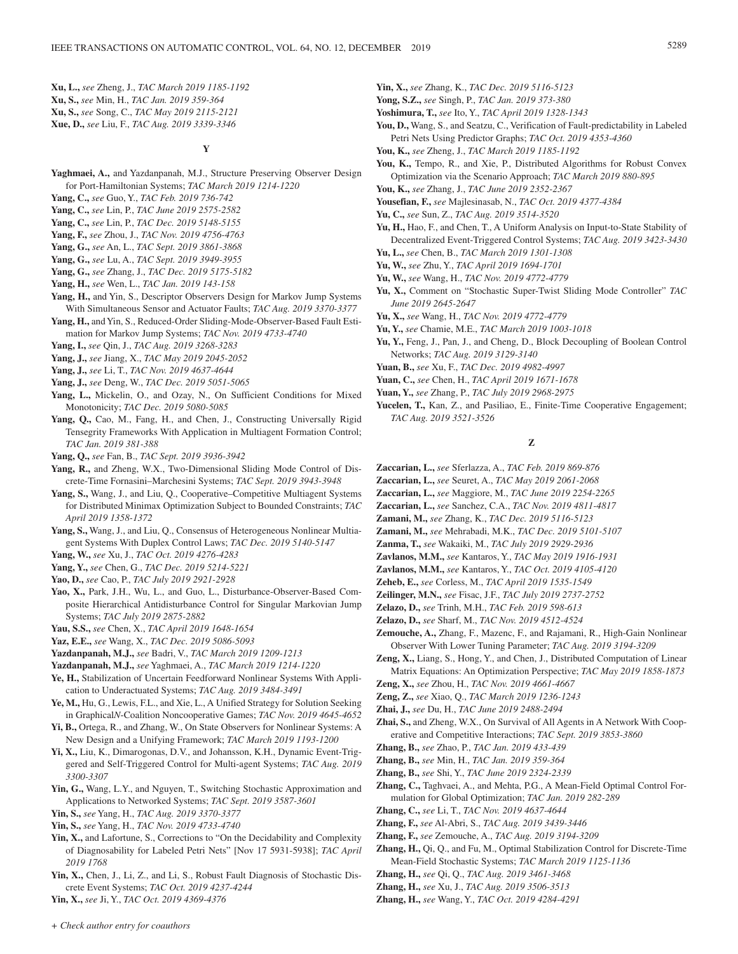**Xu, L.,** *see* Zheng, J., *TAC March 2019 1185-1192* **Xu, S.,** *see* Min, H., *TAC Jan. 2019 359-364* **Xu, S.,** *see* Song, C., *TAC May 2019 2115-2121* **Xue, D.,** *see* Liu, F., *TAC Aug. 2019 3339-3346*

### **Y**

- **Yaghmaei, A.,** and Yazdanpanah, M.J., Structure Preserving Observer Design for Port-Hamiltonian Systems; *TAC March 2019 1214-1220*
- **Yang, C.,** *see* Guo, Y., *TAC Feb. 2019 736-742*
- **Yang, C.,** *see* Lin, P., *TAC June 2019 2575-2582*
- **Yang, C.,** *see* Lin, P., *TAC Dec. 2019 5148-5155*
- **Yang, F.,** *see* Zhou, J., *TAC Nov. 2019 4756-4763*
- **Yang, G.,** *see* An, L., *TAC Sept. 2019 3861-3868*
- **Yang, G.,** *see* Lu, A., *TAC Sept. 2019 3949-3955*
- **Yang, G.,** *see* Zhang, J., *TAC Dec. 2019 5175-5182*
- **Yang, H.,** *see* Wen, L., *TAC Jan. 2019 143-158*
- Yang, H., and Yin, S., Descriptor Observers Design for Markov Jump Systems With Simultaneous Sensor and Actuator Faults; *TAC Aug. 2019 3370-3377*
- **Yang, H.,** and Yin, S., Reduced-Order Sliding-Mode-Observer-Based Fault Estimation for Markov Jump Systems; *TAC Nov. 2019 4733-4740*
- **Yang, I.,** *see* Qin, J., *TAC Aug. 2019 3268-3283*
- **Yang, J.,** *see* Jiang, X., *TAC May 2019 2045-2052*
- **Yang, J.,** *see* Li, T., *TAC Nov. 2019 4637-4644*
- **Yang, J.,** *see* Deng, W., *TAC Dec. 2019 5051-5065*
- Yang, L., Mickelin, O., and Ozay, N., On Sufficient Conditions for Mixed Monotonicity; *TAC Dec. 2019 5080-5085*
- **Yang, Q.,** Cao, M., Fang, H., and Chen, J., Constructing Universally Rigid Tensegrity Frameworks With Application in Multiagent Formation Control; *TAC Jan. 2019 381-388*
- **Yang, Q.,** *see* Fan, B., *TAC Sept. 2019 3936-3942*
- **Yang, R.,** and Zheng, W.X., Two-Dimensional Sliding Mode Control of Discrete-Time Fornasini–Marchesini Systems; *TAC Sept. 2019 3943-3948*
- Yang, S., Wang, J., and Liu, Q., Cooperative–Competitive Multiagent Systems for Distributed Minimax Optimization Subject to Bounded Constraints; *TAC April 2019 1358-1372*
- **Yang, S.,** Wang, J., and Liu, Q., Consensus of Heterogeneous Nonlinear Multiagent Systems With Duplex Control Laws; *TAC Dec. 2019 5140-5147*
- **Yang, W.,** *see* Xu, J., *TAC Oct. 2019 4276-4283*
- **Yang, Y.,** *see* Chen, G., *TAC Dec. 2019 5214-5221*
- **Yao, D.,** *see* Cao, P., *TAC July 2019 2921-2928*
- **Yao, X.,** Park, J.H., Wu, L., and Guo, L., Disturbance-Observer-Based Composite Hierarchical Antidisturbance Control for Singular Markovian Jump Systems; *TAC July 2019 2875-2882*
- **Yau, S.S.,** *see* Chen, X., *TAC April 2019 1648-1654*
- **Yaz, E.E.,** *see* Wang, X., *TAC Dec. 2019 5086-5093*
- **Yazdanpanah, M.J.,** *see* Badri, V., *TAC March 2019 1209-1213*
- **Yazdanpanah, M.J.,** *see* Yaghmaei, A., *TAC March 2019 1214-1220*
- **Ye, H.,** Stabilization of Uncertain Feedforward Nonlinear Systems With Application to Underactuated Systems; *TAC Aug. 2019 3484-3491*
- **Ye, M.,** Hu, G., Lewis, F.L., and Xie, L., A Unified Strategy for Solution Seeking in Graphical*N*-Coalition Noncooperative Games; *TAC Nov. 2019 4645-4652*
- **Yi, B.,** Ortega, R., and Zhang, W., On State Observers for Nonlinear Systems: A New Design and a Unifying Framework; *TAC March 2019 1193-1200*
- **Yi, X.,** Liu, K., Dimarogonas, D.V., and Johansson, K.H., Dynamic Event-Triggered and Self-Triggered Control for Multi-agent Systems; *TAC Aug. 2019 3300-3307*
- **Yin, G.,** Wang, L.Y., and Nguyen, T., Switching Stochastic Approximation and Applications to Networked Systems; *TAC Sept. 2019 3587-3601*
- **Yin, S.,** *see* Yang, H., *TAC Aug. 2019 3370-3377*
- **Yin, S.,** *see* Yang, H., *TAC Nov. 2019 4733-4740*
- **Yin, X.,** and Lafortune, S., Corrections to "On the Decidability and Complexity of Diagnosability for Labeled Petri Nets" [Nov 17 5931-5938]; *TAC April 2019 1768*

**Yin, X.,** Chen, J., Li, Z., and Li, S., Robust Fault Diagnosis of Stochastic Discrete Event Systems; *TAC Oct. 2019 4237-4244*

**Yin, X.,** *see* Ji, Y., *TAC Oct. 2019 4369-4376*

- **Yin, X.,** *see* Zhang, K., *TAC Dec. 2019 5116-5123*
- **Yong, S.Z.,** *see* Singh, P., *TAC Jan. 2019 373-380*
- **Yoshimura, T.,** *see* Ito, Y., *TAC April 2019 1328-1343*
- **You, D.,** Wang, S., and Seatzu, C., Verification of Fault-predictability in Labeled Petri Nets Using Predictor Graphs; *TAC Oct. 2019 4353-4360*
- **You, K.,** *see* Zheng, J., *TAC March 2019 1185-1192*
- **You, K.,** Tempo, R., and Xie, P., Distributed Algorithms for Robust Convex Optimization via the Scenario Approach; *TAC March 2019 880-895*
- **You, K.,** *see* Zhang, J., *TAC June 2019 2352-2367*
- **Yousefian, F.,** *see* Majlesinasab, N., *TAC Oct. 2019 4377-4384*
- **Yu, C.,** *see* Sun, Z., *TAC Aug. 2019 3514-3520*
- **Yu, H.,** Hao, F., and Chen, T., A Uniform Analysis on Input-to-State Stability of Decentralized Event-Triggered Control Systems; *TAC Aug. 2019 3423-3430*
- **Yu, L.,** *see* Chen, B., *TAC March 2019 1301-1308*
- **Yu, W.,** *see* Zhu, Y., *TAC April 2019 1694-1701*
- **Yu, W.,** *see* Wang, H., *TAC Nov. 2019 4772-4779*
- **Yu, X.,** Comment on "Stochastic Super-Twist Sliding Mode Controller" *TAC June 2019 2645-2647*
- **Yu, X.,** *see* Wang, H., *TAC Nov. 2019 4772-4779*
- **Yu, Y.,** *see* Chamie, M.E., *TAC March 2019 1003-1018*
- **Yu, Y.,** Feng, J., Pan, J., and Cheng, D., Block Decoupling of Boolean Control Networks; *TAC Aug. 2019 3129-3140*
- **Yuan, B.,** *see* Xu, F., *TAC Dec. 2019 4982-4997*
- **Yuan, C.,** *see* Chen, H., *TAC April 2019 1671-1678*
- **Yuan, Y.,** *see* Zhang, P., *TAC July 2019 2968-2975*
- **Yucelen, T.,** Kan, Z., and Pasiliao, E., Finite-Time Cooperative Engagement; *TAC Aug. 2019 3521-3526*

### **Z**

- **Zaccarian, L.,** *see* Sferlazza, A., *TAC Feb. 2019 869-876*
- **Zaccarian, L.,** *see* Seuret, A., *TAC May 2019 2061-2068*
- **Zaccarian, L.,** *see* Maggiore, M., *TAC June 2019 2254-2265*
- **Zaccarian, L.,** *see* Sanchez, C.A., *TAC Nov. 2019 4811-4817*
- **Zamani, M.,** *see* Zhang, K., *TAC Dec. 2019 5116-5123*
- **Zamani, M.,** *see* Mehrabadi, M.K., *TAC Dec. 2019 5101-5107*
- **Zanma, T.,** *see* Wakaiki, M., *TAC July 2019 2929-2936*
- **Zavlanos, M.M.,** *see* Kantaros, Y., *TAC May 2019 1916-1931*
- **Zavlanos, M.M.,** *see* Kantaros, Y., *TAC Oct. 2019 4105-4120*
- **Zeheb, E.,** *see* Corless, M., *TAC April 2019 1535-1549*
- **Zeilinger, M.N.,** *see* Fisac, J.F., *TAC July 2019 2737-2752*
- **Zelazo, D.,** *see* Trinh, M.H., *TAC Feb. 2019 598-613*
- **Zelazo, D.,** *see* Sharf, M., *TAC Nov. 2019 4512-4524*
- **Zemouche, A.,** Zhang, F., Mazenc, F., and Rajamani, R., High-Gain Nonlinear Observer With Lower Tuning Parameter; *TAC Aug. 2019 3194-3209*
- **Zeng, X.,** Liang, S., Hong, Y., and Chen, J., Distributed Computation of Linear Matrix Equations: An Optimization Perspective; *TAC May 2019 1858-1873*
- **Zeng, X.,** *see* Zhou, H., *TAC Nov. 2019 4661-4667*
- **Zeng, Z.,** *see* Xiao, Q., *TAC March 2019 1236-1243*
- **Zhai, J.,** *see* Du, H., *TAC June 2019 2488-2494*
- **Zhai, S.,** and Zheng, W.X., On Survival of All Agents in A Network With Cooperative and Competitive Interactions; *TAC Sept. 2019 3853-3860*
- **Zhang, B.,** *see* Zhao, P., *TAC Jan. 2019 433-439*
- **Zhang, B.,** *see* Min, H., *TAC Jan. 2019 359-364*
- **Zhang, B.,** *see* Shi, Y., *TAC June 2019 2324-2339*
- **Zhang, C.,** Taghvaei, A., and Mehta, P.G., A Mean-Field Optimal Control Formulation for Global Optimization; *TAC Jan. 2019 282-289*
- **Zhang, C.,** *see* Li, T., *TAC Nov. 2019 4637-4644*
- **Zhang, F.,** *see* Al-Abri, S., *TAC Aug. 2019 3439-3446*
- **Zhang, F.,** *see* Zemouche, A., *TAC Aug. 2019 3194-3209*
- **Zhang, H.,** Qi, Q., and Fu, M., Optimal Stabilization Control for Discrete-Time Mean-Field Stochastic Systems; *TAC March 2019 1125-1136*
- **Zhang, H.,** *see* Qi, Q., *TAC Aug. 2019 3461-3468*
- **Zhang, H.,** *see* Xu, J., *TAC Aug. 2019 3506-3513*
- **Zhang, H.,** *see* Wang, Y., *TAC Oct. 2019 4284-4291*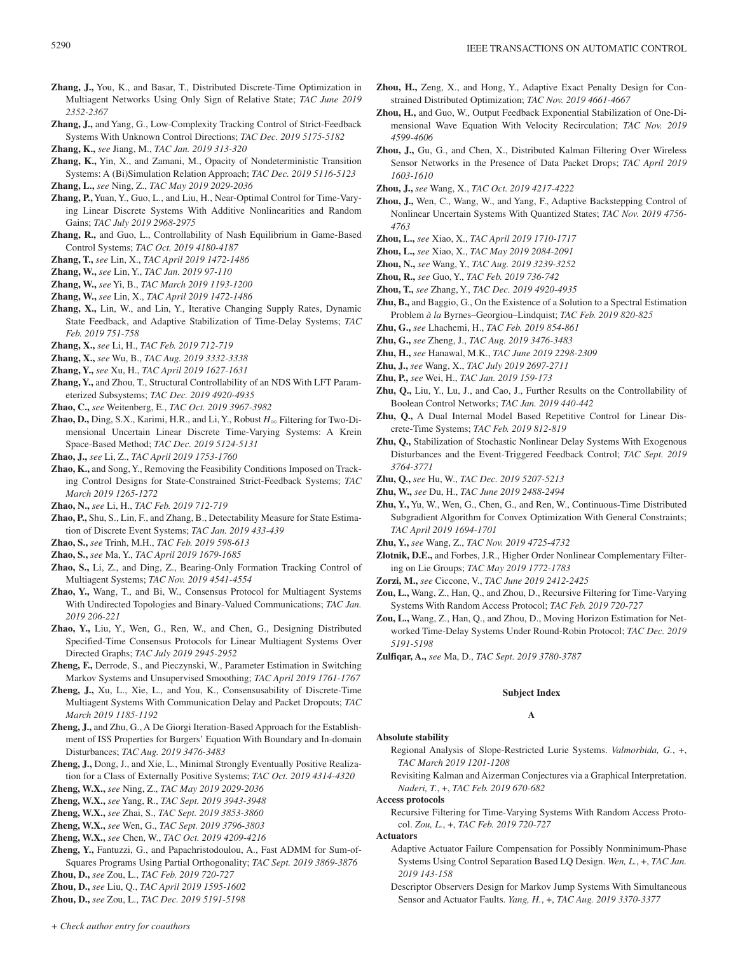- **Zhang, J.,** You, K., and Basar, T., Distributed Discrete-Time Optimization in Multiagent Networks Using Only Sign of Relative State; *TAC June 2019 2352-2367*
- **Zhang, J.,** and Yang, G., Low-Complexity Tracking Control of Strict-Feedback Systems With Unknown Control Directions; *TAC Dec. 2019 5175-5182*

**Zhang, K.,** *see* Jiang, M., *TAC Jan. 2019 313-320*

**Zhang, K.,** Yin, X., and Zamani, M., Opacity of Nondeterministic Transition Systems: A (Bi)Simulation Relation Approach; *TAC Dec. 2019 5116-5123* **Zhang, L.,** *see* Ning, Z., *TAC May 2019 2029-2036*

- **Zhang, P.,** Yuan, Y., Guo, L., and Liu, H., Near-Optimal Control for Time-Varying Linear Discrete Systems With Additive Nonlinearities and Random Gains; *TAC July 2019 2968-2975*
- **Zhang, R.,** and Guo, L., Controllability of Nash Equilibrium in Game-Based Control Systems; *TAC Oct. 2019 4180-4187*

**Zhang, T.,** *see* Lin, X., *TAC April 2019 1472-1486*

**Zhang, W.,** *see* Lin, Y., *TAC Jan. 2019 97-110*

**Zhang, W.,** *see* Yi, B., *TAC March 2019 1193-1200*

**Zhang, W.,** *see* Lin, X., *TAC April 2019 1472-1486*

**Zhang, X.,** Lin, W., and Lin, Y., Iterative Changing Supply Rates, Dynamic State Feedback, and Adaptive Stabilization of Time-Delay Systems; *TAC Feb. 2019 751-758*

**Zhang, X.,** *see* Li, H., *TAC Feb. 2019 712-719*

- **Zhang, X.,** *see* Wu, B., *TAC Aug. 2019 3332-3338*
- **Zhang, Y.,** *see* Xu, H., *TAC April 2019 1627-1631*
- **Zhang, Y.,** and Zhou, T., Structural Controllability of an NDS With LFT Parameterized Subsystems; *TAC Dec. 2019 4920-4935*

**Zhao, C.,** *see* Weitenberg, E., *TAC Oct. 2019 3967-3982*

**Zhao, D.,** Ding, S.X., Karimi, H.R., and Li, Y., Robust  $H_{\infty}$  Filtering for Two-Dimensional Uncertain Linear Discrete Time-Varying Systems: A Krein Space-Based Method; *TAC Dec. 2019 5124-5131*

**Zhao, J.,** *see* Li, Z., *TAC April 2019 1753-1760*

**Zhao, K.,** and Song, Y., Removing the Feasibility Conditions Imposed on Tracking Control Designs for State-Constrained Strict-Feedback Systems; *TAC March 2019 1265-1272*

**Zhao, N.,** *see* Li, H., *TAC Feb. 2019 712-719*

- **Zhao, P.,** Shu, S., Lin, F., and Zhang, B., Detectability Measure for State Estimation of Discrete Event Systems; *TAC Jan. 2019 433-439*
- **Zhao, S.,** *see* Trinh, M.H., *TAC Feb. 2019 598-613*

**Zhao, S.,** *see* Ma, Y., *TAC April 2019 1679-1685*

- **Zhao, S.,** Li, Z., and Ding, Z., Bearing-Only Formation Tracking Control of Multiagent Systems; *TAC Nov. 2019 4541-4554*
- **Zhao, Y.,** Wang, T., and Bi, W., Consensus Protocol for Multiagent Systems With Undirected Topologies and Binary-Valued Communications; *TAC Jan. 2019 206-221*
- **Zhao, Y.,** Liu, Y., Wen, G., Ren, W., and Chen, G., Designing Distributed Specified-Time Consensus Protocols for Linear Multiagent Systems Over Directed Graphs; *TAC July 2019 2945-2952*
- **Zheng, F.,** Derrode, S., and Pieczynski, W., Parameter Estimation in Switching Markov Systems and Unsupervised Smoothing; *TAC April 2019 1761-1767*
- **Zheng, J.,** Xu, L., Xie, L., and You, K., Consensusability of Discrete-Time Multiagent Systems With Communication Delay and Packet Dropouts; *TAC March 2019 1185-1192*
- **Zheng, J.,** and Zhu, G., A De Giorgi Iteration-Based Approach for the Establishment of ISS Properties for Burgers' Equation With Boundary and In-domain Disturbances; *TAC Aug. 2019 3476-3483*
- **Zheng, J.,** Dong, J., and Xie, L., Minimal Strongly Eventually Positive Realization for a Class of Externally Positive Systems; *TAC Oct. 2019 4314-4320*
- **Zheng, W.X.,** *see* Ning, Z., *TAC May 2019 2029-2036*

**Zheng, W.X.,** *see* Yang, R., *TAC Sept. 2019 3943-3948*

- **Zheng, W.X.,** *see* Zhai, S., *TAC Sept. 2019 3853-3860*
- **Zheng, W.X.,** *see* Wen, G., *TAC Sept. 2019 3796-3803*
- **Zheng, W.X.,** *see* Chen, W., *TAC Oct. 2019 4209-4216*
- **Zheng, Y.,** Fantuzzi, G., and Papachristodoulou, A., Fast ADMM for Sum-of-Squares Programs Using Partial Orthogonality; *TAC Sept. 2019 3869-3876*

**Zhou, D.,** *see* Zou, L., *TAC Feb. 2019 720-727*

**Zhou, D.,** *see* Liu, Q., *TAC April 2019 1595-1602*

**Zhou, D.,** *see* Zou, L., *TAC Dec. 2019 5191-5198*

- **Zhou, H.,** Zeng, X., and Hong, Y., Adaptive Exact Penalty Design for Constrained Distributed Optimization; *TAC Nov. 2019 4661-4667*
- **Zhou, H.,** and Guo, W., Output Feedback Exponential Stabilization of One-Dimensional Wave Equation With Velocity Recirculation; *TAC Nov. 2019 4599-4606*
- **Zhou, J.,** Gu, G., and Chen, X., Distributed Kalman Filtering Over Wireless Sensor Networks in the Presence of Data Packet Drops; *TAC April 2019 1603-1610*

**Zhou, J.,** *see* Wang, X., *TAC Oct. 2019 4217-4222*

- **Zhou, J.,** Wen, C., Wang, W., and Yang, F., Adaptive Backstepping Control of Nonlinear Uncertain Systems With Quantized States; *TAC Nov. 2019 4756- 4763*
- **Zhou, L.,** *see* Xiao, X., *TAC April 2019 1710-1717*
- **Zhou, L.,** *see* Xiao, X., *TAC May 2019 2084-2091*
- **Zhou, N.,** *see* Wang, Y., *TAC Aug. 2019 3239-3252*
- **Zhou, R.,** *see* Guo, Y., *TAC Feb. 2019 736-742*
- **Zhou, T.,** *see* Zhang, Y., *TAC Dec. 2019 4920-4935*
- **Zhu, B.,** and Baggio, G., On the Existence of a Solution to a Spectral Estimation Problem *à la* Byrnes–Georgiou–Lindquist; *TAC Feb. 2019 820-825*
- **Zhu, G.,** *see* Lhachemi, H., *TAC Feb. 2019 854-861*
- **Zhu, G.,** *see* Zheng, J., *TAC Aug. 2019 3476-3483*
- **Zhu, H.,** *see* Hanawal, M.K., *TAC June 2019 2298-2309*
- **Zhu, J.,** *see* Wang, X., *TAC July 2019 2697-2711*
- **Zhu, P.,** *see* Wei, H., *TAC Jan. 2019 159-173*
- **Zhu, Q.,** Liu, Y., Lu, J., and Cao, J., Further Results on the Controllability of Boolean Control Networks; *TAC Jan. 2019 440-442*
- **Zhu, Q.,** A Dual Internal Model Based Repetitive Control for Linear Discrete-Time Systems; *TAC Feb. 2019 812-819*
- **Zhu, Q.,** Stabilization of Stochastic Nonlinear Delay Systems With Exogenous Disturbances and the Event-Triggered Feedback Control; *TAC Sept. 2019 3764-3771*
- **Zhu, Q.,** *see* Hu, W., *TAC Dec. 2019 5207-5213*
- **Zhu, W.,** *see* Du, H., *TAC June 2019 2488-2494*
- **Zhu, Y.,** Yu, W., Wen, G., Chen, G., and Ren, W., Continuous-Time Distributed Subgradient Algorithm for Convex Optimization With General Constraints; *TAC April 2019 1694-1701*
- **Zhu, Y.,** *see* Wang, Z., *TAC Nov. 2019 4725-4732*
- **Zlotnik, D.E.,** and Forbes, J.R., Higher Order Nonlinear Complementary Filtering on Lie Groups; *TAC May 2019 1772-1783*
- **Zorzi, M.,** *see* Ciccone, V., *TAC June 2019 2412-2425*
- **Zou, L.,** Wang, Z., Han, Q., and Zhou, D., Recursive Filtering for Time-Varying Systems With Random Access Protocol; *TAC Feb. 2019 720-727*
- **Zou, L.,** Wang, Z., Han, Q., and Zhou, D., Moving Horizon Estimation for Networked Time-Delay Systems Under Round-Robin Protocol; *TAC Dec. 2019 5191-5198*
- **Zulfiqar, A.,** *see* Ma, D., *TAC Sept. 2019 3780-3787*

# **Subject Index A**

#### **Absolute stability**

- Regional Analysis of Slope-Restricted Lurie Systems. *Valmorbida, G.*, +, *TAC March 2019 1201-1208*
- Revisiting Kalman and Aizerman Conjectures via a Graphical Interpretation. *Naderi, T.*, +, *TAC Feb. 2019 670-682*

#### **Access protocols**

Recursive Filtering for Time-Varying Systems With Random Access Protocol. *Zou, L.*, +, *TAC Feb. 2019 720-727*

### **Actuators**

- Adaptive Actuator Failure Compensation for Possibly Nonminimum-Phase Systems Using Control Separation Based LQ Design. *Wen, L.*, +, *TAC Jan. 2019 143-158*
- Descriptor Observers Design for Markov Jump Systems With Simultaneous Sensor and Actuator Faults. *Yang, H.*, +, *TAC Aug. 2019 3370-3377*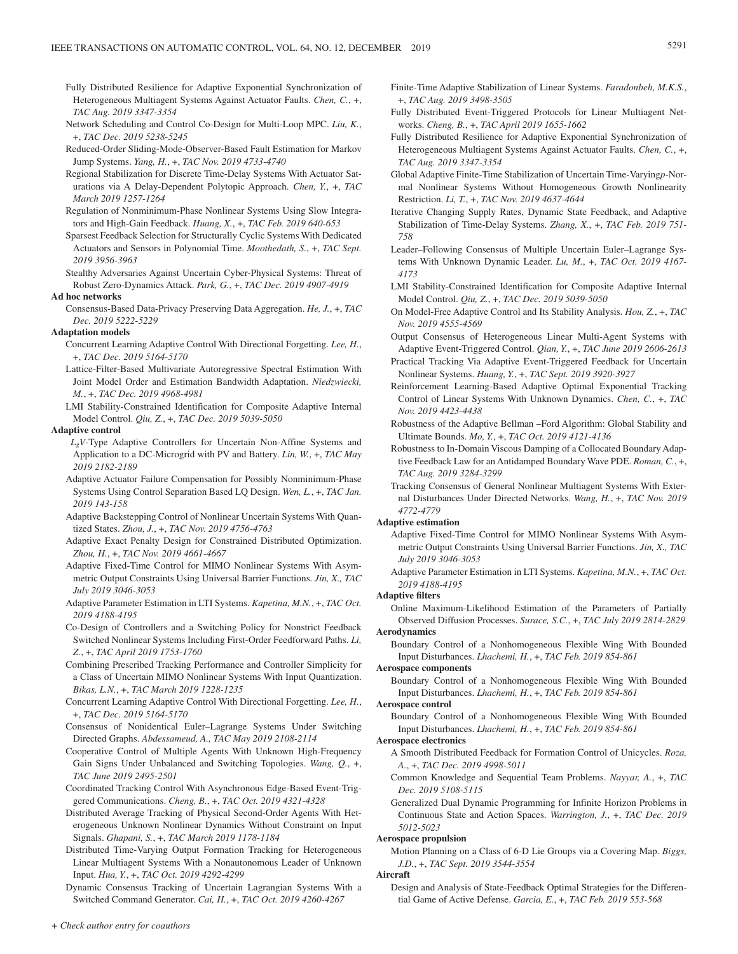- Fully Distributed Resilience for Adaptive Exponential Synchronization of Heterogeneous Multiagent Systems Against Actuator Faults. *Chen, C.*, +, *TAC Aug. 2019 3347-3354*
- Network Scheduling and Control Co-Design for Multi-Loop MPC. *Liu, K.*, +, *TAC Dec. 2019 5238-5245*
- Reduced-Order Sliding-Mode-Observer-Based Fault Estimation for Markov Jump Systems. *Yang, H.*, +, *TAC Nov. 2019 4733-4740*
- Regional Stabilization for Discrete Time-Delay Systems With Actuator Saturations via A Delay-Dependent Polytopic Approach. *Chen, Y.*, +, *TAC March 2019 1257-1264*
- Regulation of Nonminimum-Phase Nonlinear Systems Using Slow Integrators and High-Gain Feedback. *Huang, X.*, +, *TAC Feb. 2019 640-653*
- Sparsest Feedback Selection for Structurally Cyclic Systems With Dedicated Actuators and Sensors in Polynomial Time. *Moothedath, S.*, +, *TAC Sept. 2019 3956-3963*
- Stealthy Adversaries Against Uncertain Cyber-Physical Systems: Threat of Robust Zero-Dynamics Attack. *Park, G.*, +, *TAC Dec. 2019 4907-4919*

#### **Ad hoc networks**

Consensus-Based Data-Privacy Preserving Data Aggregation. *He, J.*, +, *TAC Dec. 2019 5222-5229*

#### **Adaptation models**

- Concurrent Learning Adaptive Control With Directional Forgetting. *Lee, H.*, +, *TAC Dec. 2019 5164-5170*
- Lattice-Filter-Based Multivariate Autoregressive Spectral Estimation With Joint Model Order and Estimation Bandwidth Adaptation. *Niedzwiecki, M.*, +, *TAC Dec. 2019 4968-4981*
- LMI Stability-Constrained Identification for Composite Adaptive Internal Model Control. *Qiu, Z.*, +, *TAC Dec. 2019 5039-5050*

### **Adaptive control**

- *LgV*-Type Adaptive Controllers for Uncertain Non-Affine Systems and Application to a DC-Microgrid with PV and Battery. *Lin, W.*, +, *TAC May 2019 2182-2189*
- Adaptive Actuator Failure Compensation for Possibly Nonminimum-Phase Systems Using Control Separation Based LQ Design. *Wen, L.*, +, *TAC Jan. 2019 143-158*
- Adaptive Backstepping Control of Nonlinear Uncertain Systems With Quantized States. *Zhou, J.*, +, *TAC Nov. 2019 4756-4763*
- Adaptive Exact Penalty Design for Constrained Distributed Optimization. *Zhou, H.*, +, *TAC Nov. 2019 4661-4667*
- Adaptive Fixed-Time Control for MIMO Nonlinear Systems With Asymmetric Output Constraints Using Universal Barrier Functions. *Jin, X., TAC July 2019 3046-3053*
- Adaptive Parameter Estimation in LTI Systems. *Kapetina, M.N.*, +, *TAC Oct. 2019 4188-4195*
- Co-Design of Controllers and a Switching Policy for Nonstrict Feedback Switched Nonlinear Systems Including First-Order Feedforward Paths. *Li, Z.*, +, *TAC April 2019 1753-1760*
- Combining Prescribed Tracking Performance and Controller Simplicity for a Class of Uncertain MIMO Nonlinear Systems With Input Quantization. *Bikas, L.N.*, +, *TAC March 2019 1228-1235*
- Concurrent Learning Adaptive Control With Directional Forgetting. *Lee, H.*, +, *TAC Dec. 2019 5164-5170*
- Consensus of Nonidentical Euler–Lagrange Systems Under Switching Directed Graphs. *Abdessameud, A., TAC May 2019 2108-2114*
- Cooperative Control of Multiple Agents With Unknown High-Frequency Gain Signs Under Unbalanced and Switching Topologies. *Wang, Q.*, +, *TAC June 2019 2495-2501*
- Coordinated Tracking Control With Asynchronous Edge-Based Event-Triggered Communications. *Cheng, B.*, +, *TAC Oct. 2019 4321-4328*
- Distributed Average Tracking of Physical Second-Order Agents With Heterogeneous Unknown Nonlinear Dynamics Without Constraint on Input Signals. *Ghapani, S.*, +, *TAC March 2019 1178-1184*
- Distributed Time-Varying Output Formation Tracking for Heterogeneous Linear Multiagent Systems With a Nonautonomous Leader of Unknown Input. *Hua, Y.*, +, *TAC Oct. 2019 4292-4299*
- Dynamic Consensus Tracking of Uncertain Lagrangian Systems With a Switched Command Generator. *Cai, H.*, +, *TAC Oct. 2019 4260-4267*
- Finite-Time Adaptive Stabilization of Linear Systems. *Faradonbeh, M.K.S.*, +, *TAC Aug. 2019 3498-3505*
- Fully Distributed Event-Triggered Protocols for Linear Multiagent Networks. *Cheng, B.*, +, *TAC April 2019 1655-1662*
- Fully Distributed Resilience for Adaptive Exponential Synchronization of Heterogeneous Multiagent Systems Against Actuator Faults. *Chen, C.*, +, *TAC Aug. 2019 3347-3354*
- Global Adaptive Finite-Time Stabilization of Uncertain Time-Varying*p*-Normal Nonlinear Systems Without Homogeneous Growth Nonlinearity Restriction. *Li, T.*, +, *TAC Nov. 2019 4637-4644*
- Iterative Changing Supply Rates, Dynamic State Feedback, and Adaptive Stabilization of Time-Delay Systems. *Zhang, X.*, +, *TAC Feb. 2019 751- 758*
- Leader–Following Consensus of Multiple Uncertain Euler–Lagrange Systems With Unknown Dynamic Leader. *Lu, M.*, +, *TAC Oct. 2019 4167- 4173*
- LMI Stability-Constrained Identification for Composite Adaptive Internal Model Control. *Qiu, Z.*, +, *TAC Dec. 2019 5039-5050*
- On Model-Free Adaptive Control and Its Stability Analysis. *Hou, Z.*, +, *TAC Nov. 2019 4555-4569*
- Output Consensus of Heterogeneous Linear Multi-Agent Systems with Adaptive Event-Triggered Control. *Qian, Y.*, +, *TAC June 2019 2606-2613*
- Practical Tracking Via Adaptive Event-Triggered Feedback for Uncertain Nonlinear Systems. *Huang, Y.*, +, *TAC Sept. 2019 3920-3927*
- Reinforcement Learning-Based Adaptive Optimal Exponential Tracking Control of Linear Systems With Unknown Dynamics. *Chen, C.*, +, *TAC Nov. 2019 4423-4438*
- Robustness of the Adaptive Bellman –Ford Algorithm: Global Stability and Ultimate Bounds. *Mo, Y.*, +, *TAC Oct. 2019 4121-4136*
- Robustness to In-Domain Viscous Damping of a Collocated Boundary Adaptive Feedback Law for an Antidamped Boundary Wave PDE. *Roman, C.*, +, *TAC Aug. 2019 3284-3299*
- Tracking Consensus of General Nonlinear Multiagent Systems With External Disturbances Under Directed Networks. *Wang, H.*, +, *TAC Nov. 2019 4772-4779*

### **Adaptive estimation**

- Adaptive Fixed-Time Control for MIMO Nonlinear Systems With Asymmetric Output Constraints Using Universal Barrier Functions. *Jin, X., TAC July 2019 3046-3053*
- Adaptive Parameter Estimation in LTI Systems. *Kapetina, M.N.*, +, *TAC Oct. 2019 4188-4195*

#### **Adaptive filters**

Online Maximum-Likelihood Estimation of the Parameters of Partially Observed Diffusion Processes. *Surace, S.C.*, +, *TAC July 2019 2814-2829* **Aerodynamics**

Boundary Control of a Nonhomogeneous Flexible Wing With Bounded Input Disturbances. *Lhachemi, H.*, +, *TAC Feb. 2019 854-861*

#### **Aerospace components**

Boundary Control of a Nonhomogeneous Flexible Wing With Bounded Input Disturbances. *Lhachemi, H.*, +, *TAC Feb. 2019 854-861*

#### **Aerospace control**

Boundary Control of a Nonhomogeneous Flexible Wing With Bounded Input Disturbances. *Lhachemi, H.*, +, *TAC Feb. 2019 854-861*

#### **Aerospace electronics**

- A Smooth Distributed Feedback for Formation Control of Unicycles. *Roza, A.*, +, *TAC Dec. 2019 4998-5011*
- Common Knowledge and Sequential Team Problems. *Nayyar, A.*, +, *TAC Dec. 2019 5108-5115*

Generalized Dual Dynamic Programming for Infinite Horizon Problems in Continuous State and Action Spaces. *Warrington, J.*, +, *TAC Dec. 2019 5012-5023*

### **Aerospace propulsion**

Motion Planning on a Class of 6-D Lie Groups via a Covering Map. *Biggs, J.D.*, +, *TAC Sept. 2019 3544-3554*

#### **Aircraft**

Design and Analysis of State-Feedback Optimal Strategies for the Differential Game of Active Defense. *Garcia, E.*, +, *TAC Feb. 2019 553-568*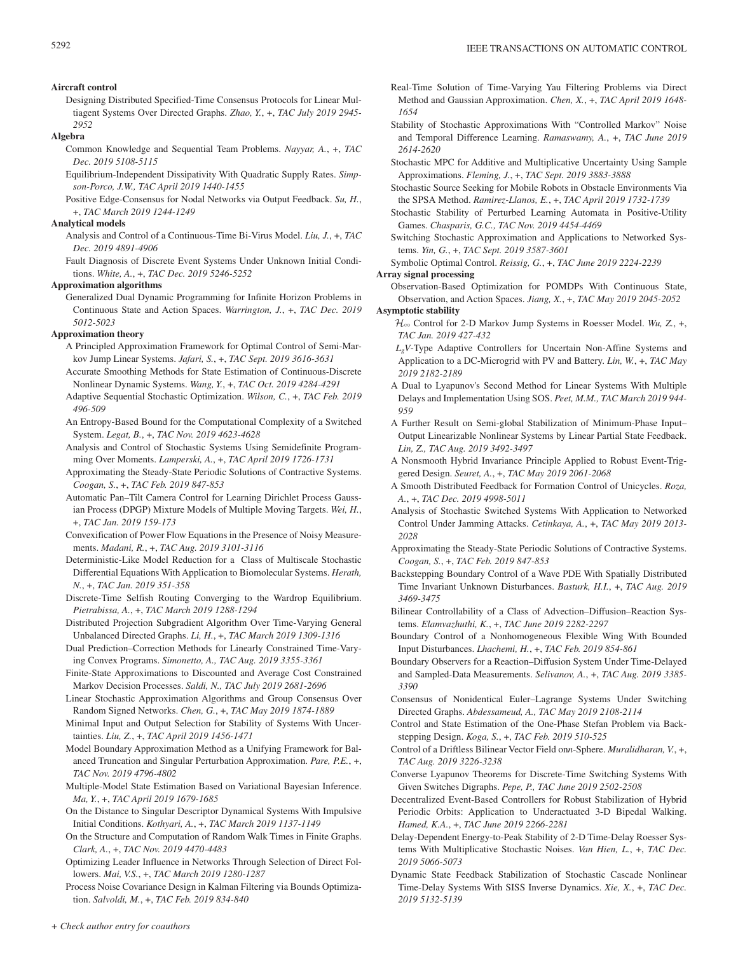### **Aircraft control**

Designing Distributed Specified-Time Consensus Protocols for Linear Multiagent Systems Over Directed Graphs. *Zhao, Y.*, +, *TAC July 2019 2945- 2952*

### **Algebra**

- Common Knowledge and Sequential Team Problems. *Nayyar, A.*, +, *TAC Dec. 2019 5108-5115*
- Equilibrium-Independent Dissipativity With Quadratic Supply Rates. *Simpson-Porco, J.W., TAC April 2019 1440-1455*
- Positive Edge-Consensus for Nodal Networks via Output Feedback. *Su, H.*, +, *TAC March 2019 1244-1249*

### **Analytical models**

- Analysis and Control of a Continuous-Time Bi-Virus Model. *Liu, J.*, +, *TAC Dec. 2019 4891-4906*
- Fault Diagnosis of Discrete Event Systems Under Unknown Initial Conditions. *White, A.*, +, *TAC Dec. 2019 5246-5252*

### **Approximation algorithms**

Generalized Dual Dynamic Programming for Infinite Horizon Problems in Continuous State and Action Spaces. *Warrington, J.*, +, *TAC Dec. 2019 5012-5023*

#### **Approximation theory**

- A Principled Approximation Framework for Optimal Control of Semi-Markov Jump Linear Systems. *Jafari, S.*, +, *TAC Sept. 2019 3616-3631*
- Accurate Smoothing Methods for State Estimation of Continuous-Discrete Nonlinear Dynamic Systems. *Wang, Y.*, +, *TAC Oct. 2019 4284-4291*
- Adaptive Sequential Stochastic Optimization. *Wilson, C.*, +, *TAC Feb. 2019 496-509*
- An Entropy-Based Bound for the Computational Complexity of a Switched System. *Legat, B.*, +, *TAC Nov. 2019 4623-4628*
- Analysis and Control of Stochastic Systems Using Semidefinite Programming Over Moments. *Lamperski, A.*, +, *TAC April 2019 1726-1731*
- Approximating the Steady-State Periodic Solutions of Contractive Systems. *Coogan, S.*, +, *TAC Feb. 2019 847-853*
- Automatic Pan–Tilt Camera Control for Learning Dirichlet Process Gaussian Process (DPGP) Mixture Models of Multiple Moving Targets. *Wei, H.*, +, *TAC Jan. 2019 159-173*
- Convexification of Power Flow Equations in the Presence of Noisy Measurements. *Madani, R.*, +, *TAC Aug. 2019 3101-3116*
- Deterministic-Like Model Reduction for a Class of Multiscale Stochastic Differential Equations With Application to Biomolecular Systems. *Herath, N.*, +, *TAC Jan. 2019 351-358*
- Discrete-Time Selfish Routing Converging to the Wardrop Equilibrium. *Pietrabissa, A.*, +, *TAC March 2019 1288-1294*
- Distributed Projection Subgradient Algorithm Over Time-Varying General Unbalanced Directed Graphs. *Li, H.*, +, *TAC March 2019 1309-1316*
- Dual Prediction–Correction Methods for Linearly Constrained Time-Varying Convex Programs. *Simonetto, A., TAC Aug. 2019 3355-3361*
- Finite-State Approximations to Discounted and Average Cost Constrained Markov Decision Processes. *Saldi, N., TAC July 2019 2681-2696*
- Linear Stochastic Approximation Algorithms and Group Consensus Over Random Signed Networks. *Chen, G.*, +, *TAC May 2019 1874-1889*
- Minimal Input and Output Selection for Stability of Systems With Uncertainties. *Liu, Z.*, +, *TAC April 2019 1456-1471*
- Model Boundary Approximation Method as a Unifying Framework for Balanced Truncation and Singular Perturbation Approximation. *Pare, P.E.*, +, *TAC Nov. 2019 4796-4802*
- Multiple-Model State Estimation Based on Variational Bayesian Inference. *Ma, Y.*, +, *TAC April 2019 1679-1685*
- On the Distance to Singular Descriptor Dynamical Systems With Impulsive Initial Conditions. *Kothyari, A.*, +, *TAC March 2019 1137-1149*
- On the Structure and Computation of Random Walk Times in Finite Graphs. *Clark, A.*, +, *TAC Nov. 2019 4470-4483*
- Optimizing Leader Influence in Networks Through Selection of Direct Followers. *Mai, V.S.*, +, *TAC March 2019 1280-1287*

Process Noise Covariance Design in Kalman Filtering via Bounds Optimization. *Salvoldi, M.*, +, *TAC Feb. 2019 834-840*

- Real-Time Solution of Time-Varying Yau Filtering Problems via Direct Method and Gaussian Approximation. *Chen, X.*, +, *TAC April 2019 1648- 1654*
- Stability of Stochastic Approximations With "Controlled Markov" Noise and Temporal Difference Learning. *Ramaswamy, A.*, +, *TAC June 2019 2614-2620*
- Stochastic MPC for Additive and Multiplicative Uncertainty Using Sample Approximations. *Fleming, J.*, +, *TAC Sept. 2019 3883-3888*
- Stochastic Source Seeking for Mobile Robots in Obstacle Environments Via the SPSA Method. *Ramirez-Llanos, E.*, +, *TAC April 2019 1732-1739*
- Stochastic Stability of Perturbed Learning Automata in Positive-Utility Games. *Chasparis, G.C., TAC Nov. 2019 4454-4469*
- Switching Stochastic Approximation and Applications to Networked Systems. *Yin, G.*, +, *TAC Sept. 2019 3587-3601*
- Symbolic Optimal Control. *Reissig, G.*, +, *TAC June 2019 2224-2239*

### **Array signal processing**

- Observation-Based Optimization for POMDPs With Continuous State, Observation, and Action Spaces. *Jiang, X.*, +, *TAC May 2019 2045-2052* **Asymptotic stability**
	- $\mathcal{H}_{\infty}$  Control for 2-D Markov Jump Systems in Roesser Model. *Wu*, Z, +, *TAC Jan. 2019 427-432*
	- *LgV*-Type Adaptive Controllers for Uncertain Non-Affine Systems and Application to a DC-Microgrid with PV and Battery. *Lin, W.*, +, *TAC May 2019 2182-2189*
	- A Dual to Lyapunov's Second Method for Linear Systems With Multiple Delays and Implementation Using SOS. *Peet, M.M., TAC March 2019 944- 959*
	- A Further Result on Semi-global Stabilization of Minimum-Phase Input– Output Linearizable Nonlinear Systems by Linear Partial State Feedback. *Lin, Z., TAC Aug. 2019 3492-3497*
	- A Nonsmooth Hybrid Invariance Principle Applied to Robust Event-Triggered Design. *Seuret, A.*, +, *TAC May 2019 2061-2068*
	- A Smooth Distributed Feedback for Formation Control of Unicycles. *Roza, A.*, +, *TAC Dec. 2019 4998-5011*
	- Analysis of Stochastic Switched Systems With Application to Networked Control Under Jamming Attacks. *Cetinkaya, A.*, +, *TAC May 2019 2013- 2028*
	- Approximating the Steady-State Periodic Solutions of Contractive Systems. *Coogan, S.*, +, *TAC Feb. 2019 847-853*
	- Backstepping Boundary Control of a Wave PDE With Spatially Distributed Time Invariant Unknown Disturbances. *Basturk, H.I.*, +, *TAC Aug. 2019 3469-3475*
	- Bilinear Controllability of a Class of Advection–Diffusion–Reaction Systems. *Elamvazhuthi, K.*, +, *TAC June 2019 2282-2297*
	- Boundary Control of a Nonhomogeneous Flexible Wing With Bounded Input Disturbances. *Lhachemi, H.*, +, *TAC Feb. 2019 854-861*
	- Boundary Observers for a Reaction–Diffusion System Under Time-Delayed and Sampled-Data Measurements. *Selivanov, A.*, +, *TAC Aug. 2019 3385- 3390*
	- Consensus of Nonidentical Euler–Lagrange Systems Under Switching Directed Graphs. *Abdessameud, A., TAC May 2019 2108-2114*
	- Control and State Estimation of the One-Phase Stefan Problem via Backstepping Design. *Koga, S.*, +, *TAC Feb. 2019 510-525*
	- Control of a Driftless Bilinear Vector Field on*n*-Sphere. *Muralidharan, V.*, +, *TAC Aug. 2019 3226-3238*
	- Converse Lyapunov Theorems for Discrete-Time Switching Systems With Given Switches Digraphs. *Pepe, P., TAC June 2019 2502-2508*
	- Decentralized Event-Based Controllers for Robust Stabilization of Hybrid Periodic Orbits: Application to Underactuated 3-D Bipedal Walking. *Hamed, K.A.*, +, *TAC June 2019 2266-2281*
	- Delay-Dependent Energy-to-Peak Stability of 2-D Time-Delay Roesser Systems With Multiplicative Stochastic Noises. *Van Hien, L.*, +, *TAC Dec. 2019 5066-5073*
	- Dynamic State Feedback Stabilization of Stochastic Cascade Nonlinear Time-Delay Systems With SISS Inverse Dynamics. *Xie, X.*, +, *TAC Dec. 2019 5132-5139*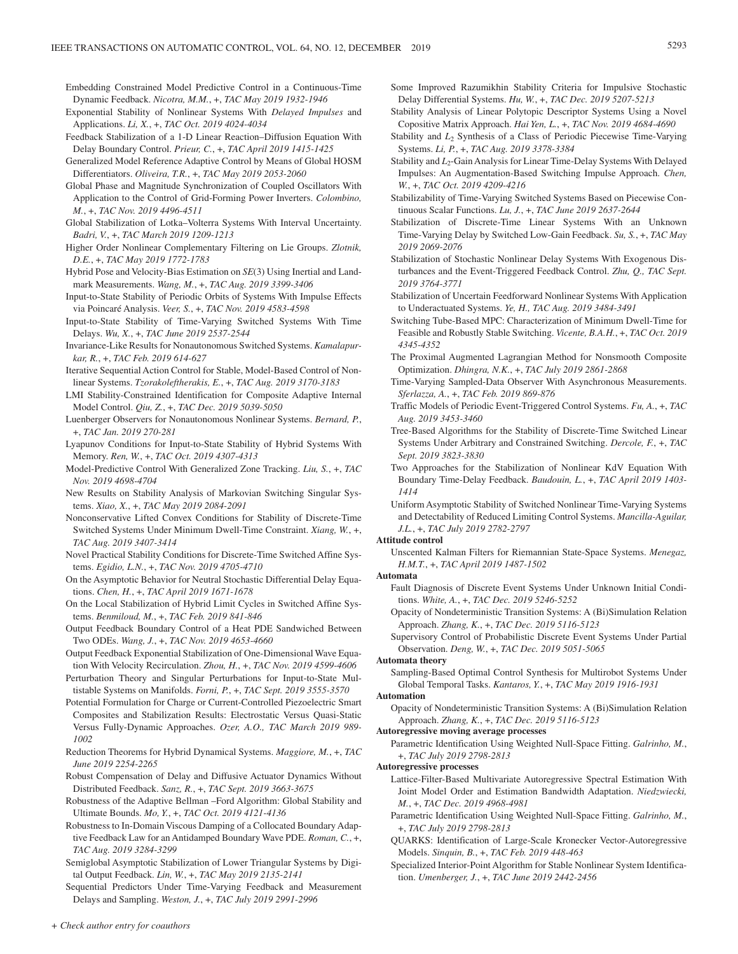- Embedding Constrained Model Predictive Control in a Continuous-Time Dynamic Feedback. *Nicotra, M.M.*, +, *TAC May 2019 1932-1946*
- Exponential Stability of Nonlinear Systems With *Delayed Impulses* and Applications. *Li, X.*, +, *TAC Oct. 2019 4024-4034*
- Feedback Stabilization of a 1-D Linear Reaction–Diffusion Equation With Delay Boundary Control. *Prieur, C.*, +, *TAC April 2019 1415-1425*
- Generalized Model Reference Adaptive Control by Means of Global HOSM Differentiators. *Oliveira, T.R.*, +, *TAC May 2019 2053-2060*
- Global Phase and Magnitude Synchronization of Coupled Oscillators With Application to the Control of Grid-Forming Power Inverters. *Colombino, M.*, +, *TAC Nov. 2019 4496-4511*
- Global Stabilization of Lotka–Volterra Systems With Interval Uncertainty. *Badri, V.*, +, *TAC March 2019 1209-1213*
- Higher Order Nonlinear Complementary Filtering on Lie Groups. *Zlotnik, D.E.*, +, *TAC May 2019 1772-1783*
- Hybrid Pose and Velocity-Bias Estimation on *SE*(3) Using Inertial and Landmark Measurements. *Wang, M.*, +, *TAC Aug. 2019 3399-3406*
- Input-to-State Stability of Periodic Orbits of Systems With Impulse Effects via Poincaré Analysis. *Veer, S.*, +, *TAC Nov. 2019 4583-4598*
- Input-to-State Stability of Time-Varying Switched Systems With Time Delays. *Wu, X.*, +, *TAC June 2019 2537-2544*
- Invariance-Like Results for Nonautonomous Switched Systems. *Kamalapurkar, R.*, +, *TAC Feb. 2019 614-627*
- Iterative Sequential Action Control for Stable, Model-Based Control of Nonlinear Systems. *Tzorakoleftherakis, E.*, +, *TAC Aug. 2019 3170-3183*
- LMI Stability-Constrained Identification for Composite Adaptive Internal Model Control. *Qiu, Z.*, +, *TAC Dec. 2019 5039-5050*
- Luenberger Observers for Nonautonomous Nonlinear Systems. *Bernard, P.*, +, *TAC Jan. 2019 270-281*
- Lyapunov Conditions for Input-to-State Stability of Hybrid Systems With Memory. *Ren, W.*, +, *TAC Oct. 2019 4307-4313*
- Model-Predictive Control With Generalized Zone Tracking. *Liu, S.*, +, *TAC Nov. 2019 4698-4704*
- New Results on Stability Analysis of Markovian Switching Singular Systems. *Xiao, X.*, +, *TAC May 2019 2084-2091*
- Nonconservative Lifted Convex Conditions for Stability of Discrete-Time Switched Systems Under Minimum Dwell-Time Constraint. *Xiang, W.*, +, *TAC Aug. 2019 3407-3414*
- Novel Practical Stability Conditions for Discrete-Time Switched Affine Systems. *Egidio, L.N.*, +, *TAC Nov. 2019 4705-4710*
- On the Asymptotic Behavior for Neutral Stochastic Differential Delay Equations. *Chen, H.*, +, *TAC April 2019 1671-1678*
- On the Local Stabilization of Hybrid Limit Cycles in Switched Affine Systems. *Benmiloud, M.*, +, *TAC Feb. 2019 841-846*
- Output Feedback Boundary Control of a Heat PDE Sandwiched Between Two ODEs. *Wang, J.*, +, *TAC Nov. 2019 4653-4660*
- Output Feedback Exponential Stabilization of One-Dimensional Wave Equation With Velocity Recirculation. *Zhou, H.*, +, *TAC Nov. 2019 4599-4606*
- Perturbation Theory and Singular Perturbations for Input-to-State Multistable Systems on Manifolds. *Forni, P.*, +, *TAC Sept. 2019 3555-3570*
- Potential Formulation for Charge or Current-Controlled Piezoelectric Smart Composites and Stabilization Results: Electrostatic Versus Quasi-Static Versus Fully-Dynamic Approaches. *Ozer, A.O., TAC March 2019 989- 1002*
- Reduction Theorems for Hybrid Dynamical Systems. *Maggiore, M.*, +, *TAC June 2019 2254-2265*
- Robust Compensation of Delay and Diffusive Actuator Dynamics Without Distributed Feedback. *Sanz, R.*, +, *TAC Sept. 2019 3663-3675*
- Robustness of the Adaptive Bellman –Ford Algorithm: Global Stability and Ultimate Bounds. *Mo, Y.*, +, *TAC Oct. 2019 4121-4136*
- Robustness to In-Domain Viscous Damping of a Collocated Boundary Adaptive Feedback Law for an Antidamped Boundary Wave PDE. *Roman, C.*, +, *TAC Aug. 2019 3284-3299*
- Semiglobal Asymptotic Stabilization of Lower Triangular Systems by Digital Output Feedback. *Lin, W.*, +, *TAC May 2019 2135-2141*
- Sequential Predictors Under Time-Varying Feedback and Measurement Delays and Sampling. *Weston, J.*, +, *TAC July 2019 2991-2996*
- Some Improved Razumikhin Stability Criteria for Impulsive Stochastic Delay Differential Systems. *Hu, W.*, +, *TAC Dec. 2019 5207-5213*
- Stability Analysis of Linear Polytopic Descriptor Systems Using a Novel Copositive Matrix Approach. *Hai Yen, L.*, +, *TAC Nov. 2019 4684-4690*
- Stability and *L*<sub>2</sub> Synthesis of a Class of Periodic Piecewise Time-Varying Systems. *Li, P.*, +, *TAC Aug. 2019 3378-3384*
- Stability and *L*<sub>2</sub>-Gain Analysis for Linear Time-Delay Systems With Delayed Impulses: An Augmentation-Based Switching Impulse Approach. *Chen, W.*, +, *TAC Oct. 2019 4209-4216*
- Stabilizability of Time-Varying Switched Systems Based on Piecewise Continuous Scalar Functions. *Lu, J.*, +, *TAC June 2019 2637-2644*
- Stabilization of Discrete-Time Linear Systems With an Unknown Time-Varying Delay by Switched Low-Gain Feedback. *Su, S.*, +, *TAC May 2019 2069-2076*
- Stabilization of Stochastic Nonlinear Delay Systems With Exogenous Disturbances and the Event-Triggered Feedback Control. *Zhu, Q., TAC Sept. 2019 3764-3771*
- Stabilization of Uncertain Feedforward Nonlinear Systems With Application to Underactuated Systems. *Ye, H., TAC Aug. 2019 3484-3491*
- Switching Tube-Based MPC: Characterization of Minimum Dwell-Time for Feasible and Robustly Stable Switching. *Vicente, B.A.H.*, +, *TAC Oct. 2019 4345-4352*
- The Proximal Augmented Lagrangian Method for Nonsmooth Composite Optimization. *Dhingra, N.K.*, +, *TAC July 2019 2861-2868*
- Time-Varying Sampled-Data Observer With Asynchronous Measurements. *Sferlazza, A.*, +, *TAC Feb. 2019 869-876*
- Traffic Models of Periodic Event-Triggered Control Systems. *Fu, A.*, +, *TAC Aug. 2019 3453-3460*
- Tree-Based Algorithms for the Stability of Discrete-Time Switched Linear Systems Under Arbitrary and Constrained Switching. *Dercole, F.*, +, *TAC Sept. 2019 3823-3830*
- Two Approaches for the Stabilization of Nonlinear KdV Equation With Boundary Time-Delay Feedback. *Baudouin, L.*, +, *TAC April 2019 1403- 1414*
- Uniform Asymptotic Stability of Switched Nonlinear Time-Varying Systems and Detectability of Reduced Limiting Control Systems. *Mancilla-Aguilar, J.L.*, +, *TAC July 2019 2782-2797*

### **Attitude control**

Unscented Kalman Filters for Riemannian State-Space Systems. *Menegaz, H.M.T.*, +, *TAC April 2019 1487-1502*

### **Automata**

- Fault Diagnosis of Discrete Event Systems Under Unknown Initial Conditions. *White, A.*, +, *TAC Dec. 2019 5246-5252*
- Opacity of Nondeterministic Transition Systems: A (Bi)Simulation Relation Approach. *Zhang, K.*, +, *TAC Dec. 2019 5116-5123*
- Supervisory Control of Probabilistic Discrete Event Systems Under Partial Observation. *Deng, W.*, +, *TAC Dec. 2019 5051-5065*

### **Automata theory**

Sampling-Based Optimal Control Synthesis for Multirobot Systems Under Global Temporal Tasks. *Kantaros, Y.*, +, *TAC May 2019 1916-1931*

# **Automation**

Opacity of Nondeterministic Transition Systems: A (Bi)Simulation Relation Approach. *Zhang, K.*, +, *TAC Dec. 2019 5116-5123*

#### **Autoregressive moving average processes**

Parametric Identification Using Weighted Null-Space Fitting. *Galrinho, M.*, +, *TAC July 2019 2798-2813*

#### **Autoregressive processes**

- Lattice-Filter-Based Multivariate Autoregressive Spectral Estimation With Joint Model Order and Estimation Bandwidth Adaptation. *Niedzwiecki, M.*, +, *TAC Dec. 2019 4968-4981*
- Parametric Identification Using Weighted Null-Space Fitting. *Galrinho, M.*, +, *TAC July 2019 2798-2813*
- QUARKS: Identification of Large-Scale Kronecker Vector-Autoregressive Models. *Sinquin, B.*, +, *TAC Feb. 2019 448-463*
- Specialized Interior-Point Algorithm for Stable Nonlinear System Identification. *Umenberger, J.*, +, *TAC June 2019 2442-2456*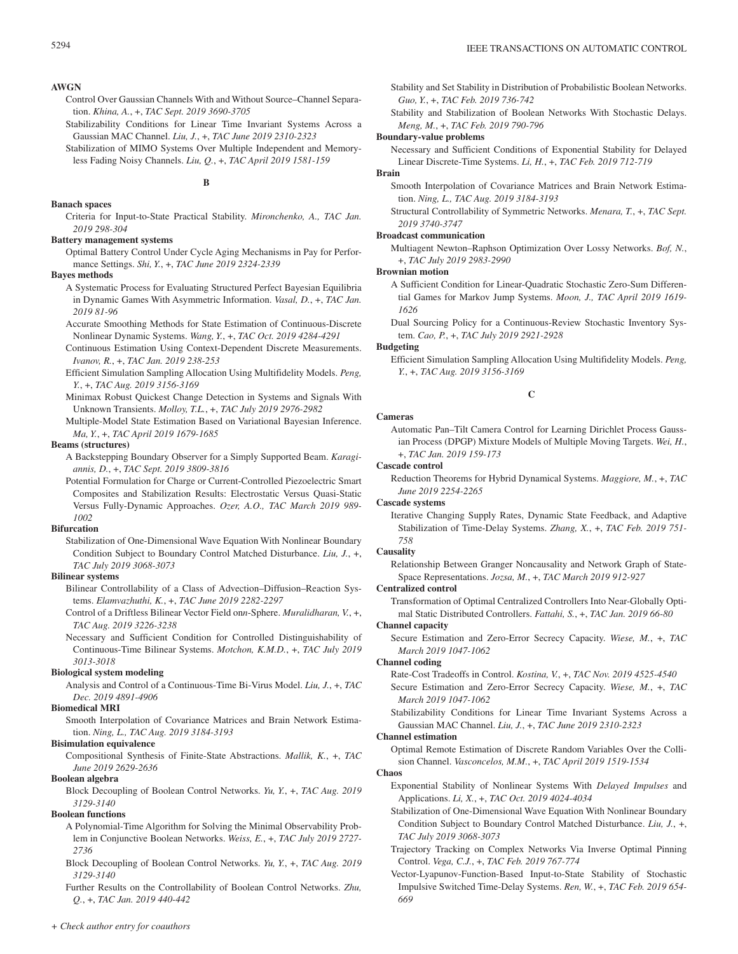### **AWGN**

- Control Over Gaussian Channels With and Without Source–Channel Separation. *Khina, A.*, +, *TAC Sept. 2019 3690-3705*
- Stabilizability Conditions for Linear Time Invariant Systems Across a Gaussian MAC Channel. *Liu, J.*, +, *TAC June 2019 2310-2323*
- Stabilization of MIMO Systems Over Multiple Independent and Memoryless Fading Noisy Channels. *Liu, Q.*, +, *TAC April 2019 1581-159*

## **B**

#### **Banach spaces**

Criteria for Input-to-State Practical Stability. *Mironchenko, A., TAC Jan. 2019 298-304*

#### **Battery management systems**

Optimal Battery Control Under Cycle Aging Mechanisms in Pay for Performance Settings. *Shi, Y.*, +, *TAC June 2019 2324-2339*

### **Bayes methods**

- A Systematic Process for Evaluating Structured Perfect Bayesian Equilibria in Dynamic Games With Asymmetric Information. *Vasal, D.*, +, *TAC Jan. 2019 81-96*
- Accurate Smoothing Methods for State Estimation of Continuous-Discrete Nonlinear Dynamic Systems. *Wang, Y.*, +, *TAC Oct. 2019 4284-4291*
- Continuous Estimation Using Context-Dependent Discrete Measurements. *Ivanov, R.*, +, *TAC Jan. 2019 238-253*
- Efficient Simulation Sampling Allocation Using Multifidelity Models. *Peng, Y.*, +, *TAC Aug. 2019 3156-3169*
- Minimax Robust Quickest Change Detection in Systems and Signals With Unknown Transients. *Molloy, T.L.*, +, *TAC July 2019 2976-2982*
- Multiple-Model State Estimation Based on Variational Bayesian Inference. *Ma, Y.*, +, *TAC April 2019 1679-1685*

### **Beams (structures)**

- A Backstepping Boundary Observer for a Simply Supported Beam. *Karagiannis, D.*, +, *TAC Sept. 2019 3809-3816*
- Potential Formulation for Charge or Current-Controlled Piezoelectric Smart Composites and Stabilization Results: Electrostatic Versus Quasi-Static Versus Fully-Dynamic Approaches. *Ozer, A.O., TAC March 2019 989- 1002*

#### **Bifurcation**

Stabilization of One-Dimensional Wave Equation With Nonlinear Boundary Condition Subject to Boundary Control Matched Disturbance. *Liu, J.*, +, *TAC July 2019 3068-3073*

### **Bilinear systems**

- Bilinear Controllability of a Class of Advection–Diffusion–Reaction Systems. *Elamvazhuthi, K.*, +, *TAC June 2019 2282-2297*
- Control of a Driftless Bilinear Vector Field on*n*-Sphere. *Muralidharan, V.*, +, *TAC Aug. 2019 3226-3238*
- Necessary and Sufficient Condition for Controlled Distinguishability of Continuous-Time Bilinear Systems. *Motchon, K.M.D.*, +, *TAC July 2019 3013-3018*

### **Biological system modeling**

Analysis and Control of a Continuous-Time Bi-Virus Model. *Liu, J.*, +, *TAC Dec. 2019 4891-4906*

### **Biomedical MRI**

Smooth Interpolation of Covariance Matrices and Brain Network Estimation. *Ning, L., TAC Aug. 2019 3184-3193*

### **Bisimulation equivalence**

Compositional Synthesis of Finite-State Abstractions. *Mallik, K.*, +, *TAC June 2019 2629-2636*

### **Boolean algebra**

Block Decoupling of Boolean Control Networks. *Yu, Y.*, +, *TAC Aug. 2019 3129-3140*

### **Boolean functions**

A Polynomial-Time Algorithm for Solving the Minimal Observability Problem in Conjunctive Boolean Networks. *Weiss, E.*, +, *TAC July 2019 2727- 2736*

Block Decoupling of Boolean Control Networks. *Yu, Y.*, +, *TAC Aug. 2019 3129-3140*

Further Results on the Controllability of Boolean Control Networks. *Zhu, Q.*, +, *TAC Jan. 2019 440-442*

Stability and Set Stability in Distribution of Probabilistic Boolean Networks. *Guo, Y.*, +, *TAC Feb. 2019 736-742*

Stability and Stabilization of Boolean Networks With Stochastic Delays. *Meng, M.*, +, *TAC Feb. 2019 790-796*

#### **Boundary-value problems**

Necessary and Sufficient Conditions of Exponential Stability for Delayed Linear Discrete-Time Systems. *Li, H.*, +, *TAC Feb. 2019 712-719*

### **Brain**

Smooth Interpolation of Covariance Matrices and Brain Network Estimation. *Ning, L., TAC Aug. 2019 3184-3193*

Structural Controllability of Symmetric Networks. *Menara, T.*, +, *TAC Sept. 2019 3740-3747*

### **Broadcast communication**

Multiagent Newton–Raphson Optimization Over Lossy Networks. *Bof, N.*, +, *TAC July 2019 2983-2990*

#### **Brownian motion**

- A Sufficient Condition for Linear-Quadratic Stochastic Zero-Sum Differential Games for Markov Jump Systems. *Moon, J., TAC April 2019 1619- 1626*
- Dual Sourcing Policy for a Continuous-Review Stochastic Inventory System. *Cao, P.*, +, *TAC July 2019 2921-2928*

## **Budgeting**

Efficient Simulation Sampling Allocation Using Multifidelity Models. *Peng, Y.*, +, *TAC Aug. 2019 3156-3169*

### **C**

#### **Cameras**

Automatic Pan–Tilt Camera Control for Learning Dirichlet Process Gaussian Process (DPGP) Mixture Models of Multiple Moving Targets. *Wei, H.*, +, *TAC Jan. 2019 159-173*

### **Cascade control**

Reduction Theorems for Hybrid Dynamical Systems. *Maggiore, M.*, +, *TAC June 2019 2254-2265*

### **Cascade systems**

Iterative Changing Supply Rates, Dynamic State Feedback, and Adaptive Stabilization of Time-Delay Systems. *Zhang, X.*, +, *TAC Feb. 2019 751- 758*

#### **Causality**

Relationship Between Granger Noncausality and Network Graph of State-Space Representations. *Jozsa, M.*, +, *TAC March 2019 912-927*

#### **Centralized control**

Transformation of Optimal Centralized Controllers Into Near-Globally Optimal Static Distributed Controllers. *Fattahi, S.*, +, *TAC Jan. 2019 66-80*

### **Channel capacity**

Secure Estimation and Zero-Error Secrecy Capacity. *Wiese, M.*, +, *TAC March 2019 1047-1062*

#### **Channel coding**

Rate-Cost Tradeoffs in Control. *Kostina, V.*, +, *TAC Nov. 2019 4525-4540* Secure Estimation and Zero-Error Secrecy Capacity. *Wiese, M.*, +, *TAC March 2019 1047-1062*

Stabilizability Conditions for Linear Time Invariant Systems Across a Gaussian MAC Channel. *Liu, J.*, +, *TAC June 2019 2310-2323*

#### **Channel estimation**

Optimal Remote Estimation of Discrete Random Variables Over the Collision Channel. *Vasconcelos, M.M.*, +, *TAC April 2019 1519-1534*

### **Chaos**

- Exponential Stability of Nonlinear Systems With *Delayed Impulses* and Applications. *Li, X.*, +, *TAC Oct. 2019 4024-4034*
- Stabilization of One-Dimensional Wave Equation With Nonlinear Boundary Condition Subject to Boundary Control Matched Disturbance. *Liu, J.*, +, *TAC July 2019 3068-3073*
- Trajectory Tracking on Complex Networks Via Inverse Optimal Pinning Control. *Vega, C.J.*, +, *TAC Feb. 2019 767-774*
- Vector-Lyapunov-Function-Based Input-to-State Stability of Stochastic Impulsive Switched Time-Delay Systems. *Ren, W.*, +, *TAC Feb. 2019 654- 669*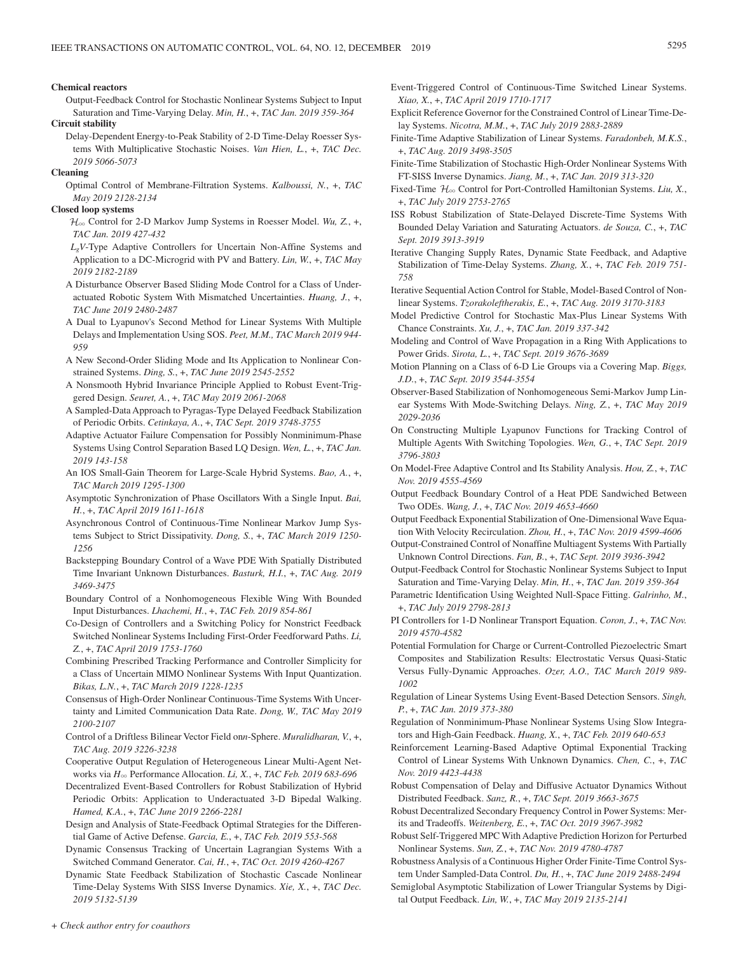### **Chemical reactors**

Output-Feedback Control for Stochastic Nonlinear Systems Subject to Input Saturation and Time-Varying Delay. *Min, H.*, +, *TAC Jan. 2019 359-364*

#### **Circuit stability**

Delay-Dependent Energy-to-Peak Stability of 2-D Time-Delay Roesser Systems With Multiplicative Stochastic Noises. *Van Hien, L.*, +, *TAC Dec. 2019 5066-5073*

#### **Cleaning**

Optimal Control of Membrane-Filtration Systems. *Kalboussi, N.*, +, *TAC May 2019 2128-2134*

### **Closed loop systems**

 $\mathcal{H}_{\infty}$  Control for 2-D Markov Jump Systems in Roesser Model. *Wu*, Z, +, *TAC Jan. 2019 427-432*

- *LgV*-Type Adaptive Controllers for Uncertain Non-Affine Systems and Application to a DC-Microgrid with PV and Battery. *Lin, W.*, +, *TAC May 2019 2182-2189*
- A Disturbance Observer Based Sliding Mode Control for a Class of Underactuated Robotic System With Mismatched Uncertainties. *Huang, J.*, +, *TAC June 2019 2480-2487*
- A Dual to Lyapunov's Second Method for Linear Systems With Multiple Delays and Implementation Using SOS. *Peet, M.M., TAC March 2019 944- 959*
- A New Second-Order Sliding Mode and Its Application to Nonlinear Constrained Systems. *Ding, S.*, +, *TAC June 2019 2545-2552*
- A Nonsmooth Hybrid Invariance Principle Applied to Robust Event-Triggered Design. *Seuret, A.*, +, *TAC May 2019 2061-2068*
- A Sampled-Data Approach to Pyragas-Type Delayed Feedback Stabilization of Periodic Orbits. *Cetinkaya, A.*, +, *TAC Sept. 2019 3748-3755*
- Adaptive Actuator Failure Compensation for Possibly Nonminimum-Phase Systems Using Control Separation Based LQ Design. *Wen, L.*, +, *TAC Jan. 2019 143-158*
- An IOS Small-Gain Theorem for Large-Scale Hybrid Systems. *Bao, A.*, +, *TAC March 2019 1295-1300*
- Asymptotic Synchronization of Phase Oscillators With a Single Input. *Bai, H.*, +, *TAC April 2019 1611-1618*
- Asynchronous Control of Continuous-Time Nonlinear Markov Jump Systems Subject to Strict Dissipativity. *Dong, S.*, +, *TAC March 2019 1250- 1256*
- Backstepping Boundary Control of a Wave PDE With Spatially Distributed Time Invariant Unknown Disturbances. *Basturk, H.I.*, +, *TAC Aug. 2019 3469-3475*
- Boundary Control of a Nonhomogeneous Flexible Wing With Bounded Input Disturbances. *Lhachemi, H.*, +, *TAC Feb. 2019 854-861*
- Co-Design of Controllers and a Switching Policy for Nonstrict Feedback Switched Nonlinear Systems Including First-Order Feedforward Paths. *Li, Z.*, +, *TAC April 2019 1753-1760*
- Combining Prescribed Tracking Performance and Controller Simplicity for a Class of Uncertain MIMO Nonlinear Systems With Input Quantization. *Bikas, L.N.*, +, *TAC March 2019 1228-1235*
- Consensus of High-Order Nonlinear Continuous-Time Systems With Uncertainty and Limited Communication Data Rate. *Dong, W., TAC May 2019 2100-2107*
- Control of a Driftless Bilinear Vector Field on*n*-Sphere. *Muralidharan, V.*, +, *TAC Aug. 2019 3226-3238*
- Cooperative Output Regulation of Heterogeneous Linear Multi-Agent Networks via *H*3 Performance Allocation. *Li, X.*, +, *TAC Feb. 2019 683-696*
- Decentralized Event-Based Controllers for Robust Stabilization of Hybrid Periodic Orbits: Application to Underactuated 3-D Bipedal Walking. *Hamed, K.A.*, +, *TAC June 2019 2266-2281*
- Design and Analysis of State-Feedback Optimal Strategies for the Differential Game of Active Defense. *Garcia, E.*, +, *TAC Feb. 2019 553-568*
- Dynamic Consensus Tracking of Uncertain Lagrangian Systems With a Switched Command Generator. *Cai, H.*, +, *TAC Oct. 2019 4260-4267*
- Dynamic State Feedback Stabilization of Stochastic Cascade Nonlinear Time-Delay Systems With SISS Inverse Dynamics. *Xie, X.*, +, *TAC Dec. 2019 5132-5139*
- Event-Triggered Control of Continuous-Time Switched Linear Systems. *Xiao, X.*, +, *TAC April 2019 1710-1717*
- Explicit Reference Governor for the Constrained Control of Linear Time-Delay Systems. *Nicotra, M.M.*, +, *TAC July 2019 2883-2889*
- Finite-Time Adaptive Stabilization of Linear Systems. *Faradonbeh, M.K.S.*, +, *TAC Aug. 2019 3498-3505*
- Finite-Time Stabilization of Stochastic High-Order Nonlinear Systems With FT-SISS Inverse Dynamics. *Jiang, M.*, +, *TAC Jan. 2019 313-320*
- Fixed-Time  $\mathcal{H}_{\infty}$  Control for Port-Controlled Hamiltonian Systems. *Liu, X.*, +, *TAC July 2019 2753-2765*
- ISS Robust Stabilization of State-Delayed Discrete-Time Systems With Bounded Delay Variation and Saturating Actuators. *de Souza, C.*, +, *TAC Sept. 2019 3913-3919*
- Iterative Changing Supply Rates, Dynamic State Feedback, and Adaptive Stabilization of Time-Delay Systems. *Zhang, X.*, +, *TAC Feb. 2019 751- 758*
- Iterative Sequential Action Control for Stable, Model-Based Control of Nonlinear Systems. *Tzorakoleftherakis, E.*, +, *TAC Aug. 2019 3170-3183*
- Model Predictive Control for Stochastic Max-Plus Linear Systems With Chance Constraints. *Xu, J.*, +, *TAC Jan. 2019 337-342*
- Modeling and Control of Wave Propagation in a Ring With Applications to Power Grids. *Sirota, L.*, +, *TAC Sept. 2019 3676-3689*
- Motion Planning on a Class of 6-D Lie Groups via a Covering Map. *Biggs, J.D.*, +, *TAC Sept. 2019 3544-3554*
- Observer-Based Stabilization of Nonhomogeneous Semi-Markov Jump Linear Systems With Mode-Switching Delays. *Ning, Z.*, +, *TAC May 2019 2029-2036*
- On Constructing Multiple Lyapunov Functions for Tracking Control of Multiple Agents With Switching Topologies. *Wen, G.*, +, *TAC Sept. 2019 3796-3803*
- On Model-Free Adaptive Control and Its Stability Analysis. *Hou, Z.*, +, *TAC Nov. 2019 4555-4569*
- Output Feedback Boundary Control of a Heat PDE Sandwiched Between Two ODEs. *Wang, J.*, +, *TAC Nov. 2019 4653-4660*
- Output Feedback Exponential Stabilization of One-Dimensional Wave Equation With Velocity Recirculation. *Zhou, H.*, +, *TAC Nov. 2019 4599-4606*
- Output-Constrained Control of Nonaffine Multiagent Systems With Partially Unknown Control Directions. *Fan, B.*, +, *TAC Sept. 2019 3936-3942*
- Output-Feedback Control for Stochastic Nonlinear Systems Subject to Input Saturation and Time-Varying Delay. *Min, H.*, +, *TAC Jan. 2019 359-364*
- Parametric Identification Using Weighted Null-Space Fitting. *Galrinho, M.*, +, *TAC July 2019 2798-2813*
- PI Controllers for 1-D Nonlinear Transport Equation. *Coron, J.*, +, *TAC Nov. 2019 4570-4582*
- Potential Formulation for Charge or Current-Controlled Piezoelectric Smart Composites and Stabilization Results: Electrostatic Versus Quasi-Static Versus Fully-Dynamic Approaches. *Ozer, A.O., TAC March 2019 989- 1002*
- Regulation of Linear Systems Using Event-Based Detection Sensors. *Singh, P.*, +, *TAC Jan. 2019 373-380*
- Regulation of Nonminimum-Phase Nonlinear Systems Using Slow Integrators and High-Gain Feedback. *Huang, X.*, +, *TAC Feb. 2019 640-653*
- Reinforcement Learning-Based Adaptive Optimal Exponential Tracking Control of Linear Systems With Unknown Dynamics. *Chen, C.*, +, *TAC Nov. 2019 4423-4438*
- Robust Compensation of Delay and Diffusive Actuator Dynamics Without Distributed Feedback. *Sanz, R.*, +, *TAC Sept. 2019 3663-3675*
- Robust Decentralized Secondary Frequency Control in Power Systems: Merits and Tradeoffs. *Weitenberg, E.*, +, *TAC Oct. 2019 3967-3982*
- Robust Self-Triggered MPC With Adaptive Prediction Horizon for Perturbed Nonlinear Systems. *Sun, Z.*, +, *TAC Nov. 2019 4780-4787*

Robustness Analysis of a Continuous Higher Order Finite-Time Control System Under Sampled-Data Control. *Du, H.*, +, *TAC June 2019 2488-2494*

Semiglobal Asymptotic Stabilization of Lower Triangular Systems by Digital Output Feedback. *Lin, W.*, +, *TAC May 2019 2135-2141*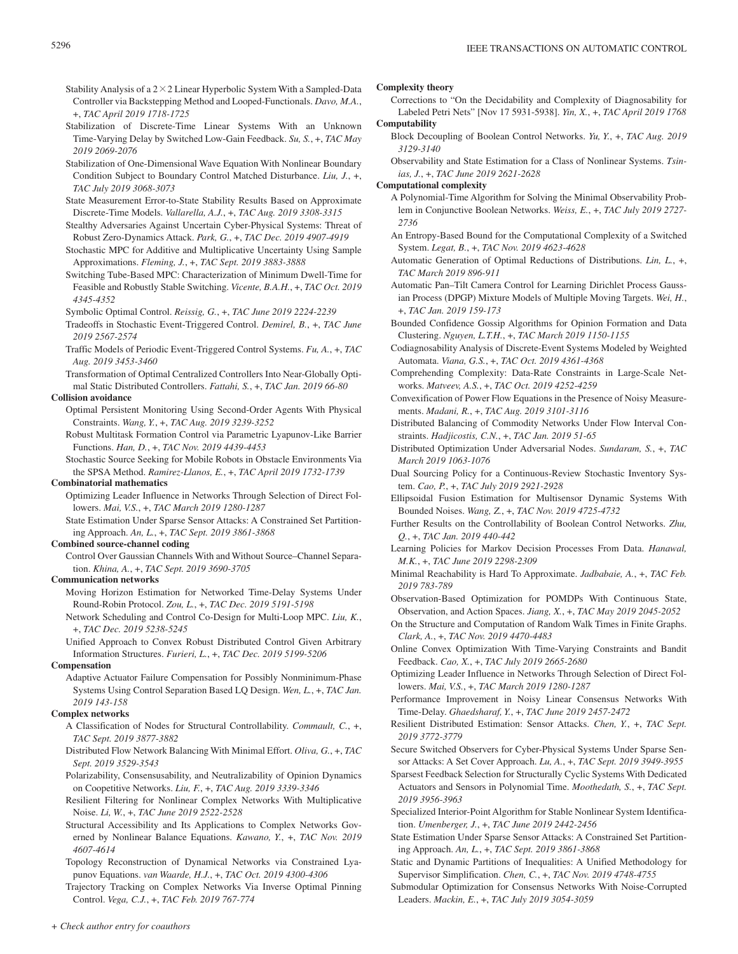- Stability Analysis of a  $2 \times 2$  Linear Hyperbolic System With a Sampled-Data Controller via Backstepping Method and Looped-Functionals. *Davo, M.A.*, +, *TAC April 2019 1718-1725*
- Stabilization of Discrete-Time Linear Systems With an Unknown Time-Varying Delay by Switched Low-Gain Feedback. *Su, S.*, +, *TAC May 2019 2069-2076*
- Stabilization of One-Dimensional Wave Equation With Nonlinear Boundary Condition Subject to Boundary Control Matched Disturbance. *Liu, J.*, +, *TAC July 2019 3068-3073*
- State Measurement Error-to-State Stability Results Based on Approximate Discrete-Time Models. *Vallarella, A.J.*, +, *TAC Aug. 2019 3308-3315*
- Stealthy Adversaries Against Uncertain Cyber-Physical Systems: Threat of Robust Zero-Dynamics Attack. *Park, G.*, +, *TAC Dec. 2019 4907-4919*
- Stochastic MPC for Additive and Multiplicative Uncertainty Using Sample Approximations. *Fleming, J.*, +, *TAC Sept. 2019 3883-3888*
- Switching Tube-Based MPC: Characterization of Minimum Dwell-Time for Feasible and Robustly Stable Switching. *Vicente, B.A.H.*, +, *TAC Oct. 2019 4345-4352*
- Symbolic Optimal Control. *Reissig, G.*, +, *TAC June 2019 2224-2239*
- Tradeoffs in Stochastic Event-Triggered Control. *Demirel, B.*, +, *TAC June 2019 2567-2574*
- Traffic Models of Periodic Event-Triggered Control Systems. *Fu, A.*, +, *TAC Aug. 2019 3453-3460*

Transformation of Optimal Centralized Controllers Into Near-Globally Optimal Static Distributed Controllers. *Fattahi, S.*, +, *TAC Jan. 2019 66-80*

### **Collision avoidance**

- Optimal Persistent Monitoring Using Second-Order Agents With Physical Constraints. *Wang, Y.*, +, *TAC Aug. 2019 3239-3252*
- Robust Multitask Formation Control via Parametric Lyapunov-Like Barrier Functions. *Han, D.*, +, *TAC Nov. 2019 4439-4453*
- Stochastic Source Seeking for Mobile Robots in Obstacle Environments Via the SPSA Method. *Ramirez-Llanos, E.*, +, *TAC April 2019 1732-1739*

**Combinatorial mathematics**

Optimizing Leader Influence in Networks Through Selection of Direct Followers. *Mai, V.S.*, +, *TAC March 2019 1280-1287*

State Estimation Under Sparse Sensor Attacks: A Constrained Set Partitioning Approach. *An, L.*, +, *TAC Sept. 2019 3861-3868*

### **Combined source-channel coding**

Control Over Gaussian Channels With and Without Source–Channel Separation. *Khina, A.*, +, *TAC Sept. 2019 3690-3705*

#### **Communication networks**

- Moving Horizon Estimation for Networked Time-Delay Systems Under Round-Robin Protocol. *Zou, L.*, +, *TAC Dec. 2019 5191-5198*
- Network Scheduling and Control Co-Design for Multi-Loop MPC. *Liu, K.*, +, *TAC Dec. 2019 5238-5245*
- Unified Approach to Convex Robust Distributed Control Given Arbitrary Information Structures. *Furieri, L.*, +, *TAC Dec. 2019 5199-5206*

#### **Compensation**

Adaptive Actuator Failure Compensation for Possibly Nonminimum-Phase Systems Using Control Separation Based LQ Design. *Wen, L.*, +, *TAC Jan. 2019 143-158*

### **Complex networks**

- A Classification of Nodes for Structural Controllability. *Commault, C.*, +, *TAC Sept. 2019 3877-3882*
- Distributed Flow Network Balancing With Minimal Effort. *Oliva, G.*, +, *TAC Sept. 2019 3529-3543*
- Polarizability, Consensusability, and Neutralizability of Opinion Dynamics on Coopetitive Networks. *Liu, F.*, +, *TAC Aug. 2019 3339-3346*
- Resilient Filtering for Nonlinear Complex Networks With Multiplicative Noise. *Li, W.*, +, *TAC June 2019 2522-2528*
- Structural Accessibility and Its Applications to Complex Networks Governed by Nonlinear Balance Equations. *Kawano, Y.*, +, *TAC Nov. 2019 4607-4614*
- Topology Reconstruction of Dynamical Networks via Constrained Lyapunov Equations. *van Waarde, H.J.*, +, *TAC Oct. 2019 4300-4306*

Trajectory Tracking on Complex Networks Via Inverse Optimal Pinning Control. *Vega, C.J.*, +, *TAC Feb. 2019 767-774*

#### **Complexity theory**

- Corrections to "On the Decidability and Complexity of Diagnosability for Labeled Petri Nets" [Nov 17 5931-5938]. *Yin, X.*, +, *TAC April 2019 1768* **Computability**
	- Block Decoupling of Boolean Control Networks. *Yu, Y.*, +, *TAC Aug. 2019 3129-3140*
	- Observability and State Estimation for a Class of Nonlinear Systems. *Tsinias, J.*, +, *TAC June 2019 2621-2628*

### **Computational complexity**

- A Polynomial-Time Algorithm for Solving the Minimal Observability Problem in Conjunctive Boolean Networks. *Weiss, E.*, +, *TAC July 2019 2727- 2736*
- An Entropy-Based Bound for the Computational Complexity of a Switched System. *Legat, B.*, +, *TAC Nov. 2019 4623-4628*
- Automatic Generation of Optimal Reductions of Distributions. *Lin, L.*, +, *TAC March 2019 896-911*
- Automatic Pan–Tilt Camera Control for Learning Dirichlet Process Gaussian Process (DPGP) Mixture Models of Multiple Moving Targets. *Wei, H.*, +, *TAC Jan. 2019 159-173*
- Bounded Confidence Gossip Algorithms for Opinion Formation and Data Clustering. *Nguyen, L.T.H.*, +, *TAC March 2019 1150-1155*
- Codiagnosability Analysis of Discrete-Event Systems Modeled by Weighted Automata. *Viana, G.S.*, +, *TAC Oct. 2019 4361-4368*
- Comprehending Complexity: Data-Rate Constraints in Large-Scale Networks. *Matveev, A.S.*, +, *TAC Oct. 2019 4252-4259*
- Convexification of Power Flow Equations in the Presence of Noisy Measurements. *Madani, R.*, +, *TAC Aug. 2019 3101-3116*
- Distributed Balancing of Commodity Networks Under Flow Interval Constraints. *Hadjicostis, C.N.*, +, *TAC Jan. 2019 51-65*
- Distributed Optimization Under Adversarial Nodes. *Sundaram, S.*, +, *TAC March 2019 1063-1076*
- Dual Sourcing Policy for a Continuous-Review Stochastic Inventory System. *Cao, P.*, +, *TAC July 2019 2921-2928*
- Ellipsoidal Fusion Estimation for Multisensor Dynamic Systems With Bounded Noises. *Wang, Z.*, +, *TAC Nov. 2019 4725-4732*
- Further Results on the Controllability of Boolean Control Networks. *Zhu, Q.*, +, *TAC Jan. 2019 440-442*
- Learning Policies for Markov Decision Processes From Data. *Hanawal, M.K.*, +, *TAC June 2019 2298-2309*
- Minimal Reachability is Hard To Approximate. *Jadbabaie, A.*, +, *TAC Feb. 2019 783-789*
- Observation-Based Optimization for POMDPs With Continuous State, Observation, and Action Spaces. *Jiang, X.*, +, *TAC May 2019 2045-2052*

On the Structure and Computation of Random Walk Times in Finite Graphs. *Clark, A.*, +, *TAC Nov. 2019 4470-4483*

- Online Convex Optimization With Time-Varying Constraints and Bandit Feedback. *Cao, X.*, +, *TAC July 2019 2665-2680*
- Optimizing Leader Influence in Networks Through Selection of Direct Followers. *Mai, V.S.*, +, *TAC March 2019 1280-1287*
- Performance Improvement in Noisy Linear Consensus Networks With Time-Delay. *Ghaedsharaf, Y.*, +, *TAC June 2019 2457-2472*
- Resilient Distributed Estimation: Sensor Attacks. *Chen, Y.*, +, *TAC Sept. 2019 3772-3779*
- Secure Switched Observers for Cyber-Physical Systems Under Sparse Sensor Attacks: A Set Cover Approach. *Lu, A.*, +, *TAC Sept. 2019 3949-3955*
- Sparsest Feedback Selection for Structurally Cyclic Systems With Dedicated Actuators and Sensors in Polynomial Time. *Moothedath, S.*, +, *TAC Sept. 2019 3956-3963*
- Specialized Interior-Point Algorithm for Stable Nonlinear System Identification. *Umenberger, J.*, +, *TAC June 2019 2442-2456*
- State Estimation Under Sparse Sensor Attacks: A Constrained Set Partitioning Approach. *An, L.*, +, *TAC Sept. 2019 3861-3868*
- Static and Dynamic Partitions of Inequalities: A Unified Methodology for Supervisor Simplification. *Chen, C.*, +, *TAC Nov. 2019 4748-4755*
- Submodular Optimization for Consensus Networks With Noise-Corrupted Leaders. *Mackin, E.*, +, *TAC July 2019 3054-3059*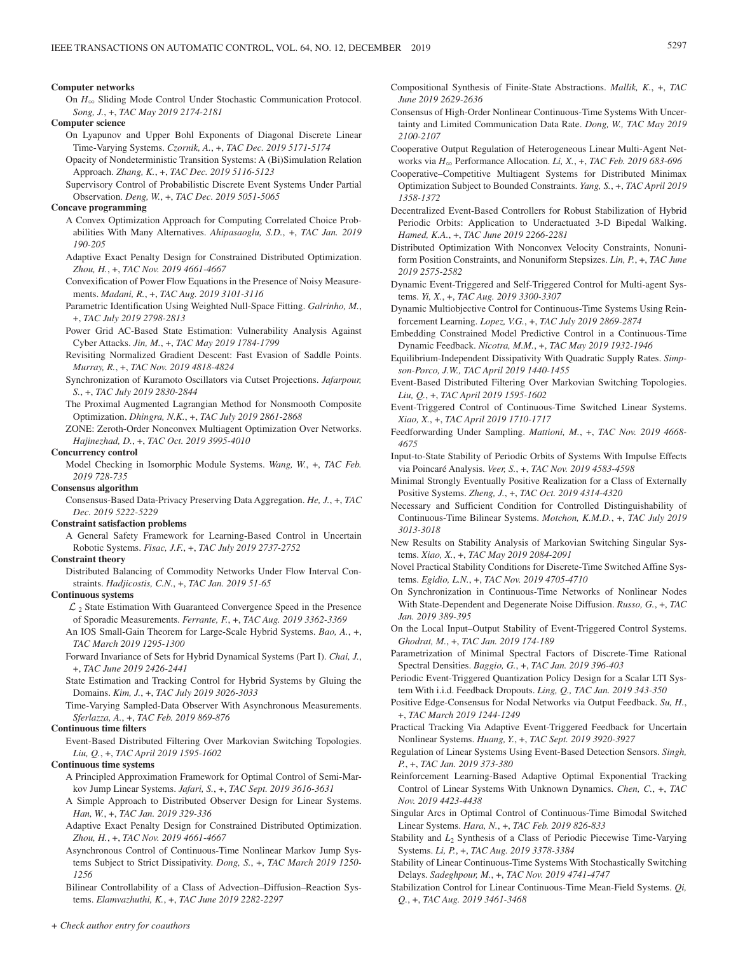#### **Computer networks**

On  $H_{\infty}$  Sliding Mode Control Under Stochastic Communication Protocol. *Song, J.*, +, *TAC May 2019 2174-2181*

#### **Computer science**

- On Lyapunov and Upper Bohl Exponents of Diagonal Discrete Linear Time-Varying Systems. *Czornik, A.*, +, *TAC Dec. 2019 5171-5174*
- Opacity of Nondeterministic Transition Systems: A (Bi)Simulation Relation Approach. *Zhang, K.*, +, *TAC Dec. 2019 5116-5123*
- Supervisory Control of Probabilistic Discrete Event Systems Under Partial Observation. *Deng, W.*, +, *TAC Dec. 2019 5051-5065*

#### **Concave programming**

A Convex Optimization Approach for Computing Correlated Choice Probabilities With Many Alternatives. *Ahipasaoglu, S.D.*, +, *TAC Jan. 2019 190-205*

- Adaptive Exact Penalty Design for Constrained Distributed Optimization. *Zhou, H.*, +, *TAC Nov. 2019 4661-4667*
- Convexification of Power Flow Equations in the Presence of Noisy Measurements. *Madani, R.*, +, *TAC Aug. 2019 3101-3116*
- Parametric Identification Using Weighted Null-Space Fitting. *Galrinho, M.*, +, *TAC July 2019 2798-2813*
- Power Grid AC-Based State Estimation: Vulnerability Analysis Against Cyber Attacks. *Jin, M.*, +, *TAC May 2019 1784-1799*
- Revisiting Normalized Gradient Descent: Fast Evasion of Saddle Points. *Murray, R.*, +, *TAC Nov. 2019 4818-4824*
- Synchronization of Kuramoto Oscillators via Cutset Projections. *Jafarpour, S.*, +, *TAC July 2019 2830-2844*
- The Proximal Augmented Lagrangian Method for Nonsmooth Composite Optimization. *Dhingra, N.K.*, +, *TAC July 2019 2861-2868*
- ZONE: Zeroth-Order Nonconvex Multiagent Optimization Over Networks. *Hajinezhad, D.*, +, *TAC Oct. 2019 3995-4010*

#### **Concurrency control**

Model Checking in Isomorphic Module Systems. *Wang, W.*, +, *TAC Feb. 2019 728-735*

#### **Consensus algorithm**

Consensus-Based Data-Privacy Preserving Data Aggregation. *He, J.*, +, *TAC Dec. 2019 5222-5229*

#### **Constraint satisfaction problems**

A General Safety Framework for Learning-Based Control in Uncertain Robotic Systems. *Fisac, J.F.*, +, *TAC July 2019 2737-2752*

### **Constraint theory**

Distributed Balancing of Commodity Networks Under Flow Interval Constraints. *Hadjicostis, C.N.*, +, *TAC Jan. 2019 51-65*

**Continuous systems**

 $\mathcal{L}_2$  State Estimation With Guaranteed Convergence Speed in the Presence of Sporadic Measurements. *Ferrante, F.*, +, *TAC Aug. 2019 3362-3369*

An IOS Small-Gain Theorem for Large-Scale Hybrid Systems. *Bao, A.*, +, *TAC March 2019 1295-1300*

- Forward Invariance of Sets for Hybrid Dynamical Systems (Part I). *Chai, J.*, +, *TAC June 2019 2426-2441*
- State Estimation and Tracking Control for Hybrid Systems by Gluing the Domains. *Kim, J.*, +, *TAC July 2019 3026-3033*

Time-Varying Sampled-Data Observer With Asynchronous Measurements. *Sferlazza, A.*, +, *TAC Feb. 2019 869-876*

### **Continuous time filters**

Event-Based Distributed Filtering Over Markovian Switching Topologies. *Liu, Q.*, +, *TAC April 2019 1595-1602*

**Continuous time systems**

- A Principled Approximation Framework for Optimal Control of Semi-Markov Jump Linear Systems. *Jafari, S.*, +, *TAC Sept. 2019 3616-3631*
- A Simple Approach to Distributed Observer Design for Linear Systems. *Han, W.*, +, *TAC Jan. 2019 329-336*
- Adaptive Exact Penalty Design for Constrained Distributed Optimization. *Zhou, H.*, +, *TAC Nov. 2019 4661-4667*
- Asynchronous Control of Continuous-Time Nonlinear Markov Jump Systems Subject to Strict Dissipativity. *Dong, S.*, +, *TAC March 2019 1250- 1256*

Bilinear Controllability of a Class of Advection–Diffusion–Reaction Systems. *Elamvazhuthi, K.*, +, *TAC June 2019 2282-2297*

- Compositional Synthesis of Finite-State Abstractions. *Mallik, K.*, +, *TAC June 2019 2629-2636*
- Consensus of High-Order Nonlinear Continuous-Time Systems With Uncertainty and Limited Communication Data Rate. *Dong, W., TAC May 2019 2100-2107*
- Cooperative Output Regulation of Heterogeneous Linear Multi-Agent Networks via *H*3 Performance Allocation. *Li, X.*, +, *TAC Feb. 2019 683-696*
- Cooperative–Competitive Multiagent Systems for Distributed Minimax Optimization Subject to Bounded Constraints. *Yang, S.*, +, *TAC April 2019 1358-1372*
- Decentralized Event-Based Controllers for Robust Stabilization of Hybrid Periodic Orbits: Application to Underactuated 3-D Bipedal Walking. *Hamed, K.A.*, +, *TAC June 2019 2266-2281*
- Distributed Optimization With Nonconvex Velocity Constraints, Nonuniform Position Constraints, and Nonuniform Stepsizes. *Lin, P.*, +, *TAC June 2019 2575-2582*
- Dynamic Event-Triggered and Self-Triggered Control for Multi-agent Systems. *Yi, X.*, +, *TAC Aug. 2019 3300-3307*
- Dynamic Multiobjective Control for Continuous-Time Systems Using Reinforcement Learning. *Lopez, V.G.*, +, *TAC July 2019 2869-2874*
- Embedding Constrained Model Predictive Control in a Continuous-Time Dynamic Feedback. *Nicotra, M.M.*, +, *TAC May 2019 1932-1946*
- Equilibrium-Independent Dissipativity With Quadratic Supply Rates. *Simpson-Porco, J.W., TAC April 2019 1440-1455*
- Event-Based Distributed Filtering Over Markovian Switching Topologies. *Liu, Q.*, +, *TAC April 2019 1595-1602*
- Event-Triggered Control of Continuous-Time Switched Linear Systems. *Xiao, X.*, +, *TAC April 2019 1710-1717*
- Feedforwarding Under Sampling. *Mattioni, M.*, +, *TAC Nov. 2019 4668- 4675*
- Input-to-State Stability of Periodic Orbits of Systems With Impulse Effects via Poincaré Analysis. *Veer, S.*, +, *TAC Nov. 2019 4583-4598*
- Minimal Strongly Eventually Positive Realization for a Class of Externally Positive Systems. *Zheng, J.*, +, *TAC Oct. 2019 4314-4320*
- Necessary and Sufficient Condition for Controlled Distinguishability of Continuous-Time Bilinear Systems. *Motchon, K.M.D.*, +, *TAC July 2019 3013-3018*
- New Results on Stability Analysis of Markovian Switching Singular Systems. *Xiao, X.*, +, *TAC May 2019 2084-2091*
- Novel Practical Stability Conditions for Discrete-Time Switched Affine Systems. *Egidio, L.N.*, +, *TAC Nov. 2019 4705-4710*
- On Synchronization in Continuous-Time Networks of Nonlinear Nodes With State-Dependent and Degenerate Noise Diffusion. *Russo, G.*, +, *TAC Jan. 2019 389-395*
- On the Local Input–Output Stability of Event-Triggered Control Systems. *Ghodrat, M.*, +, *TAC Jan. 2019 174-189*
- Parametrization of Minimal Spectral Factors of Discrete-Time Rational Spectral Densities. *Baggio, G.*, +, *TAC Jan. 2019 396-403*
- Periodic Event-Triggered Quantization Policy Design for a Scalar LTI System With i.i.d. Feedback Dropouts. *Ling, Q., TAC Jan. 2019 343-350*
- Positive Edge-Consensus for Nodal Networks via Output Feedback. *Su, H.*, +, *TAC March 2019 1244-1249*
- Practical Tracking Via Adaptive Event-Triggered Feedback for Uncertain Nonlinear Systems. *Huang, Y.*, +, *TAC Sept. 2019 3920-3927*
- Regulation of Linear Systems Using Event-Based Detection Sensors. *Singh, P.*, +, *TAC Jan. 2019 373-380*
- Reinforcement Learning-Based Adaptive Optimal Exponential Tracking Control of Linear Systems With Unknown Dynamics. *Chen, C.*, +, *TAC Nov. 2019 4423-4438*
- Singular Arcs in Optimal Control of Continuous-Time Bimodal Switched Linear Systems. *Hara, N.*, +, *TAC Feb. 2019 826-833*
- Stability and *L*<sub>2</sub> Synthesis of a Class of Periodic Piecewise Time-Varying Systems. *Li, P.*, +, *TAC Aug. 2019 3378-3384*
- Stability of Linear Continuous-Time Systems With Stochastically Switching Delays. *Sadeghpour, M.*, +, *TAC Nov. 2019 4741-4747*
- Stabilization Control for Linear Continuous-Time Mean-Field Systems. *Qi, Q.*, +, *TAC Aug. 2019 3461-3468*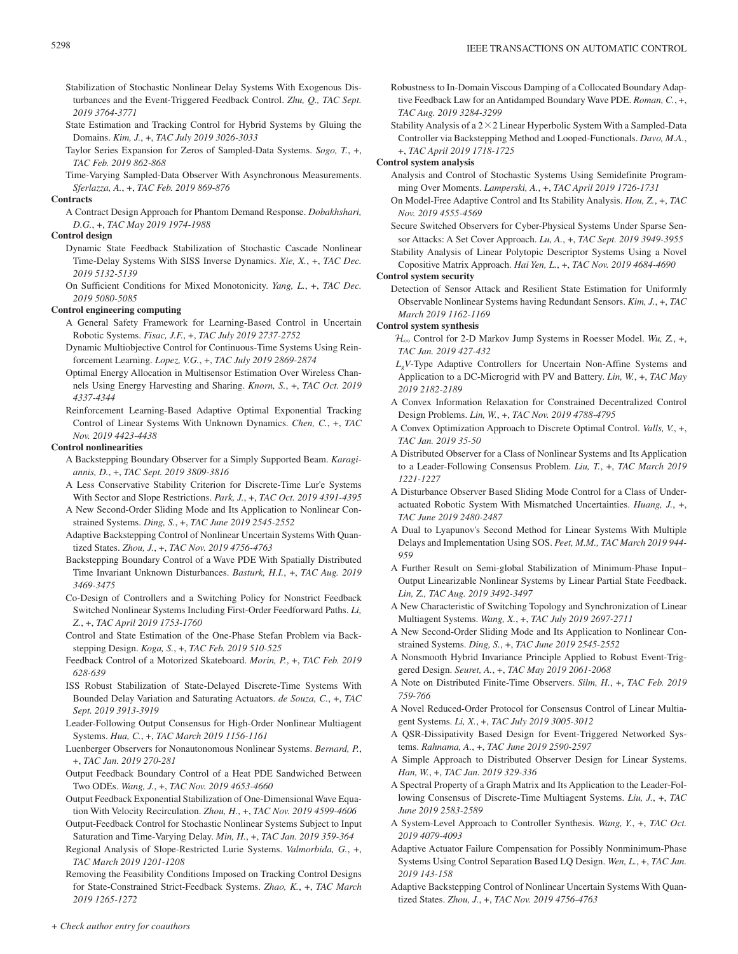- Stabilization of Stochastic Nonlinear Delay Systems With Exogenous Disturbances and the Event-Triggered Feedback Control. *Zhu, Q., TAC Sept. 2019 3764-3771*
- State Estimation and Tracking Control for Hybrid Systems by Gluing the Domains. *Kim, J.*, +, *TAC July 2019 3026-3033*
- Taylor Series Expansion for Zeros of Sampled-Data Systems. *Sogo, T.*, +, *TAC Feb. 2019 862-868*
- Time-Varying Sampled-Data Observer With Asynchronous Measurements. *Sferlazza, A.*, +, *TAC Feb. 2019 869-876*

#### **Contracts**

A Contract Design Approach for Phantom Demand Response. *Dobakhshari, D.G.*, +, *TAC May 2019 1974-1988*

### **Control design**

- Dynamic State Feedback Stabilization of Stochastic Cascade Nonlinear Time-Delay Systems With SISS Inverse Dynamics. *Xie, X.*, +, *TAC Dec. 2019 5132-5139*
- On Sufficient Conditions for Mixed Monotonicity. *Yang, L.*, +, *TAC Dec. 2019 5080-5085*

### **Control engineering computing**

- A General Safety Framework for Learning-Based Control in Uncertain Robotic Systems. *Fisac, J.F.*, +, *TAC July 2019 2737-2752*
- Dynamic Multiobjective Control for Continuous-Time Systems Using Reinforcement Learning. *Lopez, V.G.*, +, *TAC July 2019 2869-2874*
- Optimal Energy Allocation in Multisensor Estimation Over Wireless Channels Using Energy Harvesting and Sharing. *Knorn, S.*, +, *TAC Oct. 2019 4337-4344*

Reinforcement Learning-Based Adaptive Optimal Exponential Tracking Control of Linear Systems With Unknown Dynamics. *Chen, C.*, +, *TAC Nov. 2019 4423-4438*

#### **Control nonlinearities**

- A Backstepping Boundary Observer for a Simply Supported Beam. *Karagiannis, D.*, +, *TAC Sept. 2019 3809-3816*
- A Less Conservative Stability Criterion for Discrete-Time Lur'e Systems With Sector and Slope Restrictions. *Park, J.*, +, *TAC Oct. 2019 4391-4395*
- A New Second-Order Sliding Mode and Its Application to Nonlinear Constrained Systems. *Ding, S.*, +, *TAC June 2019 2545-2552*
- Adaptive Backstepping Control of Nonlinear Uncertain Systems With Quantized States. *Zhou, J.*, +, *TAC Nov. 2019 4756-4763*
- Backstepping Boundary Control of a Wave PDE With Spatially Distributed Time Invariant Unknown Disturbances. *Basturk, H.I.*, +, *TAC Aug. 2019 3469-3475*
- Co-Design of Controllers and a Switching Policy for Nonstrict Feedback Switched Nonlinear Systems Including First-Order Feedforward Paths. *Li, Z.*, +, *TAC April 2019 1753-1760*
- Control and State Estimation of the One-Phase Stefan Problem via Backstepping Design. *Koga, S.*, +, *TAC Feb. 2019 510-525*
- Feedback Control of a Motorized Skateboard. *Morin, P.*, +, *TAC Feb. 2019 628-639*
- ISS Robust Stabilization of State-Delayed Discrete-Time Systems With Bounded Delay Variation and Saturating Actuators. *de Souza, C.*, +, *TAC Sept. 2019 3913-3919*
- Leader-Following Output Consensus for High-Order Nonlinear Multiagent Systems. *Hua, C.*, +, *TAC March 2019 1156-1161*
- Luenberger Observers for Nonautonomous Nonlinear Systems. *Bernard, P.*, +, *TAC Jan. 2019 270-281*
- Output Feedback Boundary Control of a Heat PDE Sandwiched Between Two ODEs. *Wang, J.*, +, *TAC Nov. 2019 4653-4660*
- Output Feedback Exponential Stabilization of One-Dimensional Wave Equation With Velocity Recirculation. *Zhou, H.*, +, *TAC Nov. 2019 4599-4606*
- Output-Feedback Control for Stochastic Nonlinear Systems Subject to Input Saturation and Time-Varying Delay. *Min, H.*, +, *TAC Jan. 2019 359-364*
- Regional Analysis of Slope-Restricted Lurie Systems. *Valmorbida, G.*, +, *TAC March 2019 1201-1208*
- Removing the Feasibility Conditions Imposed on Tracking Control Designs for State-Constrained Strict-Feedback Systems. *Zhao, K.*, +, *TAC March 2019 1265-1272*
- Robustness to In-Domain Viscous Damping of a Collocated Boundary Adaptive Feedback Law for an Antidamped Boundary Wave PDE. *Roman, C.*, +, *TAC Aug. 2019 3284-3299*
- Stability Analysis of a  $2 \times 2$  Linear Hyperbolic System With a Sampled-Data Controller via Backstepping Method and Looped-Functionals. *Davo, M.A.*, +, *TAC April 2019 1718-1725*

### **Control system analysis**

- Analysis and Control of Stochastic Systems Using Semidefinite Programming Over Moments. *Lamperski, A.*, +, *TAC April 2019 1726-1731*
- On Model-Free Adaptive Control and Its Stability Analysis. *Hou, Z.*, +, *TAC Nov. 2019 4555-4569*
- Secure Switched Observers for Cyber-Physical Systems Under Sparse Sensor Attacks: A Set Cover Approach. *Lu, A.*, +, *TAC Sept. 2019 3949-3955*

Stability Analysis of Linear Polytopic Descriptor Systems Using a Novel Copositive Matrix Approach. *Hai Yen, L.*, +, *TAC Nov. 2019 4684-4690*

### **Control system security**

Detection of Sensor Attack and Resilient State Estimation for Uniformly Observable Nonlinear Systems having Redundant Sensors. *Kim, J.*, +, *TAC March 2019 1162-1169*

### **Control system synthesis**

- $\mathcal{H}_{\infty}$  Control for 2-D Markov Jump Systems in Roesser Model. *Wu*, Z, +, *TAC Jan. 2019 427-432*
- *LgV*-Type Adaptive Controllers for Uncertain Non-Affine Systems and Application to a DC-Microgrid with PV and Battery. *Lin, W.*, +, *TAC May 2019 2182-2189*
- A Convex Information Relaxation for Constrained Decentralized Control Design Problems. *Lin, W.*, +, *TAC Nov. 2019 4788-4795*
- A Convex Optimization Approach to Discrete Optimal Control. *Valls, V.*, +, *TAC Jan. 2019 35-50*
- A Distributed Observer for a Class of Nonlinear Systems and Its Application to a Leader-Following Consensus Problem. *Liu, T.*, +, *TAC March 2019 1221-1227*
- A Disturbance Observer Based Sliding Mode Control for a Class of Underactuated Robotic System With Mismatched Uncertainties. *Huang, J.*, +, *TAC June 2019 2480-2487*
- A Dual to Lyapunov's Second Method for Linear Systems With Multiple Delays and Implementation Using SOS. *Peet, M.M., TAC March 2019 944- 959*
- A Further Result on Semi-global Stabilization of Minimum-Phase Input– Output Linearizable Nonlinear Systems by Linear Partial State Feedback. *Lin, Z., TAC Aug. 2019 3492-3497*
- A New Characteristic of Switching Topology and Synchronization of Linear Multiagent Systems. *Wang, X.*, +, *TAC July 2019 2697-2711*
- A New Second-Order Sliding Mode and Its Application to Nonlinear Constrained Systems. *Ding, S.*, +, *TAC June 2019 2545-2552*
- A Nonsmooth Hybrid Invariance Principle Applied to Robust Event-Triggered Design. *Seuret, A.*, +, *TAC May 2019 2061-2068*
- A Note on Distributed Finite-Time Observers. *Silm, H.*, +, *TAC Feb. 2019 759-766*
- A Novel Reduced-Order Protocol for Consensus Control of Linear Multiagent Systems. *Li, X.*, +, *TAC July 2019 3005-3012*
- A QSR-Dissipativity Based Design for Event-Triggered Networked Systems. *Rahnama, A.*, +, *TAC June 2019 2590-2597*
- A Simple Approach to Distributed Observer Design for Linear Systems. *Han, W.*, +, *TAC Jan. 2019 329-336*
- A Spectral Property of a Graph Matrix and Its Application to the Leader-Following Consensus of Discrete-Time Multiagent Systems. *Liu, J.*, +, *TAC June 2019 2583-2589*
- A System-Level Approach to Controller Synthesis. *Wang, Y.*, +, *TAC Oct. 2019 4079-4093*
- Adaptive Actuator Failure Compensation for Possibly Nonminimum-Phase Systems Using Control Separation Based LQ Design. *Wen, L.*, +, *TAC Jan. 2019 143-158*
- Adaptive Backstepping Control of Nonlinear Uncertain Systems With Quantized States. *Zhou, J.*, +, *TAC Nov. 2019 4756-4763*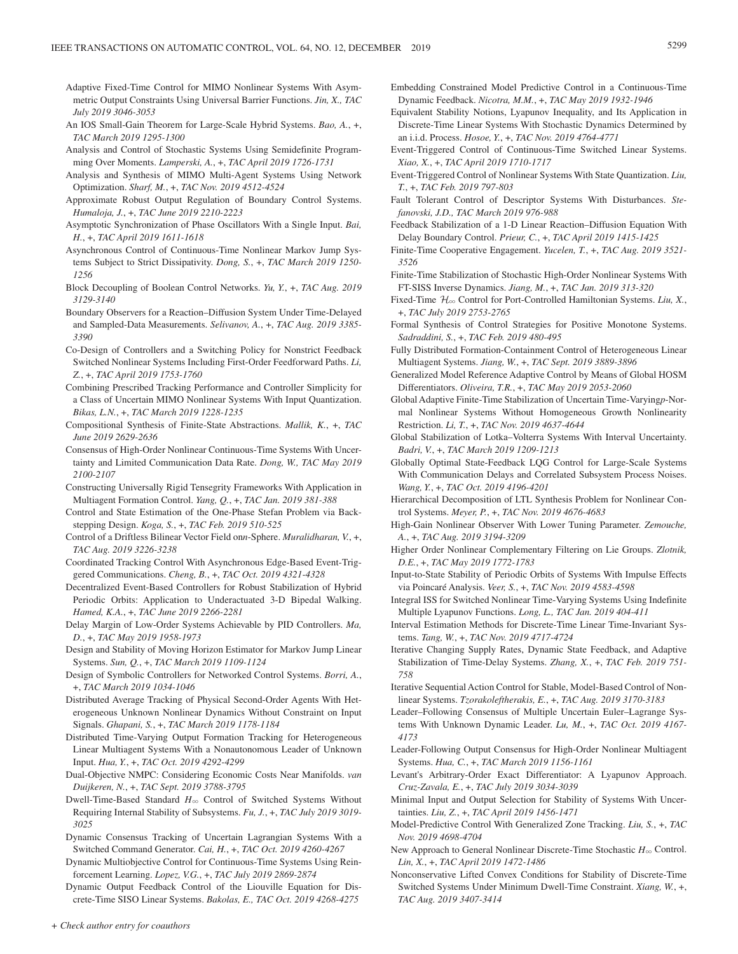- Adaptive Fixed-Time Control for MIMO Nonlinear Systems With Asymmetric Output Constraints Using Universal Barrier Functions. *Jin, X., TAC July 2019 3046-3053*
- An IOS Small-Gain Theorem for Large-Scale Hybrid Systems. *Bao, A.*, +, *TAC March 2019 1295-1300*
- Analysis and Control of Stochastic Systems Using Semidefinite Programming Over Moments. *Lamperski, A.*, +, *TAC April 2019 1726-1731*
- Analysis and Synthesis of MIMO Multi-Agent Systems Using Network Optimization. *Sharf, M.*, +, *TAC Nov. 2019 4512-4524*
- Approximate Robust Output Regulation of Boundary Control Systems. *Humaloja, J.*, +, *TAC June 2019 2210-2223*
- Asymptotic Synchronization of Phase Oscillators With a Single Input. *Bai, H.*, +, *TAC April 2019 1611-1618*
- Asynchronous Control of Continuous-Time Nonlinear Markov Jump Systems Subject to Strict Dissipativity. *Dong, S.*, +, *TAC March 2019 1250- 1256*
- Block Decoupling of Boolean Control Networks. *Yu, Y.*, +, *TAC Aug. 2019 3129-3140*
- Boundary Observers for a Reaction–Diffusion System Under Time-Delayed and Sampled-Data Measurements. *Selivanov, A.*, +, *TAC Aug. 2019 3385- 3390*
- Co-Design of Controllers and a Switching Policy for Nonstrict Feedback Switched Nonlinear Systems Including First-Order Feedforward Paths. *Li, Z.*, +, *TAC April 2019 1753-1760*
- Combining Prescribed Tracking Performance and Controller Simplicity for a Class of Uncertain MIMO Nonlinear Systems With Input Quantization. *Bikas, L.N.*, +, *TAC March 2019 1228-1235*
- Compositional Synthesis of Finite-State Abstractions. *Mallik, K.*, +, *TAC June 2019 2629-2636*
- Consensus of High-Order Nonlinear Continuous-Time Systems With Uncertainty and Limited Communication Data Rate. *Dong, W., TAC May 2019 2100-2107*
- Constructing Universally Rigid Tensegrity Frameworks With Application in Multiagent Formation Control. *Yang, Q.*, +, *TAC Jan. 2019 381-388*
- Control and State Estimation of the One-Phase Stefan Problem via Backstepping Design. *Koga, S.*, +, *TAC Feb. 2019 510-525*
- Control of a Driftless Bilinear Vector Field on*n*-Sphere. *Muralidharan, V.*, +, *TAC Aug. 2019 3226-3238*
- Coordinated Tracking Control With Asynchronous Edge-Based Event-Triggered Communications. *Cheng, B.*, +, *TAC Oct. 2019 4321-4328*
- Decentralized Event-Based Controllers for Robust Stabilization of Hybrid Periodic Orbits: Application to Underactuated 3-D Bipedal Walking. *Hamed, K.A.*, +, *TAC June 2019 2266-2281*
- Delay Margin of Low-Order Systems Achievable by PID Controllers. *Ma, D.*, +, *TAC May 2019 1958-1973*
- Design and Stability of Moving Horizon Estimator for Markov Jump Linear Systems. *Sun, Q.*, +, *TAC March 2019 1109-1124*
- Design of Symbolic Controllers for Networked Control Systems. *Borri, A.*, +, *TAC March 2019 1034-1046*
- Distributed Average Tracking of Physical Second-Order Agents With Heterogeneous Unknown Nonlinear Dynamics Without Constraint on Input Signals. *Ghapani, S.*, +, *TAC March 2019 1178-1184*
- Distributed Time-Varying Output Formation Tracking for Heterogeneous Linear Multiagent Systems With a Nonautonomous Leader of Unknown Input. *Hua, Y.*, +, *TAC Oct. 2019 4292-4299*
- Dual-Objective NMPC: Considering Economic Costs Near Manifolds. *van Duijkeren, N.*, +, *TAC Sept. 2019 3788-3795*
- Dwell-Time-Based Standard *H*3 Control of Switched Systems Without Requiring Internal Stability of Subsystems. *Fu, J.*, +, *TAC July 2019 3019- 3025*
- Dynamic Consensus Tracking of Uncertain Lagrangian Systems With a Switched Command Generator. *Cai, H.*, +, *TAC Oct. 2019 4260-4267*
- Dynamic Multiobjective Control for Continuous-Time Systems Using Reinforcement Learning. *Lopez, V.G.*, +, *TAC July 2019 2869-2874*
- Dynamic Output Feedback Control of the Liouville Equation for Discrete-Time SISO Linear Systems. *Bakolas, E., TAC Oct. 2019 4268-4275*
- *+ Check author entry for coauthors*
- Embedding Constrained Model Predictive Control in a Continuous-Time Dynamic Feedback. *Nicotra, M.M.*, +, *TAC May 2019 1932-1946*
- Equivalent Stability Notions, Lyapunov Inequality, and Its Application in Discrete-Time Linear Systems With Stochastic Dynamics Determined by an i.i.d. Process. *Hosoe, Y.*, +, *TAC Nov. 2019 4764-4771*
- Event-Triggered Control of Continuous-Time Switched Linear Systems. *Xiao, X.*, +, *TAC April 2019 1710-1717*
- Event-Triggered Control of Nonlinear Systems With State Quantization. *Liu, T.*, +, *TAC Feb. 2019 797-803*
- Fault Tolerant Control of Descriptor Systems With Disturbances. *Stefanovski, J.D., TAC March 2019 976-988*
- Feedback Stabilization of a 1-D Linear Reaction–Diffusion Equation With Delay Boundary Control. *Prieur, C.*, +, *TAC April 2019 1415-1425*
- Finite-Time Cooperative Engagement. *Yucelen, T.*, +, *TAC Aug. 2019 3521- 3526*
- Finite-Time Stabilization of Stochastic High-Order Nonlinear Systems With FT-SISS Inverse Dynamics. *Jiang, M.*, +, *TAC Jan. 2019 313-320*
- Fixed-Time  $\mathcal{H}_{\infty}$  Control for Port-Controlled Hamiltonian Systems. *Liu, X.*, +, *TAC July 2019 2753-2765*
- Formal Synthesis of Control Strategies for Positive Monotone Systems. *Sadraddini, S.*, +, *TAC Feb. 2019 480-495*
- Fully Distributed Formation-Containment Control of Heterogeneous Linear Multiagent Systems. *Jiang, W.*, +, *TAC Sept. 2019 3889-3896*
- Generalized Model Reference Adaptive Control by Means of Global HOSM Differentiators. *Oliveira, T.R.*, +, *TAC May 2019 2053-2060*
- Global Adaptive Finite-Time Stabilization of Uncertain Time-Varying*p*-Normal Nonlinear Systems Without Homogeneous Growth Nonlinearity Restriction. *Li, T.*, +, *TAC Nov. 2019 4637-4644*
- Global Stabilization of Lotka–Volterra Systems With Interval Uncertainty. *Badri, V.*, +, *TAC March 2019 1209-1213*
- Globally Optimal State-Feedback LQG Control for Large-Scale Systems With Communication Delays and Correlated Subsystem Process Noises. *Wang, Y.*, +, *TAC Oct. 2019 4196-4201*
- Hierarchical Decomposition of LTL Synthesis Problem for Nonlinear Control Systems. *Meyer, P.*, +, *TAC Nov. 2019 4676-4683*
- High-Gain Nonlinear Observer With Lower Tuning Parameter. *Zemouche, A.*, +, *TAC Aug. 2019 3194-3209*
- Higher Order Nonlinear Complementary Filtering on Lie Groups. *Zlotnik, D.E.*, +, *TAC May 2019 1772-1783*
- Input-to-State Stability of Periodic Orbits of Systems With Impulse Effects via Poincaré Analysis. *Veer, S.*, +, *TAC Nov. 2019 4583-4598*
- Integral ISS for Switched Nonlinear Time-Varying Systems Using Indefinite Multiple Lyapunov Functions. *Long, L., TAC Jan. 2019 404-411*
- Interval Estimation Methods for Discrete-Time Linear Time-Invariant Systems. *Tang, W.*, +, *TAC Nov. 2019 4717-4724*
- Iterative Changing Supply Rates, Dynamic State Feedback, and Adaptive Stabilization of Time-Delay Systems. *Zhang, X.*, +, *TAC Feb. 2019 751- 758*
- Iterative Sequential Action Control for Stable, Model-Based Control of Nonlinear Systems. *Tzorakoleftherakis, E.*, +, *TAC Aug. 2019 3170-3183*
- Leader–Following Consensus of Multiple Uncertain Euler–Lagrange Systems With Unknown Dynamic Leader. *Lu, M.*, +, *TAC Oct. 2019 4167- 4173*
- Leader-Following Output Consensus for High-Order Nonlinear Multiagent Systems. *Hua, C.*, +, *TAC March 2019 1156-1161*
- Levant's Arbitrary-Order Exact Differentiator: A Lyapunov Approach. *Cruz-Zavala, E.*, +, *TAC July 2019 3034-3039*
- Minimal Input and Output Selection for Stability of Systems With Uncertainties. *Liu, Z.*, +, *TAC April 2019 1456-1471*
- Model-Predictive Control With Generalized Zone Tracking. *Liu, S.*, +, *TAC Nov. 2019 4698-4704*
- New Approach to General Nonlinear Discrete-Time Stochastic  $H_{\infty}$  Control. *Lin, X.*, +, *TAC April 2019 1472-1486*
- Nonconservative Lifted Convex Conditions for Stability of Discrete-Time Switched Systems Under Minimum Dwell-Time Constraint. *Xiang, W.*, +, *TAC Aug. 2019 3407-3414*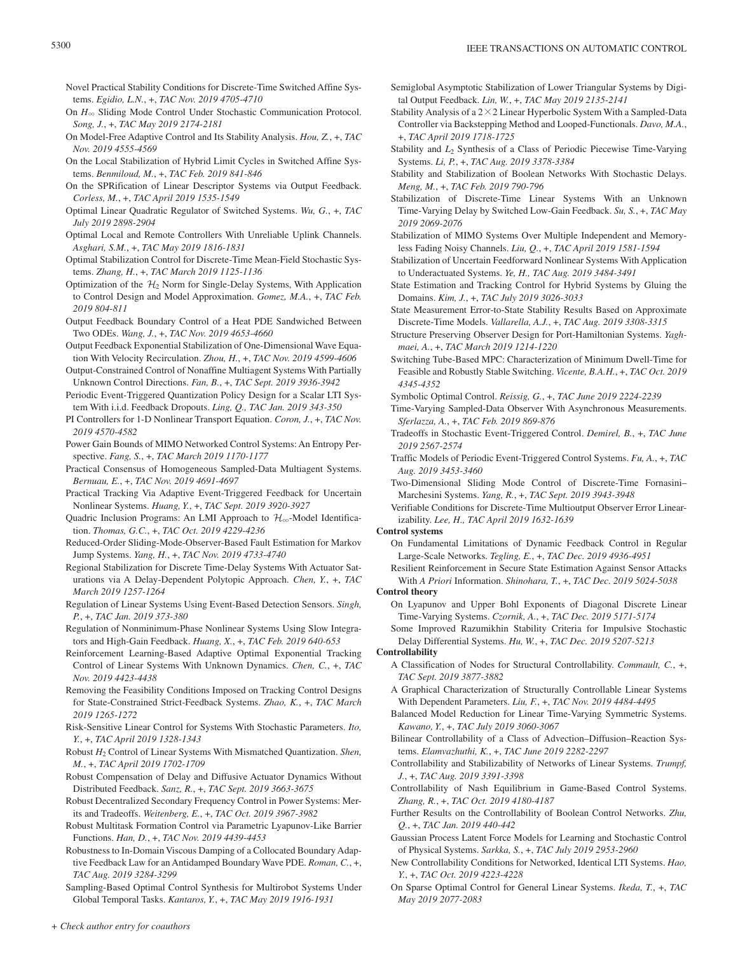- Novel Practical Stability Conditions for Discrete-Time Switched Affine Systems. *Egidio, L.N.*, +, *TAC Nov. 2019 4705-4710*
- On  $H_{\infty}$  Sliding Mode Control Under Stochastic Communication Protocol. *Song, J.*, +, *TAC May 2019 2174-2181*
- On Model-Free Adaptive Control and Its Stability Analysis. *Hou, Z.*, +, *TAC Nov. 2019 4555-4569*
- On the Local Stabilization of Hybrid Limit Cycles in Switched Affine Systems. *Benmiloud, M.*, +, *TAC Feb. 2019 841-846*
- On the SPRification of Linear Descriptor Systems via Output Feedback. *Corless, M.*, +, *TAC April 2019 1535-1549*
- Optimal Linear Quadratic Regulator of Switched Systems. *Wu, G.*, +, *TAC July 2019 2898-2904*
- Optimal Local and Remote Controllers With Unreliable Uplink Channels. *Asghari, S.M.*, +, *TAC May 2019 1816-1831*
- Optimal Stabilization Control for Discrete-Time Mean-Field Stochastic Systems. *Zhang, H.*, +, *TAC March 2019 1125-1136*
- Optimization of the  $H_2$  Norm for Single-Delay Systems, With Application to Control Design and Model Approximation. *Gomez, M.A.*, +, *TAC Feb. 2019 804-811*
- Output Feedback Boundary Control of a Heat PDE Sandwiched Between Two ODEs. *Wang, J.*, +, *TAC Nov. 2019 4653-4660*
- Output Feedback Exponential Stabilization of One-Dimensional Wave Equation With Velocity Recirculation. *Zhou, H.*, +, *TAC Nov. 2019 4599-4606*
- Output-Constrained Control of Nonaffine Multiagent Systems With Partially Unknown Control Directions. *Fan, B.*, +, *TAC Sept. 2019 3936-3942*
- Periodic Event-Triggered Quantization Policy Design for a Scalar LTI System With i.i.d. Feedback Dropouts. *Ling, Q., TAC Jan. 2019 343-350*
- PI Controllers for 1-D Nonlinear Transport Equation. *Coron, J.*, +, *TAC Nov. 2019 4570-4582*
- Power Gain Bounds of MIMO Networked Control Systems: An Entropy Perspective. *Fang, S.*, +, *TAC March 2019 1170-1177*
- Practical Consensus of Homogeneous Sampled-Data Multiagent Systems. *Bernuau, E.*, +, *TAC Nov. 2019 4691-4697*
- Practical Tracking Via Adaptive Event-Triggered Feedback for Uncertain Nonlinear Systems. *Huang, Y.*, +, *TAC Sept. 2019 3920-3927*
- Quadric Inclusion Programs: An LMI Approach to  $\mathcal{H}_{\infty}$ -Model Identification. *Thomas, G.C.*, +, *TAC Oct. 2019 4229-4236*
- Reduced-Order Sliding-Mode-Observer-Based Fault Estimation for Markov Jump Systems. *Yang, H.*, +, *TAC Nov. 2019 4733-4740*
- Regional Stabilization for Discrete Time-Delay Systems With Actuator Saturations via A Delay-Dependent Polytopic Approach. *Chen, Y.*, +, *TAC March 2019 1257-1264*
- Regulation of Linear Systems Using Event-Based Detection Sensors. *Singh, P.*, +, *TAC Jan. 2019 373-380*
- Regulation of Nonminimum-Phase Nonlinear Systems Using Slow Integrators and High-Gain Feedback. *Huang, X.*, +, *TAC Feb. 2019 640-653*
- Reinforcement Learning-Based Adaptive Optimal Exponential Tracking Control of Linear Systems With Unknown Dynamics. *Chen, C.*, +, *TAC Nov. 2019 4423-4438*
- Removing the Feasibility Conditions Imposed on Tracking Control Designs for State-Constrained Strict-Feedback Systems. *Zhao, K.*, +, *TAC March 2019 1265-1272*
- Risk-Sensitive Linear Control for Systems With Stochastic Parameters. *Ito, Y.*, +, *TAC April 2019 1328-1343*
- Robust *H*2 Control of Linear Systems With Mismatched Quantization. *Shen, M.*, +, *TAC April 2019 1702-1709*
- Robust Compensation of Delay and Diffusive Actuator Dynamics Without Distributed Feedback. *Sanz, R.*, +, *TAC Sept. 2019 3663-3675*
- Robust Decentralized Secondary Frequency Control in Power Systems: Merits and Tradeoffs. *Weitenberg, E.*, +, *TAC Oct. 2019 3967-3982*
- Robust Multitask Formation Control via Parametric Lyapunov-Like Barrier Functions. *Han, D.*, +, *TAC Nov. 2019 4439-4453*
- Robustness to In-Domain Viscous Damping of a Collocated Boundary Adaptive Feedback Law for an Antidamped Boundary Wave PDE. *Roman, C.*, +, *TAC Aug. 2019 3284-3299*
- Sampling-Based Optimal Control Synthesis for Multirobot Systems Under Global Temporal Tasks. *Kantaros, Y.*, +, *TAC May 2019 1916-1931*
- Semiglobal Asymptotic Stabilization of Lower Triangular Systems by Digital Output Feedback. *Lin, W.*, +, *TAC May 2019 2135-2141*
- Stability Analysis of a  $2 \times 2$  Linear Hyperbolic System With a Sampled-Data Controller via Backstepping Method and Looped-Functionals. *Davo, M.A.*, +, *TAC April 2019 1718-1725*
- Stability and  $L_2$  Synthesis of a Class of Periodic Piecewise Time-Varying Systems. *Li, P.*, +, *TAC Aug. 2019 3378-3384*
- Stability and Stabilization of Boolean Networks With Stochastic Delays. *Meng, M.*, +, *TAC Feb. 2019 790-796*
- Stabilization of Discrete-Time Linear Systems With an Unknown Time-Varying Delay by Switched Low-Gain Feedback. *Su, S.*, +, *TAC May 2019 2069-2076*
- Stabilization of MIMO Systems Over Multiple Independent and Memoryless Fading Noisy Channels. *Liu, Q.*, +, *TAC April 2019 1581-1594*
- Stabilization of Uncertain Feedforward Nonlinear Systems With Application to Underactuated Systems. *Ye, H., TAC Aug. 2019 3484-3491*
- State Estimation and Tracking Control for Hybrid Systems by Gluing the Domains. *Kim, J.*, +, *TAC July 2019 3026-3033*
- State Measurement Error-to-State Stability Results Based on Approximate Discrete-Time Models. *Vallarella, A.J.*, +, *TAC Aug. 2019 3308-3315*
- Structure Preserving Observer Design for Port-Hamiltonian Systems. *Yaghmaei, A.*, +, *TAC March 2019 1214-1220*
- Switching Tube-Based MPC: Characterization of Minimum Dwell-Time for Feasible and Robustly Stable Switching. *Vicente, B.A.H.*, +, *TAC Oct. 2019 4345-4352*
- Symbolic Optimal Control. *Reissig, G.*, +, *TAC June 2019 2224-2239*
- Time-Varying Sampled-Data Observer With Asynchronous Measurements. *Sferlazza, A.*, +, *TAC Feb. 2019 869-876*
- Tradeoffs in Stochastic Event-Triggered Control. *Demirel, B.*, +, *TAC June 2019 2567-2574*
- Traffic Models of Periodic Event-Triggered Control Systems. *Fu, A.*, +, *TAC Aug. 2019 3453-3460*
- Two-Dimensional Sliding Mode Control of Discrete-Time Fornasini– Marchesini Systems. *Yang, R.*, +, *TAC Sept. 2019 3943-3948*
- Verifiable Conditions for Discrete-Time Multioutput Observer Error Linearizability. *Lee, H., TAC April 2019 1632-1639*

**Control systems**

On Fundamental Limitations of Dynamic Feedback Control in Regular Large-Scale Networks. *Tegling, E.*, +, *TAC Dec. 2019 4936-4951*

Resilient Reinforcement in Secure State Estimation Against Sensor Attacks With *A Priori* Information. *Shinohara, T.*, +, *TAC Dec. 2019 5024-5038*

- **Control theory**
	- On Lyapunov and Upper Bohl Exponents of Diagonal Discrete Linear Time-Varying Systems. *Czornik, A.*, +, *TAC Dec. 2019 5171-5174*

Some Improved Razumikhin Stability Criteria for Impulsive Stochastic Delay Differential Systems. *Hu, W.*, +, *TAC Dec. 2019 5207-5213*

**Controllability**

- A Classification of Nodes for Structural Controllability. *Commault, C.*, +, *TAC Sept. 2019 3877-3882*
- A Graphical Characterization of Structurally Controllable Linear Systems With Dependent Parameters. *Liu, F.*, +, *TAC Nov. 2019 4484-4495*
- Balanced Model Reduction for Linear Time-Varying Symmetric Systems. *Kawano, Y.*, +, *TAC July 2019 3060-3067*
- Bilinear Controllability of a Class of Advection–Diffusion–Reaction Systems. *Elamvazhuthi, K.*, +, *TAC June 2019 2282-2297*
- Controllability and Stabilizability of Networks of Linear Systems. *Trumpf, J.*, +, *TAC Aug. 2019 3391-3398*
- Controllability of Nash Equilibrium in Game-Based Control Systems. *Zhang, R.*, +, *TAC Oct. 2019 4180-4187*
- Further Results on the Controllability of Boolean Control Networks. *Zhu, Q.*, +, *TAC Jan. 2019 440-442*
- Gaussian Process Latent Force Models for Learning and Stochastic Control of Physical Systems. *Sarkka, S.*, +, *TAC July 2019 2953-2960*
- New Controllability Conditions for Networked, Identical LTI Systems. *Hao, Y.*, +, *TAC Oct. 2019 4223-4228*
- On Sparse Optimal Control for General Linear Systems. *Ikeda, T.*, +, *TAC May 2019 2077-2083*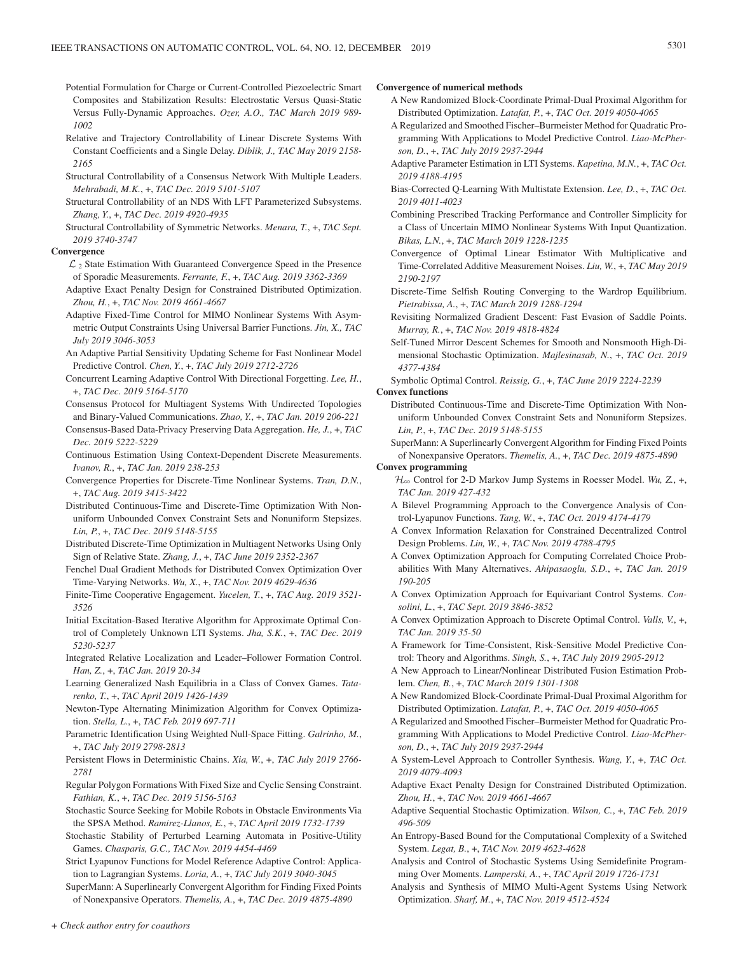- Potential Formulation for Charge or Current-Controlled Piezoelectric Smart Composites and Stabilization Results: Electrostatic Versus Quasi-Static Versus Fully-Dynamic Approaches. *Ozer, A.O., TAC March 2019 989- 1002*
- Relative and Trajectory Controllability of Linear Discrete Systems With Constant Coefficients and a Single Delay. *Diblik, J., TAC May 2019 2158- 2165*
- Structural Controllability of a Consensus Network With Multiple Leaders. *Mehrabadi, M.K.*, +, *TAC Dec. 2019 5101-5107*
- Structural Controllability of an NDS With LFT Parameterized Subsystems. *Zhang, Y.*, +, *TAC Dec. 2019 4920-4935*
- Structural Controllability of Symmetric Networks. *Menara, T.*, +, *TAC Sept. 2019 3740-3747*

#### **Convergence**

- $\mathcal{L}_2$  State Estimation With Guaranteed Convergence Speed in the Presence of Sporadic Measurements. *Ferrante, F.*, +, *TAC Aug. 2019 3362-3369*
- Adaptive Exact Penalty Design for Constrained Distributed Optimization. *Zhou, H.*, +, *TAC Nov. 2019 4661-4667*
- Adaptive Fixed-Time Control for MIMO Nonlinear Systems With Asymmetric Output Constraints Using Universal Barrier Functions. *Jin, X., TAC July 2019 3046-3053*
- An Adaptive Partial Sensitivity Updating Scheme for Fast Nonlinear Model Predictive Control. *Chen, Y.*, +, *TAC July 2019 2712-2726*
- Concurrent Learning Adaptive Control With Directional Forgetting. *Lee, H.*, +, *TAC Dec. 2019 5164-5170*
- Consensus Protocol for Multiagent Systems With Undirected Topologies and Binary-Valued Communications. *Zhao, Y.*, +, *TAC Jan. 2019 206-221*
- Consensus-Based Data-Privacy Preserving Data Aggregation. *He, J.*, +, *TAC Dec. 2019 5222-5229*
- Continuous Estimation Using Context-Dependent Discrete Measurements. *Ivanov, R.*, +, *TAC Jan. 2019 238-253*
- Convergence Properties for Discrete-Time Nonlinear Systems. *Tran, D.N.*, +, *TAC Aug. 2019 3415-3422*
- Distributed Continuous-Time and Discrete-Time Optimization With Nonuniform Unbounded Convex Constraint Sets and Nonuniform Stepsizes. *Lin, P.*, +, *TAC Dec. 2019 5148-5155*
- Distributed Discrete-Time Optimization in Multiagent Networks Using Only Sign of Relative State. *Zhang, J.*, +, *TAC June 2019 2352-2367*
- Fenchel Dual Gradient Methods for Distributed Convex Optimization Over Time-Varying Networks. *Wu, X.*, +, *TAC Nov. 2019 4629-4636*
- Finite-Time Cooperative Engagement. *Yucelen, T.*, +, *TAC Aug. 2019 3521- 3526*
- Initial Excitation-Based Iterative Algorithm for Approximate Optimal Control of Completely Unknown LTI Systems. *Jha, S.K.*, +, *TAC Dec. 2019 5230-5237*
- Integrated Relative Localization and Leader–Follower Formation Control. *Han, Z.*, +, *TAC Jan. 2019 20-34*
- Learning Generalized Nash Equilibria in a Class of Convex Games. *Tatarenko, T.*, +, *TAC April 2019 1426-1439*
- Newton-Type Alternating Minimization Algorithm for Convex Optimization. *Stella, L.*, +, *TAC Feb. 2019 697-711*
- Parametric Identification Using Weighted Null-Space Fitting. *Galrinho, M.*, +, *TAC July 2019 2798-2813*
- Persistent Flows in Deterministic Chains. *Xia, W.*, +, *TAC July 2019 2766- 2781*
- Regular Polygon Formations With Fixed Size and Cyclic Sensing Constraint. *Fathian, K.*, +, *TAC Dec. 2019 5156-5163*
- Stochastic Source Seeking for Mobile Robots in Obstacle Environments Via the SPSA Method. *Ramirez-Llanos, E.*, +, *TAC April 2019 1732-1739*
- Stochastic Stability of Perturbed Learning Automata in Positive-Utility Games. *Chasparis, G.C., TAC Nov. 2019 4454-4469*
- Strict Lyapunov Functions for Model Reference Adaptive Control: Application to Lagrangian Systems. *Loria, A.*, +, *TAC July 2019 3040-3045*

SuperMann: A Superlinearly Convergent Algorithm for Finding Fixed Points of Nonexpansive Operators. *Themelis, A.*, +, *TAC Dec. 2019 4875-4890*

#### **Convergence of numerical methods**

- A New Randomized Block-Coordinate Primal-Dual Proximal Algorithm for Distributed Optimization. *Latafat, P.*, +, *TAC Oct. 2019 4050-4065*
- A Regularized and Smoothed Fischer–Burmeister Method for Quadratic Programming With Applications to Model Predictive Control. *Liao-McPherson, D.*, +, *TAC July 2019 2937-2944*
- Adaptive Parameter Estimation in LTI Systems. *Kapetina, M.N.*, +, *TAC Oct. 2019 4188-4195*
- Bias-Corrected Q-Learning With Multistate Extension. *Lee, D.*, +, *TAC Oct. 2019 4011-4023*
- Combining Prescribed Tracking Performance and Controller Simplicity for a Class of Uncertain MIMO Nonlinear Systems With Input Quantization. *Bikas, L.N.*, +, *TAC March 2019 1228-1235*
- Convergence of Optimal Linear Estimator With Multiplicative and Time-Correlated Additive Measurement Noises. *Liu, W.*, +, *TAC May 2019 2190-2197*
- Discrete-Time Selfish Routing Converging to the Wardrop Equilibrium. *Pietrabissa, A.*, +, *TAC March 2019 1288-1294*
- Revisiting Normalized Gradient Descent: Fast Evasion of Saddle Points. *Murray, R.*, +, *TAC Nov. 2019 4818-4824*
- Self-Tuned Mirror Descent Schemes for Smooth and Nonsmooth High-Dimensional Stochastic Optimization. *Majlesinasab, N.*, +, *TAC Oct. 2019 4377-4384*
- Symbolic Optimal Control. *Reissig, G.*, +, *TAC June 2019 2224-2239* **Convex functions**
	- Distributed Continuous-Time and Discrete-Time Optimization With Nonuniform Unbounded Convex Constraint Sets and Nonuniform Stepsizes. *Lin, P.*, +, *TAC Dec. 2019 5148-5155*
	- SuperMann: A Superlinearly Convergent Algorithm for Finding Fixed Points of Nonexpansive Operators. *Themelis, A.*, +, *TAC Dec. 2019 4875-4890*

### **Convex programming**

- H3 Control for 2-D Markov Jump Systems in Roesser Model. *Wu, Z.*, +, *TAC Jan. 2019 427-432*
- A Bilevel Programming Approach to the Convergence Analysis of Control-Lyapunov Functions. *Tang, W.*, +, *TAC Oct. 2019 4174-4179*
- A Convex Information Relaxation for Constrained Decentralized Control Design Problems. *Lin, W.*, +, *TAC Nov. 2019 4788-4795*
- A Convex Optimization Approach for Computing Correlated Choice Probabilities With Many Alternatives. *Ahipasaoglu, S.D.*, +, *TAC Jan. 2019 190-205*
- A Convex Optimization Approach for Equivariant Control Systems. *Consolini, L.*, +, *TAC Sept. 2019 3846-3852*
- A Convex Optimization Approach to Discrete Optimal Control. *Valls, V.*, +, *TAC Jan. 2019 35-50*
- A Framework for Time-Consistent, Risk-Sensitive Model Predictive Control: Theory and Algorithms. *Singh, S.*, +, *TAC July 2019 2905-2912*
- A New Approach to Linear/Nonlinear Distributed Fusion Estimation Problem. *Chen, B.*, +, *TAC March 2019 1301-1308*
- A New Randomized Block-Coordinate Primal-Dual Proximal Algorithm for Distributed Optimization. *Latafat, P.*, +, *TAC Oct. 2019 4050-4065*
- A Regularized and Smoothed Fischer–Burmeister Method for Quadratic Programming With Applications to Model Predictive Control. *Liao-McPherson, D.*, +, *TAC July 2019 2937-2944*
- A System-Level Approach to Controller Synthesis. *Wang, Y.*, +, *TAC Oct. 2019 4079-4093*
- Adaptive Exact Penalty Design for Constrained Distributed Optimization. *Zhou, H.*, +, *TAC Nov. 2019 4661-4667*
- Adaptive Sequential Stochastic Optimization. *Wilson, C.*, +, *TAC Feb. 2019 496-509*
- An Entropy-Based Bound for the Computational Complexity of a Switched System. *Legat, B.*, +, *TAC Nov. 2019 4623-4628*
- Analysis and Control of Stochastic Systems Using Semidefinite Programming Over Moments. *Lamperski, A.*, +, *TAC April 2019 1726-1731*
- Analysis and Synthesis of MIMO Multi-Agent Systems Using Network Optimization. *Sharf, M.*, +, *TAC Nov. 2019 4512-4524*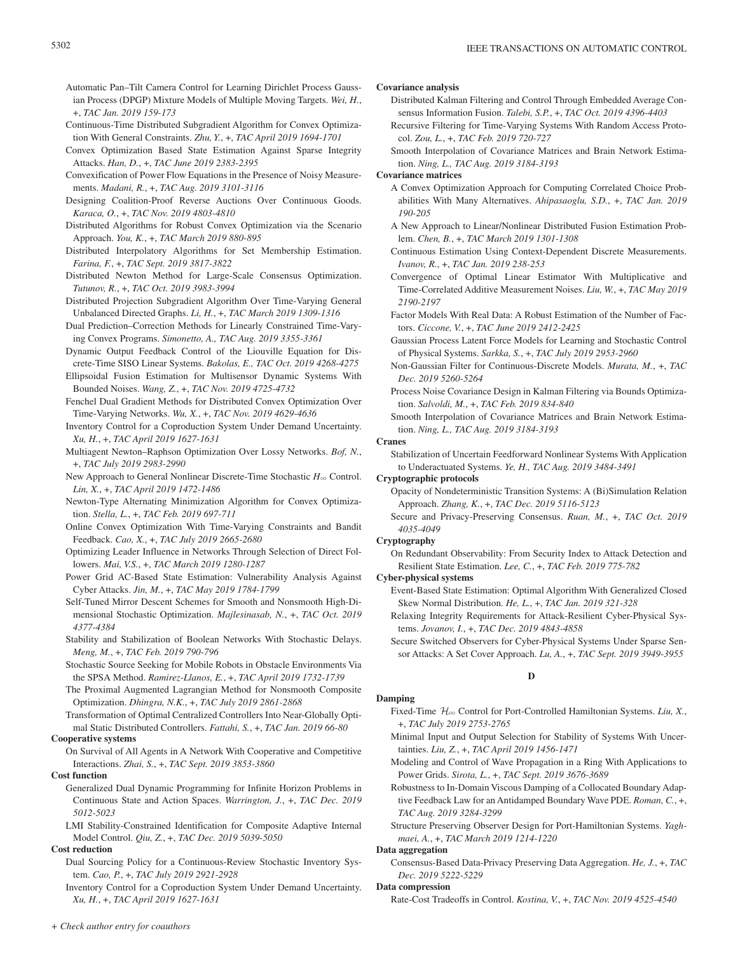- Automatic Pan–Tilt Camera Control for Learning Dirichlet Process Gaussian Process (DPGP) Mixture Models of Multiple Moving Targets. *Wei, H.*, +, *TAC Jan. 2019 159-173*
- Continuous-Time Distributed Subgradient Algorithm for Convex Optimization With General Constraints. *Zhu, Y.*, +, *TAC April 2019 1694-1701*
- Convex Optimization Based State Estimation Against Sparse Integrity Attacks. *Han, D.*, +, *TAC June 2019 2383-2395*
- Convexification of Power Flow Equations in the Presence of Noisy Measurements. *Madani, R.*, +, *TAC Aug. 2019 3101-3116*
- Designing Coalition-Proof Reverse Auctions Over Continuous Goods. *Karaca, O.*, +, *TAC Nov. 2019 4803-4810*
- Distributed Algorithms for Robust Convex Optimization via the Scenario Approach. *You, K.*, +, *TAC March 2019 880-895*
- Distributed Interpolatory Algorithms for Set Membership Estimation. *Farina, F.*, +, *TAC Sept. 2019 3817-3822*
- Distributed Newton Method for Large-Scale Consensus Optimization. *Tutunov, R.*, +, *TAC Oct. 2019 3983-3994*
- Distributed Projection Subgradient Algorithm Over Time-Varying General Unbalanced Directed Graphs. *Li, H.*, +, *TAC March 2019 1309-1316*
- Dual Prediction–Correction Methods for Linearly Constrained Time-Varying Convex Programs. *Simonetto, A., TAC Aug. 2019 3355-3361*

Dynamic Output Feedback Control of the Liouville Equation for Discrete-Time SISO Linear Systems. *Bakolas, E., TAC Oct. 2019 4268-4275*

Ellipsoidal Fusion Estimation for Multisensor Dynamic Systems With Bounded Noises. *Wang, Z.*, +, *TAC Nov. 2019 4725-4732*

Fenchel Dual Gradient Methods for Distributed Convex Optimization Over Time-Varying Networks. *Wu, X.*, +, *TAC Nov. 2019 4629-4636*

Inventory Control for a Coproduction System Under Demand Uncertainty. *Xu, H.*, +, *TAC April 2019 1627-1631*

- Multiagent Newton–Raphson Optimization Over Lossy Networks. *Bof, N.*, +, *TAC July 2019 2983-2990*
- New Approach to General Nonlinear Discrete-Time Stochastic  $H_{\infty}$  Control. *Lin, X.*, +, *TAC April 2019 1472-1486*
- Newton-Type Alternating Minimization Algorithm for Convex Optimization. *Stella, L.*, +, *TAC Feb. 2019 697-711*
- Online Convex Optimization With Time-Varying Constraints and Bandit Feedback. *Cao, X.*, +, *TAC July 2019 2665-2680*
- Optimizing Leader Influence in Networks Through Selection of Direct Followers. *Mai, V.S.*, +, *TAC March 2019 1280-1287*
- Power Grid AC-Based State Estimation: Vulnerability Analysis Against Cyber Attacks. *Jin, M.*, +, *TAC May 2019 1784-1799*
- Self-Tuned Mirror Descent Schemes for Smooth and Nonsmooth High-Dimensional Stochastic Optimization. *Majlesinasab, N.*, +, *TAC Oct. 2019 4377-4384*
- Stability and Stabilization of Boolean Networks With Stochastic Delays. *Meng, M.*, +, *TAC Feb. 2019 790-796*
- Stochastic Source Seeking for Mobile Robots in Obstacle Environments Via the SPSA Method. *Ramirez-Llanos, E.*, +, *TAC April 2019 1732-1739*

The Proximal Augmented Lagrangian Method for Nonsmooth Composite Optimization. *Dhingra, N.K.*, +, *TAC July 2019 2861-2868*

Transformation of Optimal Centralized Controllers Into Near-Globally Optimal Static Distributed Controllers. *Fattahi, S.*, +, *TAC Jan. 2019 66-80*

### **Cooperative systems**

On Survival of All Agents in A Network With Cooperative and Competitive Interactions. *Zhai, S.*, +, *TAC Sept. 2019 3853-3860*

**Cost function**

Generalized Dual Dynamic Programming for Infinite Horizon Problems in Continuous State and Action Spaces. *Warrington, J.*, +, *TAC Dec. 2019 5012-5023*

LMI Stability-Constrained Identification for Composite Adaptive Internal Model Control. *Qiu, Z.*, +, *TAC Dec. 2019 5039-5050*

### **Cost reduction**

Dual Sourcing Policy for a Continuous-Review Stochastic Inventory System. *Cao, P.*, +, *TAC July 2019 2921-2928*

Inventory Control for a Coproduction System Under Demand Uncertainty. *Xu, H.*, +, *TAC April 2019 1627-1631*

### **Covariance analysis**

- Distributed Kalman Filtering and Control Through Embedded Average Consensus Information Fusion. *Talebi, S.P.*, +, *TAC Oct. 2019 4396-4403*
- Recursive Filtering for Time-Varying Systems With Random Access Protocol. *Zou, L.*, +, *TAC Feb. 2019 720-727*
- Smooth Interpolation of Covariance Matrices and Brain Network Estimation. *Ning, L., TAC Aug. 2019 3184-3193*

**Covariance matrices**

- A Convex Optimization Approach for Computing Correlated Choice Probabilities With Many Alternatives. *Ahipasaoglu, S.D.*, +, *TAC Jan. 2019 190-205*
- A New Approach to Linear/Nonlinear Distributed Fusion Estimation Problem. *Chen, B.*, +, *TAC March 2019 1301-1308*
- Continuous Estimation Using Context-Dependent Discrete Measurements. *Ivanov, R.*, +, *TAC Jan. 2019 238-253*
- Convergence of Optimal Linear Estimator With Multiplicative and Time-Correlated Additive Measurement Noises. *Liu, W.*, +, *TAC May 2019 2190-2197*

Factor Models With Real Data: A Robust Estimation of the Number of Factors. *Ciccone, V.*, +, *TAC June 2019 2412-2425*

Gaussian Process Latent Force Models for Learning and Stochastic Control of Physical Systems. *Sarkka, S.*, +, *TAC July 2019 2953-2960*

Non-Gaussian Filter for Continuous-Discrete Models. *Murata, M.*, +, *TAC Dec. 2019 5260-5264*

- Process Noise Covariance Design in Kalman Filtering via Bounds Optimization. *Salvoldi, M.*, +, *TAC Feb. 2019 834-840*
- Smooth Interpolation of Covariance Matrices and Brain Network Estimation. *Ning, L., TAC Aug. 2019 3184-3193*

#### **Cranes**

Stabilization of Uncertain Feedforward Nonlinear Systems With Application to Underactuated Systems. *Ye, H., TAC Aug. 2019 3484-3491*

#### **Cryptographic protocols**

Opacity of Nondeterministic Transition Systems: A (Bi)Simulation Relation Approach. *Zhang, K.*, +, *TAC Dec. 2019 5116-5123*

Secure and Privacy-Preserving Consensus. *Ruan, M.*, +, *TAC Oct. 2019 4035-4049*

### **Cryptography**

**Damping**

On Redundant Observability: From Security Index to Attack Detection and Resilient State Estimation. *Lee, C.*, +, *TAC Feb. 2019 775-782*

#### **Cyber-physical systems**

Event-Based State Estimation: Optimal Algorithm With Generalized Closed Skew Normal Distribution. *He, L.*, +, *TAC Jan. 2019 321-328*

Relaxing Integrity Requirements for Attack-Resilient Cyber-Physical Systems. *Jovanov, I.*, +, *TAC Dec. 2019 4843-4858*

Secure Switched Observers for Cyber-Physical Systems Under Sparse Sensor Attacks: A Set Cover Approach. *Lu, A.*, +, *TAC Sept. 2019 3949-3955*

**D**

- Fixed-Time H3 Control for Port-Controlled Hamiltonian Systems. *Liu, X.*, +, *TAC July 2019 2753-2765*
- Minimal Input and Output Selection for Stability of Systems With Uncertainties. *Liu, Z.*, +, *TAC April 2019 1456-1471*
- Modeling and Control of Wave Propagation in a Ring With Applications to Power Grids. *Sirota, L.*, +, *TAC Sept. 2019 3676-3689*
- Robustness to In-Domain Viscous Damping of a Collocated Boundary Adaptive Feedback Law for an Antidamped Boundary Wave PDE. *Roman, C.*, +, *TAC Aug. 2019 3284-3299*
- Structure Preserving Observer Design for Port-Hamiltonian Systems. *Yaghmaei, A.*, +, *TAC March 2019 1214-1220*

### **Data aggregation**

Consensus-Based Data-Privacy Preserving Data Aggregation. *He, J.*, +, *TAC Dec. 2019 5222-5229*

### **Data compression**

Rate-Cost Tradeoffs in Control. *Kostina, V.*, +, *TAC Nov. 2019 4525-4540*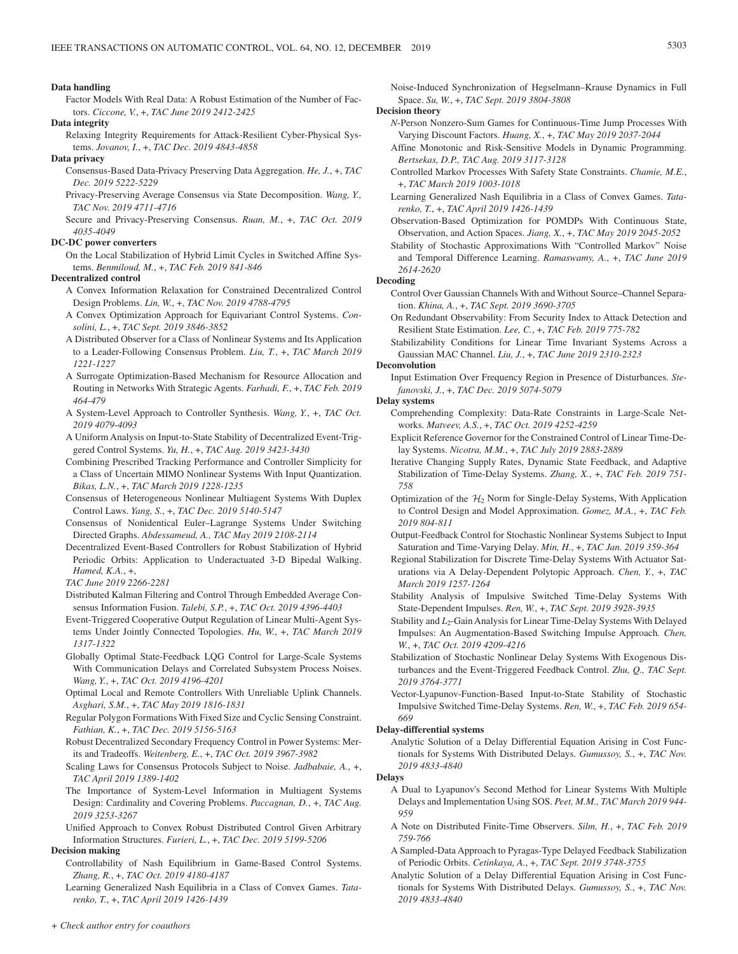#### **Data handling**

Factor Models With Real Data: A Robust Estimation of the Number of Factors. *Ciccone, V.*, +, *TAC June 2019 2412-2425*

**Data integrity**

Relaxing Integrity Requirements for Attack-Resilient Cyber-Physical Systems. *Jovanov, I.*, +, *TAC Dec. 2019 4843-4858*

#### **Data privacy**

- Consensus-Based Data-Privacy Preserving Data Aggregation. *He, J.*, +, *TAC Dec. 2019 5222-5229*
- Privacy-Preserving Average Consensus via State Decomposition. *Wang, Y., TAC Nov. 2019 4711-4716*
- Secure and Privacy-Preserving Consensus. *Ruan, M.*, +, *TAC Oct. 2019 4035-4049*

### **DC-DC power converters**

On the Local Stabilization of Hybrid Limit Cycles in Switched Affine Systems. *Benmiloud, M.*, +, *TAC Feb. 2019 841-846*

#### **Decentralized control**

- A Convex Information Relaxation for Constrained Decentralized Control Design Problems. *Lin, W.*, +, *TAC Nov. 2019 4788-4795*
- A Convex Optimization Approach for Equivariant Control Systems. *Consolini, L.*, +, *TAC Sept. 2019 3846-3852*
- A Distributed Observer for a Class of Nonlinear Systems and Its Application to a Leader-Following Consensus Problem. *Liu, T.*, +, *TAC March 2019 1221-1227*
- A Surrogate Optimization-Based Mechanism for Resource Allocation and Routing in Networks With Strategic Agents. *Farhadi, F.*, +, *TAC Feb. 2019 464-479*
- A System-Level Approach to Controller Synthesis. *Wang, Y.*, +, *TAC Oct. 2019 4079-4093*
- A Uniform Analysis on Input-to-State Stability of Decentralized Event-Triggered Control Systems. *Yu, H.*, +, *TAC Aug. 2019 3423-3430*
- Combining Prescribed Tracking Performance and Controller Simplicity for a Class of Uncertain MIMO Nonlinear Systems With Input Quantization. *Bikas, L.N.*, +, *TAC March 2019 1228-1235*
- Consensus of Heterogeneous Nonlinear Multiagent Systems With Duplex Control Laws. *Yang, S.*, +, *TAC Dec. 2019 5140-5147*
- Consensus of Nonidentical Euler–Lagrange Systems Under Switching Directed Graphs. *Abdessameud, A., TAC May 2019 2108-2114*
- Decentralized Event-Based Controllers for Robust Stabilization of Hybrid Periodic Orbits: Application to Underactuated 3-D Bipedal Walking. *Hamed, K.A.*, +,

*TAC June 2019 2266-2281*

- Distributed Kalman Filtering and Control Through Embedded Average Consensus Information Fusion. *Talebi, S.P.*, +, *TAC Oct. 2019 4396-4403*
- Event-Triggered Cooperative Output Regulation of Linear Multi-Agent Systems Under Jointly Connected Topologies. *Hu, W.*, +, *TAC March 2019 1317-1322*
- Globally Optimal State-Feedback LQG Control for Large-Scale Systems With Communication Delays and Correlated Subsystem Process Noises. *Wang, Y.*, +, *TAC Oct. 2019 4196-4201*
- Optimal Local and Remote Controllers With Unreliable Uplink Channels. *Asghari, S.M.*, +, *TAC May 2019 1816-1831*
- Regular Polygon Formations With Fixed Size and Cyclic Sensing Constraint. *Fathian, K.*, +, *TAC Dec. 2019 5156-5163*
- Robust Decentralized Secondary Frequency Control in Power Systems: Merits and Tradeoffs. *Weitenberg, E.*, +, *TAC Oct. 2019 3967-3982*
- Scaling Laws for Consensus Protocols Subject to Noise. *Jadbabaie, A.*, +, *TAC April 2019 1389-1402*
- The Importance of System-Level Information in Multiagent Systems Design: Cardinality and Covering Problems. *Paccagnan, D.*, +, *TAC Aug. 2019 3253-3267*
- Unified Approach to Convex Robust Distributed Control Given Arbitrary Information Structures. *Furieri, L.*, +, *TAC Dec. 2019 5199-5206*

#### **Decision making**

- Controllability of Nash Equilibrium in Game-Based Control Systems. *Zhang, R.*, +, *TAC Oct. 2019 4180-4187*
- Learning Generalized Nash Equilibria in a Class of Convex Games. *Tatarenko, T.*, +, *TAC April 2019 1426-1439*

Noise-Induced Synchronization of Hegselmann–Krause Dynamics in Full Space. *Su, W.*, +, *TAC Sept. 2019 3804-3808*

**Decision theory**

- *N*-Person Nonzero-Sum Games for Continuous-Time Jump Processes With Varying Discount Factors. *Huang, X.*, +, *TAC May 2019 2037-2044*
- Affine Monotonic and Risk-Sensitive Models in Dynamic Programming. *Bertsekas, D.P., TAC Aug. 2019 3117-3128*
- Controlled Markov Processes With Safety State Constraints. *Chamie, M.E.*, +, *TAC March 2019 1003-1018*
- Learning Generalized Nash Equilibria in a Class of Convex Games. *Tatarenko, T.*, +, *TAC April 2019 1426-1439*
- Observation-Based Optimization for POMDPs With Continuous State, Observation, and Action Spaces. *Jiang, X.*, +, *TAC May 2019 2045-2052*
- Stability of Stochastic Approximations With "Controlled Markov" Noise and Temporal Difference Learning. *Ramaswamy, A.*, +, *TAC June 2019 2614-2620*

### **Decoding**

- Control Over Gaussian Channels With and Without Source–Channel Separation. *Khina, A.*, +, *TAC Sept. 2019 3690-3705*
- On Redundant Observability: From Security Index to Attack Detection and Resilient State Estimation. *Lee, C.*, +, *TAC Feb. 2019 775-782*
- Stabilizability Conditions for Linear Time Invariant Systems Across a Gaussian MAC Channel. *Liu, J.*, +, *TAC June 2019 2310-2323*

### **Deconvolution**

- Input Estimation Over Frequency Region in Presence of Disturbances. *Stefanovski, J.*, +, *TAC Dec. 2019 5074-5079*
- **Delay systems**
	- Comprehending Complexity: Data-Rate Constraints in Large-Scale Networks. *Matveev, A.S.*, +, *TAC Oct. 2019 4252-4259*
	- Explicit Reference Governor for the Constrained Control of Linear Time-Delay Systems. *Nicotra, M.M.*, +, *TAC July 2019 2883-2889*
	- Iterative Changing Supply Rates, Dynamic State Feedback, and Adaptive Stabilization of Time-Delay Systems. *Zhang, X.*, +, *TAC Feb. 2019 751- 758*
	- Optimization of the  $H_2$  Norm for Single-Delay Systems, With Application to Control Design and Model Approximation. *Gomez, M.A.*, +, *TAC Feb. 2019 804-811*
	- Output-Feedback Control for Stochastic Nonlinear Systems Subject to Input Saturation and Time-Varying Delay. *Min, H.*, +, *TAC Jan. 2019 359-364*
	- Regional Stabilization for Discrete Time-Delay Systems With Actuator Saturations via A Delay-Dependent Polytopic Approach. *Chen, Y.*, +, *TAC March 2019 1257-1264*
	- Stability Analysis of Impulsive Switched Time-Delay Systems With State-Dependent Impulses. *Ren, W.*, +, *TAC Sept. 2019 3928-3935*
	- Stability and *L*<sub>2</sub>-Gain Analysis for Linear Time-Delay Systems With Delayed Impulses: An Augmentation-Based Switching Impulse Approach. *Chen, W.*, +, *TAC Oct. 2019 4209-4216*
	- Stabilization of Stochastic Nonlinear Delay Systems With Exogenous Disturbances and the Event-Triggered Feedback Control. *Zhu, Q., TAC Sept. 2019 3764-3771*
	- Vector-Lyapunov-Function-Based Input-to-State Stability of Stochastic Impulsive Switched Time-Delay Systems. *Ren, W.*, +, *TAC Feb. 2019 654- 669*

#### **Delay-differential systems**

Analytic Solution of a Delay Differential Equation Arising in Cost Functionals for Systems With Distributed Delays. *Gumussoy, S.*, +, *TAC Nov. 2019 4833-4840*

### **Delays**

- A Dual to Lyapunov's Second Method for Linear Systems With Multiple Delays and Implementation Using SOS. *Peet, M.M., TAC March 2019 944- 959*
- A Note on Distributed Finite-Time Observers. *Silm, H.*, +, *TAC Feb. 2019 759-766*
- A Sampled-Data Approach to Pyragas-Type Delayed Feedback Stabilization of Periodic Orbits. *Cetinkaya, A.*, +, *TAC Sept. 2019 3748-3755*
- Analytic Solution of a Delay Differential Equation Arising in Cost Functionals for Systems With Distributed Delays. *Gumussoy, S.*, +, *TAC Nov. 2019 4833-4840*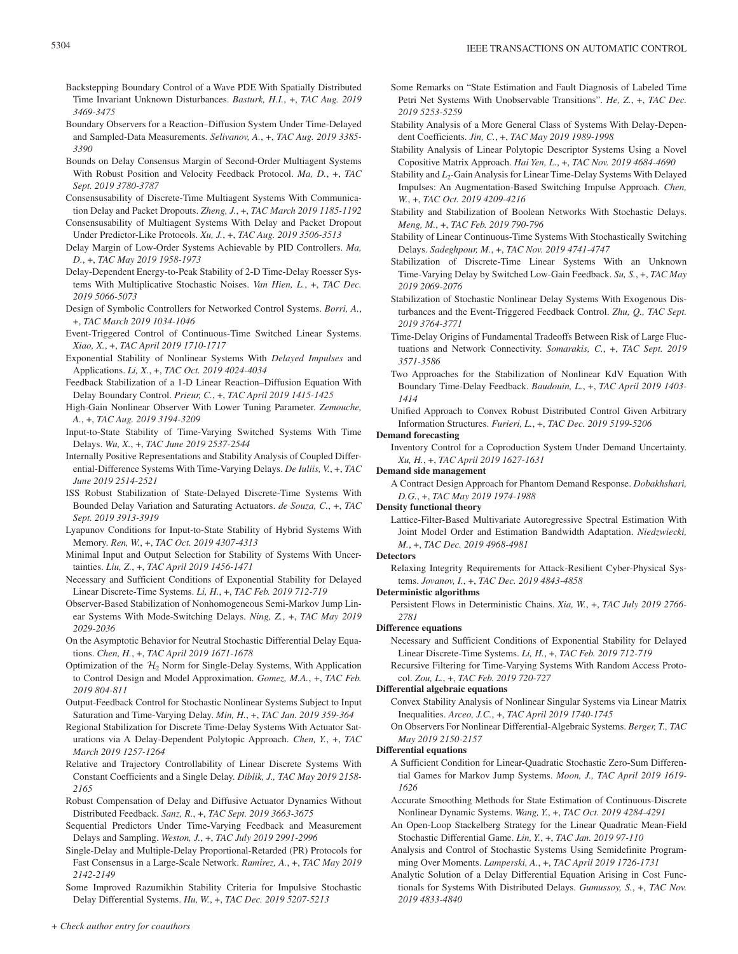- Backstepping Boundary Control of a Wave PDE With Spatially Distributed Time Invariant Unknown Disturbances. *Basturk, H.I.*, +, *TAC Aug. 2019 3469-3475*
- Boundary Observers for a Reaction–Diffusion System Under Time-Delayed and Sampled-Data Measurements. *Selivanov, A.*, +, *TAC Aug. 2019 3385- 3390*
- Bounds on Delay Consensus Margin of Second-Order Multiagent Systems With Robust Position and Velocity Feedback Protocol. *Ma, D.*, +, *TAC Sept. 2019 3780-3787*
- Consensusability of Discrete-Time Multiagent Systems With Communication Delay and Packet Dropouts. *Zheng, J.*, +, *TAC March 2019 1185-1192*
- Consensusability of Multiagent Systems With Delay and Packet Dropout Under Predictor-Like Protocols. *Xu, J.*, +, *TAC Aug. 2019 3506-3513*
- Delay Margin of Low-Order Systems Achievable by PID Controllers. *Ma, D.*, +, *TAC May 2019 1958-1973*
- Delay-Dependent Energy-to-Peak Stability of 2-D Time-Delay Roesser Systems With Multiplicative Stochastic Noises. *Van Hien, L.*, +, *TAC Dec. 2019 5066-5073*
- Design of Symbolic Controllers for Networked Control Systems. *Borri, A.*, +, *TAC March 2019 1034-1046*
- Event-Triggered Control of Continuous-Time Switched Linear Systems. *Xiao, X.*, +, *TAC April 2019 1710-1717*
- Exponential Stability of Nonlinear Systems With *Delayed Impulses* and Applications. *Li, X.*, +, *TAC Oct. 2019 4024-4034*
- Feedback Stabilization of a 1-D Linear Reaction–Diffusion Equation With Delay Boundary Control. *Prieur, C.*, +, *TAC April 2019 1415-1425*
- High-Gain Nonlinear Observer With Lower Tuning Parameter. *Zemouche, A.*, +, *TAC Aug. 2019 3194-3209*
- Input-to-State Stability of Time-Varying Switched Systems With Time Delays. *Wu, X.*, +, *TAC June 2019 2537-2544*
- Internally Positive Representations and Stability Analysis of Coupled Differential-Difference Systems With Time-Varying Delays. *De Iuliis, V.*, +, *TAC June 2019 2514-2521*
- ISS Robust Stabilization of State-Delayed Discrete-Time Systems With Bounded Delay Variation and Saturating Actuators. *de Souza, C.*, +, *TAC Sept. 2019 3913-3919*
- Lyapunov Conditions for Input-to-State Stability of Hybrid Systems With Memory. *Ren, W.*, +, *TAC Oct. 2019 4307-4313*
- Minimal Input and Output Selection for Stability of Systems With Uncertainties. *Liu, Z.*, +, *TAC April 2019 1456-1471*
- Necessary and Sufficient Conditions of Exponential Stability for Delayed Linear Discrete-Time Systems. *Li, H.*, +, *TAC Feb. 2019 712-719*
- Observer-Based Stabilization of Nonhomogeneous Semi-Markov Jump Linear Systems With Mode-Switching Delays. *Ning, Z.*, +, *TAC May 2019 2029-2036*
- On the Asymptotic Behavior for Neutral Stochastic Differential Delay Equations. *Chen, H.*, +, *TAC April 2019 1671-1678*
- Optimization of the  $H_2$  Norm for Single-Delay Systems, With Application to Control Design and Model Approximation. *Gomez, M.A.*, +, *TAC Feb. 2019 804-811*
- Output-Feedback Control for Stochastic Nonlinear Systems Subject to Input Saturation and Time-Varying Delay. *Min, H.*, +, *TAC Jan. 2019 359-364*
- Regional Stabilization for Discrete Time-Delay Systems With Actuator Saturations via A Delay-Dependent Polytopic Approach. *Chen, Y.*, +, *TAC March 2019 1257-1264*
- Relative and Trajectory Controllability of Linear Discrete Systems With Constant Coefficients and a Single Delay. *Diblik, J., TAC May 2019 2158- 2165*
- Robust Compensation of Delay and Diffusive Actuator Dynamics Without Distributed Feedback. *Sanz, R.*, +, *TAC Sept. 2019 3663-3675*
- Sequential Predictors Under Time-Varying Feedback and Measurement Delays and Sampling. *Weston, J.*, +, *TAC July 2019 2991-2996*
- Single-Delay and Multiple-Delay Proportional-Retarded (PR) Protocols for Fast Consensus in a Large-Scale Network. *Ramirez, A.*, +, *TAC May 2019 2142-2149*

Some Improved Razumikhin Stability Criteria for Impulsive Stochastic Delay Differential Systems. *Hu, W.*, +, *TAC Dec. 2019 5207-5213*

- Some Remarks on "State Estimation and Fault Diagnosis of Labeled Time Petri Net Systems With Unobservable Transitions". *He, Z.*, +, *TAC Dec. 2019 5253-5259*
- Stability Analysis of a More General Class of Systems With Delay-Dependent Coefficients. *Jin, C.*, +, *TAC May 2019 1989-1998*
- Stability Analysis of Linear Polytopic Descriptor Systems Using a Novel Copositive Matrix Approach. *Hai Yen, L.*, +, *TAC Nov. 2019 4684-4690*
- Stability and *L*<sub>2</sub>-Gain Analysis for Linear Time-Delay Systems With Delayed Impulses: An Augmentation-Based Switching Impulse Approach. *Chen, W.*, +, *TAC Oct. 2019 4209-4216*
- Stability and Stabilization of Boolean Networks With Stochastic Delays. *Meng, M.*, +, *TAC Feb. 2019 790-796*
- Stability of Linear Continuous-Time Systems With Stochastically Switching Delays. *Sadeghpour, M.*, +, *TAC Nov. 2019 4741-4747*
- Stabilization of Discrete-Time Linear Systems With an Unknown Time-Varying Delay by Switched Low-Gain Feedback. *Su, S.*, +, *TAC May 2019 2069-2076*
- Stabilization of Stochastic Nonlinear Delay Systems With Exogenous Disturbances and the Event-Triggered Feedback Control. *Zhu, Q., TAC Sept. 2019 3764-3771*
- Time-Delay Origins of Fundamental Tradeoffs Between Risk of Large Fluctuations and Network Connectivity. *Somarakis, C.*, +, *TAC Sept. 2019 3571-3586*
- Two Approaches for the Stabilization of Nonlinear KdV Equation With Boundary Time-Delay Feedback. *Baudouin, L.*, +, *TAC April 2019 1403- 1414*
- Unified Approach to Convex Robust Distributed Control Given Arbitrary Information Structures. *Furieri, L.*, +, *TAC Dec. 2019 5199-5206*

### **Demand forecasting**

Inventory Control for a Coproduction System Under Demand Uncertainty. *Xu, H.*, +, *TAC April 2019 1627-1631*

# **Demand side management**

A Contract Design Approach for Phantom Demand Response. *Dobakhshari, D.G.*, +, *TAC May 2019 1974-1988*

#### **Density functional theory**

Lattice-Filter-Based Multivariate Autoregressive Spectral Estimation With Joint Model Order and Estimation Bandwidth Adaptation. *Niedzwiecki, M.*, +, *TAC Dec. 2019 4968-4981*

### **Detectors**

Relaxing Integrity Requirements for Attack-Resilient Cyber-Physical Systems. *Jovanov, I.*, +, *TAC Dec. 2019 4843-4858*

### **Deterministic algorithms**

Persistent Flows in Deterministic Chains. *Xia, W.*, +, *TAC July 2019 2766- 2781*

### **Difference equations**

Necessary and Sufficient Conditions of Exponential Stability for Delayed Linear Discrete-Time Systems. *Li, H.*, +, *TAC Feb. 2019 712-719*

Recursive Filtering for Time-Varying Systems With Random Access Protocol. *Zou, L.*, +, *TAC Feb. 2019 720-727*

### **Differential algebraic equations**

- Convex Stability Analysis of Nonlinear Singular Systems via Linear Matrix Inequalities. *Arceo, J.C.*, +, *TAC April 2019 1740-1745*
- On Observers For Nonlinear Differential-Algebraic Systems. *Berger, T., TAC May 2019 2150-2157*

### **Differential equations**

- A Sufficient Condition for Linear-Quadratic Stochastic Zero-Sum Differential Games for Markov Jump Systems. *Moon, J., TAC April 2019 1619- 1626*
- Accurate Smoothing Methods for State Estimation of Continuous-Discrete Nonlinear Dynamic Systems. *Wang, Y.*, +, *TAC Oct. 2019 4284-4291*
- An Open-Loop Stackelberg Strategy for the Linear Quadratic Mean-Field Stochastic Differential Game. *Lin, Y.*, +, *TAC Jan. 2019 97-110*
- Analysis and Control of Stochastic Systems Using Semidefinite Programming Over Moments. *Lamperski, A.*, +, *TAC April 2019 1726-1731*
- Analytic Solution of a Delay Differential Equation Arising in Cost Functionals for Systems With Distributed Delays. *Gumussoy, S.*, +, *TAC Nov. 2019 4833-4840*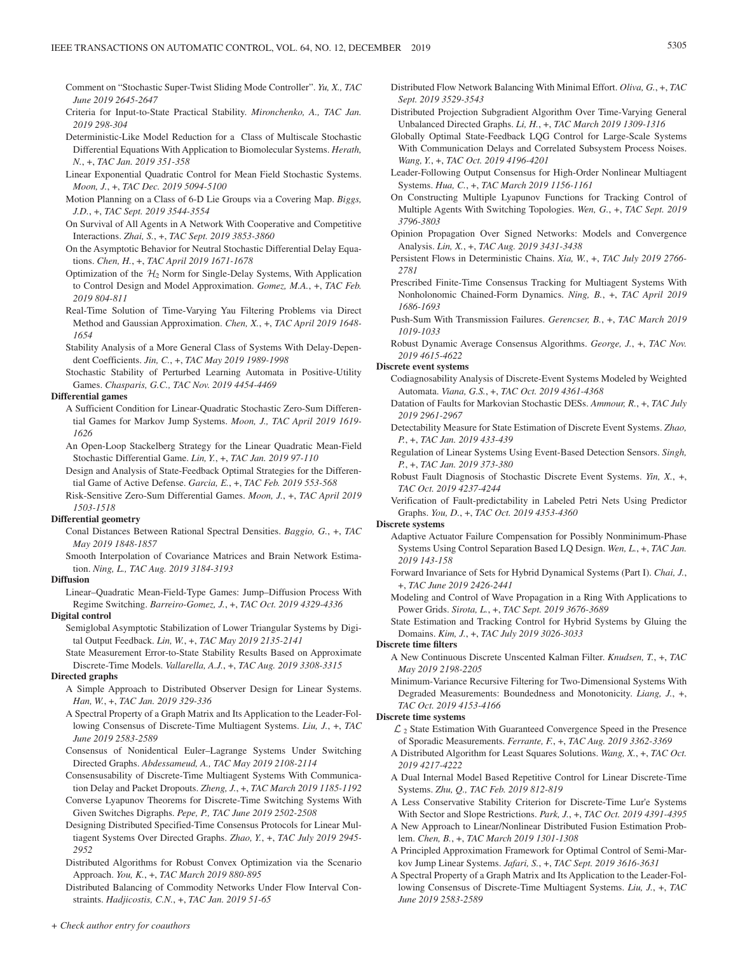- Comment on "Stochastic Super-Twist Sliding Mode Controller". *Yu, X., TAC June 2019 2645-2647*
- Criteria for Input-to-State Practical Stability. *Mironchenko, A., TAC Jan. 2019 298-304*
- Deterministic-Like Model Reduction for a Class of Multiscale Stochastic Differential Equations With Application to Biomolecular Systems. *Herath, N.*, +, *TAC Jan. 2019 351-358*
- Linear Exponential Quadratic Control for Mean Field Stochastic Systems. *Moon, J.*, +, *TAC Dec. 2019 5094-5100*
- Motion Planning on a Class of 6-D Lie Groups via a Covering Map. *Biggs, J.D.*, +, *TAC Sept. 2019 3544-3554*
- On Survival of All Agents in A Network With Cooperative and Competitive Interactions. *Zhai, S.*, +, *TAC Sept. 2019 3853-3860*
- On the Asymptotic Behavior for Neutral Stochastic Differential Delay Equations. *Chen, H.*, +, *TAC April 2019 1671-1678*
- Optimization of the  $H_2$  Norm for Single-Delay Systems, With Application to Control Design and Model Approximation. *Gomez, M.A.*, +, *TAC Feb. 2019 804-811*
- Real-Time Solution of Time-Varying Yau Filtering Problems via Direct Method and Gaussian Approximation. *Chen, X.*, +, *TAC April 2019 1648- 1654*
- Stability Analysis of a More General Class of Systems With Delay-Dependent Coefficients. *Jin, C.*, +, *TAC May 2019 1989-1998*
- Stochastic Stability of Perturbed Learning Automata in Positive-Utility Games. *Chasparis, G.C., TAC Nov. 2019 4454-4469*

### **Differential games**

- A Sufficient Condition for Linear-Quadratic Stochastic Zero-Sum Differential Games for Markov Jump Systems. *Moon, J., TAC April 2019 1619- 1626*
- An Open-Loop Stackelberg Strategy for the Linear Quadratic Mean-Field Stochastic Differential Game. *Lin, Y.*, +, *TAC Jan. 2019 97-110*
- Design and Analysis of State-Feedback Optimal Strategies for the Differential Game of Active Defense. *Garcia, E.*, +, *TAC Feb. 2019 553-568*
- Risk-Sensitive Zero-Sum Differential Games. *Moon, J.*, +, *TAC April 2019 1503-1518*

### **Differential geometry**

- Conal Distances Between Rational Spectral Densities. *Baggio, G.*, +, *TAC May 2019 1848-1857*
- Smooth Interpolation of Covariance Matrices and Brain Network Estimation. *Ning, L., TAC Aug. 2019 3184-3193*

### **Diffusion**

Linear–Quadratic Mean-Field-Type Games: Jump–Diffusion Process With Regime Switching. *Barreiro-Gomez, J.*, +, *TAC Oct. 2019 4329-4336*

### **Digital control**

- Semiglobal Asymptotic Stabilization of Lower Triangular Systems by Digital Output Feedback. *Lin, W.*, +, *TAC May 2019 2135-2141*
- State Measurement Error-to-State Stability Results Based on Approximate Discrete-Time Models. *Vallarella, A.J.*, +, *TAC Aug. 2019 3308-3315*

#### **Directed graphs**

- A Simple Approach to Distributed Observer Design for Linear Systems. *Han, W.*, +, *TAC Jan. 2019 329-336*
- A Spectral Property of a Graph Matrix and Its Application to the Leader-Following Consensus of Discrete-Time Multiagent Systems. *Liu, J.*, +, *TAC June 2019 2583-2589*
- Consensus of Nonidentical Euler–Lagrange Systems Under Switching Directed Graphs. *Abdessameud, A., TAC May 2019 2108-2114*
- Consensusability of Discrete-Time Multiagent Systems With Communication Delay and Packet Dropouts. *Zheng, J.*, +, *TAC March 2019 1185-1192*
- Converse Lyapunov Theorems for Discrete-Time Switching Systems With Given Switches Digraphs. *Pepe, P., TAC June 2019 2502-2508*
- Designing Distributed Specified-Time Consensus Protocols for Linear Multiagent Systems Over Directed Graphs. *Zhao, Y.*, +, *TAC July 2019 2945- 2952*
- Distributed Algorithms for Robust Convex Optimization via the Scenario Approach. *You, K.*, +, *TAC March 2019 880-895*

Distributed Balancing of Commodity Networks Under Flow Interval Constraints. *Hadjicostis, C.N.*, +, *TAC Jan. 2019 51-65*

- Distributed Flow Network Balancing With Minimal Effort. *Oliva, G.*, +, *TAC Sept. 2019 3529-3543*
- Distributed Projection Subgradient Algorithm Over Time-Varying General Unbalanced Directed Graphs. *Li, H.*, +, *TAC March 2019 1309-1316*
- Globally Optimal State-Feedback LQG Control for Large-Scale Systems With Communication Delays and Correlated Subsystem Process Noises. *Wang, Y.*, +, *TAC Oct. 2019 4196-4201*
- Leader-Following Output Consensus for High-Order Nonlinear Multiagent Systems. *Hua, C.*, +, *TAC March 2019 1156-1161*
- On Constructing Multiple Lyapunov Functions for Tracking Control of Multiple Agents With Switching Topologies. *Wen, G.*, +, *TAC Sept. 2019 3796-3803*
- Opinion Propagation Over Signed Networks: Models and Convergence Analysis. *Lin, X.*, +, *TAC Aug. 2019 3431-3438*
- Persistent Flows in Deterministic Chains. *Xia, W.*, +, *TAC July 2019 2766- 2781*
- Prescribed Finite-Time Consensus Tracking for Multiagent Systems With Nonholonomic Chained-Form Dynamics. *Ning, B.*, +, *TAC April 2019 1686-1693*
- Push-Sum With Transmission Failures. *Gerencser, B.*, +, *TAC March 2019 1019-1033*
- Robust Dynamic Average Consensus Algorithms. *George, J.*, +, *TAC Nov. 2019 4615-4622*

#### **Discrete event systems**

- Codiagnosability Analysis of Discrete-Event Systems Modeled by Weighted Automata. *Viana, G.S.*, +, *TAC Oct. 2019 4361-4368*
- Datation of Faults for Markovian Stochastic DESs. *Ammour, R.*, +, *TAC July 2019 2961-2967*
- Detectability Measure for State Estimation of Discrete Event Systems. *Zhao, P.*, +, *TAC Jan. 2019 433-439*
- Regulation of Linear Systems Using Event-Based Detection Sensors. *Singh, P.*, +, *TAC Jan. 2019 373-380*
- Robust Fault Diagnosis of Stochastic Discrete Event Systems. *Yin, X.*, +, *TAC Oct. 2019 4237-4244*
- Verification of Fault-predictability in Labeled Petri Nets Using Predictor Graphs. *You, D.*, +, *TAC Oct. 2019 4353-4360*

#### **Discrete systems**

- Adaptive Actuator Failure Compensation for Possibly Nonminimum-Phase Systems Using Control Separation Based LQ Design. *Wen, L.*, +, *TAC Jan. 2019 143-158*
- Forward Invariance of Sets for Hybrid Dynamical Systems (Part I). *Chai, J.*, +, *TAC June 2019 2426-2441*
- Modeling and Control of Wave Propagation in a Ring With Applications to Power Grids. *Sirota, L.*, +, *TAC Sept. 2019 3676-3689*
- State Estimation and Tracking Control for Hybrid Systems by Gluing the Domains. *Kim, J.*, +, *TAC July 2019 3026-3033*

### **Discrete time filters**

- A New Continuous Discrete Unscented Kalman Filter. *Knudsen, T.*, +, *TAC May 2019 2198-2205*
- Minimum-Variance Recursive Filtering for Two-Dimensional Systems With Degraded Measurements: Boundedness and Monotonicity. *Liang, J.*, +, *TAC Oct. 2019 4153-4166*

#### **Discrete time systems**

- $\mathcal{L}_2$  State Estimation With Guaranteed Convergence Speed in the Presence of Sporadic Measurements. *Ferrante, F.*, +, *TAC Aug. 2019 3362-3369*
- A Distributed Algorithm for Least Squares Solutions. *Wang, X.*, +, *TAC Oct. 2019 4217-4222*
- A Dual Internal Model Based Repetitive Control for Linear Discrete-Time Systems. *Zhu, Q., TAC Feb. 2019 812-819*
- A Less Conservative Stability Criterion for Discrete-Time Lur'e Systems With Sector and Slope Restrictions. *Park, J.*, +, *TAC Oct. 2019 4391-4395*
- A New Approach to Linear/Nonlinear Distributed Fusion Estimation Problem. *Chen, B.*, +, *TAC March 2019 1301-1308*
- A Principled Approximation Framework for Optimal Control of Semi-Markov Jump Linear Systems. *Jafari, S.*, +, *TAC Sept. 2019 3616-3631*
- A Spectral Property of a Graph Matrix and Its Application to the Leader-Following Consensus of Discrete-Time Multiagent Systems. *Liu, J.*, +, *TAC June 2019 2583-2589*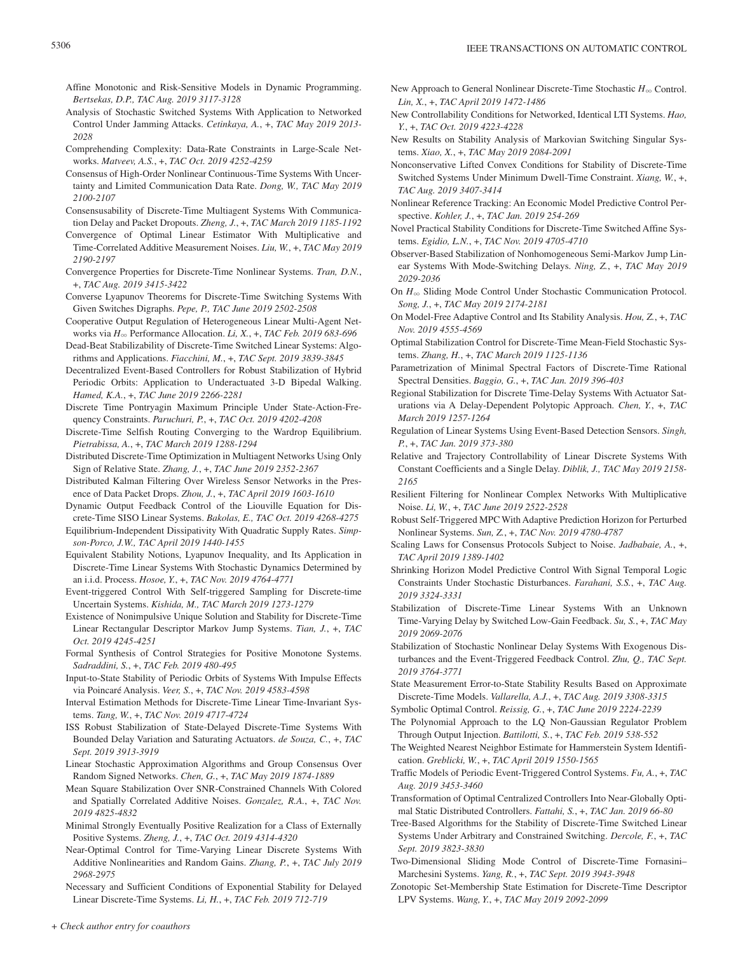- Affine Monotonic and Risk-Sensitive Models in Dynamic Programming. *Bertsekas, D.P., TAC Aug. 2019 3117-3128*
- Analysis of Stochastic Switched Systems With Application to Networked Control Under Jamming Attacks. *Cetinkaya, A.*, +, *TAC May 2019 2013- 2028*
- Comprehending Complexity: Data-Rate Constraints in Large-Scale Networks. *Matveev, A.S.*, +, *TAC Oct. 2019 4252-4259*
- Consensus of High-Order Nonlinear Continuous-Time Systems With Uncertainty and Limited Communication Data Rate. *Dong, W., TAC May 2019 2100-2107*
- Consensusability of Discrete-Time Multiagent Systems With Communication Delay and Packet Dropouts. *Zheng, J.*, +, *TAC March 2019 1185-1192*
- Convergence of Optimal Linear Estimator With Multiplicative and Time-Correlated Additive Measurement Noises. *Liu, W.*, +, *TAC May 2019 2190-2197*
- Convergence Properties for Discrete-Time Nonlinear Systems. *Tran, D.N.*, +, *TAC Aug. 2019 3415-3422*
- Converse Lyapunov Theorems for Discrete-Time Switching Systems With Given Switches Digraphs. *Pepe, P., TAC June 2019 2502-2508*
- Cooperative Output Regulation of Heterogeneous Linear Multi-Agent Networks via *H*3 Performance Allocation. *Li, X.*, +, *TAC Feb. 2019 683-696*
- Dead-Beat Stabilizability of Discrete-Time Switched Linear Systems: Algorithms and Applications. *Fiacchini, M.*, +, *TAC Sept. 2019 3839-3845*
- Decentralized Event-Based Controllers for Robust Stabilization of Hybrid Periodic Orbits: Application to Underactuated 3-D Bipedal Walking. *Hamed, K.A.*, +, *TAC June 2019 2266-2281*
- Discrete Time Pontryagin Maximum Principle Under State-Action-Frequency Constraints. *Paruchuri, P.*, +, *TAC Oct. 2019 4202-4208*
- Discrete-Time Selfish Routing Converging to the Wardrop Equilibrium. *Pietrabissa, A.*, +, *TAC March 2019 1288-1294*
- Distributed Discrete-Time Optimization in Multiagent Networks Using Only Sign of Relative State. *Zhang, J.*, +, *TAC June 2019 2352-2367*
- Distributed Kalman Filtering Over Wireless Sensor Networks in the Presence of Data Packet Drops. *Zhou, J.*, +, *TAC April 2019 1603-1610*
- Dynamic Output Feedback Control of the Liouville Equation for Discrete-Time SISO Linear Systems. *Bakolas, E., TAC Oct. 2019 4268-4275*
- Equilibrium-Independent Dissipativity With Quadratic Supply Rates. *Simpson-Porco, J.W., TAC April 2019 1440-1455*
- Equivalent Stability Notions, Lyapunov Inequality, and Its Application in Discrete-Time Linear Systems With Stochastic Dynamics Determined by an i.i.d. Process. *Hosoe, Y.*, +, *TAC Nov. 2019 4764-4771*
- Event-triggered Control With Self-triggered Sampling for Discrete-time Uncertain Systems. *Kishida, M., TAC March 2019 1273-1279*
- Existence of Nonimpulsive Unique Solution and Stability for Discrete-Time Linear Rectangular Descriptor Markov Jump Systems. *Tian, J.*, +, *TAC Oct. 2019 4245-4251*
- Formal Synthesis of Control Strategies for Positive Monotone Systems. *Sadraddini, S.*, +, *TAC Feb. 2019 480-495*
- Input-to-State Stability of Periodic Orbits of Systems With Impulse Effects via Poincaré Analysis. *Veer, S.*, +, *TAC Nov. 2019 4583-4598*
- Interval Estimation Methods for Discrete-Time Linear Time-Invariant Systems. *Tang, W.*, +, *TAC Nov. 2019 4717-4724*
- ISS Robust Stabilization of State-Delayed Discrete-Time Systems With Bounded Delay Variation and Saturating Actuators. *de Souza, C.*, +, *TAC Sept. 2019 3913-3919*
- Linear Stochastic Approximation Algorithms and Group Consensus Over Random Signed Networks. *Chen, G.*, +, *TAC May 2019 1874-1889*
- Mean Square Stabilization Over SNR-Constrained Channels With Colored and Spatially Correlated Additive Noises. *Gonzalez, R.A.*, +, *TAC Nov. 2019 4825-4832*
- Minimal Strongly Eventually Positive Realization for a Class of Externally Positive Systems. *Zheng, J.*, +, *TAC Oct. 2019 4314-4320*
- Near-Optimal Control for Time-Varying Linear Discrete Systems With Additive Nonlinearities and Random Gains. *Zhang, P.*, +, *TAC July 2019 2968-2975*
- Necessary and Sufficient Conditions of Exponential Stability for Delayed Linear Discrete-Time Systems. *Li, H.*, +, *TAC Feb. 2019 712-719*
- New Approach to General Nonlinear Discrete-Time Stochastic *H*<sub>∞</sub> Control. *Lin, X.*, +, *TAC April 2019 1472-1486*
- New Controllability Conditions for Networked, Identical LTI Systems. *Hao, Y.*, +, *TAC Oct. 2019 4223-4228*
- New Results on Stability Analysis of Markovian Switching Singular Systems. *Xiao, X.*, +, *TAC May 2019 2084-2091*
- Nonconservative Lifted Convex Conditions for Stability of Discrete-Time Switched Systems Under Minimum Dwell-Time Constraint. *Xiang, W.*, +, *TAC Aug. 2019 3407-3414*
- Nonlinear Reference Tracking: An Economic Model Predictive Control Perspective. *Kohler, J.*, +, *TAC Jan. 2019 254-269*
- Novel Practical Stability Conditions for Discrete-Time Switched Affine Systems. *Egidio, L.N.*, +, *TAC Nov. 2019 4705-4710*
- Observer-Based Stabilization of Nonhomogeneous Semi-Markov Jump Linear Systems With Mode-Switching Delays. *Ning, Z.*, +, *TAC May 2019 2029-2036*
- On  $H_{\infty}$  Sliding Mode Control Under Stochastic Communication Protocol. *Song, J.*, +, *TAC May 2019 2174-2181*
- On Model-Free Adaptive Control and Its Stability Analysis. *Hou, Z.*, +, *TAC Nov. 2019 4555-4569*
- Optimal Stabilization Control for Discrete-Time Mean-Field Stochastic Systems. *Zhang, H.*, +, *TAC March 2019 1125-1136*
- Parametrization of Minimal Spectral Factors of Discrete-Time Rational Spectral Densities. *Baggio, G.*, +, *TAC Jan. 2019 396-403*
- Regional Stabilization for Discrete Time-Delay Systems With Actuator Saturations via A Delay-Dependent Polytopic Approach. *Chen, Y.*, +, *TAC March 2019 1257-1264*
- Regulation of Linear Systems Using Event-Based Detection Sensors. *Singh, P.*, +, *TAC Jan. 2019 373-380*
- Relative and Trajectory Controllability of Linear Discrete Systems With Constant Coefficients and a Single Delay. *Diblik, J., TAC May 2019 2158- 2165*
- Resilient Filtering for Nonlinear Complex Networks With Multiplicative Noise. *Li, W.*, +, *TAC June 2019 2522-2528*
- Robust Self-Triggered MPC With Adaptive Prediction Horizon for Perturbed Nonlinear Systems. *Sun, Z.*, +, *TAC Nov. 2019 4780-4787*
- Scaling Laws for Consensus Protocols Subject to Noise. *Jadbabaie, A.*, +, *TAC April 2019 1389-1402*
- Shrinking Horizon Model Predictive Control With Signal Temporal Logic Constraints Under Stochastic Disturbances. *Farahani, S.S.*, +, *TAC Aug. 2019 3324-3331*
- Stabilization of Discrete-Time Linear Systems With an Unknown Time-Varying Delay by Switched Low-Gain Feedback. *Su, S.*, +, *TAC May 2019 2069-2076*
- Stabilization of Stochastic Nonlinear Delay Systems With Exogenous Disturbances and the Event-Triggered Feedback Control. *Zhu, Q., TAC Sept. 2019 3764-3771*
- State Measurement Error-to-State Stability Results Based on Approximate Discrete-Time Models. *Vallarella, A.J.*, +, *TAC Aug. 2019 3308-3315*
- Symbolic Optimal Control. *Reissig, G.*, +, *TAC June 2019 2224-2239*
- The Polynomial Approach to the LQ Non-Gaussian Regulator Problem Through Output Injection. *Battilotti, S.*, +, *TAC Feb. 2019 538-552*
- The Weighted Nearest Neighbor Estimate for Hammerstein System Identification. *Greblicki, W.*, +, *TAC April 2019 1550-1565*
- Traffic Models of Periodic Event-Triggered Control Systems. *Fu, A.*, +, *TAC Aug. 2019 3453-3460*
- Transformation of Optimal Centralized Controllers Into Near-Globally Optimal Static Distributed Controllers. *Fattahi, S.*, +, *TAC Jan. 2019 66-80*
- Tree-Based Algorithms for the Stability of Discrete-Time Switched Linear Systems Under Arbitrary and Constrained Switching. *Dercole, F.*, +, *TAC Sept. 2019 3823-3830*
- Two-Dimensional Sliding Mode Control of Discrete-Time Fornasini– Marchesini Systems. *Yang, R.*, +, *TAC Sept. 2019 3943-3948*
- Zonotopic Set-Membership State Estimation for Discrete-Time Descriptor LPV Systems. *Wang, Y.*, +, *TAC May 2019 2092-2099*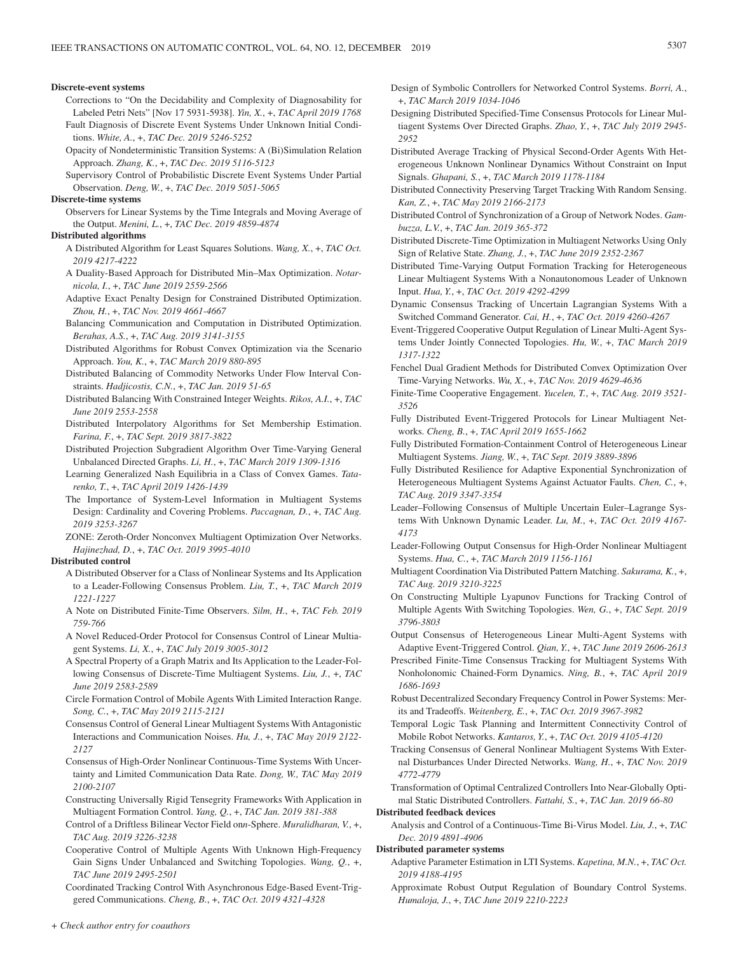#### **Discrete-event systems**

- Corrections to "On the Decidability and Complexity of Diagnosability for Labeled Petri Nets" [Nov 17 5931-5938]. *Yin, X.*, +, *TAC April 2019 1768* Fault Diagnosis of Discrete Event Systems Under Unknown Initial Conditions. *White, A.*, +, *TAC Dec. 2019 5246-5252*
- Opacity of Nondeterministic Transition Systems: A (Bi)Simulation Relation Approach. *Zhang, K.*, +, *TAC Dec. 2019 5116-5123*
- Supervisory Control of Probabilistic Discrete Event Systems Under Partial Observation. *Deng, W.*, +, *TAC Dec. 2019 5051-5065*

### **Discrete-time systems**

Observers for Linear Systems by the Time Integrals and Moving Average of the Output. *Menini, L.*, +, *TAC Dec. 2019 4859-4874*

#### **Distributed algorithms**

- A Distributed Algorithm for Least Squares Solutions. *Wang, X.*, +, *TAC Oct. 2019 4217-4222*
- A Duality-Based Approach for Distributed Min–Max Optimization. *Notarnicola, I.*, +, *TAC June 2019 2559-2566*
- Adaptive Exact Penalty Design for Constrained Distributed Optimization. *Zhou, H.*, +, *TAC Nov. 2019 4661-4667*
- Balancing Communication and Computation in Distributed Optimization. *Berahas, A.S.*, +, *TAC Aug. 2019 3141-3155*
- Distributed Algorithms for Robust Convex Optimization via the Scenario Approach. *You, K.*, +, *TAC March 2019 880-895*
- Distributed Balancing of Commodity Networks Under Flow Interval Constraints. *Hadjicostis, C.N.*, +, *TAC Jan. 2019 51-65*
- Distributed Balancing With Constrained Integer Weights. *Rikos, A.I.*, +, *TAC June 2019 2553-2558*
- Distributed Interpolatory Algorithms for Set Membership Estimation. *Farina, F.*, +, *TAC Sept. 2019 3817-3822*
- Distributed Projection Subgradient Algorithm Over Time-Varying General Unbalanced Directed Graphs. *Li, H.*, +, *TAC March 2019 1309-1316*
- Learning Generalized Nash Equilibria in a Class of Convex Games. *Tatarenko, T.*, +, *TAC April 2019 1426-1439*
- The Importance of System-Level Information in Multiagent Systems Design: Cardinality and Covering Problems. *Paccagnan, D.*, +, *TAC Aug. 2019 3253-3267*
- ZONE: Zeroth-Order Nonconvex Multiagent Optimization Over Networks. *Hajinezhad, D.*, +, *TAC Oct. 2019 3995-4010*

### **Distributed control**

- A Distributed Observer for a Class of Nonlinear Systems and Its Application to a Leader-Following Consensus Problem. *Liu, T.*, +, *TAC March 2019 1221-1227*
- A Note on Distributed Finite-Time Observers. *Silm, H.*, +, *TAC Feb. 2019 759-766*
- A Novel Reduced-Order Protocol for Consensus Control of Linear Multiagent Systems. *Li, X.*, +, *TAC July 2019 3005-3012*
- A Spectral Property of a Graph Matrix and Its Application to the Leader-Following Consensus of Discrete-Time Multiagent Systems. *Liu, J.*, +, *TAC June 2019 2583-2589*
- Circle Formation Control of Mobile Agents With Limited Interaction Range. *Song, C.*, +, *TAC May 2019 2115-2121*
- Consensus Control of General Linear Multiagent Systems With Antagonistic Interactions and Communication Noises. *Hu, J.*, +, *TAC May 2019 2122- 2127*
- Consensus of High-Order Nonlinear Continuous-Time Systems With Uncertainty and Limited Communication Data Rate. *Dong, W., TAC May 2019 2100-2107*
- Constructing Universally Rigid Tensegrity Frameworks With Application in Multiagent Formation Control. *Yang, Q.*, +, *TAC Jan. 2019 381-388*
- Control of a Driftless Bilinear Vector Field on*n*-Sphere. *Muralidharan, V.*, +, *TAC Aug. 2019 3226-3238*
- Cooperative Control of Multiple Agents With Unknown High-Frequency Gain Signs Under Unbalanced and Switching Topologies. *Wang, Q.*, +, *TAC June 2019 2495-2501*
- Coordinated Tracking Control With Asynchronous Edge-Based Event-Triggered Communications. *Cheng, B.*, +, *TAC Oct. 2019 4321-4328*
- Design of Symbolic Controllers for Networked Control Systems. *Borri, A.*, +, *TAC March 2019 1034-1046*
- Designing Distributed Specified-Time Consensus Protocols for Linear Multiagent Systems Over Directed Graphs. *Zhao, Y.*, +, *TAC July 2019 2945- 2952*
- Distributed Average Tracking of Physical Second-Order Agents With Heterogeneous Unknown Nonlinear Dynamics Without Constraint on Input Signals. *Ghapani, S.*, +, *TAC March 2019 1178-1184*
- Distributed Connectivity Preserving Target Tracking With Random Sensing. *Kan, Z.*, +, *TAC May 2019 2166-2173*
- Distributed Control of Synchronization of a Group of Network Nodes. *Gambuzza, L.V.*, +, *TAC Jan. 2019 365-372*
- Distributed Discrete-Time Optimization in Multiagent Networks Using Only Sign of Relative State. *Zhang, J.*, +, *TAC June 2019 2352-2367*
- Distributed Time-Varying Output Formation Tracking for Heterogeneous Linear Multiagent Systems With a Nonautonomous Leader of Unknown Input. *Hua, Y.*, +, *TAC Oct. 2019 4292-4299*
- Dynamic Consensus Tracking of Uncertain Lagrangian Systems With a Switched Command Generator. *Cai, H.*, +, *TAC Oct. 2019 4260-4267*
- Event-Triggered Cooperative Output Regulation of Linear Multi-Agent Systems Under Jointly Connected Topologies. *Hu, W.*, +, *TAC March 2019 1317-1322*
- Fenchel Dual Gradient Methods for Distributed Convex Optimization Over Time-Varying Networks. *Wu, X.*, +, *TAC Nov. 2019 4629-4636*
- Finite-Time Cooperative Engagement. *Yucelen, T.*, +, *TAC Aug. 2019 3521- 3526*
- Fully Distributed Event-Triggered Protocols for Linear Multiagent Networks. *Cheng, B.*, +, *TAC April 2019 1655-1662*
- Fully Distributed Formation-Containment Control of Heterogeneous Linear Multiagent Systems. *Jiang, W.*, +, *TAC Sept. 2019 3889-3896*
- Fully Distributed Resilience for Adaptive Exponential Synchronization of Heterogeneous Multiagent Systems Against Actuator Faults. *Chen, C.*, +, *TAC Aug. 2019 3347-3354*
- Leader–Following Consensus of Multiple Uncertain Euler–Lagrange Systems With Unknown Dynamic Leader. *Lu, M.*, +, *TAC Oct. 2019 4167- 4173*
- Leader-Following Output Consensus for High-Order Nonlinear Multiagent Systems. *Hua, C.*, +, *TAC March 2019 1156-1161*
- Multiagent Coordination Via Distributed Pattern Matching. *Sakurama, K.*, +, *TAC Aug. 2019 3210-3225*
- On Constructing Multiple Lyapunov Functions for Tracking Control of Multiple Agents With Switching Topologies. *Wen, G.*, +, *TAC Sept. 2019 3796-3803*
- Output Consensus of Heterogeneous Linear Multi-Agent Systems with Adaptive Event-Triggered Control. *Qian, Y.*, +, *TAC June 2019 2606-2613*
- Prescribed Finite-Time Consensus Tracking for Multiagent Systems With Nonholonomic Chained-Form Dynamics. *Ning, B.*, +, *TAC April 2019 1686-1693*
- Robust Decentralized Secondary Frequency Control in Power Systems: Merits and Tradeoffs. *Weitenberg, E.*, +, *TAC Oct. 2019 3967-3982*
- Temporal Logic Task Planning and Intermittent Connectivity Control of Mobile Robot Networks. *Kantaros, Y.*, +, *TAC Oct. 2019 4105-4120*
- Tracking Consensus of General Nonlinear Multiagent Systems With External Disturbances Under Directed Networks. *Wang, H.*, +, *TAC Nov. 2019 4772-4779*
- Transformation of Optimal Centralized Controllers Into Near-Globally Optimal Static Distributed Controllers. *Fattahi, S.*, +, *TAC Jan. 2019 66-80*

### **Distributed feedback devices**

Analysis and Control of a Continuous-Time Bi-Virus Model. *Liu, J.*, +, *TAC Dec. 2019 4891-4906*

### **Distributed parameter systems**

- Adaptive Parameter Estimation in LTI Systems. *Kapetina, M.N.*, +, *TAC Oct. 2019 4188-4195*
- Approximate Robust Output Regulation of Boundary Control Systems. *Humaloja, J.*, +, *TAC June 2019 2210-2223*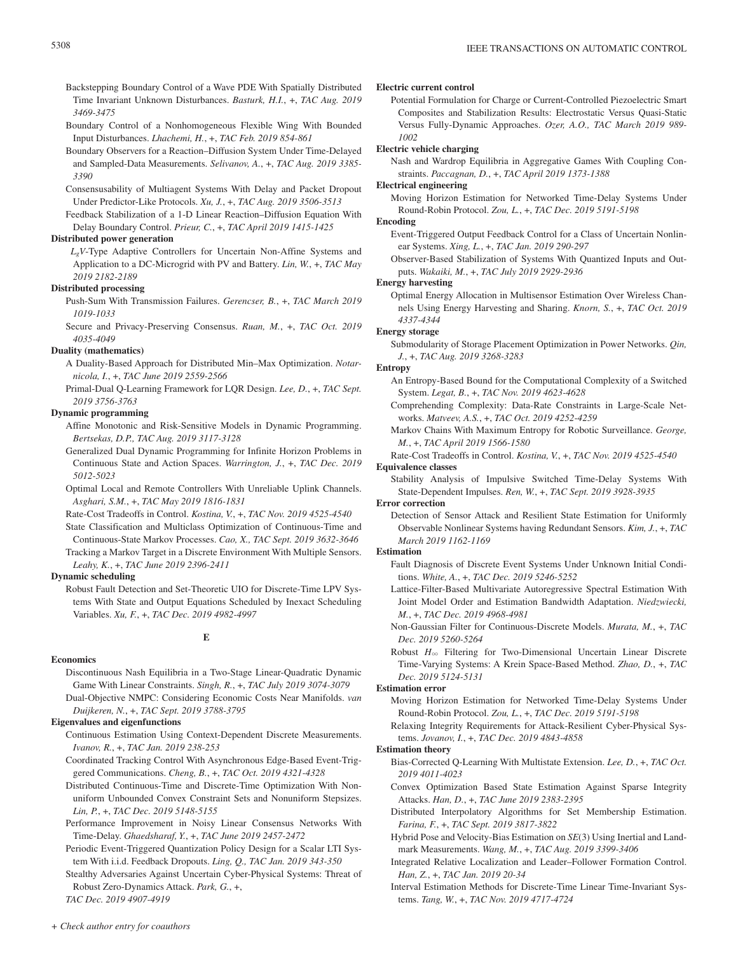- Backstepping Boundary Control of a Wave PDE With Spatially Distributed Time Invariant Unknown Disturbances. *Basturk, H.I.*, +, *TAC Aug. 2019 3469-3475*
- Boundary Control of a Nonhomogeneous Flexible Wing With Bounded Input Disturbances. *Lhachemi, H.*, +, *TAC Feb. 2019 854-861*
- Boundary Observers for a Reaction–Diffusion System Under Time-Delayed and Sampled-Data Measurements. *Selivanov, A.*, +, *TAC Aug. 2019 3385- 3390*
- Consensusability of Multiagent Systems With Delay and Packet Dropout Under Predictor-Like Protocols. *Xu, J.*, +, *TAC Aug. 2019 3506-3513*
- Feedback Stabilization of a 1-D Linear Reaction–Diffusion Equation With Delay Boundary Control. *Prieur, C.*, +, *TAC April 2019 1415-1425*

# **Distributed power generation**

*LgV*-Type Adaptive Controllers for Uncertain Non-Affine Systems and Application to a DC-Microgrid with PV and Battery. *Lin, W.*, +, *TAC May 2019 2182-2189*

# **Distributed processing**

Push-Sum With Transmission Failures. *Gerencser, B.*, +, *TAC March 2019 1019-1033*

Secure and Privacy-Preserving Consensus. *Ruan, M.*, +, *TAC Oct. 2019 4035-4049*

# **Duality (mathematics)**

- A Duality-Based Approach for Distributed Min–Max Optimization. *Notarnicola, I.*, +, *TAC June 2019 2559-2566*
- Primal-Dual Q-Learning Framework for LQR Design. *Lee, D.*, +, *TAC Sept. 2019 3756-3763*

## **Dynamic programming**

- Affine Monotonic and Risk-Sensitive Models in Dynamic Programming. *Bertsekas, D.P., TAC Aug. 2019 3117-3128*
- Generalized Dual Dynamic Programming for Infinite Horizon Problems in Continuous State and Action Spaces. *Warrington, J.*, +, *TAC Dec. 2019 5012-5023*
- Optimal Local and Remote Controllers With Unreliable Uplink Channels. *Asghari, S.M.*, +, *TAC May 2019 1816-1831*
- Rate-Cost Tradeoffs in Control. *Kostina, V.*, +, *TAC Nov. 2019 4525-4540*

State Classification and Multiclass Optimization of Continuous-Time and Continuous-State Markov Processes. *Cao, X., TAC Sept. 2019 3632-3646* Tracking a Markov Target in a Discrete Environment With Multiple Sensors.

*Leahy, K.*, +, *TAC June 2019 2396-2411*

# **Dynamic scheduling**

Robust Fault Detection and Set-Theoretic UIO for Discrete-Time LPV Systems With State and Output Equations Scheduled by Inexact Scheduling Variables. *Xu, F.*, +, *TAC Dec. 2019 4982-4997*

# **E**

# **Economics**

Discontinuous Nash Equilibria in a Two-Stage Linear-Quadratic Dynamic Game With Linear Constraints. *Singh, R.*, +, *TAC July 2019 3074-3079*

Dual-Objective NMPC: Considering Economic Costs Near Manifolds. *van Duijkeren, N.*, +, *TAC Sept. 2019 3788-3795*

# **Eigenvalues and eigenfunctions**

- Continuous Estimation Using Context-Dependent Discrete Measurements. *Ivanov, R.*, +, *TAC Jan. 2019 238-253*
- Coordinated Tracking Control With Asynchronous Edge-Based Event-Triggered Communications. *Cheng, B.*, +, *TAC Oct. 2019 4321-4328*
- Distributed Continuous-Time and Discrete-Time Optimization With Nonuniform Unbounded Convex Constraint Sets and Nonuniform Stepsizes. *Lin, P.*, +, *TAC Dec. 2019 5148-5155*
- Performance Improvement in Noisy Linear Consensus Networks With Time-Delay. *Ghaedsharaf, Y.*, +, *TAC June 2019 2457-2472*
- Periodic Event-Triggered Quantization Policy Design for a Scalar LTI System With i.i.d. Feedback Dropouts. *Ling, Q., TAC Jan. 2019 343-350*

Stealthy Adversaries Against Uncertain Cyber-Physical Systems: Threat of Robust Zero-Dynamics Attack. *Park, G.*, +, *TAC Dec. 2019 4907-4919*

**Electric current control**

Potential Formulation for Charge or Current-Controlled Piezoelectric Smart Composites and Stabilization Results: Electrostatic Versus Quasi-Static Versus Fully-Dynamic Approaches. *Ozer, A.O., TAC March 2019 989- 1002*

### **Electric vehicle charging**

Nash and Wardrop Equilibria in Aggregative Games With Coupling Constraints. *Paccagnan, D.*, +, *TAC April 2019 1373-1388*

### **Electrical engineering**

Moving Horizon Estimation for Networked Time-Delay Systems Under Round-Robin Protocol. *Zou, L.*, +, *TAC Dec. 2019 5191-5198*

# **Encoding**

- Event-Triggered Output Feedback Control for a Class of Uncertain Nonlinear Systems. *Xing, L.*, +, *TAC Jan. 2019 290-297*
- Observer-Based Stabilization of Systems With Quantized Inputs and Outputs. *Wakaiki, M.*, +, *TAC July 2019 2929-2936*

### **Energy harvesting**

Optimal Energy Allocation in Multisensor Estimation Over Wireless Channels Using Energy Harvesting and Sharing. *Knorn, S.*, +, *TAC Oct. 2019 4337-4344*

### **Energy storage**

Submodularity of Storage Placement Optimization in Power Networks. *Qin, J.*, +, *TAC Aug. 2019 3268-3283*

### **Entropy**

- An Entropy-Based Bound for the Computational Complexity of a Switched System. *Legat, B.*, +, *TAC Nov. 2019 4623-4628*
- Comprehending Complexity: Data-Rate Constraints in Large-Scale Networks. *Matveev, A.S.*, +, *TAC Oct. 2019 4252-4259*
- Markov Chains With Maximum Entropy for Robotic Surveillance. *George, M.*, +, *TAC April 2019 1566-1580*
- Rate-Cost Tradeoffs in Control. *Kostina, V.*, +, *TAC Nov. 2019 4525-4540*

# **Equivalence classes**

Stability Analysis of Impulsive Switched Time-Delay Systems With State-Dependent Impulses. *Ren, W.*, +, *TAC Sept. 2019 3928-3935*

### **Error correction**

Detection of Sensor Attack and Resilient State Estimation for Uniformly Observable Nonlinear Systems having Redundant Sensors. *Kim, J.*, +, *TAC March 2019 1162-1169*

### **Estimation**

- Fault Diagnosis of Discrete Event Systems Under Unknown Initial Conditions. *White, A.*, +, *TAC Dec. 2019 5246-5252*
- Lattice-Filter-Based Multivariate Autoregressive Spectral Estimation With Joint Model Order and Estimation Bandwidth Adaptation. *Niedzwiecki, M.*, +, *TAC Dec. 2019 4968-4981*
- Non-Gaussian Filter for Continuous-Discrete Models. *Murata, M.*, +, *TAC Dec. 2019 5260-5264*
- Robust  $H_{\infty}$  Filtering for Two-Dimensional Uncertain Linear Discrete Time-Varying Systems: A Krein Space-Based Method. *Zhao, D.*, +, *TAC Dec. 2019 5124-5131*

### **Estimation error**

- Moving Horizon Estimation for Networked Time-Delay Systems Under Round-Robin Protocol. *Zou, L.*, +, *TAC Dec. 2019 5191-5198*
- Relaxing Integrity Requirements for Attack-Resilient Cyber-Physical Systems. *Jovanov, I.*, +, *TAC Dec. 2019 4843-4858*

# **Estimation theory**

- Bias-Corrected Q-Learning With Multistate Extension. *Lee, D.*, +, *TAC Oct. 2019 4011-4023*
- Convex Optimization Based State Estimation Against Sparse Integrity Attacks. *Han, D.*, +, *TAC June 2019 2383-2395*
- Distributed Interpolatory Algorithms for Set Membership Estimation. *Farina, F.*, +, *TAC Sept. 2019 3817-3822*
- Hybrid Pose and Velocity-Bias Estimation on *SE*(3) Using Inertial and Landmark Measurements. *Wang, M.*, +, *TAC Aug. 2019 3399-3406*
- Integrated Relative Localization and Leader–Follower Formation Control. *Han, Z.*, +, *TAC Jan. 2019 20-34*
- Interval Estimation Methods for Discrete-Time Linear Time-Invariant Systems. *Tang, W.*, +, *TAC Nov. 2019 4717-4724*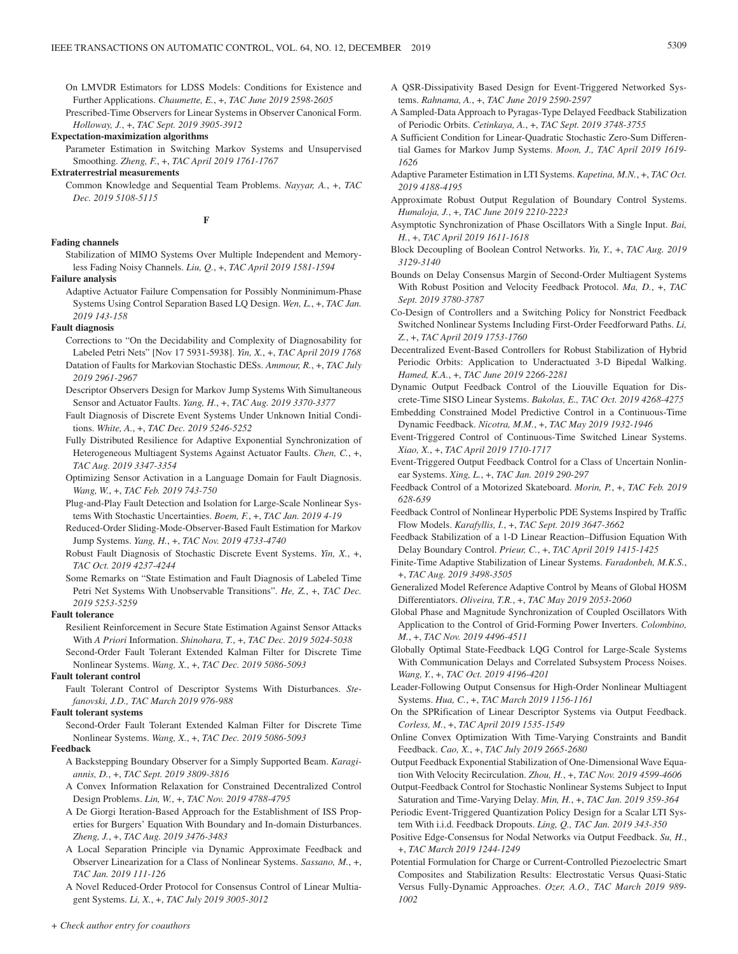On LMVDR Estimators for LDSS Models: Conditions for Existence and Further Applications. *Chaumette, E.*, +, *TAC June 2019 2598-2605*

Prescribed-Time Observers for Linear Systems in Observer Canonical Form. *Holloway, J.*, +, *TAC Sept. 2019 3905-3912*

#### **Expectation-maximization algorithms**

- Parameter Estimation in Switching Markov Systems and Unsupervised Smoothing. *Zheng, F.*, +, *TAC April 2019 1761-1767*
- **Extraterrestrial measurements**
	- Common Knowledge and Sequential Team Problems. *Nayyar, A.*, +, *TAC Dec. 2019 5108-5115*

**F**

# **Fading channels**

Stabilization of MIMO Systems Over Multiple Independent and Memoryless Fading Noisy Channels. *Liu, Q.*, +, *TAC April 2019 1581-1594*

#### **Failure analysis**

Adaptive Actuator Failure Compensation for Possibly Nonminimum-Phase Systems Using Control Separation Based LQ Design. *Wen, L.*, +, *TAC Jan. 2019 143-158*

# **Fault diagnosis**

Corrections to "On the Decidability and Complexity of Diagnosability for Labeled Petri Nets" [Nov 17 5931-5938]. *Yin, X.*, +, *TAC April 2019 1768* Datation of Faults for Markovian Stochastic DESs. *Ammour, R.*, +, *TAC July* 

*2019 2961-2967*

Descriptor Observers Design for Markov Jump Systems With Simultaneous Sensor and Actuator Faults. *Yang, H.*, +, *TAC Aug. 2019 3370-3377*

Fault Diagnosis of Discrete Event Systems Under Unknown Initial Conditions. *White, A.*, +, *TAC Dec. 2019 5246-5252*

- Fully Distributed Resilience for Adaptive Exponential Synchronization of Heterogeneous Multiagent Systems Against Actuator Faults. *Chen, C.*, +, *TAC Aug. 2019 3347-3354*
- Optimizing Sensor Activation in a Language Domain for Fault Diagnosis. *Wang, W.*, +, *TAC Feb. 2019 743-750*
- Plug-and-Play Fault Detection and Isolation for Large-Scale Nonlinear Systems With Stochastic Uncertainties. *Boem, F.*, +, *TAC Jan. 2019 4-19*
- Reduced-Order Sliding-Mode-Observer-Based Fault Estimation for Markov Jump Systems. *Yang, H.*, +, *TAC Nov. 2019 4733-4740*
- Robust Fault Diagnosis of Stochastic Discrete Event Systems. *Yin, X.*, +, *TAC Oct. 2019 4237-4244*
- Some Remarks on "State Estimation and Fault Diagnosis of Labeled Time Petri Net Systems With Unobservable Transitions". *He, Z.*, +, *TAC Dec. 2019 5253-5259*

#### **Fault tolerance**

- Resilient Reinforcement in Secure State Estimation Against Sensor Attacks With *A Priori* Information. *Shinohara, T.*, +, *TAC Dec. 2019 5024-5038*
- Second-Order Fault Tolerant Extended Kalman Filter for Discrete Time Nonlinear Systems. *Wang, X.*, +, *TAC Dec. 2019 5086-5093*

#### **Fault tolerant control**

Fault Tolerant Control of Descriptor Systems With Disturbances. *Stefanovski, J.D., TAC March 2019 976-988*

# **Fault tolerant systems**

Second-Order Fault Tolerant Extended Kalman Filter for Discrete Time Nonlinear Systems. *Wang, X.*, +, *TAC Dec. 2019 5086-5093*

### **Feedback**

- A Backstepping Boundary Observer for a Simply Supported Beam. *Karagiannis, D.*, +, *TAC Sept. 2019 3809-3816*
- A Convex Information Relaxation for Constrained Decentralized Control Design Problems. *Lin, W.*, +, *TAC Nov. 2019 4788-4795*

A De Giorgi Iteration-Based Approach for the Establishment of ISS Properties for Burgers' Equation With Boundary and In-domain Disturbances. *Zheng, J.*, +, *TAC Aug. 2019 3476-3483*

- A Local Separation Principle via Dynamic Approximate Feedback and Observer Linearization for a Class of Nonlinear Systems. *Sassano, M.*, +, *TAC Jan. 2019 111-126*
- A Novel Reduced-Order Protocol for Consensus Control of Linear Multiagent Systems. *Li, X.*, +, *TAC July 2019 3005-3012*
- A QSR-Dissipativity Based Design for Event-Triggered Networked Systems. *Rahnama, A.*, +, *TAC June 2019 2590-2597*
- A Sampled-Data Approach to Pyragas-Type Delayed Feedback Stabilization of Periodic Orbits. *Cetinkaya, A.*, +, *TAC Sept. 2019 3748-3755*
- A Sufficient Condition for Linear-Quadratic Stochastic Zero-Sum Differential Games for Markov Jump Systems. *Moon, J., TAC April 2019 1619- 1626*
- Adaptive Parameter Estimation in LTI Systems. *Kapetina, M.N.*, +, *TAC Oct. 2019 4188-4195*
- Approximate Robust Output Regulation of Boundary Control Systems. *Humaloja, J.*, +, *TAC June 2019 2210-2223*
- Asymptotic Synchronization of Phase Oscillators With a Single Input. *Bai, H.*, +, *TAC April 2019 1611-1618*
- Block Decoupling of Boolean Control Networks. *Yu, Y.*, +, *TAC Aug. 2019 3129-3140*
- Bounds on Delay Consensus Margin of Second-Order Multiagent Systems With Robust Position and Velocity Feedback Protocol. *Ma, D.*, +, *TAC Sept. 2019 3780-3787*
- Co-Design of Controllers and a Switching Policy for Nonstrict Feedback Switched Nonlinear Systems Including First-Order Feedforward Paths. *Li, Z.*, +, *TAC April 2019 1753-1760*
- Decentralized Event-Based Controllers for Robust Stabilization of Hybrid Periodic Orbits: Application to Underactuated 3-D Bipedal Walking. *Hamed, K.A.*, +, *TAC June 2019 2266-2281*
- Dynamic Output Feedback Control of the Liouville Equation for Discrete-Time SISO Linear Systems. *Bakolas, E., TAC Oct. 2019 4268-4275*
- Embedding Constrained Model Predictive Control in a Continuous-Time Dynamic Feedback. *Nicotra, M.M.*, +, *TAC May 2019 1932-1946*
- Event-Triggered Control of Continuous-Time Switched Linear Systems. *Xiao, X.*, +, *TAC April 2019 1710-1717*
- Event-Triggered Output Feedback Control for a Class of Uncertain Nonlinear Systems. *Xing, L.*, +, *TAC Jan. 2019 290-297*
- Feedback Control of a Motorized Skateboard. *Morin, P.*, +, *TAC Feb. 2019 628-639*
- Feedback Control of Nonlinear Hyperbolic PDE Systems Inspired by Traffic Flow Models. *Karafyllis, I.*, +, *TAC Sept. 2019 3647-3662*
- Feedback Stabilization of a 1-D Linear Reaction–Diffusion Equation With Delay Boundary Control. *Prieur, C.*, +, *TAC April 2019 1415-1425*
- Finite-Time Adaptive Stabilization of Linear Systems. *Faradonbeh, M.K.S.*, +, *TAC Aug. 2019 3498-3505*
- Generalized Model Reference Adaptive Control by Means of Global HOSM Differentiators. *Oliveira, T.R.*, +, *TAC May 2019 2053-2060*
- Global Phase and Magnitude Synchronization of Coupled Oscillators With Application to the Control of Grid-Forming Power Inverters. *Colombino, M.*, +, *TAC Nov. 2019 4496-4511*
- Globally Optimal State-Feedback LQG Control for Large-Scale Systems With Communication Delays and Correlated Subsystem Process Noises. *Wang, Y.*, +, *TAC Oct. 2019 4196-4201*
- Leader-Following Output Consensus for High-Order Nonlinear Multiagent Systems. *Hua, C.*, +, *TAC March 2019 1156-1161*
- On the SPRification of Linear Descriptor Systems via Output Feedback. *Corless, M.*, +, *TAC April 2019 1535-1549*
- Online Convex Optimization With Time-Varying Constraints and Bandit Feedback. *Cao, X.*, +, *TAC July 2019 2665-2680*

Output Feedback Exponential Stabilization of One-Dimensional Wave Equation With Velocity Recirculation. *Zhou, H.*, +, *TAC Nov. 2019 4599-4606*

- Output-Feedback Control for Stochastic Nonlinear Systems Subject to Input Saturation and Time-Varying Delay. *Min, H.*, +, *TAC Jan. 2019 359-364*
- Periodic Event-Triggered Quantization Policy Design for a Scalar LTI System With i.i.d. Feedback Dropouts. *Ling, Q., TAC Jan. 2019 343-350*
- Positive Edge-Consensus for Nodal Networks via Output Feedback. *Su, H.*, +, *TAC March 2019 1244-1249*
- Potential Formulation for Charge or Current-Controlled Piezoelectric Smart Composites and Stabilization Results: Electrostatic Versus Quasi-Static Versus Fully-Dynamic Approaches. *Ozer, A.O., TAC March 2019 989- 1002*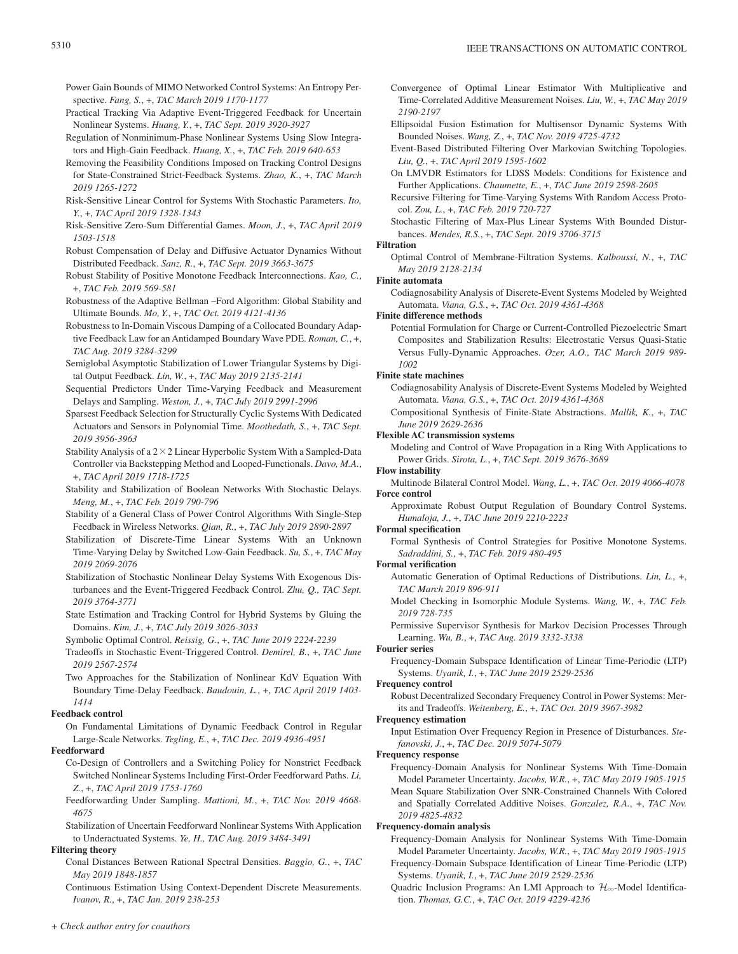- Power Gain Bounds of MIMO Networked Control Systems: An Entropy Perspective. *Fang, S.*, +, *TAC March 2019 1170-1177*
- Practical Tracking Via Adaptive Event-Triggered Feedback for Uncertain Nonlinear Systems. *Huang, Y.*, +, *TAC Sept. 2019 3920-3927*
- Regulation of Nonminimum-Phase Nonlinear Systems Using Slow Integrators and High-Gain Feedback. *Huang, X.*, +, *TAC Feb. 2019 640-653*
- Removing the Feasibility Conditions Imposed on Tracking Control Designs for State-Constrained Strict-Feedback Systems. *Zhao, K.*, +, *TAC March 2019 1265-1272*
- Risk-Sensitive Linear Control for Systems With Stochastic Parameters. *Ito, Y.*, +, *TAC April 2019 1328-1343*
- Risk-Sensitive Zero-Sum Differential Games. *Moon, J.*, +, *TAC April 2019 1503-1518*
- Robust Compensation of Delay and Diffusive Actuator Dynamics Without Distributed Feedback. *Sanz, R.*, +, *TAC Sept. 2019 3663-3675*
- Robust Stability of Positive Monotone Feedback Interconnections. *Kao, C.*, +, *TAC Feb. 2019 569-581*
- Robustness of the Adaptive Bellman –Ford Algorithm: Global Stability and Ultimate Bounds. *Mo, Y.*, +, *TAC Oct. 2019 4121-4136*
- Robustness to In-Domain Viscous Damping of a Collocated Boundary Adaptive Feedback Law for an Antidamped Boundary Wave PDE. *Roman, C.*, +, *TAC Aug. 2019 3284-3299*
- Semiglobal Asymptotic Stabilization of Lower Triangular Systems by Digital Output Feedback. *Lin, W.*, +, *TAC May 2019 2135-2141*
- Sequential Predictors Under Time-Varying Feedback and Measurement Delays and Sampling. *Weston, J.*, +, *TAC July 2019 2991-2996*
- Sparsest Feedback Selection for Structurally Cyclic Systems With Dedicated Actuators and Sensors in Polynomial Time. *Moothedath, S.*, +, *TAC Sept. 2019 3956-3963*
- Stability Analysis of a  $2 \times 2$  Linear Hyperbolic System With a Sampled-Data Controller via Backstepping Method and Looped-Functionals. *Davo, M.A.*, +, *TAC April 2019 1718-1725*
- Stability and Stabilization of Boolean Networks With Stochastic Delays. *Meng, M.*, +, *TAC Feb. 2019 790-796*
- Stability of a General Class of Power Control Algorithms With Single-Step Feedback in Wireless Networks. *Qian, R.*, +, *TAC July 2019 2890-2897*
- Stabilization of Discrete-Time Linear Systems With an Unknown Time-Varying Delay by Switched Low-Gain Feedback. *Su, S.*, +, *TAC May 2019 2069-2076*
- Stabilization of Stochastic Nonlinear Delay Systems With Exogenous Disturbances and the Event-Triggered Feedback Control. *Zhu, Q., TAC Sept. 2019 3764-3771*
- State Estimation and Tracking Control for Hybrid Systems by Gluing the Domains. *Kim, J.*, +, *TAC July 2019 3026-3033*
- Symbolic Optimal Control. *Reissig, G.*, +, *TAC June 2019 2224-2239*
- Tradeoffs in Stochastic Event-Triggered Control. *Demirel, B.*, +, *TAC June 2019 2567-2574*
- Two Approaches for the Stabilization of Nonlinear KdV Equation With Boundary Time-Delay Feedback. *Baudouin, L.*, +, *TAC April 2019 1403- 1414*

# **Feedback control**

# On Fundamental Limitations of Dynamic Feedback Control in Regular Large-Scale Networks. *Tegling, E.*, +, *TAC Dec. 2019 4936-4951*

# **Feedforward**

- Co-Design of Controllers and a Switching Policy for Nonstrict Feedback Switched Nonlinear Systems Including First-Order Feedforward Paths. *Li, Z.*, +, *TAC April 2019 1753-1760*
- Feedforwarding Under Sampling. *Mattioni, M.*, +, *TAC Nov. 2019 4668- 4675*
- Stabilization of Uncertain Feedforward Nonlinear Systems With Application to Underactuated Systems. *Ye, H., TAC Aug. 2019 3484-3491*

# **Filtering theory**

- Conal Distances Between Rational Spectral Densities. *Baggio, G.*, +, *TAC May 2019 1848-1857*
- Continuous Estimation Using Context-Dependent Discrete Measurements. *Ivanov, R.*, +, *TAC Jan. 2019 238-253*
- Convergence of Optimal Linear Estimator With Multiplicative and Time-Correlated Additive Measurement Noises. *Liu, W.*, +, *TAC May 2019 2190-2197*
- Ellipsoidal Fusion Estimation for Multisensor Dynamic Systems With Bounded Noises. *Wang, Z.*, +, *TAC Nov. 2019 4725-4732*
- Event-Based Distributed Filtering Over Markovian Switching Topologies. *Liu, Q.*, +, *TAC April 2019 1595-1602*
- On LMVDR Estimators for LDSS Models: Conditions for Existence and Further Applications. *Chaumette, E.*, +, *TAC June 2019 2598-2605*
- Recursive Filtering for Time-Varying Systems With Random Access Protocol. *Zou, L.*, +, *TAC Feb. 2019 720-727*
- Stochastic Filtering of Max-Plus Linear Systems With Bounded Disturbances. *Mendes, R.S.*, +, *TAC Sept. 2019 3706-3715*

# **Filtration**

Optimal Control of Membrane-Filtration Systems. *Kalboussi, N.*, +, *TAC May 2019 2128-2134*

# **Finite automata**

Codiagnosability Analysis of Discrete-Event Systems Modeled by Weighted Automata. *Viana, G.S.*, +, *TAC Oct. 2019 4361-4368*

# **Finite difference methods**

Potential Formulation for Charge or Current-Controlled Piezoelectric Smart Composites and Stabilization Results: Electrostatic Versus Quasi-Static Versus Fully-Dynamic Approaches. *Ozer, A.O., TAC March 2019 989- 1002*

# **Finite state machines**

- Codiagnosability Analysis of Discrete-Event Systems Modeled by Weighted Automata. *Viana, G.S.*, +, *TAC Oct. 2019 4361-4368*
- Compositional Synthesis of Finite-State Abstractions. *Mallik, K.*, +, *TAC June 2019 2629-2636*

# **Flexible AC transmission systems**

Modeling and Control of Wave Propagation in a Ring With Applications to Power Grids. *Sirota, L.*, +, *TAC Sept. 2019 3676-3689*

# **Flow instability**

- Multinode Bilateral Control Model. *Wang, L.*, +, *TAC Oct. 2019 4066-4078* **Force control**
	- Approximate Robust Output Regulation of Boundary Control Systems. *Humaloja, J.*, +, *TAC June 2019 2210-2223*

# **Formal specification**

Formal Synthesis of Control Strategies for Positive Monotone Systems. *Sadraddini, S.*, +, *TAC Feb. 2019 480-495*

# **Formal verification**

- Automatic Generation of Optimal Reductions of Distributions. *Lin, L.*, +, *TAC March 2019 896-911*
- Model Checking in Isomorphic Module Systems. *Wang, W.*, +, *TAC Feb. 2019 728-735*

Permissive Supervisor Synthesis for Markov Decision Processes Through Learning. *Wu, B.*, +, *TAC Aug. 2019 3332-3338*

# **Fourier series**

Frequency-Domain Subspace Identification of Linear Time-Periodic (LTP) Systems. *Uyanik, I.*, +, *TAC June 2019 2529-2536*

# **Frequency control**

Robust Decentralized Secondary Frequency Control in Power Systems: Merits and Tradeoffs. *Weitenberg, E.*, +, *TAC Oct. 2019 3967-3982*

# **Frequency estimation**

Input Estimation Over Frequency Region in Presence of Disturbances. *Stefanovski, J.*, +, *TAC Dec. 2019 5074-5079*

# **Frequency response**

Frequency-Domain Analysis for Nonlinear Systems With Time-Domain Model Parameter Uncertainty. *Jacobs, W.R.*, +, *TAC May 2019 1905-1915* Mean Square Stabilization Over SNR-Constrained Channels With Colored and Spatially Correlated Additive Noises. *Gonzalez, R.A.*, +, *TAC Nov. 2019 4825-4832*

# **Frequency-domain analysis**

Frequency-Domain Analysis for Nonlinear Systems With Time-Domain Model Parameter Uncertainty. *Jacobs, W.R.*, +, *TAC May 2019 1905-1915* Frequency-Domain Subspace Identification of Linear Time-Periodic (LTP)

- Systems. *Uyanik, I.*, +, *TAC June 2019 2529-2536*
- Quadric Inclusion Programs: An LMI Approach to  $\mathcal{H}_{\infty}$ -Model Identification. *Thomas, G.C.*, +, *TAC Oct. 2019 4229-4236*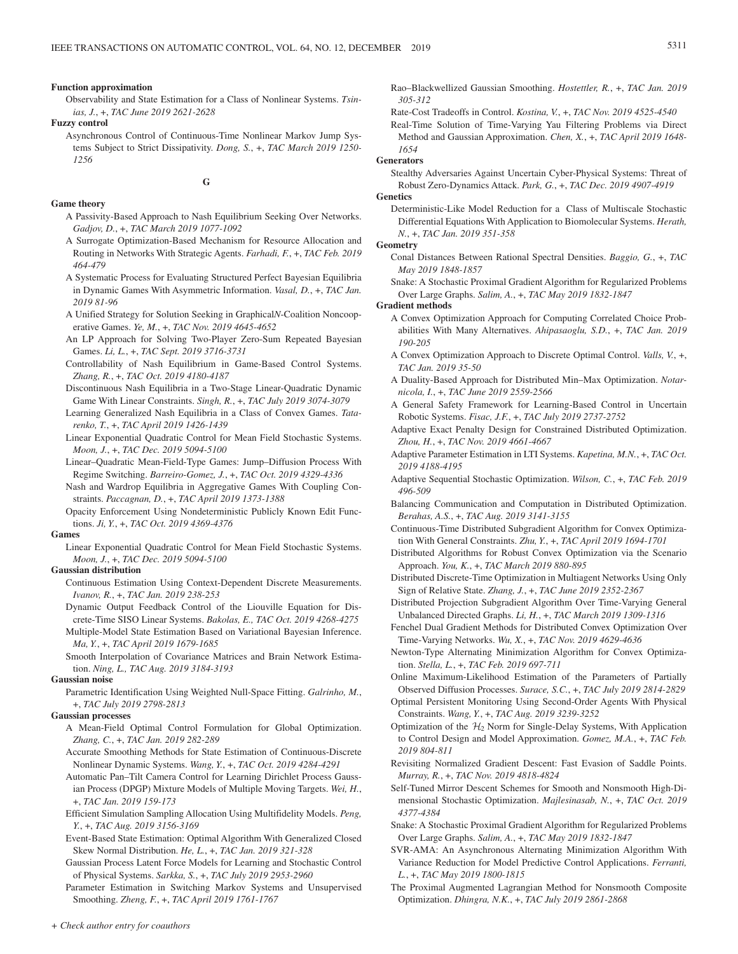#### **Function approximation**

Observability and State Estimation for a Class of Nonlinear Systems. *Tsinias, J.*, +, *TAC June 2019 2621-2628*

**Fuzzy control**

Asynchronous Control of Continuous-Time Nonlinear Markov Jump Systems Subject to Strict Dissipativity. *Dong, S.*, +, *TAC March 2019 1250- 1256*

# **G**

#### **Game theory**

- A Passivity-Based Approach to Nash Equilibrium Seeking Over Networks. *Gadjov, D.*, +, *TAC March 2019 1077-1092*
- A Surrogate Optimization-Based Mechanism for Resource Allocation and Routing in Networks With Strategic Agents. *Farhadi, F.*, +, *TAC Feb. 2019 464-479*
- A Systematic Process for Evaluating Structured Perfect Bayesian Equilibria in Dynamic Games With Asymmetric Information. *Vasal, D.*, +, *TAC Jan. 2019 81-96*
- A Unified Strategy for Solution Seeking in Graphical*N*-Coalition Noncooperative Games. *Ye, M.*, +, *TAC Nov. 2019 4645-4652*
- An LP Approach for Solving Two-Player Zero-Sum Repeated Bayesian Games. *Li, L.*, +, *TAC Sept. 2019 3716-3731*
- Controllability of Nash Equilibrium in Game-Based Control Systems. *Zhang, R.*, +, *TAC Oct. 2019 4180-4187*
- Discontinuous Nash Equilibria in a Two-Stage Linear-Quadratic Dynamic Game With Linear Constraints. *Singh, R.*, +, *TAC July 2019 3074-3079*

Learning Generalized Nash Equilibria in a Class of Convex Games. *Tatarenko, T.*, +, *TAC April 2019 1426-1439*

Linear Exponential Quadratic Control for Mean Field Stochastic Systems. *Moon, J.*, +, *TAC Dec. 2019 5094-5100*

Linear–Quadratic Mean-Field-Type Games: Jump–Diffusion Process With Regime Switching. *Barreiro-Gomez, J.*, +, *TAC Oct. 2019 4329-4336*

Nash and Wardrop Equilibria in Aggregative Games With Coupling Constraints. *Paccagnan, D.*, +, *TAC April 2019 1373-1388*

Opacity Enforcement Using Nondeterministic Publicly Known Edit Functions. *Ji, Y.*, +, *TAC Oct. 2019 4369-4376*

#### **Games**

Linear Exponential Quadratic Control for Mean Field Stochastic Systems. *Moon, J.*, +, *TAC Dec. 2019 5094-5100*

#### **Gaussian distribution**

- Continuous Estimation Using Context-Dependent Discrete Measurements. *Ivanov, R.*, +, *TAC Jan. 2019 238-253*
- Dynamic Output Feedback Control of the Liouville Equation for Discrete-Time SISO Linear Systems. *Bakolas, E., TAC Oct. 2019 4268-4275* Multiple-Model State Estimation Based on Variational Bayesian Inference. *Ma, Y.*, +, *TAC April 2019 1679-1685*
- Smooth Interpolation of Covariance Matrices and Brain Network Estimation. *Ning, L., TAC Aug. 2019 3184-3193*

#### **Gaussian noise**

Parametric Identification Using Weighted Null-Space Fitting. *Galrinho, M.*, +, *TAC July 2019 2798-2813*

#### **Gaussian processes**

- A Mean-Field Optimal Control Formulation for Global Optimization. *Zhang, C.*, +, *TAC Jan. 2019 282-289*
- Accurate Smoothing Methods for State Estimation of Continuous-Discrete Nonlinear Dynamic Systems. *Wang, Y.*, +, *TAC Oct. 2019 4284-4291*
- Automatic Pan–Tilt Camera Control for Learning Dirichlet Process Gaussian Process (DPGP) Mixture Models of Multiple Moving Targets. *Wei, H.*, +, *TAC Jan. 2019 159-173*
- Efficient Simulation Sampling Allocation Using Multifidelity Models. *Peng, Y.*, +, *TAC Aug. 2019 3156-3169*
- Event-Based State Estimation: Optimal Algorithm With Generalized Closed Skew Normal Distribution. *He, L.*, +, *TAC Jan. 2019 321-328*
- Gaussian Process Latent Force Models for Learning and Stochastic Control of Physical Systems. *Sarkka, S.*, +, *TAC July 2019 2953-2960*

Parameter Estimation in Switching Markov Systems and Unsupervised Smoothing. *Zheng, F.*, +, *TAC April 2019 1761-1767*

- Rao–Blackwellized Gaussian Smoothing. *Hostettler, R.*, +, *TAC Jan. 2019 305-312*
- Rate-Cost Tradeoffs in Control. *Kostina, V.*, +, *TAC Nov. 2019 4525-4540*
- Real-Time Solution of Time-Varying Yau Filtering Problems via Direct Method and Gaussian Approximation. *Chen, X.*, +, *TAC April 2019 1648- 1654*

#### **Generators**

Stealthy Adversaries Against Uncertain Cyber-Physical Systems: Threat of Robust Zero-Dynamics Attack. *Park, G.*, +, *TAC Dec. 2019 4907-4919*

**Genetics**

Deterministic-Like Model Reduction for a Class of Multiscale Stochastic Differential Equations With Application to Biomolecular Systems. *Herath, N.*, +, *TAC Jan. 2019 351-358*

# **Geometry**

- Conal Distances Between Rational Spectral Densities. *Baggio, G.*, +, *TAC May 2019 1848-1857*
- Snake: A Stochastic Proximal Gradient Algorithm for Regularized Problems Over Large Graphs. *Salim, A.*, +, *TAC May 2019 1832-1847*

#### **Gradient methods**

- A Convex Optimization Approach for Computing Correlated Choice Probabilities With Many Alternatives. *Ahipasaoglu, S.D.*, +, *TAC Jan. 2019 190-205*
- A Convex Optimization Approach to Discrete Optimal Control. *Valls, V.*, +, *TAC Jan. 2019 35-50*
- A Duality-Based Approach for Distributed Min–Max Optimization. *Notarnicola, I.*, +, *TAC June 2019 2559-2566*
- A General Safety Framework for Learning-Based Control in Uncertain Robotic Systems. *Fisac, J.F.*, +, *TAC July 2019 2737-2752*
- Adaptive Exact Penalty Design for Constrained Distributed Optimization. *Zhou, H.*, +, *TAC Nov. 2019 4661-4667*
- Adaptive Parameter Estimation in LTI Systems. *Kapetina, M.N.*, +, *TAC Oct. 2019 4188-4195*
- Adaptive Sequential Stochastic Optimization. *Wilson, C.*, +, *TAC Feb. 2019 496-509*
- Balancing Communication and Computation in Distributed Optimization. *Berahas, A.S.*, +, *TAC Aug. 2019 3141-3155*
- Continuous-Time Distributed Subgradient Algorithm for Convex Optimization With General Constraints. *Zhu, Y.*, +, *TAC April 2019 1694-1701*
- Distributed Algorithms for Robust Convex Optimization via the Scenario Approach. *You, K.*, +, *TAC March 2019 880-895*
- Distributed Discrete-Time Optimization in Multiagent Networks Using Only Sign of Relative State. *Zhang, J.*, +, *TAC June 2019 2352-2367*
- Distributed Projection Subgradient Algorithm Over Time-Varying General Unbalanced Directed Graphs. *Li, H.*, +, *TAC March 2019 1309-1316*
- Fenchel Dual Gradient Methods for Distributed Convex Optimization Over Time-Varying Networks. *Wu, X.*, +, *TAC Nov. 2019 4629-4636*
- Newton-Type Alternating Minimization Algorithm for Convex Optimization. *Stella, L.*, +, *TAC Feb. 2019 697-711*
- Online Maximum-Likelihood Estimation of the Parameters of Partially Observed Diffusion Processes. *Surace, S.C.*, +, *TAC July 2019 2814-2829*
- Optimal Persistent Monitoring Using Second-Order Agents With Physical Constraints. *Wang, Y.*, +, *TAC Aug. 2019 3239-3252*
- Optimization of the  $H_2$  Norm for Single-Delay Systems, With Application to Control Design and Model Approximation. *Gomez, M.A.*, +, *TAC Feb. 2019 804-811*
- Revisiting Normalized Gradient Descent: Fast Evasion of Saddle Points. *Murray, R.*, +, *TAC Nov. 2019 4818-4824*
- Self-Tuned Mirror Descent Schemes for Smooth and Nonsmooth High-Dimensional Stochastic Optimization. *Majlesinasab, N.*, +, *TAC Oct. 2019 4377-4384*
- Snake: A Stochastic Proximal Gradient Algorithm for Regularized Problems Over Large Graphs. *Salim, A.*, +, *TAC May 2019 1832-1847*
- SVR-AMA: An Asynchronous Alternating Minimization Algorithm With Variance Reduction for Model Predictive Control Applications. *Ferranti, L.*, +, *TAC May 2019 1800-1815*
- The Proximal Augmented Lagrangian Method for Nonsmooth Composite Optimization. *Dhingra, N.K.*, +, *TAC July 2019 2861-2868*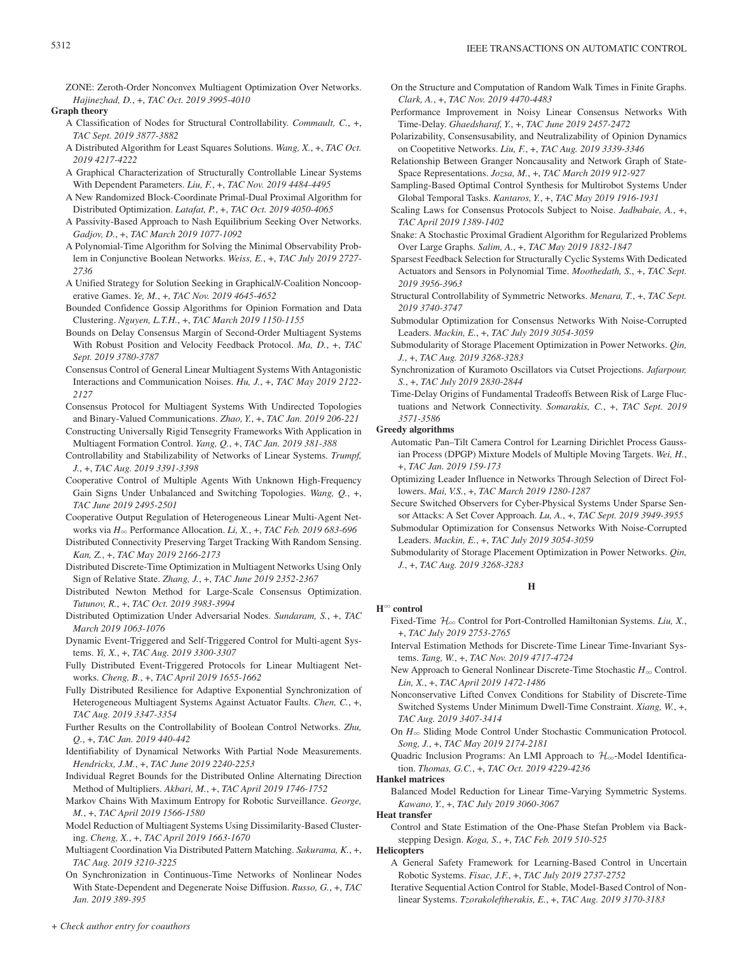ZONE: Zeroth-Order Nonconvex Multiagent Optimization Over Networks. *Hajinezhad, D.*, +, *TAC Oct. 2019 3995-4010*

**Graph theory**

- A Classification of Nodes for Structural Controllability. *Commault, C.*, +, *TAC Sept. 2019 3877-3882*
- A Distributed Algorithm for Least Squares Solutions. *Wang, X.*, +, *TAC Oct. 2019 4217-4222*
- A Graphical Characterization of Structurally Controllable Linear Systems With Dependent Parameters. *Liu, F.*, +, *TAC Nov. 2019 4484-4495*
- A New Randomized Block-Coordinate Primal-Dual Proximal Algorithm for Distributed Optimization. *Latafat, P.*, +, *TAC Oct. 2019 4050-4065*
- A Passivity-Based Approach to Nash Equilibrium Seeking Over Networks. *Gadjov, D.*, +, *TAC March 2019 1077-1092*
- A Polynomial-Time Algorithm for Solving the Minimal Observability Problem in Conjunctive Boolean Networks. *Weiss, E.*, +, *TAC July 2019 2727- 2736*
- A Unified Strategy for Solution Seeking in Graphical*N*-Coalition Noncooperative Games. *Ye, M.*, +, *TAC Nov. 2019 4645-4652*
- Bounded Confidence Gossip Algorithms for Opinion Formation and Data Clustering. *Nguyen, L.T.H.*, +, *TAC March 2019 1150-1155*
- Bounds on Delay Consensus Margin of Second-Order Multiagent Systems With Robust Position and Velocity Feedback Protocol. *Ma, D.*, +, *TAC Sept. 2019 3780-3787*
- Consensus Control of General Linear Multiagent Systems With Antagonistic Interactions and Communication Noises. *Hu, J.*, +, *TAC May 2019 2122- 2127*
- Consensus Protocol for Multiagent Systems With Undirected Topologies and Binary-Valued Communications. *Zhao, Y.*, +, *TAC Jan. 2019 206-221*
- Constructing Universally Rigid Tensegrity Frameworks With Application in Multiagent Formation Control. *Yang, Q.*, +, *TAC Jan. 2019 381-388*
- Controllability and Stabilizability of Networks of Linear Systems. *Trumpf, J.*, +, *TAC Aug. 2019 3391-3398*
- Cooperative Control of Multiple Agents With Unknown High-Frequency Gain Signs Under Unbalanced and Switching Topologies. *Wang, Q.*, +, *TAC June 2019 2495-2501*
- Cooperative Output Regulation of Heterogeneous Linear Multi-Agent Networks via *H*3 Performance Allocation. *Li, X.*, +, *TAC Feb. 2019 683-696*
- Distributed Connectivity Preserving Target Tracking With Random Sensing. *Kan, Z.*, +, *TAC May 2019 2166-2173*
- Distributed Discrete-Time Optimization in Multiagent Networks Using Only Sign of Relative State. *Zhang, J.*, +, *TAC June 2019 2352-2367*
- Distributed Newton Method for Large-Scale Consensus Optimization. *Tutunov, R.*, +, *TAC Oct. 2019 3983-3994*
- Distributed Optimization Under Adversarial Nodes. *Sundaram, S.*, +, *TAC March 2019 1063-1076*
- Dynamic Event-Triggered and Self-Triggered Control for Multi-agent Systems. *Yi, X.*, +, *TAC Aug. 2019 3300-3307*
- Fully Distributed Event-Triggered Protocols for Linear Multiagent Networks. *Cheng, B.*, +, *TAC April 2019 1655-1662*
- Fully Distributed Resilience for Adaptive Exponential Synchronization of Heterogeneous Multiagent Systems Against Actuator Faults. *Chen, C.*, +, *TAC Aug. 2019 3347-3354*
- Further Results on the Controllability of Boolean Control Networks. *Zhu, Q.*, +, *TAC Jan. 2019 440-442*
- Identifiability of Dynamical Networks With Partial Node Measurements. *Hendrickx, J.M.*, +, *TAC June 2019 2240-2253*
- Individual Regret Bounds for the Distributed Online Alternating Direction Method of Multipliers. *Akbari, M.*, +, *TAC April 2019 1746-1752*
- Markov Chains With Maximum Entropy for Robotic Surveillance. *George, M.*, +, *TAC April 2019 1566-1580*
- Model Reduction of Multiagent Systems Using Dissimilarity-Based Clustering. *Cheng, X.*, +, *TAC April 2019 1663-1670*
- Multiagent Coordination Via Distributed Pattern Matching. *Sakurama, K.*, +, *TAC Aug. 2019 3210-3225*
- On Synchronization in Continuous-Time Networks of Nonlinear Nodes With State-Dependent and Degenerate Noise Diffusion. *Russo, G.*, +, *TAC Jan. 2019 389-395*
- On the Structure and Computation of Random Walk Times in Finite Graphs. *Clark, A.*, +, *TAC Nov. 2019 4470-4483*
- Performance Improvement in Noisy Linear Consensus Networks With Time-Delay. *Ghaedsharaf, Y.*, +, *TAC June 2019 2457-2472*
- Polarizability, Consensusability, and Neutralizability of Opinion Dynamics on Coopetitive Networks. *Liu, F.*, +, *TAC Aug. 2019 3339-3346*
- Relationship Between Granger Noncausality and Network Graph of State-Space Representations. *Jozsa, M.*, +, *TAC March 2019 912-927*
- Sampling-Based Optimal Control Synthesis for Multirobot Systems Under Global Temporal Tasks. *Kantaros, Y.*, +, *TAC May 2019 1916-1931*
- Scaling Laws for Consensus Protocols Subject to Noise. *Jadbabaie, A.*, +, *TAC April 2019 1389-1402*
- Snake: A Stochastic Proximal Gradient Algorithm for Regularized Problems Over Large Graphs. *Salim, A.*, +, *TAC May 2019 1832-1847*
- Sparsest Feedback Selection for Structurally Cyclic Systems With Dedicated Actuators and Sensors in Polynomial Time. *Moothedath, S.*, +, *TAC Sept. 2019 3956-3963*
- Structural Controllability of Symmetric Networks. *Menara, T.*, +, *TAC Sept. 2019 3740-3747*
- Submodular Optimization for Consensus Networks With Noise-Corrupted Leaders. *Mackin, E.*, +, *TAC July 2019 3054-3059*
- Submodularity of Storage Placement Optimization in Power Networks. *Qin, J.*, +, *TAC Aug. 2019 3268-3283*
- Synchronization of Kuramoto Oscillators via Cutset Projections. *Jafarpour, S.*, +, *TAC July 2019 2830-2844*
- Time-Delay Origins of Fundamental Tradeoffs Between Risk of Large Fluctuations and Network Connectivity. *Somarakis, C.*, +, *TAC Sept. 2019 3571-3586*

#### **Greedy algorithms**

- Automatic Pan–Tilt Camera Control for Learning Dirichlet Process Gaussian Process (DPGP) Mixture Models of Multiple Moving Targets. *Wei, H.*, +, *TAC Jan. 2019 159-173*
- Optimizing Leader Influence in Networks Through Selection of Direct Followers. *Mai, V.S.*, +, *TAC March 2019 1280-1287*
- Secure Switched Observers for Cyber-Physical Systems Under Sparse Sensor Attacks: A Set Cover Approach. *Lu, A.*, +, *TAC Sept. 2019 3949-3955*
- Submodular Optimization for Consensus Networks With Noise-Corrupted Leaders. *Mackin, E.*, +, *TAC July 2019 3054-3059*
- Submodularity of Storage Placement Optimization in Power Networks. *Qin, J.*, +, *TAC Aug. 2019 3268-3283*

# **H**

# **H**3 **control**

- Fixed-Time  $\mathcal{H}_{\infty}$  Control for Port-Controlled Hamiltonian Systems. *Liu, X.*, +, *TAC July 2019 2753-2765*
- Interval Estimation Methods for Discrete-Time Linear Time-Invariant Systems. *Tang, W.*, +, *TAC Nov. 2019 4717-4724*
- New Approach to General Nonlinear Discrete-Time Stochastic  $H_{\infty}$  Control. *Lin, X.*, +, *TAC April 2019 1472-1486*
- Nonconservative Lifted Convex Conditions for Stability of Discrete-Time Switched Systems Under Minimum Dwell-Time Constraint. *Xiang, W.*, +, *TAC Aug. 2019 3407-3414*
- On  $H_{\infty}$  Sliding Mode Control Under Stochastic Communication Protocol. *Song, J.*, +, *TAC May 2019 2174-2181*
- Quadric Inclusion Programs: An LMI Approach to  $\mathcal{H}_{\infty}$ -Model Identification. *Thomas, G.C.*, +, *TAC Oct. 2019 4229-4236*

# **Hankel matrices**

Balanced Model Reduction for Linear Time-Varying Symmetric Systems. *Kawano, Y.*, +, *TAC July 2019 3060-3067*

# **Heat transfer**

Control and State Estimation of the One-Phase Stefan Problem via Backstepping Design. *Koga, S.*, +, *TAC Feb. 2019 510-525*

#### **Helicopters**

- A General Safety Framework for Learning-Based Control in Uncertain Robotic Systems. *Fisac, J.F.*, +, *TAC July 2019 2737-2752*
- Iterative Sequential Action Control for Stable, Model-Based Control of Nonlinear Systems. *Tzorakoleftherakis, E.*, +, *TAC Aug. 2019 3170-3183*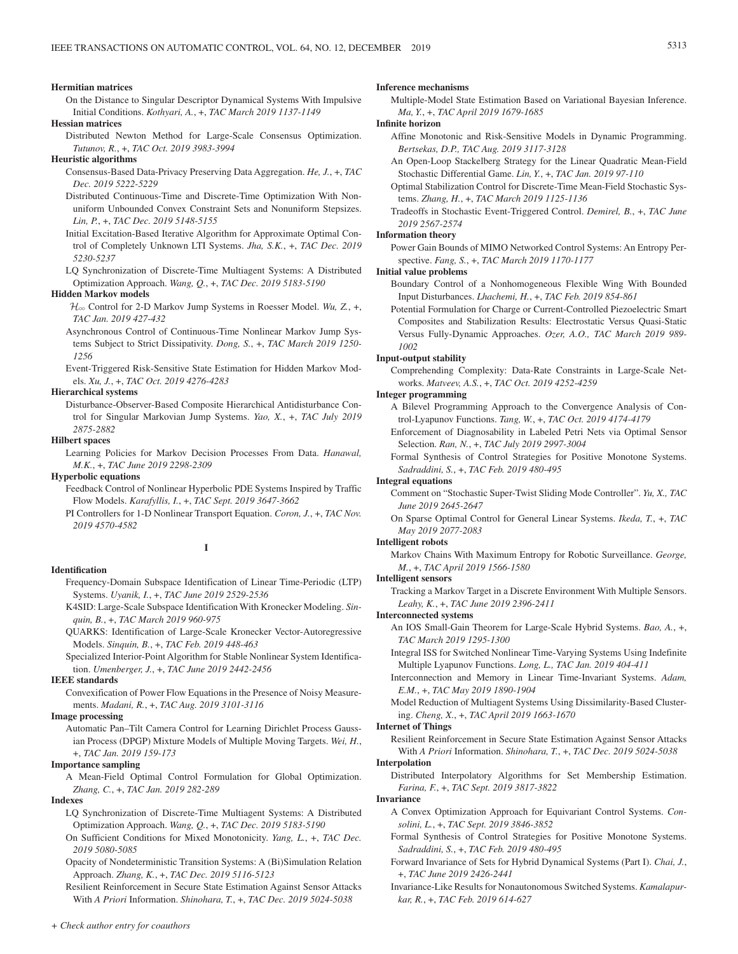#### **Hermitian matrices**

On the Distance to Singular Descriptor Dynamical Systems With Impulsive Initial Conditions. *Kothyari, A.*, +, *TAC March 2019 1137-1149*

#### **Hessian matrices**

Distributed Newton Method for Large-Scale Consensus Optimization. *Tutunov, R.*, +, *TAC Oct. 2019 3983-3994*

### **Heuristic algorithms**

- Consensus-Based Data-Privacy Preserving Data Aggregation. *He, J.*, +, *TAC Dec. 2019 5222-5229*
- Distributed Continuous-Time and Discrete-Time Optimization With Nonuniform Unbounded Convex Constraint Sets and Nonuniform Stepsizes. *Lin, P.*, +, *TAC Dec. 2019 5148-5155*
- Initial Excitation-Based Iterative Algorithm for Approximate Optimal Control of Completely Unknown LTI Systems. *Jha, S.K.*, +, *TAC Dec. 2019 5230-5237*
- LQ Synchronization of Discrete-Time Multiagent Systems: A Distributed Optimization Approach. *Wang, Q.*, +, *TAC Dec. 2019 5183-5190*

#### **Hidden Markov models**

- H3 Control for 2-D Markov Jump Systems in Roesser Model. *Wu, Z.*, +, *TAC Jan. 2019 427-432*
- Asynchronous Control of Continuous-Time Nonlinear Markov Jump Systems Subject to Strict Dissipativity. *Dong, S.*, +, *TAC March 2019 1250- 1256*

Event-Triggered Risk-Sensitive State Estimation for Hidden Markov Models. *Xu, J.*, +, *TAC Oct. 2019 4276-4283*

# **Hierarchical systems**

Disturbance-Observer-Based Composite Hierarchical Antidisturbance Control for Singular Markovian Jump Systems. *Yao, X.*, +, *TAC July 2019 2875-2882*

### **Hilbert spaces**

Learning Policies for Markov Decision Processes From Data. *Hanawal, M.K.*, +, *TAC June 2019 2298-2309*

#### **Hyperbolic equations**

Feedback Control of Nonlinear Hyperbolic PDE Systems Inspired by Traffic Flow Models. *Karafyllis, I.*, +, *TAC Sept. 2019 3647-3662*

PI Controllers for 1-D Nonlinear Transport Equation. *Coron, J.*, +, *TAC Nov. 2019 4570-4582*

#### **I**

#### **Identification**

- Frequency-Domain Subspace Identification of Linear Time-Periodic (LTP) Systems. *Uyanik, I.*, +, *TAC June 2019 2529-2536*
- K4SID: Large-Scale Subspace Identification With Kronecker Modeling. *Sinquin, B.*, +, *TAC March 2019 960-975*
- QUARKS: Identification of Large-Scale Kronecker Vector-Autoregressive Models. *Sinquin, B.*, +, *TAC Feb. 2019 448-463*
- Specialized Interior-Point Algorithm for Stable Nonlinear System Identification. *Umenberger, J.*, +, *TAC June 2019 2442-2456*

### **IEEE standards**

Convexification of Power Flow Equations in the Presence of Noisy Measurements. *Madani, R.*, +, *TAC Aug. 2019 3101-3116*

#### **Image processing**

Automatic Pan–Tilt Camera Control for Learning Dirichlet Process Gaussian Process (DPGP) Mixture Models of Multiple Moving Targets. *Wei, H.*, +, *TAC Jan. 2019 159-173*

#### **Importance sampling**

A Mean-Field Optimal Control Formulation for Global Optimization. *Zhang, C.*, +, *TAC Jan. 2019 282-289*

# **Indexes**

- LQ Synchronization of Discrete-Time Multiagent Systems: A Distributed Optimization Approach. *Wang, Q.*, +, *TAC Dec. 2019 5183-5190*
- On Sufficient Conditions for Mixed Monotonicity. *Yang, L.*, +, *TAC Dec. 2019 5080-5085*
- Opacity of Nondeterministic Transition Systems: A (Bi)Simulation Relation Approach. *Zhang, K.*, +, *TAC Dec. 2019 5116-5123*

Resilient Reinforcement in Secure State Estimation Against Sensor Attacks With *A Priori* Information. *Shinohara, T.*, +, *TAC Dec. 2019 5024-5038*

# *+ Check author entry for coauthors*

### **Inference mechanisms**

Multiple-Model State Estimation Based on Variational Bayesian Inference. *Ma, Y.*, +, *TAC April 2019 1679-1685*

**Infinite horizon**

- Affine Monotonic and Risk-Sensitive Models in Dynamic Programming. *Bertsekas, D.P., TAC Aug. 2019 3117-3128*
- An Open-Loop Stackelberg Strategy for the Linear Quadratic Mean-Field Stochastic Differential Game. *Lin, Y.*, +, *TAC Jan. 2019 97-110*
- Optimal Stabilization Control for Discrete-Time Mean-Field Stochastic Systems. *Zhang, H.*, +, *TAC March 2019 1125-1136*
- Tradeoffs in Stochastic Event-Triggered Control. *Demirel, B.*, +, *TAC June 2019 2567-2574*

# **Information theory**

Power Gain Bounds of MIMO Networked Control Systems: An Entropy Perspective. *Fang, S.*, +, *TAC March 2019 1170-1177*

# **Initial value problems**

Boundary Control of a Nonhomogeneous Flexible Wing With Bounded Input Disturbances. *Lhachemi, H.*, +, *TAC Feb. 2019 854-861*

Potential Formulation for Charge or Current-Controlled Piezoelectric Smart Composites and Stabilization Results: Electrostatic Versus Quasi-Static Versus Fully-Dynamic Approaches. *Ozer, A.O., TAC March 2019 989- 1002*

#### **Input-output stability**

Comprehending Complexity: Data-Rate Constraints in Large-Scale Networks. *Matveev, A.S.*, +, *TAC Oct. 2019 4252-4259*

### **Integer programming**

- A Bilevel Programming Approach to the Convergence Analysis of Control-Lyapunov Functions. *Tang, W.*, +, *TAC Oct. 2019 4174-4179*
- Enforcement of Diagnosability in Labeled Petri Nets via Optimal Sensor Selection. *Ran, N.*, +, *TAC July 2019 2997-3004*
- Formal Synthesis of Control Strategies for Positive Monotone Systems. *Sadraddini, S.*, +, *TAC Feb. 2019 480-495*

#### **Integral equations**

- Comment on "Stochastic Super-Twist Sliding Mode Controller". *Yu, X., TAC June 2019 2645-2647*
- On Sparse Optimal Control for General Linear Systems. *Ikeda, T.*, +, *TAC May 2019 2077-2083*

#### **Intelligent robots**

Markov Chains With Maximum Entropy for Robotic Surveillance. *George, M.*, +, *TAC April 2019 1566-1580*

#### **Intelligent sensors**

Tracking a Markov Target in a Discrete Environment With Multiple Sensors. *Leahy, K.*, +, *TAC June 2019 2396-2411*

#### **Interconnected systems**

- An IOS Small-Gain Theorem for Large-Scale Hybrid Systems. *Bao, A.*, +, *TAC March 2019 1295-1300*
- Integral ISS for Switched Nonlinear Time-Varying Systems Using Indefinite Multiple Lyapunov Functions. *Long, L., TAC Jan. 2019 404-411*
- Interconnection and Memory in Linear Time-Invariant Systems. *Adam, E.M.*, +, *TAC May 2019 1890-1904*
- Model Reduction of Multiagent Systems Using Dissimilarity-Based Clustering. *Cheng, X.*, +, *TAC April 2019 1663-1670*

### **Internet of Things**

Resilient Reinforcement in Secure State Estimation Against Sensor Attacks With *A Priori* Information. *Shinohara, T.*, +, *TAC Dec. 2019 5024-5038*

# **Interpolation**

Distributed Interpolatory Algorithms for Set Membership Estimation. *Farina, F.*, +, *TAC Sept. 2019 3817-3822*

### **Invariance**

- A Convex Optimization Approach for Equivariant Control Systems. *Consolini, L.*, +, *TAC Sept. 2019 3846-3852*
- Formal Synthesis of Control Strategies for Positive Monotone Systems. *Sadraddini, S.*, +, *TAC Feb. 2019 480-495*
- Forward Invariance of Sets for Hybrid Dynamical Systems (Part I). *Chai, J.*, +, *TAC June 2019 2426-2441*
- Invariance-Like Results for Nonautonomous Switched Systems. *Kamalapurkar, R.*, +, *TAC Feb. 2019 614-627*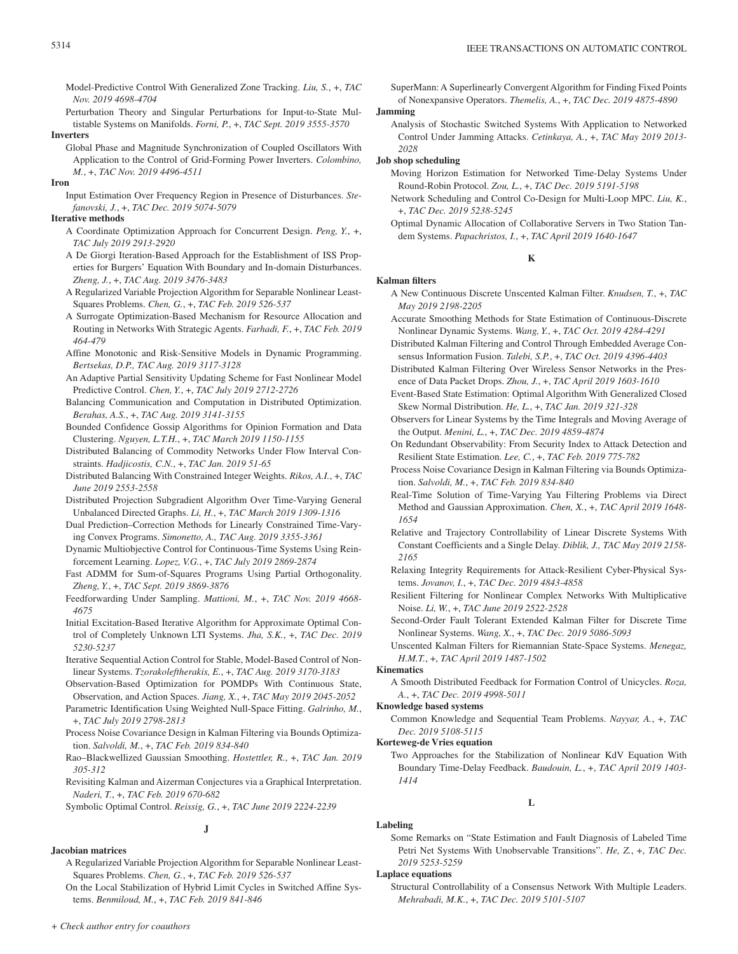Model-Predictive Control With Generalized Zone Tracking. *Liu, S.*, +, *TAC Nov. 2019 4698-4704*

Perturbation Theory and Singular Perturbations for Input-to-State Multistable Systems on Manifolds. *Forni, P.*, +, *TAC Sept. 2019 3555-3570*

# **Inverters**

Global Phase and Magnitude Synchronization of Coupled Oscillators With Application to the Control of Grid-Forming Power Inverters. *Colombino, M.*, +, *TAC Nov. 2019 4496-4511*

#### **Iron**

Input Estimation Over Frequency Region in Presence of Disturbances. *Stefanovski, J.*, +, *TAC Dec. 2019 5074-5079*

# **Iterative methods**

- A Coordinate Optimization Approach for Concurrent Design. *Peng, Y.*, +, *TAC July 2019 2913-2920*
- A De Giorgi Iteration-Based Approach for the Establishment of ISS Properties for Burgers' Equation With Boundary and In-domain Disturbances. *Zheng, J.*, +, *TAC Aug. 2019 3476-3483*
- A Regularized Variable Projection Algorithm for Separable Nonlinear Least-Squares Problems. *Chen, G.*, +, *TAC Feb. 2019 526-537*
- A Surrogate Optimization-Based Mechanism for Resource Allocation and Routing in Networks With Strategic Agents. *Farhadi, F.*, +, *TAC Feb. 2019 464-479*
- Affine Monotonic and Risk-Sensitive Models in Dynamic Programming. *Bertsekas, D.P., TAC Aug. 2019 3117-3128*
- An Adaptive Partial Sensitivity Updating Scheme for Fast Nonlinear Model Predictive Control. *Chen, Y.*, +, *TAC July 2019 2712-2726*
- Balancing Communication and Computation in Distributed Optimization. *Berahas, A.S.*, +, *TAC Aug. 2019 3141-3155*
- Bounded Confidence Gossip Algorithms for Opinion Formation and Data Clustering. *Nguyen, L.T.H.*, +, *TAC March 2019 1150-1155*
- Distributed Balancing of Commodity Networks Under Flow Interval Constraints. *Hadjicostis, C.N.*, +, *TAC Jan. 2019 51-65*
- Distributed Balancing With Constrained Integer Weights. *Rikos, A.I.*, +, *TAC June 2019 2553-2558*
- Distributed Projection Subgradient Algorithm Over Time-Varying General Unbalanced Directed Graphs. *Li, H.*, +, *TAC March 2019 1309-1316*
- Dual Prediction–Correction Methods for Linearly Constrained Time-Varying Convex Programs. *Simonetto, A., TAC Aug. 2019 3355-3361*
- Dynamic Multiobjective Control for Continuous-Time Systems Using Reinforcement Learning. *Lopez, V.G.*, +, *TAC July 2019 2869-2874*
- Fast ADMM for Sum-of-Squares Programs Using Partial Orthogonality. *Zheng, Y.*, +, *TAC Sept. 2019 3869-3876*
- Feedforwarding Under Sampling. *Mattioni, M.*, +, *TAC Nov. 2019 4668- 4675*
- Initial Excitation-Based Iterative Algorithm for Approximate Optimal Control of Completely Unknown LTI Systems. *Jha, S.K.*, +, *TAC Dec. 2019 5230-5237*
- Iterative Sequential Action Control for Stable, Model-Based Control of Nonlinear Systems. *Tzorakoleftherakis, E.*, +, *TAC Aug. 2019 3170-3183*
- Observation-Based Optimization for POMDPs With Continuous State, Observation, and Action Spaces. *Jiang, X.*, +, *TAC May 2019 2045-2052*
- Parametric Identification Using Weighted Null-Space Fitting. *Galrinho, M.*, +, *TAC July 2019 2798-2813*
- Process Noise Covariance Design in Kalman Filtering via Bounds Optimization. *Salvoldi, M.*, +, *TAC Feb. 2019 834-840*
- Rao–Blackwellized Gaussian Smoothing. *Hostettler, R.*, +, *TAC Jan. 2019 305-312*
- Revisiting Kalman and Aizerman Conjectures via a Graphical Interpretation. *Naderi, T.*, +, *TAC Feb. 2019 670-682*

Symbolic Optimal Control. *Reissig, G.*, +, *TAC June 2019 2224-2239*

# **J**

# **Jacobian matrices**

- A Regularized Variable Projection Algorithm for Separable Nonlinear Least-Squares Problems. *Chen, G.*, +, *TAC Feb. 2019 526-537*
- On the Local Stabilization of Hybrid Limit Cycles in Switched Affine Systems. *Benmiloud, M.*, +, *TAC Feb. 2019 841-846*

SuperMann: A Superlinearly Convergent Algorithm for Finding Fixed Points of Nonexpansive Operators. *Themelis, A.*, +, *TAC Dec. 2019 4875-4890*

# **Jamming**

Analysis of Stochastic Switched Systems With Application to Networked Control Under Jamming Attacks. *Cetinkaya, A.*, +, *TAC May 2019 2013- 2028*

#### **Job shop scheduling**

- Moving Horizon Estimation for Networked Time-Delay Systems Under Round-Robin Protocol. *Zou, L.*, +, *TAC Dec. 2019 5191-5198*
- Network Scheduling and Control Co-Design for Multi-Loop MPC. *Liu, K.*, +, *TAC Dec. 2019 5238-5245*
- Optimal Dynamic Allocation of Collaborative Servers in Two Station Tandem Systems. *Papachristos, I.*, +, *TAC April 2019 1640-1647*

# **K**

# **Kalman filters**

- A New Continuous Discrete Unscented Kalman Filter. *Knudsen, T.*, +, *TAC May 2019 2198-2205*
- Accurate Smoothing Methods for State Estimation of Continuous-Discrete Nonlinear Dynamic Systems. *Wang, Y.*, +, *TAC Oct. 2019 4284-4291*
- Distributed Kalman Filtering and Control Through Embedded Average Consensus Information Fusion. *Talebi, S.P.*, +, *TAC Oct. 2019 4396-4403*
- Distributed Kalman Filtering Over Wireless Sensor Networks in the Presence of Data Packet Drops. *Zhou, J.*, +, *TAC April 2019 1603-1610*
- Event-Based State Estimation: Optimal Algorithm With Generalized Closed Skew Normal Distribution. *He, L.*, +, *TAC Jan. 2019 321-328*
- Observers for Linear Systems by the Time Integrals and Moving Average of the Output. *Menini, L.*, +, *TAC Dec. 2019 4859-4874*
- On Redundant Observability: From Security Index to Attack Detection and Resilient State Estimation. *Lee, C.*, +, *TAC Feb. 2019 775-782*
- Process Noise Covariance Design in Kalman Filtering via Bounds Optimization. *Salvoldi, M.*, +, *TAC Feb. 2019 834-840*
- Real-Time Solution of Time-Varying Yau Filtering Problems via Direct Method and Gaussian Approximation. *Chen, X.*, +, *TAC April 2019 1648- 1654*
- Relative and Trajectory Controllability of Linear Discrete Systems With Constant Coefficients and a Single Delay. *Diblik, J., TAC May 2019 2158- 2165*
- Relaxing Integrity Requirements for Attack-Resilient Cyber-Physical Systems. *Jovanov, I.*, +, *TAC Dec. 2019 4843-4858*
- Resilient Filtering for Nonlinear Complex Networks With Multiplicative Noise. *Li, W.*, +, *TAC June 2019 2522-2528*
- Second-Order Fault Tolerant Extended Kalman Filter for Discrete Time Nonlinear Systems. *Wang, X.*, +, *TAC Dec. 2019 5086-5093*

Unscented Kalman Filters for Riemannian State-Space Systems. *Menegaz, H.M.T.*, +, *TAC April 2019 1487-1502*

#### **Kinematics**

A Smooth Distributed Feedback for Formation Control of Unicycles. *Roza, A.*, +, *TAC Dec. 2019 4998-5011*

# **Knowledge based systems**

Common Knowledge and Sequential Team Problems. *Nayyar, A.*, +, *TAC Dec. 2019 5108-5115*

#### **Korteweg-de Vries equation**

Two Approaches for the Stabilization of Nonlinear KdV Equation With Boundary Time-Delay Feedback. *Baudouin, L.*, +, *TAC April 2019 1403- 1414*

**L**

Some Remarks on "State Estimation and Fault Diagnosis of Labeled Time Petri Net Systems With Unobservable Transitions". *He, Z.*, +, *TAC Dec. 2019 5253-5259*

### **Laplace equations**

**Labeling**

Structural Controllability of a Consensus Network With Multiple Leaders. *Mehrabadi, M.K.*, +, *TAC Dec. 2019 5101-5107*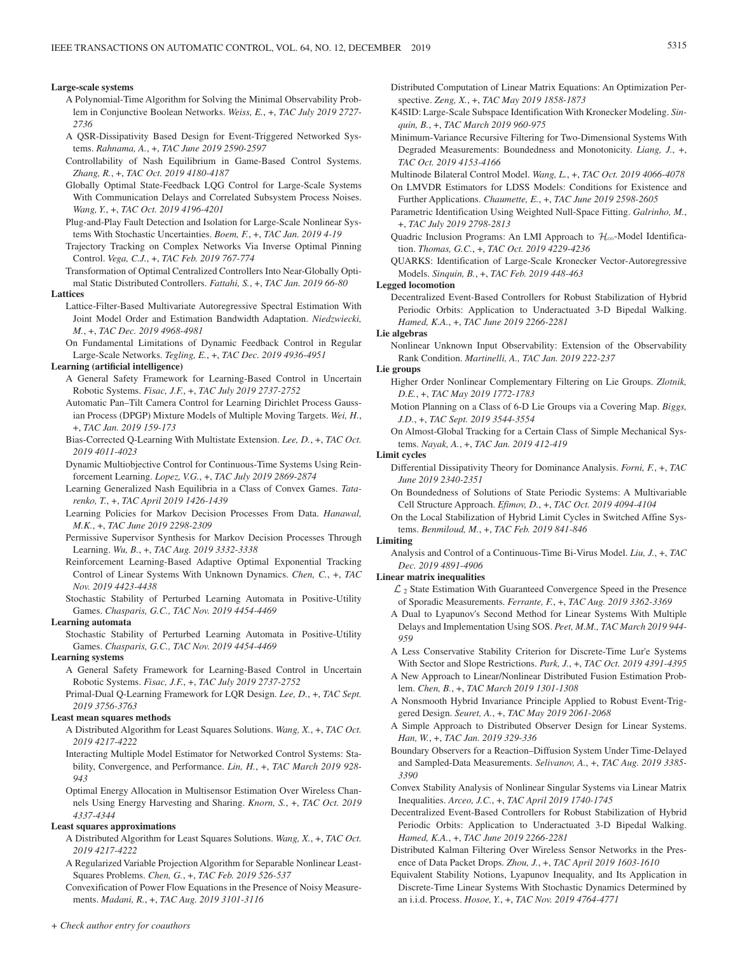#### **Large-scale systems**

- A Polynomial-Time Algorithm for Solving the Minimal Observability Problem in Conjunctive Boolean Networks. *Weiss, E.*, +, *TAC July 2019 2727- 2736*
- A QSR-Dissipativity Based Design for Event-Triggered Networked Systems. *Rahnama, A.*, +, *TAC June 2019 2590-2597*
- Controllability of Nash Equilibrium in Game-Based Control Systems. *Zhang, R.*, +, *TAC Oct. 2019 4180-4187*
- Globally Optimal State-Feedback LQG Control for Large-Scale Systems With Communication Delays and Correlated Subsystem Process Noises. *Wang, Y.*, +, *TAC Oct. 2019 4196-4201*
- Plug-and-Play Fault Detection and Isolation for Large-Scale Nonlinear Systems With Stochastic Uncertainties. *Boem, F.*, +, *TAC Jan. 2019 4-19*
- Trajectory Tracking on Complex Networks Via Inverse Optimal Pinning Control. *Vega, C.J.*, +, *TAC Feb. 2019 767-774*
- Transformation of Optimal Centralized Controllers Into Near-Globally Optimal Static Distributed Controllers. *Fattahi, S.*, +, *TAC Jan. 2019 66-80*

#### **Lattices**

Lattice-Filter-Based Multivariate Autoregressive Spectral Estimation With Joint Model Order and Estimation Bandwidth Adaptation. *Niedzwiecki, M.*, +, *TAC Dec. 2019 4968-4981*

On Fundamental Limitations of Dynamic Feedback Control in Regular Large-Scale Networks. *Tegling, E.*, +, *TAC Dec. 2019 4936-4951*

#### **Learning (artificial intelligence)**

- A General Safety Framework for Learning-Based Control in Uncertain Robotic Systems. *Fisac, J.F.*, +, *TAC July 2019 2737-2752*
- Automatic Pan–Tilt Camera Control for Learning Dirichlet Process Gaussian Process (DPGP) Mixture Models of Multiple Moving Targets. *Wei, H.*, +, *TAC Jan. 2019 159-173*
- Bias-Corrected Q-Learning With Multistate Extension. *Lee, D.*, +, *TAC Oct. 2019 4011-4023*
- Dynamic Multiobjective Control for Continuous-Time Systems Using Reinforcement Learning. *Lopez, V.G.*, +, *TAC July 2019 2869-2874*
- Learning Generalized Nash Equilibria in a Class of Convex Games. *Tatarenko, T.*, +, *TAC April 2019 1426-1439*
- Learning Policies for Markov Decision Processes From Data. *Hanawal, M.K.*, +, *TAC June 2019 2298-2309*
- Permissive Supervisor Synthesis for Markov Decision Processes Through Learning. *Wu, B.*, +, *TAC Aug. 2019 3332-3338*
- Reinforcement Learning-Based Adaptive Optimal Exponential Tracking Control of Linear Systems With Unknown Dynamics. *Chen, C.*, +, *TAC Nov. 2019 4423-4438*
- Stochastic Stability of Perturbed Learning Automata in Positive-Utility Games. *Chasparis, G.C., TAC Nov. 2019 4454-4469*

# **Learning automata**

Stochastic Stability of Perturbed Learning Automata in Positive-Utility Games. *Chasparis, G.C., TAC Nov. 2019 4454-4469*

#### **Learning systems**

- A General Safety Framework for Learning-Based Control in Uncertain Robotic Systems. *Fisac, J.F.*, +, *TAC July 2019 2737-2752*
- Primal-Dual Q-Learning Framework for LQR Design. *Lee, D.*, +, *TAC Sept. 2019 3756-3763*

#### **Least mean squares methods**

- A Distributed Algorithm for Least Squares Solutions. *Wang, X.*, +, *TAC Oct. 2019 4217-4222*
- Interacting Multiple Model Estimator for Networked Control Systems: Stability, Convergence, and Performance. *Lin, H.*, +, *TAC March 2019 928- 943*
- Optimal Energy Allocation in Multisensor Estimation Over Wireless Channels Using Energy Harvesting and Sharing. *Knorn, S.*, +, *TAC Oct. 2019 4337-4344*

#### **Least squares approximations**

- A Distributed Algorithm for Least Squares Solutions. *Wang, X.*, +, *TAC Oct. 2019 4217-4222*
- A Regularized Variable Projection Algorithm for Separable Nonlinear Least-Squares Problems. *Chen, G.*, +, *TAC Feb. 2019 526-537*
- Convexification of Power Flow Equations in the Presence of Noisy Measurements. *Madani, R.*, +, *TAC Aug. 2019 3101-3116*
- Distributed Computation of Linear Matrix Equations: An Optimization Perspective. *Zeng, X.*, +, *TAC May 2019 1858-1873*
- K4SID: Large-Scale Subspace Identification With Kronecker Modeling. *Sinquin, B.*, +, *TAC March 2019 960-975*
- Minimum-Variance Recursive Filtering for Two-Dimensional Systems With Degraded Measurements: Boundedness and Monotonicity. *Liang, J.*, +, *TAC Oct. 2019 4153-4166*

Multinode Bilateral Control Model. *Wang, L.*, +, *TAC Oct. 2019 4066-4078*

- On LMVDR Estimators for LDSS Models: Conditions for Existence and Further Applications. *Chaumette, E.*, +, *TAC June 2019 2598-2605*
- Parametric Identification Using Weighted Null-Space Fitting. *Galrinho, M.*, +, *TAC July 2019 2798-2813*
- Quadric Inclusion Programs: An LMI Approach to  $\mathcal{H}_{\infty}$ -Model Identification. *Thomas, G.C.*, +, *TAC Oct. 2019 4229-4236*
- QUARKS: Identification of Large-Scale Kronecker Vector-Autoregressive Models. *Sinquin, B.*, +, *TAC Feb. 2019 448-463*

#### **Legged locomotion**

Decentralized Event-Based Controllers for Robust Stabilization of Hybrid Periodic Orbits: Application to Underactuated 3-D Bipedal Walking. *Hamed, K.A.*, +, *TAC June 2019 2266-2281*

#### **Lie algebras**

Nonlinear Unknown Input Observability: Extension of the Observability Rank Condition. *Martinelli, A., TAC Jan. 2019 222-237*

# **Lie groups**

- Higher Order Nonlinear Complementary Filtering on Lie Groups. *Zlotnik, D.E.*, +, *TAC May 2019 1772-1783*
- Motion Planning on a Class of 6-D Lie Groups via a Covering Map. *Biggs, J.D.*, +, *TAC Sept. 2019 3544-3554*
- On Almost-Global Tracking for a Certain Class of Simple Mechanical Systems. *Nayak, A.*, +, *TAC Jan. 2019 412-419*

#### **Limit cycles**

- Differential Dissipativity Theory for Dominance Analysis. *Forni, F.*, +, *TAC June 2019 2340-2351*
- On Boundedness of Solutions of State Periodic Systems: A Multivariable Cell Structure Approach. *Efimov, D.*, +, *TAC Oct. 2019 4094-4104*
- On the Local Stabilization of Hybrid Limit Cycles in Switched Affine Systems. *Benmiloud, M.*, +, *TAC Feb. 2019 841-846*

### **Limiting**

Analysis and Control of a Continuous-Time Bi-Virus Model. *Liu, J.*, +, *TAC Dec. 2019 4891-4906*

#### **Linear matrix inequalities**

- $\mathcal{L}_2$  State Estimation With Guaranteed Convergence Speed in the Presence of Sporadic Measurements. *Ferrante, F.*, +, *TAC Aug. 2019 3362-3369*
- A Dual to Lyapunov's Second Method for Linear Systems With Multiple Delays and Implementation Using SOS. *Peet, M.M., TAC March 2019 944- 959*
- A Less Conservative Stability Criterion for Discrete-Time Lur'e Systems With Sector and Slope Restrictions. *Park, J.*, +, *TAC Oct. 2019 4391-4395*
- A New Approach to Linear/Nonlinear Distributed Fusion Estimation Problem. *Chen, B.*, +, *TAC March 2019 1301-1308*
- A Nonsmooth Hybrid Invariance Principle Applied to Robust Event-Triggered Design. *Seuret, A.*, +, *TAC May 2019 2061-2068*
- A Simple Approach to Distributed Observer Design for Linear Systems. *Han, W.*, +, *TAC Jan. 2019 329-336*
- Boundary Observers for a Reaction–Diffusion System Under Time-Delayed and Sampled-Data Measurements. *Selivanov, A.*, +, *TAC Aug. 2019 3385- 3390*
- Convex Stability Analysis of Nonlinear Singular Systems via Linear Matrix Inequalities. *Arceo, J.C.*, +, *TAC April 2019 1740-1745*
- Decentralized Event-Based Controllers for Robust Stabilization of Hybrid Periodic Orbits: Application to Underactuated 3-D Bipedal Walking. *Hamed, K.A.*, +, *TAC June 2019 2266-2281*
- Distributed Kalman Filtering Over Wireless Sensor Networks in the Presence of Data Packet Drops. *Zhou, J.*, +, *TAC April 2019 1603-1610*
- Equivalent Stability Notions, Lyapunov Inequality, and Its Application in Discrete-Time Linear Systems With Stochastic Dynamics Determined by an i.i.d. Process. *Hosoe, Y.*, +, *TAC Nov. 2019 4764-4771*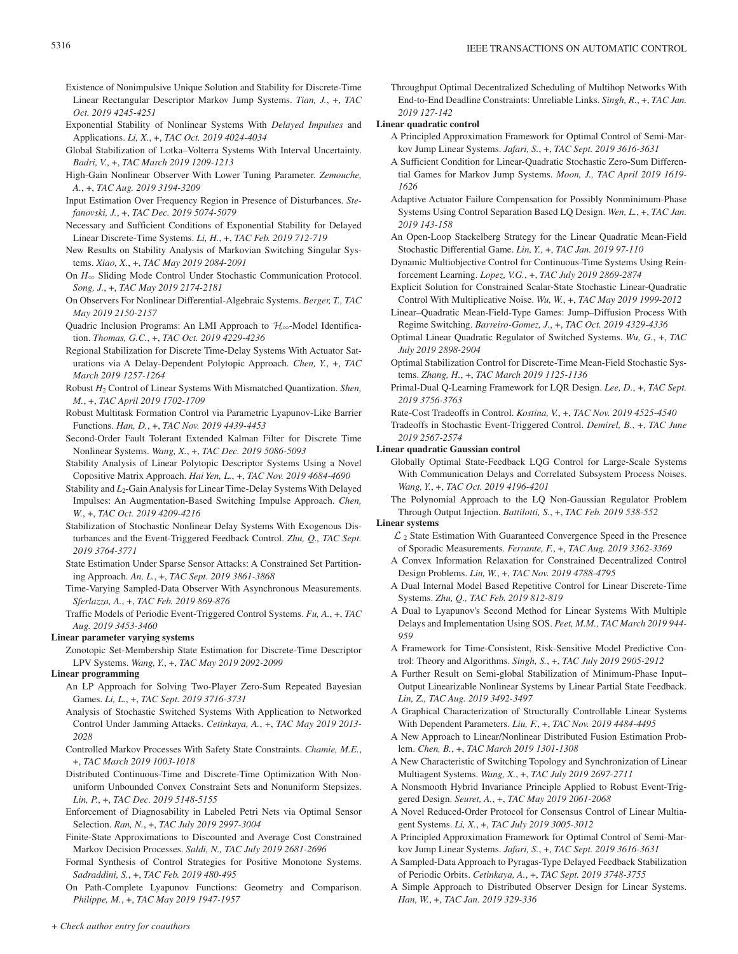- Existence of Nonimpulsive Unique Solution and Stability for Discrete-Time Linear Rectangular Descriptor Markov Jump Systems. *Tian, J.*, +, *TAC Oct. 2019 4245-4251*
- Exponential Stability of Nonlinear Systems With *Delayed Impulses* and Applications. *Li, X.*, +, *TAC Oct. 2019 4024-4034*
- Global Stabilization of Lotka–Volterra Systems With Interval Uncertainty. *Badri, V.*, +, *TAC March 2019 1209-1213*
- High-Gain Nonlinear Observer With Lower Tuning Parameter. *Zemouche, A.*, +, *TAC Aug. 2019 3194-3209*
- Input Estimation Over Frequency Region in Presence of Disturbances. *Stefanovski, J.*, +, *TAC Dec. 2019 5074-5079*
- Necessary and Sufficient Conditions of Exponential Stability for Delayed Linear Discrete-Time Systems. *Li, H.*, +, *TAC Feb. 2019 712-719*
- New Results on Stability Analysis of Markovian Switching Singular Systems. *Xiao, X.*, +, *TAC May 2019 2084-2091*
- On  $H_{\infty}$  Sliding Mode Control Under Stochastic Communication Protocol. *Song, J.*, +, *TAC May 2019 2174-2181*
- On Observers For Nonlinear Differential-Algebraic Systems. *Berger, T., TAC May 2019 2150-2157*
- Quadric Inclusion Programs: An LMI Approach to  $\mathcal{H}_{\infty}$ -Model Identification. *Thomas, G.C.*, +, *TAC Oct. 2019 4229-4236*
- Regional Stabilization for Discrete Time-Delay Systems With Actuator Saturations via A Delay-Dependent Polytopic Approach. *Chen, Y.*, +, *TAC March 2019 1257-1264*
- Robust *H*<sub>2</sub> Control of Linear Systems With Mismatched Quantization. *Shen, M.*, +, *TAC April 2019 1702-1709*
- Robust Multitask Formation Control via Parametric Lyapunov-Like Barrier Functions. *Han, D.*, +, *TAC Nov. 2019 4439-4453*
- Second-Order Fault Tolerant Extended Kalman Filter for Discrete Time Nonlinear Systems. *Wang, X.*, +, *TAC Dec. 2019 5086-5093*
- Stability Analysis of Linear Polytopic Descriptor Systems Using a Novel Copositive Matrix Approach. *Hai Yen, L.*, +, *TAC Nov. 2019 4684-4690*
- Stability and *L*<sub>2</sub>-Gain Analysis for Linear Time-Delay Systems With Delayed Impulses: An Augmentation-Based Switching Impulse Approach. *Chen, W.*, +, *TAC Oct. 2019 4209-4216*
- Stabilization of Stochastic Nonlinear Delay Systems With Exogenous Disturbances and the Event-Triggered Feedback Control. *Zhu, Q., TAC Sept. 2019 3764-3771*
- State Estimation Under Sparse Sensor Attacks: A Constrained Set Partitioning Approach. *An, L.*, +, *TAC Sept. 2019 3861-3868*
- Time-Varying Sampled-Data Observer With Asynchronous Measurements. *Sferlazza, A.*, +, *TAC Feb. 2019 869-876*
- Traffic Models of Periodic Event-Triggered Control Systems. *Fu, A.*, +, *TAC Aug. 2019 3453-3460*

# **Linear parameter varying systems**

Zonotopic Set-Membership State Estimation for Discrete-Time Descriptor LPV Systems. *Wang, Y.*, +, *TAC May 2019 2092-2099*

# **Linear programming**

- An LP Approach for Solving Two-Player Zero-Sum Repeated Bayesian Games. *Li, L.*, +, *TAC Sept. 2019 3716-3731*
- Analysis of Stochastic Switched Systems With Application to Networked Control Under Jamming Attacks. *Cetinkaya, A.*, +, *TAC May 2019 2013- 2028*
- Controlled Markov Processes With Safety State Constraints. *Chamie, M.E.*, +, *TAC March 2019 1003-1018*
- Distributed Continuous-Time and Discrete-Time Optimization With Nonuniform Unbounded Convex Constraint Sets and Nonuniform Stepsizes. *Lin, P.*, +, *TAC Dec. 2019 5148-5155*
- Enforcement of Diagnosability in Labeled Petri Nets via Optimal Sensor Selection. *Ran, N.*, +, *TAC July 2019 2997-3004*
- Finite-State Approximations to Discounted and Average Cost Constrained Markov Decision Processes. *Saldi, N., TAC July 2019 2681-2696*
- Formal Synthesis of Control Strategies for Positive Monotone Systems. *Sadraddini, S.*, +, *TAC Feb. 2019 480-495*
- On Path-Complete Lyapunov Functions: Geometry and Comparison. *Philippe, M.*, +, *TAC May 2019 1947-1957*

Throughput Optimal Decentralized Scheduling of Multihop Networks With End-to-End Deadline Constraints: Unreliable Links. *Singh, R.*, +, *TAC Jan. 2019 127-142*

# **Linear quadratic control**

- A Principled Approximation Framework for Optimal Control of Semi-Markov Jump Linear Systems. *Jafari, S.*, +, *TAC Sept. 2019 3616-3631*
- A Sufficient Condition for Linear-Quadratic Stochastic Zero-Sum Differential Games for Markov Jump Systems. *Moon, J., TAC April 2019 1619- 1626*
- Adaptive Actuator Failure Compensation for Possibly Nonminimum-Phase Systems Using Control Separation Based LQ Design. *Wen, L.*, +, *TAC Jan. 2019 143-158*
- An Open-Loop Stackelberg Strategy for the Linear Quadratic Mean-Field Stochastic Differential Game. *Lin, Y.*, +, *TAC Jan. 2019 97-110*
- Dynamic Multiobjective Control for Continuous-Time Systems Using Reinforcement Learning. *Lopez, V.G.*, +, *TAC July 2019 2869-2874*
- Explicit Solution for Constrained Scalar-State Stochastic Linear-Quadratic Control With Multiplicative Noise. *Wu, W.*, +, *TAC May 2019 1999-2012*
- Linear–Quadratic Mean-Field-Type Games: Jump–Diffusion Process With Regime Switching. *Barreiro-Gomez, J.*, +, *TAC Oct. 2019 4329-4336*
- Optimal Linear Quadratic Regulator of Switched Systems. *Wu, G.*, +, *TAC July 2019 2898-2904*
- Optimal Stabilization Control for Discrete-Time Mean-Field Stochastic Systems. *Zhang, H.*, +, *TAC March 2019 1125-1136*
- Primal-Dual Q-Learning Framework for LQR Design. *Lee, D.*, +, *TAC Sept. 2019 3756-3763*
- Rate-Cost Tradeoffs in Control. *Kostina, V.*, +, *TAC Nov. 2019 4525-4540*
- Tradeoffs in Stochastic Event-Triggered Control. *Demirel, B.*, +, *TAC June 2019 2567-2574*

# **Linear quadratic Gaussian control**

- Globally Optimal State-Feedback LQG Control for Large-Scale Systems With Communication Delays and Correlated Subsystem Process Noises. *Wang, Y.*, +, *TAC Oct. 2019 4196-4201*
- The Polynomial Approach to the LQ Non-Gaussian Regulator Problem Through Output Injection. *Battilotti, S.*, +, *TAC Feb. 2019 538-552*

# **Linear systems**

- $\mathcal{L}_2$  State Estimation With Guaranteed Convergence Speed in the Presence of Sporadic Measurements. *Ferrante, F.*, +, *TAC Aug. 2019 3362-3369*
- A Convex Information Relaxation for Constrained Decentralized Control Design Problems. *Lin, W.*, +, *TAC Nov. 2019 4788-4795*
- A Dual Internal Model Based Repetitive Control for Linear Discrete-Time Systems. *Zhu, Q., TAC Feb. 2019 812-819*
- A Dual to Lyapunov's Second Method for Linear Systems With Multiple Delays and Implementation Using SOS. *Peet, M.M., TAC March 2019 944- 959*
- A Framework for Time-Consistent, Risk-Sensitive Model Predictive Control: Theory and Algorithms. *Singh, S.*, +, *TAC July 2019 2905-2912*
- A Further Result on Semi-global Stabilization of Minimum-Phase Input– Output Linearizable Nonlinear Systems by Linear Partial State Feedback. *Lin, Z., TAC Aug. 2019 3492-3497*
- A Graphical Characterization of Structurally Controllable Linear Systems With Dependent Parameters. *Liu, F.*, +, *TAC Nov. 2019 4484-4495*
- A New Approach to Linear/Nonlinear Distributed Fusion Estimation Problem. *Chen, B.*, +, *TAC March 2019 1301-1308*
- A New Characteristic of Switching Topology and Synchronization of Linear Multiagent Systems. *Wang, X.*, +, *TAC July 2019 2697-2711*
- A Nonsmooth Hybrid Invariance Principle Applied to Robust Event-Triggered Design. *Seuret, A.*, +, *TAC May 2019 2061-2068*
- A Novel Reduced-Order Protocol for Consensus Control of Linear Multiagent Systems. *Li, X.*, +, *TAC July 2019 3005-3012*
- A Principled Approximation Framework for Optimal Control of Semi-Markov Jump Linear Systems. *Jafari, S.*, +, *TAC Sept. 2019 3616-3631*
- A Sampled-Data Approach to Pyragas-Type Delayed Feedback Stabilization of Periodic Orbits. *Cetinkaya, A.*, +, *TAC Sept. 2019 3748-3755*
- A Simple Approach to Distributed Observer Design for Linear Systems. *Han, W.*, +, *TAC Jan. 2019 329-336*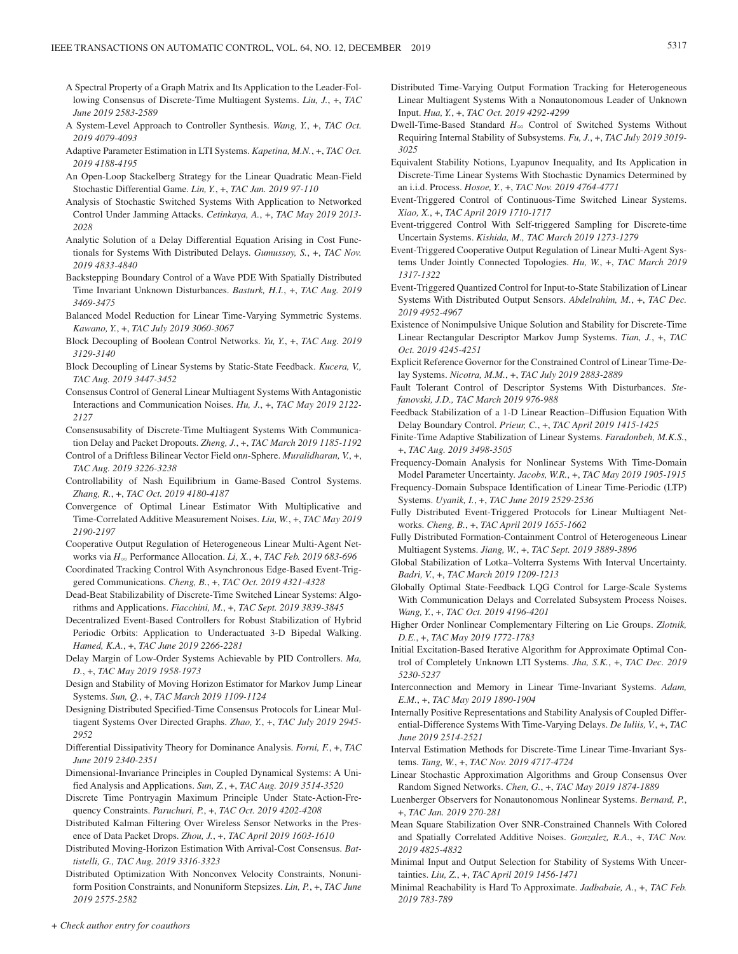- A Spectral Property of a Graph Matrix and Its Application to the Leader-Following Consensus of Discrete-Time Multiagent Systems. *Liu, J.*, +, *TAC June 2019 2583-2589*
- A System-Level Approach to Controller Synthesis. *Wang, Y.*, +, *TAC Oct. 2019 4079-4093*
- Adaptive Parameter Estimation in LTI Systems. *Kapetina, M.N.*, +, *TAC Oct. 2019 4188-4195*
- An Open-Loop Stackelberg Strategy for the Linear Quadratic Mean-Field Stochastic Differential Game. *Lin, Y.*, +, *TAC Jan. 2019 97-110*
- Analysis of Stochastic Switched Systems With Application to Networked Control Under Jamming Attacks. *Cetinkaya, A.*, +, *TAC May 2019 2013- 2028*
- Analytic Solution of a Delay Differential Equation Arising in Cost Functionals for Systems With Distributed Delays. *Gumussoy, S.*, +, *TAC Nov. 2019 4833-4840*
- Backstepping Boundary Control of a Wave PDE With Spatially Distributed Time Invariant Unknown Disturbances. *Basturk, H.I.*, +, *TAC Aug. 2019 3469-3475*
- Balanced Model Reduction for Linear Time-Varying Symmetric Systems. *Kawano, Y.*, +, *TAC July 2019 3060-3067*
- Block Decoupling of Boolean Control Networks. *Yu, Y.*, +, *TAC Aug. 2019 3129-3140*
- Block Decoupling of Linear Systems by Static-State Feedback. *Kucera, V., TAC Aug. 2019 3447-3452*
- Consensus Control of General Linear Multiagent Systems With Antagonistic Interactions and Communication Noises. *Hu, J.*, +, *TAC May 2019 2122- 2127*
- Consensusability of Discrete-Time Multiagent Systems With Communication Delay and Packet Dropouts. *Zheng, J.*, +, *TAC March 2019 1185-1192*
- Control of a Driftless Bilinear Vector Field on*n*-Sphere. *Muralidharan, V.*, +, *TAC Aug. 2019 3226-3238*
- Controllability of Nash Equilibrium in Game-Based Control Systems. *Zhang, R.*, +, *TAC Oct. 2019 4180-4187*
- Convergence of Optimal Linear Estimator With Multiplicative and Time-Correlated Additive Measurement Noises. *Liu, W.*, +, *TAC May 2019 2190-2197*
- Cooperative Output Regulation of Heterogeneous Linear Multi-Agent Networks via *H*3 Performance Allocation. *Li, X.*, +, *TAC Feb. 2019 683-696*
- Coordinated Tracking Control With Asynchronous Edge-Based Event-Triggered Communications. *Cheng, B.*, +, *TAC Oct. 2019 4321-4328*
- Dead-Beat Stabilizability of Discrete-Time Switched Linear Systems: Algorithms and Applications. *Fiacchini, M.*, +, *TAC Sept. 2019 3839-3845*
- Decentralized Event-Based Controllers for Robust Stabilization of Hybrid Periodic Orbits: Application to Underactuated 3-D Bipedal Walking. *Hamed, K.A.*, +, *TAC June 2019 2266-2281*
- Delay Margin of Low-Order Systems Achievable by PID Controllers. *Ma, D.*, +, *TAC May 2019 1958-1973*
- Design and Stability of Moving Horizon Estimator for Markov Jump Linear Systems. *Sun, Q.*, +, *TAC March 2019 1109-1124*
- Designing Distributed Specified-Time Consensus Protocols for Linear Multiagent Systems Over Directed Graphs. *Zhao, Y.*, +, *TAC July 2019 2945- 2952*
- Differential Dissipativity Theory for Dominance Analysis. *Forni, F.*, +, *TAC June 2019 2340-2351*
- Dimensional-Invariance Principles in Coupled Dynamical Systems: A Unified Analysis and Applications. *Sun, Z.*, +, *TAC Aug. 2019 3514-3520*
- Discrete Time Pontryagin Maximum Principle Under State-Action-Frequency Constraints. *Paruchuri, P.*, +, *TAC Oct. 2019 4202-4208*
- Distributed Kalman Filtering Over Wireless Sensor Networks in the Presence of Data Packet Drops. *Zhou, J.*, +, *TAC April 2019 1603-1610*
- Distributed Moving-Horizon Estimation With Arrival-Cost Consensus. *Battistelli, G., TAC Aug. 2019 3316-3323*
- Distributed Optimization With Nonconvex Velocity Constraints, Nonuniform Position Constraints, and Nonuniform Stepsizes. *Lin, P.*, +, *TAC June 2019 2575-2582*
- Distributed Time-Varying Output Formation Tracking for Heterogeneous Linear Multiagent Systems With a Nonautonomous Leader of Unknown Input. *Hua, Y.*, +, *TAC Oct. 2019 4292-4299*
- Dwell-Time-Based Standard *H*3 Control of Switched Systems Without Requiring Internal Stability of Subsystems. *Fu, J.*, +, *TAC July 2019 3019- 3025*
- Equivalent Stability Notions, Lyapunov Inequality, and Its Application in Discrete-Time Linear Systems With Stochastic Dynamics Determined by an i.i.d. Process. *Hosoe, Y.*, +, *TAC Nov. 2019 4764-4771*
- Event-Triggered Control of Continuous-Time Switched Linear Systems. *Xiao, X.*, +, *TAC April 2019 1710-1717*
- Event-triggered Control With Self-triggered Sampling for Discrete-time Uncertain Systems. *Kishida, M., TAC March 2019 1273-1279*
- Event-Triggered Cooperative Output Regulation of Linear Multi-Agent Systems Under Jointly Connected Topologies. *Hu, W.*, +, *TAC March 2019 1317-1322*
- Event-Triggered Quantized Control for Input-to-State Stabilization of Linear Systems With Distributed Output Sensors. *Abdelrahim, M.*, +, *TAC Dec. 2019 4952-4967*
- Existence of Nonimpulsive Unique Solution and Stability for Discrete-Time Linear Rectangular Descriptor Markov Jump Systems. *Tian, J.*, +, *TAC Oct. 2019 4245-4251*
- Explicit Reference Governor for the Constrained Control of Linear Time-Delay Systems. *Nicotra, M.M.*, +, *TAC July 2019 2883-2889*
- Fault Tolerant Control of Descriptor Systems With Disturbances. *Stefanovski, J.D., TAC March 2019 976-988*
- Feedback Stabilization of a 1-D Linear Reaction–Diffusion Equation With Delay Boundary Control. *Prieur, C.*, +, *TAC April 2019 1415-1425*
- Finite-Time Adaptive Stabilization of Linear Systems. *Faradonbeh, M.K.S.*, +, *TAC Aug. 2019 3498-3505*
- Frequency-Domain Analysis for Nonlinear Systems With Time-Domain Model Parameter Uncertainty. *Jacobs, W.R.*, +, *TAC May 2019 1905-1915*
- Frequency-Domain Subspace Identification of Linear Time-Periodic (LTP) Systems. *Uyanik, I.*, +, *TAC June 2019 2529-2536*
- Fully Distributed Event-Triggered Protocols for Linear Multiagent Networks. *Cheng, B.*, +, *TAC April 2019 1655-1662*
- Fully Distributed Formation-Containment Control of Heterogeneous Linear Multiagent Systems. *Jiang, W.*, +, *TAC Sept. 2019 3889-3896*
- Global Stabilization of Lotka–Volterra Systems With Interval Uncertainty. *Badri, V.*, +, *TAC March 2019 1209-1213*
- Globally Optimal State-Feedback LQG Control for Large-Scale Systems With Communication Delays and Correlated Subsystem Process Noises. *Wang, Y.*, +, *TAC Oct. 2019 4196-4201*
- Higher Order Nonlinear Complementary Filtering on Lie Groups. *Zlotnik, D.E.*, +, *TAC May 2019 1772-1783*
- Initial Excitation-Based Iterative Algorithm for Approximate Optimal Control of Completely Unknown LTI Systems. *Jha, S.K.*, +, *TAC Dec. 2019 5230-5237*
- Interconnection and Memory in Linear Time-Invariant Systems. *Adam, E.M.*, +, *TAC May 2019 1890-1904*
- Internally Positive Representations and Stability Analysis of Coupled Differential-Difference Systems With Time-Varying Delays. *De Iuliis, V.*, +, *TAC June 2019 2514-2521*
- Interval Estimation Methods for Discrete-Time Linear Time-Invariant Systems. *Tang, W.*, +, *TAC Nov. 2019 4717-4724*
- Linear Stochastic Approximation Algorithms and Group Consensus Over Random Signed Networks. *Chen, G.*, +, *TAC May 2019 1874-1889*
- Luenberger Observers for Nonautonomous Nonlinear Systems. *Bernard, P.*, +, *TAC Jan. 2019 270-281*
- Mean Square Stabilization Over SNR-Constrained Channels With Colored and Spatially Correlated Additive Noises. *Gonzalez, R.A.*, +, *TAC Nov. 2019 4825-4832*
- Minimal Input and Output Selection for Stability of Systems With Uncertainties. *Liu, Z.*, +, *TAC April 2019 1456-1471*
- Minimal Reachability is Hard To Approximate. *Jadbabaie, A.*, +, *TAC Feb. 2019 783-789*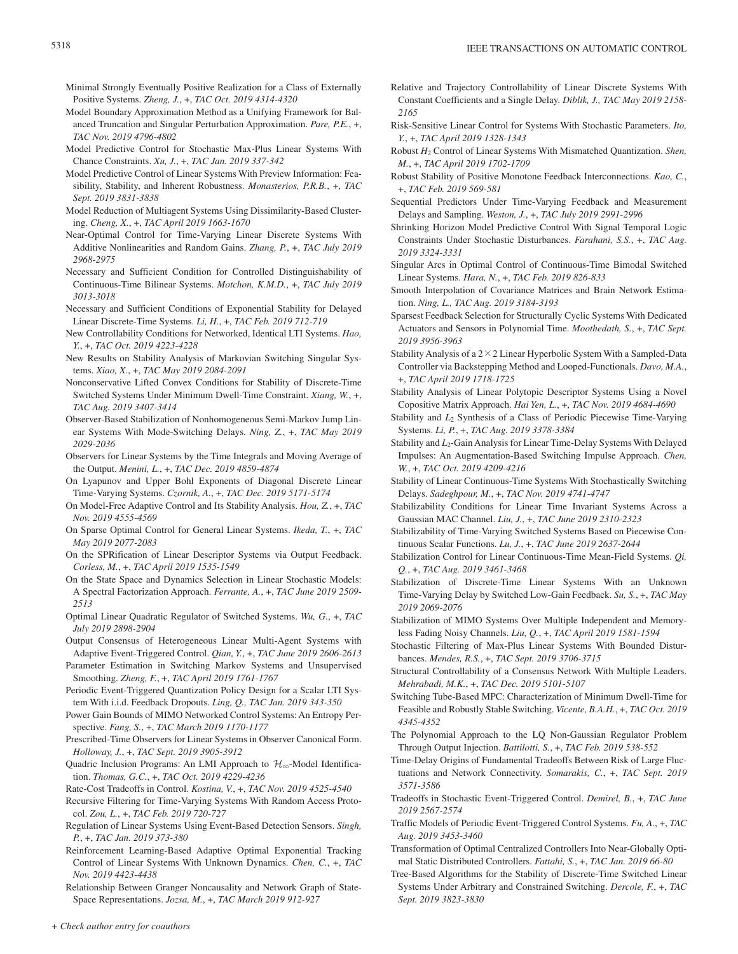- Minimal Strongly Eventually Positive Realization for a Class of Externally Positive Systems. *Zheng, J.*, +, *TAC Oct. 2019 4314-4320*
- Model Boundary Approximation Method as a Unifying Framework for Balanced Truncation and Singular Perturbation Approximation. *Pare, P.E.*, +, *TAC Nov. 2019 4796-4802*
- Model Predictive Control for Stochastic Max-Plus Linear Systems With Chance Constraints. *Xu, J.*, +, *TAC Jan. 2019 337-342*
- Model Predictive Control of Linear Systems With Preview Information: Feasibility, Stability, and Inherent Robustness. *Monasterios, P.R.B.*, +, *TAC Sept. 2019 3831-3838*
- Model Reduction of Multiagent Systems Using Dissimilarity-Based Clustering. *Cheng, X.*, +, *TAC April 2019 1663-1670*
- Near-Optimal Control for Time-Varying Linear Discrete Systems With Additive Nonlinearities and Random Gains. *Zhang, P.*, +, *TAC July 2019 2968-2975*
- Necessary and Sufficient Condition for Controlled Distinguishability of Continuous-Time Bilinear Systems. *Motchon, K.M.D.*, +, *TAC July 2019 3013-3018*
- Necessary and Sufficient Conditions of Exponential Stability for Delayed Linear Discrete-Time Systems. *Li, H.*, +, *TAC Feb. 2019 712-719*
- New Controllability Conditions for Networked, Identical LTI Systems. *Hao, Y.*, +, *TAC Oct. 2019 4223-4228*
- New Results on Stability Analysis of Markovian Switching Singular Systems. *Xiao, X.*, +, *TAC May 2019 2084-2091*
- Nonconservative Lifted Convex Conditions for Stability of Discrete-Time Switched Systems Under Minimum Dwell-Time Constraint. *Xiang, W.*, +, *TAC Aug. 2019 3407-3414*
- Observer-Based Stabilization of Nonhomogeneous Semi-Markov Jump Linear Systems With Mode-Switching Delays. *Ning, Z.*, +, *TAC May 2019 2029-2036*
- Observers for Linear Systems by the Time Integrals and Moving Average of the Output. *Menini, L.*, +, *TAC Dec. 2019 4859-4874*
- On Lyapunov and Upper Bohl Exponents of Diagonal Discrete Linear Time-Varying Systems. *Czornik, A.*, +, *TAC Dec. 2019 5171-5174*
- On Model-Free Adaptive Control and Its Stability Analysis. *Hou, Z.*, +, *TAC Nov. 2019 4555-4569*
- On Sparse Optimal Control for General Linear Systems. *Ikeda, T.*, +, *TAC May 2019 2077-2083*
- On the SPRification of Linear Descriptor Systems via Output Feedback. *Corless, M.*, +, *TAC April 2019 1535-1549*
- On the State Space and Dynamics Selection in Linear Stochastic Models: A Spectral Factorization Approach. *Ferrante, A.*, +, *TAC June 2019 2509- 2513*
- Optimal Linear Quadratic Regulator of Switched Systems. *Wu, G.*, +, *TAC July 2019 2898-2904*
- Output Consensus of Heterogeneous Linear Multi-Agent Systems with Adaptive Event-Triggered Control. *Qian, Y.*, +, *TAC June 2019 2606-2613*
- Parameter Estimation in Switching Markov Systems and Unsupervised Smoothing. *Zheng, F.*, +, *TAC April 2019 1761-1767*
- Periodic Event-Triggered Quantization Policy Design for a Scalar LTI System With i.i.d. Feedback Dropouts. *Ling, Q., TAC Jan. 2019 343-350*
- Power Gain Bounds of MIMO Networked Control Systems: An Entropy Perspective. *Fang, S.*, +, *TAC March 2019 1170-1177*
- Prescribed-Time Observers for Linear Systems in Observer Canonical Form. *Holloway, J.*, +, *TAC Sept. 2019 3905-3912*
- Quadric Inclusion Programs: An LMI Approach to  $\mathcal{H}_{\infty}$ -Model Identification. *Thomas, G.C.*, +, *TAC Oct. 2019 4229-4236*
- Rate-Cost Tradeoffs in Control. *Kostina, V.*, +, *TAC Nov. 2019 4525-4540*
- Recursive Filtering for Time-Varying Systems With Random Access Protocol. *Zou, L.*, +, *TAC Feb. 2019 720-727*
- Regulation of Linear Systems Using Event-Based Detection Sensors. *Singh, P.*, +, *TAC Jan. 2019 373-380*
- Reinforcement Learning-Based Adaptive Optimal Exponential Tracking Control of Linear Systems With Unknown Dynamics. *Chen, C.*, +, *TAC Nov. 2019 4423-4438*
- Relationship Between Granger Noncausality and Network Graph of State-Space Representations. *Jozsa, M.*, +, *TAC March 2019 912-927*
- Relative and Trajectory Controllability of Linear Discrete Systems With Constant Coefficients and a Single Delay. *Diblik, J., TAC May 2019 2158- 2165*
- Risk-Sensitive Linear Control for Systems With Stochastic Parameters. *Ito, Y.*, +, *TAC April 2019 1328-1343*
- Robust *H*2 Control of Linear Systems With Mismatched Quantization. *Shen, M.*, +, *TAC April 2019 1702-1709*
- Robust Stability of Positive Monotone Feedback Interconnections. *Kao, C.*, +, *TAC Feb. 2019 569-581*
- Sequential Predictors Under Time-Varying Feedback and Measurement Delays and Sampling. *Weston, J.*, +, *TAC July 2019 2991-2996*
- Shrinking Horizon Model Predictive Control With Signal Temporal Logic Constraints Under Stochastic Disturbances. *Farahani, S.S.*, +, *TAC Aug. 2019 3324-3331*
- Singular Arcs in Optimal Control of Continuous-Time Bimodal Switched Linear Systems. *Hara, N.*, +, *TAC Feb. 2019 826-833*
- Smooth Interpolation of Covariance Matrices and Brain Network Estimation. *Ning, L., TAC Aug. 2019 3184-3193*
- Sparsest Feedback Selection for Structurally Cyclic Systems With Dedicated Actuators and Sensors in Polynomial Time. *Moothedath, S.*, +, *TAC Sept. 2019 3956-3963*
- Stability Analysis of a  $2 \times 2$  Linear Hyperbolic System With a Sampled-Data Controller via Backstepping Method and Looped-Functionals. *Davo, M.A.*, +, *TAC April 2019 1718-1725*
- Stability Analysis of Linear Polytopic Descriptor Systems Using a Novel Copositive Matrix Approach. *Hai Yen, L.*, +, *TAC Nov. 2019 4684-4690*
- Stability and *L*<sub>2</sub> Synthesis of a Class of Periodic Piecewise Time-Varying Systems. *Li, P.*, +, *TAC Aug. 2019 3378-3384*
- Stability and *L*<sub>2</sub>-Gain Analysis for Linear Time-Delay Systems With Delayed Impulses: An Augmentation-Based Switching Impulse Approach. *Chen, W.*, +, *TAC Oct. 2019 4209-4216*
- Stability of Linear Continuous-Time Systems With Stochastically Switching Delays. *Sadeghpour, M.*, +, *TAC Nov. 2019 4741-4747*
- Stabilizability Conditions for Linear Time Invariant Systems Across a Gaussian MAC Channel. *Liu, J.*, +, *TAC June 2019 2310-2323*
- Stabilizability of Time-Varying Switched Systems Based on Piecewise Continuous Scalar Functions. *Lu, J.*, +, *TAC June 2019 2637-2644*
- Stabilization Control for Linear Continuous-Time Mean-Field Systems. *Qi, Q.*, +, *TAC Aug. 2019 3461-3468*
- Stabilization of Discrete-Time Linear Systems With an Unknown Time-Varying Delay by Switched Low-Gain Feedback. *Su, S.*, +, *TAC May 2019 2069-2076*
- Stabilization of MIMO Systems Over Multiple Independent and Memoryless Fading Noisy Channels. *Liu, Q.*, +, *TAC April 2019 1581-1594*
- Stochastic Filtering of Max-Plus Linear Systems With Bounded Disturbances. *Mendes, R.S.*, +, *TAC Sept. 2019 3706-3715*
- Structural Controllability of a Consensus Network With Multiple Leaders. *Mehrabadi, M.K.*, +, *TAC Dec. 2019 5101-5107*
- Switching Tube-Based MPC: Characterization of Minimum Dwell-Time for Feasible and Robustly Stable Switching. *Vicente, B.A.H.*, +, *TAC Oct. 2019 4345-4352*
- The Polynomial Approach to the LQ Non-Gaussian Regulator Problem Through Output Injection. *Battilotti, S.*, +, *TAC Feb. 2019 538-552*
- Time-Delay Origins of Fundamental Tradeoffs Between Risk of Large Fluctuations and Network Connectivity. *Somarakis, C.*, +, *TAC Sept. 2019 3571-3586*
- Tradeoffs in Stochastic Event-Triggered Control. *Demirel, B.*, +, *TAC June 2019 2567-2574*
- Traffic Models of Periodic Event-Triggered Control Systems. *Fu, A.*, +, *TAC Aug. 2019 3453-3460*
- Transformation of Optimal Centralized Controllers Into Near-Globally Optimal Static Distributed Controllers. *Fattahi, S.*, +, *TAC Jan. 2019 66-80*
- Tree-Based Algorithms for the Stability of Discrete-Time Switched Linear Systems Under Arbitrary and Constrained Switching. *Dercole, F.*, +, *TAC Sept. 2019 3823-3830*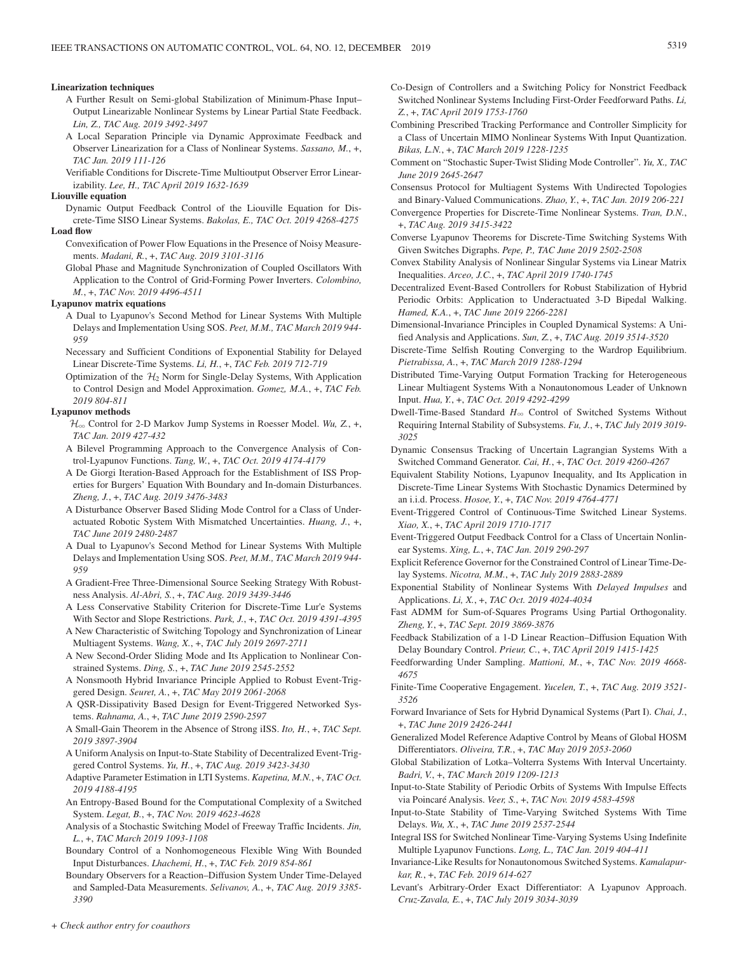#### **Linearization techniques**

- A Further Result on Semi-global Stabilization of Minimum-Phase Input– Output Linearizable Nonlinear Systems by Linear Partial State Feedback. *Lin, Z., TAC Aug. 2019 3492-3497*
- A Local Separation Principle via Dynamic Approximate Feedback and Observer Linearization for a Class of Nonlinear Systems. *Sassano, M.*, +, *TAC Jan. 2019 111-126*
- Verifiable Conditions for Discrete-Time Multioutput Observer Error Linearizability. *Lee, H., TAC April 2019 1632-1639*

#### **Liouville equation**

Dynamic Output Feedback Control of the Liouville Equation for Discrete-Time SISO Linear Systems. *Bakolas, E., TAC Oct. 2019 4268-4275* **Load flow**

- Convexification of Power Flow Equations in the Presence of Noisy Measurements. *Madani, R.*, +, *TAC Aug. 2019 3101-3116*
- Global Phase and Magnitude Synchronization of Coupled Oscillators With Application to the Control of Grid-Forming Power Inverters. *Colombino, M.*, +, *TAC Nov. 2019 4496-4511*

#### **Lyapunov matrix equations**

- A Dual to Lyapunov's Second Method for Linear Systems With Multiple Delays and Implementation Using SOS. *Peet, M.M., TAC March 2019 944- 959*
- Necessary and Sufficient Conditions of Exponential Stability for Delayed Linear Discrete-Time Systems. *Li, H.*, +, *TAC Feb. 2019 712-719*
- Optimization of the  $H_2$  Norm for Single-Delay Systems, With Application to Control Design and Model Approximation. *Gomez, M.A.*, +, *TAC Feb. 2019 804-811*

#### **Lyapunov methods**

- H3 Control for 2-D Markov Jump Systems in Roesser Model. *Wu, Z.*, +, *TAC Jan. 2019 427-432*
- A Bilevel Programming Approach to the Convergence Analysis of Control-Lyapunov Functions. *Tang, W.*, +, *TAC Oct. 2019 4174-4179*
- A De Giorgi Iteration-Based Approach for the Establishment of ISS Properties for Burgers' Equation With Boundary and In-domain Disturbances. *Zheng, J.*, +, *TAC Aug. 2019 3476-3483*
- A Disturbance Observer Based Sliding Mode Control for a Class of Underactuated Robotic System With Mismatched Uncertainties. *Huang, J.*, +, *TAC June 2019 2480-2487*
- A Dual to Lyapunov's Second Method for Linear Systems With Multiple Delays and Implementation Using SOS. *Peet, M.M., TAC March 2019 944- 959*
- A Gradient-Free Three-Dimensional Source Seeking Strategy With Robustness Analysis. *Al-Abri, S.*, +, *TAC Aug. 2019 3439-3446*
- A Less Conservative Stability Criterion for Discrete-Time Lur'e Systems With Sector and Slope Restrictions. *Park, J.*, +, *TAC Oct. 2019 4391-4395*
- A New Characteristic of Switching Topology and Synchronization of Linear Multiagent Systems. *Wang, X.*, +, *TAC July 2019 2697-2711*
- A New Second-Order Sliding Mode and Its Application to Nonlinear Constrained Systems. *Ding, S.*, +, *TAC June 2019 2545-2552*
- A Nonsmooth Hybrid Invariance Principle Applied to Robust Event-Triggered Design. *Seuret, A.*, +, *TAC May 2019 2061-2068*
- A QSR-Dissipativity Based Design for Event-Triggered Networked Systems. *Rahnama, A.*, +, *TAC June 2019 2590-2597*
- A Small-Gain Theorem in the Absence of Strong iISS. *Ito, H.*, +, *TAC Sept. 2019 3897-3904*
- A Uniform Analysis on Input-to-State Stability of Decentralized Event-Triggered Control Systems. *Yu, H.*, +, *TAC Aug. 2019 3423-3430*
- Adaptive Parameter Estimation in LTI Systems. *Kapetina, M.N.*, +, *TAC Oct. 2019 4188-4195*
- An Entropy-Based Bound for the Computational Complexity of a Switched System. *Legat, B.*, +, *TAC Nov. 2019 4623-4628*
- Analysis of a Stochastic Switching Model of Freeway Traffic Incidents. *Jin, L.*, +, *TAC March 2019 1093-1108*
- Boundary Control of a Nonhomogeneous Flexible Wing With Bounded Input Disturbances. *Lhachemi, H.*, +, *TAC Feb. 2019 854-861*
- Boundary Observers for a Reaction–Diffusion System Under Time-Delayed and Sampled-Data Measurements. *Selivanov, A.*, +, *TAC Aug. 2019 3385- 3390*
- Co-Design of Controllers and a Switching Policy for Nonstrict Feedback Switched Nonlinear Systems Including First-Order Feedforward Paths. *Li, Z.*, +, *TAC April 2019 1753-1760*
- Combining Prescribed Tracking Performance and Controller Simplicity for a Class of Uncertain MIMO Nonlinear Systems With Input Quantization. *Bikas, L.N.*, +, *TAC March 2019 1228-1235*
- Comment on "Stochastic Super-Twist Sliding Mode Controller". *Yu, X., TAC June 2019 2645-2647*
- Consensus Protocol for Multiagent Systems With Undirected Topologies and Binary-Valued Communications. *Zhao, Y.*, +, *TAC Jan. 2019 206-221*
- Convergence Properties for Discrete-Time Nonlinear Systems. *Tran, D.N.*, +, *TAC Aug. 2019 3415-3422*
- Converse Lyapunov Theorems for Discrete-Time Switching Systems With Given Switches Digraphs. *Pepe, P., TAC June 2019 2502-2508*
- Convex Stability Analysis of Nonlinear Singular Systems via Linear Matrix Inequalities. *Arceo, J.C.*, +, *TAC April 2019 1740-1745*
- Decentralized Event-Based Controllers for Robust Stabilization of Hybrid Periodic Orbits: Application to Underactuated 3-D Bipedal Walking. *Hamed, K.A.*, +, *TAC June 2019 2266-2281*
- Dimensional-Invariance Principles in Coupled Dynamical Systems: A Unified Analysis and Applications. *Sun, Z.*, +, *TAC Aug. 2019 3514-3520*
- Discrete-Time Selfish Routing Converging to the Wardrop Equilibrium. *Pietrabissa, A.*, +, *TAC March 2019 1288-1294*
- Distributed Time-Varying Output Formation Tracking for Heterogeneous Linear Multiagent Systems With a Nonautonomous Leader of Unknown Input. *Hua, Y.*, +, *TAC Oct. 2019 4292-4299*
- Dwell-Time-Based Standard *H*3 Control of Switched Systems Without Requiring Internal Stability of Subsystems. *Fu, J.*, +, *TAC July 2019 3019- 3025*
- Dynamic Consensus Tracking of Uncertain Lagrangian Systems With a Switched Command Generator. *Cai, H.*, +, *TAC Oct. 2019 4260-4267*
- Equivalent Stability Notions, Lyapunov Inequality, and Its Application in Discrete-Time Linear Systems With Stochastic Dynamics Determined by an i.i.d. Process. *Hosoe, Y.*, +, *TAC Nov. 2019 4764-4771*
- Event-Triggered Control of Continuous-Time Switched Linear Systems. *Xiao, X.*, +, *TAC April 2019 1710-1717*
- Event-Triggered Output Feedback Control for a Class of Uncertain Nonlinear Systems. *Xing, L.*, +, *TAC Jan. 2019 290-297*
- Explicit Reference Governor for the Constrained Control of Linear Time-Delay Systems. *Nicotra, M.M.*, +, *TAC July 2019 2883-2889*
- Exponential Stability of Nonlinear Systems With *Delayed Impulses* and Applications. *Li, X.*, +, *TAC Oct. 2019 4024-4034*
- Fast ADMM for Sum-of-Squares Programs Using Partial Orthogonality. *Zheng, Y.*, +, *TAC Sept. 2019 3869-3876*
- Feedback Stabilization of a 1-D Linear Reaction–Diffusion Equation With Delay Boundary Control. *Prieur, C.*, +, *TAC April 2019 1415-1425*
- Feedforwarding Under Sampling. *Mattioni, M.*, +, *TAC Nov. 2019 4668- 4675*
- Finite-Time Cooperative Engagement. *Yucelen, T.*, +, *TAC Aug. 2019 3521- 3526*
- Forward Invariance of Sets for Hybrid Dynamical Systems (Part I). *Chai, J.*, +, *TAC June 2019 2426-2441*
- Generalized Model Reference Adaptive Control by Means of Global HOSM Differentiators. *Oliveira, T.R.*, +, *TAC May 2019 2053-2060*
- Global Stabilization of Lotka–Volterra Systems With Interval Uncertainty. *Badri, V.*, +, *TAC March 2019 1209-1213*
- Input-to-State Stability of Periodic Orbits of Systems With Impulse Effects via Poincaré Analysis. *Veer, S.*, +, *TAC Nov. 2019 4583-4598*
- Input-to-State Stability of Time-Varying Switched Systems With Time Delays. *Wu, X.*, +, *TAC June 2019 2537-2544*
- Integral ISS for Switched Nonlinear Time-Varying Systems Using Indefinite Multiple Lyapunov Functions. *Long, L., TAC Jan. 2019 404-411*
- Invariance-Like Results for Nonautonomous Switched Systems. *Kamalapurkar, R.*, +, *TAC Feb. 2019 614-627*
- Levant's Arbitrary-Order Exact Differentiator: A Lyapunov Approach. *Cruz-Zavala, E.*, +, *TAC July 2019 3034-3039*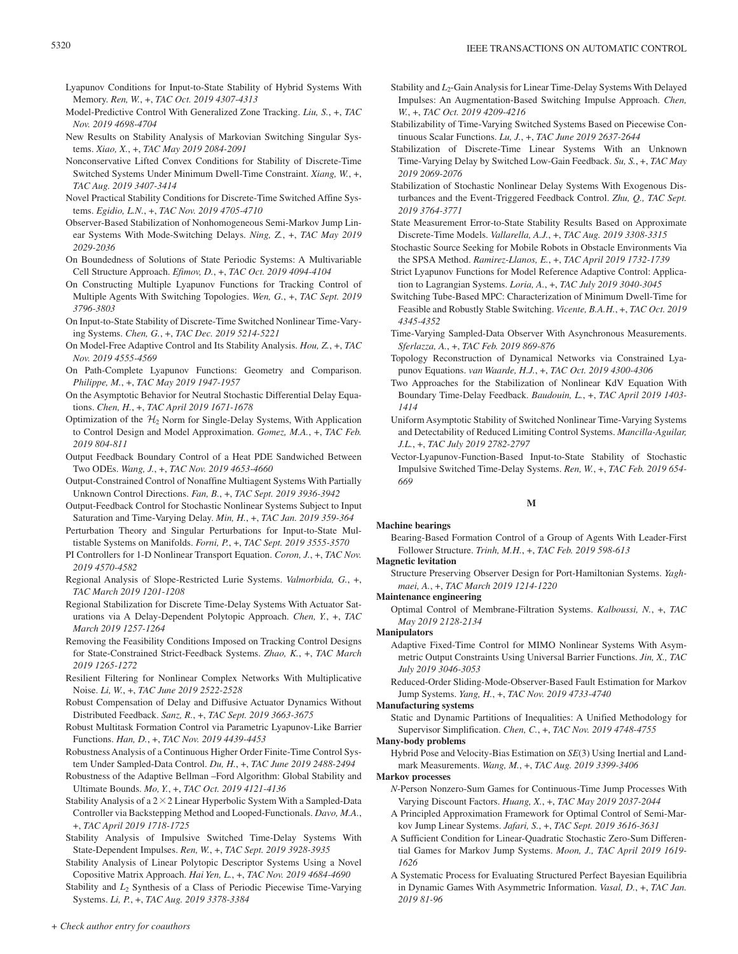- Lyapunov Conditions for Input-to-State Stability of Hybrid Systems With Memory. *Ren, W.*, +, *TAC Oct. 2019 4307-4313*
- Model-Predictive Control With Generalized Zone Tracking. *Liu, S.*, +, *TAC Nov. 2019 4698-4704*
- New Results on Stability Analysis of Markovian Switching Singular Systems. *Xiao, X.*, +, *TAC May 2019 2084-2091*
- Nonconservative Lifted Convex Conditions for Stability of Discrete-Time Switched Systems Under Minimum Dwell-Time Constraint. *Xiang, W.*, +, *TAC Aug. 2019 3407-3414*
- Novel Practical Stability Conditions for Discrete-Time Switched Affine Systems. *Egidio, L.N.*, +, *TAC Nov. 2019 4705-4710*
- Observer-Based Stabilization of Nonhomogeneous Semi-Markov Jump Linear Systems With Mode-Switching Delays. *Ning, Z.*, +, *TAC May 2019 2029-2036*
- On Boundedness of Solutions of State Periodic Systems: A Multivariable Cell Structure Approach. *Efimov, D.*, +, *TAC Oct. 2019 4094-4104*
- On Constructing Multiple Lyapunov Functions for Tracking Control of Multiple Agents With Switching Topologies. *Wen, G.*, +, *TAC Sept. 2019 3796-3803*
- On Input-to-State Stability of Discrete-Time Switched Nonlinear Time-Varying Systems. *Chen, G.*, +, *TAC Dec. 2019 5214-5221*
- On Model-Free Adaptive Control and Its Stability Analysis. *Hou, Z.*, +, *TAC Nov. 2019 4555-4569*
- On Path-Complete Lyapunov Functions: Geometry and Comparison. *Philippe, M.*, +, *TAC May 2019 1947-1957*
- On the Asymptotic Behavior for Neutral Stochastic Differential Delay Equations. *Chen, H.*, +, *TAC April 2019 1671-1678*
- Optimization of the  $\mathcal{H}_2$  Norm for Single-Delay Systems, With Application to Control Design and Model Approximation. *Gomez, M.A.*, +, *TAC Feb. 2019 804-811*
- Output Feedback Boundary Control of a Heat PDE Sandwiched Between Two ODEs. *Wang, J.*, +, *TAC Nov. 2019 4653-4660*
- Output-Constrained Control of Nonaffine Multiagent Systems With Partially Unknown Control Directions. *Fan, B.*, +, *TAC Sept. 2019 3936-3942*
- Output-Feedback Control for Stochastic Nonlinear Systems Subject to Input Saturation and Time-Varying Delay. *Min, H.*, +, *TAC Jan. 2019 359-364*
- Perturbation Theory and Singular Perturbations for Input-to-State Multistable Systems on Manifolds. *Forni, P.*, +, *TAC Sept. 2019 3555-3570*
- PI Controllers for 1-D Nonlinear Transport Equation. *Coron, J.*, +, *TAC Nov. 2019 4570-4582*
- Regional Analysis of Slope-Restricted Lurie Systems. *Valmorbida, G.*, +, *TAC March 2019 1201-1208*
- Regional Stabilization for Discrete Time-Delay Systems With Actuator Saturations via A Delay-Dependent Polytopic Approach. *Chen, Y.*, +, *TAC March 2019 1257-1264*
- Removing the Feasibility Conditions Imposed on Tracking Control Designs for State-Constrained Strict-Feedback Systems. *Zhao, K.*, +, *TAC March 2019 1265-1272*
- Resilient Filtering for Nonlinear Complex Networks With Multiplicative Noise. *Li, W.*, +, *TAC June 2019 2522-2528*
- Robust Compensation of Delay and Diffusive Actuator Dynamics Without Distributed Feedback. *Sanz, R.*, +, *TAC Sept. 2019 3663-3675*
- Robust Multitask Formation Control via Parametric Lyapunov-Like Barrier Functions. *Han, D.*, +, *TAC Nov. 2019 4439-4453*
- Robustness Analysis of a Continuous Higher Order Finite-Time Control System Under Sampled-Data Control. *Du, H.*, +, *TAC June 2019 2488-2494*
- Robustness of the Adaptive Bellman –Ford Algorithm: Global Stability and Ultimate Bounds. *Mo, Y.*, +, *TAC Oct. 2019 4121-4136*
- Stability Analysis of a  $2 \times 2$  Linear Hyperbolic System With a Sampled-Data Controller via Backstepping Method and Looped-Functionals. *Davo, M.A.*, +, *TAC April 2019 1718-1725*
- Stability Analysis of Impulsive Switched Time-Delay Systems With State-Dependent Impulses. *Ren, W.*, +, *TAC Sept. 2019 3928-3935*
- Stability Analysis of Linear Polytopic Descriptor Systems Using a Novel Copositive Matrix Approach. *Hai Yen, L.*, +, *TAC Nov. 2019 4684-4690*

Stability and *L*2 Synthesis of a Class of Periodic Piecewise Time-Varying Systems. *Li, P.*, +, *TAC Aug. 2019 3378-3384*

- Stability and *L*<sub>2</sub>-Gain Analysis for Linear Time-Delay Systems With Delayed Impulses: An Augmentation-Based Switching Impulse Approach. *Chen, W.*, +, *TAC Oct. 2019 4209-4216*
- Stabilizability of Time-Varying Switched Systems Based on Piecewise Continuous Scalar Functions. *Lu, J.*, +, *TAC June 2019 2637-2644*
- Stabilization of Discrete-Time Linear Systems With an Unknown Time-Varying Delay by Switched Low-Gain Feedback. *Su, S.*, +, *TAC May 2019 2069-2076*
- Stabilization of Stochastic Nonlinear Delay Systems With Exogenous Disturbances and the Event-Triggered Feedback Control. *Zhu, Q., TAC Sept. 2019 3764-3771*
- State Measurement Error-to-State Stability Results Based on Approximate Discrete-Time Models. *Vallarella, A.J.*, +, *TAC Aug. 2019 3308-3315*
- Stochastic Source Seeking for Mobile Robots in Obstacle Environments Via the SPSA Method. *Ramirez-Llanos, E.*, +, *TAC April 2019 1732-1739*
- Strict Lyapunov Functions for Model Reference Adaptive Control: Application to Lagrangian Systems. *Loria, A.*, +, *TAC July 2019 3040-3045*
- Switching Tube-Based MPC: Characterization of Minimum Dwell-Time for Feasible and Robustly Stable Switching. *Vicente, B.A.H.*, +, *TAC Oct. 2019 4345-4352*
- Time-Varying Sampled-Data Observer With Asynchronous Measurements. *Sferlazza, A.*, +, *TAC Feb. 2019 869-876*
- Topology Reconstruction of Dynamical Networks via Constrained Lyapunov Equations. *van Waarde, H.J.*, +, *TAC Oct. 2019 4300-4306*
- Two Approaches for the Stabilization of Nonlinear KdV Equation With Boundary Time-Delay Feedback. *Baudouin, L.*, +, *TAC April 2019 1403- 1414*
- Uniform Asymptotic Stability of Switched Nonlinear Time-Varying Systems and Detectability of Reduced Limiting Control Systems. *Mancilla-Aguilar, J.L.*, +, *TAC July 2019 2782-2797*
- Vector-Lyapunov-Function-Based Input-to-State Stability of Stochastic Impulsive Switched Time-Delay Systems. *Ren, W.*, +, *TAC Feb. 2019 654- 669*

# **M**

# **Machine bearings**

Bearing-Based Formation Control of a Group of Agents With Leader-First Follower Structure. *Trinh, M.H.*, +, *TAC Feb. 2019 598-613*

# **Magnetic levitation**

Structure Preserving Observer Design for Port-Hamiltonian Systems. *Yaghmaei, A.*, +, *TAC March 2019 1214-1220*

# **Maintenance engineering**

Optimal Control of Membrane-Filtration Systems. *Kalboussi, N.*, +, *TAC May 2019 2128-2134*

# **Manipulators**

- Adaptive Fixed-Time Control for MIMO Nonlinear Systems With Asymmetric Output Constraints Using Universal Barrier Functions. *Jin, X., TAC July 2019 3046-3053*
- Reduced-Order Sliding-Mode-Observer-Based Fault Estimation for Markov Jump Systems. *Yang, H.*, +, *TAC Nov. 2019 4733-4740*

# **Manufacturing systems**

Static and Dynamic Partitions of Inequalities: A Unified Methodology for Supervisor Simplification. *Chen, C.*, +, *TAC Nov. 2019 4748-4755*

# **Many-body problems**

Hybrid Pose and Velocity-Bias Estimation on *SE*(3) Using Inertial and Landmark Measurements. *Wang, M.*, +, *TAC Aug. 2019 3399-3406*

# **Markov processes**

- *N*-Person Nonzero-Sum Games for Continuous-Time Jump Processes With Varying Discount Factors. *Huang, X.*, +, *TAC May 2019 2037-2044*
- A Principled Approximation Framework for Optimal Control of Semi-Markov Jump Linear Systems. *Jafari, S.*, +, *TAC Sept. 2019 3616-3631*
- A Sufficient Condition for Linear-Quadratic Stochastic Zero-Sum Differential Games for Markov Jump Systems. *Moon, J., TAC April 2019 1619- 1626*
- A Systematic Process for Evaluating Structured Perfect Bayesian Equilibria in Dynamic Games With Asymmetric Information. *Vasal, D.*, +, *TAC Jan. 2019 81-96*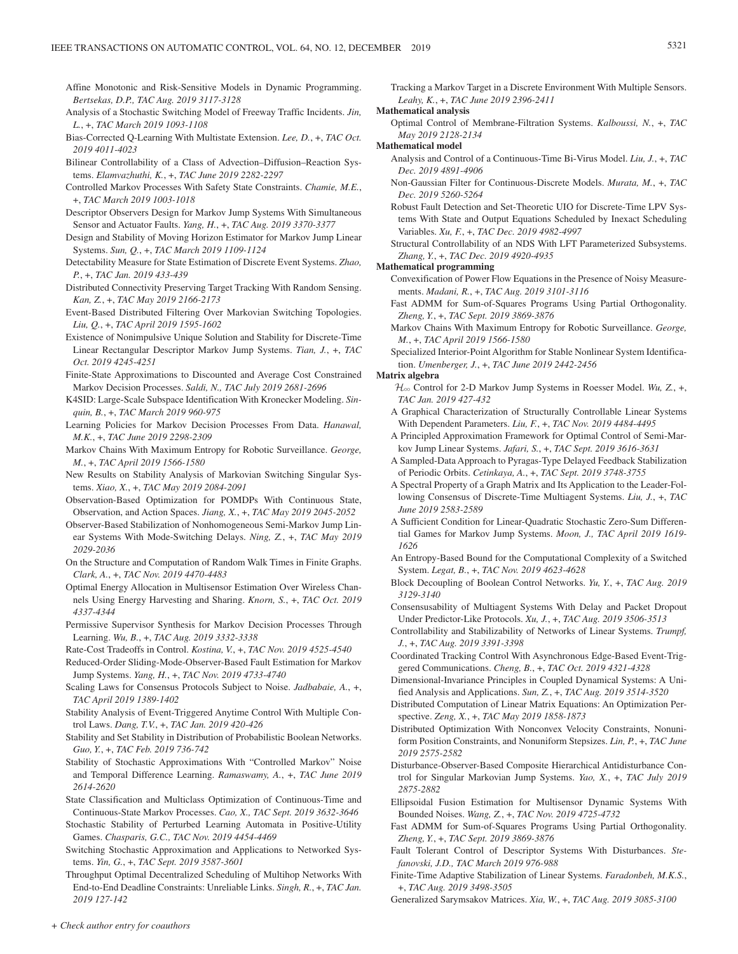- Affine Monotonic and Risk-Sensitive Models in Dynamic Programming. *Bertsekas, D.P., TAC Aug. 2019 3117-3128*
- Analysis of a Stochastic Switching Model of Freeway Traffic Incidents. *Jin, L.*, +, *TAC March 2019 1093-1108*
- Bias-Corrected Q-Learning With Multistate Extension. *Lee, D.*, +, *TAC Oct. 2019 4011-4023*
- Bilinear Controllability of a Class of Advection–Diffusion–Reaction Systems. *Elamvazhuthi, K.*, +, *TAC June 2019 2282-2297*
- Controlled Markov Processes With Safety State Constraints. *Chamie, M.E.*, +, *TAC March 2019 1003-1018*
- Descriptor Observers Design for Markov Jump Systems With Simultaneous Sensor and Actuator Faults. *Yang, H.*, +, *TAC Aug. 2019 3370-3377*
- Design and Stability of Moving Horizon Estimator for Markov Jump Linear Systems. *Sun, Q.*, +, *TAC March 2019 1109-1124*
- Detectability Measure for State Estimation of Discrete Event Systems. *Zhao, P.*, +, *TAC Jan. 2019 433-439*
- Distributed Connectivity Preserving Target Tracking With Random Sensing. *Kan, Z.*, +, *TAC May 2019 2166-2173*
- Event-Based Distributed Filtering Over Markovian Switching Topologies. *Liu, Q.*, +, *TAC April 2019 1595-1602*
- Existence of Nonimpulsive Unique Solution and Stability for Discrete-Time Linear Rectangular Descriptor Markov Jump Systems. *Tian, J.*, +, *TAC Oct. 2019 4245-4251*
- Finite-State Approximations to Discounted and Average Cost Constrained Markov Decision Processes. *Saldi, N., TAC July 2019 2681-2696*
- K4SID: Large-Scale Subspace Identification With Kronecker Modeling. *Sinquin, B.*, +, *TAC March 2019 960-975*
- Learning Policies for Markov Decision Processes From Data. *Hanawal, M.K.*, +, *TAC June 2019 2298-2309*
- Markov Chains With Maximum Entropy for Robotic Surveillance. *George, M.*, +, *TAC April 2019 1566-1580*
- New Results on Stability Analysis of Markovian Switching Singular Systems. *Xiao, X.*, +, *TAC May 2019 2084-2091*
- Observation-Based Optimization for POMDPs With Continuous State, Observation, and Action Spaces. *Jiang, X.*, +, *TAC May 2019 2045-2052*
- Observer-Based Stabilization of Nonhomogeneous Semi-Markov Jump Linear Systems With Mode-Switching Delays. *Ning, Z.*, +, *TAC May 2019 2029-2036*
- On the Structure and Computation of Random Walk Times in Finite Graphs. *Clark, A.*, +, *TAC Nov. 2019 4470-4483*
- Optimal Energy Allocation in Multisensor Estimation Over Wireless Channels Using Energy Harvesting and Sharing. *Knorn, S.*, +, *TAC Oct. 2019 4337-4344*
- Permissive Supervisor Synthesis for Markov Decision Processes Through Learning. *Wu, B.*, +, *TAC Aug. 2019 3332-3338*
- Rate-Cost Tradeoffs in Control. *Kostina, V.*, +, *TAC Nov. 2019 4525-4540*
- Reduced-Order Sliding-Mode-Observer-Based Fault Estimation for Markov Jump Systems. *Yang, H.*, +, *TAC Nov. 2019 4733-4740*
- Scaling Laws for Consensus Protocols Subject to Noise. *Jadbabaie, A.*, +, *TAC April 2019 1389-1402*
- Stability Analysis of Event-Triggered Anytime Control With Multiple Control Laws. *Dang, T.V.*, +, *TAC Jan. 2019 420-426*
- Stability and Set Stability in Distribution of Probabilistic Boolean Networks. *Guo, Y.*, +, *TAC Feb. 2019 736-742*
- Stability of Stochastic Approximations With "Controlled Markov" Noise and Temporal Difference Learning. *Ramaswamy, A.*, +, *TAC June 2019 2614-2620*
- State Classification and Multiclass Optimization of Continuous-Time and Continuous-State Markov Processes. *Cao, X., TAC Sept. 2019 3632-3646*
- Stochastic Stability of Perturbed Learning Automata in Positive-Utility Games. *Chasparis, G.C., TAC Nov. 2019 4454-4469*
- Switching Stochastic Approximation and Applications to Networked Systems. *Yin, G.*, +, *TAC Sept. 2019 3587-3601*
- Throughput Optimal Decentralized Scheduling of Multihop Networks With End-to-End Deadline Constraints: Unreliable Links. *Singh, R.*, +, *TAC Jan. 2019 127-142*

Tracking a Markov Target in a Discrete Environment With Multiple Sensors. *Leahy, K.*, +, *TAC June 2019 2396-2411*

### **Mathematical analysis**

Optimal Control of Membrane-Filtration Systems. *Kalboussi, N.*, +, *TAC May 2019 2128-2134*

# **Mathematical model**

- Analysis and Control of a Continuous-Time Bi-Virus Model. *Liu, J.*, +, *TAC Dec. 2019 4891-4906*
- Non-Gaussian Filter for Continuous-Discrete Models. *Murata, M.*, +, *TAC Dec. 2019 5260-5264*
- Robust Fault Detection and Set-Theoretic UIO for Discrete-Time LPV Systems With State and Output Equations Scheduled by Inexact Scheduling Variables. *Xu, F.*, +, *TAC Dec. 2019 4982-4997*
- Structural Controllability of an NDS With LFT Parameterized Subsystems. *Zhang, Y.*, +, *TAC Dec. 2019 4920-4935*

# **Mathematical programming**

- Convexification of Power Flow Equations in the Presence of Noisy Measurements. *Madani, R.*, +, *TAC Aug. 2019 3101-3116*
- Fast ADMM for Sum-of-Squares Programs Using Partial Orthogonality. *Zheng, Y.*, +, *TAC Sept. 2019 3869-3876*
- Markov Chains With Maximum Entropy for Robotic Surveillance. *George, M.*, +, *TAC April 2019 1566-1580*

Specialized Interior-Point Algorithm for Stable Nonlinear System Identification. *Umenberger, J.*, +, *TAC June 2019 2442-2456*

# **Matrix algebra**

- $\mathcal{H}_{\infty}$  Control for 2-D Markov Jump Systems in Roesser Model. *Wu*, Z., +, *TAC Jan. 2019 427-432*
- A Graphical Characterization of Structurally Controllable Linear Systems With Dependent Parameters. *Liu, F.*, +, *TAC Nov. 2019 4484-4495*
- A Principled Approximation Framework for Optimal Control of Semi-Markov Jump Linear Systems. *Jafari, S.*, +, *TAC Sept. 2019 3616-3631*
- A Sampled-Data Approach to Pyragas-Type Delayed Feedback Stabilization of Periodic Orbits. *Cetinkaya, A.*, +, *TAC Sept. 2019 3748-3755*
- A Spectral Property of a Graph Matrix and Its Application to the Leader-Following Consensus of Discrete-Time Multiagent Systems. *Liu, J.*, +, *TAC June 2019 2583-2589*
- A Sufficient Condition for Linear-Quadratic Stochastic Zero-Sum Differential Games for Markov Jump Systems. *Moon, J., TAC April 2019 1619- 1626*
- An Entropy-Based Bound for the Computational Complexity of a Switched System. *Legat, B.*, +, *TAC Nov. 2019 4623-4628*
- Block Decoupling of Boolean Control Networks. *Yu, Y.*, +, *TAC Aug. 2019 3129-3140*
- Consensusability of Multiagent Systems With Delay and Packet Dropout Under Predictor-Like Protocols. *Xu, J.*, +, *TAC Aug. 2019 3506-3513*
- Controllability and Stabilizability of Networks of Linear Systems. *Trumpf, J.*, +, *TAC Aug. 2019 3391-3398*
- Coordinated Tracking Control With Asynchronous Edge-Based Event-Triggered Communications. *Cheng, B.*, +, *TAC Oct. 2019 4321-4328*
- Dimensional-Invariance Principles in Coupled Dynamical Systems: A Unified Analysis and Applications. *Sun, Z.*, +, *TAC Aug. 2019 3514-3520*
- Distributed Computation of Linear Matrix Equations: An Optimization Perspective. *Zeng, X.*, +, *TAC May 2019 1858-1873*
- Distributed Optimization With Nonconvex Velocity Constraints, Nonuniform Position Constraints, and Nonuniform Stepsizes. *Lin, P.*, +, *TAC June 2019 2575-2582*
- Disturbance-Observer-Based Composite Hierarchical Antidisturbance Control for Singular Markovian Jump Systems. *Yao, X.*, +, *TAC July 2019 2875-2882*
- Ellipsoidal Fusion Estimation for Multisensor Dynamic Systems With Bounded Noises. *Wang, Z.*, +, *TAC Nov. 2019 4725-4732*
- Fast ADMM for Sum-of-Squares Programs Using Partial Orthogonality. *Zheng, Y.*, +, *TAC Sept. 2019 3869-3876*
- Fault Tolerant Control of Descriptor Systems With Disturbances. *Stefanovski, J.D., TAC March 2019 976-988*
- Finite-Time Adaptive Stabilization of Linear Systems. *Faradonbeh, M.K.S.*, +, *TAC Aug. 2019 3498-3505*
- Generalized Sarymsakov Matrices. *Xia, W.*, +, *TAC Aug. 2019 3085-3100*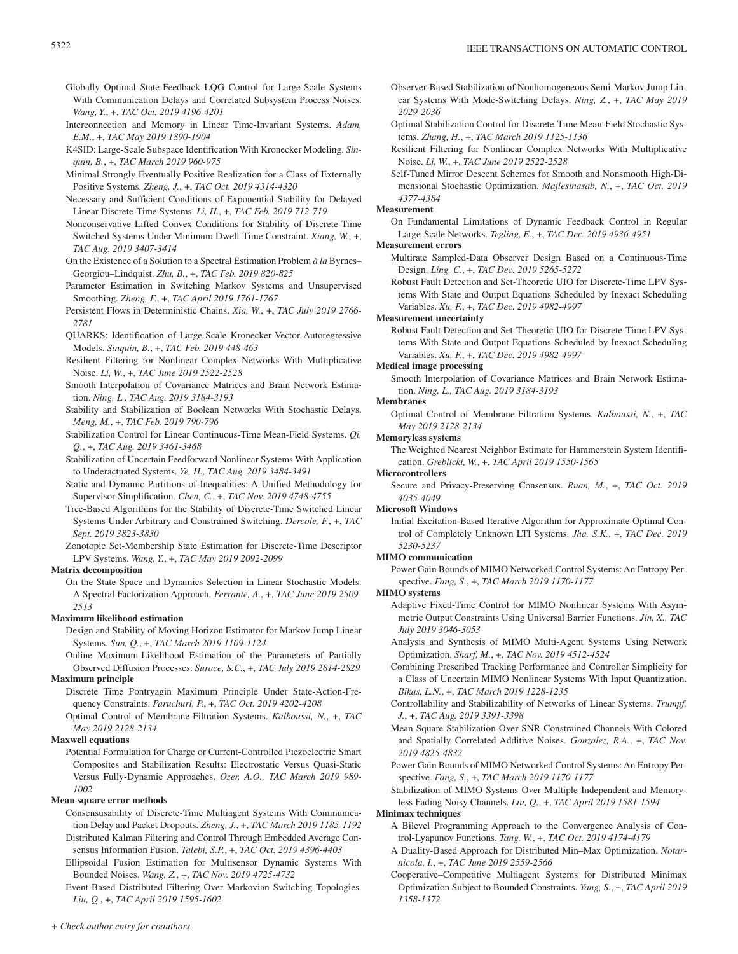- Globally Optimal State-Feedback LQG Control for Large-Scale Systems With Communication Delays and Correlated Subsystem Process Noises. *Wang, Y.*, +, *TAC Oct. 2019 4196-4201*
- Interconnection and Memory in Linear Time-Invariant Systems. *Adam, E.M.*, +, *TAC May 2019 1890-1904*
- K4SID: Large-Scale Subspace Identification With Kronecker Modeling. *Sinquin, B.*, +, *TAC March 2019 960-975*
- Minimal Strongly Eventually Positive Realization for a Class of Externally Positive Systems. *Zheng, J.*, +, *TAC Oct. 2019 4314-4320*
- Necessary and Sufficient Conditions of Exponential Stability for Delayed Linear Discrete-Time Systems. *Li, H.*, +, *TAC Feb. 2019 712-719*
- Nonconservative Lifted Convex Conditions for Stability of Discrete-Time Switched Systems Under Minimum Dwell-Time Constraint. *Xiang, W.*, +, *TAC Aug. 2019 3407-3414*
- On the Existence of a Solution to a Spectral Estimation Problem *à la* Byrnes– Georgiou–Lindquist. *Zhu, B.*, +, *TAC Feb. 2019 820-825*
- Parameter Estimation in Switching Markov Systems and Unsupervised Smoothing. *Zheng, F.*, +, *TAC April 2019 1761-1767*
- Persistent Flows in Deterministic Chains. *Xia, W.*, +, *TAC July 2019 2766- 2781*
- QUARKS: Identification of Large-Scale Kronecker Vector-Autoregressive Models. *Sinquin, B.*, +, *TAC Feb. 2019 448-463*
- Resilient Filtering for Nonlinear Complex Networks With Multiplicative Noise. *Li, W.*, +, *TAC June 2019 2522-2528*
- Smooth Interpolation of Covariance Matrices and Brain Network Estimation. *Ning, L., TAC Aug. 2019 3184-3193*
- Stability and Stabilization of Boolean Networks With Stochastic Delays. *Meng, M.*, +, *TAC Feb. 2019 790-796*
- Stabilization Control for Linear Continuous-Time Mean-Field Systems. *Qi, Q.*, +, *TAC Aug. 2019 3461-3468*
- Stabilization of Uncertain Feedforward Nonlinear Systems With Application to Underactuated Systems. *Ye, H., TAC Aug. 2019 3484-3491*
- Static and Dynamic Partitions of Inequalities: A Unified Methodology for Supervisor Simplification. *Chen, C.*, +, *TAC Nov. 2019 4748-4755*
- Tree-Based Algorithms for the Stability of Discrete-Time Switched Linear Systems Under Arbitrary and Constrained Switching. *Dercole, F.*, +, *TAC Sept. 2019 3823-3830*
- Zonotopic Set-Membership State Estimation for Discrete-Time Descriptor LPV Systems. *Wang, Y.*, +, *TAC May 2019 2092-2099*

# **Matrix decomposition**

On the State Space and Dynamics Selection in Linear Stochastic Models: A Spectral Factorization Approach. *Ferrante, A.*, +, *TAC June 2019 2509- 2513*

# **Maximum likelihood estimation**

- Design and Stability of Moving Horizon Estimator for Markov Jump Linear Systems. *Sun, Q.*, +, *TAC March 2019 1109-1124*
- Online Maximum-Likelihood Estimation of the Parameters of Partially Observed Diffusion Processes. *Surace, S.C.*, +, *TAC July 2019 2814-2829*

# **Maximum principle**

- Discrete Time Pontryagin Maximum Principle Under State-Action-Frequency Constraints. *Paruchuri, P.*, +, *TAC Oct. 2019 4202-4208*
- Optimal Control of Membrane-Filtration Systems. *Kalboussi, N.*, +, *TAC May 2019 2128-2134*

# **Maxwell equations**

Potential Formulation for Charge or Current-Controlled Piezoelectric Smart Composites and Stabilization Results: Electrostatic Versus Quasi-Static Versus Fully-Dynamic Approaches. *Ozer, A.O., TAC March 2019 989- 1002*

# **Mean square error methods**

- Consensusability of Discrete-Time Multiagent Systems With Communication Delay and Packet Dropouts. *Zheng, J.*, +, *TAC March 2019 1185-1192* Distributed Kalman Filtering and Control Through Embedded Average Con-
- sensus Information Fusion. *Talebi, S.P.*, +, *TAC Oct. 2019 4396-4403* Ellipsoidal Fusion Estimation for Multisensor Dynamic Systems With
- Bounded Noises. *Wang, Z.*, +, *TAC Nov. 2019 4725-4732*
- Event-Based Distributed Filtering Over Markovian Switching Topologies. *Liu, Q.*, +, *TAC April 2019 1595-1602*
- Observer-Based Stabilization of Nonhomogeneous Semi-Markov Jump Linear Systems With Mode-Switching Delays. *Ning, Z.*, +, *TAC May 2019 2029-2036*
- Optimal Stabilization Control for Discrete-Time Mean-Field Stochastic Systems. *Zhang, H.*, +, *TAC March 2019 1125-1136*
- Resilient Filtering for Nonlinear Complex Networks With Multiplicative Noise. *Li, W.*, +, *TAC June 2019 2522-2528*
- Self-Tuned Mirror Descent Schemes for Smooth and Nonsmooth High-Dimensional Stochastic Optimization. *Majlesinasab, N.*, +, *TAC Oct. 2019 4377-4384*

# **Measurement**

On Fundamental Limitations of Dynamic Feedback Control in Regular Large-Scale Networks. *Tegling, E.*, +, *TAC Dec. 2019 4936-4951*

# **Measurement errors**

- Multirate Sampled-Data Observer Design Based on a Continuous-Time Design. *Ling, C.*, +, *TAC Dec. 2019 5265-5272*
- Robust Fault Detection and Set-Theoretic UIO for Discrete-Time LPV Systems With State and Output Equations Scheduled by Inexact Scheduling Variables. *Xu, F.*, +, *TAC Dec. 2019 4982-4997*

# **Measurement uncertainty**

Robust Fault Detection and Set-Theoretic UIO for Discrete-Time LPV Systems With State and Output Equations Scheduled by Inexact Scheduling Variables. *Xu, F.*, +, *TAC Dec. 2019 4982-4997*

# **Medical image processing**

Smooth Interpolation of Covariance Matrices and Brain Network Estimation. *Ning, L., TAC Aug. 2019 3184-3193*

# **Membranes**

Optimal Control of Membrane-Filtration Systems. *Kalboussi, N.*, +, *TAC May 2019 2128-2134*

# **Memoryless systems**

The Weighted Nearest Neighbor Estimate for Hammerstein System Identification. *Greblicki, W.*, +, *TAC April 2019 1550-1565*

# **Microcontrollers**

Secure and Privacy-Preserving Consensus. *Ruan, M.*, +, *TAC Oct. 2019 4035-4049*

# **Microsoft Windows**

Initial Excitation-Based Iterative Algorithm for Approximate Optimal Control of Completely Unknown LTI Systems. *Jha, S.K.*, +, *TAC Dec. 2019 5230-5237*

# **MIMO communication**

Power Gain Bounds of MIMO Networked Control Systems: An Entropy Perspective. *Fang, S.*, +, *TAC March 2019 1170-1177*

- **MIMO systems**
	- Adaptive Fixed-Time Control for MIMO Nonlinear Systems With Asymmetric Output Constraints Using Universal Barrier Functions. *Jin, X., TAC July 2019 3046-3053*
	- Analysis and Synthesis of MIMO Multi-Agent Systems Using Network Optimization. *Sharf, M.*, +, *TAC Nov. 2019 4512-4524*
	- Combining Prescribed Tracking Performance and Controller Simplicity for a Class of Uncertain MIMO Nonlinear Systems With Input Quantization. *Bikas, L.N.*, +, *TAC March 2019 1228-1235*
	- Controllability and Stabilizability of Networks of Linear Systems. *Trumpf, J.*, +, *TAC Aug. 2019 3391-3398*
	- Mean Square Stabilization Over SNR-Constrained Channels With Colored and Spatially Correlated Additive Noises. *Gonzalez, R.A.*, +, *TAC Nov. 2019 4825-4832*
	- Power Gain Bounds of MIMO Networked Control Systems: An Entropy Perspective. *Fang, S.*, +, *TAC March 2019 1170-1177*
	- Stabilization of MIMO Systems Over Multiple Independent and Memoryless Fading Noisy Channels. *Liu, Q.*, +, *TAC April 2019 1581-1594*

# **Minimax techniques**

- A Bilevel Programming Approach to the Convergence Analysis of Control-Lyapunov Functions. *Tang, W.*, +, *TAC Oct. 2019 4174-4179*
- A Duality-Based Approach for Distributed Min–Max Optimization. *Notarnicola, I.*, +, *TAC June 2019 2559-2566*
- Cooperative–Competitive Multiagent Systems for Distributed Minimax Optimization Subject to Bounded Constraints. *Yang, S.*, +, *TAC April 2019 1358-1372*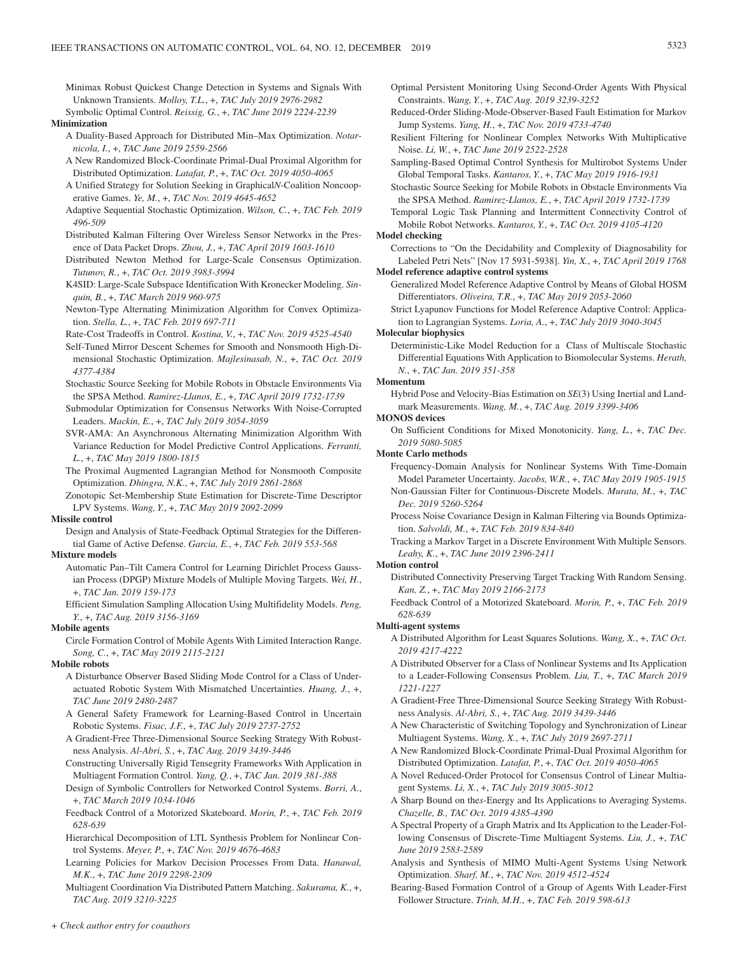Minimax Robust Quickest Change Detection in Systems and Signals With Unknown Transients. *Molloy, T.L.*, +, *TAC July 2019 2976-2982*

Symbolic Optimal Control. *Reissig, G.*, +, *TAC June 2019 2224-2239*

**Minimization**

- A Duality-Based Approach for Distributed Min–Max Optimization. *Notarnicola, I.*, +, *TAC June 2019 2559-2566*
- A New Randomized Block-Coordinate Primal-Dual Proximal Algorithm for Distributed Optimization. *Latafat, P.*, +, *TAC Oct. 2019 4050-4065*
- A Unified Strategy for Solution Seeking in Graphical*N*-Coalition Noncooperative Games. *Ye, M.*, +, *TAC Nov. 2019 4645-4652*
- Adaptive Sequential Stochastic Optimization. *Wilson, C.*, +, *TAC Feb. 2019 496-509*
- Distributed Kalman Filtering Over Wireless Sensor Networks in the Presence of Data Packet Drops. *Zhou, J.*, +, *TAC April 2019 1603-1610*
- Distributed Newton Method for Large-Scale Consensus Optimization. *Tutunov, R.*, +, *TAC Oct. 2019 3983-3994*
- K4SID: Large-Scale Subspace Identification With Kronecker Modeling. *Sinquin, B.*, +, *TAC March 2019 960-975*
- Newton-Type Alternating Minimization Algorithm for Convex Optimization. *Stella, L.*, +, *TAC Feb. 2019 697-711*
- Rate-Cost Tradeoffs in Control. *Kostina, V.*, +, *TAC Nov. 2019 4525-4540*
- Self-Tuned Mirror Descent Schemes for Smooth and Nonsmooth High-Dimensional Stochastic Optimization. *Majlesinasab, N.*, +, *TAC Oct. 2019 4377-4384*
- Stochastic Source Seeking for Mobile Robots in Obstacle Environments Via the SPSA Method. *Ramirez-Llanos, E.*, +, *TAC April 2019 1732-1739*
- Submodular Optimization for Consensus Networks With Noise-Corrupted Leaders. *Mackin, E.*, +, *TAC July 2019 3054-3059*
- SVR-AMA: An Asynchronous Alternating Minimization Algorithm With Variance Reduction for Model Predictive Control Applications. *Ferranti, L.*, +, *TAC May 2019 1800-1815*
- The Proximal Augmented Lagrangian Method for Nonsmooth Composite Optimization. *Dhingra, N.K.*, +, *TAC July 2019 2861-2868*
- Zonotopic Set-Membership State Estimation for Discrete-Time Descriptor LPV Systems. *Wang, Y.*, +, *TAC May 2019 2092-2099*

# **Missile control**

Design and Analysis of State-Feedback Optimal Strategies for the Differential Game of Active Defense. *Garcia, E.*, +, *TAC Feb. 2019 553-568*

# **Mixture models**

- Automatic Pan–Tilt Camera Control for Learning Dirichlet Process Gaussian Process (DPGP) Mixture Models of Multiple Moving Targets. *Wei, H.*, +, *TAC Jan. 2019 159-173*
- Efficient Simulation Sampling Allocation Using Multifidelity Models. *Peng, Y.*, +, *TAC Aug. 2019 3156-3169*

#### **Mobile agents**

Circle Formation Control of Mobile Agents With Limited Interaction Range. *Song, C.*, +, *TAC May 2019 2115-2121*

# **Mobile robots**

- A Disturbance Observer Based Sliding Mode Control for a Class of Underactuated Robotic System With Mismatched Uncertainties. *Huang, J.*, +, *TAC June 2019 2480-2487*
- A General Safety Framework for Learning-Based Control in Uncertain Robotic Systems. *Fisac, J.F.*, +, *TAC July 2019 2737-2752*
- A Gradient-Free Three-Dimensional Source Seeking Strategy With Robustness Analysis. *Al-Abri, S.*, +, *TAC Aug. 2019 3439-3446*
- Constructing Universally Rigid Tensegrity Frameworks With Application in Multiagent Formation Control. *Yang, Q.*, +, *TAC Jan. 2019 381-388*
- Design of Symbolic Controllers for Networked Control Systems. *Borri, A.*, +, *TAC March 2019 1034-1046*
- Feedback Control of a Motorized Skateboard. *Morin, P.*, +, *TAC Feb. 2019 628-639*
- Hierarchical Decomposition of LTL Synthesis Problem for Nonlinear Control Systems. *Meyer, P.*, +, *TAC Nov. 2019 4676-4683*
- Learning Policies for Markov Decision Processes From Data. *Hanawal, M.K.*, +, *TAC June 2019 2298-2309*

Multiagent Coordination Via Distributed Pattern Matching. *Sakurama, K.*, +, *TAC Aug. 2019 3210-3225*

- Optimal Persistent Monitoring Using Second-Order Agents With Physical Constraints. *Wang, Y.*, +, *TAC Aug. 2019 3239-3252*
- Reduced-Order Sliding-Mode-Observer-Based Fault Estimation for Markov Jump Systems. *Yang, H.*, +, *TAC Nov. 2019 4733-4740*
- Resilient Filtering for Nonlinear Complex Networks With Multiplicative Noise. *Li, W.*, +, *TAC June 2019 2522-2528*
- Sampling-Based Optimal Control Synthesis for Multirobot Systems Under Global Temporal Tasks. *Kantaros, Y.*, +, *TAC May 2019 1916-1931*
- Stochastic Source Seeking for Mobile Robots in Obstacle Environments Via the SPSA Method. *Ramirez-Llanos, E.*, +, *TAC April 2019 1732-1739*

Temporal Logic Task Planning and Intermittent Connectivity Control of Mobile Robot Networks. *Kantaros, Y.*, +, *TAC Oct. 2019 4105-4120*

# **Model checking**

Corrections to "On the Decidability and Complexity of Diagnosability for Labeled Petri Nets" [Nov 17 5931-5938]. *Yin, X.*, +, *TAC April 2019 1768* **Model reference adaptive control systems**

- Generalized Model Reference Adaptive Control by Means of Global HOSM Differentiators. *Oliveira, T.R.*, +, *TAC May 2019 2053-2060*
- Strict Lyapunov Functions for Model Reference Adaptive Control: Application to Lagrangian Systems. *Loria, A.*, +, *TAC July 2019 3040-3045*

### **Molecular biophysics**

Deterministic-Like Model Reduction for a Class of Multiscale Stochastic Differential Equations With Application to Biomolecular Systems. *Herath, N.*, +, *TAC Jan. 2019 351-358*

# **Momentum**

Hybrid Pose and Velocity-Bias Estimation on *SE*(3) Using Inertial and Landmark Measurements. *Wang, M.*, +, *TAC Aug. 2019 3399-3406*

#### **MONOS devices**

On Sufficient Conditions for Mixed Monotonicity. *Yang, L.*, +, *TAC Dec. 2019 5080-5085*

#### **Monte Carlo methods**

Frequency-Domain Analysis for Nonlinear Systems With Time-Domain Model Parameter Uncertainty. *Jacobs, W.R.*, +, *TAC May 2019 1905-1915* Non-Gaussian Filter for Continuous-Discrete Models. *Murata, M.*, +, *TAC Dec. 2019 5260-5264*

- Process Noise Covariance Design in Kalman Filtering via Bounds Optimization. *Salvoldi, M.*, +, *TAC Feb. 2019 834-840*
- Tracking a Markov Target in a Discrete Environment With Multiple Sensors. *Leahy, K.*, +, *TAC June 2019 2396-2411*

### **Motion control**

- Distributed Connectivity Preserving Target Tracking With Random Sensing. *Kan, Z.*, +, *TAC May 2019 2166-2173*
- Feedback Control of a Motorized Skateboard. *Morin, P.*, +, *TAC Feb. 2019 628-639*

#### **Multi-agent systems**

- A Distributed Algorithm for Least Squares Solutions. *Wang, X.*, +, *TAC Oct. 2019 4217-4222*
- A Distributed Observer for a Class of Nonlinear Systems and Its Application to a Leader-Following Consensus Problem. *Liu, T.*, +, *TAC March 2019 1221-1227*
- A Gradient-Free Three-Dimensional Source Seeking Strategy With Robustness Analysis. *Al-Abri, S.*, +, *TAC Aug. 2019 3439-3446*
- A New Characteristic of Switching Topology and Synchronization of Linear Multiagent Systems. *Wang, X.*, +, *TAC July 2019 2697-2711*
- A New Randomized Block-Coordinate Primal-Dual Proximal Algorithm for Distributed Optimization. *Latafat, P.*, +, *TAC Oct. 2019 4050-4065*
- A Novel Reduced-Order Protocol for Consensus Control of Linear Multiagent Systems. *Li, X.*, +, *TAC July 2019 3005-3012*
- A Sharp Bound on the*s*-Energy and Its Applications to Averaging Systems. *Chazelle, B., TAC Oct. 2019 4385-4390*
- A Spectral Property of a Graph Matrix and Its Application to the Leader-Following Consensus of Discrete-Time Multiagent Systems. *Liu, J.*, +, *TAC June 2019 2583-2589*
- Analysis and Synthesis of MIMO Multi-Agent Systems Using Network Optimization. *Sharf, M.*, +, *TAC Nov. 2019 4512-4524*
- Bearing-Based Formation Control of a Group of Agents With Leader-First Follower Structure. *Trinh, M.H.*, +, *TAC Feb. 2019 598-613*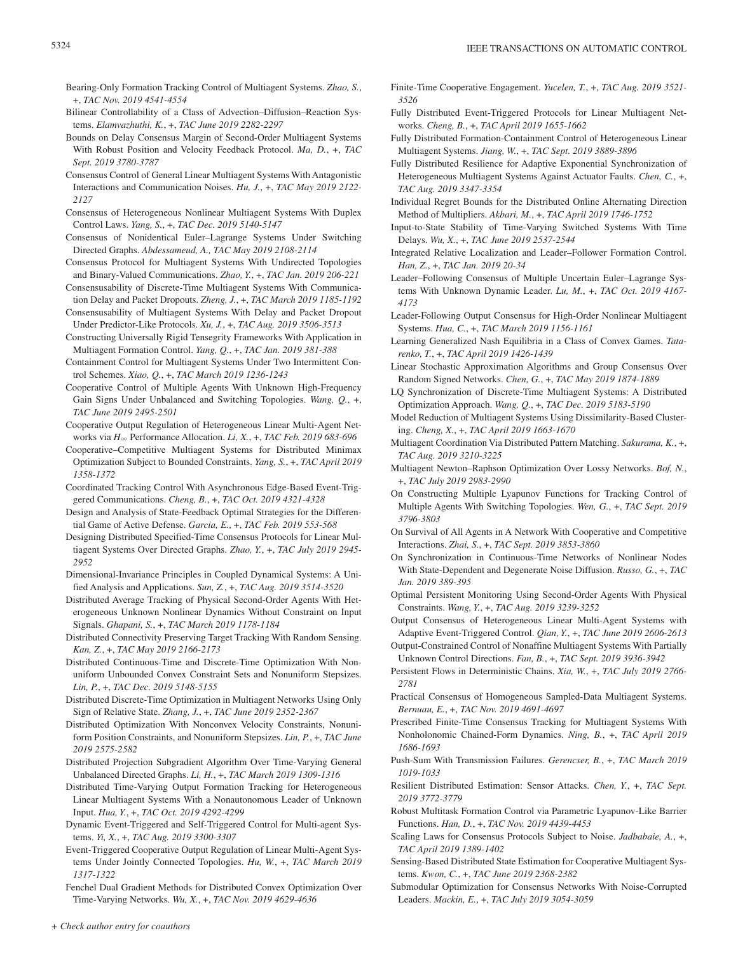- Bearing-Only Formation Tracking Control of Multiagent Systems. *Zhao, S.*, +, *TAC Nov. 2019 4541-4554*
- Bilinear Controllability of a Class of Advection–Diffusion–Reaction Systems. *Elamvazhuthi, K.*, +, *TAC June 2019 2282-2297*
- Bounds on Delay Consensus Margin of Second-Order Multiagent Systems With Robust Position and Velocity Feedback Protocol. *Ma, D.*, +, *TAC Sept. 2019 3780-3787*
- Consensus Control of General Linear Multiagent Systems With Antagonistic Interactions and Communication Noises. *Hu, J.*, +, *TAC May 2019 2122- 2127*
- Consensus of Heterogeneous Nonlinear Multiagent Systems With Duplex Control Laws. *Yang, S.*, +, *TAC Dec. 2019 5140-5147*
- Consensus of Nonidentical Euler–Lagrange Systems Under Switching Directed Graphs. *Abdessameud, A., TAC May 2019 2108-2114*
- Consensus Protocol for Multiagent Systems With Undirected Topologies and Binary-Valued Communications. *Zhao, Y.*, +, *TAC Jan. 2019 206-221*
- Consensusability of Discrete-Time Multiagent Systems With Communication Delay and Packet Dropouts. *Zheng, J.*, +, *TAC March 2019 1185-1192*
- Consensusability of Multiagent Systems With Delay and Packet Dropout Under Predictor-Like Protocols. *Xu, J.*, +, *TAC Aug. 2019 3506-3513*
- Constructing Universally Rigid Tensegrity Frameworks With Application in Multiagent Formation Control. *Yang, Q.*, +, *TAC Jan. 2019 381-388*
- Containment Control for Multiagent Systems Under Two Intermittent Control Schemes. *Xiao, Q.*, +, *TAC March 2019 1236-1243*
- Cooperative Control of Multiple Agents With Unknown High-Frequency Gain Signs Under Unbalanced and Switching Topologies. *Wang, Q.*, +, *TAC June 2019 2495-2501*
- Cooperative Output Regulation of Heterogeneous Linear Multi-Agent Networks via *H*3 Performance Allocation. *Li, X.*, +, *TAC Feb. 2019 683-696*
- Cooperative–Competitive Multiagent Systems for Distributed Minimax Optimization Subject to Bounded Constraints. *Yang, S.*, +, *TAC April 2019 1358-1372*
- Coordinated Tracking Control With Asynchronous Edge-Based Event-Triggered Communications. *Cheng, B.*, +, *TAC Oct. 2019 4321-4328*
- Design and Analysis of State-Feedback Optimal Strategies for the Differential Game of Active Defense. *Garcia, E.*, +, *TAC Feb. 2019 553-568*
- Designing Distributed Specified-Time Consensus Protocols for Linear Multiagent Systems Over Directed Graphs. *Zhao, Y.*, +, *TAC July 2019 2945- 2952*
- Dimensional-Invariance Principles in Coupled Dynamical Systems: A Unified Analysis and Applications. *Sun, Z.*, +, *TAC Aug. 2019 3514-3520*
- Distributed Average Tracking of Physical Second-Order Agents With Heterogeneous Unknown Nonlinear Dynamics Without Constraint on Input Signals. *Ghapani, S.*, +, *TAC March 2019 1178-1184*
- Distributed Connectivity Preserving Target Tracking With Random Sensing. *Kan, Z.*, +, *TAC May 2019 2166-2173*
- Distributed Continuous-Time and Discrete-Time Optimization With Nonuniform Unbounded Convex Constraint Sets and Nonuniform Stepsizes. *Lin, P.*, +, *TAC Dec. 2019 5148-5155*
- Distributed Discrete-Time Optimization in Multiagent Networks Using Only Sign of Relative State. *Zhang, J.*, +, *TAC June 2019 2352-2367*
- Distributed Optimization With Nonconvex Velocity Constraints, Nonuniform Position Constraints, and Nonuniform Stepsizes. *Lin, P.*, +, *TAC June 2019 2575-2582*
- Distributed Projection Subgradient Algorithm Over Time-Varying General Unbalanced Directed Graphs. *Li, H.*, +, *TAC March 2019 1309-1316*
- Distributed Time-Varying Output Formation Tracking for Heterogeneous Linear Multiagent Systems With a Nonautonomous Leader of Unknown Input. *Hua, Y.*, +, *TAC Oct. 2019 4292-4299*
- Dynamic Event-Triggered and Self-Triggered Control for Multi-agent Systems. *Yi, X.*, +, *TAC Aug. 2019 3300-3307*
- Event-Triggered Cooperative Output Regulation of Linear Multi-Agent Systems Under Jointly Connected Topologies. *Hu, W.*, +, *TAC March 2019 1317-1322*
- Fenchel Dual Gradient Methods for Distributed Convex Optimization Over Time-Varying Networks. *Wu, X.*, +, *TAC Nov. 2019 4629-4636*
- Finite-Time Cooperative Engagement. *Yucelen, T.*, +, *TAC Aug. 2019 3521- 3526*
- Fully Distributed Event-Triggered Protocols for Linear Multiagent Networks. *Cheng, B.*, +, *TAC April 2019 1655-1662*
- Fully Distributed Formation-Containment Control of Heterogeneous Linear Multiagent Systems. *Jiang, W.*, +, *TAC Sept. 2019 3889-3896*
- Fully Distributed Resilience for Adaptive Exponential Synchronization of Heterogeneous Multiagent Systems Against Actuator Faults. *Chen, C.*, +, *TAC Aug. 2019 3347-3354*
- Individual Regret Bounds for the Distributed Online Alternating Direction Method of Multipliers. *Akbari, M.*, +, *TAC April 2019 1746-1752*
- Input-to-State Stability of Time-Varying Switched Systems With Time Delays. *Wu, X.*, +, *TAC June 2019 2537-2544*
- Integrated Relative Localization and Leader–Follower Formation Control. *Han, Z.*, +, *TAC Jan. 2019 20-34*
- Leader–Following Consensus of Multiple Uncertain Euler–Lagrange Systems With Unknown Dynamic Leader. *Lu, M.*, +, *TAC Oct. 2019 4167- 4173*
- Leader-Following Output Consensus for High-Order Nonlinear Multiagent Systems. *Hua, C.*, +, *TAC March 2019 1156-1161*
- Learning Generalized Nash Equilibria in a Class of Convex Games. *Tatarenko, T.*, +, *TAC April 2019 1426-1439*
- Linear Stochastic Approximation Algorithms and Group Consensus Over Random Signed Networks. *Chen, G.*, +, *TAC May 2019 1874-1889*
- LQ Synchronization of Discrete-Time Multiagent Systems: A Distributed Optimization Approach. *Wang, Q.*, +, *TAC Dec. 2019 5183-5190*
- Model Reduction of Multiagent Systems Using Dissimilarity-Based Clustering. *Cheng, X.*, +, *TAC April 2019 1663-1670*
- Multiagent Coordination Via Distributed Pattern Matching. *Sakurama, K.*, +, *TAC Aug. 2019 3210-3225*
- Multiagent Newton–Raphson Optimization Over Lossy Networks. *Bof, N.*, +, *TAC July 2019 2983-2990*
- On Constructing Multiple Lyapunov Functions for Tracking Control of Multiple Agents With Switching Topologies. *Wen, G.*, +, *TAC Sept. 2019 3796-3803*
- On Survival of All Agents in A Network With Cooperative and Competitive Interactions. *Zhai, S.*, +, *TAC Sept. 2019 3853-3860*
- On Synchronization in Continuous-Time Networks of Nonlinear Nodes With State-Dependent and Degenerate Noise Diffusion. *Russo, G.*, +, *TAC Jan. 2019 389-395*
- Optimal Persistent Monitoring Using Second-Order Agents With Physical Constraints. *Wang, Y.*, +, *TAC Aug. 2019 3239-3252*

Output Consensus of Heterogeneous Linear Multi-Agent Systems with Adaptive Event-Triggered Control. *Qian, Y.*, +, *TAC June 2019 2606-2613*

Output-Constrained Control of Nonaffine Multiagent Systems With Partially Unknown Control Directions. *Fan, B.*, +, *TAC Sept. 2019 3936-3942*

- Persistent Flows in Deterministic Chains. *Xia, W.*, +, *TAC July 2019 2766- 2781*
- Practical Consensus of Homogeneous Sampled-Data Multiagent Systems. *Bernuau, E.*, +, *TAC Nov. 2019 4691-4697*
- Prescribed Finite-Time Consensus Tracking for Multiagent Systems With Nonholonomic Chained-Form Dynamics. *Ning, B.*, +, *TAC April 2019 1686-1693*
- Push-Sum With Transmission Failures. *Gerencser, B.*, +, *TAC March 2019 1019-1033*
- Resilient Distributed Estimation: Sensor Attacks. *Chen, Y.*, +, *TAC Sept. 2019 3772-3779*
- Robust Multitask Formation Control via Parametric Lyapunov-Like Barrier Functions. *Han, D.*, +, *TAC Nov. 2019 4439-4453*
- Scaling Laws for Consensus Protocols Subject to Noise. *Jadbabaie, A.*, +, *TAC April 2019 1389-1402*
- Sensing-Based Distributed State Estimation for Cooperative Multiagent Systems. *Kwon, C.*, +, *TAC June 2019 2368-2382*
- Submodular Optimization for Consensus Networks With Noise-Corrupted Leaders. *Mackin, E.*, +, *TAC July 2019 3054-3059*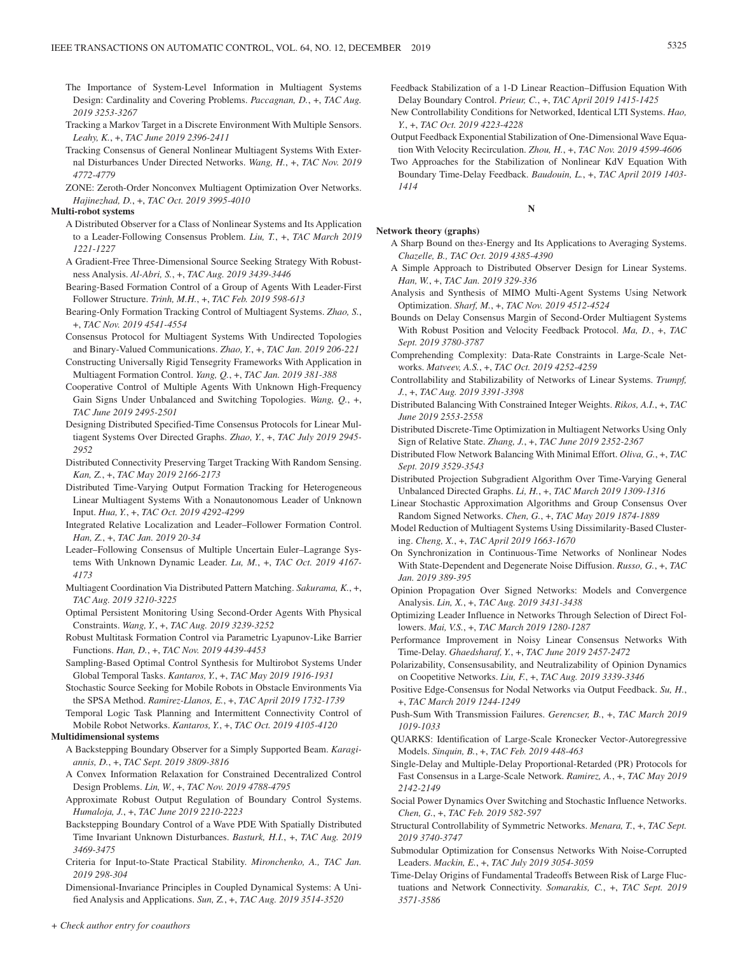- The Importance of System-Level Information in Multiagent Systems Design: Cardinality and Covering Problems. *Paccagnan, D.*, +, *TAC Aug. 2019 3253-3267*
- Tracking a Markov Target in a Discrete Environment With Multiple Sensors. *Leahy, K.*, +, *TAC June 2019 2396-2411*
- Tracking Consensus of General Nonlinear Multiagent Systems With External Disturbances Under Directed Networks. *Wang, H.*, +, *TAC Nov. 2019 4772-4779*
- ZONE: Zeroth-Order Nonconvex Multiagent Optimization Over Networks. *Hajinezhad, D.*, +, *TAC Oct. 2019 3995-4010*

# **Multi-robot systems**

- A Distributed Observer for a Class of Nonlinear Systems and Its Application to a Leader-Following Consensus Problem. *Liu, T.*, +, *TAC March 2019 1221-1227*
- A Gradient-Free Three-Dimensional Source Seeking Strategy With Robustness Analysis. *Al-Abri, S.*, +, *TAC Aug. 2019 3439-3446*
- Bearing-Based Formation Control of a Group of Agents With Leader-First Follower Structure. *Trinh, M.H.*, +, *TAC Feb. 2019 598-613*
- Bearing-Only Formation Tracking Control of Multiagent Systems. *Zhao, S.*, +, *TAC Nov. 2019 4541-4554*
- Consensus Protocol for Multiagent Systems With Undirected Topologies and Binary-Valued Communications. *Zhao, Y.*, +, *TAC Jan. 2019 206-221*
- Constructing Universally Rigid Tensegrity Frameworks With Application in Multiagent Formation Control. *Yang, Q.*, +, *TAC Jan. 2019 381-388*
- Cooperative Control of Multiple Agents With Unknown High-Frequency Gain Signs Under Unbalanced and Switching Topologies. *Wang, Q.*, +, *TAC June 2019 2495-2501*
- Designing Distributed Specified-Time Consensus Protocols for Linear Multiagent Systems Over Directed Graphs. *Zhao, Y.*, +, *TAC July 2019 2945- 2952*
- Distributed Connectivity Preserving Target Tracking With Random Sensing. *Kan, Z.*, +, *TAC May 2019 2166-2173*
- Distributed Time-Varying Output Formation Tracking for Heterogeneous Linear Multiagent Systems With a Nonautonomous Leader of Unknown Input. *Hua, Y.*, +, *TAC Oct. 2019 4292-4299*
- Integrated Relative Localization and Leader–Follower Formation Control. *Han, Z.*, +, *TAC Jan. 2019 20-34*
- Leader–Following Consensus of Multiple Uncertain Euler–Lagrange Systems With Unknown Dynamic Leader. *Lu, M.*, +, *TAC Oct. 2019 4167- 4173*
- Multiagent Coordination Via Distributed Pattern Matching. *Sakurama, K.*, +, *TAC Aug. 2019 3210-3225*
- Optimal Persistent Monitoring Using Second-Order Agents With Physical Constraints. *Wang, Y.*, +, *TAC Aug. 2019 3239-3252*
- Robust Multitask Formation Control via Parametric Lyapunov-Like Barrier Functions. *Han, D.*, +, *TAC Nov. 2019 4439-4453*
- Sampling-Based Optimal Control Synthesis for Multirobot Systems Under Global Temporal Tasks. *Kantaros, Y.*, +, *TAC May 2019 1916-1931*
- Stochastic Source Seeking for Mobile Robots in Obstacle Environments Via the SPSA Method. *Ramirez-Llanos, E.*, +, *TAC April 2019 1732-1739*
- Temporal Logic Task Planning and Intermittent Connectivity Control of Mobile Robot Networks. *Kantaros, Y.*, +, *TAC Oct. 2019 4105-4120*

# **Multidimensional systems**

- A Backstepping Boundary Observer for a Simply Supported Beam. *Karagiannis, D.*, +, *TAC Sept. 2019 3809-3816*
- A Convex Information Relaxation for Constrained Decentralized Control Design Problems. *Lin, W.*, +, *TAC Nov. 2019 4788-4795*
- Approximate Robust Output Regulation of Boundary Control Systems. *Humaloja, J.*, +, *TAC June 2019 2210-2223*
- Backstepping Boundary Control of a Wave PDE With Spatially Distributed Time Invariant Unknown Disturbances. *Basturk, H.I.*, +, *TAC Aug. 2019 3469-3475*
- Criteria for Input-to-State Practical Stability. *Mironchenko, A., TAC Jan. 2019 298-304*

Dimensional-Invariance Principles in Coupled Dynamical Systems: A Unified Analysis and Applications. *Sun, Z.*, +, *TAC Aug. 2019 3514-3520*

- Feedback Stabilization of a 1-D Linear Reaction–Diffusion Equation With Delay Boundary Control. *Prieur, C.*, +, *TAC April 2019 1415-1425*
- New Controllability Conditions for Networked, Identical LTI Systems. *Hao, Y.*, +, *TAC Oct. 2019 4223-4228*
- Output Feedback Exponential Stabilization of One-Dimensional Wave Equation With Velocity Recirculation. *Zhou, H.*, +, *TAC Nov. 2019 4599-4606*
- Two Approaches for the Stabilization of Nonlinear KdV Equation With Boundary Time-Delay Feedback. *Baudouin, L.*, +, *TAC April 2019 1403- 1414*

# **N**

**Network theory (graphs)**

- A Sharp Bound on the*s*-Energy and Its Applications to Averaging Systems. *Chazelle, B., TAC Oct. 2019 4385-4390*
- A Simple Approach to Distributed Observer Design for Linear Systems. *Han, W.*, +, *TAC Jan. 2019 329-336*
- Analysis and Synthesis of MIMO Multi-Agent Systems Using Network Optimization. *Sharf, M.*, +, *TAC Nov. 2019 4512-4524*
- Bounds on Delay Consensus Margin of Second-Order Multiagent Systems With Robust Position and Velocity Feedback Protocol. *Ma, D.*, +, *TAC Sept. 2019 3780-3787*
- Comprehending Complexity: Data-Rate Constraints in Large-Scale Networks. *Matveev, A.S.*, +, *TAC Oct. 2019 4252-4259*
- Controllability and Stabilizability of Networks of Linear Systems. *Trumpf, J.*, +, *TAC Aug. 2019 3391-3398*
- Distributed Balancing With Constrained Integer Weights. *Rikos, A.I.*, +, *TAC June 2019 2553-2558*
- Distributed Discrete-Time Optimization in Multiagent Networks Using Only Sign of Relative State. *Zhang, J.*, +, *TAC June 2019 2352-2367*
- Distributed Flow Network Balancing With Minimal Effort. *Oliva, G.*, +, *TAC Sept. 2019 3529-3543*
- Distributed Projection Subgradient Algorithm Over Time-Varying General Unbalanced Directed Graphs. *Li, H.*, +, *TAC March 2019 1309-1316*
- Linear Stochastic Approximation Algorithms and Group Consensus Over Random Signed Networks. *Chen, G.*, +, *TAC May 2019 1874-1889*
- Model Reduction of Multiagent Systems Using Dissimilarity-Based Clustering. *Cheng, X.*, +, *TAC April 2019 1663-1670*
- On Synchronization in Continuous-Time Networks of Nonlinear Nodes With State-Dependent and Degenerate Noise Diffusion. *Russo, G.*, +, *TAC Jan. 2019 389-395*
- Opinion Propagation Over Signed Networks: Models and Convergence Analysis. *Lin, X.*, +, *TAC Aug. 2019 3431-3438*
- Optimizing Leader Influence in Networks Through Selection of Direct Followers. *Mai, V.S.*, +, *TAC March 2019 1280-1287*
- Performance Improvement in Noisy Linear Consensus Networks With Time-Delay. *Ghaedsharaf, Y.*, +, *TAC June 2019 2457-2472*
- Polarizability, Consensusability, and Neutralizability of Opinion Dynamics on Coopetitive Networks. *Liu, F.*, +, *TAC Aug. 2019 3339-3346*
- Positive Edge-Consensus for Nodal Networks via Output Feedback. *Su, H.*, +, *TAC March 2019 1244-1249*
- Push-Sum With Transmission Failures. *Gerencser, B.*, +, *TAC March 2019 1019-1033*
- QUARKS: Identification of Large-Scale Kronecker Vector-Autoregressive Models. *Sinquin, B.*, +, *TAC Feb. 2019 448-463*
- Single-Delay and Multiple-Delay Proportional-Retarded (PR) Protocols for Fast Consensus in a Large-Scale Network. *Ramirez, A.*, +, *TAC May 2019 2142-2149*
- Social Power Dynamics Over Switching and Stochastic Influence Networks. *Chen, G.*, +, *TAC Feb. 2019 582-597*
- Structural Controllability of Symmetric Networks. *Menara, T.*, +, *TAC Sept. 2019 3740-3747*
- Submodular Optimization for Consensus Networks With Noise-Corrupted Leaders. *Mackin, E.*, +, *TAC July 2019 3054-3059*
- Time-Delay Origins of Fundamental Tradeoffs Between Risk of Large Fluctuations and Network Connectivity. *Somarakis, C.*, +, *TAC Sept. 2019 3571-3586*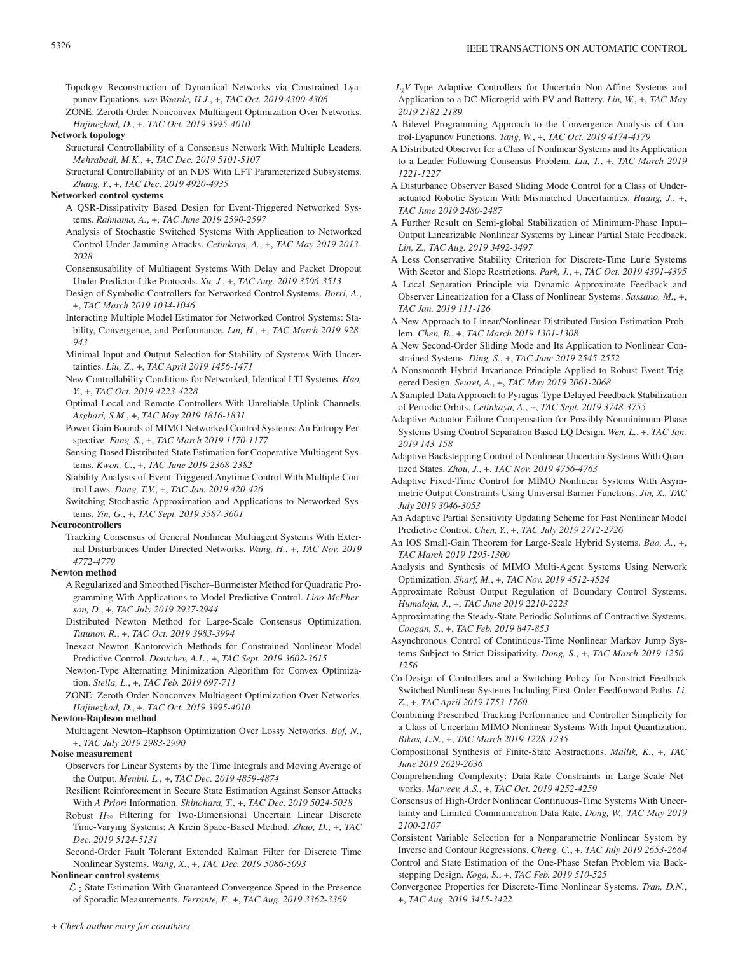Topology Reconstruction of Dynamical Networks via Constrained Lyapunov Equations. *van Waarde, H.J.*, +, *TAC Oct. 2019 4300-4306*

ZONE: Zeroth-Order Nonconvex Multiagent Optimization Over Networks. *Hajinezhad, D.*, +, *TAC Oct. 2019 3995-4010*

**Network topology**

- Structural Controllability of a Consensus Network With Multiple Leaders. *Mehrabadi, M.K.*, +, *TAC Dec. 2019 5101-5107*
- Structural Controllability of an NDS With LFT Parameterized Subsystems. *Zhang, Y.*, +, *TAC Dec. 2019 4920-4935*

#### **Networked control systems**

- A QSR-Dissipativity Based Design for Event-Triggered Networked Systems. *Rahnama, A.*, +, *TAC June 2019 2590-2597*
- Analysis of Stochastic Switched Systems With Application to Networked Control Under Jamming Attacks. *Cetinkaya, A.*, +, *TAC May 2019 2013- 2028*
- Consensusability of Multiagent Systems With Delay and Packet Dropout Under Predictor-Like Protocols. *Xu, J.*, +, *TAC Aug. 2019 3506-3513*
- Design of Symbolic Controllers for Networked Control Systems. *Borri, A.*, +, *TAC March 2019 1034-1046*
- Interacting Multiple Model Estimator for Networked Control Systems: Stability, Convergence, and Performance. *Lin, H.*, +, *TAC March 2019 928- 943*
- Minimal Input and Output Selection for Stability of Systems With Uncertainties. *Liu, Z.*, +, *TAC April 2019 1456-1471*
- New Controllability Conditions for Networked, Identical LTI Systems. *Hao, Y.*, +, *TAC Oct. 2019 4223-4228*
- Optimal Local and Remote Controllers With Unreliable Uplink Channels. *Asghari, S.M.*, +, *TAC May 2019 1816-1831*
- Power Gain Bounds of MIMO Networked Control Systems: An Entropy Perspective. *Fang, S.*, +, *TAC March 2019 1170-1177*
- Sensing-Based Distributed State Estimation for Cooperative Multiagent Systems. *Kwon, C.*, +, *TAC June 2019 2368-2382*
- Stability Analysis of Event-Triggered Anytime Control With Multiple Control Laws. *Dang, T.V.*, +, *TAC Jan. 2019 420-426*
- Switching Stochastic Approximation and Applications to Networked Systems. *Yin, G.*, +, *TAC Sept. 2019 3587-3601*

#### **Neurocontrollers**

Tracking Consensus of General Nonlinear Multiagent Systems With External Disturbances Under Directed Networks. *Wang, H.*, +, *TAC Nov. 2019 4772-4779*

#### **Newton method**

- A Regularized and Smoothed Fischer–Burmeister Method for Quadratic Programming With Applications to Model Predictive Control. *Liao-McPherson, D.*, +, *TAC July 2019 2937-2944*
- Distributed Newton Method for Large-Scale Consensus Optimization. *Tutunov, R.*, +, *TAC Oct. 2019 3983-3994*
- Inexact Newton–Kantorovich Methods for Constrained Nonlinear Model Predictive Control. *Dontchev, A.L.*, +, *TAC Sept. 2019 3602-3615*
- Newton-Type Alternating Minimization Algorithm for Convex Optimization. *Stella, L.*, +, *TAC Feb. 2019 697-711*

ZONE: Zeroth-Order Nonconvex Multiagent Optimization Over Networks. *Hajinezhad, D.*, +, *TAC Oct. 2019 3995-4010*

#### **Newton-Raphson method**

- Multiagent Newton–Raphson Optimization Over Lossy Networks. *Bof, N.*, +, *TAC July 2019 2983-2990*
- **Noise measurement**
	- Observers for Linear Systems by the Time Integrals and Moving Average of the Output. *Menini, L.*, +, *TAC Dec. 2019 4859-4874*
	- Resilient Reinforcement in Secure State Estimation Against Sensor Attacks With *A Priori* Information. *Shinohara, T.*, +, *TAC Dec. 2019 5024-5038*
	- Robust  $H_{\infty}$  Filtering for Two-Dimensional Uncertain Linear Discrete Time-Varying Systems: A Krein Space-Based Method. *Zhao, D.*, +, *TAC Dec. 2019 5124-5131*

Second-Order Fault Tolerant Extended Kalman Filter for Discrete Time Nonlinear Systems. *Wang, X.*, +, *TAC Dec. 2019 5086-5093*

#### **Nonlinear control systems**

 $\mathcal{L}_2$  State Estimation With Guaranteed Convergence Speed in the Presence of Sporadic Measurements. *Ferrante, F.*, +, *TAC Aug. 2019 3362-3369*

- *LgV*-Type Adaptive Controllers for Uncertain Non-Affine Systems and Application to a DC-Microgrid with PV and Battery. *Lin, W.*, +, *TAC May 2019 2182-2189*
- A Bilevel Programming Approach to the Convergence Analysis of Control-Lyapunov Functions. *Tang, W.*, +, *TAC Oct. 2019 4174-4179*
- A Distributed Observer for a Class of Nonlinear Systems and Its Application to a Leader-Following Consensus Problem. *Liu, T.*, +, *TAC March 2019 1221-1227*
- A Disturbance Observer Based Sliding Mode Control for a Class of Underactuated Robotic System With Mismatched Uncertainties. *Huang, J.*, +, *TAC June 2019 2480-2487*
- A Further Result on Semi-global Stabilization of Minimum-Phase Input– Output Linearizable Nonlinear Systems by Linear Partial State Feedback. *Lin, Z., TAC Aug. 2019 3492-3497*
- A Less Conservative Stability Criterion for Discrete-Time Lur'e Systems With Sector and Slope Restrictions. *Park, J.*, +, *TAC Oct. 2019 4391-4395*
- A Local Separation Principle via Dynamic Approximate Feedback and Observer Linearization for a Class of Nonlinear Systems. *Sassano, M.*, +, *TAC Jan. 2019 111-126*
- A New Approach to Linear/Nonlinear Distributed Fusion Estimation Problem. *Chen, B.*, +, *TAC March 2019 1301-1308*
- A New Second-Order Sliding Mode and Its Application to Nonlinear Constrained Systems. *Ding, S.*, +, *TAC June 2019 2545-2552*
- A Nonsmooth Hybrid Invariance Principle Applied to Robust Event-Triggered Design. *Seuret, A.*, +, *TAC May 2019 2061-2068*
- A Sampled-Data Approach to Pyragas-Type Delayed Feedback Stabilization of Periodic Orbits. *Cetinkaya, A.*, +, *TAC Sept. 2019 3748-3755*
- Adaptive Actuator Failure Compensation for Possibly Nonminimum-Phase Systems Using Control Separation Based LQ Design. *Wen, L.*, +, *TAC Jan. 2019 143-158*
- Adaptive Backstepping Control of Nonlinear Uncertain Systems With Quantized States. *Zhou, J.*, +, *TAC Nov. 2019 4756-4763*
- Adaptive Fixed-Time Control for MIMO Nonlinear Systems With Asymmetric Output Constraints Using Universal Barrier Functions. *Jin, X., TAC July 2019 3046-3053*
- An Adaptive Partial Sensitivity Updating Scheme for Fast Nonlinear Model Predictive Control. *Chen, Y.*, +, *TAC July 2019 2712-2726*
- An IOS Small-Gain Theorem for Large-Scale Hybrid Systems. *Bao, A.*, +, *TAC March 2019 1295-1300*
- Analysis and Synthesis of MIMO Multi-Agent Systems Using Network Optimization. *Sharf, M.*, +, *TAC Nov. 2019 4512-4524*
- Approximate Robust Output Regulation of Boundary Control Systems. *Humaloja, J.*, +, *TAC June 2019 2210-2223*
- Approximating the Steady-State Periodic Solutions of Contractive Systems. *Coogan, S.*, +, *TAC Feb. 2019 847-853*
- Asynchronous Control of Continuous-Time Nonlinear Markov Jump Systems Subject to Strict Dissipativity. *Dong, S.*, +, *TAC March 2019 1250- 1256*
- Co-Design of Controllers and a Switching Policy for Nonstrict Feedback Switched Nonlinear Systems Including First-Order Feedforward Paths. *Li, Z.*, +, *TAC April 2019 1753-1760*
- Combining Prescribed Tracking Performance and Controller Simplicity for a Class of Uncertain MIMO Nonlinear Systems With Input Quantization. *Bikas, L.N.*, +, *TAC March 2019 1228-1235*
- Compositional Synthesis of Finite-State Abstractions. *Mallik, K.*, +, *TAC June 2019 2629-2636*
- Comprehending Complexity: Data-Rate Constraints in Large-Scale Networks. *Matveev, A.S.*, +, *TAC Oct. 2019 4252-4259*
- Consensus of High-Order Nonlinear Continuous-Time Systems With Uncertainty and Limited Communication Data Rate. *Dong, W., TAC May 2019 2100-2107*
- Consistent Variable Selection for a Nonparametric Nonlinear System by Inverse and Contour Regressions. *Cheng, C.*, +, *TAC July 2019 2653-2664*
- Control and State Estimation of the One-Phase Stefan Problem via Backstepping Design. *Koga, S.*, +, *TAC Feb. 2019 510-525*
- Convergence Properties for Discrete-Time Nonlinear Systems. *Tran, D.N.*, +, *TAC Aug. 2019 3415-3422*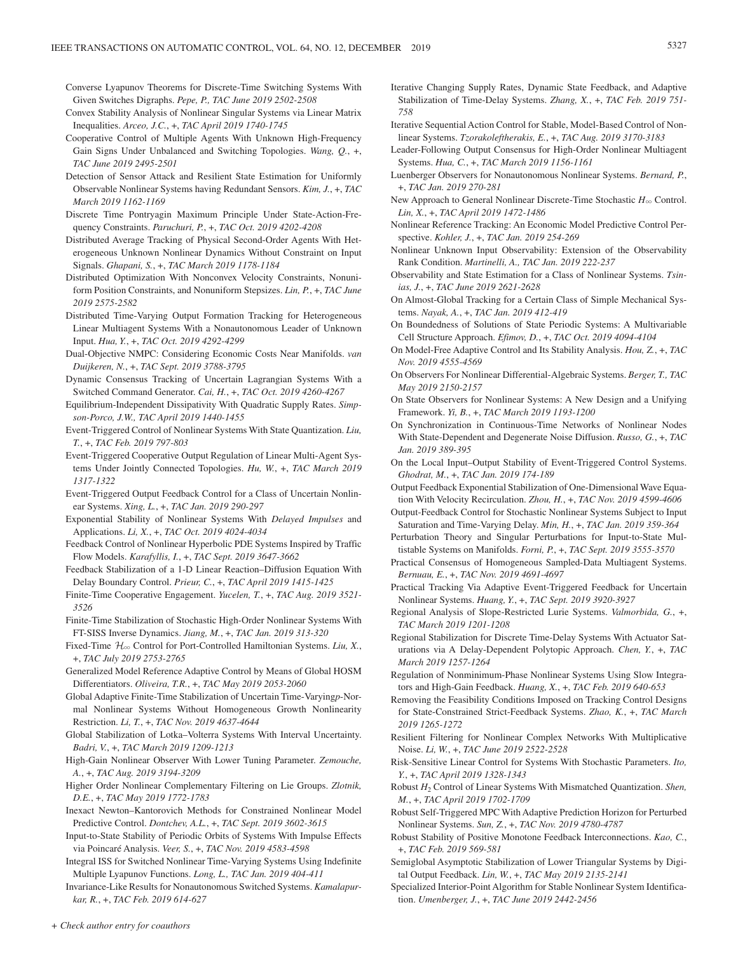- Converse Lyapunov Theorems for Discrete-Time Switching Systems With Given Switches Digraphs. *Pepe, P., TAC June 2019 2502-2508*
- Convex Stability Analysis of Nonlinear Singular Systems via Linear Matrix Inequalities. *Arceo, J.C.*, +, *TAC April 2019 1740-1745*
- Cooperative Control of Multiple Agents With Unknown High-Frequency Gain Signs Under Unbalanced and Switching Topologies. *Wang, Q.*, +, *TAC June 2019 2495-2501*
- Detection of Sensor Attack and Resilient State Estimation for Uniformly Observable Nonlinear Systems having Redundant Sensors. *Kim, J.*, +, *TAC March 2019 1162-1169*
- Discrete Time Pontryagin Maximum Principle Under State-Action-Frequency Constraints. *Paruchuri, P.*, +, *TAC Oct. 2019 4202-4208*
- Distributed Average Tracking of Physical Second-Order Agents With Heterogeneous Unknown Nonlinear Dynamics Without Constraint on Input Signals. *Ghapani, S.*, +, *TAC March 2019 1178-1184*
- Distributed Optimization With Nonconvex Velocity Constraints, Nonuniform Position Constraints, and Nonuniform Stepsizes. *Lin, P.*, +, *TAC June 2019 2575-2582*
- Distributed Time-Varying Output Formation Tracking for Heterogeneous Linear Multiagent Systems With a Nonautonomous Leader of Unknown Input. *Hua, Y.*, +, *TAC Oct. 2019 4292-4299*
- Dual-Objective NMPC: Considering Economic Costs Near Manifolds. *van Duijkeren, N.*, +, *TAC Sept. 2019 3788-3795*
- Dynamic Consensus Tracking of Uncertain Lagrangian Systems With a Switched Command Generator. *Cai, H.*, +, *TAC Oct. 2019 4260-4267*
- Equilibrium-Independent Dissipativity With Quadratic Supply Rates. *Simpson-Porco, J.W., TAC April 2019 1440-1455*
- Event-Triggered Control of Nonlinear Systems With State Quantization. *Liu, T.*, +, *TAC Feb. 2019 797-803*
- Event-Triggered Cooperative Output Regulation of Linear Multi-Agent Systems Under Jointly Connected Topologies. *Hu, W.*, +, *TAC March 2019 1317-1322*
- Event-Triggered Output Feedback Control for a Class of Uncertain Nonlinear Systems. *Xing, L.*, +, *TAC Jan. 2019 290-297*
- Exponential Stability of Nonlinear Systems With *Delayed Impulses* and Applications. *Li, X.*, +, *TAC Oct. 2019 4024-4034*
- Feedback Control of Nonlinear Hyperbolic PDE Systems Inspired by Traffic Flow Models. *Karafyllis, I.*, +, *TAC Sept. 2019 3647-3662*
- Feedback Stabilization of a 1-D Linear Reaction–Diffusion Equation With Delay Boundary Control. *Prieur, C.*, +, *TAC April 2019 1415-1425*
- Finite-Time Cooperative Engagement. *Yucelen, T.*, +, *TAC Aug. 2019 3521- 3526*
- Finite-Time Stabilization of Stochastic High-Order Nonlinear Systems With FT-SISS Inverse Dynamics. *Jiang, M.*, +, *TAC Jan. 2019 313-320*
- Fixed-Time  $\mathcal{H}_{\infty}$  Control for Port-Controlled Hamiltonian Systems. *Liu, X.*, +, *TAC July 2019 2753-2765*
- Generalized Model Reference Adaptive Control by Means of Global HOSM Differentiators. *Oliveira, T.R.*, +, *TAC May 2019 2053-2060*
- Global Adaptive Finite-Time Stabilization of Uncertain Time-Varying*p*-Normal Nonlinear Systems Without Homogeneous Growth Nonlinearity Restriction. *Li, T.*, +, *TAC Nov. 2019 4637-4644*
- Global Stabilization of Lotka–Volterra Systems With Interval Uncertainty. *Badri, V.*, +, *TAC March 2019 1209-1213*
- High-Gain Nonlinear Observer With Lower Tuning Parameter. *Zemouche, A.*, +, *TAC Aug. 2019 3194-3209*
- Higher Order Nonlinear Complementary Filtering on Lie Groups. *Zlotnik, D.E.*, +, *TAC May 2019 1772-1783*
- Inexact Newton–Kantorovich Methods for Constrained Nonlinear Model Predictive Control. *Dontchev, A.L.*, +, *TAC Sept. 2019 3602-3615*
- Input-to-State Stability of Periodic Orbits of Systems With Impulse Effects via Poincaré Analysis. *Veer, S.*, +, *TAC Nov. 2019 4583-4598*
- Integral ISS for Switched Nonlinear Time-Varying Systems Using Indefinite Multiple Lyapunov Functions. *Long, L., TAC Jan. 2019 404-411*
- Invariance-Like Results for Nonautonomous Switched Systems. *Kamalapurkar, R.*, +, *TAC Feb. 2019 614-627*
- Iterative Changing Supply Rates, Dynamic State Feedback, and Adaptive Stabilization of Time-Delay Systems. *Zhang, X.*, +, *TAC Feb. 2019 751- 758*
- Iterative Sequential Action Control for Stable, Model-Based Control of Nonlinear Systems. *Tzorakoleftherakis, E.*, +, *TAC Aug. 2019 3170-3183*
- Leader-Following Output Consensus for High-Order Nonlinear Multiagent Systems. *Hua, C.*, +, *TAC March 2019 1156-1161*
- Luenberger Observers for Nonautonomous Nonlinear Systems. *Bernard, P.*, +, *TAC Jan. 2019 270-281*
- New Approach to General Nonlinear Discrete-Time Stochastic  $H_{\infty}$  Control. *Lin, X.*, +, *TAC April 2019 1472-1486*
- Nonlinear Reference Tracking: An Economic Model Predictive Control Perspective. *Kohler, J.*, +, *TAC Jan. 2019 254-269*
- Nonlinear Unknown Input Observability: Extension of the Observability Rank Condition. *Martinelli, A., TAC Jan. 2019 222-237*
- Observability and State Estimation for a Class of Nonlinear Systems. *Tsinias, J.*, +, *TAC June 2019 2621-2628*
- On Almost-Global Tracking for a Certain Class of Simple Mechanical Systems. *Nayak, A.*, +, *TAC Jan. 2019 412-419*
- On Boundedness of Solutions of State Periodic Systems: A Multivariable Cell Structure Approach. *Efimov, D.*, +, *TAC Oct. 2019 4094-4104*
- On Model-Free Adaptive Control and Its Stability Analysis. *Hou, Z.*, +, *TAC Nov. 2019 4555-4569*
- On Observers For Nonlinear Differential-Algebraic Systems. *Berger, T., TAC May 2019 2150-2157*
- On State Observers for Nonlinear Systems: A New Design and a Unifying Framework. *Yi, B.*, +, *TAC March 2019 1193-1200*
- On Synchronization in Continuous-Time Networks of Nonlinear Nodes With State-Dependent and Degenerate Noise Diffusion. *Russo, G.*, +, *TAC Jan. 2019 389-395*
- On the Local Input–Output Stability of Event-Triggered Control Systems. *Ghodrat, M.*, +, *TAC Jan. 2019 174-189*

Output Feedback Exponential Stabilization of One-Dimensional Wave Equation With Velocity Recirculation. *Zhou, H.*, +, *TAC Nov. 2019 4599-4606*

- Output-Feedback Control for Stochastic Nonlinear Systems Subject to Input Saturation and Time-Varying Delay. *Min, H.*, +, *TAC Jan. 2019 359-364*
- Perturbation Theory and Singular Perturbations for Input-to-State Multistable Systems on Manifolds. *Forni, P.*, +, *TAC Sept. 2019 3555-3570*
- Practical Consensus of Homogeneous Sampled-Data Multiagent Systems. *Bernuau, E.*, +, *TAC Nov. 2019 4691-4697*
- Practical Tracking Via Adaptive Event-Triggered Feedback for Uncertain Nonlinear Systems. *Huang, Y.*, +, *TAC Sept. 2019 3920-3927*
- Regional Analysis of Slope-Restricted Lurie Systems. *Valmorbida, G.*, +, *TAC March 2019 1201-1208*
- Regional Stabilization for Discrete Time-Delay Systems With Actuator Saturations via A Delay-Dependent Polytopic Approach. *Chen, Y.*, +, *TAC March 2019 1257-1264*
- Regulation of Nonminimum-Phase Nonlinear Systems Using Slow Integrators and High-Gain Feedback. *Huang, X.*, +, *TAC Feb. 2019 640-653*
- Removing the Feasibility Conditions Imposed on Tracking Control Designs for State-Constrained Strict-Feedback Systems. *Zhao, K.*, +, *TAC March 2019 1265-1272*
- Resilient Filtering for Nonlinear Complex Networks With Multiplicative Noise. *Li, W.*, +, *TAC June 2019 2522-2528*
- Risk-Sensitive Linear Control for Systems With Stochastic Parameters. *Ito, Y.*, +, *TAC April 2019 1328-1343*
- Robust *H*2 Control of Linear Systems With Mismatched Quantization. *Shen, M.*, +, *TAC April 2019 1702-1709*
- Robust Self-Triggered MPC With Adaptive Prediction Horizon for Perturbed Nonlinear Systems. *Sun, Z.*, +, *TAC Nov. 2019 4780-4787*
- Robust Stability of Positive Monotone Feedback Interconnections. *Kao, C.*, +, *TAC Feb. 2019 569-581*
- Semiglobal Asymptotic Stabilization of Lower Triangular Systems by Digital Output Feedback. *Lin, W.*, +, *TAC May 2019 2135-2141*
- Specialized Interior-Point Algorithm for Stable Nonlinear System Identification. *Umenberger, J.*, +, *TAC June 2019 2442-2456*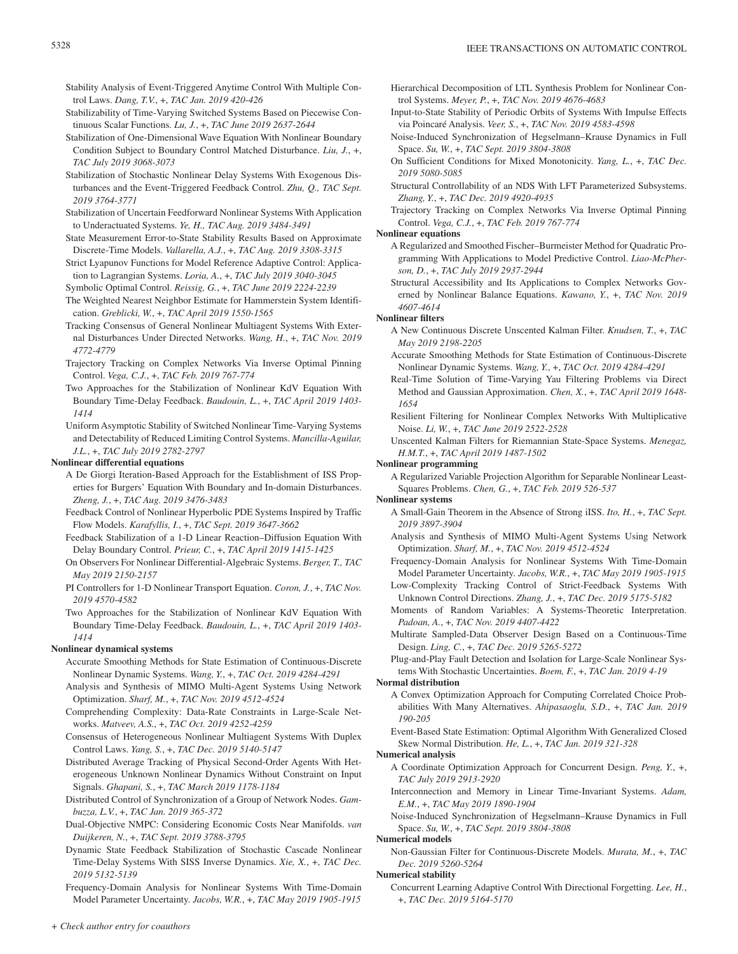- Stability Analysis of Event-Triggered Anytime Control With Multiple Control Laws. *Dang, T.V.*, +, *TAC Jan. 2019 420-426*
- Stabilizability of Time-Varying Switched Systems Based on Piecewise Continuous Scalar Functions. *Lu, J.*, +, *TAC June 2019 2637-2644*
- Stabilization of One-Dimensional Wave Equation With Nonlinear Boundary Condition Subject to Boundary Control Matched Disturbance. *Liu, J.*, +, *TAC July 2019 3068-3073*
- Stabilization of Stochastic Nonlinear Delay Systems With Exogenous Disturbances and the Event-Triggered Feedback Control. *Zhu, Q., TAC Sept. 2019 3764-3771*
- Stabilization of Uncertain Feedforward Nonlinear Systems With Application to Underactuated Systems. *Ye, H., TAC Aug. 2019 3484-3491*
- State Measurement Error-to-State Stability Results Based on Approximate Discrete-Time Models. *Vallarella, A.J.*, +, *TAC Aug. 2019 3308-3315*
- Strict Lyapunov Functions for Model Reference Adaptive Control: Application to Lagrangian Systems. *Loria, A.*, +, *TAC July 2019 3040-3045*

Symbolic Optimal Control. *Reissig, G.*, +, *TAC June 2019 2224-2239*

- The Weighted Nearest Neighbor Estimate for Hammerstein System Identification. *Greblicki, W.*, +, *TAC April 2019 1550-1565*
- Tracking Consensus of General Nonlinear Multiagent Systems With External Disturbances Under Directed Networks. *Wang, H.*, +, *TAC Nov. 2019 4772-4779*
- Trajectory Tracking on Complex Networks Via Inverse Optimal Pinning Control. *Vega, C.J.*, +, *TAC Feb. 2019 767-774*
- Two Approaches for the Stabilization of Nonlinear KdV Equation With Boundary Time-Delay Feedback. *Baudouin, L.*, +, *TAC April 2019 1403- 1414*
- Uniform Asymptotic Stability of Switched Nonlinear Time-Varying Systems and Detectability of Reduced Limiting Control Systems. *Mancilla-Aguilar, J.L.*, +, *TAC July 2019 2782-2797*

# **Nonlinear differential equations**

- A De Giorgi Iteration-Based Approach for the Establishment of ISS Properties for Burgers' Equation With Boundary and In-domain Disturbances. *Zheng, J.*, +, *TAC Aug. 2019 3476-3483*
- Feedback Control of Nonlinear Hyperbolic PDE Systems Inspired by Traffic Flow Models. *Karafyllis, I.*, +, *TAC Sept. 2019 3647-3662*
- Feedback Stabilization of a 1-D Linear Reaction–Diffusion Equation With Delay Boundary Control. *Prieur, C.*, +, *TAC April 2019 1415-1425*
- On Observers For Nonlinear Differential-Algebraic Systems. *Berger, T., TAC May 2019 2150-2157*
- PI Controllers for 1-D Nonlinear Transport Equation. *Coron, J.*, +, *TAC Nov. 2019 4570-4582*

Two Approaches for the Stabilization of Nonlinear KdV Equation With Boundary Time-Delay Feedback. *Baudouin, L.*, +, *TAC April 2019 1403- 1414*

# **Nonlinear dynamical systems**

Accurate Smoothing Methods for State Estimation of Continuous-Discrete Nonlinear Dynamic Systems. *Wang, Y.*, +, *TAC Oct. 2019 4284-4291*

Analysis and Synthesis of MIMO Multi-Agent Systems Using Network Optimization. *Sharf, M.*, +, *TAC Nov. 2019 4512-4524*

- Comprehending Complexity: Data-Rate Constraints in Large-Scale Networks. *Matveev, A.S.*, +, *TAC Oct. 2019 4252-4259*
- Consensus of Heterogeneous Nonlinear Multiagent Systems With Duplex Control Laws. *Yang, S.*, +, *TAC Dec. 2019 5140-5147*
- Distributed Average Tracking of Physical Second-Order Agents With Heterogeneous Unknown Nonlinear Dynamics Without Constraint on Input Signals. *Ghapani, S.*, +, *TAC March 2019 1178-1184*
- Distributed Control of Synchronization of a Group of Network Nodes. *Gambuzza, L.V.*, +, *TAC Jan. 2019 365-372*
- Dual-Objective NMPC: Considering Economic Costs Near Manifolds. *van Duijkeren, N.*, +, *TAC Sept. 2019 3788-3795*
- Dynamic State Feedback Stabilization of Stochastic Cascade Nonlinear Time-Delay Systems With SISS Inverse Dynamics. *Xie, X.*, +, *TAC Dec. 2019 5132-5139*

Frequency-Domain Analysis for Nonlinear Systems With Time-Domain Model Parameter Uncertainty. *Jacobs, W.R.*, +, *TAC May 2019 1905-1915*

- Hierarchical Decomposition of LTL Synthesis Problem for Nonlinear Control Systems. *Meyer, P.*, +, *TAC Nov. 2019 4676-4683*
- Input-to-State Stability of Periodic Orbits of Systems With Impulse Effects via Poincaré Analysis. *Veer, S.*, +, *TAC Nov. 2019 4583-4598*
- Noise-Induced Synchronization of Hegselmann–Krause Dynamics in Full Space. *Su, W.*, +, *TAC Sept. 2019 3804-3808*
- On Sufficient Conditions for Mixed Monotonicity. *Yang, L.*, +, *TAC Dec. 2019 5080-5085*
- Structural Controllability of an NDS With LFT Parameterized Subsystems. *Zhang, Y.*, +, *TAC Dec. 2019 4920-4935*

Trajectory Tracking on Complex Networks Via Inverse Optimal Pinning Control. *Vega, C.J.*, +, *TAC Feb. 2019 767-774*

#### **Nonlinear equations**

- A Regularized and Smoothed Fischer–Burmeister Method for Quadratic Programming With Applications to Model Predictive Control. *Liao-McPherson, D.*, +, *TAC July 2019 2937-2944*
- Structural Accessibility and Its Applications to Complex Networks Governed by Nonlinear Balance Equations. *Kawano, Y.*, +, *TAC Nov. 2019 4607-4614*

# **Nonlinear filters**

- A New Continuous Discrete Unscented Kalman Filter. *Knudsen, T.*, +, *TAC May 2019 2198-2205*
- Accurate Smoothing Methods for State Estimation of Continuous-Discrete Nonlinear Dynamic Systems. *Wang, Y.*, +, *TAC Oct. 2019 4284-4291*
- Real-Time Solution of Time-Varying Yau Filtering Problems via Direct Method and Gaussian Approximation. *Chen, X.*, +, *TAC April 2019 1648- 1654*
- Resilient Filtering for Nonlinear Complex Networks With Multiplicative Noise. *Li, W.*, +, *TAC June 2019 2522-2528*
- Unscented Kalman Filters for Riemannian State-Space Systems. *Menegaz, H.M.T.*, +, *TAC April 2019 1487-1502*

# **Nonlinear programming**

A Regularized Variable Projection Algorithm for Separable Nonlinear Least-Squares Problems. *Chen, G.*, +, *TAC Feb. 2019 526-537*

**Nonlinear systems**

- A Small-Gain Theorem in the Absence of Strong iISS. *Ito, H.*, +, *TAC Sept. 2019 3897-3904*
- Analysis and Synthesis of MIMO Multi-Agent Systems Using Network Optimization. *Sharf, M.*, +, *TAC Nov. 2019 4512-4524*
- Frequency-Domain Analysis for Nonlinear Systems With Time-Domain Model Parameter Uncertainty. *Jacobs, W.R.*, +, *TAC May 2019 1905-1915*
- Low-Complexity Tracking Control of Strict-Feedback Systems With Unknown Control Directions. *Zhang, J.*, +, *TAC Dec. 2019 5175-5182*
- Moments of Random Variables: A Systems-Theoretic Interpretation. *Padoan, A.*, +, *TAC Nov. 2019 4407-4422*
- Multirate Sampled-Data Observer Design Based on a Continuous-Time Design. *Ling, C.*, +, *TAC Dec. 2019 5265-5272*
- Plug-and-Play Fault Detection and Isolation for Large-Scale Nonlinear Systems With Stochastic Uncertainties. *Boem, F.*, +, *TAC Jan. 2019 4-19*

# **Normal distribution**

- A Convex Optimization Approach for Computing Correlated Choice Probabilities With Many Alternatives. *Ahipasaoglu, S.D.*, +, *TAC Jan. 2019 190-205*
- Event-Based State Estimation: Optimal Algorithm With Generalized Closed Skew Normal Distribution. *He, L.*, +, *TAC Jan. 2019 321-328*

#### **Numerical analysis**

- A Coordinate Optimization Approach for Concurrent Design. *Peng, Y.*, +, *TAC July 2019 2913-2920*
- Interconnection and Memory in Linear Time-Invariant Systems. *Adam, E.M.*, +, *TAC May 2019 1890-1904*
- Noise-Induced Synchronization of Hegselmann–Krause Dynamics in Full Space. *Su, W.*, +, *TAC Sept. 2019 3804-3808*

# **Numerical models**

Non-Gaussian Filter for Continuous-Discrete Models. *Murata, M.*, +, *TAC Dec. 2019 5260-5264*

### **Numerical stability**

Concurrent Learning Adaptive Control With Directional Forgetting. *Lee, H.*, +, *TAC Dec. 2019 5164-5170*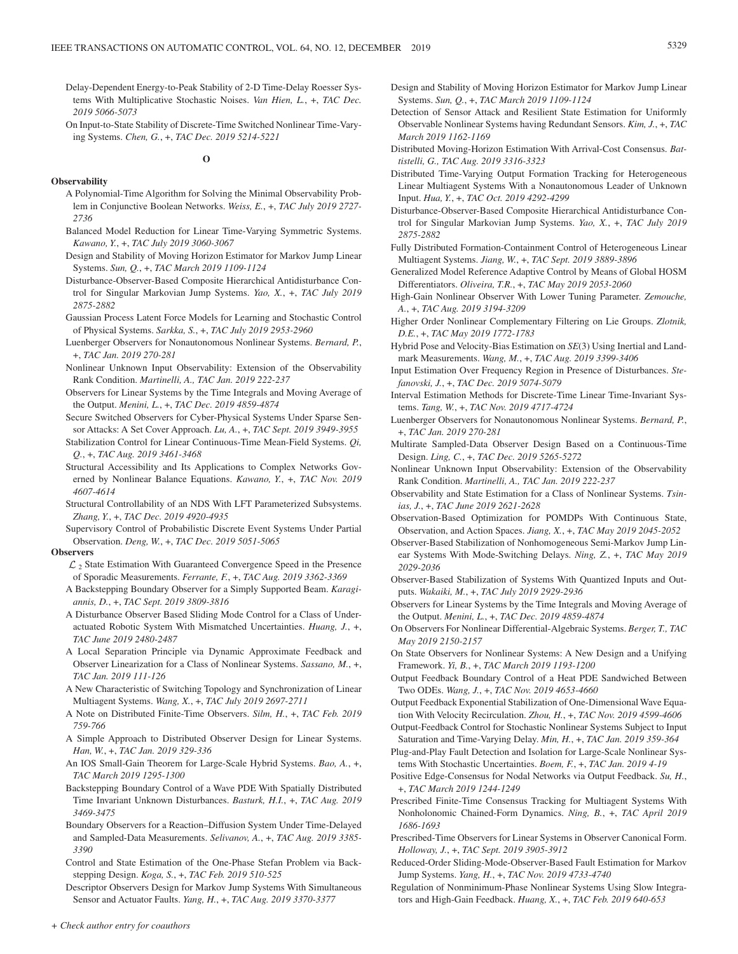- Delay-Dependent Energy-to-Peak Stability of 2-D Time-Delay Roesser Systems With Multiplicative Stochastic Noises. *Van Hien, L.*, +, *TAC Dec. 2019 5066-5073*
- On Input-to-State Stability of Discrete-Time Switched Nonlinear Time-Varying Systems. *Chen, G.*, +, *TAC Dec. 2019 5214-5221*

**O**

# **Observability**

- A Polynomial-Time Algorithm for Solving the Minimal Observability Problem in Conjunctive Boolean Networks. *Weiss, E.*, +, *TAC July 2019 2727- 2736*
- Balanced Model Reduction for Linear Time-Varying Symmetric Systems. *Kawano, Y.*, +, *TAC July 2019 3060-3067*
- Design and Stability of Moving Horizon Estimator for Markov Jump Linear Systems. *Sun, Q.*, +, *TAC March 2019 1109-1124*
- Disturbance-Observer-Based Composite Hierarchical Antidisturbance Control for Singular Markovian Jump Systems. *Yao, X.*, +, *TAC July 2019 2875-2882*
- Gaussian Process Latent Force Models for Learning and Stochastic Control of Physical Systems. *Sarkka, S.*, +, *TAC July 2019 2953-2960*
- Luenberger Observers for Nonautonomous Nonlinear Systems. *Bernard, P.*, +, *TAC Jan. 2019 270-281*
- Nonlinear Unknown Input Observability: Extension of the Observability Rank Condition. *Martinelli, A., TAC Jan. 2019 222-237*
- Observers for Linear Systems by the Time Integrals and Moving Average of the Output. *Menini, L.*, +, *TAC Dec. 2019 4859-4874*
- Secure Switched Observers for Cyber-Physical Systems Under Sparse Sensor Attacks: A Set Cover Approach. *Lu, A.*, +, *TAC Sept. 2019 3949-3955*
- Stabilization Control for Linear Continuous-Time Mean-Field Systems. *Qi, Q.*, +, *TAC Aug. 2019 3461-3468*
- Structural Accessibility and Its Applications to Complex Networks Governed by Nonlinear Balance Equations. *Kawano, Y.*, +, *TAC Nov. 2019 4607-4614*
- Structural Controllability of an NDS With LFT Parameterized Subsystems. *Zhang, Y.*, +, *TAC Dec. 2019 4920-4935*
- Supervisory Control of Probabilistic Discrete Event Systems Under Partial Observation. *Deng, W.*, +, *TAC Dec. 2019 5051-5065*

#### **Observers**

- $\mathcal{L}_2$  State Estimation With Guaranteed Convergence Speed in the Presence of Sporadic Measurements. *Ferrante, F.*, +, *TAC Aug. 2019 3362-3369*
- A Backstepping Boundary Observer for a Simply Supported Beam. *Karagiannis, D.*, +, *TAC Sept. 2019 3809-3816*
- A Disturbance Observer Based Sliding Mode Control for a Class of Underactuated Robotic System With Mismatched Uncertainties. *Huang, J.*, +, *TAC June 2019 2480-2487*
- A Local Separation Principle via Dynamic Approximate Feedback and Observer Linearization for a Class of Nonlinear Systems. *Sassano, M.*, +, *TAC Jan. 2019 111-126*
- A New Characteristic of Switching Topology and Synchronization of Linear Multiagent Systems. *Wang, X.*, +, *TAC July 2019 2697-2711*
- A Note on Distributed Finite-Time Observers. *Silm, H.*, +, *TAC Feb. 2019 759-766*
- A Simple Approach to Distributed Observer Design for Linear Systems. *Han, W.*, +, *TAC Jan. 2019 329-336*
- An IOS Small-Gain Theorem for Large-Scale Hybrid Systems. *Bao, A.*, +, *TAC March 2019 1295-1300*
- Backstepping Boundary Control of a Wave PDE With Spatially Distributed Time Invariant Unknown Disturbances. *Basturk, H.I.*, +, *TAC Aug. 2019 3469-3475*
- Boundary Observers for a Reaction–Diffusion System Under Time-Delayed and Sampled-Data Measurements. *Selivanov, A.*, +, *TAC Aug. 2019 3385- 3390*
- Control and State Estimation of the One-Phase Stefan Problem via Backstepping Design. *Koga, S.*, +, *TAC Feb. 2019 510-525*
- Descriptor Observers Design for Markov Jump Systems With Simultaneous Sensor and Actuator Faults. *Yang, H.*, +, *TAC Aug. 2019 3370-3377*
- Design and Stability of Moving Horizon Estimator for Markov Jump Linear Systems. *Sun, Q.*, +, *TAC March 2019 1109-1124*
- Detection of Sensor Attack and Resilient State Estimation for Uniformly Observable Nonlinear Systems having Redundant Sensors. *Kim, J.*, +, *TAC March 2019 1162-1169*
- Distributed Moving-Horizon Estimation With Arrival-Cost Consensus. *Battistelli, G., TAC Aug. 2019 3316-3323*
- Distributed Time-Varying Output Formation Tracking for Heterogeneous Linear Multiagent Systems With a Nonautonomous Leader of Unknown Input. *Hua, Y.*, +, *TAC Oct. 2019 4292-4299*
- Disturbance-Observer-Based Composite Hierarchical Antidisturbance Control for Singular Markovian Jump Systems. *Yao, X.*, +, *TAC July 2019 2875-2882*
- Fully Distributed Formation-Containment Control of Heterogeneous Linear Multiagent Systems. *Jiang, W.*, +, *TAC Sept. 2019 3889-3896*
- Generalized Model Reference Adaptive Control by Means of Global HOSM Differentiators. *Oliveira, T.R.*, +, *TAC May 2019 2053-2060*
- High-Gain Nonlinear Observer With Lower Tuning Parameter. *Zemouche, A.*, +, *TAC Aug. 2019 3194-3209*
- Higher Order Nonlinear Complementary Filtering on Lie Groups. *Zlotnik, D.E.*, +, *TAC May 2019 1772-1783*
- Hybrid Pose and Velocity-Bias Estimation on *SE*(3) Using Inertial and Landmark Measurements. *Wang, M.*, +, *TAC Aug. 2019 3399-3406*
- Input Estimation Over Frequency Region in Presence of Disturbances. *Stefanovski, J.*, +, *TAC Dec. 2019 5074-5079*
- Interval Estimation Methods for Discrete-Time Linear Time-Invariant Systems. *Tang, W.*, +, *TAC Nov. 2019 4717-4724*
- Luenberger Observers for Nonautonomous Nonlinear Systems. *Bernard, P.*, +, *TAC Jan. 2019 270-281*
- Multirate Sampled-Data Observer Design Based on a Continuous-Time Design. *Ling, C.*, +, *TAC Dec. 2019 5265-5272*
- Nonlinear Unknown Input Observability: Extension of the Observability Rank Condition. *Martinelli, A., TAC Jan. 2019 222-237*
- Observability and State Estimation for a Class of Nonlinear Systems. *Tsinias, J.*, +, *TAC June 2019 2621-2628*
- Observation-Based Optimization for POMDPs With Continuous State, Observation, and Action Spaces. *Jiang, X.*, +, *TAC May 2019 2045-2052*
- Observer-Based Stabilization of Nonhomogeneous Semi-Markov Jump Linear Systems With Mode-Switching Delays. *Ning, Z.*, +, *TAC May 2019 2029-2036*
- Observer-Based Stabilization of Systems With Quantized Inputs and Outputs. *Wakaiki, M.*, +, *TAC July 2019 2929-2936*
- Observers for Linear Systems by the Time Integrals and Moving Average of the Output. *Menini, L.*, +, *TAC Dec. 2019 4859-4874*
- On Observers For Nonlinear Differential-Algebraic Systems. *Berger, T., TAC May 2019 2150-2157*
- On State Observers for Nonlinear Systems: A New Design and a Unifying Framework. *Yi, B.*, +, *TAC March 2019 1193-1200*
- Output Feedback Boundary Control of a Heat PDE Sandwiched Between Two ODEs. *Wang, J.*, +, *TAC Nov. 2019 4653-4660*
- Output Feedback Exponential Stabilization of One-Dimensional Wave Equation With Velocity Recirculation. *Zhou, H.*, +, *TAC Nov. 2019 4599-4606*
- Output-Feedback Control for Stochastic Nonlinear Systems Subject to Input Saturation and Time-Varying Delay. *Min, H.*, +, *TAC Jan. 2019 359-364*
- Plug-and-Play Fault Detection and Isolation for Large-Scale Nonlinear Systems With Stochastic Uncertainties. *Boem, F.*, +, *TAC Jan. 2019 4-19*
- Positive Edge-Consensus for Nodal Networks via Output Feedback. *Su, H.*, +, *TAC March 2019 1244-1249*
- Prescribed Finite-Time Consensus Tracking for Multiagent Systems With Nonholonomic Chained-Form Dynamics. *Ning, B.*, +, *TAC April 2019 1686-1693*
- Prescribed-Time Observers for Linear Systems in Observer Canonical Form. *Holloway, J.*, +, *TAC Sept. 2019 3905-3912*
- Reduced-Order Sliding-Mode-Observer-Based Fault Estimation for Markov Jump Systems. *Yang, H.*, +, *TAC Nov. 2019 4733-4740*
- Regulation of Nonminimum-Phase Nonlinear Systems Using Slow Integrators and High-Gain Feedback. *Huang, X.*, +, *TAC Feb. 2019 640-653*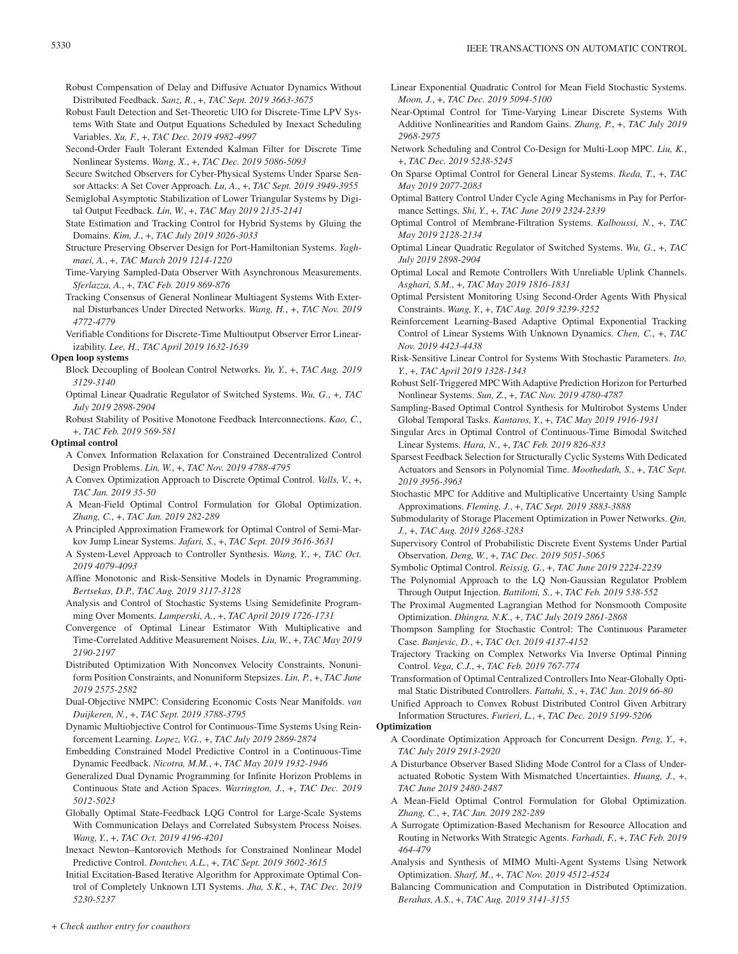- Robust Compensation of Delay and Diffusive Actuator Dynamics Without Distributed Feedback. *Sanz, R.*, +, *TAC Sept. 2019 3663-3675*
- Robust Fault Detection and Set-Theoretic UIO for Discrete-Time LPV Systems With State and Output Equations Scheduled by Inexact Scheduling Variables. *Xu, F.*, +, *TAC Dec. 2019 4982-4997*
- Second-Order Fault Tolerant Extended Kalman Filter for Discrete Time Nonlinear Systems. *Wang, X.*, +, *TAC Dec. 2019 5086-5093*
- Secure Switched Observers for Cyber-Physical Systems Under Sparse Sensor Attacks: A Set Cover Approach. *Lu, A.*, +, *TAC Sept. 2019 3949-3955*
- Semiglobal Asymptotic Stabilization of Lower Triangular Systems by Digital Output Feedback. *Lin, W.*, +, *TAC May 2019 2135-2141*
- State Estimation and Tracking Control for Hybrid Systems by Gluing the Domains. *Kim, J.*, +, *TAC July 2019 3026-3033*
- Structure Preserving Observer Design for Port-Hamiltonian Systems. *Yaghmaei, A.*, +, *TAC March 2019 1214-1220*
- Time-Varying Sampled-Data Observer With Asynchronous Measurements. *Sferlazza, A.*, +, *TAC Feb. 2019 869-876*
- Tracking Consensus of General Nonlinear Multiagent Systems With External Disturbances Under Directed Networks. *Wang, H.*, +, *TAC Nov. 2019 4772-4779*
- Verifiable Conditions for Discrete-Time Multioutput Observer Error Linearizability. *Lee, H., TAC April 2019 1632-1639*

### **Open loop systems**

- Block Decoupling of Boolean Control Networks. *Yu, Y.*, +, *TAC Aug. 2019 3129-3140*
- Optimal Linear Quadratic Regulator of Switched Systems. *Wu, G.*, +, *TAC July 2019 2898-2904*
- Robust Stability of Positive Monotone Feedback Interconnections. *Kao, C.*, +, *TAC Feb. 2019 569-581*

# **Optimal control**

- A Convex Information Relaxation for Constrained Decentralized Control Design Problems. *Lin, W.*, +, *TAC Nov. 2019 4788-4795*
- A Convex Optimization Approach to Discrete Optimal Control. *Valls, V.*, +, *TAC Jan. 2019 35-50*
- A Mean-Field Optimal Control Formulation for Global Optimization. *Zhang, C.*, +, *TAC Jan. 2019 282-289*
- A Principled Approximation Framework for Optimal Control of Semi-Markov Jump Linear Systems. *Jafari, S.*, +, *TAC Sept. 2019 3616-3631*
- A System-Level Approach to Controller Synthesis. *Wang, Y.*, +, *TAC Oct. 2019 4079-4093*
- Affine Monotonic and Risk-Sensitive Models in Dynamic Programming. *Bertsekas, D.P., TAC Aug. 2019 3117-3128*
- Analysis and Control of Stochastic Systems Using Semidefinite Programming Over Moments. *Lamperski, A.*, +, *TAC April 2019 1726-1731*
- Convergence of Optimal Linear Estimator With Multiplicative and Time-Correlated Additive Measurement Noises. *Liu, W.*, +, *TAC May 2019 2190-2197*
- Distributed Optimization With Nonconvex Velocity Constraints, Nonuniform Position Constraints, and Nonuniform Stepsizes. *Lin, P.*, +, *TAC June 2019 2575-2582*
- Dual-Objective NMPC: Considering Economic Costs Near Manifolds. *van Duijkeren, N.*, +, *TAC Sept. 2019 3788-3795*
- Dynamic Multiobjective Control for Continuous-Time Systems Using Reinforcement Learning. *Lopez, V.G.*, +, *TAC July 2019 2869-2874*
- Embedding Constrained Model Predictive Control in a Continuous-Time Dynamic Feedback. *Nicotra, M.M.*, +, *TAC May 2019 1932-1946*
- Generalized Dual Dynamic Programming for Infinite Horizon Problems in Continuous State and Action Spaces. *Warrington, J.*, +, *TAC Dec. 2019 5012-5023*
- Globally Optimal State-Feedback LQG Control for Large-Scale Systems With Communication Delays and Correlated Subsystem Process Noises. *Wang, Y.*, +, *TAC Oct. 2019 4196-4201*
- Inexact Newton–Kantorovich Methods for Constrained Nonlinear Model Predictive Control. *Dontchev, A.L.*, +, *TAC Sept. 2019 3602-3615*
- Initial Excitation-Based Iterative Algorithm for Approximate Optimal Control of Completely Unknown LTI Systems. *Jha, S.K.*, +, *TAC Dec. 2019 5230-5237*
- Linear Exponential Quadratic Control for Mean Field Stochastic Systems. *Moon, J.*, +, *TAC Dec. 2019 5094-5100*
- Near-Optimal Control for Time-Varying Linear Discrete Systems With Additive Nonlinearities and Random Gains. *Zhang, P.*, +, *TAC July 2019 2968-2975*
- Network Scheduling and Control Co-Design for Multi-Loop MPC. *Liu, K.*, +, *TAC Dec. 2019 5238-5245*
- On Sparse Optimal Control for General Linear Systems. *Ikeda, T.*, +, *TAC May 2019 2077-2083*
- Optimal Battery Control Under Cycle Aging Mechanisms in Pay for Performance Settings. *Shi, Y.*, +, *TAC June 2019 2324-2339*
- Optimal Control of Membrane-Filtration Systems. *Kalboussi, N.*, +, *TAC May 2019 2128-2134*
- Optimal Linear Quadratic Regulator of Switched Systems. *Wu, G.*, +, *TAC July 2019 2898-2904*
- Optimal Local and Remote Controllers With Unreliable Uplink Channels. *Asghari, S.M.*, +, *TAC May 2019 1816-1831*
- Optimal Persistent Monitoring Using Second-Order Agents With Physical Constraints. *Wang, Y.*, +, *TAC Aug. 2019 3239-3252*
- Reinforcement Learning-Based Adaptive Optimal Exponential Tracking Control of Linear Systems With Unknown Dynamics. *Chen, C.*, +, *TAC Nov. 2019 4423-4438*
- Risk-Sensitive Linear Control for Systems With Stochastic Parameters. *Ito, Y.*, +, *TAC April 2019 1328-1343*
- Robust Self-Triggered MPC With Adaptive Prediction Horizon for Perturbed Nonlinear Systems. *Sun, Z.*, +, *TAC Nov. 2019 4780-4787*
- Sampling-Based Optimal Control Synthesis for Multirobot Systems Under Global Temporal Tasks. *Kantaros, Y.*, +, *TAC May 2019 1916-1931*
- Singular Arcs in Optimal Control of Continuous-Time Bimodal Switched Linear Systems. *Hara, N.*, +, *TAC Feb. 2019 826-833*
- Sparsest Feedback Selection for Structurally Cyclic Systems With Dedicated Actuators and Sensors in Polynomial Time. *Moothedath, S.*, +, *TAC Sept. 2019 3956-3963*
- Stochastic MPC for Additive and Multiplicative Uncertainty Using Sample Approximations. *Fleming, J.*, +, *TAC Sept. 2019 3883-3888*
- Submodularity of Storage Placement Optimization in Power Networks. *Qin, J.*, +, *TAC Aug. 2019 3268-3283*
- Supervisory Control of Probabilistic Discrete Event Systems Under Partial Observation. *Deng, W.*, +, *TAC Dec. 2019 5051-5065*
- Symbolic Optimal Control. *Reissig, G.*, +, *TAC June 2019 2224-2239*
- The Polynomial Approach to the LQ Non-Gaussian Regulator Problem Through Output Injection. *Battilotti, S.*, +, *TAC Feb. 2019 538-552*
- The Proximal Augmented Lagrangian Method for Nonsmooth Composite Optimization. *Dhingra, N.K.*, +, *TAC July 2019 2861-2868*
- Thompson Sampling for Stochastic Control: The Continuous Parameter Case. *Banjevic, D.*, +, *TAC Oct. 2019 4137-4152*
- Trajectory Tracking on Complex Networks Via Inverse Optimal Pinning Control. *Vega, C.J.*, +, *TAC Feb. 2019 767-774*
- Transformation of Optimal Centralized Controllers Into Near-Globally Optimal Static Distributed Controllers. *Fattahi, S.*, +, *TAC Jan. 2019 66-80*
- Unified Approach to Convex Robust Distributed Control Given Arbitrary Information Structures. *Furieri, L.*, +, *TAC Dec. 2019 5199-5206*

# **Optimization**

- A Coordinate Optimization Approach for Concurrent Design. *Peng, Y.*, +, *TAC July 2019 2913-2920*
- A Disturbance Observer Based Sliding Mode Control for a Class of Underactuated Robotic System With Mismatched Uncertainties. *Huang, J.*, +, *TAC June 2019 2480-2487*
- A Mean-Field Optimal Control Formulation for Global Optimization. *Zhang, C.*, +, *TAC Jan. 2019 282-289*
- A Surrogate Optimization-Based Mechanism for Resource Allocation and Routing in Networks With Strategic Agents. *Farhadi, F.*, +, *TAC Feb. 2019 464-479*
- Analysis and Synthesis of MIMO Multi-Agent Systems Using Network Optimization. *Sharf, M.*, +, *TAC Nov. 2019 4512-4524*
- Balancing Communication and Computation in Distributed Optimization. *Berahas, A.S.*, +, *TAC Aug. 2019 3141-3155*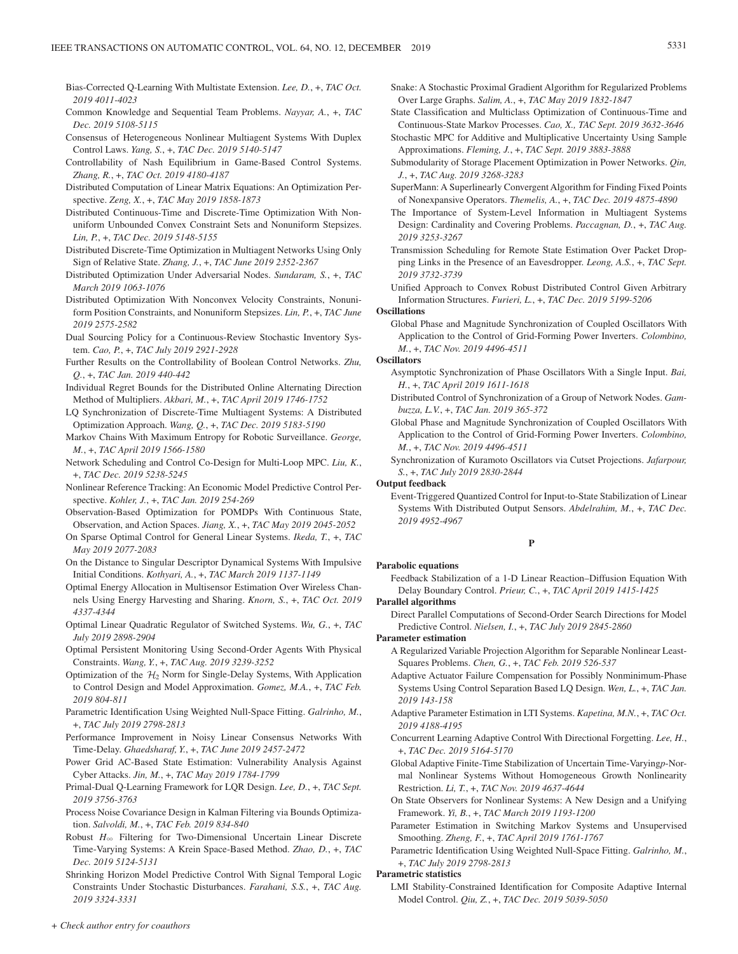- Bias-Corrected Q-Learning With Multistate Extension. *Lee, D.*, +, *TAC Oct. 2019 4011-4023*
- Common Knowledge and Sequential Team Problems. *Nayyar, A.*, +, *TAC Dec. 2019 5108-5115*
- Consensus of Heterogeneous Nonlinear Multiagent Systems With Duplex Control Laws. *Yang, S.*, +, *TAC Dec. 2019 5140-5147*
- Controllability of Nash Equilibrium in Game-Based Control Systems. *Zhang, R.*, +, *TAC Oct. 2019 4180-4187*
- Distributed Computation of Linear Matrix Equations: An Optimization Perspective. *Zeng, X.*, +, *TAC May 2019 1858-1873*
- Distributed Continuous-Time and Discrete-Time Optimization With Nonuniform Unbounded Convex Constraint Sets and Nonuniform Stepsizes. *Lin, P.*, +, *TAC Dec. 2019 5148-5155*
- Distributed Discrete-Time Optimization in Multiagent Networks Using Only Sign of Relative State. *Zhang, J.*, +, *TAC June 2019 2352-2367*
- Distributed Optimization Under Adversarial Nodes. *Sundaram, S.*, +, *TAC March 2019 1063-1076*
- Distributed Optimization With Nonconvex Velocity Constraints, Nonuniform Position Constraints, and Nonuniform Stepsizes. *Lin, P.*, +, *TAC June 2019 2575-2582*
- Dual Sourcing Policy for a Continuous-Review Stochastic Inventory System. *Cao, P.*, +, *TAC July 2019 2921-2928*
- Further Results on the Controllability of Boolean Control Networks. *Zhu, Q.*, +, *TAC Jan. 2019 440-442*
- Individual Regret Bounds for the Distributed Online Alternating Direction Method of Multipliers. *Akbari, M.*, +, *TAC April 2019 1746-1752*
- LQ Synchronization of Discrete-Time Multiagent Systems: A Distributed Optimization Approach. *Wang, Q.*, +, *TAC Dec. 2019 5183-5190*
- Markov Chains With Maximum Entropy for Robotic Surveillance. *George, M.*, +, *TAC April 2019 1566-1580*
- Network Scheduling and Control Co-Design for Multi-Loop MPC. *Liu, K.*, +, *TAC Dec. 2019 5238-5245*
- Nonlinear Reference Tracking: An Economic Model Predictive Control Perspective. *Kohler, J.*, +, *TAC Jan. 2019 254-269*
- Observation-Based Optimization for POMDPs With Continuous State, Observation, and Action Spaces. *Jiang, X.*, +, *TAC May 2019 2045-2052*
- On Sparse Optimal Control for General Linear Systems. *Ikeda, T.*, +, *TAC May 2019 2077-2083*
- On the Distance to Singular Descriptor Dynamical Systems With Impulsive Initial Conditions. *Kothyari, A.*, +, *TAC March 2019 1137-1149*
- Optimal Energy Allocation in Multisensor Estimation Over Wireless Channels Using Energy Harvesting and Sharing. *Knorn, S.*, +, *TAC Oct. 2019 4337-4344*
- Optimal Linear Quadratic Regulator of Switched Systems. *Wu, G.*, +, *TAC July 2019 2898-2904*
- Optimal Persistent Monitoring Using Second-Order Agents With Physical Constraints. *Wang, Y.*, +, *TAC Aug. 2019 3239-3252*
- Optimization of the  $H_2$  Norm for Single-Delay Systems, With Application to Control Design and Model Approximation. *Gomez, M.A.*, +, *TAC Feb. 2019 804-811*
- Parametric Identification Using Weighted Null-Space Fitting. *Galrinho, M.*, +, *TAC July 2019 2798-2813*
- Performance Improvement in Noisy Linear Consensus Networks With Time-Delay. *Ghaedsharaf, Y.*, +, *TAC June 2019 2457-2472*
- Power Grid AC-Based State Estimation: Vulnerability Analysis Against Cyber Attacks. *Jin, M.*, +, *TAC May 2019 1784-1799*
- Primal-Dual Q-Learning Framework for LQR Design. *Lee, D.*, +, *TAC Sept. 2019 3756-3763*
- Process Noise Covariance Design in Kalman Filtering via Bounds Optimization. *Salvoldi, M.*, +, *TAC Feb. 2019 834-840*
- Robust  $H_{\infty}$  Filtering for Two-Dimensional Uncertain Linear Discrete Time-Varying Systems: A Krein Space-Based Method. *Zhao, D.*, +, *TAC Dec. 2019 5124-5131*
- Shrinking Horizon Model Predictive Control With Signal Temporal Logic Constraints Under Stochastic Disturbances. *Farahani, S.S.*, +, *TAC Aug. 2019 3324-3331*
- Snake: A Stochastic Proximal Gradient Algorithm for Regularized Problems Over Large Graphs. *Salim, A.*, +, *TAC May 2019 1832-1847*
- State Classification and Multiclass Optimization of Continuous-Time and Continuous-State Markov Processes. *Cao, X., TAC Sept. 2019 3632-3646*
- Stochastic MPC for Additive and Multiplicative Uncertainty Using Sample Approximations. *Fleming, J.*, +, *TAC Sept. 2019 3883-3888*
- Submodularity of Storage Placement Optimization in Power Networks. *Qin, J.*, +, *TAC Aug. 2019 3268-3283*
- SuperMann: A Superlinearly Convergent Algorithm for Finding Fixed Points of Nonexpansive Operators. *Themelis, A.*, +, *TAC Dec. 2019 4875-4890*
- The Importance of System-Level Information in Multiagent Systems Design: Cardinality and Covering Problems. *Paccagnan, D.*, +, *TAC Aug. 2019 3253-3267*
- Transmission Scheduling for Remote State Estimation Over Packet Dropping Links in the Presence of an Eavesdropper. *Leong, A.S.*, +, *TAC Sept. 2019 3732-3739*
- Unified Approach to Convex Robust Distributed Control Given Arbitrary Information Structures. *Furieri, L.*, +, *TAC Dec. 2019 5199-5206*

# **Oscillations**

Global Phase and Magnitude Synchronization of Coupled Oscillators With Application to the Control of Grid-Forming Power Inverters. *Colombino, M.*, +, *TAC Nov. 2019 4496-4511*

# **Oscillators**

- Asymptotic Synchronization of Phase Oscillators With a Single Input. *Bai, H.*, +, *TAC April 2019 1611-1618*
- Distributed Control of Synchronization of a Group of Network Nodes. *Gambuzza, L.V.*, +, *TAC Jan. 2019 365-372*
- Global Phase and Magnitude Synchronization of Coupled Oscillators With Application to the Control of Grid-Forming Power Inverters. *Colombino, M.*, +, *TAC Nov. 2019 4496-4511*
- Synchronization of Kuramoto Oscillators via Cutset Projections. *Jafarpour, S.*, +, *TAC July 2019 2830-2844*

**Output feedback**

Event-Triggered Quantized Control for Input-to-State Stabilization of Linear Systems With Distributed Output Sensors. *Abdelrahim, M.*, +, *TAC Dec. 2019 4952-4967*

# **P**

#### **Parabolic equations**

Feedback Stabilization of a 1-D Linear Reaction–Diffusion Equation With Delay Boundary Control. *Prieur, C.*, +, *TAC April 2019 1415-1425*

**Parallel algorithms**

Direct Parallel Computations of Second-Order Search Directions for Model Predictive Control. *Nielsen, I.*, +, *TAC July 2019 2845-2860*

# **Parameter estimation**

- A Regularized Variable Projection Algorithm for Separable Nonlinear Least-Squares Problems. *Chen, G.*, +, *TAC Feb. 2019 526-537*
- Adaptive Actuator Failure Compensation for Possibly Nonminimum-Phase Systems Using Control Separation Based LQ Design. *Wen, L.*, +, *TAC Jan. 2019 143-158*
- Adaptive Parameter Estimation in LTI Systems. *Kapetina, M.N.*, +, *TAC Oct. 2019 4188-4195*
- Concurrent Learning Adaptive Control With Directional Forgetting. *Lee, H.*, +, *TAC Dec. 2019 5164-5170*
- Global Adaptive Finite-Time Stabilization of Uncertain Time-Varying*p*-Normal Nonlinear Systems Without Homogeneous Growth Nonlinearity Restriction. *Li, T.*, +, *TAC Nov. 2019 4637-4644*
- On State Observers for Nonlinear Systems: A New Design and a Unifying Framework. *Yi, B.*, +, *TAC March 2019 1193-1200*
- Parameter Estimation in Switching Markov Systems and Unsupervised Smoothing. *Zheng, F.*, +, *TAC April 2019 1761-1767*
- Parametric Identification Using Weighted Null-Space Fitting. *Galrinho, M.*, +, *TAC July 2019 2798-2813*

#### **Parametric statistics**

LMI Stability-Constrained Identification for Composite Adaptive Internal Model Control. *Qiu, Z.*, +, *TAC Dec. 2019 5039-5050*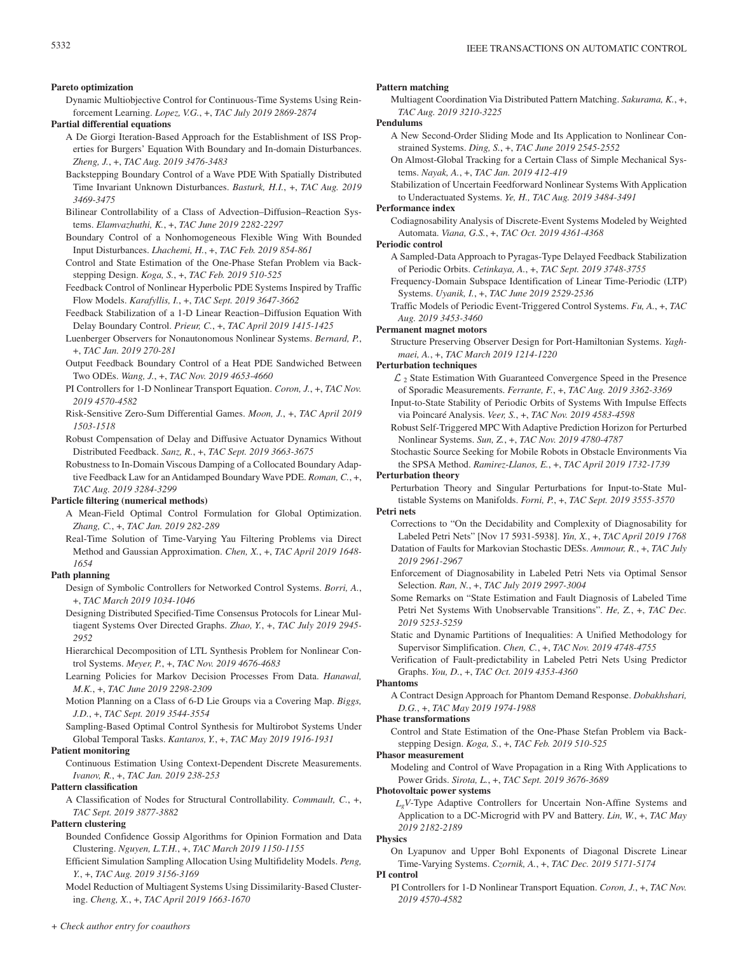#### **Pareto optimization**

Dynamic Multiobjective Control for Continuous-Time Systems Using Reinforcement Learning. *Lopez, V.G.*, +, *TAC July 2019 2869-2874*

# **Partial differential equations**

- A De Giorgi Iteration-Based Approach for the Establishment of ISS Properties for Burgers' Equation With Boundary and In-domain Disturbances. *Zheng, J.*, +, *TAC Aug. 2019 3476-3483*
- Backstepping Boundary Control of a Wave PDE With Spatially Distributed Time Invariant Unknown Disturbances. *Basturk, H.I.*, +, *TAC Aug. 2019 3469-3475*
- Bilinear Controllability of a Class of Advection–Diffusion–Reaction Systems. *Elamvazhuthi, K.*, +, *TAC June 2019 2282-2297*
- Boundary Control of a Nonhomogeneous Flexible Wing With Bounded Input Disturbances. *Lhachemi, H.*, +, *TAC Feb. 2019 854-861*
- Control and State Estimation of the One-Phase Stefan Problem via Backstepping Design. *Koga, S.*, +, *TAC Feb. 2019 510-525*
- Feedback Control of Nonlinear Hyperbolic PDE Systems Inspired by Traffic Flow Models. *Karafyllis, I.*, +, *TAC Sept. 2019 3647-3662*
- Feedback Stabilization of a 1-D Linear Reaction–Diffusion Equation With Delay Boundary Control. *Prieur, C.*, +, *TAC April 2019 1415-1425*
- Luenberger Observers for Nonautonomous Nonlinear Systems. *Bernard, P.*, +, *TAC Jan. 2019 270-281*
- Output Feedback Boundary Control of a Heat PDE Sandwiched Between Two ODEs. *Wang, J.*, +, *TAC Nov. 2019 4653-4660*
- PI Controllers for 1-D Nonlinear Transport Equation. *Coron, J.*, +, *TAC Nov. 2019 4570-4582*
- Risk-Sensitive Zero-Sum Differential Games. *Moon, J.*, +, *TAC April 2019 1503-1518*
- Robust Compensation of Delay and Diffusive Actuator Dynamics Without Distributed Feedback. *Sanz, R.*, +, *TAC Sept. 2019 3663-3675*
- Robustness to In-Domain Viscous Damping of a Collocated Boundary Adaptive Feedback Law for an Antidamped Boundary Wave PDE. *Roman, C.*, +, *TAC Aug. 2019 3284-3299*

#### **Particle filtering (numerical methods)**

- A Mean-Field Optimal Control Formulation for Global Optimization. *Zhang, C.*, +, *TAC Jan. 2019 282-289*
- Real-Time Solution of Time-Varying Yau Filtering Problems via Direct Method and Gaussian Approximation. *Chen, X.*, +, *TAC April 2019 1648- 1654*

#### **Path planning**

- Design of Symbolic Controllers for Networked Control Systems. *Borri, A.*, +, *TAC March 2019 1034-1046*
- Designing Distributed Specified-Time Consensus Protocols for Linear Multiagent Systems Over Directed Graphs. *Zhao, Y.*, +, *TAC July 2019 2945- 2952*
- Hierarchical Decomposition of LTL Synthesis Problem for Nonlinear Control Systems. *Meyer, P.*, +, *TAC Nov. 2019 4676-4683*
- Learning Policies for Markov Decision Processes From Data. *Hanawal, M.K.*, +, *TAC June 2019 2298-2309*
- Motion Planning on a Class of 6-D Lie Groups via a Covering Map. *Biggs, J.D.*, +, *TAC Sept. 2019 3544-3554*
- Sampling-Based Optimal Control Synthesis for Multirobot Systems Under Global Temporal Tasks. *Kantaros, Y.*, +, *TAC May 2019 1916-1931*

### **Patient monitoring**

Continuous Estimation Using Context-Dependent Discrete Measurements. *Ivanov, R.*, +, *TAC Jan. 2019 238-253*

#### **Pattern classification**

A Classification of Nodes for Structural Controllability. *Commault, C.*, +, *TAC Sept. 2019 3877-3882*

# **Pattern clustering**

- Bounded Confidence Gossip Algorithms for Opinion Formation and Data Clustering. *Nguyen, L.T.H.*, +, *TAC March 2019 1150-1155*
- Efficient Simulation Sampling Allocation Using Multifidelity Models. *Peng, Y.*, +, *TAC Aug. 2019 3156-3169*

Model Reduction of Multiagent Systems Using Dissimilarity-Based Clustering. *Cheng, X.*, +, *TAC April 2019 1663-1670*

#### **Pattern matching**

Multiagent Coordination Via Distributed Pattern Matching. *Sakurama, K.*, +, *TAC Aug. 2019 3210-3225*

# **Pendulums**

- A New Second-Order Sliding Mode and Its Application to Nonlinear Constrained Systems. *Ding, S.*, +, *TAC June 2019 2545-2552*
- On Almost-Global Tracking for a Certain Class of Simple Mechanical Systems. *Nayak, A.*, +, *TAC Jan. 2019 412-419*
- Stabilization of Uncertain Feedforward Nonlinear Systems With Application to Underactuated Systems. *Ye, H., TAC Aug. 2019 3484-3491*

# **Performance index**

Codiagnosability Analysis of Discrete-Event Systems Modeled by Weighted Automata. *Viana, G.S.*, +, *TAC Oct. 2019 4361-4368*

# **Periodic control**

- A Sampled-Data Approach to Pyragas-Type Delayed Feedback Stabilization of Periodic Orbits. *Cetinkaya, A.*, +, *TAC Sept. 2019 3748-3755*
- Frequency-Domain Subspace Identification of Linear Time-Periodic (LTP) Systems. *Uyanik, I.*, +, *TAC June 2019 2529-2536*
- Traffic Models of Periodic Event-Triggered Control Systems. *Fu, A.*, +, *TAC Aug. 2019 3453-3460*

#### **Permanent magnet motors**

Structure Preserving Observer Design for Port-Hamiltonian Systems. *Yaghmaei, A.*, +, *TAC March 2019 1214-1220*

# **Perturbation techniques**

- $\mathcal{L}_2$  State Estimation With Guaranteed Convergence Speed in the Presence of Sporadic Measurements. *Ferrante, F.*, +, *TAC Aug. 2019 3362-3369*
- Input-to-State Stability of Periodic Orbits of Systems With Impulse Effects via Poincaré Analysis. *Veer, S.*, +, *TAC Nov. 2019 4583-4598*
- Robust Self-Triggered MPC With Adaptive Prediction Horizon for Perturbed Nonlinear Systems. *Sun, Z.*, +, *TAC Nov. 2019 4780-4787*
- Stochastic Source Seeking for Mobile Robots in Obstacle Environments Via the SPSA Method. *Ramirez-Llanos, E.*, +, *TAC April 2019 1732-1739*

#### **Perturbation theory**

Perturbation Theory and Singular Perturbations for Input-to-State Multistable Systems on Manifolds. *Forni, P.*, +, *TAC Sept. 2019 3555-3570*

#### **Petri nets**

- Corrections to "On the Decidability and Complexity of Diagnosability for Labeled Petri Nets" [Nov 17 5931-5938]. *Yin, X.*, +, *TAC April 2019 1768* Datation of Faults for Markovian Stochastic DESs. *Ammour, R.*, +, *TAC July* 
	- *2019 2961-2967*
- Enforcement of Diagnosability in Labeled Petri Nets via Optimal Sensor Selection. *Ran, N.*, +, *TAC July 2019 2997-3004*
- Some Remarks on "State Estimation and Fault Diagnosis of Labeled Time Petri Net Systems With Unobservable Transitions". *He, Z.*, +, *TAC Dec. 2019 5253-5259*
- Static and Dynamic Partitions of Inequalities: A Unified Methodology for Supervisor Simplification. *Chen, C.*, +, *TAC Nov. 2019 4748-4755*
- Verification of Fault-predictability in Labeled Petri Nets Using Predictor Graphs. *You, D.*, +, *TAC Oct. 2019 4353-4360*

#### **Phantoms**

A Contract Design Approach for Phantom Demand Response. *Dobakhshari, D.G.*, +, *TAC May 2019 1974-1988*

#### **Phase transformations**

Control and State Estimation of the One-Phase Stefan Problem via Backstepping Design. *Koga, S.*, +, *TAC Feb. 2019 510-525*

#### **Phasor measurement**

Modeling and Control of Wave Propagation in a Ring With Applications to Power Grids. *Sirota, L.*, +, *TAC Sept. 2019 3676-3689*

# **Photovoltaic power systems**

*LgV*-Type Adaptive Controllers for Uncertain Non-Affine Systems and Application to a DC-Microgrid with PV and Battery. *Lin, W.*, +, *TAC May 2019 2182-2189*

#### **Physics**

On Lyapunov and Upper Bohl Exponents of Diagonal Discrete Linear Time-Varying Systems. *Czornik, A.*, +, *TAC Dec. 2019 5171-5174*

#### **PI control**

PI Controllers for 1-D Nonlinear Transport Equation. *Coron, J.*, +, *TAC Nov. 2019 4570-4582*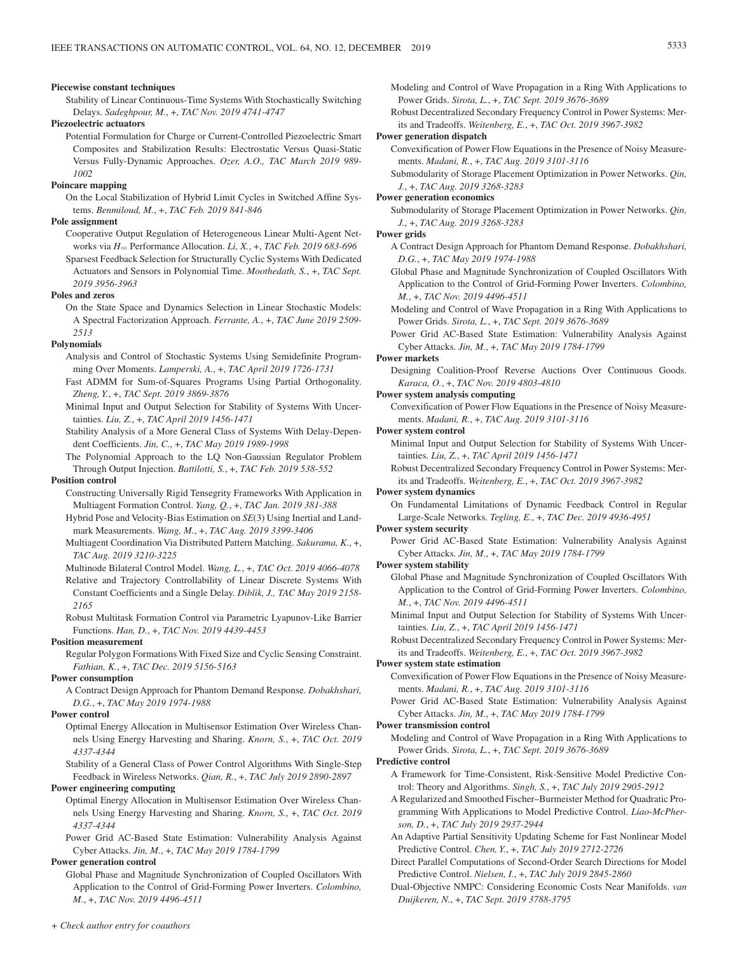#### **Piecewise constant techniques**

Stability of Linear Continuous-Time Systems With Stochastically Switching Delays. *Sadeghpour, M.*, +, *TAC Nov. 2019 4741-4747*

### **Piezoelectric actuators**

Potential Formulation for Charge or Current-Controlled Piezoelectric Smart Composites and Stabilization Results: Electrostatic Versus Quasi-Static Versus Fully-Dynamic Approaches. *Ozer, A.O., TAC March 2019 989- 1002*

# **Poincare mapping**

On the Local Stabilization of Hybrid Limit Cycles in Switched Affine Systems. *Benmiloud, M.*, +, *TAC Feb. 2019 841-846*

#### **Pole assignment**

- Cooperative Output Regulation of Heterogeneous Linear Multi-Agent Networks via *H*3 Performance Allocation. *Li, X.*, +, *TAC Feb. 2019 683-696*
- Sparsest Feedback Selection for Structurally Cyclic Systems With Dedicated Actuators and Sensors in Polynomial Time. *Moothedath, S.*, +, *TAC Sept. 2019 3956-3963*

### **Poles and zeros**

On the State Space and Dynamics Selection in Linear Stochastic Models: A Spectral Factorization Approach. *Ferrante, A.*, +, *TAC June 2019 2509- 2513*

#### **Polynomials**

- Analysis and Control of Stochastic Systems Using Semidefinite Programming Over Moments. *Lamperski, A.*, +, *TAC April 2019 1726-1731*
- Fast ADMM for Sum-of-Squares Programs Using Partial Orthogonality. *Zheng, Y.*, +, *TAC Sept. 2019 3869-3876*
- Minimal Input and Output Selection for Stability of Systems With Uncertainties. *Liu, Z.*, +, *TAC April 2019 1456-1471*
- Stability Analysis of a More General Class of Systems With Delay-Dependent Coefficients. *Jin, C.*, +, *TAC May 2019 1989-1998*
- The Polynomial Approach to the LQ Non-Gaussian Regulator Problem Through Output Injection. *Battilotti, S.*, +, *TAC Feb. 2019 538-552*

# **Position control**

- Constructing Universally Rigid Tensegrity Frameworks With Application in Multiagent Formation Control. *Yang, Q.*, +, *TAC Jan. 2019 381-388*
- Hybrid Pose and Velocity-Bias Estimation on *SE*(3) Using Inertial and Landmark Measurements. *Wang, M.*, +, *TAC Aug. 2019 3399-3406*
- Multiagent Coordination Via Distributed Pattern Matching. *Sakurama, K.*, +, *TAC Aug. 2019 3210-3225*

Multinode Bilateral Control Model. *Wang, L.*, +, *TAC Oct. 2019 4066-4078*

Relative and Trajectory Controllability of Linear Discrete Systems With Constant Coefficients and a Single Delay. *Diblik, J., TAC May 2019 2158- 2165*

Robust Multitask Formation Control via Parametric Lyapunov-Like Barrier Functions. *Han, D.*, +, *TAC Nov. 2019 4439-4453*

# **Position measurement**

Regular Polygon Formations With Fixed Size and Cyclic Sensing Constraint. *Fathian, K.*, +, *TAC Dec. 2019 5156-5163*

#### **Power consumption**

A Contract Design Approach for Phantom Demand Response. *Dobakhshari, D.G.*, +, *TAC May 2019 1974-1988*

# **Power control**

Optimal Energy Allocation in Multisensor Estimation Over Wireless Channels Using Energy Harvesting and Sharing. *Knorn, S.*, +, *TAC Oct. 2019 4337-4344*

Stability of a General Class of Power Control Algorithms With Single-Step Feedback in Wireless Networks. *Qian, R.*, +, *TAC July 2019 2890-2897*

# **Power engineering computing**

Optimal Energy Allocation in Multisensor Estimation Over Wireless Channels Using Energy Harvesting and Sharing. *Knorn, S.*, +, *TAC Oct. 2019 4337-4344*

Power Grid AC-Based State Estimation: Vulnerability Analysis Against Cyber Attacks. *Jin, M.*, +, *TAC May 2019 1784-1799*

# **Power generation control**

Global Phase and Magnitude Synchronization of Coupled Oscillators With Application to the Control of Grid-Forming Power Inverters. *Colombino, M.*, +, *TAC Nov. 2019 4496-4511*

- Modeling and Control of Wave Propagation in a Ring With Applications to Power Grids. *Sirota, L.*, +, *TAC Sept. 2019 3676-3689*
- Robust Decentralized Secondary Frequency Control in Power Systems: Merits and Tradeoffs. *Weitenberg, E.*, +, *TAC Oct. 2019 3967-3982*

### **Power generation dispatch**

Convexification of Power Flow Equations in the Presence of Noisy Measurements. *Madani, R.*, +, *TAC Aug. 2019 3101-3116*

Submodularity of Storage Placement Optimization in Power Networks. *Qin, J.*, +, *TAC Aug. 2019 3268-3283*

#### **Power generation economics**

Submodularity of Storage Placement Optimization in Power Networks. *Qin, J.*, +, *TAC Aug. 2019 3268-3283*

#### **Power grids**

- A Contract Design Approach for Phantom Demand Response. *Dobakhshari, D.G.*, +, *TAC May 2019 1974-1988*
- Global Phase and Magnitude Synchronization of Coupled Oscillators With Application to the Control of Grid-Forming Power Inverters. *Colombino, M.*, +, *TAC Nov. 2019 4496-4511*
- Modeling and Control of Wave Propagation in a Ring With Applications to Power Grids. *Sirota, L.*, +, *TAC Sept. 2019 3676-3689*

Power Grid AC-Based State Estimation: Vulnerability Analysis Against Cyber Attacks. *Jin, M.*, +, *TAC May 2019 1784-1799*

#### **Power markets**

Designing Coalition-Proof Reverse Auctions Over Continuous Goods. *Karaca, O.*, +, *TAC Nov. 2019 4803-4810*

### **Power system analysis computing**

Convexification of Power Flow Equations in the Presence of Noisy Measurements. *Madani, R.*, +, *TAC Aug. 2019 3101-3116*

# **Power system control**

Minimal Input and Output Selection for Stability of Systems With Uncertainties. *Liu, Z.*, +, *TAC April 2019 1456-1471*

Robust Decentralized Secondary Frequency Control in Power Systems: Merits and Tradeoffs. *Weitenberg, E.*, +, *TAC Oct. 2019 3967-3982*

#### **Power system dynamics**

On Fundamental Limitations of Dynamic Feedback Control in Regular Large-Scale Networks. *Tegling, E.*, +, *TAC Dec. 2019 4936-4951*

# **Power system security**

Power Grid AC-Based State Estimation: Vulnerability Analysis Against Cyber Attacks. *Jin, M.*, +, *TAC May 2019 1784-1799*

#### **Power system stability**

- Global Phase and Magnitude Synchronization of Coupled Oscillators With Application to the Control of Grid-Forming Power Inverters. *Colombino, M.*, +, *TAC Nov. 2019 4496-4511*
- Minimal Input and Output Selection for Stability of Systems With Uncertainties. *Liu, Z.*, +, *TAC April 2019 1456-1471*

Robust Decentralized Secondary Frequency Control in Power Systems: Merits and Tradeoffs. *Weitenberg, E.*, +, *TAC Oct. 2019 3967-3982*

# **Power system state estimation**

Convexification of Power Flow Equations in the Presence of Noisy Measurements. *Madani, R.*, +, *TAC Aug. 2019 3101-3116*

Power Grid AC-Based State Estimation: Vulnerability Analysis Against Cyber Attacks. *Jin, M.*, +, *TAC May 2019 1784-1799*

#### **Power transmission control**

Modeling and Control of Wave Propagation in a Ring With Applications to Power Grids. *Sirota, L.*, +, *TAC Sept. 2019 3676-3689*

# **Predictive control**

- A Framework for Time-Consistent, Risk-Sensitive Model Predictive Control: Theory and Algorithms. *Singh, S.*, +, *TAC July 2019 2905-2912*
- A Regularized and Smoothed Fischer–Burmeister Method for Quadratic Programming With Applications to Model Predictive Control. *Liao-McPherson, D.*, +, *TAC July 2019 2937-2944*
- An Adaptive Partial Sensitivity Updating Scheme for Fast Nonlinear Model Predictive Control. *Chen, Y.*, +, *TAC July 2019 2712-2726*
- Direct Parallel Computations of Second-Order Search Directions for Model Predictive Control. *Nielsen, I.*, +, *TAC July 2019 2845-2860*
- Dual-Objective NMPC: Considering Economic Costs Near Manifolds. *van Duijkeren, N.*, +, *TAC Sept. 2019 3788-3795*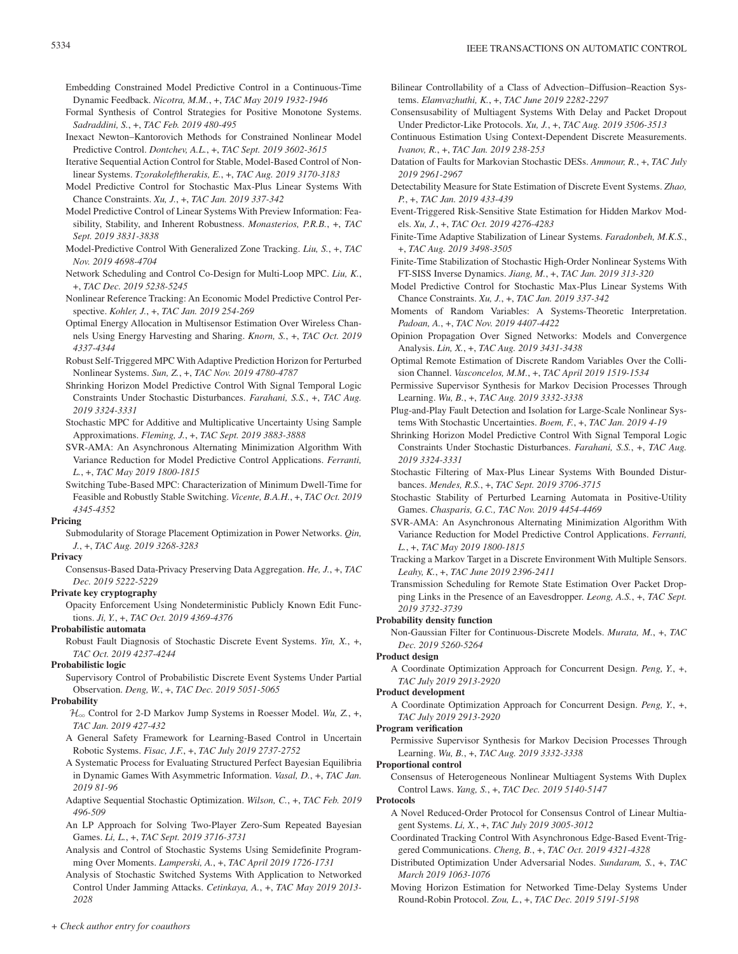- Embedding Constrained Model Predictive Control in a Continuous-Time Dynamic Feedback. *Nicotra, M.M.*, +, *TAC May 2019 1932-1946*
- Formal Synthesis of Control Strategies for Positive Monotone Systems. *Sadraddini, S.*, +, *TAC Feb. 2019 480-495*
- Inexact Newton–Kantorovich Methods for Constrained Nonlinear Model Predictive Control. *Dontchev, A.L.*, +, *TAC Sept. 2019 3602-3615*
- Iterative Sequential Action Control for Stable, Model-Based Control of Nonlinear Systems. *Tzorakoleftherakis, E.*, +, *TAC Aug. 2019 3170-3183*
- Model Predictive Control for Stochastic Max-Plus Linear Systems With Chance Constraints. *Xu, J.*, +, *TAC Jan. 2019 337-342*
- Model Predictive Control of Linear Systems With Preview Information: Feasibility, Stability, and Inherent Robustness. *Monasterios, P.R.B.*, +, *TAC Sept. 2019 3831-3838*
- Model-Predictive Control With Generalized Zone Tracking. *Liu, S.*, +, *TAC Nov. 2019 4698-4704*
- Network Scheduling and Control Co-Design for Multi-Loop MPC. *Liu, K.*, +, *TAC Dec. 2019 5238-5245*
- Nonlinear Reference Tracking: An Economic Model Predictive Control Perspective. *Kohler, J.*, +, *TAC Jan. 2019 254-269*
- Optimal Energy Allocation in Multisensor Estimation Over Wireless Channels Using Energy Harvesting and Sharing. *Knorn, S.*, +, *TAC Oct. 2019 4337-4344*
- Robust Self-Triggered MPC With Adaptive Prediction Horizon for Perturbed Nonlinear Systems. *Sun, Z.*, +, *TAC Nov. 2019 4780-4787*
- Shrinking Horizon Model Predictive Control With Signal Temporal Logic Constraints Under Stochastic Disturbances. *Farahani, S.S.*, +, *TAC Aug. 2019 3324-3331*
- Stochastic MPC for Additive and Multiplicative Uncertainty Using Sample Approximations. *Fleming, J.*, +, *TAC Sept. 2019 3883-3888*
- SVR-AMA: An Asynchronous Alternating Minimization Algorithm With Variance Reduction for Model Predictive Control Applications. *Ferranti, L.*, +, *TAC May 2019 1800-1815*
- Switching Tube-Based MPC: Characterization of Minimum Dwell-Time for Feasible and Robustly Stable Switching. *Vicente, B.A.H.*, +, *TAC Oct. 2019 4345-4352*

# **Pricing**

Submodularity of Storage Placement Optimization in Power Networks. *Qin, J.*, +, *TAC Aug. 2019 3268-3283*

# **Privacy**

Consensus-Based Data-Privacy Preserving Data Aggregation. *He, J.*, +, *TAC Dec. 2019 5222-5229*

# **Private key cryptography**

Opacity Enforcement Using Nondeterministic Publicly Known Edit Functions. *Ji, Y.*, +, *TAC Oct. 2019 4369-4376*

# **Probabilistic automata**

Robust Fault Diagnosis of Stochastic Discrete Event Systems. *Yin, X.*, +, *TAC Oct. 2019 4237-4244*

# **Probabilistic logic**

Supervisory Control of Probabilistic Discrete Event Systems Under Partial Observation. *Deng, W.*, +, *TAC Dec. 2019 5051-5065*

### **Probability**

- H3 Control for 2-D Markov Jump Systems in Roesser Model. *Wu, Z.*, +, *TAC Jan. 2019 427-432*
- A General Safety Framework for Learning-Based Control in Uncertain Robotic Systems. *Fisac, J.F.*, +, *TAC July 2019 2737-2752*
- A Systematic Process for Evaluating Structured Perfect Bayesian Equilibria in Dynamic Games With Asymmetric Information. *Vasal, D.*, +, *TAC Jan. 2019 81-96*
- Adaptive Sequential Stochastic Optimization. *Wilson, C.*, +, *TAC Feb. 2019 496-509*
- An LP Approach for Solving Two-Player Zero-Sum Repeated Bayesian Games. *Li, L.*, +, *TAC Sept. 2019 3716-3731*
- Analysis and Control of Stochastic Systems Using Semidefinite Programming Over Moments. *Lamperski, A.*, +, *TAC April 2019 1726-1731*
- Analysis of Stochastic Switched Systems With Application to Networked Control Under Jamming Attacks. *Cetinkaya, A.*, +, *TAC May 2019 2013- 2028*
- Bilinear Controllability of a Class of Advection–Diffusion–Reaction Systems. *Elamvazhuthi, K.*, +, *TAC June 2019 2282-2297*
- Consensusability of Multiagent Systems With Delay and Packet Dropout Under Predictor-Like Protocols. *Xu, J.*, +, *TAC Aug. 2019 3506-3513*
- Continuous Estimation Using Context-Dependent Discrete Measurements. *Ivanov, R.*, +, *TAC Jan. 2019 238-253*
- Datation of Faults for Markovian Stochastic DESs. *Ammour, R.*, +, *TAC July 2019 2961-2967*
- Detectability Measure for State Estimation of Discrete Event Systems. *Zhao, P.*, +, *TAC Jan. 2019 433-439*
- Event-Triggered Risk-Sensitive State Estimation for Hidden Markov Models. *Xu, J.*, +, *TAC Oct. 2019 4276-4283*
- Finite-Time Adaptive Stabilization of Linear Systems. *Faradonbeh, M.K.S.*, +, *TAC Aug. 2019 3498-3505*
- Finite-Time Stabilization of Stochastic High-Order Nonlinear Systems With FT-SISS Inverse Dynamics. *Jiang, M.*, +, *TAC Jan. 2019 313-320*
- Model Predictive Control for Stochastic Max-Plus Linear Systems With Chance Constraints. *Xu, J.*, +, *TAC Jan. 2019 337-342*
- Moments of Random Variables: A Systems-Theoretic Interpretation. *Padoan, A.*, +, *TAC Nov. 2019 4407-4422*
- Opinion Propagation Over Signed Networks: Models and Convergence Analysis. *Lin, X.*, +, *TAC Aug. 2019 3431-3438*
- Optimal Remote Estimation of Discrete Random Variables Over the Collision Channel. *Vasconcelos, M.M.*, +, *TAC April 2019 1519-1534*
- Permissive Supervisor Synthesis for Markov Decision Processes Through Learning. *Wu, B.*, +, *TAC Aug. 2019 3332-3338*
- Plug-and-Play Fault Detection and Isolation for Large-Scale Nonlinear Systems With Stochastic Uncertainties. *Boem, F.*, +, *TAC Jan. 2019 4-19*
- Shrinking Horizon Model Predictive Control With Signal Temporal Logic Constraints Under Stochastic Disturbances. *Farahani, S.S.*, +, *TAC Aug. 2019 3324-3331*
- Stochastic Filtering of Max-Plus Linear Systems With Bounded Disturbances. *Mendes, R.S.*, +, *TAC Sept. 2019 3706-3715*
- Stochastic Stability of Perturbed Learning Automata in Positive-Utility Games. *Chasparis, G.C., TAC Nov. 2019 4454-4469*
- SVR-AMA: An Asynchronous Alternating Minimization Algorithm With Variance Reduction for Model Predictive Control Applications. *Ferranti, L.*, +, *TAC May 2019 1800-1815*
- Tracking a Markov Target in a Discrete Environment With Multiple Sensors. *Leahy, K.*, +, *TAC June 2019 2396-2411*
- Transmission Scheduling for Remote State Estimation Over Packet Dropping Links in the Presence of an Eavesdropper. *Leong, A.S.*, +, *TAC Sept. 2019 3732-3739*

# **Probability density function**

Non-Gaussian Filter for Continuous-Discrete Models. *Murata, M.*, +, *TAC Dec. 2019 5260-5264*

### **Product design**

A Coordinate Optimization Approach for Concurrent Design. *Peng, Y.*, +, *TAC July 2019 2913-2920*

# **Product development**

A Coordinate Optimization Approach for Concurrent Design. *Peng, Y.*, +, *TAC July 2019 2913-2920*

### **Program verification**

Permissive Supervisor Synthesis for Markov Decision Processes Through Learning. *Wu, B.*, +, *TAC Aug. 2019 3332-3338*

# **Proportional control**

Consensus of Heterogeneous Nonlinear Multiagent Systems With Duplex Control Laws. *Yang, S.*, +, *TAC Dec. 2019 5140-5147*

### **Protocols**

- A Novel Reduced-Order Protocol for Consensus Control of Linear Multiagent Systems. *Li, X.*, +, *TAC July 2019 3005-3012*
- Coordinated Tracking Control With Asynchronous Edge-Based Event-Triggered Communications. *Cheng, B.*, +, *TAC Oct. 2019 4321-4328*
- Distributed Optimization Under Adversarial Nodes. *Sundaram, S.*, +, *TAC March 2019 1063-1076*
- Moving Horizon Estimation for Networked Time-Delay Systems Under Round-Robin Protocol. *Zou, L.*, +, *TAC Dec. 2019 5191-5198*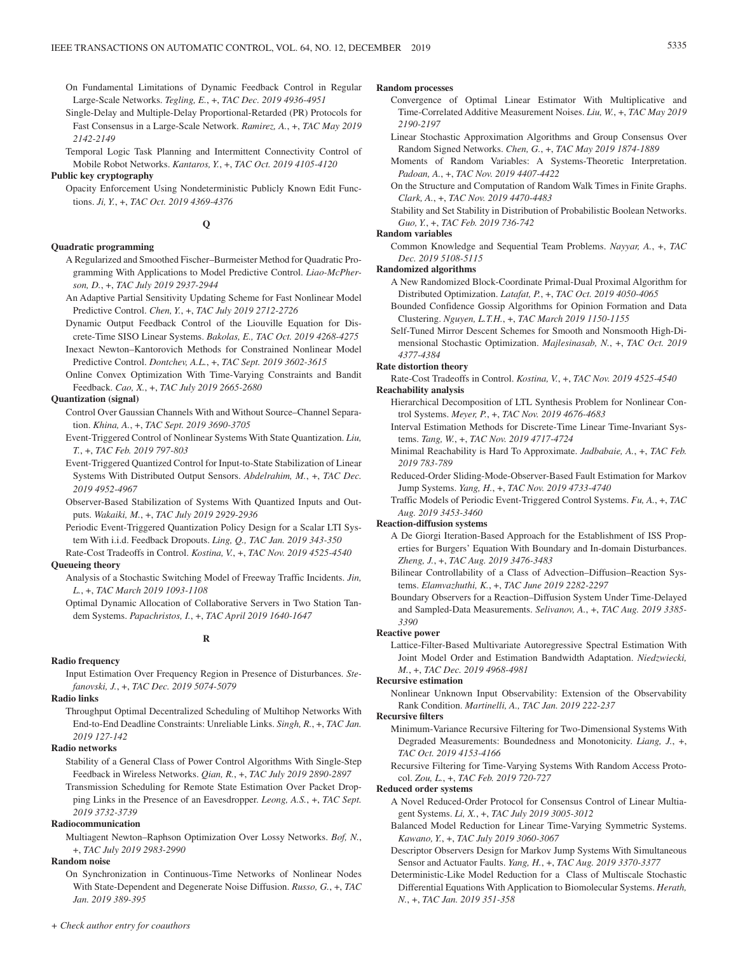- On Fundamental Limitations of Dynamic Feedback Control in Regular Large-Scale Networks. *Tegling, E.*, +, *TAC Dec. 2019 4936-4951*
- Single-Delay and Multiple-Delay Proportional-Retarded (PR) Protocols for Fast Consensus in a Large-Scale Network. *Ramirez, A.*, +, *TAC May 2019 2142-2149*
- Temporal Logic Task Planning and Intermittent Connectivity Control of Mobile Robot Networks. *Kantaros, Y.*, +, *TAC Oct. 2019 4105-4120*

# **Public key cryptography**

Opacity Enforcement Using Nondeterministic Publicly Known Edit Functions. *Ji, Y.*, +, *TAC Oct. 2019 4369-4376*

**Q**

# **Quadratic programming**

- A Regularized and Smoothed Fischer–Burmeister Method for Quadratic Programming With Applications to Model Predictive Control. *Liao-McPherson, D.*, +, *TAC July 2019 2937-2944*
- An Adaptive Partial Sensitivity Updating Scheme for Fast Nonlinear Model Predictive Control. *Chen, Y.*, +, *TAC July 2019 2712-2726*
- Dynamic Output Feedback Control of the Liouville Equation for Discrete-Time SISO Linear Systems. *Bakolas, E., TAC Oct. 2019 4268-4275*

Inexact Newton–Kantorovich Methods for Constrained Nonlinear Model Predictive Control. *Dontchev, A.L.*, +, *TAC Sept. 2019 3602-3615*

Online Convex Optimization With Time-Varying Constraints and Bandit Feedback. *Cao, X.*, +, *TAC July 2019 2665-2680*

#### **Quantization (signal)**

- Control Over Gaussian Channels With and Without Source–Channel Separation. *Khina, A.*, +, *TAC Sept. 2019 3690-3705*
- Event-Triggered Control of Nonlinear Systems With State Quantization. *Liu, T.*, +, *TAC Feb. 2019 797-803*
- Event-Triggered Quantized Control for Input-to-State Stabilization of Linear Systems With Distributed Output Sensors. *Abdelrahim, M.*, +, *TAC Dec. 2019 4952-4967*
- Observer-Based Stabilization of Systems With Quantized Inputs and Outputs. *Wakaiki, M.*, +, *TAC July 2019 2929-2936*
- Periodic Event-Triggered Quantization Policy Design for a Scalar LTI System With i.i.d. Feedback Dropouts. *Ling, Q., TAC Jan. 2019 343-350*
- Rate-Cost Tradeoffs in Control. *Kostina, V.*, +, *TAC Nov. 2019 4525-4540* **Queueing theory**
	- Analysis of a Stochastic Switching Model of Freeway Traffic Incidents. *Jin, L.*, +, *TAC March 2019 1093-1108*
	- Optimal Dynamic Allocation of Collaborative Servers in Two Station Tandem Systems. *Papachristos, I.*, +, *TAC April 2019 1640-1647*

# **R**

# **Radio frequency**

Input Estimation Over Frequency Region in Presence of Disturbances. *Stefanovski, J.*, +, *TAC Dec. 2019 5074-5079*

# **Radio links**

Throughput Optimal Decentralized Scheduling of Multihop Networks With End-to-End Deadline Constraints: Unreliable Links. *Singh, R.*, +, *TAC Jan. 2019 127-142*

#### **Radio networks**

Stability of a General Class of Power Control Algorithms With Single-Step Feedback in Wireless Networks. *Qian, R.*, +, *TAC July 2019 2890-2897*

Transmission Scheduling for Remote State Estimation Over Packet Dropping Links in the Presence of an Eavesdropper. *Leong, A.S.*, +, *TAC Sept. 2019 3732-3739*

# **Radiocommunication**

Multiagent Newton–Raphson Optimization Over Lossy Networks. *Bof, N.*, +, *TAC July 2019 2983-2990*

# **Random noise**

On Synchronization in Continuous-Time Networks of Nonlinear Nodes With State-Dependent and Degenerate Noise Diffusion. *Russo, G.*, +, *TAC Jan. 2019 389-395*

#### **Random processes**

- Convergence of Optimal Linear Estimator With Multiplicative and Time-Correlated Additive Measurement Noises. *Liu, W.*, +, *TAC May 2019 2190-2197*
- Linear Stochastic Approximation Algorithms and Group Consensus Over Random Signed Networks. *Chen, G.*, +, *TAC May 2019 1874-1889*
- Moments of Random Variables: A Systems-Theoretic Interpretation. *Padoan, A.*, +, *TAC Nov. 2019 4407-4422*
- On the Structure and Computation of Random Walk Times in Finite Graphs. *Clark, A.*, +, *TAC Nov. 2019 4470-4483*
- Stability and Set Stability in Distribution of Probabilistic Boolean Networks. *Guo, Y.*, +, *TAC Feb. 2019 736-742*

#### **Random variables**

Common Knowledge and Sequential Team Problems. *Nayyar, A.*, +, *TAC Dec. 2019 5108-5115*

#### **Randomized algorithms**

- A New Randomized Block-Coordinate Primal-Dual Proximal Algorithm for Distributed Optimization. *Latafat, P.*, +, *TAC Oct. 2019 4050-4065*
- Bounded Confidence Gossip Algorithms for Opinion Formation and Data Clustering. *Nguyen, L.T.H.*, +, *TAC March 2019 1150-1155*
- Self-Tuned Mirror Descent Schemes for Smooth and Nonsmooth High-Dimensional Stochastic Optimization. *Majlesinasab, N.*, +, *TAC Oct. 2019 4377-4384*

### **Rate distortion theory**

- Rate-Cost Tradeoffs in Control. *Kostina, V.*, +, *TAC Nov. 2019 4525-4540* **Reachability analysis**
	- Hierarchical Decomposition of LTL Synthesis Problem for Nonlinear Control Systems. *Meyer, P.*, +, *TAC Nov. 2019 4676-4683*
	- Interval Estimation Methods for Discrete-Time Linear Time-Invariant Systems. *Tang, W.*, +, *TAC Nov. 2019 4717-4724*
	- Minimal Reachability is Hard To Approximate. *Jadbabaie, A.*, +, *TAC Feb. 2019 783-789*
	- Reduced-Order Sliding-Mode-Observer-Based Fault Estimation for Markov Jump Systems. *Yang, H.*, +, *TAC Nov. 2019 4733-4740*
	- Traffic Models of Periodic Event-Triggered Control Systems. *Fu, A.*, +, *TAC Aug. 2019 3453-3460*

#### **Reaction-diffusion systems**

- A De Giorgi Iteration-Based Approach for the Establishment of ISS Properties for Burgers' Equation With Boundary and In-domain Disturbances. *Zheng, J.*, +, *TAC Aug. 2019 3476-3483*
- Bilinear Controllability of a Class of Advection–Diffusion–Reaction Systems. *Elamvazhuthi, K.*, +, *TAC June 2019 2282-2297*

Boundary Observers for a Reaction–Diffusion System Under Time-Delayed and Sampled-Data Measurements. *Selivanov, A.*, +, *TAC Aug. 2019 3385- 3390*

#### **Reactive power**

Lattice-Filter-Based Multivariate Autoregressive Spectral Estimation With Joint Model Order and Estimation Bandwidth Adaptation. *Niedzwiecki, M.*, +, *TAC Dec. 2019 4968-4981*

### **Recursive estimation**

Nonlinear Unknown Input Observability: Extension of the Observability Rank Condition. *Martinelli, A., TAC Jan. 2019 222-237*

# **Recursive filters**

- Minimum-Variance Recursive Filtering for Two-Dimensional Systems With Degraded Measurements: Boundedness and Monotonicity. *Liang, J.*, +, *TAC Oct. 2019 4153-4166*
- Recursive Filtering for Time-Varying Systems With Random Access Protocol. *Zou, L.*, +, *TAC Feb. 2019 720-727*

#### **Reduced order systems**

- A Novel Reduced-Order Protocol for Consensus Control of Linear Multiagent Systems. *Li, X.*, +, *TAC July 2019 3005-3012*
- Balanced Model Reduction for Linear Time-Varying Symmetric Systems. *Kawano, Y.*, +, *TAC July 2019 3060-3067*
- Descriptor Observers Design for Markov Jump Systems With Simultaneous Sensor and Actuator Faults. *Yang, H.*, +, *TAC Aug. 2019 3370-3377*
- Deterministic-Like Model Reduction for a Class of Multiscale Stochastic Differential Equations With Application to Biomolecular Systems. *Herath, N.*, +, *TAC Jan. 2019 351-358*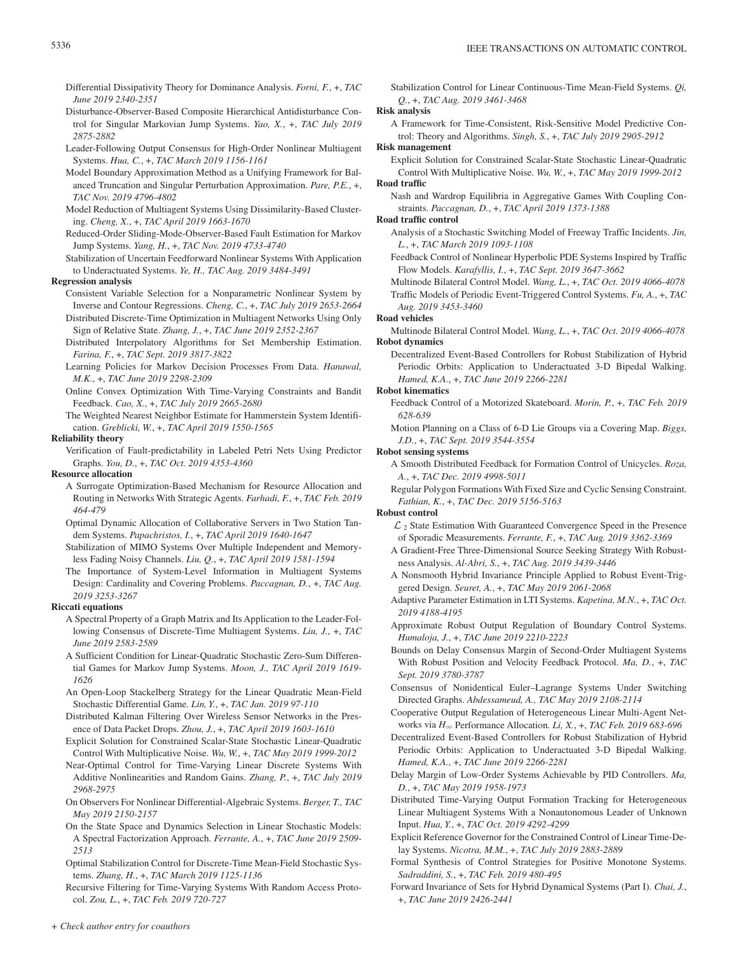- Differential Dissipativity Theory for Dominance Analysis. *Forni, F.*, +, *TAC June 2019 2340-2351*
- Disturbance-Observer-Based Composite Hierarchical Antidisturbance Control for Singular Markovian Jump Systems. *Yao, X.*, +, *TAC July 2019 2875-2882*
- Leader-Following Output Consensus for High-Order Nonlinear Multiagent Systems. *Hua, C.*, +, *TAC March 2019 1156-1161*
- Model Boundary Approximation Method as a Unifying Framework for Balanced Truncation and Singular Perturbation Approximation. *Pare, P.E.*, +, *TAC Nov. 2019 4796-4802*
- Model Reduction of Multiagent Systems Using Dissimilarity-Based Clustering. *Cheng, X.*, +, *TAC April 2019 1663-1670*
- Reduced-Order Sliding-Mode-Observer-Based Fault Estimation for Markov Jump Systems. *Yang, H.*, +, *TAC Nov. 2019 4733-4740*
- Stabilization of Uncertain Feedforward Nonlinear Systems With Application to Underactuated Systems. *Ye, H., TAC Aug. 2019 3484-3491*

# **Regression analysis**

- Consistent Variable Selection for a Nonparametric Nonlinear System by Inverse and Contour Regressions. *Cheng, C.*, +, *TAC July 2019 2653-2664* Distributed Discrete-Time Optimization in Multiagent Networks Using Only
- Sign of Relative State. *Zhang, J.*, +, *TAC June 2019 2352-2367*
- Distributed Interpolatory Algorithms for Set Membership Estimation. *Farina, F.*, +, *TAC Sept. 2019 3817-3822*
- Learning Policies for Markov Decision Processes From Data. *Hanawal, M.K.*, +, *TAC June 2019 2298-2309*
- Online Convex Optimization With Time-Varying Constraints and Bandit Feedback. *Cao, X.*, +, *TAC July 2019 2665-2680*
- The Weighted Nearest Neighbor Estimate for Hammerstein System Identification. *Greblicki, W.*, +, *TAC April 2019 1550-1565*

# **Reliability theory**

Verification of Fault-predictability in Labeled Petri Nets Using Predictor Graphs. *You, D.*, +, *TAC Oct. 2019 4353-4360*

#### **Resource allocation**

- A Surrogate Optimization-Based Mechanism for Resource Allocation and Routing in Networks With Strategic Agents. *Farhadi, F.*, +, *TAC Feb. 2019 464-479*
- Optimal Dynamic Allocation of Collaborative Servers in Two Station Tandem Systems. *Papachristos, I.*, +, *TAC April 2019 1640-1647*
- Stabilization of MIMO Systems Over Multiple Independent and Memoryless Fading Noisy Channels. *Liu, Q.*, +, *TAC April 2019 1581-1594*
- The Importance of System-Level Information in Multiagent Systems Design: Cardinality and Covering Problems. *Paccagnan, D.*, +, *TAC Aug. 2019 3253-3267*

#### **Riccati equations**

- A Spectral Property of a Graph Matrix and Its Application to the Leader-Following Consensus of Discrete-Time Multiagent Systems. *Liu, J.*, +, *TAC June 2019 2583-2589*
- A Sufficient Condition for Linear-Quadratic Stochastic Zero-Sum Differential Games for Markov Jump Systems. *Moon, J., TAC April 2019 1619- 1626*
- An Open-Loop Stackelberg Strategy for the Linear Quadratic Mean-Field Stochastic Differential Game. *Lin, Y.*, +, *TAC Jan. 2019 97-110*
- Distributed Kalman Filtering Over Wireless Sensor Networks in the Presence of Data Packet Drops. *Zhou, J.*, +, *TAC April 2019 1603-1610*
- Explicit Solution for Constrained Scalar-State Stochastic Linear-Quadratic Control With Multiplicative Noise. *Wu, W.*, +, *TAC May 2019 1999-2012*
- Near-Optimal Control for Time-Varying Linear Discrete Systems With Additive Nonlinearities and Random Gains. *Zhang, P.*, +, *TAC July 2019 2968-2975*
- On Observers For Nonlinear Differential-Algebraic Systems. *Berger, T., TAC May 2019 2150-2157*
- On the State Space and Dynamics Selection in Linear Stochastic Models: A Spectral Factorization Approach. *Ferrante, A.*, +, *TAC June 2019 2509- 2513*
- Optimal Stabilization Control for Discrete-Time Mean-Field Stochastic Systems. *Zhang, H.*, +, *TAC March 2019 1125-1136*

Recursive Filtering for Time-Varying Systems With Random Access Protocol. *Zou, L.*, +, *TAC Feb. 2019 720-727*

Stabilization Control for Linear Continuous-Time Mean-Field Systems. *Qi, Q.*, +, *TAC Aug. 2019 3461-3468*

# **Risk analysis**

A Framework for Time-Consistent, Risk-Sensitive Model Predictive Control: Theory and Algorithms. *Singh, S.*, +, *TAC July 2019 2905-2912*

### **Risk management**

Explicit Solution for Constrained Scalar-State Stochastic Linear-Quadratic Control With Multiplicative Noise. *Wu, W.*, +, *TAC May 2019 1999-2012* **Road traffic**

Nash and Wardrop Equilibria in Aggregative Games With Coupling Constraints. *Paccagnan, D.*, +, *TAC April 2019 1373-1388*

# **Road traffic control**

- Analysis of a Stochastic Switching Model of Freeway Traffic Incidents. *Jin, L.*, +, *TAC March 2019 1093-1108*
- Feedback Control of Nonlinear Hyperbolic PDE Systems Inspired by Traffic Flow Models. *Karafyllis, I.*, +, *TAC Sept. 2019 3647-3662*

Multinode Bilateral Control Model. *Wang, L.*, +, *TAC Oct. 2019 4066-4078* Traffic Models of Periodic Event-Triggered Control Systems. *Fu, A.*, +, *TAC Aug. 2019 3453-3460*

#### **Road vehicles**

Multinode Bilateral Control Model. *Wang, L.*, +, *TAC Oct. 2019 4066-4078* **Robot dynamics**

Decentralized Event-Based Controllers for Robust Stabilization of Hybrid Periodic Orbits: Application to Underactuated 3-D Bipedal Walking. *Hamed, K.A.*, +, *TAC June 2019 2266-2281*

#### **Robot kinematics**

- Feedback Control of a Motorized Skateboard. *Morin, P.*, +, *TAC Feb. 2019 628-639*
- Motion Planning on a Class of 6-D Lie Groups via a Covering Map. *Biggs, J.D.*, +, *TAC Sept. 2019 3544-3554*

# **Robot sensing systems**

- A Smooth Distributed Feedback for Formation Control of Unicycles. *Roza, A.*, +, *TAC Dec. 2019 4998-5011*
- Regular Polygon Formations With Fixed Size and Cyclic Sensing Constraint. *Fathian, K.*, +, *TAC Dec. 2019 5156-5163*

# **Robust control**

- $\mathcal{L}_2$  State Estimation With Guaranteed Convergence Speed in the Presence of Sporadic Measurements. *Ferrante, F.*, +, *TAC Aug. 2019 3362-3369*
- A Gradient-Free Three-Dimensional Source Seeking Strategy With Robustness Analysis. *Al-Abri, S.*, +, *TAC Aug. 2019 3439-3446*
- A Nonsmooth Hybrid Invariance Principle Applied to Robust Event-Triggered Design. *Seuret, A.*, +, *TAC May 2019 2061-2068*
- Adaptive Parameter Estimation in LTI Systems. *Kapetina, M.N.*, +, *TAC Oct. 2019 4188-4195*
- Approximate Robust Output Regulation of Boundary Control Systems. *Humaloja, J.*, +, *TAC June 2019 2210-2223*
- Bounds on Delay Consensus Margin of Second-Order Multiagent Systems With Robust Position and Velocity Feedback Protocol. *Ma, D.*, +, *TAC Sept. 2019 3780-3787*
- Consensus of Nonidentical Euler–Lagrange Systems Under Switching Directed Graphs. *Abdessameud, A., TAC May 2019 2108-2114*
- Cooperative Output Regulation of Heterogeneous Linear Multi-Agent Networks via *H*3 Performance Allocation. *Li, X.*, +, *TAC Feb. 2019 683-696*
- Decentralized Event-Based Controllers for Robust Stabilization of Hybrid Periodic Orbits: Application to Underactuated 3-D Bipedal Walking. *Hamed, K.A.*, +, *TAC June 2019 2266-2281*
- Delay Margin of Low-Order Systems Achievable by PID Controllers. *Ma, D.*, +, *TAC May 2019 1958-1973*
- Distributed Time-Varying Output Formation Tracking for Heterogeneous Linear Multiagent Systems With a Nonautonomous Leader of Unknown Input. *Hua, Y.*, +, *TAC Oct. 2019 4292-4299*
- Explicit Reference Governor for the Constrained Control of Linear Time-Delay Systems. *Nicotra, M.M.*, +, *TAC July 2019 2883-2889*
- Formal Synthesis of Control Strategies for Positive Monotone Systems. *Sadraddini, S.*, +, *TAC Feb. 2019 480-495*
- Forward Invariance of Sets for Hybrid Dynamical Systems (Part I). *Chai, J.*, +, *TAC June 2019 2426-2441*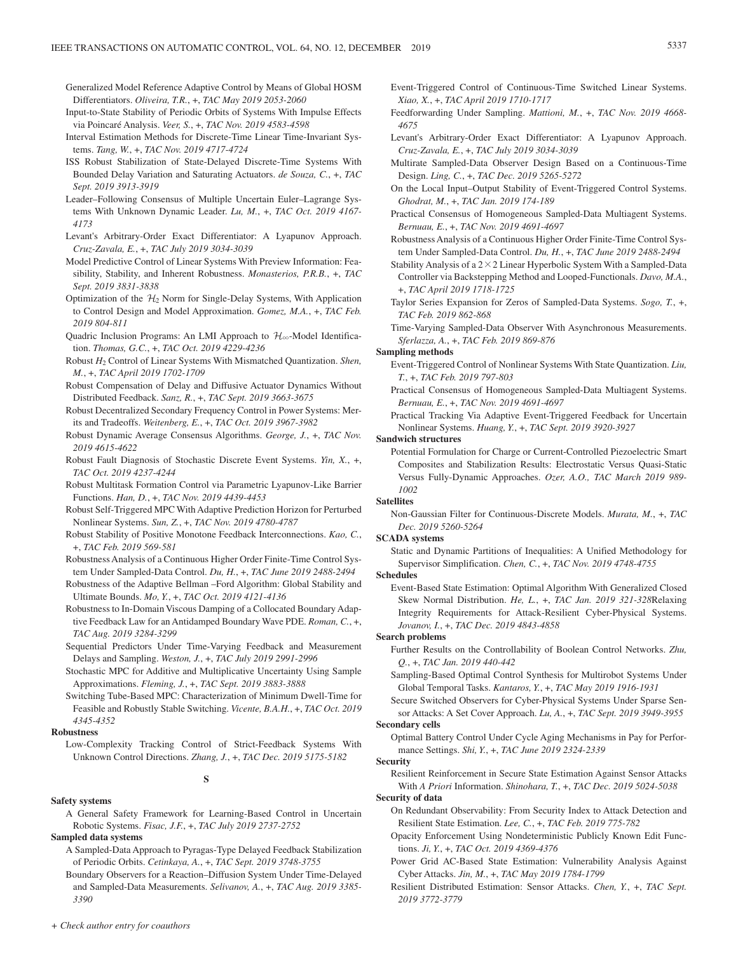- Generalized Model Reference Adaptive Control by Means of Global HOSM Differentiators. *Oliveira, T.R.*, +, *TAC May 2019 2053-2060*
- Input-to-State Stability of Periodic Orbits of Systems With Impulse Effects via Poincaré Analysis. *Veer, S.*, +, *TAC Nov. 2019 4583-4598*
- Interval Estimation Methods for Discrete-Time Linear Time-Invariant Systems. *Tang, W.*, +, *TAC Nov. 2019 4717-4724*
- ISS Robust Stabilization of State-Delayed Discrete-Time Systems With Bounded Delay Variation and Saturating Actuators. *de Souza, C.*, +, *TAC Sept. 2019 3913-3919*
- Leader–Following Consensus of Multiple Uncertain Euler–Lagrange Systems With Unknown Dynamic Leader. *Lu, M.*, +, *TAC Oct. 2019 4167- 4173*
- Levant's Arbitrary-Order Exact Differentiator: A Lyapunov Approach. *Cruz-Zavala, E.*, +, *TAC July 2019 3034-3039*
- Model Predictive Control of Linear Systems With Preview Information: Feasibility, Stability, and Inherent Robustness. *Monasterios, P.R.B.*, +, *TAC Sept. 2019 3831-3838*
- Optimization of the  $H_2$  Norm for Single-Delay Systems, With Application to Control Design and Model Approximation. *Gomez, M.A.*, +, *TAC Feb. 2019 804-811*
- Quadric Inclusion Programs: An LMI Approach to  $\mathcal{H}_{\infty}$ -Model Identification. *Thomas, G.C.*, +, *TAC Oct. 2019 4229-4236*
- Robust *H*2 Control of Linear Systems With Mismatched Quantization. *Shen, M.*, +, *TAC April 2019 1702-1709*
- Robust Compensation of Delay and Diffusive Actuator Dynamics Without Distributed Feedback. *Sanz, R.*, +, *TAC Sept. 2019 3663-3675*
- Robust Decentralized Secondary Frequency Control in Power Systems: Merits and Tradeoffs. *Weitenberg, E.*, +, *TAC Oct. 2019 3967-3982*
- Robust Dynamic Average Consensus Algorithms. *George, J.*, +, *TAC Nov. 2019 4615-4622*
- Robust Fault Diagnosis of Stochastic Discrete Event Systems. *Yin, X.*, +, *TAC Oct. 2019 4237-4244*
- Robust Multitask Formation Control via Parametric Lyapunov-Like Barrier Functions. *Han, D.*, +, *TAC Nov. 2019 4439-4453*
- Robust Self-Triggered MPC With Adaptive Prediction Horizon for Perturbed Nonlinear Systems. *Sun, Z.*, +, *TAC Nov. 2019 4780-4787*
- Robust Stability of Positive Monotone Feedback Interconnections. *Kao, C.*, +, *TAC Feb. 2019 569-581*
- Robustness Analysis of a Continuous Higher Order Finite-Time Control System Under Sampled-Data Control. *Du, H.*, +, *TAC June 2019 2488-2494*
- Robustness of the Adaptive Bellman –Ford Algorithm: Global Stability and Ultimate Bounds. *Mo, Y.*, +, *TAC Oct. 2019 4121-4136*
- Robustness to In-Domain Viscous Damping of a Collocated Boundary Adaptive Feedback Law for an Antidamped Boundary Wave PDE. *Roman, C.*, +, *TAC Aug. 2019 3284-3299*
- Sequential Predictors Under Time-Varying Feedback and Measurement Delays and Sampling. *Weston, J.*, +, *TAC July 2019 2991-2996*
- Stochastic MPC for Additive and Multiplicative Uncertainty Using Sample Approximations. *Fleming, J.*, +, *TAC Sept. 2019 3883-3888*
- Switching Tube-Based MPC: Characterization of Minimum Dwell-Time for Feasible and Robustly Stable Switching. *Vicente, B.A.H.*, +, *TAC Oct. 2019 4345-4352*

#### **Robustness**

Low-Complexity Tracking Control of Strict-Feedback Systems With Unknown Control Directions. *Zhang, J.*, +, *TAC Dec. 2019 5175-5182*

# **S**

### **Safety systems**

A General Safety Framework for Learning-Based Control in Uncertain Robotic Systems. *Fisac, J.F.*, +, *TAC July 2019 2737-2752*

#### **Sampled data systems**

- A Sampled-Data Approach to Pyragas-Type Delayed Feedback Stabilization of Periodic Orbits. *Cetinkaya, A.*, +, *TAC Sept. 2019 3748-3755*
- Boundary Observers for a Reaction–Diffusion System Under Time-Delayed and Sampled-Data Measurements. *Selivanov, A.*, +, *TAC Aug. 2019 3385- 3390*
- Event-Triggered Control of Continuous-Time Switched Linear Systems. *Xiao, X.*, +, *TAC April 2019 1710-1717*
- Feedforwarding Under Sampling. *Mattioni, M.*, +, *TAC Nov. 2019 4668- 4675*
- Levant's Arbitrary-Order Exact Differentiator: A Lyapunov Approach. *Cruz-Zavala, E.*, +, *TAC July 2019 3034-3039*
- Multirate Sampled-Data Observer Design Based on a Continuous-Time Design. *Ling, C.*, +, *TAC Dec. 2019 5265-5272*
- On the Local Input–Output Stability of Event-Triggered Control Systems. *Ghodrat, M.*, +, *TAC Jan. 2019 174-189*
- Practical Consensus of Homogeneous Sampled-Data Multiagent Systems. *Bernuau, E.*, +, *TAC Nov. 2019 4691-4697*
- Robustness Analysis of a Continuous Higher Order Finite-Time Control System Under Sampled-Data Control. *Du, H.*, +, *TAC June 2019 2488-2494*
- Stability Analysis of a  $2 \times 2$  Linear Hyperbolic System With a Sampled-Data Controller via Backstepping Method and Looped-Functionals. *Davo, M.A.*, +, *TAC April 2019 1718-1725*
- Taylor Series Expansion for Zeros of Sampled-Data Systems. *Sogo, T.*, +, *TAC Feb. 2019 862-868*
- Time-Varying Sampled-Data Observer With Asynchronous Measurements. *Sferlazza, A.*, +, *TAC Feb. 2019 869-876*

# **Sampling methods**

- Event-Triggered Control of Nonlinear Systems With State Quantization. *Liu, T.*, +, *TAC Feb. 2019 797-803*
- Practical Consensus of Homogeneous Sampled-Data Multiagent Systems. *Bernuau, E.*, +, *TAC Nov. 2019 4691-4697*
- Practical Tracking Via Adaptive Event-Triggered Feedback for Uncertain Nonlinear Systems. *Huang, Y.*, +, *TAC Sept. 2019 3920-3927*

# **Sandwich structures**

Potential Formulation for Charge or Current-Controlled Piezoelectric Smart Composites and Stabilization Results: Electrostatic Versus Quasi-Static Versus Fully-Dynamic Approaches. *Ozer, A.O., TAC March 2019 989- 1002*

# **Satellites**

Non-Gaussian Filter for Continuous-Discrete Models. *Murata, M.*, +, *TAC Dec. 2019 5260-5264*

#### **SCADA systems**

Static and Dynamic Partitions of Inequalities: A Unified Methodology for Supervisor Simplification. *Chen, C.*, +, *TAC Nov. 2019 4748-4755*

#### **Schedules**

Event-Based State Estimation: Optimal Algorithm With Generalized Closed Skew Normal Distribution. *He, L.*, +, *TAC Jan. 2019 321-328*Relaxing Integrity Requirements for Attack-Resilient Cyber-Physical Systems. *Jovanov, I.*, +, *TAC Dec. 2019 4843-4858*

#### **Search problems**

- Further Results on the Controllability of Boolean Control Networks. *Zhu, Q.*, +, *TAC Jan. 2019 440-442*
- Sampling-Based Optimal Control Synthesis for Multirobot Systems Under Global Temporal Tasks. *Kantaros, Y.*, +, *TAC May 2019 1916-1931*
- Secure Switched Observers for Cyber-Physical Systems Under Sparse Sensor Attacks: A Set Cover Approach. *Lu, A.*, +, *TAC Sept. 2019 3949-3955* **Secondary cells**

Optimal Battery Control Under Cycle Aging Mechanisms in Pay for Performance Settings. *Shi, Y.*, +, *TAC June 2019 2324-2339*

# **Security**

Resilient Reinforcement in Secure State Estimation Against Sensor Attacks With *A Priori* Information. *Shinohara, T.*, +, *TAC Dec. 2019 5024-5038*

# **Security of data**

- On Redundant Observability: From Security Index to Attack Detection and Resilient State Estimation. *Lee, C.*, +, *TAC Feb. 2019 775-782*
- Opacity Enforcement Using Nondeterministic Publicly Known Edit Functions. *Ji, Y.*, +, *TAC Oct. 2019 4369-4376*
- Power Grid AC-Based State Estimation: Vulnerability Analysis Against Cyber Attacks. *Jin, M.*, +, *TAC May 2019 1784-1799*
- Resilient Distributed Estimation: Sensor Attacks. *Chen, Y.*, +, *TAC Sept. 2019 3772-3779*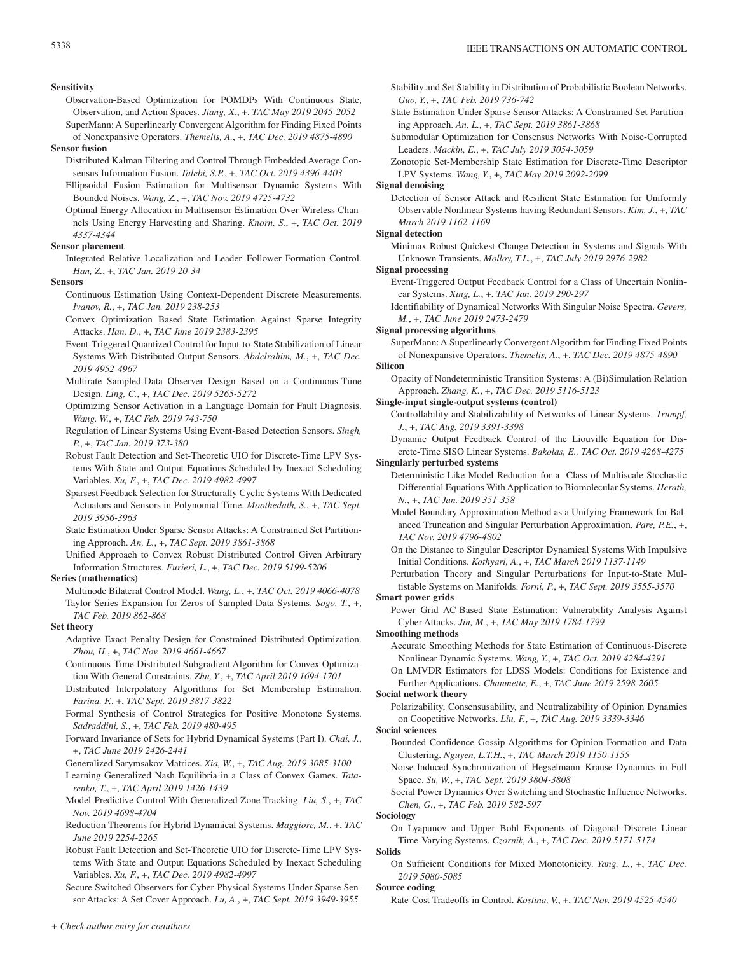#### **Sensitivity**

- Observation-Based Optimization for POMDPs With Continuous State, Observation, and Action Spaces. *Jiang, X.*, +, *TAC May 2019 2045-2052* SuperMann: A Superlinearly Convergent Algorithm for Finding Fixed Points
- of Nonexpansive Operators. *Themelis, A.*, +, *TAC Dec. 2019 4875-4890* **Sensor fusion**
	- Distributed Kalman Filtering and Control Through Embedded Average Consensus Information Fusion. *Talebi, S.P.*, +, *TAC Oct. 2019 4396-4403*
	- Ellipsoidal Fusion Estimation for Multisensor Dynamic Systems With Bounded Noises. *Wang, Z.*, +, *TAC Nov. 2019 4725-4732*
	- Optimal Energy Allocation in Multisensor Estimation Over Wireless Channels Using Energy Harvesting and Sharing. *Knorn, S.*, +, *TAC Oct. 2019 4337-4344*

#### **Sensor placement**

Integrated Relative Localization and Leader–Follower Formation Control. *Han, Z.*, +, *TAC Jan. 2019 20-34*

#### **Sensors**

- Continuous Estimation Using Context-Dependent Discrete Measurements. *Ivanov, R.*, +, *TAC Jan. 2019 238-253*
- Convex Optimization Based State Estimation Against Sparse Integrity Attacks. *Han, D.*, +, *TAC June 2019 2383-2395*
- Event-Triggered Quantized Control for Input-to-State Stabilization of Linear Systems With Distributed Output Sensors. *Abdelrahim, M.*, +, *TAC Dec. 2019 4952-4967*
- Multirate Sampled-Data Observer Design Based on a Continuous-Time Design. *Ling, C.*, +, *TAC Dec. 2019 5265-5272*
- Optimizing Sensor Activation in a Language Domain for Fault Diagnosis. *Wang, W.*, +, *TAC Feb. 2019 743-750*
- Regulation of Linear Systems Using Event-Based Detection Sensors. *Singh, P.*, +, *TAC Jan. 2019 373-380*
- Robust Fault Detection and Set-Theoretic UIO for Discrete-Time LPV Systems With State and Output Equations Scheduled by Inexact Scheduling Variables. *Xu, F.*, +, *TAC Dec. 2019 4982-4997*
- Sparsest Feedback Selection for Structurally Cyclic Systems With Dedicated Actuators and Sensors in Polynomial Time. *Moothedath, S.*, +, *TAC Sept. 2019 3956-3963*
- State Estimation Under Sparse Sensor Attacks: A Constrained Set Partitioning Approach. *An, L.*, +, *TAC Sept. 2019 3861-3868*
- Unified Approach to Convex Robust Distributed Control Given Arbitrary Information Structures. *Furieri, L.*, +, *TAC Dec. 2019 5199-5206*

#### **Series (mathematics)**

Multinode Bilateral Control Model. *Wang, L.*, +, *TAC Oct. 2019 4066-4078* Taylor Series Expansion for Zeros of Sampled-Data Systems. *Sogo, T.*, +, *TAC Feb. 2019 862-868*

#### **Set theory**

- Adaptive Exact Penalty Design for Constrained Distributed Optimization. *Zhou, H.*, +, *TAC Nov. 2019 4661-4667*
- Continuous-Time Distributed Subgradient Algorithm for Convex Optimization With General Constraints. *Zhu, Y.*, +, *TAC April 2019 1694-1701*
- Distributed Interpolatory Algorithms for Set Membership Estimation. *Farina, F.*, +, *TAC Sept. 2019 3817-3822*
- Formal Synthesis of Control Strategies for Positive Monotone Systems. *Sadraddini, S.*, +, *TAC Feb. 2019 480-495*
- Forward Invariance of Sets for Hybrid Dynamical Systems (Part I). *Chai, J.*, +, *TAC June 2019 2426-2441*
- Generalized Sarymsakov Matrices. *Xia, W.*, +, *TAC Aug. 2019 3085-3100*
- Learning Generalized Nash Equilibria in a Class of Convex Games. *Tatarenko, T.*, +, *TAC April 2019 1426-1439*
- Model-Predictive Control With Generalized Zone Tracking. *Liu, S.*, +, *TAC Nov. 2019 4698-4704*
- Reduction Theorems for Hybrid Dynamical Systems. *Maggiore, M.*, +, *TAC June 2019 2254-2265*
- Robust Fault Detection and Set-Theoretic UIO for Discrete-Time LPV Systems With State and Output Equations Scheduled by Inexact Scheduling Variables. *Xu, F.*, +, *TAC Dec. 2019 4982-4997*

Secure Switched Observers for Cyber-Physical Systems Under Sparse Sensor Attacks: A Set Cover Approach. *Lu, A.*, +, *TAC Sept. 2019 3949-3955*

- State Estimation Under Sparse Sensor Attacks: A Constrained Set Partitioning Approach. *An, L.*, +, *TAC Sept. 2019 3861-3868*
- Submodular Optimization for Consensus Networks With Noise-Corrupted Leaders. *Mackin, E.*, +, *TAC July 2019 3054-3059*
- Zonotopic Set-Membership State Estimation for Discrete-Time Descriptor LPV Systems. *Wang, Y.*, +, *TAC May 2019 2092-2099*

# **Signal denoising**

Detection of Sensor Attack and Resilient State Estimation for Uniformly Observable Nonlinear Systems having Redundant Sensors. *Kim, J.*, +, *TAC March 2019 1162-1169*

### **Signal detection**

Minimax Robust Quickest Change Detection in Systems and Signals With Unknown Transients. *Molloy, T.L.*, +, *TAC July 2019 2976-2982*

# **Signal processing**

- Event-Triggered Output Feedback Control for a Class of Uncertain Nonlinear Systems. *Xing, L.*, +, *TAC Jan. 2019 290-297*
- Identifiability of Dynamical Networks With Singular Noise Spectra. *Gevers, M.*, +, *TAC June 2019 2473-2479*
- **Signal processing algorithms**

SuperMann: A Superlinearly Convergent Algorithm for Finding Fixed Points of Nonexpansive Operators. *Themelis, A.*, +, *TAC Dec. 2019 4875-4890*

# **Silicon**

Opacity of Nondeterministic Transition Systems: A (Bi)Simulation Relation Approach. *Zhang, K.*, +, *TAC Dec. 2019 5116-5123*

#### **Single-input single-output systems (control)**

- Controllability and Stabilizability of Networks of Linear Systems. *Trumpf, J.*, +, *TAC Aug. 2019 3391-3398*
- Dynamic Output Feedback Control of the Liouville Equation for Discrete-Time SISO Linear Systems. *Bakolas, E., TAC Oct. 2019 4268-4275* **Singularly perturbed systems**
	- Deterministic-Like Model Reduction for a Class of Multiscale Stochastic Differential Equations With Application to Biomolecular Systems. *Herath, N.*, +, *TAC Jan. 2019 351-358*
	- Model Boundary Approximation Method as a Unifying Framework for Balanced Truncation and Singular Perturbation Approximation. *Pare, P.E.*, +, *TAC Nov. 2019 4796-4802*
	- On the Distance to Singular Descriptor Dynamical Systems With Impulsive Initial Conditions. *Kothyari, A.*, +, *TAC March 2019 1137-1149*
	- Perturbation Theory and Singular Perturbations for Input-to-State Multistable Systems on Manifolds. *Forni, P.*, +, *TAC Sept. 2019 3555-3570*

# **Smart power grids**

Power Grid AC-Based State Estimation: Vulnerability Analysis Against Cyber Attacks. *Jin, M.*, +, *TAC May 2019 1784-1799*

#### **Smoothing methods**

- Accurate Smoothing Methods for State Estimation of Continuous-Discrete Nonlinear Dynamic Systems. *Wang, Y.*, +, *TAC Oct. 2019 4284-4291*
- On LMVDR Estimators for LDSS Models: Conditions for Existence and Further Applications. *Chaumette, E.*, +, *TAC June 2019 2598-2605*

# **Social network theory**

Polarizability, Consensusability, and Neutralizability of Opinion Dynamics on Coopetitive Networks. *Liu, F.*, +, *TAC Aug. 2019 3339-3346*

#### **Social sciences**

- Bounded Confidence Gossip Algorithms for Opinion Formation and Data Clustering. *Nguyen, L.T.H.*, +, *TAC March 2019 1150-1155*
- Noise-Induced Synchronization of Hegselmann–Krause Dynamics in Full Space. *Su, W.*, +, *TAC Sept. 2019 3804-3808*
- Social Power Dynamics Over Switching and Stochastic Influence Networks. *Chen, G.*, +, *TAC Feb. 2019 582-597*

#### **Sociology**

On Lyapunov and Upper Bohl Exponents of Diagonal Discrete Linear Time-Varying Systems. *Czornik, A.*, +, *TAC Dec. 2019 5171-5174*

### **Solids**

On Sufficient Conditions for Mixed Monotonicity. *Yang, L.*, +, *TAC Dec. 2019 5080-5085*

#### **Source coding**

Rate-Cost Tradeoffs in Control. *Kostina, V.*, +, *TAC Nov. 2019 4525-4540*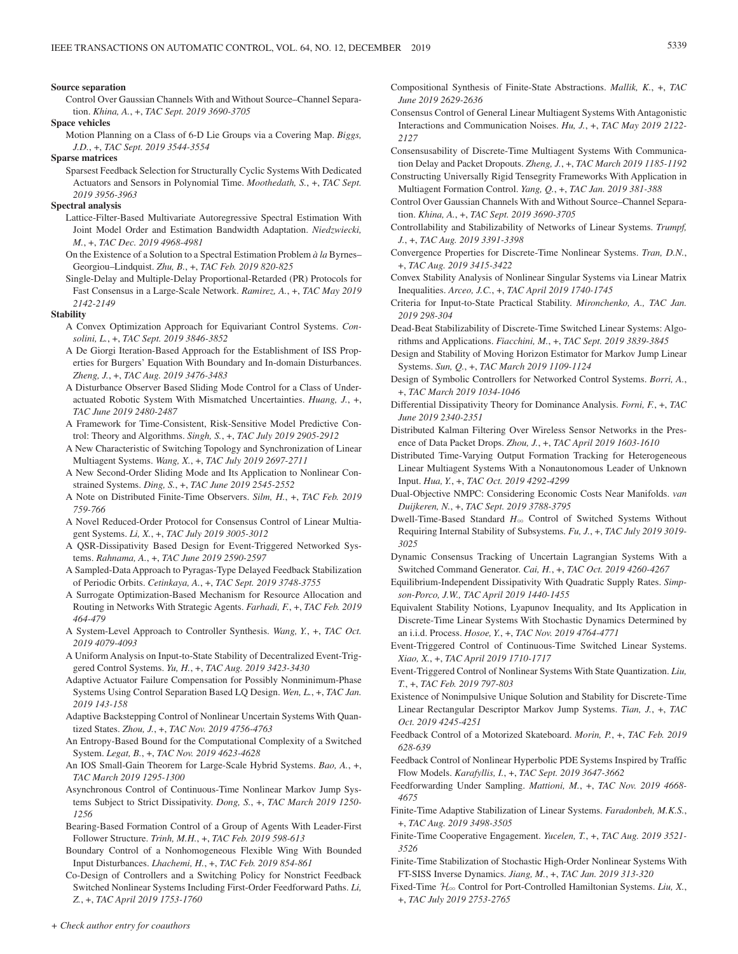#### **Source separation**

Control Over Gaussian Channels With and Without Source–Channel Separation. *Khina, A.*, +, *TAC Sept. 2019 3690-3705*

#### **Space vehicles**

Motion Planning on a Class of 6-D Lie Groups via a Covering Map. *Biggs, J.D.*, +, *TAC Sept. 2019 3544-3554*

#### **Sparse matrices**

Sparsest Feedback Selection for Structurally Cyclic Systems With Dedicated Actuators and Sensors in Polynomial Time. *Moothedath, S.*, +, *TAC Sept. 2019 3956-3963*

#### **Spectral analysis**

Lattice-Filter-Based Multivariate Autoregressive Spectral Estimation With Joint Model Order and Estimation Bandwidth Adaptation. *Niedzwiecki, M.*, +, *TAC Dec. 2019 4968-4981*

- On the Existence of a Solution to a Spectral Estimation Problem *à la* Byrnes– Georgiou–Lindquist. *Zhu, B.*, +, *TAC Feb. 2019 820-825*
- Single-Delay and Multiple-Delay Proportional-Retarded (PR) Protocols for Fast Consensus in a Large-Scale Network. *Ramirez, A.*, +, *TAC May 2019 2142-2149*

#### **Stability**

- A Convex Optimization Approach for Equivariant Control Systems. *Consolini, L.*, +, *TAC Sept. 2019 3846-3852*
- A De Giorgi Iteration-Based Approach for the Establishment of ISS Properties for Burgers' Equation With Boundary and In-domain Disturbances. *Zheng, J.*, +, *TAC Aug. 2019 3476-3483*
- A Disturbance Observer Based Sliding Mode Control for a Class of Underactuated Robotic System With Mismatched Uncertainties. *Huang, J.*, +, *TAC June 2019 2480-2487*
- A Framework for Time-Consistent, Risk-Sensitive Model Predictive Control: Theory and Algorithms. *Singh, S.*, +, *TAC July 2019 2905-2912*
- A New Characteristic of Switching Topology and Synchronization of Linear Multiagent Systems. *Wang, X.*, +, *TAC July 2019 2697-2711*
- A New Second-Order Sliding Mode and Its Application to Nonlinear Constrained Systems. *Ding, S.*, +, *TAC June 2019 2545-2552*
- A Note on Distributed Finite-Time Observers. *Silm, H.*, +, *TAC Feb. 2019 759-766*
- A Novel Reduced-Order Protocol for Consensus Control of Linear Multiagent Systems. *Li, X.*, +, *TAC July 2019 3005-3012*
- A QSR-Dissipativity Based Design for Event-Triggered Networked Systems. *Rahnama, A.*, +, *TAC June 2019 2590-2597*
- A Sampled-Data Approach to Pyragas-Type Delayed Feedback Stabilization of Periodic Orbits. *Cetinkaya, A.*, +, *TAC Sept. 2019 3748-3755*
- A Surrogate Optimization-Based Mechanism for Resource Allocation and Routing in Networks With Strategic Agents. *Farhadi, F.*, +, *TAC Feb. 2019 464-479*
- A System-Level Approach to Controller Synthesis. *Wang, Y.*, +, *TAC Oct. 2019 4079-4093*
- A Uniform Analysis on Input-to-State Stability of Decentralized Event-Triggered Control Systems. *Yu, H.*, +, *TAC Aug. 2019 3423-3430*
- Adaptive Actuator Failure Compensation for Possibly Nonminimum-Phase Systems Using Control Separation Based LQ Design. *Wen, L.*, +, *TAC Jan. 2019 143-158*
- Adaptive Backstepping Control of Nonlinear Uncertain Systems With Quantized States. *Zhou, J.*, +, *TAC Nov. 2019 4756-4763*
- An Entropy-Based Bound for the Computational Complexity of a Switched System. *Legat, B.*, +, *TAC Nov. 2019 4623-4628*
- An IOS Small-Gain Theorem for Large-Scale Hybrid Systems. *Bao, A.*, +, *TAC March 2019 1295-1300*
- Asynchronous Control of Continuous-Time Nonlinear Markov Jump Systems Subject to Strict Dissipativity. *Dong, S.*, +, *TAC March 2019 1250- 1256*
- Bearing-Based Formation Control of a Group of Agents With Leader-First Follower Structure. *Trinh, M.H.*, +, *TAC Feb. 2019 598-613*
- Boundary Control of a Nonhomogeneous Flexible Wing With Bounded Input Disturbances. *Lhachemi, H.*, +, *TAC Feb. 2019 854-861*
- Co-Design of Controllers and a Switching Policy for Nonstrict Feedback Switched Nonlinear Systems Including First-Order Feedforward Paths. *Li, Z.*, +, *TAC April 2019 1753-1760*
- Compositional Synthesis of Finite-State Abstractions. *Mallik, K.*, +, *TAC June 2019 2629-2636*
- Consensus Control of General Linear Multiagent Systems With Antagonistic Interactions and Communication Noises. *Hu, J.*, +, *TAC May 2019 2122- 2127*
- Consensusability of Discrete-Time Multiagent Systems With Communication Delay and Packet Dropouts. *Zheng, J.*, +, *TAC March 2019 1185-1192*
- Constructing Universally Rigid Tensegrity Frameworks With Application in Multiagent Formation Control. *Yang, Q.*, +, *TAC Jan. 2019 381-388*
- Control Over Gaussian Channels With and Without Source–Channel Separation. *Khina, A.*, +, *TAC Sept. 2019 3690-3705*
- Controllability and Stabilizability of Networks of Linear Systems. *Trumpf, J.*, +, *TAC Aug. 2019 3391-3398*
- Convergence Properties for Discrete-Time Nonlinear Systems. *Tran, D.N.*, +, *TAC Aug. 2019 3415-3422*
- Convex Stability Analysis of Nonlinear Singular Systems via Linear Matrix Inequalities. *Arceo, J.C.*, +, *TAC April 2019 1740-1745*
- Criteria for Input-to-State Practical Stability. *Mironchenko, A., TAC Jan. 2019 298-304*
- Dead-Beat Stabilizability of Discrete-Time Switched Linear Systems: Algorithms and Applications. *Fiacchini, M.*, +, *TAC Sept. 2019 3839-3845*
- Design and Stability of Moving Horizon Estimator for Markov Jump Linear Systems. *Sun, Q.*, +, *TAC March 2019 1109-1124*
- Design of Symbolic Controllers for Networked Control Systems. *Borri, A.*, +, *TAC March 2019 1034-1046*
- Differential Dissipativity Theory for Dominance Analysis. *Forni, F.*, +, *TAC June 2019 2340-2351*
- Distributed Kalman Filtering Over Wireless Sensor Networks in the Presence of Data Packet Drops. *Zhou, J.*, +, *TAC April 2019 1603-1610*
- Distributed Time-Varying Output Formation Tracking for Heterogeneous Linear Multiagent Systems With a Nonautonomous Leader of Unknown Input. *Hua, Y.*, +, *TAC Oct. 2019 4292-4299*
- Dual-Objective NMPC: Considering Economic Costs Near Manifolds. *van Duijkeren, N.*, +, *TAC Sept. 2019 3788-3795*
- Dwell-Time-Based Standard  $H_{\infty}$  Control of Switched Systems Without Requiring Internal Stability of Subsystems. *Fu, J.*, +, *TAC July 2019 3019- 3025*
- Dynamic Consensus Tracking of Uncertain Lagrangian Systems With a Switched Command Generator. *Cai, H.*, +, *TAC Oct. 2019 4260-4267*
- Equilibrium-Independent Dissipativity With Quadratic Supply Rates. *Simpson-Porco, J.W., TAC April 2019 1440-1455*
- Equivalent Stability Notions, Lyapunov Inequality, and Its Application in Discrete-Time Linear Systems With Stochastic Dynamics Determined by an i.i.d. Process. *Hosoe, Y.*, +, *TAC Nov. 2019 4764-4771*
- Event-Triggered Control of Continuous-Time Switched Linear Systems. *Xiao, X.*, +, *TAC April 2019 1710-1717*
- Event-Triggered Control of Nonlinear Systems With State Quantization. *Liu, T.*, +, *TAC Feb. 2019 797-803*
- Existence of Nonimpulsive Unique Solution and Stability for Discrete-Time Linear Rectangular Descriptor Markov Jump Systems. *Tian, J.*, +, *TAC Oct. 2019 4245-4251*
- Feedback Control of a Motorized Skateboard. *Morin, P.*, +, *TAC Feb. 2019 628-639*
- Feedback Control of Nonlinear Hyperbolic PDE Systems Inspired by Traffic Flow Models. *Karafyllis, I.*, +, *TAC Sept. 2019 3647-3662*
- Feedforwarding Under Sampling. *Mattioni, M.*, +, *TAC Nov. 2019 4668- 4675*
- Finite-Time Adaptive Stabilization of Linear Systems. *Faradonbeh, M.K.S.*, +, *TAC Aug. 2019 3498-3505*
- Finite-Time Cooperative Engagement. *Yucelen, T.*, +, *TAC Aug. 2019 3521- 3526*
- Finite-Time Stabilization of Stochastic High-Order Nonlinear Systems With FT-SISS Inverse Dynamics. *Jiang, M.*, +, *TAC Jan. 2019 313-320*
- Fixed-Time  $\mathcal{H}_{\infty}$  Control for Port-Controlled Hamiltonian Systems. *Liu, X.*, +, *TAC July 2019 2753-2765*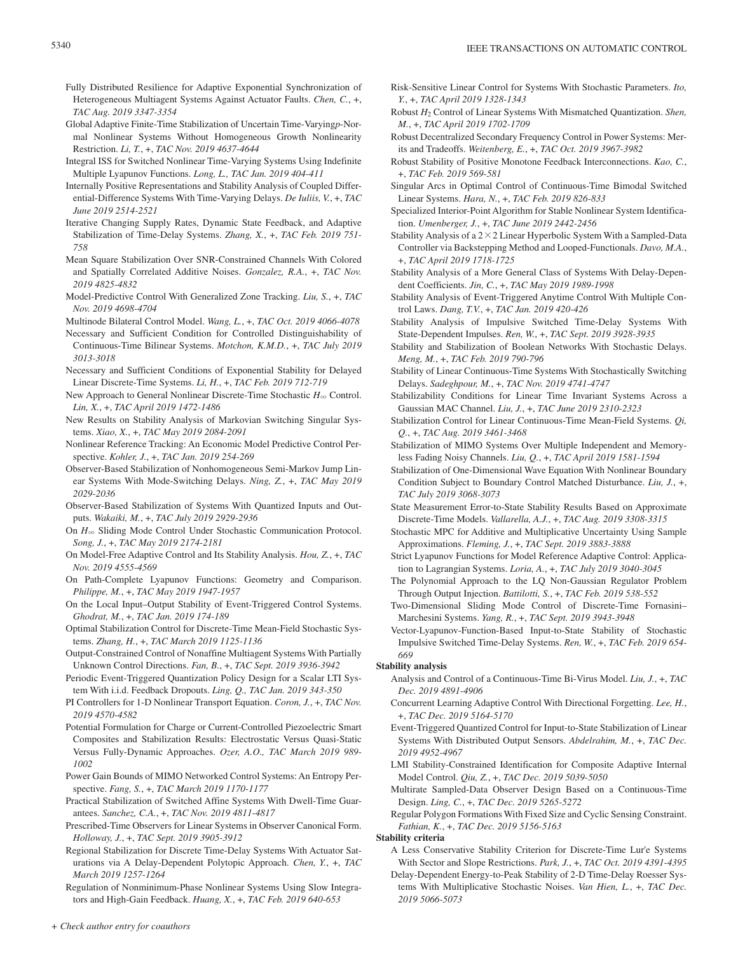- Fully Distributed Resilience for Adaptive Exponential Synchronization of Heterogeneous Multiagent Systems Against Actuator Faults. *Chen, C.*, +, *TAC Aug. 2019 3347-3354*
- Global Adaptive Finite-Time Stabilization of Uncertain Time-Varying*p*-Normal Nonlinear Systems Without Homogeneous Growth Nonlinearity Restriction. *Li, T.*, +, *TAC Nov. 2019 4637-4644*
- Integral ISS for Switched Nonlinear Time-Varying Systems Using Indefinite Multiple Lyapunov Functions. *Long, L., TAC Jan. 2019 404-411*
- Internally Positive Representations and Stability Analysis of Coupled Differential-Difference Systems With Time-Varying Delays. *De Iuliis, V.*, +, *TAC June 2019 2514-2521*
- Iterative Changing Supply Rates, Dynamic State Feedback, and Adaptive Stabilization of Time-Delay Systems. *Zhang, X.*, +, *TAC Feb. 2019 751- 758*
- Mean Square Stabilization Over SNR-Constrained Channels With Colored and Spatially Correlated Additive Noises. *Gonzalez, R.A.*, +, *TAC Nov. 2019 4825-4832*
- Model-Predictive Control With Generalized Zone Tracking. *Liu, S.*, +, *TAC Nov. 2019 4698-4704*
- Multinode Bilateral Control Model. *Wang, L.*, +, *TAC Oct. 2019 4066-4078*
- Necessary and Sufficient Condition for Controlled Distinguishability of Continuous-Time Bilinear Systems. *Motchon, K.M.D.*, +, *TAC July 2019 3013-3018*
- Necessary and Sufficient Conditions of Exponential Stability for Delayed Linear Discrete-Time Systems. *Li, H.*, +, *TAC Feb. 2019 712-719*
- New Approach to General Nonlinear Discrete-Time Stochastic *H*<sub>∞</sub> Control. *Lin, X.*, +, *TAC April 2019 1472-1486*
- New Results on Stability Analysis of Markovian Switching Singular Systems. *Xiao, X.*, +, *TAC May 2019 2084-2091*
- Nonlinear Reference Tracking: An Economic Model Predictive Control Perspective. *Kohler, J.*, +, *TAC Jan. 2019 254-269*
- Observer-Based Stabilization of Nonhomogeneous Semi-Markov Jump Linear Systems With Mode-Switching Delays. *Ning, Z.*, +, *TAC May 2019 2029-2036*
- Observer-Based Stabilization of Systems With Quantized Inputs and Outputs. *Wakaiki, M.*, +, *TAC July 2019 2929-2936*
- On  $H_{\infty}$  Sliding Mode Control Under Stochastic Communication Protocol. *Song, J.*, +, *TAC May 2019 2174-2181*
- On Model-Free Adaptive Control and Its Stability Analysis. *Hou, Z.*, +, *TAC Nov. 2019 4555-4569*
- On Path-Complete Lyapunov Functions: Geometry and Comparison. *Philippe, M.*, +, *TAC May 2019 1947-1957*
- On the Local Input–Output Stability of Event-Triggered Control Systems. *Ghodrat, M.*, +, *TAC Jan. 2019 174-189*
- Optimal Stabilization Control for Discrete-Time Mean-Field Stochastic Systems. *Zhang, H.*, +, *TAC March 2019 1125-1136*
- Output-Constrained Control of Nonaffine Multiagent Systems With Partially Unknown Control Directions. *Fan, B.*, +, *TAC Sept. 2019 3936-3942*
- Periodic Event-Triggered Quantization Policy Design for a Scalar LTI System With i.i.d. Feedback Dropouts. *Ling, Q., TAC Jan. 2019 343-350*
- PI Controllers for 1-D Nonlinear Transport Equation. *Coron, J.*, +, *TAC Nov. 2019 4570-4582*
- Potential Formulation for Charge or Current-Controlled Piezoelectric Smart Composites and Stabilization Results: Electrostatic Versus Quasi-Static Versus Fully-Dynamic Approaches. *Ozer, A.O., TAC March 2019 989- 1002*
- Power Gain Bounds of MIMO Networked Control Systems: An Entropy Perspective. *Fang, S.*, +, *TAC March 2019 1170-1177*
- Practical Stabilization of Switched Affine Systems With Dwell-Time Guarantees. *Sanchez, C.A.*, +, *TAC Nov. 2019 4811-4817*
- Prescribed-Time Observers for Linear Systems in Observer Canonical Form. *Holloway, J.*, +, *TAC Sept. 2019 3905-3912*
- Regional Stabilization for Discrete Time-Delay Systems With Actuator Saturations via A Delay-Dependent Polytopic Approach. *Chen, Y.*, +, *TAC March 2019 1257-1264*
- Regulation of Nonminimum-Phase Nonlinear Systems Using Slow Integrators and High-Gain Feedback. *Huang, X.*, +, *TAC Feb. 2019 640-653*
- Risk-Sensitive Linear Control for Systems With Stochastic Parameters. *Ito, Y.*, +, *TAC April 2019 1328-1343*
- Robust *H*2 Control of Linear Systems With Mismatched Quantization. *Shen, M.*, +, *TAC April 2019 1702-1709*
- Robust Decentralized Secondary Frequency Control in Power Systems: Merits and Tradeoffs. *Weitenberg, E.*, +, *TAC Oct. 2019 3967-3982*
- Robust Stability of Positive Monotone Feedback Interconnections. *Kao, C.*, +, *TAC Feb. 2019 569-581*
- Singular Arcs in Optimal Control of Continuous-Time Bimodal Switched Linear Systems. *Hara, N.*, +, *TAC Feb. 2019 826-833*
- Specialized Interior-Point Algorithm for Stable Nonlinear System Identification. *Umenberger, J.*, +, *TAC June 2019 2442-2456*
- Stability Analysis of a  $2 \times 2$  Linear Hyperbolic System With a Sampled-Data Controller via Backstepping Method and Looped-Functionals. *Davo, M.A.*, +, *TAC April 2019 1718-1725*
- Stability Analysis of a More General Class of Systems With Delay-Dependent Coefficients. *Jin, C.*, +, *TAC May 2019 1989-1998*
- Stability Analysis of Event-Triggered Anytime Control With Multiple Control Laws. *Dang, T.V.*, +, *TAC Jan. 2019 420-426*
- Stability Analysis of Impulsive Switched Time-Delay Systems With State-Dependent Impulses. *Ren, W.*, +, *TAC Sept. 2019 3928-3935*
- Stability and Stabilization of Boolean Networks With Stochastic Delays. *Meng, M.*, +, *TAC Feb. 2019 790-796*
- Stability of Linear Continuous-Time Systems With Stochastically Switching Delays. *Sadeghpour, M.*, +, *TAC Nov. 2019 4741-4747*
- Stabilizability Conditions for Linear Time Invariant Systems Across a Gaussian MAC Channel. *Liu, J.*, +, *TAC June 2019 2310-2323*
- Stabilization Control for Linear Continuous-Time Mean-Field Systems. *Qi, Q.*, +, *TAC Aug. 2019 3461-3468*
- Stabilization of MIMO Systems Over Multiple Independent and Memoryless Fading Noisy Channels. *Liu, Q.*, +, *TAC April 2019 1581-1594*
- Stabilization of One-Dimensional Wave Equation With Nonlinear Boundary Condition Subject to Boundary Control Matched Disturbance. *Liu, J.*, +, *TAC July 2019 3068-3073*
- State Measurement Error-to-State Stability Results Based on Approximate Discrete-Time Models. *Vallarella, A.J.*, +, *TAC Aug. 2019 3308-3315*
- Stochastic MPC for Additive and Multiplicative Uncertainty Using Sample Approximations. *Fleming, J.*, +, *TAC Sept. 2019 3883-3888*
- Strict Lyapunov Functions for Model Reference Adaptive Control: Application to Lagrangian Systems. *Loria, A.*, +, *TAC July 2019 3040-3045*
- The Polynomial Approach to the LQ Non-Gaussian Regulator Problem Through Output Injection. *Battilotti, S.*, +, *TAC Feb. 2019 538-552*
- Two-Dimensional Sliding Mode Control of Discrete-Time Fornasini– Marchesini Systems. *Yang, R.*, +, *TAC Sept. 2019 3943-3948*

Vector-Lyapunov-Function-Based Input-to-State Stability of Stochastic Impulsive Switched Time-Delay Systems. *Ren, W.*, +, *TAC Feb. 2019 654- 669*

#### **Stability analysis**

- Analysis and Control of a Continuous-Time Bi-Virus Model. *Liu, J.*, +, *TAC Dec. 2019 4891-4906*
- Concurrent Learning Adaptive Control With Directional Forgetting. *Lee, H.*, +, *TAC Dec. 2019 5164-5170*
- Event-Triggered Quantized Control for Input-to-State Stabilization of Linear Systems With Distributed Output Sensors. *Abdelrahim, M.*, +, *TAC Dec. 2019 4952-4967*
- LMI Stability-Constrained Identification for Composite Adaptive Internal Model Control. *Qiu, Z.*, +, *TAC Dec. 2019 5039-5050*
- Multirate Sampled-Data Observer Design Based on a Continuous-Time Design. *Ling, C.*, +, *TAC Dec. 2019 5265-5272*
- Regular Polygon Formations With Fixed Size and Cyclic Sensing Constraint. *Fathian, K.*, +, *TAC Dec. 2019 5156-5163*

# **Stability criteria**

- A Less Conservative Stability Criterion for Discrete-Time Lur'e Systems With Sector and Slope Restrictions. *Park, J.*, +, *TAC Oct. 2019 4391-4395*
- Delay-Dependent Energy-to-Peak Stability of 2-D Time-Delay Roesser Systems With Multiplicative Stochastic Noises. *Van Hien, L.*, +, *TAC Dec. 2019 5066-5073*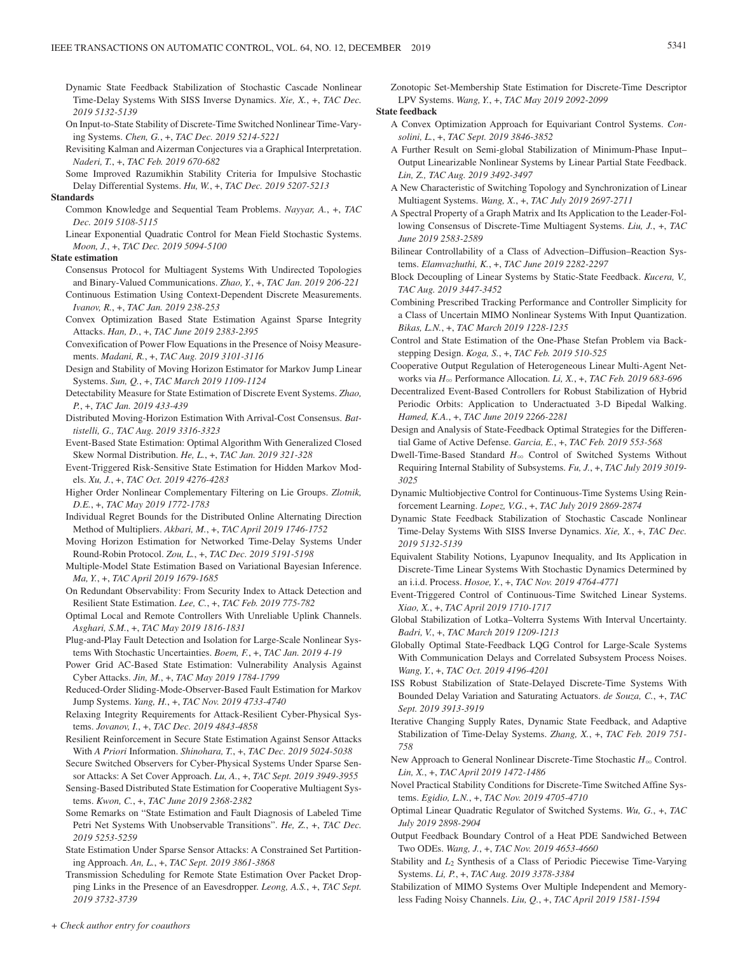- Dynamic State Feedback Stabilization of Stochastic Cascade Nonlinear Time-Delay Systems With SISS Inverse Dynamics. *Xie, X.*, +, *TAC Dec. 2019 5132-5139*
- On Input-to-State Stability of Discrete-Time Switched Nonlinear Time-Varying Systems. *Chen, G.*, +, *TAC Dec. 2019 5214-5221*
- Revisiting Kalman and Aizerman Conjectures via a Graphical Interpretation. *Naderi, T.*, +, *TAC Feb. 2019 670-682*
- Some Improved Razumikhin Stability Criteria for Impulsive Stochastic Delay Differential Systems. *Hu, W.*, +, *TAC Dec. 2019 5207-5213*

# **Standards**

- Common Knowledge and Sequential Team Problems. *Nayyar, A.*, +, *TAC Dec. 2019 5108-5115*
- Linear Exponential Quadratic Control for Mean Field Stochastic Systems. *Moon, J.*, +, *TAC Dec. 2019 5094-5100*

#### **State estimation**

- Consensus Protocol for Multiagent Systems With Undirected Topologies and Binary-Valued Communications. *Zhao, Y.*, +, *TAC Jan. 2019 206-221* Continuous Estimation Using Context-Dependent Discrete Measurements. *Ivanov, R.*, +, *TAC Jan. 2019 238-253*
- Convex Optimization Based State Estimation Against Sparse Integrity Attacks. *Han, D.*, +, *TAC June 2019 2383-2395*
- Convexification of Power Flow Equations in the Presence of Noisy Measurements. *Madani, R.*, +, *TAC Aug. 2019 3101-3116*
- Design and Stability of Moving Horizon Estimator for Markov Jump Linear Systems. *Sun, Q.*, +, *TAC March 2019 1109-1124*
- Detectability Measure for State Estimation of Discrete Event Systems. *Zhao, P.*, +, *TAC Jan. 2019 433-439*
- Distributed Moving-Horizon Estimation With Arrival-Cost Consensus. *Battistelli, G., TAC Aug. 2019 3316-3323*
- Event-Based State Estimation: Optimal Algorithm With Generalized Closed Skew Normal Distribution. *He, L.*, +, *TAC Jan. 2019 321-328*
- Event-Triggered Risk-Sensitive State Estimation for Hidden Markov Models. *Xu, J.*, +, *TAC Oct. 2019 4276-4283*
- Higher Order Nonlinear Complementary Filtering on Lie Groups. *Zlotnik, D.E.*, +, *TAC May 2019 1772-1783*
- Individual Regret Bounds for the Distributed Online Alternating Direction Method of Multipliers. *Akbari, M.*, +, *TAC April 2019 1746-1752*
- Moving Horizon Estimation for Networked Time-Delay Systems Under Round-Robin Protocol. *Zou, L.*, +, *TAC Dec. 2019 5191-5198*
- Multiple-Model State Estimation Based on Variational Bayesian Inference. *Ma, Y.*, +, *TAC April 2019 1679-1685*
- On Redundant Observability: From Security Index to Attack Detection and Resilient State Estimation. *Lee, C.*, +, *TAC Feb. 2019 775-782*
- Optimal Local and Remote Controllers With Unreliable Uplink Channels. *Asghari, S.M.*, +, *TAC May 2019 1816-1831*
- Plug-and-Play Fault Detection and Isolation for Large-Scale Nonlinear Systems With Stochastic Uncertainties. *Boem, F.*, +, *TAC Jan. 2019 4-19*
- Power Grid AC-Based State Estimation: Vulnerability Analysis Against Cyber Attacks. *Jin, M.*, +, *TAC May 2019 1784-1799*

Reduced-Order Sliding-Mode-Observer-Based Fault Estimation for Markov Jump Systems. *Yang, H.*, +, *TAC Nov. 2019 4733-4740*

- Relaxing Integrity Requirements for Attack-Resilient Cyber-Physical Systems. *Jovanov, I.*, +, *TAC Dec. 2019 4843-4858*
- Resilient Reinforcement in Secure State Estimation Against Sensor Attacks With *A Priori* Information. *Shinohara, T.*, +, *TAC Dec. 2019 5024-5038*
- Secure Switched Observers for Cyber-Physical Systems Under Sparse Sensor Attacks: A Set Cover Approach. *Lu, A.*, +, *TAC Sept. 2019 3949-3955*
- Sensing-Based Distributed State Estimation for Cooperative Multiagent Systems. *Kwon, C.*, +, *TAC June 2019 2368-2382*
- Some Remarks on "State Estimation and Fault Diagnosis of Labeled Time Petri Net Systems With Unobservable Transitions". *He, Z.*, +, *TAC Dec. 2019 5253-5259*
- State Estimation Under Sparse Sensor Attacks: A Constrained Set Partitioning Approach. *An, L.*, +, *TAC Sept. 2019 3861-3868*
- Transmission Scheduling for Remote State Estimation Over Packet Dropping Links in the Presence of an Eavesdropper. *Leong, A.S.*, +, *TAC Sept. 2019 3732-3739*

Zonotopic Set-Membership State Estimation for Discrete-Time Descriptor LPV Systems. *Wang, Y.*, +, *TAC May 2019 2092-2099*

# **State feedback**

- A Convex Optimization Approach for Equivariant Control Systems. *Consolini, L.*, +, *TAC Sept. 2019 3846-3852*
- A Further Result on Semi-global Stabilization of Minimum-Phase Input– Output Linearizable Nonlinear Systems by Linear Partial State Feedback. *Lin, Z., TAC Aug. 2019 3492-3497*
- A New Characteristic of Switching Topology and Synchronization of Linear Multiagent Systems. *Wang, X.*, +, *TAC July 2019 2697-2711*
- A Spectral Property of a Graph Matrix and Its Application to the Leader-Following Consensus of Discrete-Time Multiagent Systems. *Liu, J.*, +, *TAC June 2019 2583-2589*
- Bilinear Controllability of a Class of Advection–Diffusion–Reaction Systems. *Elamvazhuthi, K.*, +, *TAC June 2019 2282-2297*
- Block Decoupling of Linear Systems by Static-State Feedback. *Kucera, V., TAC Aug. 2019 3447-3452*
- Combining Prescribed Tracking Performance and Controller Simplicity for a Class of Uncertain MIMO Nonlinear Systems With Input Quantization. *Bikas, L.N.*, +, *TAC March 2019 1228-1235*
- Control and State Estimation of the One-Phase Stefan Problem via Backstepping Design. *Koga, S.*, +, *TAC Feb. 2019 510-525*
- Cooperative Output Regulation of Heterogeneous Linear Multi-Agent Networks via *H*3 Performance Allocation. *Li, X.*, +, *TAC Feb. 2019 683-696*
- Decentralized Event-Based Controllers for Robust Stabilization of Hybrid Periodic Orbits: Application to Underactuated 3-D Bipedal Walking. *Hamed, K.A.*, +, *TAC June 2019 2266-2281*
- Design and Analysis of State-Feedback Optimal Strategies for the Differential Game of Active Defense. *Garcia, E.*, +, *TAC Feb. 2019 553-568*
- Dwell-Time-Based Standard *H*3 Control of Switched Systems Without Requiring Internal Stability of Subsystems. *Fu, J.*, +, *TAC July 2019 3019- 3025*
- Dynamic Multiobjective Control for Continuous-Time Systems Using Reinforcement Learning. *Lopez, V.G.*, +, *TAC July 2019 2869-2874*
- Dynamic State Feedback Stabilization of Stochastic Cascade Nonlinear Time-Delay Systems With SISS Inverse Dynamics. *Xie, X.*, +, *TAC Dec. 2019 5132-5139*
- Equivalent Stability Notions, Lyapunov Inequality, and Its Application in Discrete-Time Linear Systems With Stochastic Dynamics Determined by an i.i.d. Process. *Hosoe, Y.*, +, *TAC Nov. 2019 4764-4771*
- Event-Triggered Control of Continuous-Time Switched Linear Systems. *Xiao, X.*, +, *TAC April 2019 1710-1717*
- Global Stabilization of Lotka–Volterra Systems With Interval Uncertainty. *Badri, V.*, +, *TAC March 2019 1209-1213*
- Globally Optimal State-Feedback LQG Control for Large-Scale Systems With Communication Delays and Correlated Subsystem Process Noises. *Wang, Y.*, +, *TAC Oct. 2019 4196-4201*
- ISS Robust Stabilization of State-Delayed Discrete-Time Systems With Bounded Delay Variation and Saturating Actuators. *de Souza, C.*, +, *TAC Sept. 2019 3913-3919*
- Iterative Changing Supply Rates, Dynamic State Feedback, and Adaptive Stabilization of Time-Delay Systems. *Zhang, X.*, +, *TAC Feb. 2019 751- 758*
- New Approach to General Nonlinear Discrete-Time Stochastic  $H_{\infty}$  Control. *Lin, X.*, +, *TAC April 2019 1472-1486*
- Novel Practical Stability Conditions for Discrete-Time Switched Affine Systems. *Egidio, L.N.*, +, *TAC Nov. 2019 4705-4710*
- Optimal Linear Quadratic Regulator of Switched Systems. *Wu, G.*, +, *TAC July 2019 2898-2904*
- Output Feedback Boundary Control of a Heat PDE Sandwiched Between Two ODEs. *Wang, J.*, +, *TAC Nov. 2019 4653-4660*
- Stability and *L*<sub>2</sub> Synthesis of a Class of Periodic Piecewise Time-Varying Systems. *Li, P.*, +, *TAC Aug. 2019 3378-3384*
- Stabilization of MIMO Systems Over Multiple Independent and Memoryless Fading Noisy Channels. *Liu, Q.*, +, *TAC April 2019 1581-1594*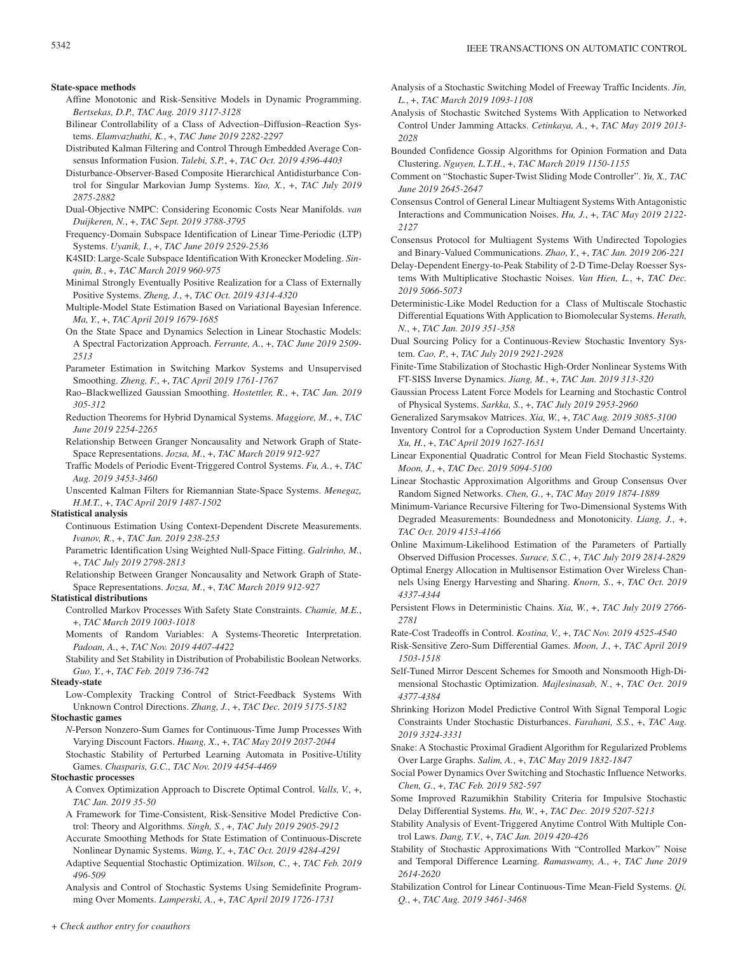#### **State-space methods**

- Affine Monotonic and Risk-Sensitive Models in Dynamic Programming. *Bertsekas, D.P., TAC Aug. 2019 3117-3128*
- Bilinear Controllability of a Class of Advection–Diffusion–Reaction Systems. *Elamvazhuthi, K.*, +, *TAC June 2019 2282-2297*
- Distributed Kalman Filtering and Control Through Embedded Average Consensus Information Fusion. *Talebi, S.P.*, +, *TAC Oct. 2019 4396-4403*
- Disturbance-Observer-Based Composite Hierarchical Antidisturbance Control for Singular Markovian Jump Systems. *Yao, X.*, +, *TAC July 2019 2875-2882*
- Dual-Objective NMPC: Considering Economic Costs Near Manifolds. *van Duijkeren, N.*, +, *TAC Sept. 2019 3788-3795*
- Frequency-Domain Subspace Identification of Linear Time-Periodic (LTP) Systems. *Uyanik, I.*, +, *TAC June 2019 2529-2536*
- K4SID: Large-Scale Subspace Identification With Kronecker Modeling. *Sinquin, B.*, +, *TAC March 2019 960-975*
- Minimal Strongly Eventually Positive Realization for a Class of Externally Positive Systems. *Zheng, J.*, +, *TAC Oct. 2019 4314-4320*
- Multiple-Model State Estimation Based on Variational Bayesian Inference. *Ma, Y.*, +, *TAC April 2019 1679-1685*
- On the State Space and Dynamics Selection in Linear Stochastic Models: A Spectral Factorization Approach. *Ferrante, A.*, +, *TAC June 2019 2509- 2513*
- Parameter Estimation in Switching Markov Systems and Unsupervised Smoothing. *Zheng, F.*, +, *TAC April 2019 1761-1767*
- Rao–Blackwellized Gaussian Smoothing. *Hostettler, R.*, +, *TAC Jan. 2019 305-312*
- Reduction Theorems for Hybrid Dynamical Systems. *Maggiore, M.*, +, *TAC June 2019 2254-2265*
- Relationship Between Granger Noncausality and Network Graph of State-Space Representations. *Jozsa, M.*, +, *TAC March 2019 912-927*
- Traffic Models of Periodic Event-Triggered Control Systems. *Fu, A.*, +, *TAC Aug. 2019 3453-3460*
- Unscented Kalman Filters for Riemannian State-Space Systems. *Menegaz, H.M.T.*, +, *TAC April 2019 1487-1502*

### **Statistical analysis**

- Continuous Estimation Using Context-Dependent Discrete Measurements. *Ivanov, R.*, +, *TAC Jan. 2019 238-253*
- Parametric Identification Using Weighted Null-Space Fitting. *Galrinho, M.*, +, *TAC July 2019 2798-2813*
- Relationship Between Granger Noncausality and Network Graph of State-Space Representations. *Jozsa, M.*, +, *TAC March 2019 912-927*

# **Statistical distributions**

- Controlled Markov Processes With Safety State Constraints. *Chamie, M.E.*, +, *TAC March 2019 1003-1018*
- Moments of Random Variables: A Systems-Theoretic Interpretation. *Padoan, A.*, +, *TAC Nov. 2019 4407-4422*
- Stability and Set Stability in Distribution of Probabilistic Boolean Networks. *Guo, Y.*, +, *TAC Feb. 2019 736-742*

# **Steady-state**

Low-Complexity Tracking Control of Strict-Feedback Systems With Unknown Control Directions. *Zhang, J.*, +, *TAC Dec. 2019 5175-5182*

#### **Stochastic games**

*N*-Person Nonzero-Sum Games for Continuous-Time Jump Processes With Varying Discount Factors. *Huang, X.*, +, *TAC May 2019 2037-2044*

Stochastic Stability of Perturbed Learning Automata in Positive-Utility Games. *Chasparis, G.C., TAC Nov. 2019 4454-4469*

### **Stochastic processes**

- A Convex Optimization Approach to Discrete Optimal Control. *Valls, V.*, +, *TAC Jan. 2019 35-50*
- A Framework for Time-Consistent, Risk-Sensitive Model Predictive Control: Theory and Algorithms. *Singh, S.*, +, *TAC July 2019 2905-2912*
- Accurate Smoothing Methods for State Estimation of Continuous-Discrete Nonlinear Dynamic Systems. *Wang, Y.*, +, *TAC Oct. 2019 4284-4291*
- Adaptive Sequential Stochastic Optimization. *Wilson, C.*, +, *TAC Feb. 2019 496-509*
- Analysis and Control of Stochastic Systems Using Semidefinite Programming Over Moments. *Lamperski, A.*, +, *TAC April 2019 1726-1731*
- Analysis of a Stochastic Switching Model of Freeway Traffic Incidents. *Jin, L.*, +, *TAC March 2019 1093-1108*
- Analysis of Stochastic Switched Systems With Application to Networked Control Under Jamming Attacks. *Cetinkaya, A.*, +, *TAC May 2019 2013- 2028*
- Bounded Confidence Gossip Algorithms for Opinion Formation and Data Clustering. *Nguyen, L.T.H.*, +, *TAC March 2019 1150-1155*
- Comment on "Stochastic Super-Twist Sliding Mode Controller". *Yu, X., TAC June 2019 2645-2647*
- Consensus Control of General Linear Multiagent Systems With Antagonistic Interactions and Communication Noises. *Hu, J.*, +, *TAC May 2019 2122- 2127*
- Consensus Protocol for Multiagent Systems With Undirected Topologies and Binary-Valued Communications. *Zhao, Y.*, +, *TAC Jan. 2019 206-221*
- Delay-Dependent Energy-to-Peak Stability of 2-D Time-Delay Roesser Systems With Multiplicative Stochastic Noises. *Van Hien, L.*, +, *TAC Dec. 2019 5066-5073*
- Deterministic-Like Model Reduction for a Class of Multiscale Stochastic Differential Equations With Application to Biomolecular Systems. *Herath, N.*, +, *TAC Jan. 2019 351-358*
- Dual Sourcing Policy for a Continuous-Review Stochastic Inventory System. *Cao, P.*, +, *TAC July 2019 2921-2928*
- Finite-Time Stabilization of Stochastic High-Order Nonlinear Systems With FT-SISS Inverse Dynamics. *Jiang, M.*, +, *TAC Jan. 2019 313-320*
- Gaussian Process Latent Force Models for Learning and Stochastic Control of Physical Systems. *Sarkka, S.*, +, *TAC July 2019 2953-2960*
- Generalized Sarymsakov Matrices. *Xia, W.*, +, *TAC Aug. 2019 3085-3100*
- Inventory Control for a Coproduction System Under Demand Uncertainty. *Xu, H.*, +, *TAC April 2019 1627-1631*
- Linear Exponential Quadratic Control for Mean Field Stochastic Systems. *Moon, J.*, +, *TAC Dec. 2019 5094-5100*
- Linear Stochastic Approximation Algorithms and Group Consensus Over Random Signed Networks. *Chen, G.*, +, *TAC May 2019 1874-1889*
- Minimum-Variance Recursive Filtering for Two-Dimensional Systems With Degraded Measurements: Boundedness and Monotonicity. *Liang, J.*, +, *TAC Oct. 2019 4153-4166*
- Online Maximum-Likelihood Estimation of the Parameters of Partially Observed Diffusion Processes. *Surace, S.C.*, +, *TAC July 2019 2814-2829*
- Optimal Energy Allocation in Multisensor Estimation Over Wireless Channels Using Energy Harvesting and Sharing. *Knorn, S.*, +, *TAC Oct. 2019 4337-4344*
- Persistent Flows in Deterministic Chains. *Xia, W.*, +, *TAC July 2019 2766- 2781*
- Rate-Cost Tradeoffs in Control. *Kostina, V.*, +, *TAC Nov. 2019 4525-4540*
- Risk-Sensitive Zero-Sum Differential Games. *Moon, J.*, +, *TAC April 2019 1503-1518*
- Self-Tuned Mirror Descent Schemes for Smooth and Nonsmooth High-Dimensional Stochastic Optimization. *Majlesinasab, N.*, +, *TAC Oct. 2019 4377-4384*
- Shrinking Horizon Model Predictive Control With Signal Temporal Logic Constraints Under Stochastic Disturbances. *Farahani, S.S.*, +, *TAC Aug. 2019 3324-3331*
- Snake: A Stochastic Proximal Gradient Algorithm for Regularized Problems Over Large Graphs. *Salim, A.*, +, *TAC May 2019 1832-1847*
- Social Power Dynamics Over Switching and Stochastic Influence Networks. *Chen, G.*, +, *TAC Feb. 2019 582-597*
- Some Improved Razumikhin Stability Criteria for Impulsive Stochastic Delay Differential Systems. *Hu, W.*, +, *TAC Dec. 2019 5207-5213*
- Stability Analysis of Event-Triggered Anytime Control With Multiple Control Laws. *Dang, T.V.*, +, *TAC Jan. 2019 420-426*
- Stability of Stochastic Approximations With "Controlled Markov" Noise and Temporal Difference Learning. *Ramaswamy, A.*, +, *TAC June 2019 2614-2620*
- Stabilization Control for Linear Continuous-Time Mean-Field Systems. *Qi, Q.*, +, *TAC Aug. 2019 3461-3468*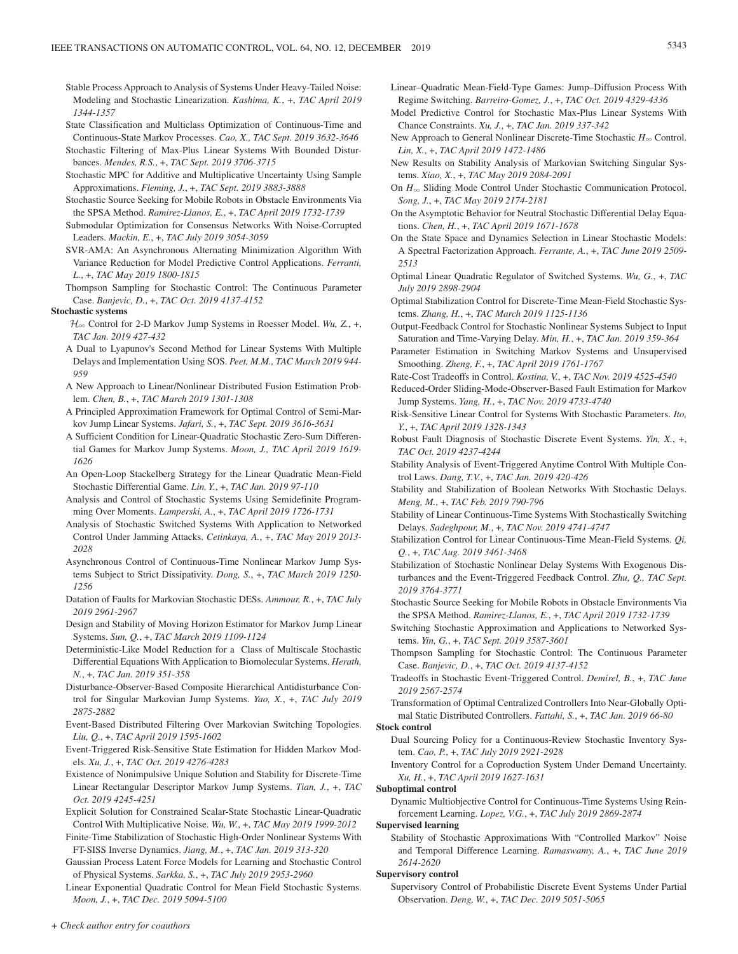- Stable Process Approach to Analysis of Systems Under Heavy-Tailed Noise: Modeling and Stochastic Linearization. *Kashima, K.*, +, *TAC April 2019 1344-1357*
- State Classification and Multiclass Optimization of Continuous-Time and Continuous-State Markov Processes. *Cao, X., TAC Sept. 2019 3632-3646*
- Stochastic Filtering of Max-Plus Linear Systems With Bounded Disturbances. *Mendes, R.S.*, +, *TAC Sept. 2019 3706-3715*
- Stochastic MPC for Additive and Multiplicative Uncertainty Using Sample Approximations. *Fleming, J.*, +, *TAC Sept. 2019 3883-3888*
- Stochastic Source Seeking for Mobile Robots in Obstacle Environments Via the SPSA Method. *Ramirez-Llanos, E.*, +, *TAC April 2019 1732-1739*
- Submodular Optimization for Consensus Networks With Noise-Corrupted Leaders. *Mackin, E.*, +, *TAC July 2019 3054-3059*
- SVR-AMA: An Asynchronous Alternating Minimization Algorithm With Variance Reduction for Model Predictive Control Applications. *Ferranti, L.*, +, *TAC May 2019 1800-1815*
- Thompson Sampling for Stochastic Control: The Continuous Parameter Case. *Banjevic, D.*, +, *TAC Oct. 2019 4137-4152*

#### **Stochastic systems**

- $\mathcal{H}_{\infty}$  Control for 2-D Markov Jump Systems in Roesser Model. *Wu*, Z, +, *TAC Jan. 2019 427-432*
- A Dual to Lyapunov's Second Method for Linear Systems With Multiple Delays and Implementation Using SOS. *Peet, M.M., TAC March 2019 944- 959*
- A New Approach to Linear/Nonlinear Distributed Fusion Estimation Problem. *Chen, B.*, +, *TAC March 2019 1301-1308*
- A Principled Approximation Framework for Optimal Control of Semi-Markov Jump Linear Systems. *Jafari, S.*, +, *TAC Sept. 2019 3616-3631*
- A Sufficient Condition for Linear-Quadratic Stochastic Zero-Sum Differential Games for Markov Jump Systems. *Moon, J., TAC April 2019 1619- 1626*
- An Open-Loop Stackelberg Strategy for the Linear Quadratic Mean-Field Stochastic Differential Game. *Lin, Y.*, +, *TAC Jan. 2019 97-110*
- Analysis and Control of Stochastic Systems Using Semidefinite Programming Over Moments. *Lamperski, A.*, +, *TAC April 2019 1726-1731*
- Analysis of Stochastic Switched Systems With Application to Networked Control Under Jamming Attacks. *Cetinkaya, A.*, +, *TAC May 2019 2013- 2028*
- Asynchronous Control of Continuous-Time Nonlinear Markov Jump Systems Subject to Strict Dissipativity. *Dong, S.*, +, *TAC March 2019 1250- 1256*
- Datation of Faults for Markovian Stochastic DESs. *Ammour, R.*, +, *TAC July 2019 2961-2967*
- Design and Stability of Moving Horizon Estimator for Markov Jump Linear Systems. *Sun, Q.*, +, *TAC March 2019 1109-1124*
- Deterministic-Like Model Reduction for a Class of Multiscale Stochastic Differential Equations With Application to Biomolecular Systems. *Herath, N.*, +, *TAC Jan. 2019 351-358*
- Disturbance-Observer-Based Composite Hierarchical Antidisturbance Control for Singular Markovian Jump Systems. *Yao, X.*, +, *TAC July 2019 2875-2882*
- Event-Based Distributed Filtering Over Markovian Switching Topologies. *Liu, Q.*, +, *TAC April 2019 1595-1602*
- Event-Triggered Risk-Sensitive State Estimation for Hidden Markov Models. *Xu, J.*, +, *TAC Oct. 2019 4276-4283*
- Existence of Nonimpulsive Unique Solution and Stability for Discrete-Time Linear Rectangular Descriptor Markov Jump Systems. *Tian, J.*, +, *TAC Oct. 2019 4245-4251*
- Explicit Solution for Constrained Scalar-State Stochastic Linear-Quadratic Control With Multiplicative Noise. *Wu, W.*, +, *TAC May 2019 1999-2012*
- Finite-Time Stabilization of Stochastic High-Order Nonlinear Systems With FT-SISS Inverse Dynamics. *Jiang, M.*, +, *TAC Jan. 2019 313-320*
- Gaussian Process Latent Force Models for Learning and Stochastic Control of Physical Systems. *Sarkka, S.*, +, *TAC July 2019 2953-2960*

Linear Exponential Quadratic Control for Mean Field Stochastic Systems. *Moon, J.*, +, *TAC Dec. 2019 5094-5100*

- Linear–Quadratic Mean-Field-Type Games: Jump–Diffusion Process With Regime Switching. *Barreiro-Gomez, J.*, +, *TAC Oct. 2019 4329-4336*
- Model Predictive Control for Stochastic Max-Plus Linear Systems With Chance Constraints. *Xu, J.*, +, *TAC Jan. 2019 337-342*
- New Approach to General Nonlinear Discrete-Time Stochastic  $H_{\infty}$  Control. *Lin, X.*, +, *TAC April 2019 1472-1486*
- New Results on Stability Analysis of Markovian Switching Singular Systems. *Xiao, X.*, +, *TAC May 2019 2084-2091*
- On  $H_{\infty}$  Sliding Mode Control Under Stochastic Communication Protocol. *Song, J.*, +, *TAC May 2019 2174-2181*
- On the Asymptotic Behavior for Neutral Stochastic Differential Delay Equations. *Chen, H.*, +, *TAC April 2019 1671-1678*
- On the State Space and Dynamics Selection in Linear Stochastic Models: A Spectral Factorization Approach. *Ferrante, A.*, +, *TAC June 2019 2509- 2513*
- Optimal Linear Quadratic Regulator of Switched Systems. *Wu, G.*, +, *TAC July 2019 2898-2904*
- Optimal Stabilization Control for Discrete-Time Mean-Field Stochastic Systems. *Zhang, H.*, +, *TAC March 2019 1125-1136*
- Output-Feedback Control for Stochastic Nonlinear Systems Subject to Input Saturation and Time-Varying Delay. *Min, H.*, +, *TAC Jan. 2019 359-364*
- Parameter Estimation in Switching Markov Systems and Unsupervised Smoothing. *Zheng, F.*, +, *TAC April 2019 1761-1767*
- Rate-Cost Tradeoffs in Control. *Kostina, V.*, +, *TAC Nov. 2019 4525-4540*
- Reduced-Order Sliding-Mode-Observer-Based Fault Estimation for Markov Jump Systems. *Yang, H.*, +, *TAC Nov. 2019 4733-4740*
- Risk-Sensitive Linear Control for Systems With Stochastic Parameters. *Ito, Y.*, +, *TAC April 2019 1328-1343*
- Robust Fault Diagnosis of Stochastic Discrete Event Systems. *Yin, X.*, +, *TAC Oct. 2019 4237-4244*
- Stability Analysis of Event-Triggered Anytime Control With Multiple Control Laws. *Dang, T.V.*, +, *TAC Jan. 2019 420-426*
- Stability and Stabilization of Boolean Networks With Stochastic Delays. *Meng, M.*, +, *TAC Feb. 2019 790-796*
- Stability of Linear Continuous-Time Systems With Stochastically Switching Delays. *Sadeghpour, M.*, +, *TAC Nov. 2019 4741-4747*
- Stabilization Control for Linear Continuous-Time Mean-Field Systems. *Qi, Q.*, +, *TAC Aug. 2019 3461-3468*
- Stabilization of Stochastic Nonlinear Delay Systems With Exogenous Disturbances and the Event-Triggered Feedback Control. *Zhu, Q., TAC Sept. 2019 3764-3771*
- Stochastic Source Seeking for Mobile Robots in Obstacle Environments Via the SPSA Method. *Ramirez-Llanos, E.*, +, *TAC April 2019 1732-1739*
- Switching Stochastic Approximation and Applications to Networked Systems. *Yin, G.*, +, *TAC Sept. 2019 3587-3601*
- Thompson Sampling for Stochastic Control: The Continuous Parameter Case. *Banjevic, D.*, +, *TAC Oct. 2019 4137-4152*
- Tradeoffs in Stochastic Event-Triggered Control. *Demirel, B.*, +, *TAC June 2019 2567-2574*
- Transformation of Optimal Centralized Controllers Into Near-Globally Optimal Static Distributed Controllers. *Fattahi, S.*, +, *TAC Jan. 2019 66-80*

# **Stock control**

- Dual Sourcing Policy for a Continuous-Review Stochastic Inventory System. *Cao, P.*, +, *TAC July 2019 2921-2928*
- Inventory Control for a Coproduction System Under Demand Uncertainty. *Xu, H.*, +, *TAC April 2019 1627-1631*

#### **Suboptimal control**

Dynamic Multiobjective Control for Continuous-Time Systems Using Reinforcement Learning. *Lopez, V.G.*, +, *TAC July 2019 2869-2874*

#### **Supervised learning**

Stability of Stochastic Approximations With "Controlled Markov" Noise and Temporal Difference Learning. *Ramaswamy, A.*, +, *TAC June 2019 2614-2620*

#### **Supervisory control**

Supervisory Control of Probabilistic Discrete Event Systems Under Partial Observation. *Deng, W.*, +, *TAC Dec. 2019 5051-5065*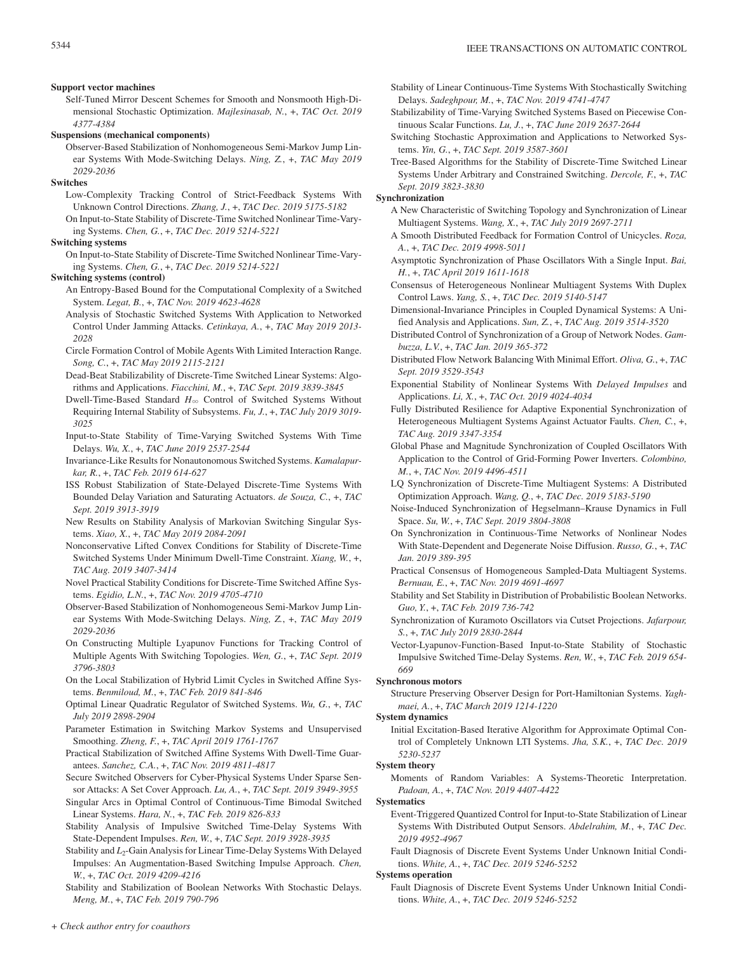#### **Support vector machines**

Self-Tuned Mirror Descent Schemes for Smooth and Nonsmooth High-Dimensional Stochastic Optimization. *Majlesinasab, N.*, +, *TAC Oct. 2019 4377-4384*

#### **Suspensions (mechanical components)**

Observer-Based Stabilization of Nonhomogeneous Semi-Markov Jump Linear Systems With Mode-Switching Delays. *Ning, Z.*, +, *TAC May 2019 2029-2036*

# **Switches**

Low-Complexity Tracking Control of Strict-Feedback Systems With Unknown Control Directions. *Zhang, J.*, +, *TAC Dec. 2019 5175-5182* On Input-to-State Stability of Discrete-Time Switched Nonlinear Time-Vary-

ing Systems. *Chen, G.*, +, *TAC Dec. 2019 5214-5221*

#### **Switching systems**

On Input-to-State Stability of Discrete-Time Switched Nonlinear Time-Varying Systems. *Chen, G.*, +, *TAC Dec. 2019 5214-5221*

# **Switching systems (control)**

An Entropy-Based Bound for the Computational Complexity of a Switched System. *Legat, B.*, +, *TAC Nov. 2019 4623-4628*

Analysis of Stochastic Switched Systems With Application to Networked Control Under Jamming Attacks. *Cetinkaya, A.*, +, *TAC May 2019 2013- 2028*

Circle Formation Control of Mobile Agents With Limited Interaction Range. *Song, C.*, +, *TAC May 2019 2115-2121*

Dead-Beat Stabilizability of Discrete-Time Switched Linear Systems: Algorithms and Applications. *Fiacchini, M.*, +, *TAC Sept. 2019 3839-3845*

Dwell-Time-Based Standard *H*3 Control of Switched Systems Without Requiring Internal Stability of Subsystems. *Fu, J.*, +, *TAC July 2019 3019- 3025*

Input-to-State Stability of Time-Varying Switched Systems With Time Delays. *Wu, X.*, +, *TAC June 2019 2537-2544*

- Invariance-Like Results for Nonautonomous Switched Systems. *Kamalapurkar, R.*, +, *TAC Feb. 2019 614-627*
- ISS Robust Stabilization of State-Delayed Discrete-Time Systems With Bounded Delay Variation and Saturating Actuators. *de Souza, C.*, +, *TAC Sept. 2019 3913-3919*
- New Results on Stability Analysis of Markovian Switching Singular Systems. *Xiao, X.*, +, *TAC May 2019 2084-2091*
- Nonconservative Lifted Convex Conditions for Stability of Discrete-Time Switched Systems Under Minimum Dwell-Time Constraint. *Xiang, W.*, +, *TAC Aug. 2019 3407-3414*
- Novel Practical Stability Conditions for Discrete-Time Switched Affine Systems. *Egidio, L.N.*, +, *TAC Nov. 2019 4705-4710*

Observer-Based Stabilization of Nonhomogeneous Semi-Markov Jump Linear Systems With Mode-Switching Delays. *Ning, Z.*, +, *TAC May 2019 2029-2036*

On Constructing Multiple Lyapunov Functions for Tracking Control of Multiple Agents With Switching Topologies. *Wen, G.*, +, *TAC Sept. 2019 3796-3803*

On the Local Stabilization of Hybrid Limit Cycles in Switched Affine Systems. *Benmiloud, M.*, +, *TAC Feb. 2019 841-846*

Optimal Linear Quadratic Regulator of Switched Systems. *Wu, G.*, +, *TAC July 2019 2898-2904*

Parameter Estimation in Switching Markov Systems and Unsupervised Smoothing. *Zheng, F.*, +, *TAC April 2019 1761-1767*

Practical Stabilization of Switched Affine Systems With Dwell-Time Guarantees. *Sanchez, C.A.*, +, *TAC Nov. 2019 4811-4817*

Secure Switched Observers for Cyber-Physical Systems Under Sparse Sensor Attacks: A Set Cover Approach. *Lu, A.*, +, *TAC Sept. 2019 3949-3955*

Singular Arcs in Optimal Control of Continuous-Time Bimodal Switched Linear Systems. *Hara, N.*, +, *TAC Feb. 2019 826-833*

Stability Analysis of Impulsive Switched Time-Delay Systems With State-Dependent Impulses. *Ren, W.*, +, *TAC Sept. 2019 3928-3935*

Stability and *L*<sub>2</sub>-Gain Analysis for Linear Time-Delay Systems With Delayed Impulses: An Augmentation-Based Switching Impulse Approach. *Chen, W.*, +, *TAC Oct. 2019 4209-4216*

Stability and Stabilization of Boolean Networks With Stochastic Delays. *Meng, M.*, +, *TAC Feb. 2019 790-796*

- Stability of Linear Continuous-Time Systems With Stochastically Switching Delays. *Sadeghpour, M.*, +, *TAC Nov. 2019 4741-4747*
- Stabilizability of Time-Varying Switched Systems Based on Piecewise Continuous Scalar Functions. *Lu, J.*, +, *TAC June 2019 2637-2644*
- Switching Stochastic Approximation and Applications to Networked Systems. *Yin, G.*, +, *TAC Sept. 2019 3587-3601*
- Tree-Based Algorithms for the Stability of Discrete-Time Switched Linear Systems Under Arbitrary and Constrained Switching. *Dercole, F.*, +, *TAC Sept. 2019 3823-3830*

# **Synchronization**

A New Characteristic of Switching Topology and Synchronization of Linear Multiagent Systems. *Wang, X.*, +, *TAC July 2019 2697-2711*

- A Smooth Distributed Feedback for Formation Control of Unicycles. *Roza, A.*, +, *TAC Dec. 2019 4998-5011*
- Asymptotic Synchronization of Phase Oscillators With a Single Input. *Bai, H.*, +, *TAC April 2019 1611-1618*
- Consensus of Heterogeneous Nonlinear Multiagent Systems With Duplex Control Laws. *Yang, S.*, +, *TAC Dec. 2019 5140-5147*
- Dimensional-Invariance Principles in Coupled Dynamical Systems: A Unified Analysis and Applications. *Sun, Z.*, +, *TAC Aug. 2019 3514-3520*

Distributed Control of Synchronization of a Group of Network Nodes. *Gambuzza, L.V.*, +, *TAC Jan. 2019 365-372*

- Distributed Flow Network Balancing With Minimal Effort. *Oliva, G.*, +, *TAC Sept. 2019 3529-3543*
- Exponential Stability of Nonlinear Systems With *Delayed Impulses* and Applications. *Li, X.*, +, *TAC Oct. 2019 4024-4034*

Fully Distributed Resilience for Adaptive Exponential Synchronization of Heterogeneous Multiagent Systems Against Actuator Faults. *Chen, C.*, +, *TAC Aug. 2019 3347-3354*

Global Phase and Magnitude Synchronization of Coupled Oscillators With Application to the Control of Grid-Forming Power Inverters. *Colombino, M.*, +, *TAC Nov. 2019 4496-4511*

LQ Synchronization of Discrete-Time Multiagent Systems: A Distributed Optimization Approach. *Wang, Q.*, +, *TAC Dec. 2019 5183-5190*

- Noise-Induced Synchronization of Hegselmann–Krause Dynamics in Full Space. *Su, W.*, +, *TAC Sept. 2019 3804-3808*
- On Synchronization in Continuous-Time Networks of Nonlinear Nodes With State-Dependent and Degenerate Noise Diffusion. *Russo, G.*, +, *TAC Jan. 2019 389-395*
- Practical Consensus of Homogeneous Sampled-Data Multiagent Systems. *Bernuau, E.*, +, *TAC Nov. 2019 4691-4697*
- Stability and Set Stability in Distribution of Probabilistic Boolean Networks. *Guo, Y.*, +, *TAC Feb. 2019 736-742*
- Synchronization of Kuramoto Oscillators via Cutset Projections. *Jafarpour, S.*, +, *TAC July 2019 2830-2844*

Vector-Lyapunov-Function-Based Input-to-State Stability of Stochastic Impulsive Switched Time-Delay Systems. *Ren, W.*, +, *TAC Feb. 2019 654- 669*

#### **Synchronous motors**

Structure Preserving Observer Design for Port-Hamiltonian Systems. *Yaghmaei, A.*, +, *TAC March 2019 1214-1220*

#### **System dynamics**

Initial Excitation-Based Iterative Algorithm for Approximate Optimal Control of Completely Unknown LTI Systems. *Jha, S.K.*, +, *TAC Dec. 2019 5230-5237*

#### **System theory**

Moments of Random Variables: A Systems-Theoretic Interpretation. *Padoan, A.*, +, *TAC Nov. 2019 4407-4422*

### **Systematics**

Event-Triggered Quantized Control for Input-to-State Stabilization of Linear Systems With Distributed Output Sensors. *Abdelrahim, M.*, +, *TAC Dec. 2019 4952-4967*

Fault Diagnosis of Discrete Event Systems Under Unknown Initial Conditions. *White, A.*, +, *TAC Dec. 2019 5246-5252*

#### **Systems operation**

Fault Diagnosis of Discrete Event Systems Under Unknown Initial Conditions. *White, A.*, +, *TAC Dec. 2019 5246-5252*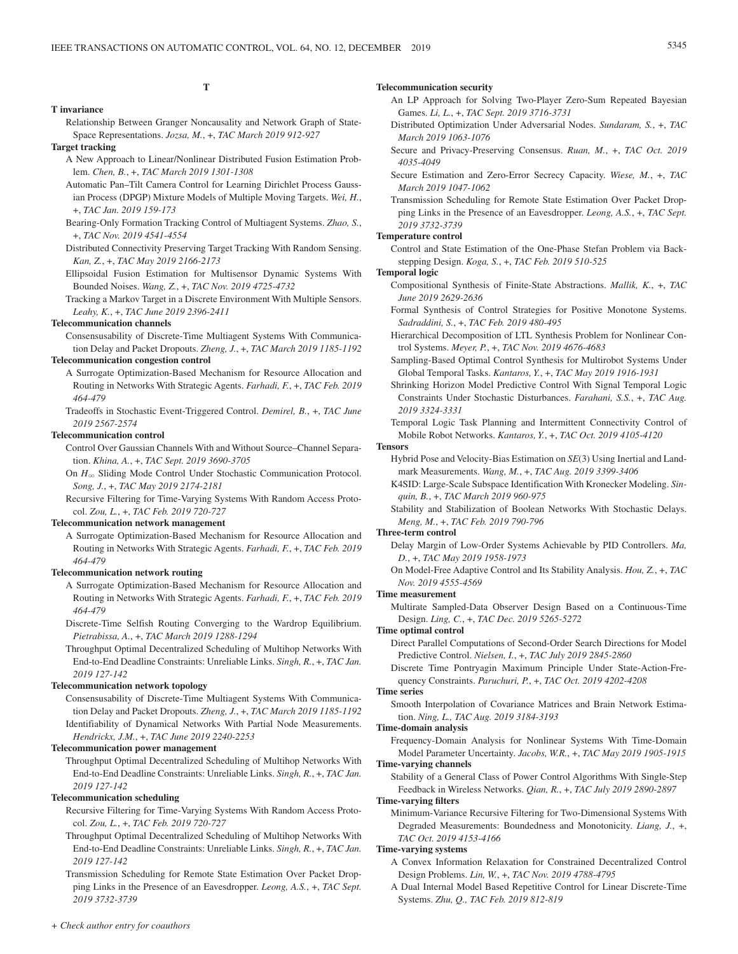# **T**

#### **T invariance**

Relationship Between Granger Noncausality and Network Graph of State-Space Representations. *Jozsa, M.*, +, *TAC March 2019 912-927*

- **Target tracking**
	- A New Approach to Linear/Nonlinear Distributed Fusion Estimation Problem. *Chen, B.*, +, *TAC March 2019 1301-1308*
	- Automatic Pan–Tilt Camera Control for Learning Dirichlet Process Gaussian Process (DPGP) Mixture Models of Multiple Moving Targets. *Wei, H.*, +, *TAC Jan. 2019 159-173*
	- Bearing-Only Formation Tracking Control of Multiagent Systems. *Zhao, S.*, +, *TAC Nov. 2019 4541-4554*
	- Distributed Connectivity Preserving Target Tracking With Random Sensing. *Kan, Z.*, +, *TAC May 2019 2166-2173*
	- Ellipsoidal Fusion Estimation for Multisensor Dynamic Systems With Bounded Noises. *Wang, Z.*, +, *TAC Nov. 2019 4725-4732*
	- Tracking a Markov Target in a Discrete Environment With Multiple Sensors. *Leahy, K.*, +, *TAC June 2019 2396-2411*

## **Telecommunication channels**

Consensusability of Discrete-Time Multiagent Systems With Communication Delay and Packet Dropouts. *Zheng, J.*, +, *TAC March 2019 1185-1192*

# **Telecommunication congestion control**

- A Surrogate Optimization-Based Mechanism for Resource Allocation and Routing in Networks With Strategic Agents. *Farhadi, F.*, +, *TAC Feb. 2019 464-479*
- Tradeoffs in Stochastic Event-Triggered Control. *Demirel, B.*, +, *TAC June 2019 2567-2574*

## **Telecommunication control**

Control Over Gaussian Channels With and Without Source–Channel Separation. *Khina, A.*, +, *TAC Sept. 2019 3690-3705*

On  $H_{\infty}$  Sliding Mode Control Under Stochastic Communication Protocol. *Song, J.*, +, *TAC May 2019 2174-2181*

Recursive Filtering for Time-Varying Systems With Random Access Protocol. *Zou, L.*, +, *TAC Feb. 2019 720-727*

## **Telecommunication network management**

A Surrogate Optimization-Based Mechanism for Resource Allocation and Routing in Networks With Strategic Agents. *Farhadi, F.*, +, *TAC Feb. 2019 464-479*

## **Telecommunication network routing**

- A Surrogate Optimization-Based Mechanism for Resource Allocation and Routing in Networks With Strategic Agents. *Farhadi, F.*, +, *TAC Feb. 2019 464-479*
- Discrete-Time Selfish Routing Converging to the Wardrop Equilibrium. *Pietrabissa, A.*, +, *TAC March 2019 1288-1294*
- Throughput Optimal Decentralized Scheduling of Multihop Networks With End-to-End Deadline Constraints: Unreliable Links. *Singh, R.*, +, *TAC Jan. 2019 127-142*

### **Telecommunication network topology**

Consensusability of Discrete-Time Multiagent Systems With Communication Delay and Packet Dropouts. *Zheng, J.*, +, *TAC March 2019 1185-1192* Identifiability of Dynamical Networks With Partial Node Measurements. *Hendrickx, J.M.*, +, *TAC June 2019 2240-2253*

## **Telecommunication power management**

Throughput Optimal Decentralized Scheduling of Multihop Networks With End-to-End Deadline Constraints: Unreliable Links. *Singh, R.*, +, *TAC Jan. 2019 127-142*

#### **Telecommunication scheduling**

Recursive Filtering for Time-Varying Systems With Random Access Protocol. *Zou, L.*, +, *TAC Feb. 2019 720-727*

- Throughput Optimal Decentralized Scheduling of Multihop Networks With End-to-End Deadline Constraints: Unreliable Links. *Singh, R.*, +, *TAC Jan. 2019 127-142*
- Transmission Scheduling for Remote State Estimation Over Packet Dropping Links in the Presence of an Eavesdropper. *Leong, A.S.*, +, *TAC Sept. 2019 3732-3739*

## **Telecommunication security**

- An LP Approach for Solving Two-Player Zero-Sum Repeated Bayesian Games. *Li, L.*, +, *TAC Sept. 2019 3716-3731*
- Distributed Optimization Under Adversarial Nodes. *Sundaram, S.*, +, *TAC March 2019 1063-1076*
- Secure and Privacy-Preserving Consensus. *Ruan, M.*, +, *TAC Oct. 2019 4035-4049*
- Secure Estimation and Zero-Error Secrecy Capacity. *Wiese, M.*, +, *TAC March 2019 1047-1062*

Transmission Scheduling for Remote State Estimation Over Packet Dropping Links in the Presence of an Eavesdropper. *Leong, A.S.*, +, *TAC Sept. 2019 3732-3739*

## **Temperature control**

Control and State Estimation of the One-Phase Stefan Problem via Backstepping Design. *Koga, S.*, +, *TAC Feb. 2019 510-525*

# **Temporal logic**

- Compositional Synthesis of Finite-State Abstractions. *Mallik, K.*, +, *TAC June 2019 2629-2636*
- Formal Synthesis of Control Strategies for Positive Monotone Systems. *Sadraddini, S.*, +, *TAC Feb. 2019 480-495*
- Hierarchical Decomposition of LTL Synthesis Problem for Nonlinear Control Systems. *Meyer, P.*, +, *TAC Nov. 2019 4676-4683*
- Sampling-Based Optimal Control Synthesis for Multirobot Systems Under Global Temporal Tasks. *Kantaros, Y.*, +, *TAC May 2019 1916-1931*
- Shrinking Horizon Model Predictive Control With Signal Temporal Logic Constraints Under Stochastic Disturbances. *Farahani, S.S.*, +, *TAC Aug. 2019 3324-3331*
- Temporal Logic Task Planning and Intermittent Connectivity Control of Mobile Robot Networks. *Kantaros, Y.*, +, *TAC Oct. 2019 4105-4120*

#### **Tensors**

- Hybrid Pose and Velocity-Bias Estimation on *SE*(3) Using Inertial and Landmark Measurements. *Wang, M.*, +, *TAC Aug. 2019 3399-3406*
- K4SID: Large-Scale Subspace Identification With Kronecker Modeling. *Sinquin, B.*, +, *TAC March 2019 960-975*
- Stability and Stabilization of Boolean Networks With Stochastic Delays. *Meng, M.*, +, *TAC Feb. 2019 790-796*

#### **Three-term control**

- Delay Margin of Low-Order Systems Achievable by PID Controllers. *Ma, D.*, +, *TAC May 2019 1958-1973*
- On Model-Free Adaptive Control and Its Stability Analysis. *Hou, Z.*, +, *TAC Nov. 2019 4555-4569*

### **Time measurement**

Multirate Sampled-Data Observer Design Based on a Continuous-Time Design. *Ling, C.*, +, *TAC Dec. 2019 5265-5272*

#### **Time optimal control**

- Direct Parallel Computations of Second-Order Search Directions for Model Predictive Control. *Nielsen, I.*, +, *TAC July 2019 2845-2860*
- Discrete Time Pontryagin Maximum Principle Under State-Action-Frequency Constraints. *Paruchuri, P.*, +, *TAC Oct. 2019 4202-4208*

#### **Time series**

Smooth Interpolation of Covariance Matrices and Brain Network Estimation. *Ning, L., TAC Aug. 2019 3184-3193*

## **Time-domain analysis**

Frequency-Domain Analysis for Nonlinear Systems With Time-Domain Model Parameter Uncertainty. *Jacobs, W.R.*, +, *TAC May 2019 1905-1915*

# **Time-varying channels**

Stability of a General Class of Power Control Algorithms With Single-Step Feedback in Wireless Networks. *Qian, R.*, +, *TAC July 2019 2890-2897* **Time-varying filters**

Minimum-Variance Recursive Filtering for Two-Dimensional Systems With Degraded Measurements: Boundedness and Monotonicity. *Liang, J.*, +, *TAC Oct. 2019 4153-4166*

## **Time-varying systems**

- A Convex Information Relaxation for Constrained Decentralized Control Design Problems. *Lin, W.*, +, *TAC Nov. 2019 4788-4795*
- A Dual Internal Model Based Repetitive Control for Linear Discrete-Time Systems. *Zhu, Q., TAC Feb. 2019 812-819*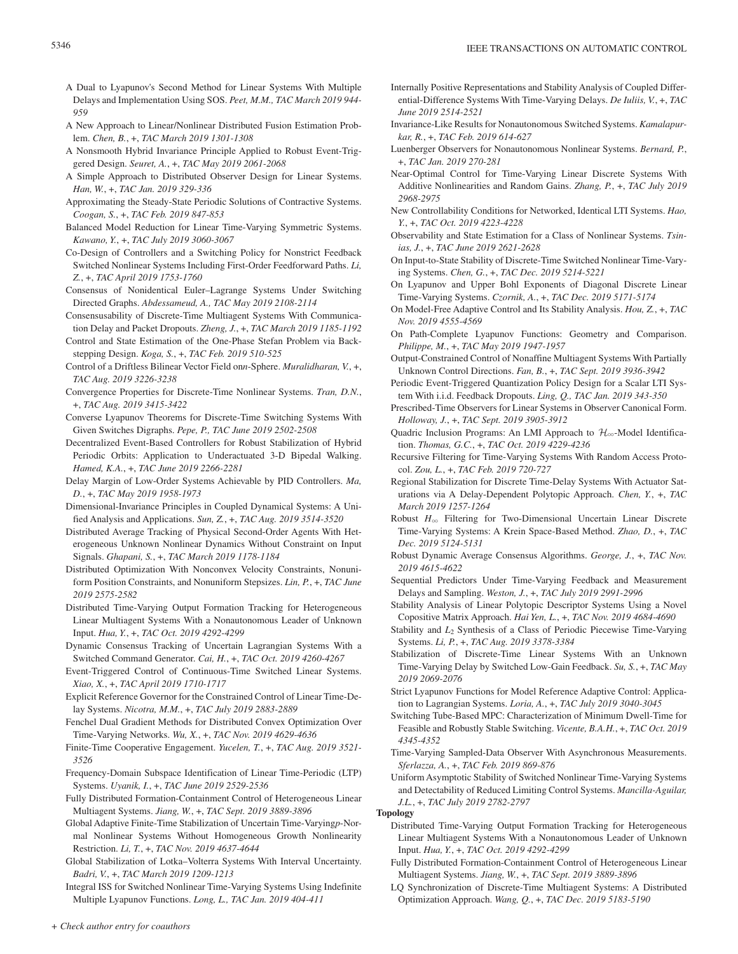- A Dual to Lyapunov's Second Method for Linear Systems With Multiple Delays and Implementation Using SOS. *Peet, M.M., TAC March 2019 944- 959*
- A New Approach to Linear/Nonlinear Distributed Fusion Estimation Problem. *Chen, B.*, +, *TAC March 2019 1301-1308*
- A Nonsmooth Hybrid Invariance Principle Applied to Robust Event-Triggered Design. *Seuret, A.*, +, *TAC May 2019 2061-2068*
- A Simple Approach to Distributed Observer Design for Linear Systems. *Han, W.*, +, *TAC Jan. 2019 329-336*
- Approximating the Steady-State Periodic Solutions of Contractive Systems. *Coogan, S.*, +, *TAC Feb. 2019 847-853*
- Balanced Model Reduction for Linear Time-Varying Symmetric Systems. *Kawano, Y.*, +, *TAC July 2019 3060-3067*
- Co-Design of Controllers and a Switching Policy for Nonstrict Feedback Switched Nonlinear Systems Including First-Order Feedforward Paths. *Li, Z.*, +, *TAC April 2019 1753-1760*
- Consensus of Nonidentical Euler–Lagrange Systems Under Switching Directed Graphs. *Abdessameud, A., TAC May 2019 2108-2114*
- Consensusability of Discrete-Time Multiagent Systems With Communication Delay and Packet Dropouts. *Zheng, J.*, +, *TAC March 2019 1185-1192*
- Control and State Estimation of the One-Phase Stefan Problem via Backstepping Design. *Koga, S.*, +, *TAC Feb. 2019 510-525*
- Control of a Driftless Bilinear Vector Field on*n*-Sphere. *Muralidharan, V.*, +, *TAC Aug. 2019 3226-3238*
- Convergence Properties for Discrete-Time Nonlinear Systems. *Tran, D.N.*, +, *TAC Aug. 2019 3415-3422*
- Converse Lyapunov Theorems for Discrete-Time Switching Systems With Given Switches Digraphs. *Pepe, P., TAC June 2019 2502-2508*
- Decentralized Event-Based Controllers for Robust Stabilization of Hybrid Periodic Orbits: Application to Underactuated 3-D Bipedal Walking. *Hamed, K.A.*, +, *TAC June 2019 2266-2281*
- Delay Margin of Low-Order Systems Achievable by PID Controllers. *Ma, D.*, +, *TAC May 2019 1958-1973*
- Dimensional-Invariance Principles in Coupled Dynamical Systems: A Unified Analysis and Applications. *Sun, Z.*, +, *TAC Aug. 2019 3514-3520*
- Distributed Average Tracking of Physical Second-Order Agents With Heterogeneous Unknown Nonlinear Dynamics Without Constraint on Input Signals. *Ghapani, S.*, +, *TAC March 2019 1178-1184*
- Distributed Optimization With Nonconvex Velocity Constraints, Nonuniform Position Constraints, and Nonuniform Stepsizes. *Lin, P.*, +, *TAC June 2019 2575-2582*
- Distributed Time-Varying Output Formation Tracking for Heterogeneous Linear Multiagent Systems With a Nonautonomous Leader of Unknown Input. *Hua, Y.*, +, *TAC Oct. 2019 4292-4299*
- Dynamic Consensus Tracking of Uncertain Lagrangian Systems With a Switched Command Generator. *Cai, H.*, +, *TAC Oct. 2019 4260-4267*
- Event-Triggered Control of Continuous-Time Switched Linear Systems. *Xiao, X.*, +, *TAC April 2019 1710-1717*
- Explicit Reference Governor for the Constrained Control of Linear Time-Delay Systems. *Nicotra, M.M.*, +, *TAC July 2019 2883-2889*
- Fenchel Dual Gradient Methods for Distributed Convex Optimization Over Time-Varying Networks. *Wu, X.*, +, *TAC Nov. 2019 4629-4636*
- Finite-Time Cooperative Engagement. *Yucelen, T.*, +, *TAC Aug. 2019 3521- 3526*
- Frequency-Domain Subspace Identification of Linear Time-Periodic (LTP) Systems. *Uyanik, I.*, +, *TAC June 2019 2529-2536*
- Fully Distributed Formation-Containment Control of Heterogeneous Linear Multiagent Systems. *Jiang, W.*, +, *TAC Sept. 2019 3889-3896*
- Global Adaptive Finite-Time Stabilization of Uncertain Time-Varying*p*-Normal Nonlinear Systems Without Homogeneous Growth Nonlinearity Restriction. *Li, T.*, +, *TAC Nov. 2019 4637-4644*
- Global Stabilization of Lotka–Volterra Systems With Interval Uncertainty. *Badri, V.*, +, *TAC March 2019 1209-1213*
- Integral ISS for Switched Nonlinear Time-Varying Systems Using Indefinite Multiple Lyapunov Functions. *Long, L., TAC Jan. 2019 404-411*
- Internally Positive Representations and Stability Analysis of Coupled Differential-Difference Systems With Time-Varying Delays. *De Iuliis, V.*, +, *TAC June 2019 2514-2521*
- Invariance-Like Results for Nonautonomous Switched Systems. *Kamalapurkar, R.*, +, *TAC Feb. 2019 614-627*
- Luenberger Observers for Nonautonomous Nonlinear Systems. *Bernard, P.*, +, *TAC Jan. 2019 270-281*
- Near-Optimal Control for Time-Varying Linear Discrete Systems With Additive Nonlinearities and Random Gains. *Zhang, P.*, +, *TAC July 2019 2968-2975*
- New Controllability Conditions for Networked, Identical LTI Systems. *Hao, Y.*, +, *TAC Oct. 2019 4223-4228*
- Observability and State Estimation for a Class of Nonlinear Systems. *Tsinias, J.*, +, *TAC June 2019 2621-2628*
- On Input-to-State Stability of Discrete-Time Switched Nonlinear Time-Varying Systems. *Chen, G.*, +, *TAC Dec. 2019 5214-5221*
- On Lyapunov and Upper Bohl Exponents of Diagonal Discrete Linear Time-Varying Systems. *Czornik, A.*, +, *TAC Dec. 2019 5171-5174*
- On Model-Free Adaptive Control and Its Stability Analysis. *Hou, Z.*, +, *TAC Nov. 2019 4555-4569*
- On Path-Complete Lyapunov Functions: Geometry and Comparison. *Philippe, M.*, +, *TAC May 2019 1947-1957*
- Output-Constrained Control of Nonaffine Multiagent Systems With Partially Unknown Control Directions. *Fan, B.*, +, *TAC Sept. 2019 3936-3942*
- Periodic Event-Triggered Quantization Policy Design for a Scalar LTI System With i.i.d. Feedback Dropouts. *Ling, Q., TAC Jan. 2019 343-350*
- Prescribed-Time Observers for Linear Systems in Observer Canonical Form. *Holloway, J.*, +, *TAC Sept. 2019 3905-3912*
- Quadric Inclusion Programs: An LMI Approach to  $\mathcal{H}_{\infty}$ -Model Identification. *Thomas, G.C.*, +, *TAC Oct. 2019 4229-4236*
- Recursive Filtering for Time-Varying Systems With Random Access Protocol. *Zou, L.*, +, *TAC Feb. 2019 720-727*
- Regional Stabilization for Discrete Time-Delay Systems With Actuator Saturations via A Delay-Dependent Polytopic Approach. *Chen, Y.*, +, *TAC March 2019 1257-1264*
- Robust  $H_{\infty}$  Filtering for Two-Dimensional Uncertain Linear Discrete Time-Varying Systems: A Krein Space-Based Method. *Zhao, D.*, +, *TAC Dec. 2019 5124-5131*
- Robust Dynamic Average Consensus Algorithms. *George, J.*, +, *TAC Nov. 2019 4615-4622*
- Sequential Predictors Under Time-Varying Feedback and Measurement Delays and Sampling. *Weston, J.*, +, *TAC July 2019 2991-2996*
- Stability Analysis of Linear Polytopic Descriptor Systems Using a Novel Copositive Matrix Approach. *Hai Yen, L.*, +, *TAC Nov. 2019 4684-4690*
- Stability and  $L_2$  Synthesis of a Class of Periodic Piecewise Time-Varying Systems. *Li, P.*, +, *TAC Aug. 2019 3378-3384*
- Stabilization of Discrete-Time Linear Systems With an Unknown Time-Varying Delay by Switched Low-Gain Feedback. *Su, S.*, +, *TAC May 2019 2069-2076*
- Strict Lyapunov Functions for Model Reference Adaptive Control: Application to Lagrangian Systems. *Loria, A.*, +, *TAC July 2019 3040-3045*
- Switching Tube-Based MPC: Characterization of Minimum Dwell-Time for Feasible and Robustly Stable Switching. *Vicente, B.A.H.*, +, *TAC Oct. 2019 4345-4352*
- Time-Varying Sampled-Data Observer With Asynchronous Measurements. *Sferlazza, A.*, +, *TAC Feb. 2019 869-876*

Uniform Asymptotic Stability of Switched Nonlinear Time-Varying Systems and Detectability of Reduced Limiting Control Systems. *Mancilla-Aguilar, J.L.*, +, *TAC July 2019 2782-2797*

- **Topology**
	- Distributed Time-Varying Output Formation Tracking for Heterogeneous Linear Multiagent Systems With a Nonautonomous Leader of Unknown Input. *Hua, Y.*, +, *TAC Oct. 2019 4292-4299*
	- Fully Distributed Formation-Containment Control of Heterogeneous Linear Multiagent Systems. *Jiang, W.*, +, *TAC Sept. 2019 3889-3896*
	- LQ Synchronization of Discrete-Time Multiagent Systems: A Distributed Optimization Approach. *Wang, Q.*, +, *TAC Dec. 2019 5183-5190*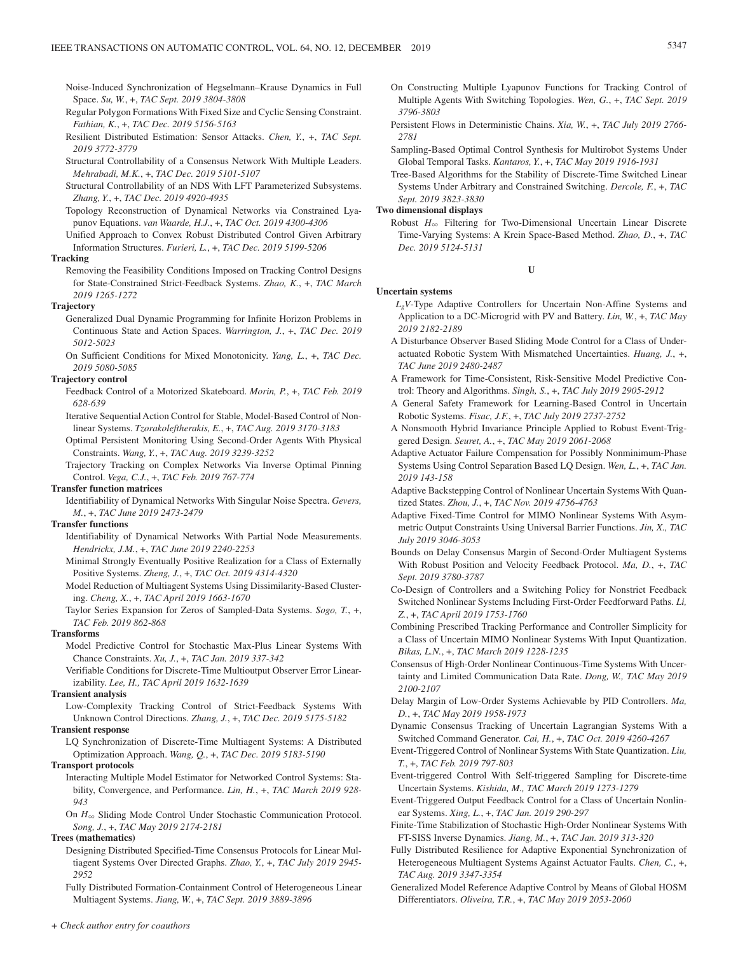Noise-Induced Synchronization of Hegselmann–Krause Dynamics in Full Space. *Su, W.*, +, *TAC Sept. 2019 3804-3808*

- Regular Polygon Formations With Fixed Size and Cyclic Sensing Constraint. *Fathian, K.*, +, *TAC Dec. 2019 5156-5163*
- Resilient Distributed Estimation: Sensor Attacks. *Chen, Y.*, +, *TAC Sept. 2019 3772-3779*
- Structural Controllability of a Consensus Network With Multiple Leaders. *Mehrabadi, M.K.*, +, *TAC Dec. 2019 5101-5107*
- Structural Controllability of an NDS With LFT Parameterized Subsystems. *Zhang, Y.*, +, *TAC Dec. 2019 4920-4935*

Topology Reconstruction of Dynamical Networks via Constrained Lyapunov Equations. *van Waarde, H.J.*, +, *TAC Oct. 2019 4300-4306*

Unified Approach to Convex Robust Distributed Control Given Arbitrary Information Structures. *Furieri, L.*, +, *TAC Dec. 2019 5199-5206*

# **Tracking**

Removing the Feasibility Conditions Imposed on Tracking Control Designs for State-Constrained Strict-Feedback Systems. *Zhao, K.*, +, *TAC March 2019 1265-1272*

#### **Trajectory**

Generalized Dual Dynamic Programming for Infinite Horizon Problems in Continuous State and Action Spaces. *Warrington, J.*, +, *TAC Dec. 2019 5012-5023*

On Sufficient Conditions for Mixed Monotonicity. *Yang, L.*, +, *TAC Dec. 2019 5080-5085*

## **Trajectory control**

- Feedback Control of a Motorized Skateboard. *Morin, P.*, +, *TAC Feb. 2019 628-639*
- Iterative Sequential Action Control for Stable, Model-Based Control of Nonlinear Systems. *Tzorakoleftherakis, E.*, +, *TAC Aug. 2019 3170-3183*
- Optimal Persistent Monitoring Using Second-Order Agents With Physical Constraints. *Wang, Y.*, +, *TAC Aug. 2019 3239-3252*

Trajectory Tracking on Complex Networks Via Inverse Optimal Pinning Control. *Vega, C.J.*, +, *TAC Feb. 2019 767-774*

## **Transfer function matrices**

Identifiability of Dynamical Networks With Singular Noise Spectra. *Gevers, M.*, +, *TAC June 2019 2473-2479*

## **Transfer functions**

Identifiability of Dynamical Networks With Partial Node Measurements. *Hendrickx, J.M.*, +, *TAC June 2019 2240-2253*

- Minimal Strongly Eventually Positive Realization for a Class of Externally Positive Systems. *Zheng, J.*, +, *TAC Oct. 2019 4314-4320*
- Model Reduction of Multiagent Systems Using Dissimilarity-Based Clustering. *Cheng, X.*, +, *TAC April 2019 1663-1670*
- Taylor Series Expansion for Zeros of Sampled-Data Systems. *Sogo, T.*, +, *TAC Feb. 2019 862-868*

#### **Transforms**

- Model Predictive Control for Stochastic Max-Plus Linear Systems With Chance Constraints. *Xu, J.*, +, *TAC Jan. 2019 337-342*
- Verifiable Conditions for Discrete-Time Multioutput Observer Error Linearizability. *Lee, H., TAC April 2019 1632-1639*

#### **Transient analysis**

Low-Complexity Tracking Control of Strict-Feedback Systems With Unknown Control Directions. *Zhang, J.*, +, *TAC Dec. 2019 5175-5182*

#### **Transient response**

LQ Synchronization of Discrete-Time Multiagent Systems: A Distributed Optimization Approach. *Wang, Q.*, +, *TAC Dec. 2019 5183-5190*

#### **Transport protocols**

Interacting Multiple Model Estimator for Networked Control Systems: Stability, Convergence, and Performance. *Lin, H.*, +, *TAC March 2019 928- 943*

On  $H_{\infty}$  Sliding Mode Control Under Stochastic Communication Protocol. *Song, J.*, +, *TAC May 2019 2174-2181*

## **Trees (mathematics)**

Designing Distributed Specified-Time Consensus Protocols for Linear Multiagent Systems Over Directed Graphs. *Zhao, Y.*, +, *TAC July 2019 2945- 2952*

Fully Distributed Formation-Containment Control of Heterogeneous Linear Multiagent Systems. *Jiang, W.*, +, *TAC Sept. 2019 3889-3896*

- On Constructing Multiple Lyapunov Functions for Tracking Control of Multiple Agents With Switching Topologies. *Wen, G.*, +, *TAC Sept. 2019 3796-3803*
- Persistent Flows in Deterministic Chains. *Xia, W.*, +, *TAC July 2019 2766- 2781*
- Sampling-Based Optimal Control Synthesis for Multirobot Systems Under Global Temporal Tasks. *Kantaros, Y.*, +, *TAC May 2019 1916-1931*
- Tree-Based Algorithms for the Stability of Discrete-Time Switched Linear Systems Under Arbitrary and Constrained Switching. *Dercole, F.*, +, *TAC Sept. 2019 3823-3830*

#### **Two dimensional displays**

Robust  $H_{\infty}$  Filtering for Two-Dimensional Uncertain Linear Discrete Time-Varying Systems: A Krein Space-Based Method. *Zhao, D.*, +, *TAC Dec. 2019 5124-5131*

#### **U**

## **Uncertain systems**

- *LgV*-Type Adaptive Controllers for Uncertain Non-Affine Systems and Application to a DC-Microgrid with PV and Battery. *Lin, W.*, +, *TAC May 2019 2182-2189*
- A Disturbance Observer Based Sliding Mode Control for a Class of Underactuated Robotic System With Mismatched Uncertainties. *Huang, J.*, +, *TAC June 2019 2480-2487*
- A Framework for Time-Consistent, Risk-Sensitive Model Predictive Control: Theory and Algorithms. *Singh, S.*, +, *TAC July 2019 2905-2912*
- A General Safety Framework for Learning-Based Control in Uncertain Robotic Systems. *Fisac, J.F.*, +, *TAC July 2019 2737-2752*
- A Nonsmooth Hybrid Invariance Principle Applied to Robust Event-Triggered Design. *Seuret, A.*, +, *TAC May 2019 2061-2068*
- Adaptive Actuator Failure Compensation for Possibly Nonminimum-Phase Systems Using Control Separation Based LQ Design. *Wen, L.*, +, *TAC Jan. 2019 143-158*
- Adaptive Backstepping Control of Nonlinear Uncertain Systems With Quantized States. *Zhou, J.*, +, *TAC Nov. 2019 4756-4763*
- Adaptive Fixed-Time Control for MIMO Nonlinear Systems With Asymmetric Output Constraints Using Universal Barrier Functions. *Jin, X., TAC July 2019 3046-3053*
- Bounds on Delay Consensus Margin of Second-Order Multiagent Systems With Robust Position and Velocity Feedback Protocol. *Ma, D.*, +, *TAC Sept. 2019 3780-3787*
- Co-Design of Controllers and a Switching Policy for Nonstrict Feedback Switched Nonlinear Systems Including First-Order Feedforward Paths. *Li, Z.*, +, *TAC April 2019 1753-1760*
- Combining Prescribed Tracking Performance and Controller Simplicity for a Class of Uncertain MIMO Nonlinear Systems With Input Quantization. *Bikas, L.N.*, +, *TAC March 2019 1228-1235*
- Consensus of High-Order Nonlinear Continuous-Time Systems With Uncertainty and Limited Communication Data Rate. *Dong, W., TAC May 2019 2100-2107*
- Delay Margin of Low-Order Systems Achievable by PID Controllers. *Ma, D.*, +, *TAC May 2019 1958-1973*
- Dynamic Consensus Tracking of Uncertain Lagrangian Systems With a Switched Command Generator. *Cai, H.*, +, *TAC Oct. 2019 4260-4267*
- Event-Triggered Control of Nonlinear Systems With State Quantization. *Liu, T.*, +, *TAC Feb. 2019 797-803*
- Event-triggered Control With Self-triggered Sampling for Discrete-time Uncertain Systems. *Kishida, M., TAC March 2019 1273-1279*
- Event-Triggered Output Feedback Control for a Class of Uncertain Nonlinear Systems. *Xing, L.*, +, *TAC Jan. 2019 290-297*
- Finite-Time Stabilization of Stochastic High-Order Nonlinear Systems With FT-SISS Inverse Dynamics. *Jiang, M.*, +, *TAC Jan. 2019 313-320*
- Fully Distributed Resilience for Adaptive Exponential Synchronization of Heterogeneous Multiagent Systems Against Actuator Faults. *Chen, C.*, +, *TAC Aug. 2019 3347-3354*
- Generalized Model Reference Adaptive Control by Means of Global HOSM Differentiators. *Oliveira, T.R.*, +, *TAC May 2019 2053-2060*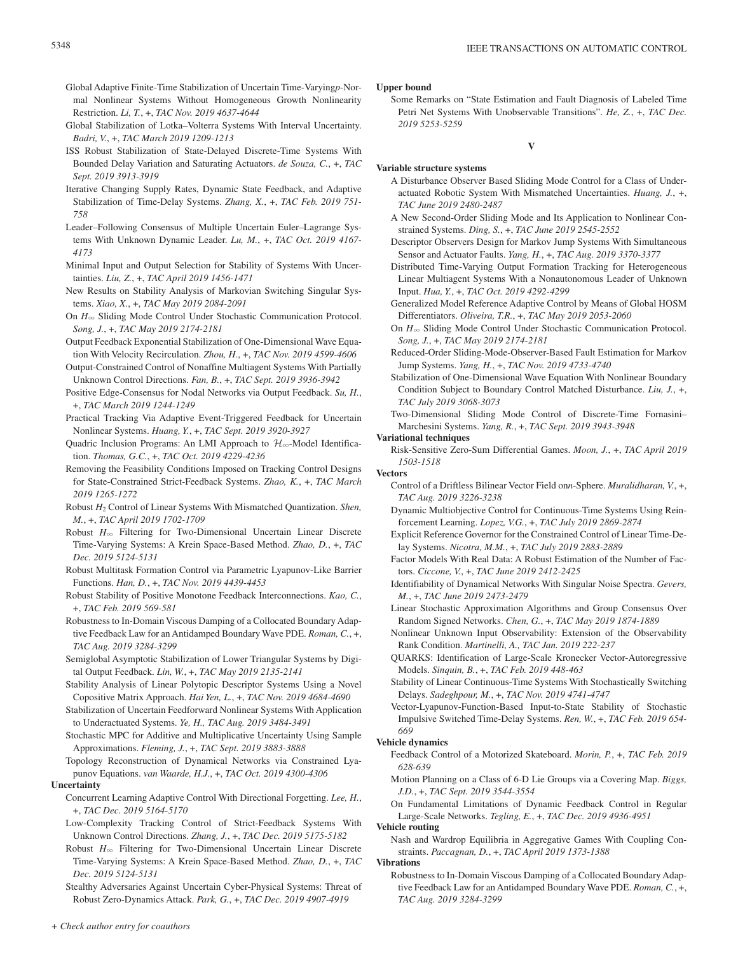- Global Adaptive Finite-Time Stabilization of Uncertain Time-Varying*p*-Normal Nonlinear Systems Without Homogeneous Growth Nonlinearity Restriction. *Li, T.*, +, *TAC Nov. 2019 4637-4644*
- Global Stabilization of Lotka–Volterra Systems With Interval Uncertainty. *Badri, V.*, +, *TAC March 2019 1209-1213*
- ISS Robust Stabilization of State-Delayed Discrete-Time Systems With Bounded Delay Variation and Saturating Actuators. *de Souza, C.*, +, *TAC Sept. 2019 3913-3919*
- Iterative Changing Supply Rates, Dynamic State Feedback, and Adaptive Stabilization of Time-Delay Systems. *Zhang, X.*, +, *TAC Feb. 2019 751- 758*
- Leader–Following Consensus of Multiple Uncertain Euler–Lagrange Systems With Unknown Dynamic Leader. *Lu, M.*, +, *TAC Oct. 2019 4167- 4173*
- Minimal Input and Output Selection for Stability of Systems With Uncertainties. *Liu, Z.*, +, *TAC April 2019 1456-1471*
- New Results on Stability Analysis of Markovian Switching Singular Systems. *Xiao, X.*, +, *TAC May 2019 2084-2091*
- On  $H_{\infty}$  Sliding Mode Control Under Stochastic Communication Protocol. *Song, J.*, +, *TAC May 2019 2174-2181*
- Output Feedback Exponential Stabilization of One-Dimensional Wave Equation With Velocity Recirculation. *Zhou, H.*, +, *TAC Nov. 2019 4599-4606*
- Output-Constrained Control of Nonaffine Multiagent Systems With Partially Unknown Control Directions. *Fan, B.*, +, *TAC Sept. 2019 3936-3942*
- Positive Edge-Consensus for Nodal Networks via Output Feedback. *Su, H.*, +, *TAC March 2019 1244-1249*
- Practical Tracking Via Adaptive Event-Triggered Feedback for Uncertain Nonlinear Systems. *Huang, Y.*, +, *TAC Sept. 2019 3920-3927*
- Quadric Inclusion Programs: An LMI Approach to  $\mathcal{H}_{\infty}$ -Model Identification. *Thomas, G.C.*, +, *TAC Oct. 2019 4229-4236*
- Removing the Feasibility Conditions Imposed on Tracking Control Designs for State-Constrained Strict-Feedback Systems. *Zhao, K.*, +, *TAC March 2019 1265-1272*
- Robust *H*2 Control of Linear Systems With Mismatched Quantization. *Shen, M.*, +, *TAC April 2019 1702-1709*
- Robust  $H_{\infty}$  Filtering for Two-Dimensional Uncertain Linear Discrete Time-Varying Systems: A Krein Space-Based Method. *Zhao, D.*, +, *TAC Dec. 2019 5124-5131*
- Robust Multitask Formation Control via Parametric Lyapunov-Like Barrier Functions. *Han, D.*, +, *TAC Nov. 2019 4439-4453*
- Robust Stability of Positive Monotone Feedback Interconnections. *Kao, C.*, +, *TAC Feb. 2019 569-581*
- Robustness to In-Domain Viscous Damping of a Collocated Boundary Adaptive Feedback Law for an Antidamped Boundary Wave PDE. *Roman, C.*, +, *TAC Aug. 2019 3284-3299*
- Semiglobal Asymptotic Stabilization of Lower Triangular Systems by Digital Output Feedback. *Lin, W.*, +, *TAC May 2019 2135-2141*
- Stability Analysis of Linear Polytopic Descriptor Systems Using a Novel Copositive Matrix Approach. *Hai Yen, L.*, +, *TAC Nov. 2019 4684-4690*
- Stabilization of Uncertain Feedforward Nonlinear Systems With Application to Underactuated Systems. *Ye, H., TAC Aug. 2019 3484-3491*
- Stochastic MPC for Additive and Multiplicative Uncertainty Using Sample Approximations. *Fleming, J.*, +, *TAC Sept. 2019 3883-3888*
- Topology Reconstruction of Dynamical Networks via Constrained Lyapunov Equations. *van Waarde, H.J.*, +, *TAC Oct. 2019 4300-4306*

# **Uncertainty**

- Concurrent Learning Adaptive Control With Directional Forgetting. *Lee, H.*, +, *TAC Dec. 2019 5164-5170*
- Low-Complexity Tracking Control of Strict-Feedback Systems With Unknown Control Directions. *Zhang, J.*, +, *TAC Dec. 2019 5175-5182*
- Robust  $H_{\infty}$  Filtering for Two-Dimensional Uncertain Linear Discrete Time-Varying Systems: A Krein Space-Based Method. *Zhao, D.*, +, *TAC Dec. 2019 5124-5131*

Stealthy Adversaries Against Uncertain Cyber-Physical Systems: Threat of Robust Zero-Dynamics Attack. *Park, G.*, +, *TAC Dec. 2019 4907-4919*

## **Upper bound**

Some Remarks on "State Estimation and Fault Diagnosis of Labeled Time Petri Net Systems With Unobservable Transitions". *He, Z.*, +, *TAC Dec. 2019 5253-5259*

#### **V**

## **Variable structure systems**

- A Disturbance Observer Based Sliding Mode Control for a Class of Underactuated Robotic System With Mismatched Uncertainties. *Huang, J.*, +, *TAC June 2019 2480-2487*
- A New Second-Order Sliding Mode and Its Application to Nonlinear Constrained Systems. *Ding, S.*, +, *TAC June 2019 2545-2552*
- Descriptor Observers Design for Markov Jump Systems With Simultaneous Sensor and Actuator Faults. *Yang, H.*, +, *TAC Aug. 2019 3370-3377*
- Distributed Time-Varying Output Formation Tracking for Heterogeneous Linear Multiagent Systems With a Nonautonomous Leader of Unknown Input. *Hua, Y.*, +, *TAC Oct. 2019 4292-4299*
- Generalized Model Reference Adaptive Control by Means of Global HOSM Differentiators. *Oliveira, T.R.*, +, *TAC May 2019 2053-2060*
- On  $H_{\infty}$  Sliding Mode Control Under Stochastic Communication Protocol. *Song, J.*, +, *TAC May 2019 2174-2181*
- Reduced-Order Sliding-Mode-Observer-Based Fault Estimation for Markov Jump Systems. *Yang, H.*, +, *TAC Nov. 2019 4733-4740*
- Stabilization of One-Dimensional Wave Equation With Nonlinear Boundary Condition Subject to Boundary Control Matched Disturbance. *Liu, J.*, +, *TAC July 2019 3068-3073*
- Two-Dimensional Sliding Mode Control of Discrete-Time Fornasini– Marchesini Systems. *Yang, R.*, +, *TAC Sept. 2019 3943-3948*

## **Variational techniques**

Risk-Sensitive Zero-Sum Differential Games. *Moon, J.*, +, *TAC April 2019 1503-1518*

# **Vectors**

- Control of a Driftless Bilinear Vector Field on*n*-Sphere. *Muralidharan, V.*, +, *TAC Aug. 2019 3226-3238*
- Dynamic Multiobjective Control for Continuous-Time Systems Using Reinforcement Learning. *Lopez, V.G.*, +, *TAC July 2019 2869-2874*
- Explicit Reference Governor for the Constrained Control of Linear Time-Delay Systems. *Nicotra, M.M.*, +, *TAC July 2019 2883-2889*
- Factor Models With Real Data: A Robust Estimation of the Number of Factors. *Ciccone, V.*, +, *TAC June 2019 2412-2425*
- Identifiability of Dynamical Networks With Singular Noise Spectra. *Gevers, M.*, +, *TAC June 2019 2473-2479*
- Linear Stochastic Approximation Algorithms and Group Consensus Over Random Signed Networks. *Chen, G.*, +, *TAC May 2019 1874-1889*
- Nonlinear Unknown Input Observability: Extension of the Observability Rank Condition. *Martinelli, A., TAC Jan. 2019 222-237*
- QUARKS: Identification of Large-Scale Kronecker Vector-Autoregressive Models. *Sinquin, B.*, +, *TAC Feb. 2019 448-463*
- Stability of Linear Continuous-Time Systems With Stochastically Switching Delays. *Sadeghpour, M.*, +, *TAC Nov. 2019 4741-4747*
- Vector-Lyapunov-Function-Based Input-to-State Stability of Stochastic Impulsive Switched Time-Delay Systems. *Ren, W.*, +, *TAC Feb. 2019 654- 669*

## **Vehicle dynamics**

- Feedback Control of a Motorized Skateboard. *Morin, P.*, +, *TAC Feb. 2019 628-639*
- Motion Planning on a Class of 6-D Lie Groups via a Covering Map. *Biggs, J.D.*, +, *TAC Sept. 2019 3544-3554*

On Fundamental Limitations of Dynamic Feedback Control in Regular Large-Scale Networks. *Tegling, E.*, +, *TAC Dec. 2019 4936-4951*

## **Vehicle routing**

Nash and Wardrop Equilibria in Aggregative Games With Coupling Constraints. *Paccagnan, D.*, +, *TAC April 2019 1373-1388*

## **Vibrations**

Robustness to In-Domain Viscous Damping of a Collocated Boundary Adaptive Feedback Law for an Antidamped Boundary Wave PDE. *Roman, C.*, +, *TAC Aug. 2019 3284-3299*